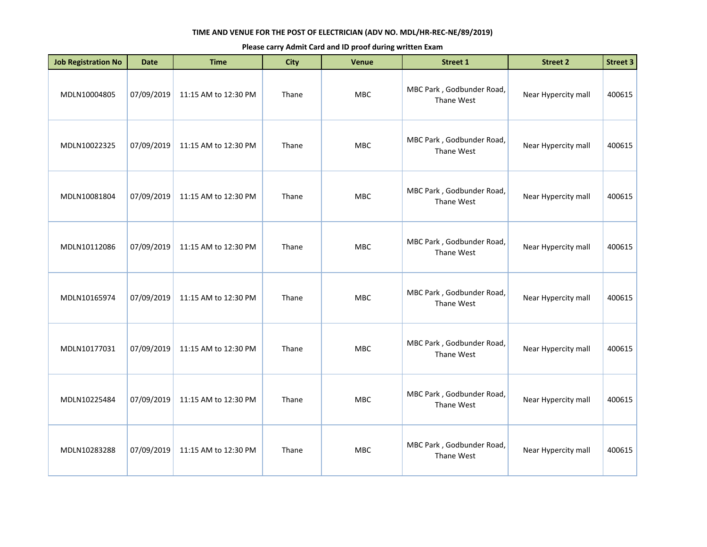| <b>Job Registration No</b> | <b>Date</b> | <b>Time</b>          | <b>City</b> | <b>Venue</b> | <b>Street 1</b>                         | <b>Street 2</b>     | <b>Street 3</b> |
|----------------------------|-------------|----------------------|-------------|--------------|-----------------------------------------|---------------------|-----------------|
| MDLN10004805               | 07/09/2019  | 11:15 AM to 12:30 PM | Thane       | MBC          | MBC Park, Godbunder Road,<br>Thane West | Near Hypercity mall | 400615          |
| MDLN10022325               | 07/09/2019  | 11:15 AM to 12:30 PM | Thane       | MBC          | MBC Park, Godbunder Road,<br>Thane West | Near Hypercity mall | 400615          |
| MDLN10081804               | 07/09/2019  | 11:15 AM to 12:30 PM | Thane       | MBC          | MBC Park, Godbunder Road,<br>Thane West | Near Hypercity mall | 400615          |
| MDLN10112086               | 07/09/2019  | 11:15 AM to 12:30 PM | Thane       | <b>MBC</b>   | MBC Park, Godbunder Road,<br>Thane West | Near Hypercity mall | 400615          |
| MDLN10165974               | 07/09/2019  | 11:15 AM to 12:30 PM | Thane       | MBC          | MBC Park, Godbunder Road,<br>Thane West | Near Hypercity mall | 400615          |
| MDLN10177031               | 07/09/2019  | 11:15 AM to 12:30 PM | Thane       | MBC          | MBC Park, Godbunder Road,<br>Thane West | Near Hypercity mall | 400615          |
| MDLN10225484               | 07/09/2019  | 11:15 AM to 12:30 PM | Thane       | <b>MBC</b>   | MBC Park, Godbunder Road,<br>Thane West | Near Hypercity mall | 400615          |
| MDLN10283288               | 07/09/2019  | 11:15 AM to 12:30 PM | Thane       | MBC          | MBC Park, Godbunder Road,<br>Thane West | Near Hypercity mall | 400615          |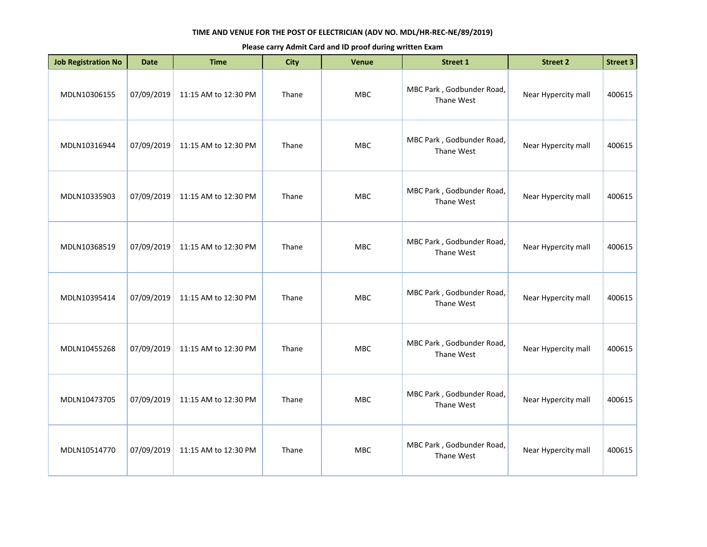| <b>Job Registration No</b> | <b>Date</b> | <b>Time</b>          | <b>City</b> | Venue      | <b>Street 1</b>                         | <b>Street 2</b>     | Street 3 |
|----------------------------|-------------|----------------------|-------------|------------|-----------------------------------------|---------------------|----------|
| MDLN10306155               | 07/09/2019  | 11:15 AM to 12:30 PM | Thane       | <b>MBC</b> | MBC Park, Godbunder Road,<br>Thane West | Near Hypercity mall | 400615   |
| MDLN10316944               | 07/09/2019  | 11:15 AM to 12:30 PM | Thane       | MBC        | MBC Park, Godbunder Road,<br>Thane West | Near Hypercity mall | 400615   |
| MDLN10335903               | 07/09/2019  | 11:15 AM to 12:30 PM | Thane       | MBC        | MBC Park, Godbunder Road,<br>Thane West | Near Hypercity mall | 400615   |
| MDLN10368519               | 07/09/2019  | 11:15 AM to 12:30 PM | Thane       | <b>MBC</b> | MBC Park, Godbunder Road,<br>Thane West | Near Hypercity mall | 400615   |
| MDLN10395414               | 07/09/2019  | 11:15 AM to 12:30 PM | Thane       | <b>MBC</b> | MBC Park, Godbunder Road,<br>Thane West | Near Hypercity mall | 400615   |
| MDLN10455268               | 07/09/2019  | 11:15 AM to 12:30 PM | Thane       | MBC        | MBC Park, Godbunder Road,<br>Thane West | Near Hypercity mall | 400615   |
| MDLN10473705               | 07/09/2019  | 11:15 AM to 12:30 PM | Thane       | <b>MBC</b> | MBC Park, Godbunder Road,<br>Thane West | Near Hypercity mall | 400615   |
| MDLN10514770               | 07/09/2019  | 11:15 AM to 12:30 PM | Thane       | <b>MBC</b> | MBC Park, Godbunder Road,<br>Thane West | Near Hypercity mall | 400615   |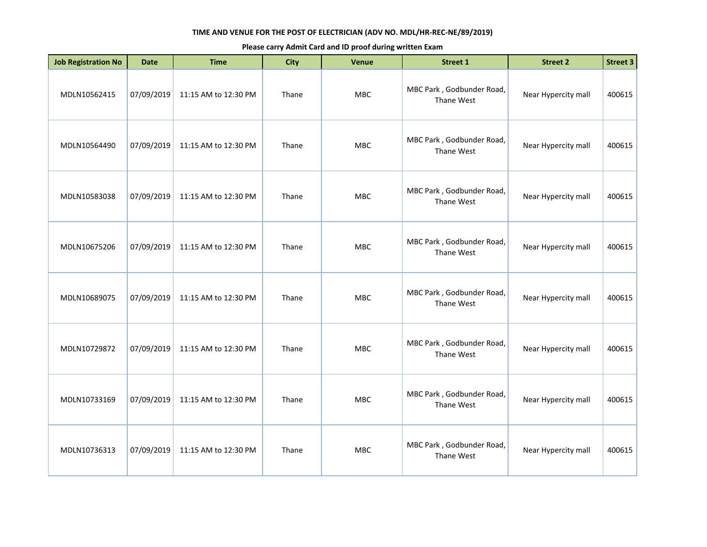| <b>Job Registration No</b> | <b>Date</b> | <b>Time</b>          | <b>City</b> | Venue      | <b>Street 1</b>                         | <b>Street 2</b>     | Street 3 |
|----------------------------|-------------|----------------------|-------------|------------|-----------------------------------------|---------------------|----------|
| MDLN10562415               | 07/09/2019  | 11:15 AM to 12:30 PM | Thane       | <b>MBC</b> | MBC Park, Godbunder Road,<br>Thane West | Near Hypercity mall | 400615   |
| MDLN10564490               | 07/09/2019  | 11:15 AM to 12:30 PM | Thane       | MBC        | MBC Park, Godbunder Road,<br>Thane West | Near Hypercity mall | 400615   |
| MDLN10583038               | 07/09/2019  | 11:15 AM to 12:30 PM | Thane       | MBC        | MBC Park, Godbunder Road,<br>Thane West | Near Hypercity mall | 400615   |
| MDLN10675206               | 07/09/2019  | 11:15 AM to 12:30 PM | Thane       | <b>MBC</b> | MBC Park, Godbunder Road,<br>Thane West | Near Hypercity mall | 400615   |
| MDLN10689075               | 07/09/2019  | 11:15 AM to 12:30 PM | Thane       | <b>MBC</b> | MBC Park, Godbunder Road,<br>Thane West | Near Hypercity mall | 400615   |
| MDLN10729872               | 07/09/2019  | 11:15 AM to 12:30 PM | Thane       | MBC        | MBC Park, Godbunder Road,<br>Thane West | Near Hypercity mall | 400615   |
| MDLN10733169               | 07/09/2019  | 11:15 AM to 12:30 PM | Thane       | <b>MBC</b> | MBC Park, Godbunder Road,<br>Thane West | Near Hypercity mall | 400615   |
| MDLN10736313               | 07/09/2019  | 11:15 AM to 12:30 PM | Thane       | <b>MBC</b> | MBC Park, Godbunder Road,<br>Thane West | Near Hypercity mall | 400615   |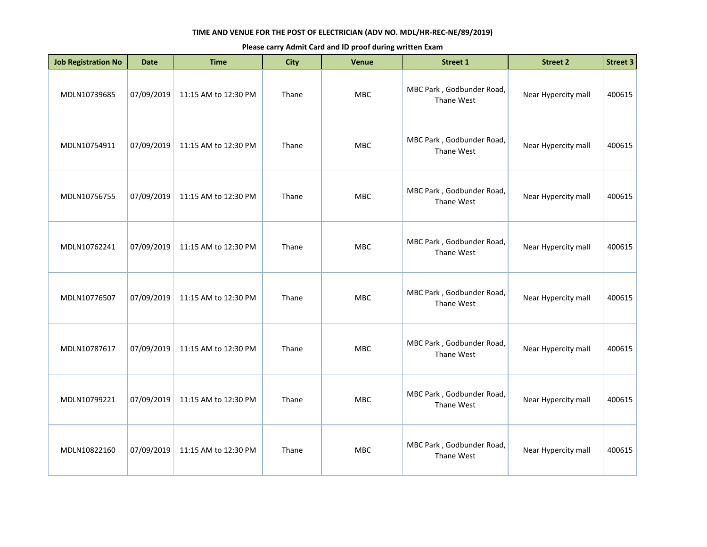| <b>Job Registration No</b> | <b>Date</b> | <b>Time</b>          | <b>City</b> | Venue      | <b>Street 1</b>                         | <b>Street 2</b>     | <b>Street 3</b> |
|----------------------------|-------------|----------------------|-------------|------------|-----------------------------------------|---------------------|-----------------|
| MDLN10739685               | 07/09/2019  | 11:15 AM to 12:30 PM | Thane       | MBC        | MBC Park, Godbunder Road,<br>Thane West | Near Hypercity mall | 400615          |
| MDLN10754911               | 07/09/2019  | 11:15 AM to 12:30 PM | Thane       | <b>MBC</b> | MBC Park, Godbunder Road,<br>Thane West | Near Hypercity mall | 400615          |
| MDLN10756755               | 07/09/2019  | 11:15 AM to 12:30 PM | Thane       | <b>MBC</b> | MBC Park, Godbunder Road,<br>Thane West | Near Hypercity mall | 400615          |
| MDLN10762241               | 07/09/2019  | 11:15 AM to 12:30 PM | Thane       | <b>MBC</b> | MBC Park, Godbunder Road,<br>Thane West | Near Hypercity mall | 400615          |
| MDLN10776507               | 07/09/2019  | 11:15 AM to 12:30 PM | Thane       | MBC        | MBC Park, Godbunder Road,<br>Thane West | Near Hypercity mall | 400615          |
| MDLN10787617               | 07/09/2019  | 11:15 AM to 12:30 PM | Thane       | <b>MBC</b> | MBC Park, Godbunder Road,<br>Thane West | Near Hypercity mall | 400615          |
| MDLN10799221               | 07/09/2019  | 11:15 AM to 12:30 PM | Thane       | <b>MBC</b> | MBC Park, Godbunder Road,<br>Thane West | Near Hypercity mall | 400615          |
| MDLN10822160               | 07/09/2019  | 11:15 AM to 12:30 PM | Thane       | <b>MBC</b> | MBC Park, Godbunder Road,<br>Thane West | Near Hypercity mall | 400615          |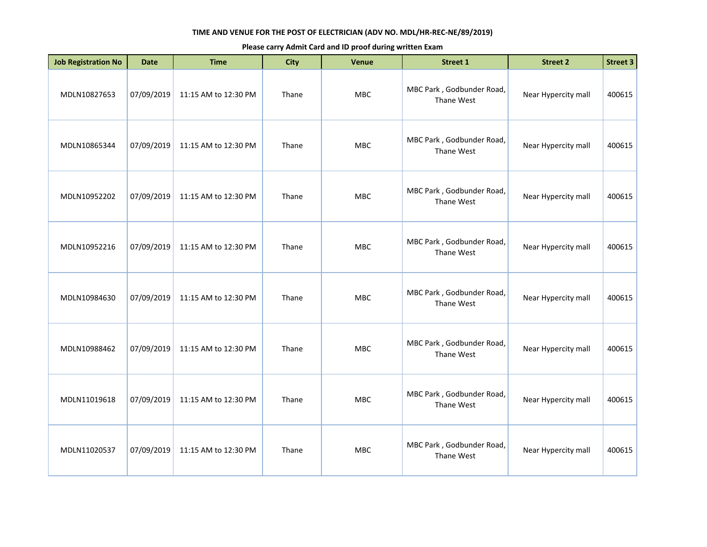| <b>Job Registration No</b> | <b>Date</b> | <b>Time</b>          | <b>City</b> | <b>Venue</b> | <b>Street 1</b>                         | <b>Street 2</b>     | <b>Street 3</b> |
|----------------------------|-------------|----------------------|-------------|--------------|-----------------------------------------|---------------------|-----------------|
| MDLN10827653               | 07/09/2019  | 11:15 AM to 12:30 PM | Thane       | MBC          | MBC Park, Godbunder Road,<br>Thane West | Near Hypercity mall | 400615          |
| MDLN10865344               | 07/09/2019  | 11:15 AM to 12:30 PM | Thane       | <b>MBC</b>   | MBC Park, Godbunder Road,<br>Thane West | Near Hypercity mall | 400615          |
| MDLN10952202               | 07/09/2019  | 11:15 AM to 12:30 PM | Thane       | MBC          | MBC Park, Godbunder Road,<br>Thane West | Near Hypercity mall | 400615          |
| MDLN10952216               | 07/09/2019  | 11:15 AM to 12:30 PM | Thane       | MBC          | MBC Park, Godbunder Road,<br>Thane West | Near Hypercity mall | 400615          |
| MDLN10984630               | 07/09/2019  | 11:15 AM to 12:30 PM | Thane       | <b>MBC</b>   | MBC Park, Godbunder Road,<br>Thane West | Near Hypercity mall | 400615          |
| MDLN10988462               | 07/09/2019  | 11:15 AM to 12:30 PM | Thane       | <b>MBC</b>   | MBC Park, Godbunder Road,<br>Thane West | Near Hypercity mall | 400615          |
| MDLN11019618               | 07/09/2019  | 11:15 AM to 12:30 PM | Thane       | <b>MBC</b>   | MBC Park, Godbunder Road,<br>Thane West | Near Hypercity mall | 400615          |
| MDLN11020537               | 07/09/2019  | 11:15 AM to 12:30 PM | Thane       | <b>MBC</b>   | MBC Park, Godbunder Road,<br>Thane West | Near Hypercity mall | 400615          |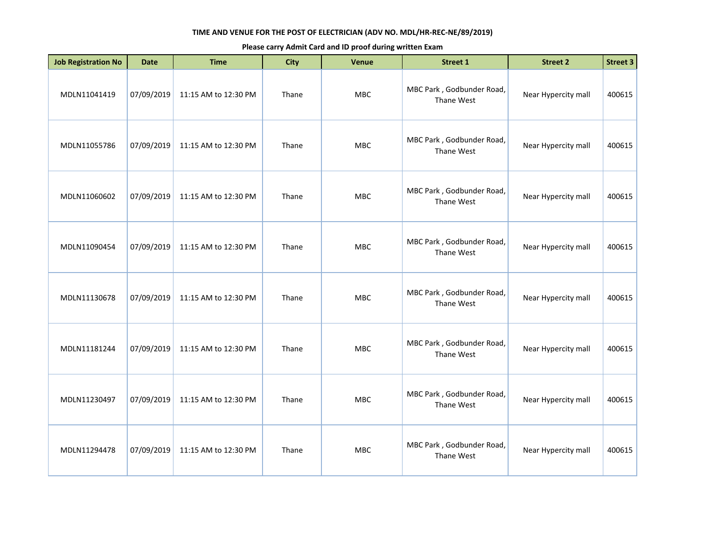| <b>Job Registration No</b> | <b>Date</b> | <b>Time</b>          | <b>City</b> | Venue      | Street 1                                | <b>Street 2</b>     | Street 3 |
|----------------------------|-------------|----------------------|-------------|------------|-----------------------------------------|---------------------|----------|
| MDLN11041419               | 07/09/2019  | 11:15 AM to 12:30 PM | Thane       | <b>MBC</b> | MBC Park, Godbunder Road,<br>Thane West | Near Hypercity mall | 400615   |
| MDLN11055786               | 07/09/2019  | 11:15 AM to 12:30 PM | Thane       | MBC        | MBC Park, Godbunder Road,<br>Thane West | Near Hypercity mall | 400615   |
| MDLN11060602               | 07/09/2019  | 11:15 AM to 12:30 PM | Thane       | MBC        | MBC Park, Godbunder Road,<br>Thane West | Near Hypercity mall | 400615   |
| MDLN11090454               | 07/09/2019  | 11:15 AM to 12:30 PM | Thane       | <b>MBC</b> | MBC Park, Godbunder Road,<br>Thane West | Near Hypercity mall | 400615   |
| MDLN11130678               | 07/09/2019  | 11:15 AM to 12:30 PM | Thane       | <b>MBC</b> | MBC Park, Godbunder Road,<br>Thane West | Near Hypercity mall | 400615   |
| MDLN11181244               | 07/09/2019  | 11:15 AM to 12:30 PM | Thane       | MBC        | MBC Park, Godbunder Road,<br>Thane West | Near Hypercity mall | 400615   |
| MDLN11230497               | 07/09/2019  | 11:15 AM to 12:30 PM | Thane       | <b>MBC</b> | MBC Park, Godbunder Road,<br>Thane West | Near Hypercity mall | 400615   |
| MDLN11294478               | 07/09/2019  | 11:15 AM to 12:30 PM | Thane       | <b>MBC</b> | MBC Park, Godbunder Road,<br>Thane West | Near Hypercity mall | 400615   |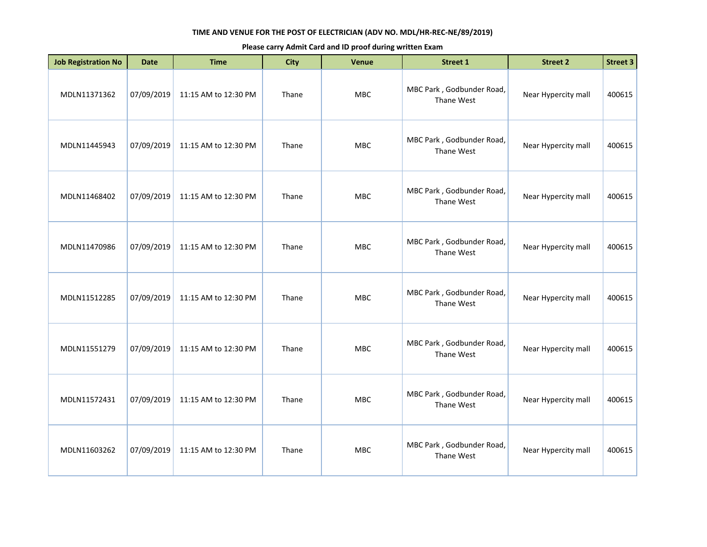| <b>Job Registration No</b> | <b>Date</b> | <b>Time</b>          | <b>City</b> | Venue      | <b>Street 1</b>                         | <b>Street 2</b>     | <b>Street 3</b> |
|----------------------------|-------------|----------------------|-------------|------------|-----------------------------------------|---------------------|-----------------|
| MDLN11371362               | 07/09/2019  | 11:15 AM to 12:30 PM | Thane       | MBC        | MBC Park, Godbunder Road,<br>Thane West | Near Hypercity mall | 400615          |
| MDLN11445943               | 07/09/2019  | 11:15 AM to 12:30 PM | Thane       | <b>MBC</b> | MBC Park, Godbunder Road,<br>Thane West | Near Hypercity mall | 400615          |
| MDLN11468402               | 07/09/2019  | 11:15 AM to 12:30 PM | Thane       | <b>MBC</b> | MBC Park, Godbunder Road,<br>Thane West | Near Hypercity mall | 400615          |
| MDLN11470986               | 07/09/2019  | 11:15 AM to 12:30 PM | Thane       | <b>MBC</b> | MBC Park, Godbunder Road,<br>Thane West | Near Hypercity mall | 400615          |
| MDLN11512285               | 07/09/2019  | 11:15 AM to 12:30 PM | Thane       | MBC        | MBC Park, Godbunder Road,<br>Thane West | Near Hypercity mall | 400615          |
| MDLN11551279               | 07/09/2019  | 11:15 AM to 12:30 PM | Thane       | <b>MBC</b> | MBC Park, Godbunder Road,<br>Thane West | Near Hypercity mall | 400615          |
| MDLN11572431               | 07/09/2019  | 11:15 AM to 12:30 PM | Thane       | <b>MBC</b> | MBC Park, Godbunder Road,<br>Thane West | Near Hypercity mall | 400615          |
| MDLN11603262               | 07/09/2019  | 11:15 AM to 12:30 PM | Thane       | <b>MBC</b> | MBC Park, Godbunder Road,<br>Thane West | Near Hypercity mall | 400615          |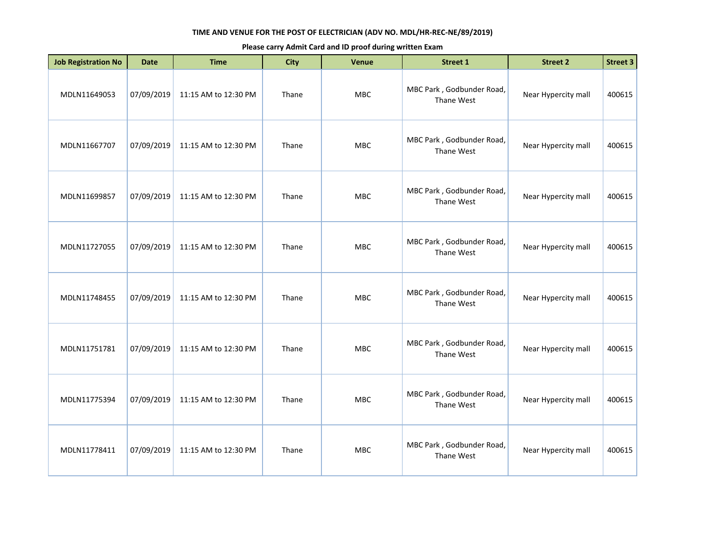| <b>Job Registration No</b> | <b>Date</b> | <b>Time</b>          | <b>City</b> | <b>Venue</b> | <b>Street 1</b>                         | <b>Street 2</b>     | <b>Street 3</b> |
|----------------------------|-------------|----------------------|-------------|--------------|-----------------------------------------|---------------------|-----------------|
| MDLN11649053               | 07/09/2019  | 11:15 AM to 12:30 PM | Thane       | MBC          | MBC Park, Godbunder Road,<br>Thane West | Near Hypercity mall | 400615          |
| MDLN11667707               | 07/09/2019  | 11:15 AM to 12:30 PM | Thane       | <b>MBC</b>   | MBC Park, Godbunder Road,<br>Thane West | Near Hypercity mall | 400615          |
| MDLN11699857               | 07/09/2019  | 11:15 AM to 12:30 PM | Thane       | <b>MBC</b>   | MBC Park, Godbunder Road,<br>Thane West | Near Hypercity mall | 400615          |
| MDLN11727055               | 07/09/2019  | 11:15 AM to 12:30 PM | Thane       | MBC          | MBC Park, Godbunder Road,<br>Thane West | Near Hypercity mall | 400615          |
| MDLN11748455               | 07/09/2019  | 11:15 AM to 12:30 PM | Thane       | <b>MBC</b>   | MBC Park, Godbunder Road,<br>Thane West | Near Hypercity mall | 400615          |
| MDLN11751781               | 07/09/2019  | 11:15 AM to 12:30 PM | Thane       | <b>MBC</b>   | MBC Park, Godbunder Road,<br>Thane West | Near Hypercity mall | 400615          |
| MDLN11775394               | 07/09/2019  | 11:15 AM to 12:30 PM | Thane       | <b>MBC</b>   | MBC Park, Godbunder Road,<br>Thane West | Near Hypercity mall | 400615          |
| MDLN11778411               | 07/09/2019  | 11:15 AM to 12:30 PM | Thane       | <b>MBC</b>   | MBC Park, Godbunder Road,<br>Thane West | Near Hypercity mall | 400615          |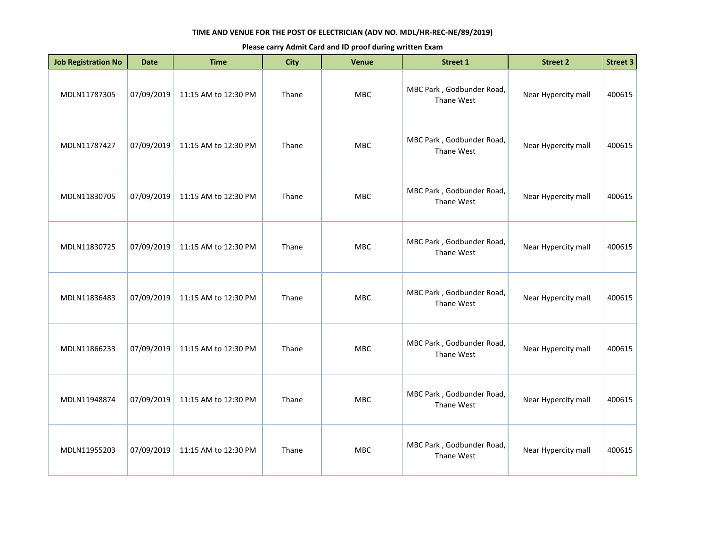| <b>Job Registration No</b> | <b>Date</b> | <b>Time</b>          | <b>City</b> | Venue      | <b>Street 1</b>                         | <b>Street 2</b>     | <b>Street 3</b> |
|----------------------------|-------------|----------------------|-------------|------------|-----------------------------------------|---------------------|-----------------|
| MDLN11787305               | 07/09/2019  | 11:15 AM to 12:30 PM | Thane       | MBC        | MBC Park, Godbunder Road,<br>Thane West | Near Hypercity mall | 400615          |
| MDLN11787427               | 07/09/2019  | 11:15 AM to 12:30 PM | Thane       | MBC        | MBC Park, Godbunder Road,<br>Thane West | Near Hypercity mall | 400615          |
| MDLN11830705               | 07/09/2019  | 11:15 AM to 12:30 PM | Thane       | MBC        | MBC Park, Godbunder Road,<br>Thane West | Near Hypercity mall | 400615          |
| MDLN11830725               | 07/09/2019  | 11:15 AM to 12:30 PM | Thane       | <b>MBC</b> | MBC Park, Godbunder Road,<br>Thane West | Near Hypercity mall | 400615          |
| MDLN11836483               | 07/09/2019  | 11:15 AM to 12:30 PM | Thane       | <b>MBC</b> | MBC Park, Godbunder Road,<br>Thane West | Near Hypercity mall | 400615          |
| MDLN11866233               | 07/09/2019  | 11:15 AM to 12:30 PM | Thane       | <b>MBC</b> | MBC Park, Godbunder Road,<br>Thane West | Near Hypercity mall | 400615          |
| MDLN11948874               | 07/09/2019  | 11:15 AM to 12:30 PM | Thane       | <b>MBC</b> | MBC Park, Godbunder Road,<br>Thane West | Near Hypercity mall | 400615          |
| MDLN11955203               | 07/09/2019  | 11:15 AM to 12:30 PM | Thane       | MBC        | MBC Park, Godbunder Road,<br>Thane West | Near Hypercity mall | 400615          |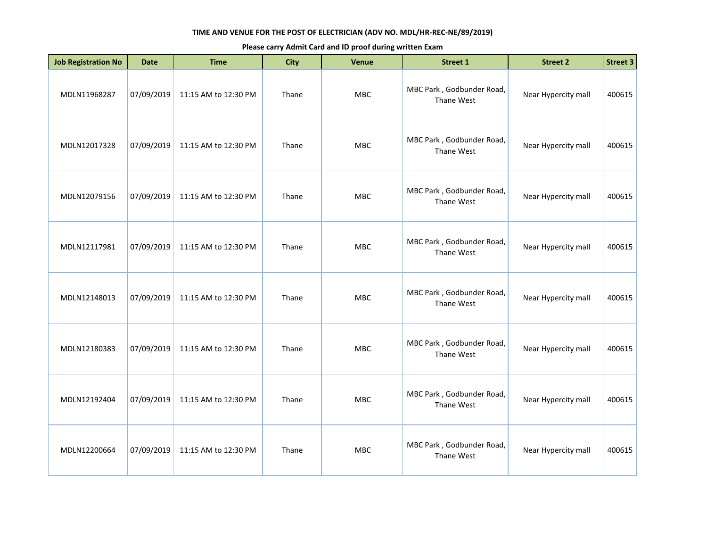| <b>Job Registration No</b> | <b>Date</b> | <b>Time</b>          | <b>City</b> | Venue      | <b>Street 1</b>                         | <b>Street 2</b>     | <b>Street 3</b> |
|----------------------------|-------------|----------------------|-------------|------------|-----------------------------------------|---------------------|-----------------|
| MDLN11968287               | 07/09/2019  | 11:15 AM to 12:30 PM | Thane       | MBC        | MBC Park, Godbunder Road,<br>Thane West | Near Hypercity mall | 400615          |
| MDLN12017328               | 07/09/2019  | 11:15 AM to 12:30 PM | Thane       | <b>MBC</b> | MBC Park, Godbunder Road,<br>Thane West | Near Hypercity mall | 400615          |
| MDLN12079156               | 07/09/2019  | 11:15 AM to 12:30 PM | Thane       | <b>MBC</b> | MBC Park, Godbunder Road,<br>Thane West | Near Hypercity mall | 400615          |
| MDLN12117981               | 07/09/2019  | 11:15 AM to 12:30 PM | Thane       | MBC        | MBC Park, Godbunder Road,<br>Thane West | Near Hypercity mall | 400615          |
| MDLN12148013               | 07/09/2019  | 11:15 AM to 12:30 PM | Thane       | <b>MBC</b> | MBC Park, Godbunder Road,<br>Thane West | Near Hypercity mall | 400615          |
| MDLN12180383               | 07/09/2019  | 11:15 AM to 12:30 PM | Thane       | <b>MBC</b> | MBC Park, Godbunder Road,<br>Thane West | Near Hypercity mall | 400615          |
| MDLN12192404               | 07/09/2019  | 11:15 AM to 12:30 PM | Thane       | <b>MBC</b> | MBC Park, Godbunder Road,<br>Thane West | Near Hypercity mall | 400615          |
| MDLN12200664               | 07/09/2019  | 11:15 AM to 12:30 PM | Thane       | <b>MBC</b> | MBC Park, Godbunder Road,<br>Thane West | Near Hypercity mall | 400615          |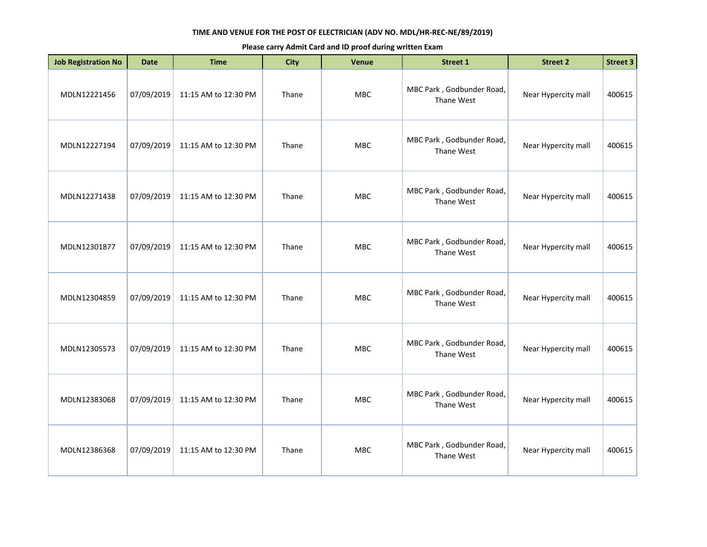| <b>Job Registration No</b> | <b>Date</b> | <b>Time</b>          | <b>City</b> | Venue      | Street 1                                | <b>Street 2</b>     | Street 3 |
|----------------------------|-------------|----------------------|-------------|------------|-----------------------------------------|---------------------|----------|
| MDLN12221456               | 07/09/2019  | 11:15 AM to 12:30 PM | Thane       | <b>MBC</b> | MBC Park, Godbunder Road,<br>Thane West | Near Hypercity mall | 400615   |
| MDLN12227194               | 07/09/2019  | 11:15 AM to 12:30 PM | Thane       | MBC        | MBC Park, Godbunder Road,<br>Thane West | Near Hypercity mall | 400615   |
| MDLN12271438               | 07/09/2019  | 11:15 AM to 12:30 PM | Thane       | MBC        | MBC Park, Godbunder Road,<br>Thane West | Near Hypercity mall | 400615   |
| MDLN12301877               | 07/09/2019  | 11:15 AM to 12:30 PM | Thane       | <b>MBC</b> | MBC Park, Godbunder Road,<br>Thane West | Near Hypercity mall | 400615   |
| MDLN12304859               | 07/09/2019  | 11:15 AM to 12:30 PM | Thane       | <b>MBC</b> | MBC Park, Godbunder Road,<br>Thane West | Near Hypercity mall | 400615   |
| MDLN12305573               | 07/09/2019  | 11:15 AM to 12:30 PM | Thane       | MBC        | MBC Park, Godbunder Road,<br>Thane West | Near Hypercity mall | 400615   |
| MDLN12383068               | 07/09/2019  | 11:15 AM to 12:30 PM | Thane       | <b>MBC</b> | MBC Park, Godbunder Road,<br>Thane West | Near Hypercity mall | 400615   |
| MDLN12386368               | 07/09/2019  | 11:15 AM to 12:30 PM | Thane       | <b>MBC</b> | MBC Park, Godbunder Road,<br>Thane West | Near Hypercity mall | 400615   |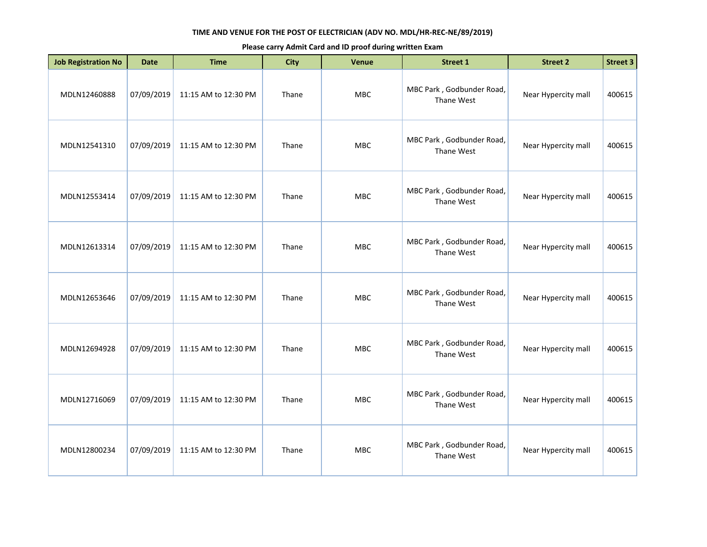| <b>Job Registration No</b> | <b>Date</b> | <b>Time</b>          | <b>City</b> | Venue      | <b>Street 1</b>                         | <b>Street 2</b>     | <b>Street 3</b> |
|----------------------------|-------------|----------------------|-------------|------------|-----------------------------------------|---------------------|-----------------|
| MDLN12460888               | 07/09/2019  | 11:15 AM to 12:30 PM | Thane       | MBC        | MBC Park, Godbunder Road,<br>Thane West | Near Hypercity mall | 400615          |
| MDLN12541310               | 07/09/2019  | 11:15 AM to 12:30 PM | Thane       | <b>MBC</b> | MBC Park, Godbunder Road,<br>Thane West | Near Hypercity mall | 400615          |
| MDLN12553414               | 07/09/2019  | 11:15 AM to 12:30 PM | Thane       | <b>MBC</b> | MBC Park, Godbunder Road,<br>Thane West | Near Hypercity mall | 400615          |
| MDLN12613314               | 07/09/2019  | 11:15 AM to 12:30 PM | Thane       | <b>MBC</b> | MBC Park, Godbunder Road,<br>Thane West | Near Hypercity mall | 400615          |
| MDLN12653646               | 07/09/2019  | 11:15 AM to 12:30 PM | Thane       | MBC        | MBC Park, Godbunder Road,<br>Thane West | Near Hypercity mall | 400615          |
| MDLN12694928               | 07/09/2019  | 11:15 AM to 12:30 PM | Thane       | <b>MBC</b> | MBC Park, Godbunder Road,<br>Thane West | Near Hypercity mall | 400615          |
| MDLN12716069               | 07/09/2019  | 11:15 AM to 12:30 PM | Thane       | <b>MBC</b> | MBC Park, Godbunder Road,<br>Thane West | Near Hypercity mall | 400615          |
| MDLN12800234               | 07/09/2019  | 11:15 AM to 12:30 PM | Thane       | <b>MBC</b> | MBC Park, Godbunder Road,<br>Thane West | Near Hypercity mall | 400615          |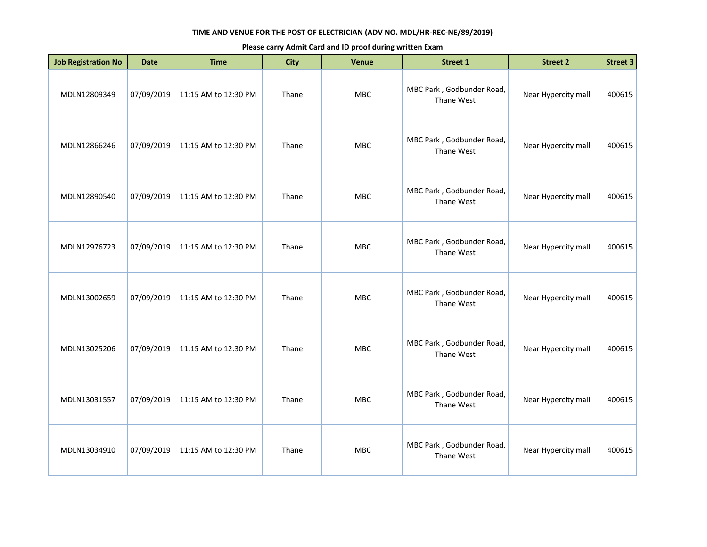| <b>Job Registration No</b> | <b>Date</b> | <b>Time</b>          | <b>City</b> | <b>Venue</b> | <b>Street 1</b>                         | <b>Street 2</b>     | <b>Street 3</b> |
|----------------------------|-------------|----------------------|-------------|--------------|-----------------------------------------|---------------------|-----------------|
| MDLN12809349               | 07/09/2019  | 11:15 AM to 12:30 PM | Thane       | MBC          | MBC Park, Godbunder Road,<br>Thane West | Near Hypercity mall | 400615          |
| MDLN12866246               | 07/09/2019  | 11:15 AM to 12:30 PM | Thane       | <b>MBC</b>   | MBC Park, Godbunder Road,<br>Thane West | Near Hypercity mall | 400615          |
| MDLN12890540               | 07/09/2019  | 11:15 AM to 12:30 PM | Thane       | <b>MBC</b>   | MBC Park, Godbunder Road,<br>Thane West | Near Hypercity mall | 400615          |
| MDLN12976723               | 07/09/2019  | 11:15 AM to 12:30 PM | Thane       | <b>MBC</b>   | MBC Park, Godbunder Road,<br>Thane West | Near Hypercity mall | 400615          |
| MDLN13002659               | 07/09/2019  | 11:15 AM to 12:30 PM | Thane       | <b>MBC</b>   | MBC Park, Godbunder Road,<br>Thane West | Near Hypercity mall | 400615          |
| MDLN13025206               | 07/09/2019  | 11:15 AM to 12:30 PM | Thane       | <b>MBC</b>   | MBC Park, Godbunder Road,<br>Thane West | Near Hypercity mall | 400615          |
| MDLN13031557               | 07/09/2019  | 11:15 AM to 12:30 PM | Thane       | <b>MBC</b>   | MBC Park, Godbunder Road,<br>Thane West | Near Hypercity mall | 400615          |
| MDLN13034910               | 07/09/2019  | 11:15 AM to 12:30 PM | Thane       | <b>MBC</b>   | MBC Park, Godbunder Road,<br>Thane West | Near Hypercity mall | 400615          |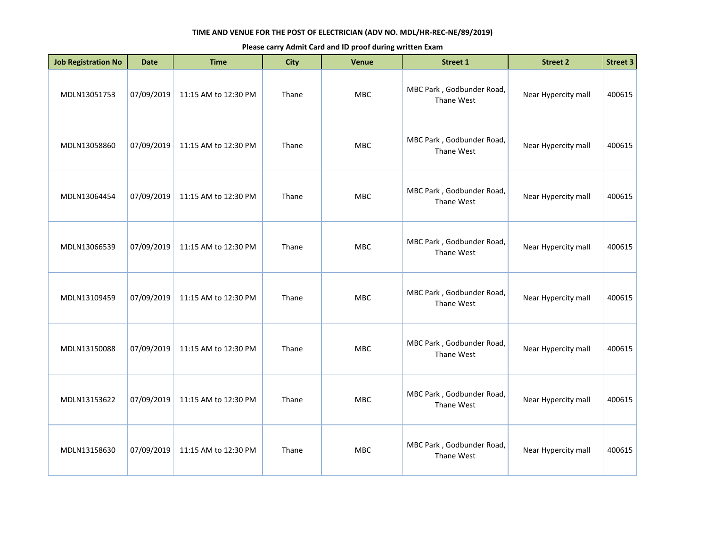| <b>Job Registration No</b> | <b>Date</b> | <b>Time</b>          | <b>City</b> | Venue      | <b>Street 1</b>                         | <b>Street 2</b>     | <b>Street 3</b> |
|----------------------------|-------------|----------------------|-------------|------------|-----------------------------------------|---------------------|-----------------|
| MDLN13051753               | 07/09/2019  | 11:15 AM to 12:30 PM | Thane       | MBC        | MBC Park, Godbunder Road,<br>Thane West | Near Hypercity mall | 400615          |
| MDLN13058860               | 07/09/2019  | 11:15 AM to 12:30 PM | Thane       | <b>MBC</b> | MBC Park, Godbunder Road,<br>Thane West | Near Hypercity mall | 400615          |
| MDLN13064454               | 07/09/2019  | 11:15 AM to 12:30 PM | Thane       | <b>MBC</b> | MBC Park, Godbunder Road,<br>Thane West | Near Hypercity mall | 400615          |
| MDLN13066539               | 07/09/2019  | 11:15 AM to 12:30 PM | Thane       | MBC        | MBC Park, Godbunder Road,<br>Thane West | Near Hypercity mall | 400615          |
| MDLN13109459               | 07/09/2019  | 11:15 AM to 12:30 PM | Thane       | <b>MBC</b> | MBC Park, Godbunder Road,<br>Thane West | Near Hypercity mall | 400615          |
| MDLN13150088               | 07/09/2019  | 11:15 AM to 12:30 PM | Thane       | <b>MBC</b> | MBC Park, Godbunder Road,<br>Thane West | Near Hypercity mall | 400615          |
| MDLN13153622               | 07/09/2019  | 11:15 AM to 12:30 PM | Thane       | <b>MBC</b> | MBC Park, Godbunder Road,<br>Thane West | Near Hypercity mall | 400615          |
| MDLN13158630               | 07/09/2019  | 11:15 AM to 12:30 PM | Thane       | <b>MBC</b> | MBC Park, Godbunder Road,<br>Thane West | Near Hypercity mall | 400615          |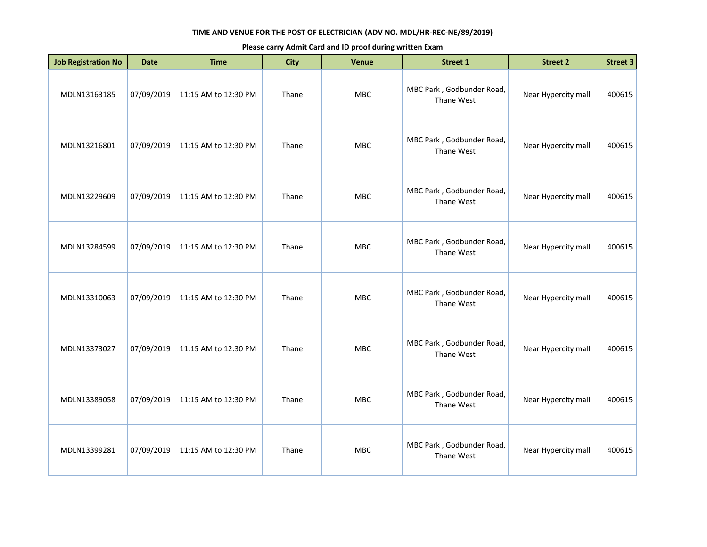| <b>Job Registration No</b> | <b>Date</b> | <b>Time</b>          | <b>City</b> | Venue      | Street 1                                | <b>Street 2</b>     | Street 3 |
|----------------------------|-------------|----------------------|-------------|------------|-----------------------------------------|---------------------|----------|
| MDLN13163185               | 07/09/2019  | 11:15 AM to 12:30 PM | Thane       | <b>MBC</b> | MBC Park, Godbunder Road,<br>Thane West | Near Hypercity mall | 400615   |
| MDLN13216801               | 07/09/2019  | 11:15 AM to 12:30 PM | Thane       | MBC        | MBC Park, Godbunder Road,<br>Thane West | Near Hypercity mall | 400615   |
| MDLN13229609               | 07/09/2019  | 11:15 AM to 12:30 PM | Thane       | MBC        | MBC Park, Godbunder Road,<br>Thane West | Near Hypercity mall | 400615   |
| MDLN13284599               | 07/09/2019  | 11:15 AM to 12:30 PM | Thane       | <b>MBC</b> | MBC Park, Godbunder Road,<br>Thane West | Near Hypercity mall | 400615   |
| MDLN13310063               | 07/09/2019  | 11:15 AM to 12:30 PM | Thane       | <b>MBC</b> | MBC Park, Godbunder Road,<br>Thane West | Near Hypercity mall | 400615   |
| MDLN13373027               | 07/09/2019  | 11:15 AM to 12:30 PM | Thane       | MBC        | MBC Park, Godbunder Road,<br>Thane West | Near Hypercity mall | 400615   |
| MDLN13389058               | 07/09/2019  | 11:15 AM to 12:30 PM | Thane       | <b>MBC</b> | MBC Park, Godbunder Road,<br>Thane West | Near Hypercity mall | 400615   |
| MDLN13399281               | 07/09/2019  | 11:15 AM to 12:30 PM | Thane       | <b>MBC</b> | MBC Park, Godbunder Road,<br>Thane West | Near Hypercity mall | 400615   |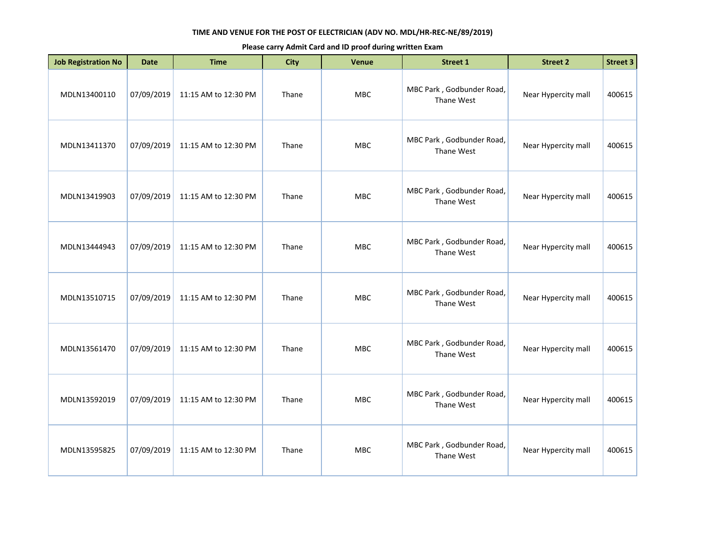| <b>Job Registration No</b> | <b>Date</b> | <b>Time</b>          | <b>City</b> | Venue      | <b>Street 1</b>                         | <b>Street 2</b>     | <b>Street 3</b> |
|----------------------------|-------------|----------------------|-------------|------------|-----------------------------------------|---------------------|-----------------|
| MDLN13400110               | 07/09/2019  | 11:15 AM to 12:30 PM | Thane       | MBC        | MBC Park, Godbunder Road,<br>Thane West | Near Hypercity mall | 400615          |
| MDLN13411370               | 07/09/2019  | 11:15 AM to 12:30 PM | Thane       | <b>MBC</b> | MBC Park, Godbunder Road,<br>Thane West | Near Hypercity mall | 400615          |
| MDLN13419903               | 07/09/2019  | 11:15 AM to 12:30 PM | Thane       | <b>MBC</b> | MBC Park, Godbunder Road,<br>Thane West | Near Hypercity mall | 400615          |
| MDLN13444943               | 07/09/2019  | 11:15 AM to 12:30 PM | Thane       | <b>MBC</b> | MBC Park, Godbunder Road,<br>Thane West | Near Hypercity mall | 400615          |
| MDLN13510715               | 07/09/2019  | 11:15 AM to 12:30 PM | Thane       | MBC        | MBC Park, Godbunder Road,<br>Thane West | Near Hypercity mall | 400615          |
| MDLN13561470               | 07/09/2019  | 11:15 AM to 12:30 PM | Thane       | <b>MBC</b> | MBC Park, Godbunder Road,<br>Thane West | Near Hypercity mall | 400615          |
| MDLN13592019               | 07/09/2019  | 11:15 AM to 12:30 PM | Thane       | <b>MBC</b> | MBC Park, Godbunder Road,<br>Thane West | Near Hypercity mall | 400615          |
| MDLN13595825               | 07/09/2019  | 11:15 AM to 12:30 PM | Thane       | <b>MBC</b> | MBC Park, Godbunder Road,<br>Thane West | Near Hypercity mall | 400615          |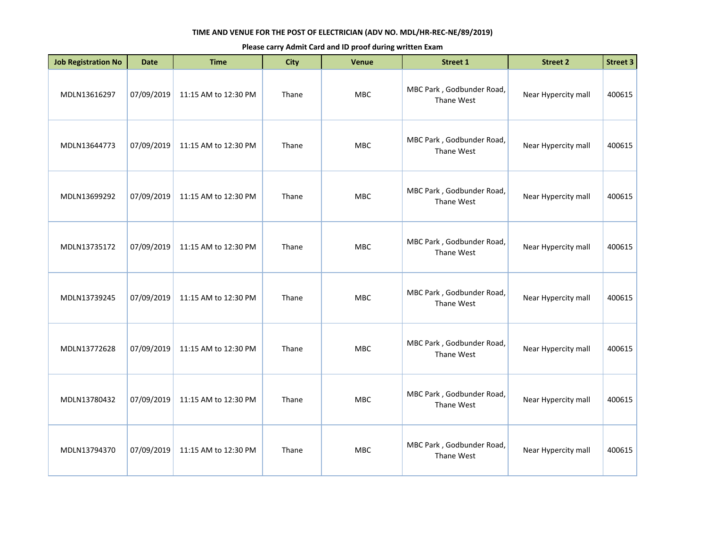| <b>Job Registration No</b> | <b>Date</b> | <b>Time</b>          | <b>City</b> | Venue      | <b>Street 1</b>                         | <b>Street 2</b>     | Street 3 |
|----------------------------|-------------|----------------------|-------------|------------|-----------------------------------------|---------------------|----------|
| MDLN13616297               | 07/09/2019  | 11:15 AM to 12:30 PM | Thane       | <b>MBC</b> | MBC Park, Godbunder Road,<br>Thane West | Near Hypercity mall | 400615   |
| MDLN13644773               | 07/09/2019  | 11:15 AM to 12:30 PM | Thane       | MBC        | MBC Park, Godbunder Road,<br>Thane West | Near Hypercity mall | 400615   |
| MDLN13699292               | 07/09/2019  | 11:15 AM to 12:30 PM | Thane       | MBC        | MBC Park, Godbunder Road,<br>Thane West | Near Hypercity mall | 400615   |
| MDLN13735172               | 07/09/2019  | 11:15 AM to 12:30 PM | Thane       | <b>MBC</b> | MBC Park, Godbunder Road,<br>Thane West | Near Hypercity mall | 400615   |
| MDLN13739245               | 07/09/2019  | 11:15 AM to 12:30 PM | Thane       | <b>MBC</b> | MBC Park, Godbunder Road,<br>Thane West | Near Hypercity mall | 400615   |
| MDLN13772628               | 07/09/2019  | 11:15 AM to 12:30 PM | Thane       | MBC        | MBC Park, Godbunder Road,<br>Thane West | Near Hypercity mall | 400615   |
| MDLN13780432               | 07/09/2019  | 11:15 AM to 12:30 PM | Thane       | <b>MBC</b> | MBC Park, Godbunder Road,<br>Thane West | Near Hypercity mall | 400615   |
| MDLN13794370               | 07/09/2019  | 11:15 AM to 12:30 PM | Thane       | <b>MBC</b> | MBC Park, Godbunder Road,<br>Thane West | Near Hypercity mall | 400615   |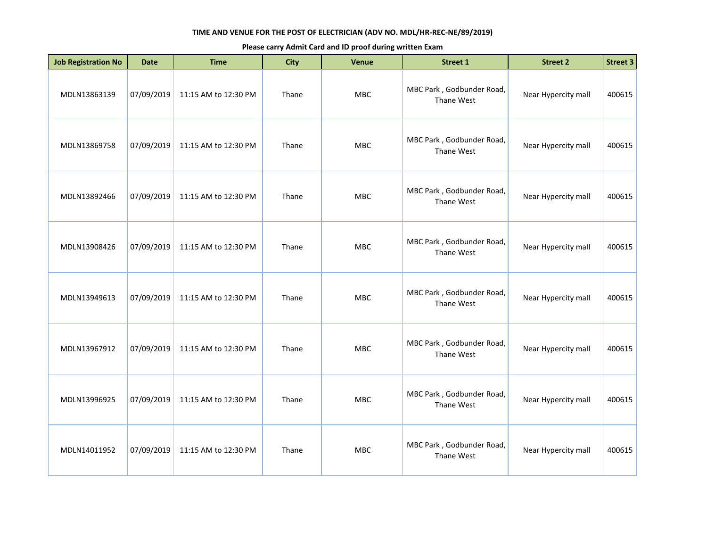| <b>Job Registration No</b> | <b>Date</b> | <b>Time</b>          | <b>City</b> | Venue      | <b>Street 1</b>                         | <b>Street 2</b>     | <b>Street 3</b> |
|----------------------------|-------------|----------------------|-------------|------------|-----------------------------------------|---------------------|-----------------|
| MDLN13863139               | 07/09/2019  | 11:15 AM to 12:30 PM | Thane       | MBC        | MBC Park, Godbunder Road,<br>Thane West | Near Hypercity mall | 400615          |
| MDLN13869758               | 07/09/2019  | 11:15 AM to 12:30 PM | Thane       | <b>MBC</b> | MBC Park, Godbunder Road,<br>Thane West | Near Hypercity mall | 400615          |
| MDLN13892466               | 07/09/2019  | 11:15 AM to 12:30 PM | Thane       | <b>MBC</b> | MBC Park, Godbunder Road,<br>Thane West | Near Hypercity mall | 400615          |
| MDLN13908426               | 07/09/2019  | 11:15 AM to 12:30 PM | Thane       | MBC        | MBC Park, Godbunder Road,<br>Thane West | Near Hypercity mall | 400615          |
| MDLN13949613               | 07/09/2019  | 11:15 AM to 12:30 PM | Thane       | <b>MBC</b> | MBC Park, Godbunder Road,<br>Thane West | Near Hypercity mall | 400615          |
| MDLN13967912               | 07/09/2019  | 11:15 AM to 12:30 PM | Thane       | <b>MBC</b> | MBC Park, Godbunder Road,<br>Thane West | Near Hypercity mall | 400615          |
| MDLN13996925               | 07/09/2019  | 11:15 AM to 12:30 PM | Thane       | <b>MBC</b> | MBC Park, Godbunder Road,<br>Thane West | Near Hypercity mall | 400615          |
| MDLN14011952               | 07/09/2019  | 11:15 AM to 12:30 PM | Thane       | <b>MBC</b> | MBC Park, Godbunder Road,<br>Thane West | Near Hypercity mall | 400615          |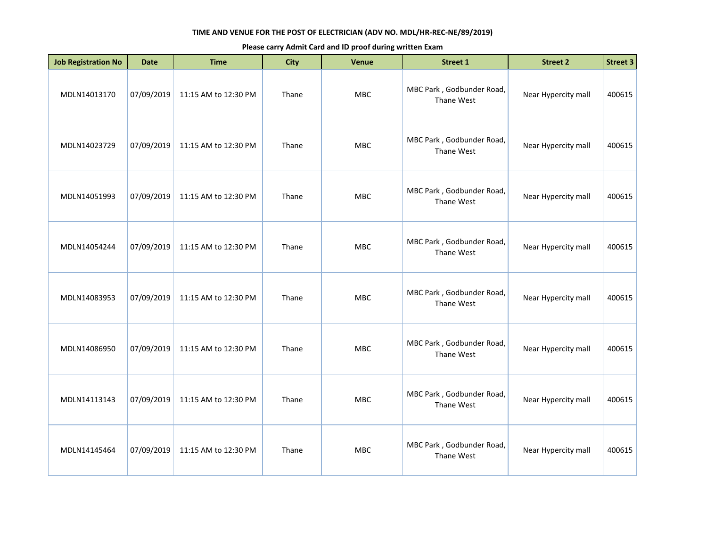| <b>Job Registration No</b> | <b>Date</b> | <b>Time</b>          | <b>City</b> | Venue      | <b>Street 1</b>                         | <b>Street 2</b>     | <b>Street 3</b> |
|----------------------------|-------------|----------------------|-------------|------------|-----------------------------------------|---------------------|-----------------|
| MDLN14013170               | 07/09/2019  | 11:15 AM to 12:30 PM | Thane       | MBC        | MBC Park, Godbunder Road,<br>Thane West | Near Hypercity mall | 400615          |
| MDLN14023729               | 07/09/2019  | 11:15 AM to 12:30 PM | Thane       | <b>MBC</b> | MBC Park, Godbunder Road,<br>Thane West | Near Hypercity mall | 400615          |
| MDLN14051993               | 07/09/2019  | 11:15 AM to 12:30 PM | Thane       | MBC        | MBC Park, Godbunder Road,<br>Thane West | Near Hypercity mall | 400615          |
| MDLN14054244               | 07/09/2019  | 11:15 AM to 12:30 PM | Thane       | MBC        | MBC Park, Godbunder Road,<br>Thane West | Near Hypercity mall | 400615          |
| MDLN14083953               | 07/09/2019  | 11:15 AM to 12:30 PM | Thane       | <b>MBC</b> | MBC Park, Godbunder Road,<br>Thane West | Near Hypercity mall | 400615          |
| MDLN14086950               | 07/09/2019  | 11:15 AM to 12:30 PM | Thane       | <b>MBC</b> | MBC Park, Godbunder Road,<br>Thane West | Near Hypercity mall | 400615          |
| MDLN14113143               | 07/09/2019  | 11:15 AM to 12:30 PM | Thane       | <b>MBC</b> | MBC Park, Godbunder Road,<br>Thane West | Near Hypercity mall | 400615          |
| MDLN14145464               | 07/09/2019  | 11:15 AM to 12:30 PM | Thane       | <b>MBC</b> | MBC Park, Godbunder Road,<br>Thane West | Near Hypercity mall | 400615          |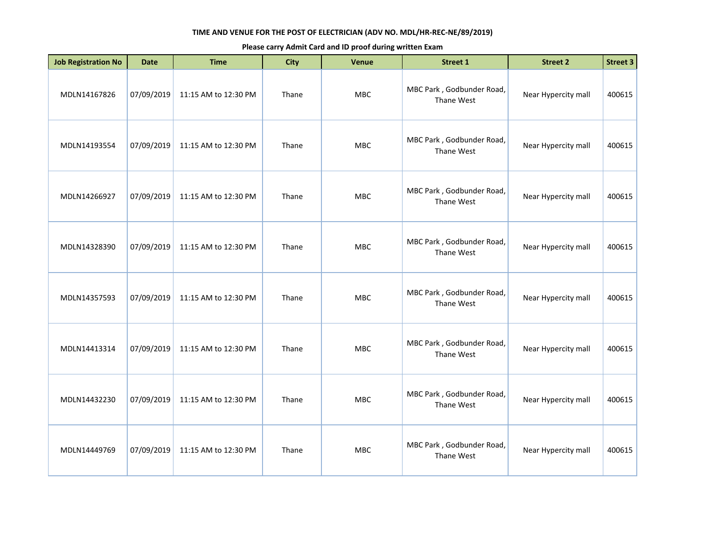| <b>Job Registration No</b> | <b>Date</b> | <b>Time</b>          | <b>City</b> | Venue      | Street 1                                | <b>Street 2</b>     | Street 3 |
|----------------------------|-------------|----------------------|-------------|------------|-----------------------------------------|---------------------|----------|
| MDLN14167826               | 07/09/2019  | 11:15 AM to 12:30 PM | Thane       | <b>MBC</b> | MBC Park, Godbunder Road,<br>Thane West | Near Hypercity mall | 400615   |
| MDLN14193554               | 07/09/2019  | 11:15 AM to 12:30 PM | Thane       | MBC        | MBC Park, Godbunder Road,<br>Thane West | Near Hypercity mall | 400615   |
| MDLN14266927               | 07/09/2019  | 11:15 AM to 12:30 PM | Thane       | MBC        | MBC Park, Godbunder Road,<br>Thane West | Near Hypercity mall | 400615   |
| MDLN14328390               | 07/09/2019  | 11:15 AM to 12:30 PM | Thane       | <b>MBC</b> | MBC Park, Godbunder Road,<br>Thane West | Near Hypercity mall | 400615   |
| MDLN14357593               | 07/09/2019  | 11:15 AM to 12:30 PM | Thane       | <b>MBC</b> | MBC Park, Godbunder Road,<br>Thane West | Near Hypercity mall | 400615   |
| MDLN14413314               | 07/09/2019  | 11:15 AM to 12:30 PM | Thane       | MBC        | MBC Park, Godbunder Road,<br>Thane West | Near Hypercity mall | 400615   |
| MDLN14432230               | 07/09/2019  | 11:15 AM to 12:30 PM | Thane       | <b>MBC</b> | MBC Park, Godbunder Road,<br>Thane West | Near Hypercity mall | 400615   |
| MDLN14449769               | 07/09/2019  | 11:15 AM to 12:30 PM | Thane       | <b>MBC</b> | MBC Park, Godbunder Road,<br>Thane West | Near Hypercity mall | 400615   |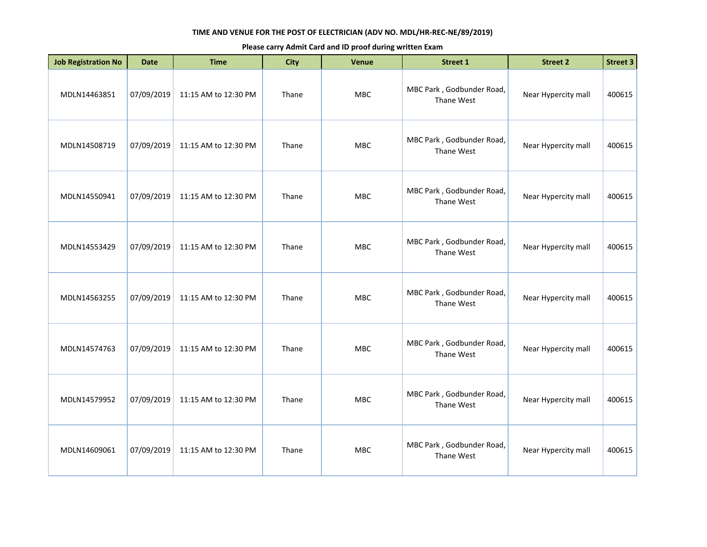| <b>Job Registration No</b> | <b>Date</b> | <b>Time</b>          | <b>City</b> | Venue      | <b>Street 1</b>                         | <b>Street 2</b>     | Street 3 |
|----------------------------|-------------|----------------------|-------------|------------|-----------------------------------------|---------------------|----------|
| MDLN14463851               | 07/09/2019  | 11:15 AM to 12:30 PM | Thane       | <b>MBC</b> | MBC Park, Godbunder Road,<br>Thane West | Near Hypercity mall | 400615   |
| MDLN14508719               | 07/09/2019  | 11:15 AM to 12:30 PM | Thane       | MBC        | MBC Park, Godbunder Road,<br>Thane West | Near Hypercity mall | 400615   |
| MDLN14550941               | 07/09/2019  | 11:15 AM to 12:30 PM | Thane       | MBC        | MBC Park, Godbunder Road,<br>Thane West | Near Hypercity mall | 400615   |
| MDLN14553429               | 07/09/2019  | 11:15 AM to 12:30 PM | Thane       | <b>MBC</b> | MBC Park, Godbunder Road,<br>Thane West | Near Hypercity mall | 400615   |
| MDLN14563255               | 07/09/2019  | 11:15 AM to 12:30 PM | Thane       | <b>MBC</b> | MBC Park, Godbunder Road,<br>Thane West | Near Hypercity mall | 400615   |
| MDLN14574763               | 07/09/2019  | 11:15 AM to 12:30 PM | Thane       | MBC        | MBC Park, Godbunder Road,<br>Thane West | Near Hypercity mall | 400615   |
| MDLN14579952               | 07/09/2019  | 11:15 AM to 12:30 PM | Thane       | <b>MBC</b> | MBC Park, Godbunder Road,<br>Thane West | Near Hypercity mall | 400615   |
| MDLN14609061               | 07/09/2019  | 11:15 AM to 12:30 PM | Thane       | <b>MBC</b> | MBC Park, Godbunder Road,<br>Thane West | Near Hypercity mall | 400615   |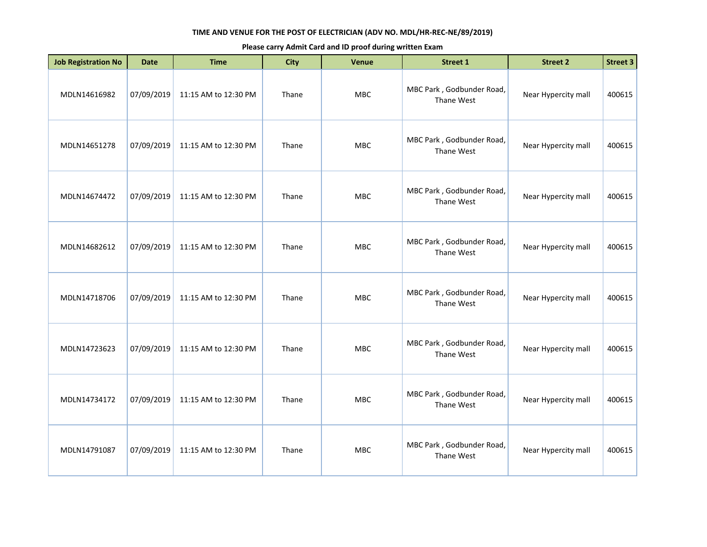| <b>Job Registration No</b> | <b>Date</b> | <b>Time</b>          | <b>City</b> | Venue      | <b>Street 1</b>                         | <b>Street 2</b>     | <b>Street 3</b> |
|----------------------------|-------------|----------------------|-------------|------------|-----------------------------------------|---------------------|-----------------|
| MDLN14616982               | 07/09/2019  | 11:15 AM to 12:30 PM | Thane       | MBC        | MBC Park, Godbunder Road,<br>Thane West | Near Hypercity mall | 400615          |
| MDLN14651278               | 07/09/2019  | 11:15 AM to 12:30 PM | Thane       | <b>MBC</b> | MBC Park, Godbunder Road,<br>Thane West | Near Hypercity mall | 400615          |
| MDLN14674472               | 07/09/2019  | 11:15 AM to 12:30 PM | Thane       | MBC        | MBC Park, Godbunder Road,<br>Thane West | Near Hypercity mall | 400615          |
| MDLN14682612               | 07/09/2019  | 11:15 AM to 12:30 PM | Thane       | MBC        | MBC Park, Godbunder Road,<br>Thane West | Near Hypercity mall | 400615          |
| MDLN14718706               | 07/09/2019  | 11:15 AM to 12:30 PM | Thane       | MBC        | MBC Park, Godbunder Road,<br>Thane West | Near Hypercity mall | 400615          |
| MDLN14723623               | 07/09/2019  | 11:15 AM to 12:30 PM | Thane       | <b>MBC</b> | MBC Park, Godbunder Road,<br>Thane West | Near Hypercity mall | 400615          |
| MDLN14734172               | 07/09/2019  | 11:15 AM to 12:30 PM | Thane       | MBC        | MBC Park, Godbunder Road,<br>Thane West | Near Hypercity mall | 400615          |
| MDLN14791087               | 07/09/2019  | 11:15 AM to 12:30 PM | Thane       | <b>MBC</b> | MBC Park, Godbunder Road,<br>Thane West | Near Hypercity mall | 400615          |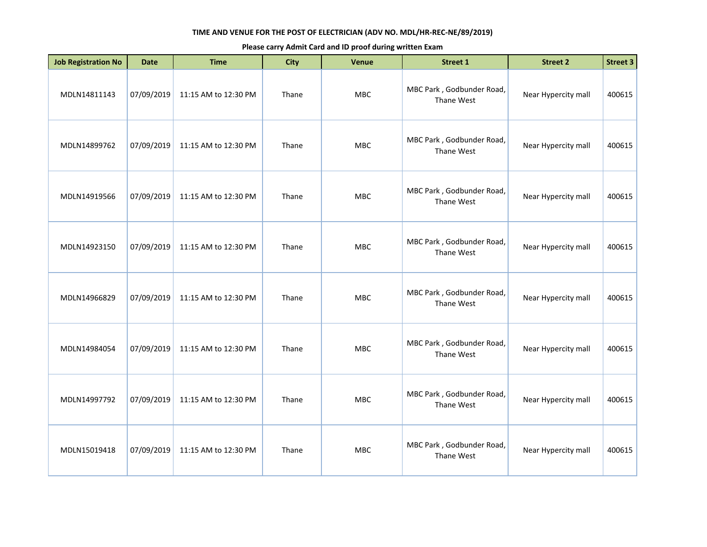| <b>Job Registration No</b> | <b>Date</b> | <b>Time</b>          | <b>City</b> | Venue      | <b>Street 1</b>                         | <b>Street 2</b>     | <b>Street 3</b> |
|----------------------------|-------------|----------------------|-------------|------------|-----------------------------------------|---------------------|-----------------|
| MDLN14811143               | 07/09/2019  | 11:15 AM to 12:30 PM | Thane       | MBC        | MBC Park, Godbunder Road,<br>Thane West | Near Hypercity mall | 400615          |
| MDLN14899762               | 07/09/2019  | 11:15 AM to 12:30 PM | Thane       | <b>MBC</b> | MBC Park, Godbunder Road,<br>Thane West | Near Hypercity mall | 400615          |
| MDLN14919566               | 07/09/2019  | 11:15 AM to 12:30 PM | Thane       | MBC        | MBC Park, Godbunder Road,<br>Thane West | Near Hypercity mall | 400615          |
| MDLN14923150               | 07/09/2019  | 11:15 AM to 12:30 PM | Thane       | MBC        | MBC Park, Godbunder Road,<br>Thane West | Near Hypercity mall | 400615          |
| MDLN14966829               | 07/09/2019  | 11:15 AM to 12:30 PM | Thane       | MBC        | MBC Park, Godbunder Road,<br>Thane West | Near Hypercity mall | 400615          |
| MDLN14984054               | 07/09/2019  | 11:15 AM to 12:30 PM | Thane       | <b>MBC</b> | MBC Park, Godbunder Road,<br>Thane West | Near Hypercity mall | 400615          |
| MDLN14997792               | 07/09/2019  | 11:15 AM to 12:30 PM | Thane       | MBC        | MBC Park, Godbunder Road,<br>Thane West | Near Hypercity mall | 400615          |
| MDLN15019418               | 07/09/2019  | 11:15 AM to 12:30 PM | Thane       | MBC        | MBC Park, Godbunder Road,<br>Thane West | Near Hypercity mall | 400615          |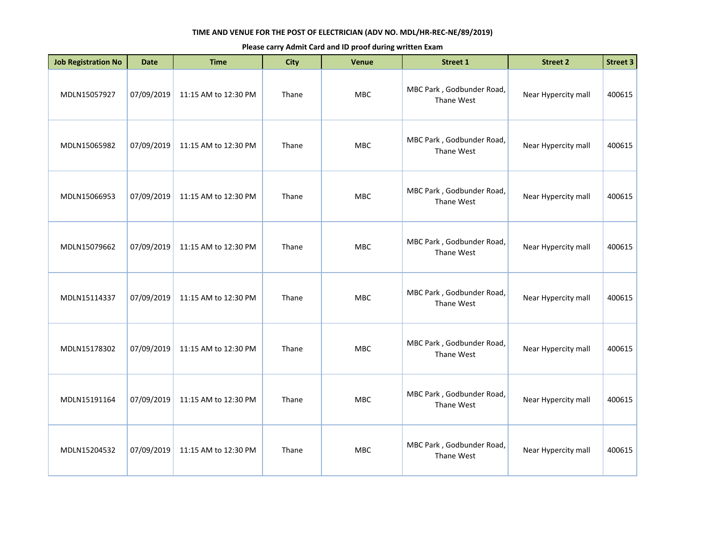| <b>Job Registration No</b> | <b>Date</b> | <b>Time</b>          | <b>City</b> | Venue      | Street 1                                | <b>Street 2</b>     | Street 3 |
|----------------------------|-------------|----------------------|-------------|------------|-----------------------------------------|---------------------|----------|
| MDLN15057927               | 07/09/2019  | 11:15 AM to 12:30 PM | Thane       | <b>MBC</b> | MBC Park, Godbunder Road,<br>Thane West | Near Hypercity mall | 400615   |
| MDLN15065982               | 07/09/2019  | 11:15 AM to 12:30 PM | Thane       | MBC        | MBC Park, Godbunder Road,<br>Thane West | Near Hypercity mall | 400615   |
| MDLN15066953               | 07/09/2019  | 11:15 AM to 12:30 PM | Thane       | MBC        | MBC Park, Godbunder Road,<br>Thane West | Near Hypercity mall | 400615   |
| MDLN15079662               | 07/09/2019  | 11:15 AM to 12:30 PM | Thane       | <b>MBC</b> | MBC Park, Godbunder Road,<br>Thane West | Near Hypercity mall | 400615   |
| MDLN15114337               | 07/09/2019  | 11:15 AM to 12:30 PM | Thane       | <b>MBC</b> | MBC Park, Godbunder Road,<br>Thane West | Near Hypercity mall | 400615   |
| MDLN15178302               | 07/09/2019  | 11:15 AM to 12:30 PM | Thane       | MBC        | MBC Park, Godbunder Road,<br>Thane West | Near Hypercity mall | 400615   |
| MDLN15191164               | 07/09/2019  | 11:15 AM to 12:30 PM | Thane       | <b>MBC</b> | MBC Park, Godbunder Road,<br>Thane West | Near Hypercity mall | 400615   |
| MDLN15204532               | 07/09/2019  | 11:15 AM to 12:30 PM | Thane       | <b>MBC</b> | MBC Park, Godbunder Road,<br>Thane West | Near Hypercity mall | 400615   |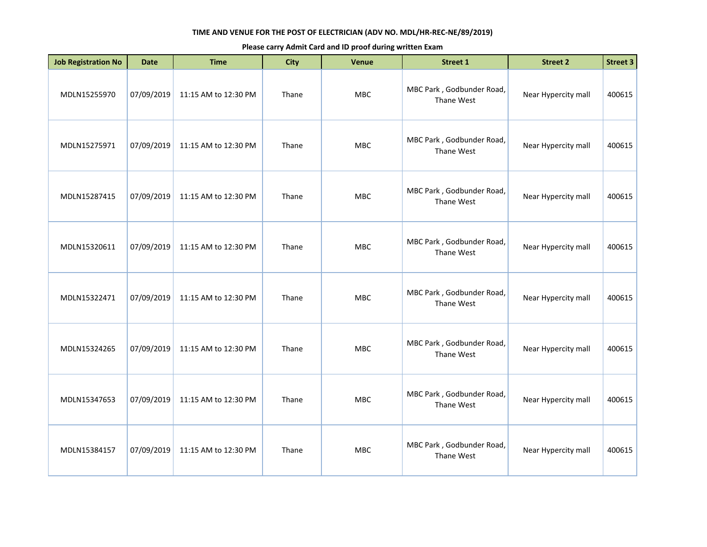| <b>Job Registration No</b> | <b>Date</b> | <b>Time</b>          | <b>City</b> | Venue      | Street 1                                | <b>Street 2</b>     | Street 3 |
|----------------------------|-------------|----------------------|-------------|------------|-----------------------------------------|---------------------|----------|
| MDLN15255970               | 07/09/2019  | 11:15 AM to 12:30 PM | Thane       | <b>MBC</b> | MBC Park, Godbunder Road,<br>Thane West | Near Hypercity mall | 400615   |
| MDLN15275971               | 07/09/2019  | 11:15 AM to 12:30 PM | Thane       | MBC        | MBC Park, Godbunder Road,<br>Thane West | Near Hypercity mall | 400615   |
| MDLN15287415               | 07/09/2019  | 11:15 AM to 12:30 PM | Thane       | MBC        | MBC Park, Godbunder Road,<br>Thane West | Near Hypercity mall | 400615   |
| MDLN15320611               | 07/09/2019  | 11:15 AM to 12:30 PM | Thane       | <b>MBC</b> | MBC Park, Godbunder Road,<br>Thane West | Near Hypercity mall | 400615   |
| MDLN15322471               | 07/09/2019  | 11:15 AM to 12:30 PM | Thane       | <b>MBC</b> | MBC Park, Godbunder Road,<br>Thane West | Near Hypercity mall | 400615   |
| MDLN15324265               | 07/09/2019  | 11:15 AM to 12:30 PM | Thane       | MBC        | MBC Park, Godbunder Road,<br>Thane West | Near Hypercity mall | 400615   |
| MDLN15347653               | 07/09/2019  | 11:15 AM to 12:30 PM | Thane       | <b>MBC</b> | MBC Park, Godbunder Road,<br>Thane West | Near Hypercity mall | 400615   |
| MDLN15384157               | 07/09/2019  | 11:15 AM to 12:30 PM | Thane       | <b>MBC</b> | MBC Park, Godbunder Road,<br>Thane West | Near Hypercity mall | 400615   |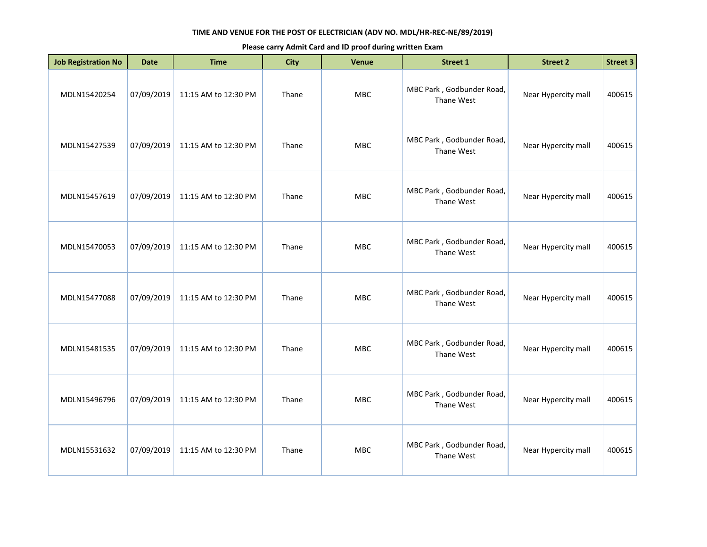| <b>Job Registration No</b> | <b>Date</b> | <b>Time</b>          | <b>City</b> | Venue      | <b>Street 1</b>                         | <b>Street 2</b>     | <b>Street 3</b> |
|----------------------------|-------------|----------------------|-------------|------------|-----------------------------------------|---------------------|-----------------|
| MDLN15420254               | 07/09/2019  | 11:15 AM to 12:30 PM | Thane       | MBC        | MBC Park, Godbunder Road,<br>Thane West | Near Hypercity mall | 400615          |
| MDLN15427539               | 07/09/2019  | 11:15 AM to 12:30 PM | Thane       | <b>MBC</b> | MBC Park, Godbunder Road,<br>Thane West | Near Hypercity mall | 400615          |
| MDLN15457619               | 07/09/2019  | 11:15 AM to 12:30 PM | Thane       | MBC        | MBC Park, Godbunder Road,<br>Thane West | Near Hypercity mall | 400615          |
| MDLN15470053               | 07/09/2019  | 11:15 AM to 12:30 PM | Thane       | MBC        | MBC Park, Godbunder Road,<br>Thane West | Near Hypercity mall | 400615          |
| MDLN15477088               | 07/09/2019  | 11:15 AM to 12:30 PM | Thane       | <b>MBC</b> | MBC Park, Godbunder Road,<br>Thane West | Near Hypercity mall | 400615          |
| MDLN15481535               | 07/09/2019  | 11:15 AM to 12:30 PM | Thane       | MBC        | MBC Park, Godbunder Road,<br>Thane West | Near Hypercity mall | 400615          |
| MDLN15496796               | 07/09/2019  | 11:15 AM to 12:30 PM | Thane       | <b>MBC</b> | MBC Park, Godbunder Road,<br>Thane West | Near Hypercity mall | 400615          |
| MDLN15531632               | 07/09/2019  | 11:15 AM to 12:30 PM | Thane       | <b>MBC</b> | MBC Park, Godbunder Road,<br>Thane West | Near Hypercity mall | 400615          |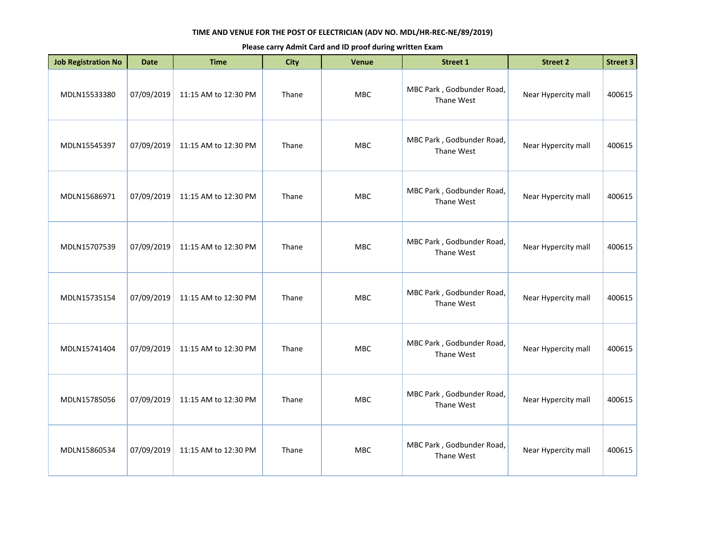| <b>Job Registration No</b> | <b>Date</b> | <b>Time</b>          | <b>City</b> | Venue      | <b>Street 1</b>                         | <b>Street 2</b>     | Street 3 |
|----------------------------|-------------|----------------------|-------------|------------|-----------------------------------------|---------------------|----------|
| MDLN15533380               | 07/09/2019  | 11:15 AM to 12:30 PM | Thane       | <b>MBC</b> | MBC Park, Godbunder Road,<br>Thane West | Near Hypercity mall | 400615   |
| MDLN15545397               | 07/09/2019  | 11:15 AM to 12:30 PM | Thane       | MBC        | MBC Park, Godbunder Road,<br>Thane West | Near Hypercity mall | 400615   |
| MDLN15686971               | 07/09/2019  | 11:15 AM to 12:30 PM | Thane       | MBC        | MBC Park, Godbunder Road,<br>Thane West | Near Hypercity mall | 400615   |
| MDLN15707539               | 07/09/2019  | 11:15 AM to 12:30 PM | Thane       | <b>MBC</b> | MBC Park, Godbunder Road,<br>Thane West | Near Hypercity mall | 400615   |
| MDLN15735154               | 07/09/2019  | 11:15 AM to 12:30 PM | Thane       | <b>MBC</b> | MBC Park, Godbunder Road,<br>Thane West | Near Hypercity mall | 400615   |
| MDLN15741404               | 07/09/2019  | 11:15 AM to 12:30 PM | Thane       | MBC        | MBC Park, Godbunder Road,<br>Thane West | Near Hypercity mall | 400615   |
| MDLN15785056               | 07/09/2019  | 11:15 AM to 12:30 PM | Thane       | <b>MBC</b> | MBC Park, Godbunder Road,<br>Thane West | Near Hypercity mall | 400615   |
| MDLN15860534               | 07/09/2019  | 11:15 AM to 12:30 PM | Thane       | <b>MBC</b> | MBC Park, Godbunder Road,<br>Thane West | Near Hypercity mall | 400615   |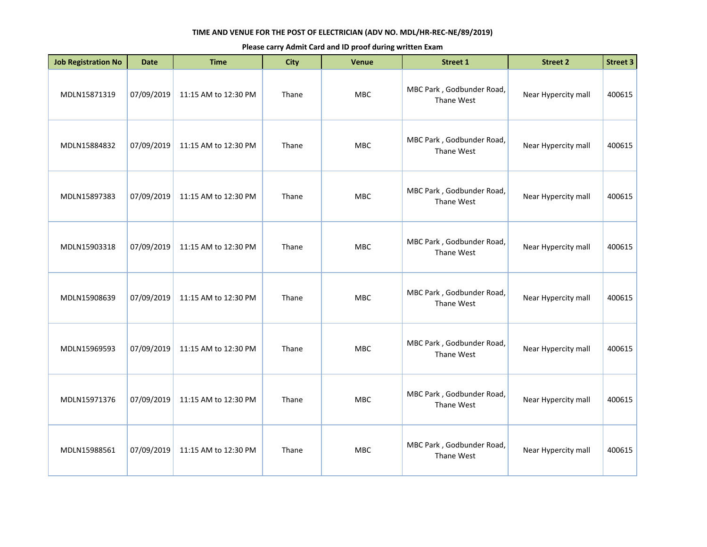| <b>Job Registration No</b> | <b>Date</b> | <b>Time</b>          | <b>City</b> | Venue      | <b>Street 1</b>                         | <b>Street 2</b>     | <b>Street 3</b> |
|----------------------------|-------------|----------------------|-------------|------------|-----------------------------------------|---------------------|-----------------|
| MDLN15871319               | 07/09/2019  | 11:15 AM to 12:30 PM | Thane       | MBC        | MBC Park, Godbunder Road,<br>Thane West | Near Hypercity mall | 400615          |
| MDLN15884832               | 07/09/2019  | 11:15 AM to 12:30 PM | Thane       | <b>MBC</b> | MBC Park, Godbunder Road,<br>Thane West | Near Hypercity mall | 400615          |
| MDLN15897383               | 07/09/2019  | 11:15 AM to 12:30 PM | Thane       | MBC        | MBC Park, Godbunder Road,<br>Thane West | Near Hypercity mall | 400615          |
| MDLN15903318               | 07/09/2019  | 11:15 AM to 12:30 PM | Thane       | MBC        | MBC Park, Godbunder Road,<br>Thane West | Near Hypercity mall | 400615          |
| MDLN15908639               | 07/09/2019  | 11:15 AM to 12:30 PM | Thane       | MBC        | MBC Park, Godbunder Road,<br>Thane West | Near Hypercity mall | 400615          |
| MDLN15969593               | 07/09/2019  | 11:15 AM to 12:30 PM | Thane       | <b>MBC</b> | MBC Park, Godbunder Road,<br>Thane West | Near Hypercity mall | 400615          |
| MDLN15971376               | 07/09/2019  | 11:15 AM to 12:30 PM | Thane       | <b>MBC</b> | MBC Park, Godbunder Road,<br>Thane West | Near Hypercity mall | 400615          |
| MDLN15988561               | 07/09/2019  | 11:15 AM to 12:30 PM | Thane       | MBC        | MBC Park, Godbunder Road,<br>Thane West | Near Hypercity mall | 400615          |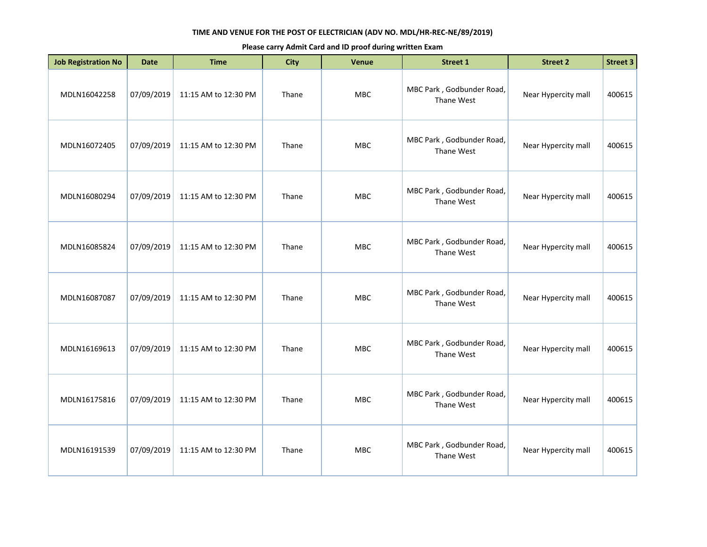| <b>Job Registration No</b> | <b>Date</b> | <b>Time</b>          | <b>City</b> | Venue      | <b>Street 1</b>                         | <b>Street 2</b>     | <b>Street 3</b> |
|----------------------------|-------------|----------------------|-------------|------------|-----------------------------------------|---------------------|-----------------|
| MDLN16042258               | 07/09/2019  | 11:15 AM to 12:30 PM | Thane       | MBC        | MBC Park, Godbunder Road,<br>Thane West | Near Hypercity mall | 400615          |
| MDLN16072405               | 07/09/2019  | 11:15 AM to 12:30 PM | Thane       | <b>MBC</b> | MBC Park, Godbunder Road,<br>Thane West | Near Hypercity mall | 400615          |
| MDLN16080294               | 07/09/2019  | 11:15 AM to 12:30 PM | Thane       | <b>MBC</b> | MBC Park, Godbunder Road,<br>Thane West | Near Hypercity mall | 400615          |
| MDLN16085824               | 07/09/2019  | 11:15 AM to 12:30 PM | Thane       | <b>MBC</b> | MBC Park, Godbunder Road,<br>Thane West | Near Hypercity mall | 400615          |
| MDLN16087087               | 07/09/2019  | 11:15 AM to 12:30 PM | Thane       | <b>MBC</b> | MBC Park, Godbunder Road,<br>Thane West | Near Hypercity mall | 400615          |
| MDLN16169613               | 07/09/2019  | 11:15 AM to 12:30 PM | Thane       | <b>MBC</b> | MBC Park, Godbunder Road,<br>Thane West | Near Hypercity mall | 400615          |
| MDLN16175816               | 07/09/2019  | 11:15 AM to 12:30 PM | Thane       | <b>MBC</b> | MBC Park, Godbunder Road,<br>Thane West | Near Hypercity mall | 400615          |
| MDLN16191539               | 07/09/2019  | 11:15 AM to 12:30 PM | Thane       | <b>MBC</b> | MBC Park, Godbunder Road,<br>Thane West | Near Hypercity mall | 400615          |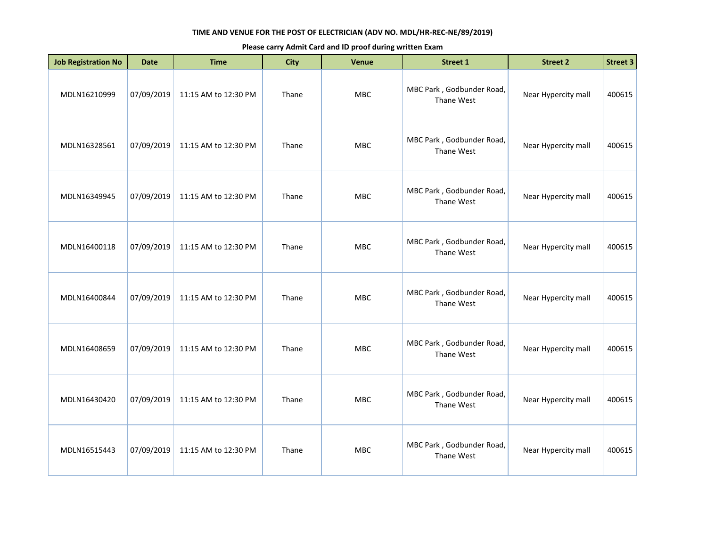| <b>Job Registration No</b> | <b>Date</b> | <b>Time</b>          | <b>City</b> | Venue      | <b>Street 1</b>                         | <b>Street 2</b>     | Street 3 |
|----------------------------|-------------|----------------------|-------------|------------|-----------------------------------------|---------------------|----------|
| MDLN16210999               | 07/09/2019  | 11:15 AM to 12:30 PM | Thane       | <b>MBC</b> | MBC Park, Godbunder Road,<br>Thane West | Near Hypercity mall | 400615   |
| MDLN16328561               | 07/09/2019  | 11:15 AM to 12:30 PM | Thane       | MBC        | MBC Park, Godbunder Road,<br>Thane West | Near Hypercity mall | 400615   |
| MDLN16349945               | 07/09/2019  | 11:15 AM to 12:30 PM | Thane       | MBC        | MBC Park, Godbunder Road,<br>Thane West | Near Hypercity mall | 400615   |
| MDLN16400118               | 07/09/2019  | 11:15 AM to 12:30 PM | Thane       | <b>MBC</b> | MBC Park, Godbunder Road,<br>Thane West | Near Hypercity mall | 400615   |
| MDLN16400844               | 07/09/2019  | 11:15 AM to 12:30 PM | Thane       | <b>MBC</b> | MBC Park, Godbunder Road,<br>Thane West | Near Hypercity mall | 400615   |
| MDLN16408659               | 07/09/2019  | 11:15 AM to 12:30 PM | Thane       | MBC        | MBC Park, Godbunder Road,<br>Thane West | Near Hypercity mall | 400615   |
| MDLN16430420               | 07/09/2019  | 11:15 AM to 12:30 PM | Thane       | <b>MBC</b> | MBC Park, Godbunder Road,<br>Thane West | Near Hypercity mall | 400615   |
| MDLN16515443               | 07/09/2019  | 11:15 AM to 12:30 PM | Thane       | <b>MBC</b> | MBC Park, Godbunder Road,<br>Thane West | Near Hypercity mall | 400615   |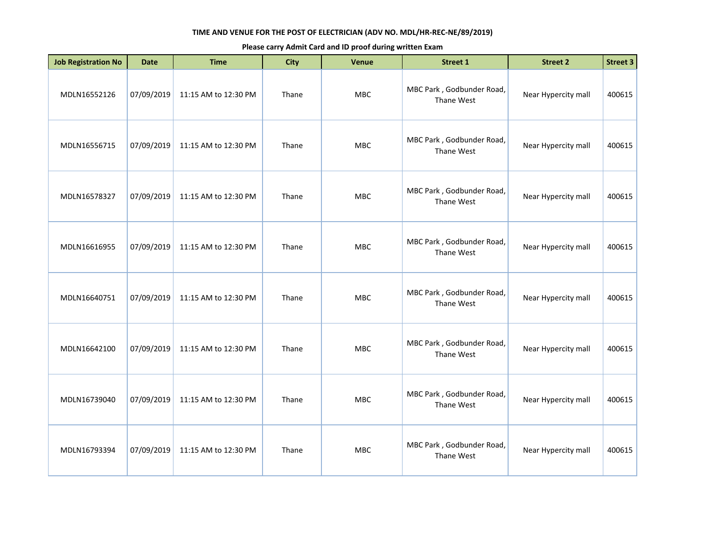| <b>Job Registration No</b> | <b>Date</b> | <b>Time</b>          | <b>City</b> | Venue      | <b>Street 1</b>                         | <b>Street 2</b>     | Street 3 |
|----------------------------|-------------|----------------------|-------------|------------|-----------------------------------------|---------------------|----------|
| MDLN16552126               | 07/09/2019  | 11:15 AM to 12:30 PM | Thane       | <b>MBC</b> | MBC Park, Godbunder Road,<br>Thane West | Near Hypercity mall | 400615   |
| MDLN16556715               | 07/09/2019  | 11:15 AM to 12:30 PM | Thane       | MBC        | MBC Park, Godbunder Road,<br>Thane West | Near Hypercity mall | 400615   |
| MDLN16578327               | 07/09/2019  | 11:15 AM to 12:30 PM | Thane       | MBC        | MBC Park, Godbunder Road,<br>Thane West | Near Hypercity mall | 400615   |
| MDLN16616955               | 07/09/2019  | 11:15 AM to 12:30 PM | Thane       | <b>MBC</b> | MBC Park, Godbunder Road,<br>Thane West | Near Hypercity mall | 400615   |
| MDLN16640751               | 07/09/2019  | 11:15 AM to 12:30 PM | Thane       | <b>MBC</b> | MBC Park, Godbunder Road,<br>Thane West | Near Hypercity mall | 400615   |
| MDLN16642100               | 07/09/2019  | 11:15 AM to 12:30 PM | Thane       | MBC        | MBC Park, Godbunder Road,<br>Thane West | Near Hypercity mall | 400615   |
| MDLN16739040               | 07/09/2019  | 11:15 AM to 12:30 PM | Thane       | <b>MBC</b> | MBC Park, Godbunder Road,<br>Thane West | Near Hypercity mall | 400615   |
| MDLN16793394               | 07/09/2019  | 11:15 AM to 12:30 PM | Thane       | <b>MBC</b> | MBC Park, Godbunder Road,<br>Thane West | Near Hypercity mall | 400615   |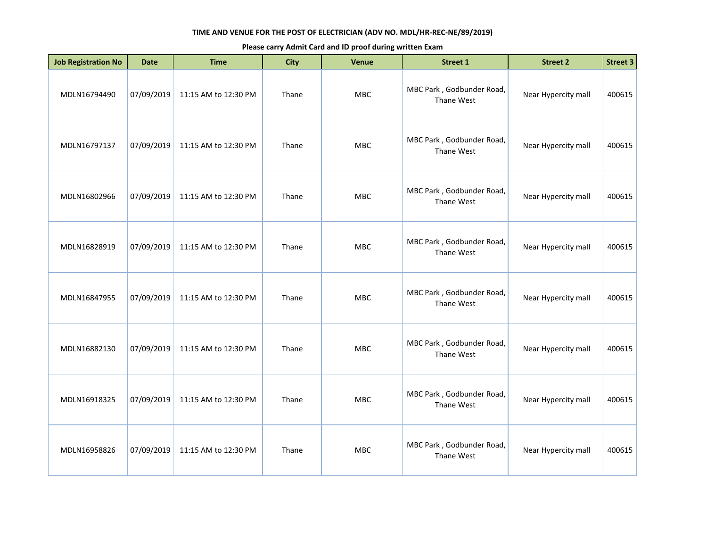| <b>Job Registration No</b> | <b>Date</b> | <b>Time</b>          | <b>City</b> | Venue      | <b>Street 1</b>                         | <b>Street 2</b>     | <b>Street 3</b> |
|----------------------------|-------------|----------------------|-------------|------------|-----------------------------------------|---------------------|-----------------|
| MDLN16794490               | 07/09/2019  | 11:15 AM to 12:30 PM | Thane       | MBC        | MBC Park, Godbunder Road,<br>Thane West | Near Hypercity mall | 400615          |
| MDLN16797137               | 07/09/2019  | 11:15 AM to 12:30 PM | Thane       | MBC        | MBC Park, Godbunder Road,<br>Thane West | Near Hypercity mall | 400615          |
| MDLN16802966               | 07/09/2019  | 11:15 AM to 12:30 PM | Thane       | <b>MBC</b> | MBC Park, Godbunder Road,<br>Thane West | Near Hypercity mall | 400615          |
| MDLN16828919               | 07/09/2019  | 11:15 AM to 12:30 PM | Thane       | MBC        | MBC Park, Godbunder Road,<br>Thane West | Near Hypercity mall | 400615          |
| MDLN16847955               | 07/09/2019  | 11:15 AM to 12:30 PM | Thane       | <b>MBC</b> | MBC Park, Godbunder Road,<br>Thane West | Near Hypercity mall | 400615          |
| MDLN16882130               | 07/09/2019  | 11:15 AM to 12:30 PM | Thane       | <b>MBC</b> | MBC Park, Godbunder Road,<br>Thane West | Near Hypercity mall | 400615          |
| MDLN16918325               | 07/09/2019  | 11:15 AM to 12:30 PM | Thane       | <b>MBC</b> | MBC Park, Godbunder Road,<br>Thane West | Near Hypercity mall | 400615          |
| MDLN16958826               | 07/09/2019  | 11:15 AM to 12:30 PM | Thane       | <b>MBC</b> | MBC Park, Godbunder Road,<br>Thane West | Near Hypercity mall | 400615          |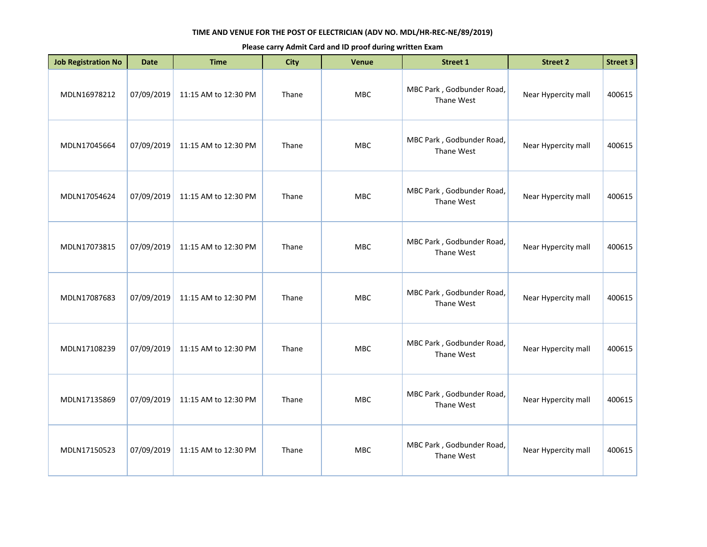| <b>Job Registration No</b> | <b>Date</b> | <b>Time</b>          | <b>City</b> | Venue      | <b>Street 1</b>                         | <b>Street 2</b>     | <b>Street 3</b> |
|----------------------------|-------------|----------------------|-------------|------------|-----------------------------------------|---------------------|-----------------|
| MDLN16978212               | 07/09/2019  | 11:15 AM to 12:30 PM | Thane       | MBC        | MBC Park, Godbunder Road,<br>Thane West | Near Hypercity mall | 400615          |
| MDLN17045664               | 07/09/2019  | 11:15 AM to 12:30 PM | Thane       | MBC        | MBC Park, Godbunder Road,<br>Thane West | Near Hypercity mall | 400615          |
| MDLN17054624               | 07/09/2019  | 11:15 AM to 12:30 PM | Thane       | <b>MBC</b> | MBC Park, Godbunder Road,<br>Thane West | Near Hypercity mall | 400615          |
| MDLN17073815               | 07/09/2019  | 11:15 AM to 12:30 PM | Thane       | MBC        | MBC Park, Godbunder Road,<br>Thane West | Near Hypercity mall | 400615          |
| MDLN17087683               | 07/09/2019  | 11:15 AM to 12:30 PM | Thane       | <b>MBC</b> | MBC Park, Godbunder Road,<br>Thane West | Near Hypercity mall | 400615          |
| MDLN17108239               | 07/09/2019  | 11:15 AM to 12:30 PM | Thane       | <b>MBC</b> | MBC Park, Godbunder Road,<br>Thane West | Near Hypercity mall | 400615          |
| MDLN17135869               | 07/09/2019  | 11:15 AM to 12:30 PM | Thane       | <b>MBC</b> | MBC Park, Godbunder Road,<br>Thane West | Near Hypercity mall | 400615          |
| MDLN17150523               | 07/09/2019  | 11:15 AM to 12:30 PM | Thane       | <b>MBC</b> | MBC Park, Godbunder Road,<br>Thane West | Near Hypercity mall | 400615          |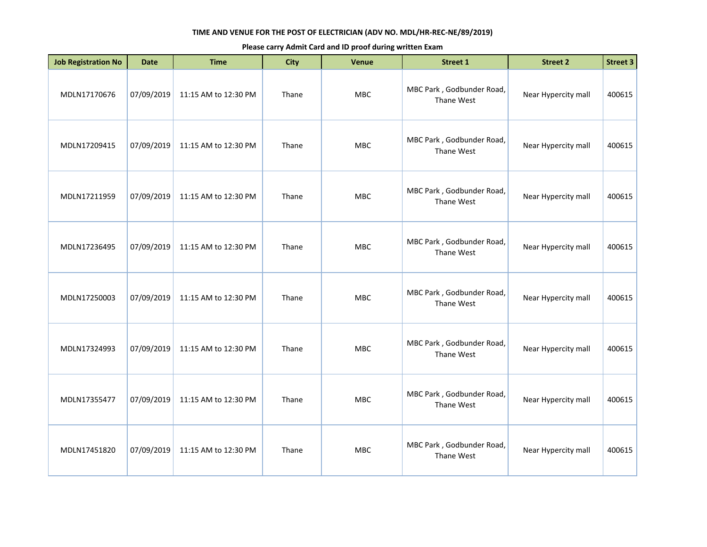| <b>Job Registration No</b> | <b>Date</b> | <b>Time</b>          | <b>City</b> | Venue      | <b>Street 1</b>                         | <b>Street 2</b>     | <b>Street 3</b> |
|----------------------------|-------------|----------------------|-------------|------------|-----------------------------------------|---------------------|-----------------|
| MDLN17170676               | 07/09/2019  | 11:15 AM to 12:30 PM | Thane       | MBC        | MBC Park, Godbunder Road,<br>Thane West | Near Hypercity mall | 400615          |
| MDLN17209415               | 07/09/2019  | 11:15 AM to 12:30 PM | Thane       | <b>MBC</b> | MBC Park, Godbunder Road,<br>Thane West | Near Hypercity mall | 400615          |
| MDLN17211959               | 07/09/2019  | 11:15 AM to 12:30 PM | Thane       | <b>MBC</b> | MBC Park, Godbunder Road,<br>Thane West | Near Hypercity mall | 400615          |
| MDLN17236495               | 07/09/2019  | 11:15 AM to 12:30 PM | Thane       | <b>MBC</b> | MBC Park, Godbunder Road,<br>Thane West | Near Hypercity mall | 400615          |
| MDLN17250003               | 07/09/2019  | 11:15 AM to 12:30 PM | Thane       | MBC        | MBC Park, Godbunder Road,<br>Thane West | Near Hypercity mall | 400615          |
| MDLN17324993               | 07/09/2019  | 11:15 AM to 12:30 PM | Thane       | <b>MBC</b> | MBC Park, Godbunder Road,<br>Thane West | Near Hypercity mall | 400615          |
| MDLN17355477               | 07/09/2019  | 11:15 AM to 12:30 PM | Thane       | <b>MBC</b> | MBC Park, Godbunder Road,<br>Thane West | Near Hypercity mall | 400615          |
| MDLN17451820               | 07/09/2019  | 11:15 AM to 12:30 PM | Thane       | <b>MBC</b> | MBC Park, Godbunder Road,<br>Thane West | Near Hypercity mall | 400615          |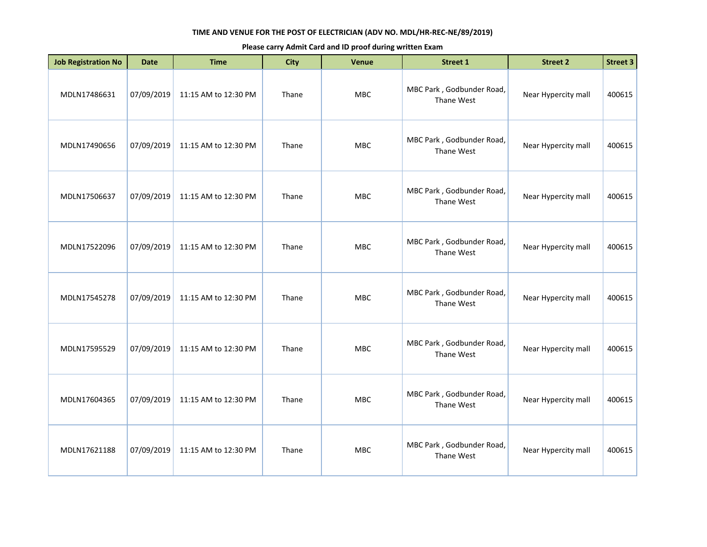| <b>Job Registration No</b> | <b>Date</b> | <b>Time</b>          | <b>City</b> | Venue      | <b>Street 1</b>                         | <b>Street 2</b>     | <b>Street 3</b> |
|----------------------------|-------------|----------------------|-------------|------------|-----------------------------------------|---------------------|-----------------|
| MDLN17486631               | 07/09/2019  | 11:15 AM to 12:30 PM | Thane       | MBC        | MBC Park, Godbunder Road,<br>Thane West | Near Hypercity mall | 400615          |
| MDLN17490656               | 07/09/2019  | 11:15 AM to 12:30 PM | Thane       | <b>MBC</b> | MBC Park, Godbunder Road,<br>Thane West | Near Hypercity mall | 400615          |
| MDLN17506637               | 07/09/2019  | 11:15 AM to 12:30 PM | Thane       | MBC        | MBC Park, Godbunder Road,<br>Thane West | Near Hypercity mall | 400615          |
| MDLN17522096               | 07/09/2019  | 11:15 AM to 12:30 PM | Thane       | MBC        | MBC Park, Godbunder Road,<br>Thane West | Near Hypercity mall | 400615          |
| MDLN17545278               | 07/09/2019  | 11:15 AM to 12:30 PM | Thane       | MBC        | MBC Park, Godbunder Road,<br>Thane West | Near Hypercity mall | 400615          |
| MDLN17595529               | 07/09/2019  | 11:15 AM to 12:30 PM | Thane       | <b>MBC</b> | MBC Park, Godbunder Road,<br>Thane West | Near Hypercity mall | 400615          |
| MDLN17604365               | 07/09/2019  | 11:15 AM to 12:30 PM | Thane       | MBC        | MBC Park, Godbunder Road,<br>Thane West | Near Hypercity mall | 400615          |
| MDLN17621188               | 07/09/2019  | 11:15 AM to 12:30 PM | Thane       | MBC        | MBC Park, Godbunder Road,<br>Thane West | Near Hypercity mall | 400615          |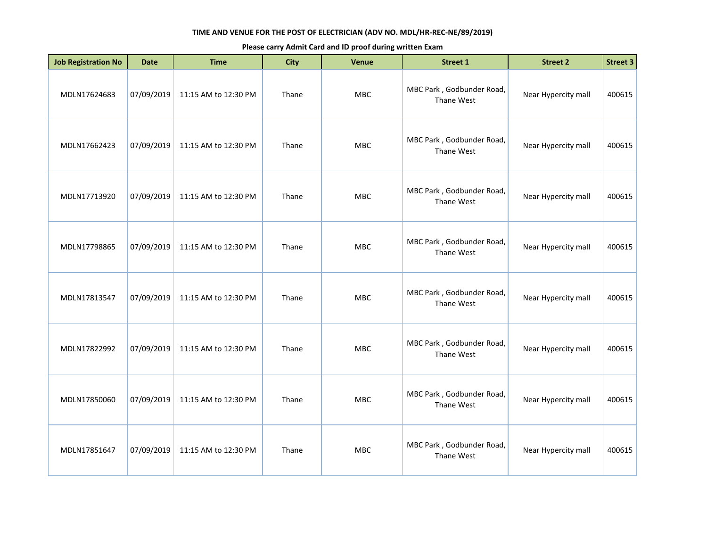| <b>Job Registration No</b> | <b>Date</b> | <b>Time</b>          | <b>City</b> | Venue      | <b>Street 1</b>                         | <b>Street 2</b>     | <b>Street 3</b> |
|----------------------------|-------------|----------------------|-------------|------------|-----------------------------------------|---------------------|-----------------|
| MDLN17624683               | 07/09/2019  | 11:15 AM to 12:30 PM | Thane       | MBC        | MBC Park, Godbunder Road,<br>Thane West | Near Hypercity mall | 400615          |
| MDLN17662423               | 07/09/2019  | 11:15 AM to 12:30 PM | Thane       | <b>MBC</b> | MBC Park, Godbunder Road,<br>Thane West | Near Hypercity mall | 400615          |
| MDLN17713920               | 07/09/2019  | 11:15 AM to 12:30 PM | Thane       | <b>MBC</b> | MBC Park, Godbunder Road,<br>Thane West | Near Hypercity mall | 400615          |
| MDLN17798865               | 07/09/2019  | 11:15 AM to 12:30 PM | Thane       | <b>MBC</b> | MBC Park, Godbunder Road,<br>Thane West | Near Hypercity mall | 400615          |
| MDLN17813547               | 07/09/2019  | 11:15 AM to 12:30 PM | Thane       | MBC        | MBC Park, Godbunder Road,<br>Thane West | Near Hypercity mall | 400615          |
| MDLN17822992               | 07/09/2019  | 11:15 AM to 12:30 PM | Thane       | <b>MBC</b> | MBC Park, Godbunder Road,<br>Thane West | Near Hypercity mall | 400615          |
| MDLN17850060               | 07/09/2019  | 11:15 AM to 12:30 PM | Thane       | <b>MBC</b> | MBC Park, Godbunder Road,<br>Thane West | Near Hypercity mall | 400615          |
| MDLN17851647               | 07/09/2019  | 11:15 AM to 12:30 PM | Thane       | <b>MBC</b> | MBC Park, Godbunder Road,<br>Thane West | Near Hypercity mall | 400615          |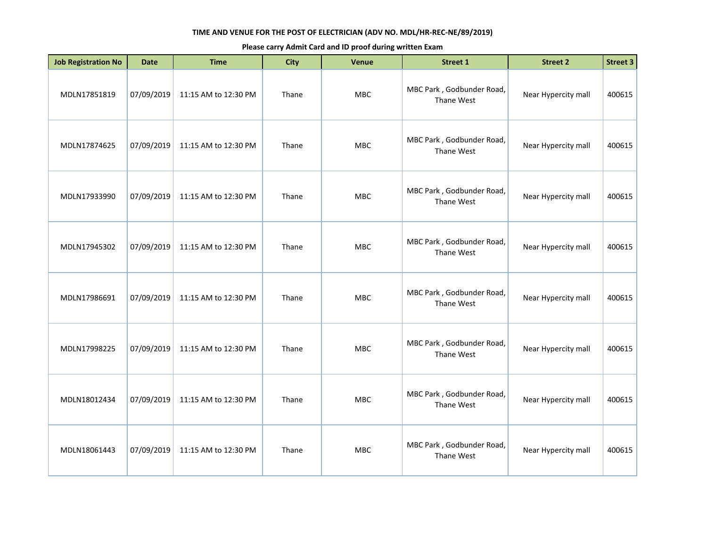| <b>Job Registration No</b> | <b>Date</b> | <b>Time</b>          | <b>City</b> | Venue      | <b>Street 1</b>                         | <b>Street 2</b>     | <b>Street 3</b> |
|----------------------------|-------------|----------------------|-------------|------------|-----------------------------------------|---------------------|-----------------|
| MDLN17851819               | 07/09/2019  | 11:15 AM to 12:30 PM | Thane       | MBC        | MBC Park, Godbunder Road,<br>Thane West | Near Hypercity mall | 400615          |
| MDLN17874625               | 07/09/2019  | 11:15 AM to 12:30 PM | Thane       | <b>MBC</b> | MBC Park, Godbunder Road,<br>Thane West | Near Hypercity mall | 400615          |
| MDLN17933990               | 07/09/2019  | 11:15 AM to 12:30 PM | Thane       | MBC        | MBC Park, Godbunder Road,<br>Thane West | Near Hypercity mall | 400615          |
| MDLN17945302               | 07/09/2019  | 11:15 AM to 12:30 PM | Thane       | MBC        | MBC Park, Godbunder Road,<br>Thane West | Near Hypercity mall | 400615          |
| MDLN17986691               | 07/09/2019  | 11:15 AM to 12:30 PM | Thane       | MBC        | MBC Park, Godbunder Road,<br>Thane West | Near Hypercity mall | 400615          |
| MDLN17998225               | 07/09/2019  | 11:15 AM to 12:30 PM | Thane       | <b>MBC</b> | MBC Park, Godbunder Road,<br>Thane West | Near Hypercity mall | 400615          |
| MDLN18012434               | 07/09/2019  | 11:15 AM to 12:30 PM | Thane       | MBC        | MBC Park, Godbunder Road,<br>Thane West | Near Hypercity mall | 400615          |
| MDLN18061443               | 07/09/2019  | 11:15 AM to 12:30 PM | Thane       | MBC        | MBC Park, Godbunder Road,<br>Thane West | Near Hypercity mall | 400615          |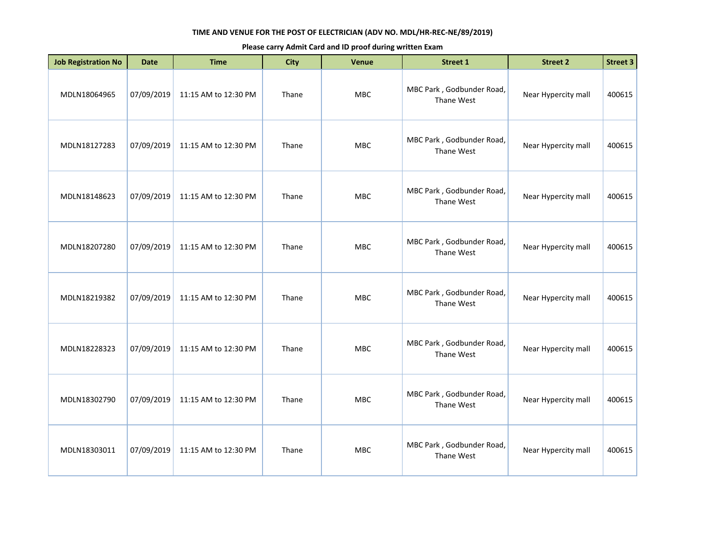| <b>Job Registration No</b> | <b>Date</b> | <b>Time</b>          | <b>City</b> | <b>Venue</b> | <b>Street 1</b>                         | <b>Street 2</b>     | <b>Street 3</b> |
|----------------------------|-------------|----------------------|-------------|--------------|-----------------------------------------|---------------------|-----------------|
| MDLN18064965               | 07/09/2019  | 11:15 AM to 12:30 PM | Thane       | MBC          | MBC Park, Godbunder Road,<br>Thane West | Near Hypercity mall | 400615          |
| MDLN18127283               | 07/09/2019  | 11:15 AM to 12:30 PM | Thane       | MBC          | MBC Park, Godbunder Road,<br>Thane West | Near Hypercity mall | 400615          |
| MDLN18148623               | 07/09/2019  | 11:15 AM to 12:30 PM | Thane       | <b>MBC</b>   | MBC Park, Godbunder Road,<br>Thane West | Near Hypercity mall | 400615          |
| MDLN18207280               | 07/09/2019  | 11:15 AM to 12:30 PM | Thane       | MBC          | MBC Park, Godbunder Road,<br>Thane West | Near Hypercity mall | 400615          |
| MDLN18219382               | 07/09/2019  | 11:15 AM to 12:30 PM | Thane       | <b>MBC</b>   | MBC Park, Godbunder Road,<br>Thane West | Near Hypercity mall | 400615          |
| MDLN18228323               | 07/09/2019  | 11:15 AM to 12:30 PM | Thane       | <b>MBC</b>   | MBC Park, Godbunder Road,<br>Thane West | Near Hypercity mall | 400615          |
| MDLN18302790               | 07/09/2019  | 11:15 AM to 12:30 PM | Thane       | <b>MBC</b>   | MBC Park, Godbunder Road,<br>Thane West | Near Hypercity mall | 400615          |
| MDLN18303011               | 07/09/2019  | 11:15 AM to 12:30 PM | Thane       | <b>MBC</b>   | MBC Park, Godbunder Road,<br>Thane West | Near Hypercity mall | 400615          |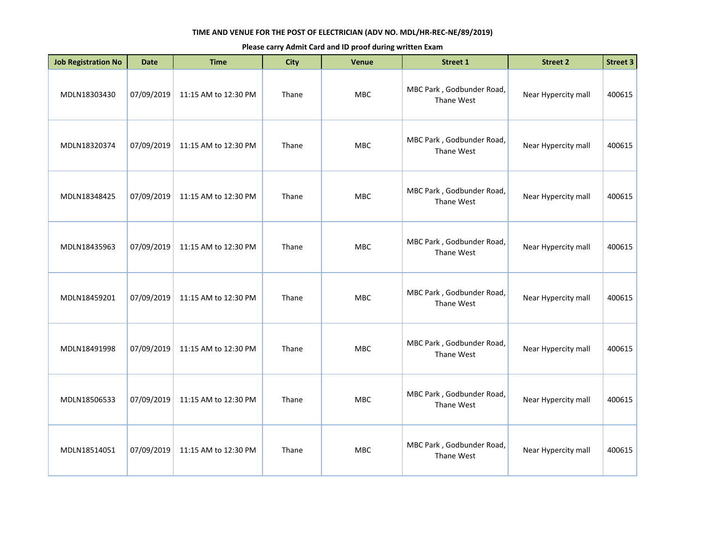| <b>Job Registration No</b> | <b>Date</b> | <b>Time</b>          | <b>City</b> | <b>Venue</b> | <b>Street 1</b>                         | <b>Street 2</b>     | Street 3 |
|----------------------------|-------------|----------------------|-------------|--------------|-----------------------------------------|---------------------|----------|
| MDLN18303430               | 07/09/2019  | 11:15 AM to 12:30 PM | Thane       | <b>MBC</b>   | MBC Park, Godbunder Road,<br>Thane West | Near Hypercity mall | 400615   |
| MDLN18320374               | 07/09/2019  | 11:15 AM to 12:30 PM | Thane       | MBC          | MBC Park, Godbunder Road,<br>Thane West | Near Hypercity mall | 400615   |
| MDLN18348425               | 07/09/2019  | 11:15 AM to 12:30 PM | Thane       | MBC          | MBC Park, Godbunder Road,<br>Thane West | Near Hypercity mall | 400615   |
| MDLN18435963               | 07/09/2019  | 11:15 AM to 12:30 PM | Thane       | <b>MBC</b>   | MBC Park, Godbunder Road,<br>Thane West | Near Hypercity mall | 400615   |
| MDLN18459201               | 07/09/2019  | 11:15 AM to 12:30 PM | Thane       | <b>MBC</b>   | MBC Park, Godbunder Road,<br>Thane West | Near Hypercity mall | 400615   |
| MDLN18491998               | 07/09/2019  | 11:15 AM to 12:30 PM | Thane       | MBC          | MBC Park, Godbunder Road,<br>Thane West | Near Hypercity mall | 400615   |
| MDLN18506533               | 07/09/2019  | 11:15 AM to 12:30 PM | Thane       | <b>MBC</b>   | MBC Park, Godbunder Road,<br>Thane West | Near Hypercity mall | 400615   |
| MDLN18514051               | 07/09/2019  | 11:15 AM to 12:30 PM | Thane       | <b>MBC</b>   | MBC Park, Godbunder Road,<br>Thane West | Near Hypercity mall | 400615   |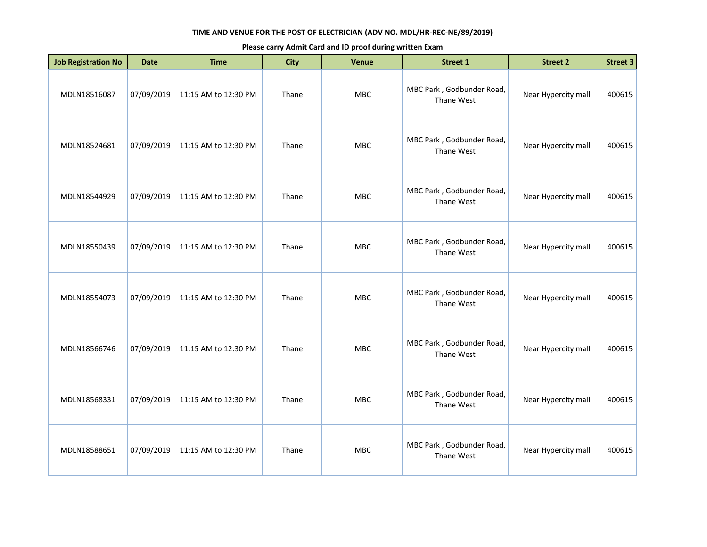| <b>Job Registration No</b> | <b>Date</b> | <b>Time</b>          | <b>City</b> | <b>Venue</b> | <b>Street 1</b>                         | <b>Street 2</b>     | Street 3 |
|----------------------------|-------------|----------------------|-------------|--------------|-----------------------------------------|---------------------|----------|
| MDLN18516087               | 07/09/2019  | 11:15 AM to 12:30 PM | Thane       | <b>MBC</b>   | MBC Park, Godbunder Road,<br>Thane West | Near Hypercity mall | 400615   |
| MDLN18524681               | 07/09/2019  | 11:15 AM to 12:30 PM | Thane       | MBC          | MBC Park, Godbunder Road,<br>Thane West | Near Hypercity mall | 400615   |
| MDLN18544929               | 07/09/2019  | 11:15 AM to 12:30 PM | Thane       | MBC          | MBC Park, Godbunder Road,<br>Thane West | Near Hypercity mall | 400615   |
| MDLN18550439               | 07/09/2019  | 11:15 AM to 12:30 PM | Thane       | <b>MBC</b>   | MBC Park, Godbunder Road,<br>Thane West | Near Hypercity mall | 400615   |
| MDLN18554073               | 07/09/2019  | 11:15 AM to 12:30 PM | Thane       | <b>MBC</b>   | MBC Park, Godbunder Road,<br>Thane West | Near Hypercity mall | 400615   |
| MDLN18566746               | 07/09/2019  | 11:15 AM to 12:30 PM | Thane       | MBC          | MBC Park, Godbunder Road,<br>Thane West | Near Hypercity mall | 400615   |
| MDLN18568331               | 07/09/2019  | 11:15 AM to 12:30 PM | Thane       | <b>MBC</b>   | MBC Park, Godbunder Road,<br>Thane West | Near Hypercity mall | 400615   |
| MDLN18588651               | 07/09/2019  | 11:15 AM to 12:30 PM | Thane       | <b>MBC</b>   | MBC Park, Godbunder Road,<br>Thane West | Near Hypercity mall | 400615   |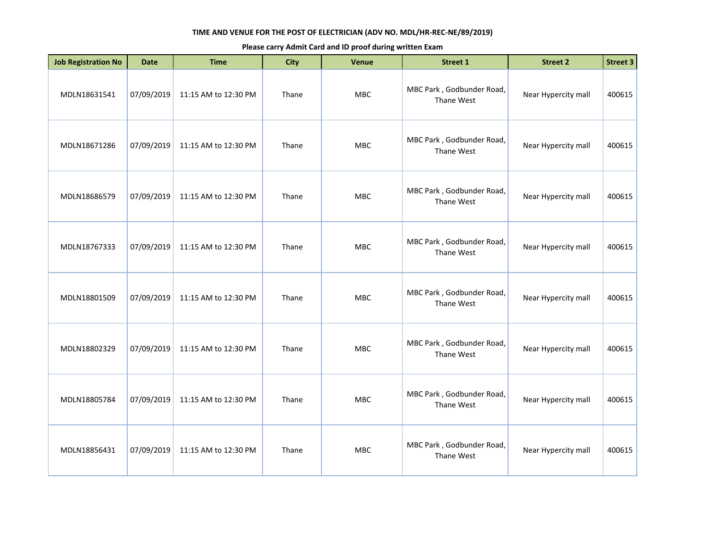| <b>Job Registration No</b> | <b>Date</b> | <b>Time</b>          | <b>City</b> | <b>Venue</b> | <b>Street 1</b>                         | <b>Street 2</b>     | <b>Street 3</b> |
|----------------------------|-------------|----------------------|-------------|--------------|-----------------------------------------|---------------------|-----------------|
| MDLN18631541               | 07/09/2019  | 11:15 AM to 12:30 PM | Thane       | MBC          | MBC Park, Godbunder Road,<br>Thane West | Near Hypercity mall | 400615          |
| MDLN18671286               | 07/09/2019  | 11:15 AM to 12:30 PM | Thane       | <b>MBC</b>   | MBC Park, Godbunder Road,<br>Thane West | Near Hypercity mall | 400615          |
| MDLN18686579               | 07/09/2019  | 11:15 AM to 12:30 PM | Thane       | <b>MBC</b>   | MBC Park, Godbunder Road,<br>Thane West | Near Hypercity mall | 400615          |
| MDLN18767333               | 07/09/2019  | 11:15 AM to 12:30 PM | Thane       | MBC          | MBC Park, Godbunder Road,<br>Thane West | Near Hypercity mall | 400615          |
| MDLN18801509               | 07/09/2019  | 11:15 AM to 12:30 PM | Thane       | <b>MBC</b>   | MBC Park, Godbunder Road,<br>Thane West | Near Hypercity mall | 400615          |
| MDLN18802329               | 07/09/2019  | 11:15 AM to 12:30 PM | Thane       | <b>MBC</b>   | MBC Park, Godbunder Road,<br>Thane West | Near Hypercity mall | 400615          |
| MDLN18805784               | 07/09/2019  | 11:15 AM to 12:30 PM | Thane       | <b>MBC</b>   | MBC Park, Godbunder Road,<br>Thane West | Near Hypercity mall | 400615          |
| MDLN18856431               | 07/09/2019  | 11:15 AM to 12:30 PM | Thane       | <b>MBC</b>   | MBC Park, Godbunder Road,<br>Thane West | Near Hypercity mall | 400615          |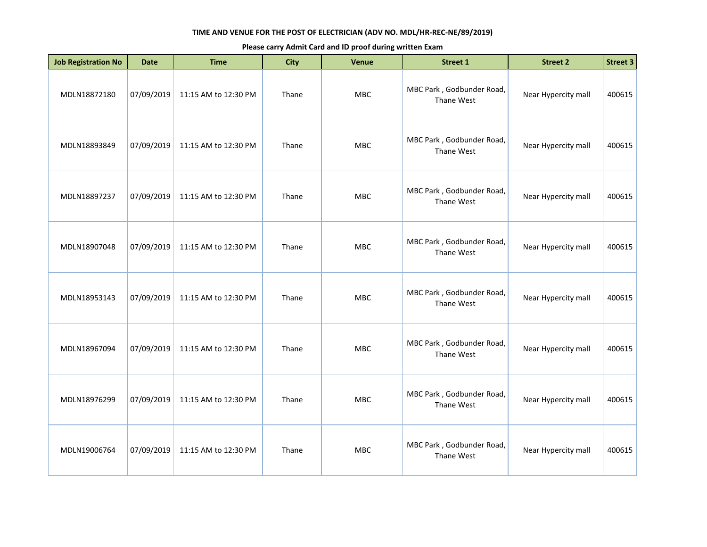| <b>Job Registration No</b> | <b>Date</b> | <b>Time</b>          | <b>City</b> | <b>Venue</b> | <b>Street 1</b>                         | <b>Street 2</b>     | <b>Street 3</b> |
|----------------------------|-------------|----------------------|-------------|--------------|-----------------------------------------|---------------------|-----------------|
| MDLN18872180               | 07/09/2019  | 11:15 AM to 12:30 PM | Thane       | MBC          | MBC Park, Godbunder Road,<br>Thane West | Near Hypercity mall | 400615          |
| MDLN18893849               | 07/09/2019  | 11:15 AM to 12:30 PM | Thane       | <b>MBC</b>   | MBC Park, Godbunder Road,<br>Thane West | Near Hypercity mall | 400615          |
| MDLN18897237               | 07/09/2019  | 11:15 AM to 12:30 PM | Thane       | <b>MBC</b>   | MBC Park, Godbunder Road,<br>Thane West | Near Hypercity mall | 400615          |
| MDLN18907048               | 07/09/2019  | 11:15 AM to 12:30 PM | Thane       | MBC          | MBC Park, Godbunder Road,<br>Thane West | Near Hypercity mall | 400615          |
| MDLN18953143               | 07/09/2019  | 11:15 AM to 12:30 PM | Thane       | <b>MBC</b>   | MBC Park, Godbunder Road,<br>Thane West | Near Hypercity mall | 400615          |
| MDLN18967094               | 07/09/2019  | 11:15 AM to 12:30 PM | Thane       | <b>MBC</b>   | MBC Park, Godbunder Road,<br>Thane West | Near Hypercity mall | 400615          |
| MDLN18976299               | 07/09/2019  | 11:15 AM to 12:30 PM | Thane       | <b>MBC</b>   | MBC Park, Godbunder Road,<br>Thane West | Near Hypercity mall | 400615          |
| MDLN19006764               | 07/09/2019  | 11:15 AM to 12:30 PM | Thane       | <b>MBC</b>   | MBC Park, Godbunder Road,<br>Thane West | Near Hypercity mall | 400615          |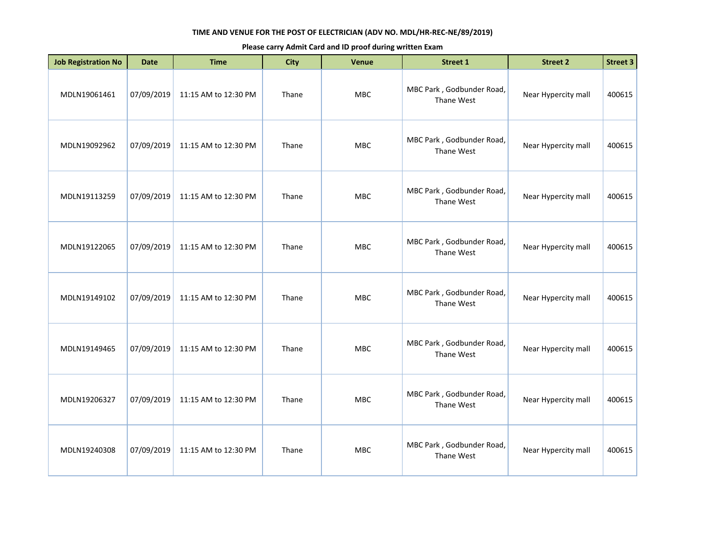| <b>Job Registration No</b> | <b>Date</b> | <b>Time</b>          | <b>City</b> | <b>Venue</b> | <b>Street 1</b>                         | <b>Street 2</b>     | <b>Street 3</b> |
|----------------------------|-------------|----------------------|-------------|--------------|-----------------------------------------|---------------------|-----------------|
| MDLN19061461               | 07/09/2019  | 11:15 AM to 12:30 PM | Thane       | MBC          | MBC Park, Godbunder Road,<br>Thane West | Near Hypercity mall | 400615          |
| MDLN19092962               | 07/09/2019  | 11:15 AM to 12:30 PM | Thane       | <b>MBC</b>   | MBC Park, Godbunder Road,<br>Thane West | Near Hypercity mall | 400615          |
| MDLN19113259               | 07/09/2019  | 11:15 AM to 12:30 PM | Thane       | MBC          | MBC Park, Godbunder Road,<br>Thane West | Near Hypercity mall | 400615          |
| MDLN19122065               | 07/09/2019  | 11:15 AM to 12:30 PM | Thane       | MBC          | MBC Park, Godbunder Road,<br>Thane West | Near Hypercity mall | 400615          |
| MDLN19149102               | 07/09/2019  | 11:15 AM to 12:30 PM | Thane       | MBC          | MBC Park, Godbunder Road,<br>Thane West | Near Hypercity mall | 400615          |
| MDLN19149465               | 07/09/2019  | 11:15 AM to 12:30 PM | Thane       | <b>MBC</b>   | MBC Park, Godbunder Road,<br>Thane West | Near Hypercity mall | 400615          |
| MDLN19206327               | 07/09/2019  | 11:15 AM to 12:30 PM | Thane       | MBC          | MBC Park, Godbunder Road,<br>Thane West | Near Hypercity mall | 400615          |
| MDLN19240308               | 07/09/2019  | 11:15 AM to 12:30 PM | Thane       | <b>MBC</b>   | MBC Park, Godbunder Road,<br>Thane West | Near Hypercity mall | 400615          |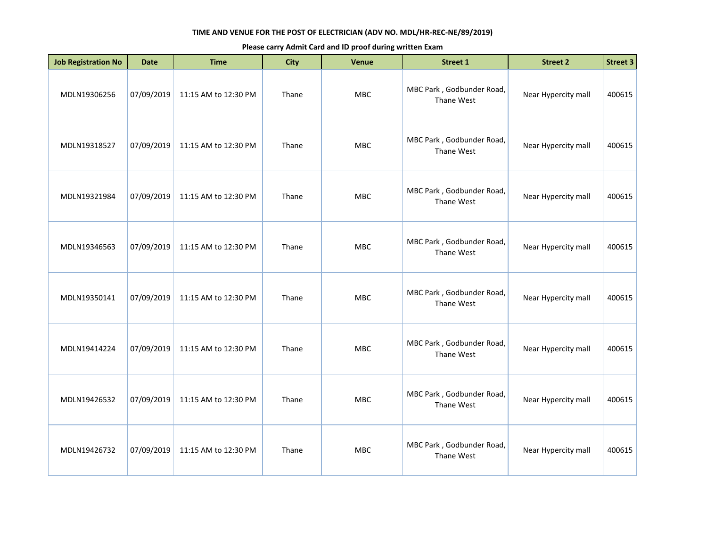| <b>Job Registration No</b> | <b>Date</b> | <b>Time</b>          | <b>City</b> | <b>Venue</b> | Street 1                                | <b>Street 2</b>     | Street 3 |
|----------------------------|-------------|----------------------|-------------|--------------|-----------------------------------------|---------------------|----------|
| MDLN19306256               | 07/09/2019  | 11:15 AM to 12:30 PM | Thane       | <b>MBC</b>   | MBC Park, Godbunder Road,<br>Thane West | Near Hypercity mall | 400615   |
| MDLN19318527               | 07/09/2019  | 11:15 AM to 12:30 PM | Thane       | MBC          | MBC Park, Godbunder Road,<br>Thane West | Near Hypercity mall | 400615   |
| MDLN19321984               | 07/09/2019  | 11:15 AM to 12:30 PM | Thane       | MBC          | MBC Park, Godbunder Road,<br>Thane West | Near Hypercity mall | 400615   |
| MDLN19346563               | 07/09/2019  | 11:15 AM to 12:30 PM | Thane       | <b>MBC</b>   | MBC Park, Godbunder Road,<br>Thane West | Near Hypercity mall | 400615   |
| MDLN19350141               | 07/09/2019  | 11:15 AM to 12:30 PM | Thane       | <b>MBC</b>   | MBC Park, Godbunder Road,<br>Thane West | Near Hypercity mall | 400615   |
| MDLN19414224               | 07/09/2019  | 11:15 AM to 12:30 PM | Thane       | MBC          | MBC Park, Godbunder Road,<br>Thane West | Near Hypercity mall | 400615   |
| MDLN19426532               | 07/09/2019  | 11:15 AM to 12:30 PM | Thane       | <b>MBC</b>   | MBC Park, Godbunder Road,<br>Thane West | Near Hypercity mall | 400615   |
| MDLN19426732               | 07/09/2019  | 11:15 AM to 12:30 PM | Thane       | <b>MBC</b>   | MBC Park, Godbunder Road,<br>Thane West | Near Hypercity mall | 400615   |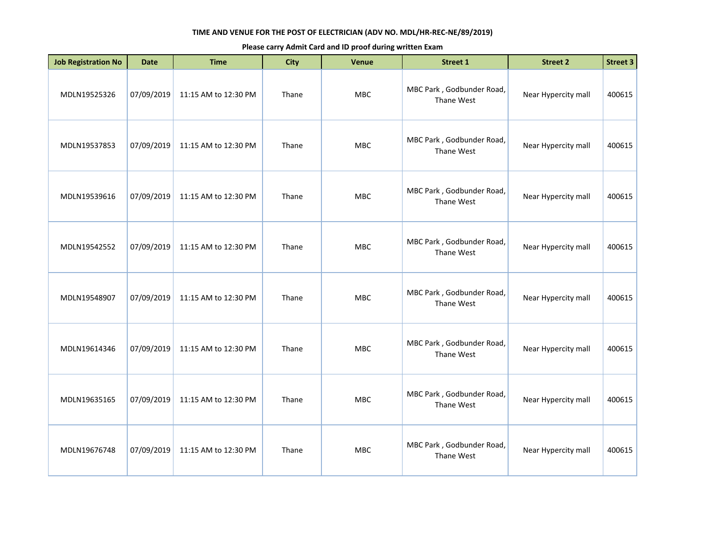| <b>Job Registration No</b> | <b>Date</b> | <b>Time</b>          | <b>City</b> | <b>Venue</b> | Street 1                                | <b>Street 2</b>     | Street 3 |
|----------------------------|-------------|----------------------|-------------|--------------|-----------------------------------------|---------------------|----------|
| MDLN19525326               | 07/09/2019  | 11:15 AM to 12:30 PM | Thane       | <b>MBC</b>   | MBC Park, Godbunder Road,<br>Thane West | Near Hypercity mall | 400615   |
| MDLN19537853               | 07/09/2019  | 11:15 AM to 12:30 PM | Thane       | MBC          | MBC Park, Godbunder Road,<br>Thane West | Near Hypercity mall | 400615   |
| MDLN19539616               | 07/09/2019  | 11:15 AM to 12:30 PM | Thane       | MBC          | MBC Park, Godbunder Road,<br>Thane West | Near Hypercity mall | 400615   |
| MDLN19542552               | 07/09/2019  | 11:15 AM to 12:30 PM | Thane       | <b>MBC</b>   | MBC Park, Godbunder Road,<br>Thane West | Near Hypercity mall | 400615   |
| MDLN19548907               | 07/09/2019  | 11:15 AM to 12:30 PM | Thane       | <b>MBC</b>   | MBC Park, Godbunder Road,<br>Thane West | Near Hypercity mall | 400615   |
| MDLN19614346               | 07/09/2019  | 11:15 AM to 12:30 PM | Thane       | MBC          | MBC Park, Godbunder Road,<br>Thane West | Near Hypercity mall | 400615   |
| MDLN19635165               | 07/09/2019  | 11:15 AM to 12:30 PM | Thane       | <b>MBC</b>   | MBC Park, Godbunder Road,<br>Thane West | Near Hypercity mall | 400615   |
| MDLN19676748               | 07/09/2019  | 11:15 AM to 12:30 PM | Thane       | <b>MBC</b>   | MBC Park, Godbunder Road,<br>Thane West | Near Hypercity mall | 400615   |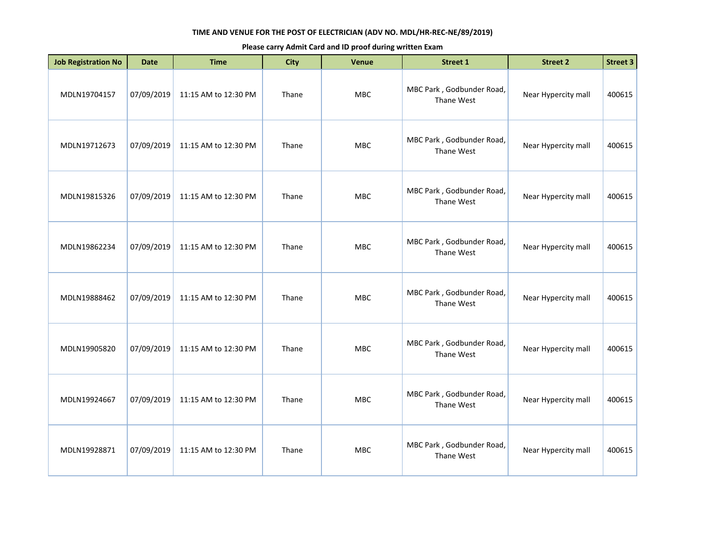| <b>Job Registration No</b> | <b>Date</b> | <b>Time</b>          | <b>City</b> | <b>Venue</b> | <b>Street 1</b>                         | <b>Street 2</b>     | <b>Street 3</b> |
|----------------------------|-------------|----------------------|-------------|--------------|-----------------------------------------|---------------------|-----------------|
| MDLN19704157               | 07/09/2019  | 11:15 AM to 12:30 PM | Thane       | MBC          | MBC Park, Godbunder Road,<br>Thane West | Near Hypercity mall | 400615          |
| MDLN19712673               | 07/09/2019  | 11:15 AM to 12:30 PM | Thane       | <b>MBC</b>   | MBC Park, Godbunder Road,<br>Thane West | Near Hypercity mall | 400615          |
| MDLN19815326               | 07/09/2019  | 11:15 AM to 12:30 PM | Thane       | <b>MBC</b>   | MBC Park, Godbunder Road,<br>Thane West | Near Hypercity mall | 400615          |
| MDLN19862234               | 07/09/2019  | 11:15 AM to 12:30 PM | Thane       | <b>MBC</b>   | MBC Park, Godbunder Road,<br>Thane West | Near Hypercity mall | 400615          |
| MDLN19888462               | 07/09/2019  | 11:15 AM to 12:30 PM | Thane       | MBC          | MBC Park, Godbunder Road,<br>Thane West | Near Hypercity mall | 400615          |
| MDLN19905820               | 07/09/2019  | 11:15 AM to 12:30 PM | Thane       | <b>MBC</b>   | MBC Park, Godbunder Road,<br>Thane West | Near Hypercity mall | 400615          |
| MDLN19924667               | 07/09/2019  | 11:15 AM to 12:30 PM | Thane       | <b>MBC</b>   | MBC Park, Godbunder Road,<br>Thane West | Near Hypercity mall | 400615          |
| MDLN19928871               | 07/09/2019  | 11:15 AM to 12:30 PM | Thane       | <b>MBC</b>   | MBC Park, Godbunder Road,<br>Thane West | Near Hypercity mall | 400615          |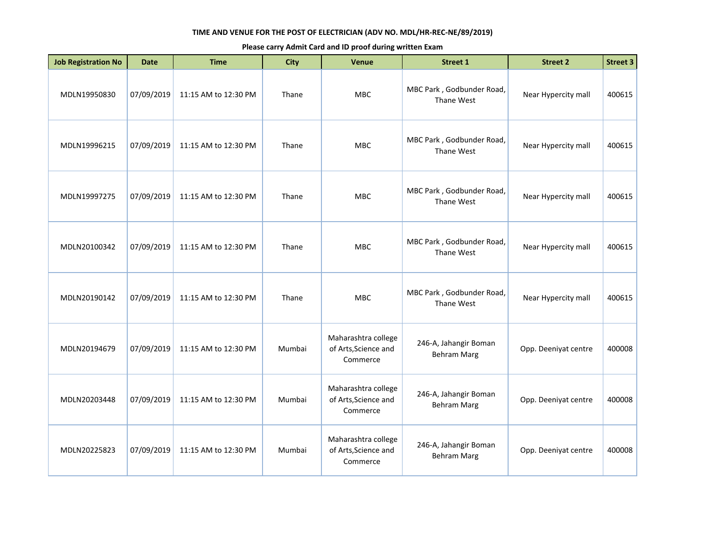| <b>Job Registration No</b> | <b>Date</b> | <b>Time</b>          | <b>City</b> | <b>Venue</b>                                            | Street 1                                    | <b>Street 2</b>      | <b>Street 3</b> |
|----------------------------|-------------|----------------------|-------------|---------------------------------------------------------|---------------------------------------------|----------------------|-----------------|
| MDLN19950830               | 07/09/2019  | 11:15 AM to 12:30 PM | Thane       | MBC                                                     | MBC Park, Godbunder Road,<br>Thane West     | Near Hypercity mall  | 400615          |
| MDLN19996215               | 07/09/2019  | 11:15 AM to 12:30 PM | Thane       | <b>MBC</b>                                              | MBC Park, Godbunder Road,<br>Thane West     | Near Hypercity mall  | 400615          |
| MDLN19997275               | 07/09/2019  | 11:15 AM to 12:30 PM | Thane       | <b>MBC</b>                                              | MBC Park, Godbunder Road,<br>Thane West     | Near Hypercity mall  | 400615          |
| MDLN20100342               | 07/09/2019  | 11:15 AM to 12:30 PM | Thane       | <b>MBC</b>                                              | MBC Park, Godbunder Road,<br>Thane West     | Near Hypercity mall  | 400615          |
| MDLN20190142               | 07/09/2019  | 11:15 AM to 12:30 PM | Thane       | <b>MBC</b>                                              | MBC Park, Godbunder Road,<br>Thane West     | Near Hypercity mall  | 400615          |
| MDLN20194679               | 07/09/2019  | 11:15 AM to 12:30 PM | Mumbai      | Maharashtra college<br>of Arts, Science and<br>Commerce | 246-A, Jahangir Boman<br><b>Behram Marg</b> | Opp. Deeniyat centre | 400008          |
| MDLN20203448               | 07/09/2019  | 11:15 AM to 12:30 PM | Mumbai      | Maharashtra college<br>of Arts, Science and<br>Commerce | 246-A, Jahangir Boman<br><b>Behram Marg</b> | Opp. Deeniyat centre | 400008          |
| MDLN20225823               | 07/09/2019  | 11:15 AM to 12:30 PM | Mumbai      | Maharashtra college<br>of Arts, Science and<br>Commerce | 246-A, Jahangir Boman<br><b>Behram Marg</b> | Opp. Deeniyat centre | 400008          |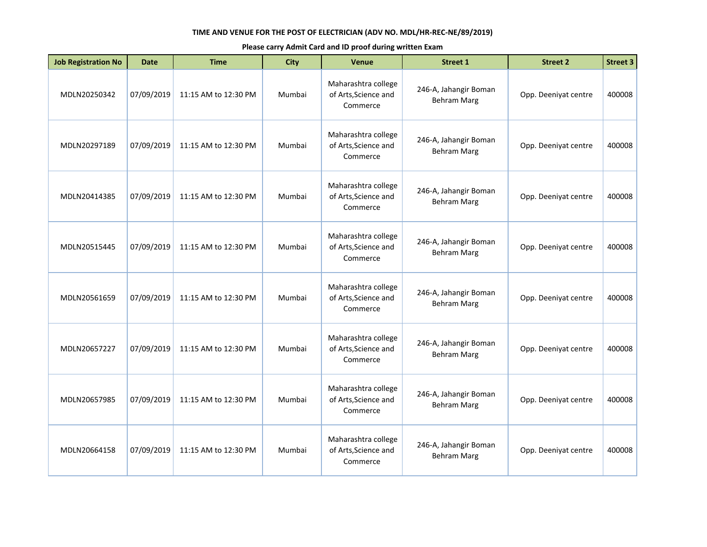| <b>Job Registration No</b> | <b>Date</b> | <b>Time</b>          | City   | <b>Venue</b>                                            | <b>Street 1</b>                             | <b>Street 2</b>      | <b>Street 3</b> |
|----------------------------|-------------|----------------------|--------|---------------------------------------------------------|---------------------------------------------|----------------------|-----------------|
| MDLN20250342               | 07/09/2019  | 11:15 AM to 12:30 PM | Mumbai | Maharashtra college<br>of Arts, Science and<br>Commerce | 246-A, Jahangir Boman<br><b>Behram Marg</b> | Opp. Deeniyat centre | 400008          |
| MDLN20297189               | 07/09/2019  | 11:15 AM to 12:30 PM | Mumbai | Maharashtra college<br>of Arts, Science and<br>Commerce | 246-A, Jahangir Boman<br><b>Behram Marg</b> | Opp. Deeniyat centre | 400008          |
| MDLN20414385               | 07/09/2019  | 11:15 AM to 12:30 PM | Mumbai | Maharashtra college<br>of Arts, Science and<br>Commerce | 246-A, Jahangir Boman<br><b>Behram Marg</b> | Opp. Deeniyat centre | 400008          |
| MDLN20515445               | 07/09/2019  | 11:15 AM to 12:30 PM | Mumbai | Maharashtra college<br>of Arts, Science and<br>Commerce | 246-A, Jahangir Boman<br><b>Behram Marg</b> | Opp. Deeniyat centre | 400008          |
| MDLN20561659               | 07/09/2019  | 11:15 AM to 12:30 PM | Mumbai | Maharashtra college<br>of Arts, Science and<br>Commerce | 246-A, Jahangir Boman<br><b>Behram Marg</b> | Opp. Deeniyat centre | 400008          |
| MDLN20657227               | 07/09/2019  | 11:15 AM to 12:30 PM | Mumbai | Maharashtra college<br>of Arts, Science and<br>Commerce | 246-A, Jahangir Boman<br><b>Behram Marg</b> | Opp. Deeniyat centre | 400008          |
| MDLN20657985               | 07/09/2019  | 11:15 AM to 12:30 PM | Mumbai | Maharashtra college<br>of Arts, Science and<br>Commerce | 246-A, Jahangir Boman<br><b>Behram Marg</b> | Opp. Deeniyat centre | 400008          |
| MDLN20664158               | 07/09/2019  | 11:15 AM to 12:30 PM | Mumbai | Maharashtra college<br>of Arts, Science and<br>Commerce | 246-A, Jahangir Boman<br><b>Behram Marg</b> | Opp. Deeniyat centre | 400008          |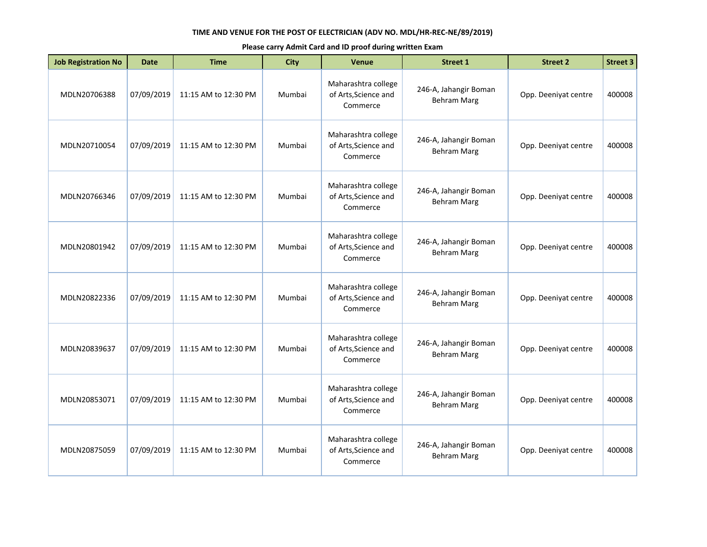| <b>Job Registration No</b> | <b>Date</b> | <b>Time</b>          | <b>City</b> | <b>Venue</b>                                            | <b>Street 1</b>                             | <b>Street 2</b>      | <b>Street 3</b> |
|----------------------------|-------------|----------------------|-------------|---------------------------------------------------------|---------------------------------------------|----------------------|-----------------|
| MDLN20706388               | 07/09/2019  | 11:15 AM to 12:30 PM | Mumbai      | Maharashtra college<br>of Arts, Science and<br>Commerce | 246-A, Jahangir Boman<br><b>Behram Marg</b> | Opp. Deeniyat centre | 400008          |
| MDLN20710054               | 07/09/2019  | 11:15 AM to 12:30 PM | Mumbai      | Maharashtra college<br>of Arts, Science and<br>Commerce | 246-A, Jahangir Boman<br><b>Behram Marg</b> | Opp. Deeniyat centre | 400008          |
| MDLN20766346               | 07/09/2019  | 11:15 AM to 12:30 PM | Mumbai      | Maharashtra college<br>of Arts, Science and<br>Commerce | 246-A, Jahangir Boman<br><b>Behram Marg</b> | Opp. Deeniyat centre | 400008          |
| MDLN20801942               | 07/09/2019  | 11:15 AM to 12:30 PM | Mumbai      | Maharashtra college<br>of Arts, Science and<br>Commerce | 246-A, Jahangir Boman<br><b>Behram Marg</b> | Opp. Deeniyat centre | 400008          |
| MDLN20822336               | 07/09/2019  | 11:15 AM to 12:30 PM | Mumbai      | Maharashtra college<br>of Arts, Science and<br>Commerce | 246-A, Jahangir Boman<br><b>Behram Marg</b> | Opp. Deeniyat centre | 400008          |
| MDLN20839637               | 07/09/2019  | 11:15 AM to 12:30 PM | Mumbai      | Maharashtra college<br>of Arts, Science and<br>Commerce | 246-A, Jahangir Boman<br><b>Behram Marg</b> | Opp. Deeniyat centre | 400008          |
| MDLN20853071               | 07/09/2019  | 11:15 AM to 12:30 PM | Mumbai      | Maharashtra college<br>of Arts, Science and<br>Commerce | 246-A, Jahangir Boman<br><b>Behram Marg</b> | Opp. Deeniyat centre | 400008          |
| MDLN20875059               | 07/09/2019  | 11:15 AM to 12:30 PM | Mumbai      | Maharashtra college<br>of Arts, Science and<br>Commerce | 246-A, Jahangir Boman<br><b>Behram Marg</b> | Opp. Deeniyat centre | 400008          |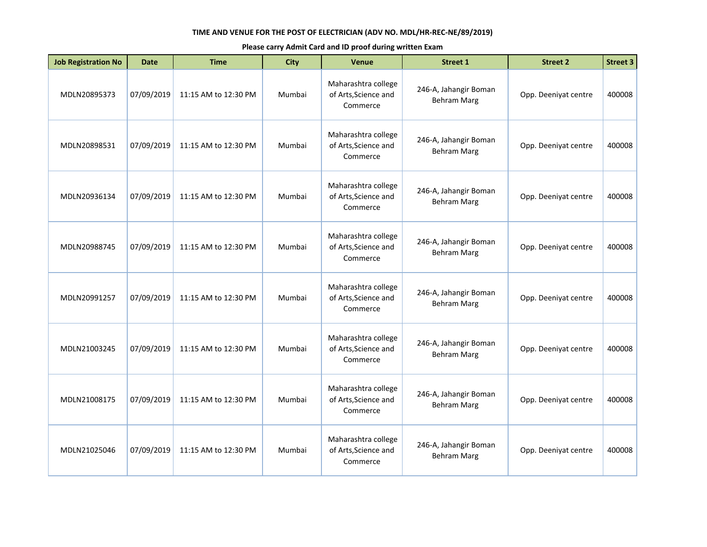| <b>Job Registration No</b> | <b>Date</b> | <b>Time</b>          | <b>City</b> | <b>Venue</b>                                            | <b>Street 1</b>                             | <b>Street 2</b>      | <b>Street 3</b> |
|----------------------------|-------------|----------------------|-------------|---------------------------------------------------------|---------------------------------------------|----------------------|-----------------|
| MDLN20895373               | 07/09/2019  | 11:15 AM to 12:30 PM | Mumbai      | Maharashtra college<br>of Arts, Science and<br>Commerce | 246-A, Jahangir Boman<br><b>Behram Marg</b> | Opp. Deeniyat centre | 400008          |
| MDLN20898531               | 07/09/2019  | 11:15 AM to 12:30 PM | Mumbai      | Maharashtra college<br>of Arts, Science and<br>Commerce | 246-A, Jahangir Boman<br><b>Behram Marg</b> | Opp. Deeniyat centre | 400008          |
| MDLN20936134               | 07/09/2019  | 11:15 AM to 12:30 PM | Mumbai      | Maharashtra college<br>of Arts, Science and<br>Commerce | 246-A, Jahangir Boman<br><b>Behram Marg</b> | Opp. Deeniyat centre | 400008          |
| MDLN20988745               | 07/09/2019  | 11:15 AM to 12:30 PM | Mumbai      | Maharashtra college<br>of Arts, Science and<br>Commerce | 246-A, Jahangir Boman<br><b>Behram Marg</b> | Opp. Deeniyat centre | 400008          |
| MDLN20991257               | 07/09/2019  | 11:15 AM to 12:30 PM | Mumbai      | Maharashtra college<br>of Arts, Science and<br>Commerce | 246-A, Jahangir Boman<br><b>Behram Marg</b> | Opp. Deeniyat centre | 400008          |
| MDLN21003245               | 07/09/2019  | 11:15 AM to 12:30 PM | Mumbai      | Maharashtra college<br>of Arts, Science and<br>Commerce | 246-A, Jahangir Boman<br><b>Behram Marg</b> | Opp. Deeniyat centre | 400008          |
| MDLN21008175               | 07/09/2019  | 11:15 AM to 12:30 PM | Mumbai      | Maharashtra college<br>of Arts, Science and<br>Commerce | 246-A, Jahangir Boman<br><b>Behram Marg</b> | Opp. Deeniyat centre | 400008          |
| MDLN21025046               | 07/09/2019  | 11:15 AM to 12:30 PM | Mumbai      | Maharashtra college<br>of Arts, Science and<br>Commerce | 246-A, Jahangir Boman<br><b>Behram Marg</b> | Opp. Deeniyat centre | 400008          |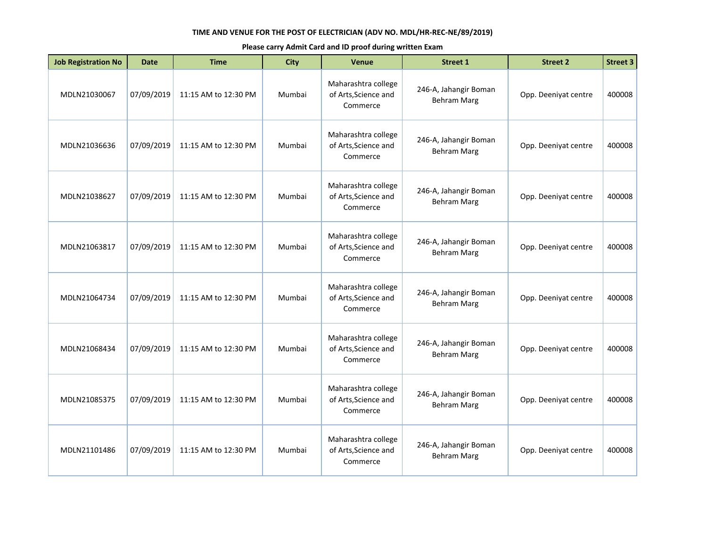| <b>Job Registration No</b> | <b>Date</b> | <b>Time</b>          | <b>City</b> | <b>Venue</b>                                            | <b>Street 1</b>                             | <b>Street 2</b>      | <b>Street 3</b> |
|----------------------------|-------------|----------------------|-------------|---------------------------------------------------------|---------------------------------------------|----------------------|-----------------|
| MDLN21030067               | 07/09/2019  | 11:15 AM to 12:30 PM | Mumbai      | Maharashtra college<br>of Arts, Science and<br>Commerce | 246-A, Jahangir Boman<br><b>Behram Marg</b> | Opp. Deeniyat centre | 400008          |
| MDLN21036636               | 07/09/2019  | 11:15 AM to 12:30 PM | Mumbai      | Maharashtra college<br>of Arts, Science and<br>Commerce | 246-A, Jahangir Boman<br><b>Behram Marg</b> | Opp. Deeniyat centre | 400008          |
| MDLN21038627               | 07/09/2019  | 11:15 AM to 12:30 PM | Mumbai      | Maharashtra college<br>of Arts, Science and<br>Commerce | 246-A, Jahangir Boman<br><b>Behram Marg</b> | Opp. Deeniyat centre | 400008          |
| MDLN21063817               | 07/09/2019  | 11:15 AM to 12:30 PM | Mumbai      | Maharashtra college<br>of Arts, Science and<br>Commerce | 246-A, Jahangir Boman<br><b>Behram Marg</b> | Opp. Deeniyat centre | 400008          |
| MDLN21064734               | 07/09/2019  | 11:15 AM to 12:30 PM | Mumbai      | Maharashtra college<br>of Arts, Science and<br>Commerce | 246-A, Jahangir Boman<br><b>Behram Marg</b> | Opp. Deeniyat centre | 400008          |
| MDLN21068434               | 07/09/2019  | 11:15 AM to 12:30 PM | Mumbai      | Maharashtra college<br>of Arts, Science and<br>Commerce | 246-A, Jahangir Boman<br><b>Behram Marg</b> | Opp. Deeniyat centre | 400008          |
| MDLN21085375               | 07/09/2019  | 11:15 AM to 12:30 PM | Mumbai      | Maharashtra college<br>of Arts, Science and<br>Commerce | 246-A, Jahangir Boman<br><b>Behram Marg</b> | Opp. Deeniyat centre | 400008          |
| MDLN21101486               | 07/09/2019  | 11:15 AM to 12:30 PM | Mumbai      | Maharashtra college<br>of Arts, Science and<br>Commerce | 246-A, Jahangir Boman<br><b>Behram Marg</b> | Opp. Deeniyat centre | 400008          |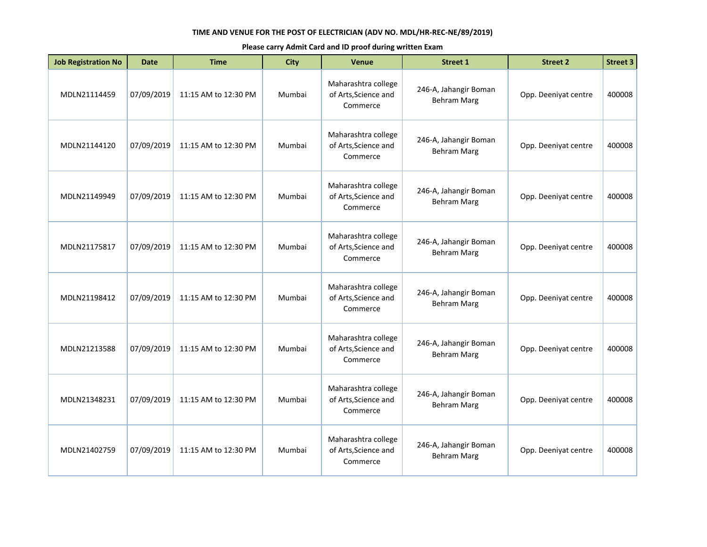| <b>Job Registration No</b> | <b>Date</b> | <b>Time</b>          | City   | <b>Venue</b>                                            | <b>Street 1</b>                             | <b>Street 2</b>      | <b>Street 3</b> |
|----------------------------|-------------|----------------------|--------|---------------------------------------------------------|---------------------------------------------|----------------------|-----------------|
| MDLN21114459               | 07/09/2019  | 11:15 AM to 12:30 PM | Mumbai | Maharashtra college<br>of Arts, Science and<br>Commerce | 246-A, Jahangir Boman<br><b>Behram Marg</b> | Opp. Deeniyat centre | 400008          |
| MDLN21144120               | 07/09/2019  | 11:15 AM to 12:30 PM | Mumbai | Maharashtra college<br>of Arts, Science and<br>Commerce | 246-A, Jahangir Boman<br><b>Behram Marg</b> | Opp. Deeniyat centre | 400008          |
| MDLN21149949               | 07/09/2019  | 11:15 AM to 12:30 PM | Mumbai | Maharashtra college<br>of Arts, Science and<br>Commerce | 246-A, Jahangir Boman<br><b>Behram Marg</b> | Opp. Deeniyat centre | 400008          |
| MDLN21175817               | 07/09/2019  | 11:15 AM to 12:30 PM | Mumbai | Maharashtra college<br>of Arts, Science and<br>Commerce | 246-A, Jahangir Boman<br><b>Behram Marg</b> | Opp. Deeniyat centre | 400008          |
| MDLN21198412               | 07/09/2019  | 11:15 AM to 12:30 PM | Mumbai | Maharashtra college<br>of Arts, Science and<br>Commerce | 246-A, Jahangir Boman<br><b>Behram Marg</b> | Opp. Deeniyat centre | 400008          |
| MDLN21213588               | 07/09/2019  | 11:15 AM to 12:30 PM | Mumbai | Maharashtra college<br>of Arts, Science and<br>Commerce | 246-A, Jahangir Boman<br><b>Behram Marg</b> | Opp. Deeniyat centre | 400008          |
| MDLN21348231               | 07/09/2019  | 11:15 AM to 12:30 PM | Mumbai | Maharashtra college<br>of Arts, Science and<br>Commerce | 246-A, Jahangir Boman<br><b>Behram Marg</b> | Opp. Deeniyat centre | 400008          |
| MDLN21402759               | 07/09/2019  | 11:15 AM to 12:30 PM | Mumbai | Maharashtra college<br>of Arts, Science and<br>Commerce | 246-A, Jahangir Boman<br><b>Behram Marg</b> | Opp. Deeniyat centre | 400008          |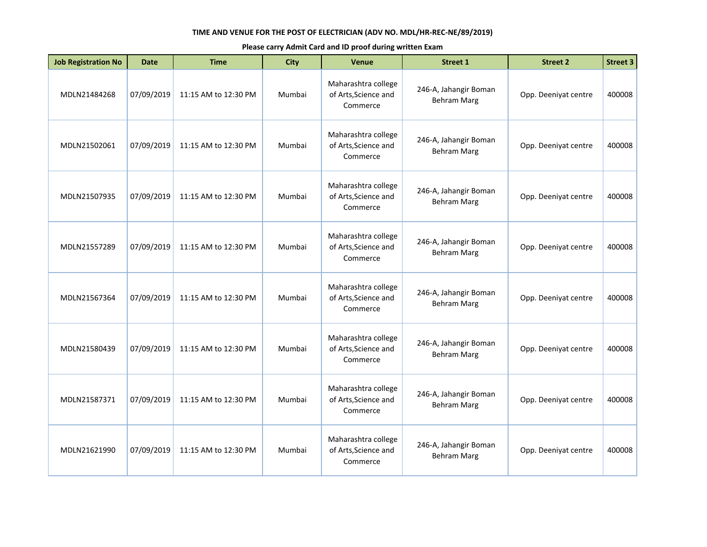| <b>Job Registration No</b> | <b>Date</b> | <b>Time</b>          | <b>City</b> | <b>Venue</b>                                            | <b>Street 1</b>                             | <b>Street 2</b>      | <b>Street 3</b> |
|----------------------------|-------------|----------------------|-------------|---------------------------------------------------------|---------------------------------------------|----------------------|-----------------|
| MDLN21484268               | 07/09/2019  | 11:15 AM to 12:30 PM | Mumbai      | Maharashtra college<br>of Arts, Science and<br>Commerce | 246-A, Jahangir Boman<br><b>Behram Marg</b> | Opp. Deeniyat centre | 400008          |
| MDLN21502061               | 07/09/2019  | 11:15 AM to 12:30 PM | Mumbai      | Maharashtra college<br>of Arts, Science and<br>Commerce | 246-A, Jahangir Boman<br><b>Behram Marg</b> | Opp. Deeniyat centre | 400008          |
| MDLN21507935               | 07/09/2019  | 11:15 AM to 12:30 PM | Mumbai      | Maharashtra college<br>of Arts, Science and<br>Commerce | 246-A, Jahangir Boman<br><b>Behram Marg</b> | Opp. Deeniyat centre | 400008          |
| MDLN21557289               | 07/09/2019  | 11:15 AM to 12:30 PM | Mumbai      | Maharashtra college<br>of Arts, Science and<br>Commerce | 246-A, Jahangir Boman<br><b>Behram Marg</b> | Opp. Deeniyat centre | 400008          |
| MDLN21567364               | 07/09/2019  | 11:15 AM to 12:30 PM | Mumbai      | Maharashtra college<br>of Arts, Science and<br>Commerce | 246-A, Jahangir Boman<br><b>Behram Marg</b> | Opp. Deeniyat centre | 400008          |
| MDLN21580439               | 07/09/2019  | 11:15 AM to 12:30 PM | Mumbai      | Maharashtra college<br>of Arts, Science and<br>Commerce | 246-A, Jahangir Boman<br><b>Behram Marg</b> | Opp. Deeniyat centre | 400008          |
| MDLN21587371               | 07/09/2019  | 11:15 AM to 12:30 PM | Mumbai      | Maharashtra college<br>of Arts, Science and<br>Commerce | 246-A, Jahangir Boman<br><b>Behram Marg</b> | Opp. Deeniyat centre | 400008          |
| MDLN21621990               | 07/09/2019  | 11:15 AM to 12:30 PM | Mumbai      | Maharashtra college<br>of Arts, Science and<br>Commerce | 246-A, Jahangir Boman<br><b>Behram Marg</b> | Opp. Deeniyat centre | 400008          |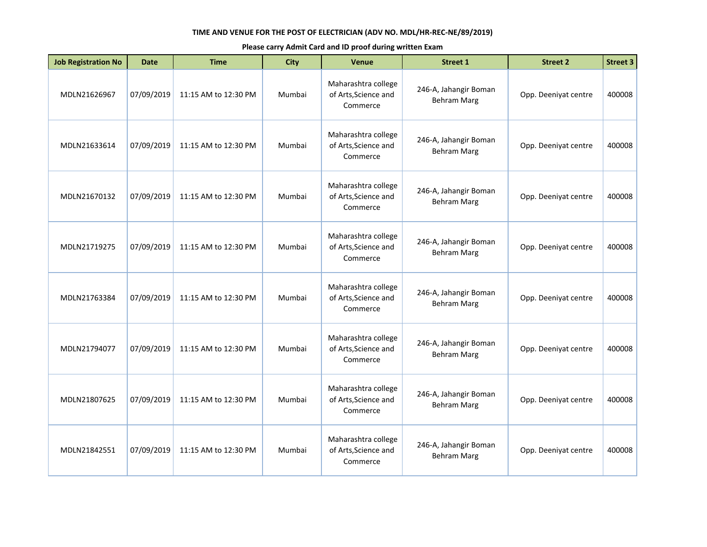| <b>Job Registration No</b> | <b>Date</b> | <b>Time</b>          | City   | <b>Venue</b>                                            | <b>Street 1</b>                             | <b>Street 2</b>      | <b>Street 3</b> |
|----------------------------|-------------|----------------------|--------|---------------------------------------------------------|---------------------------------------------|----------------------|-----------------|
| MDLN21626967               | 07/09/2019  | 11:15 AM to 12:30 PM | Mumbai | Maharashtra college<br>of Arts, Science and<br>Commerce | 246-A, Jahangir Boman<br><b>Behram Marg</b> | Opp. Deeniyat centre | 400008          |
| MDLN21633614               | 07/09/2019  | 11:15 AM to 12:30 PM | Mumbai | Maharashtra college<br>of Arts, Science and<br>Commerce | 246-A, Jahangir Boman<br><b>Behram Marg</b> | Opp. Deeniyat centre | 400008          |
| MDLN21670132               | 07/09/2019  | 11:15 AM to 12:30 PM | Mumbai | Maharashtra college<br>of Arts, Science and<br>Commerce | 246-A, Jahangir Boman<br><b>Behram Marg</b> | Opp. Deeniyat centre | 400008          |
| MDLN21719275               | 07/09/2019  | 11:15 AM to 12:30 PM | Mumbai | Maharashtra college<br>of Arts, Science and<br>Commerce | 246-A, Jahangir Boman<br><b>Behram Marg</b> | Opp. Deeniyat centre | 400008          |
| MDLN21763384               | 07/09/2019  | 11:15 AM to 12:30 PM | Mumbai | Maharashtra college<br>of Arts, Science and<br>Commerce | 246-A, Jahangir Boman<br><b>Behram Marg</b> | Opp. Deeniyat centre | 400008          |
| MDLN21794077               | 07/09/2019  | 11:15 AM to 12:30 PM | Mumbai | Maharashtra college<br>of Arts, Science and<br>Commerce | 246-A, Jahangir Boman<br><b>Behram Marg</b> | Opp. Deeniyat centre | 400008          |
| MDLN21807625               | 07/09/2019  | 11:15 AM to 12:30 PM | Mumbai | Maharashtra college<br>of Arts, Science and<br>Commerce | 246-A, Jahangir Boman<br><b>Behram Marg</b> | Opp. Deeniyat centre | 400008          |
| MDLN21842551               | 07/09/2019  | 11:15 AM to 12:30 PM | Mumbai | Maharashtra college<br>of Arts, Science and<br>Commerce | 246-A, Jahangir Boman<br><b>Behram Marg</b> | Opp. Deeniyat centre | 400008          |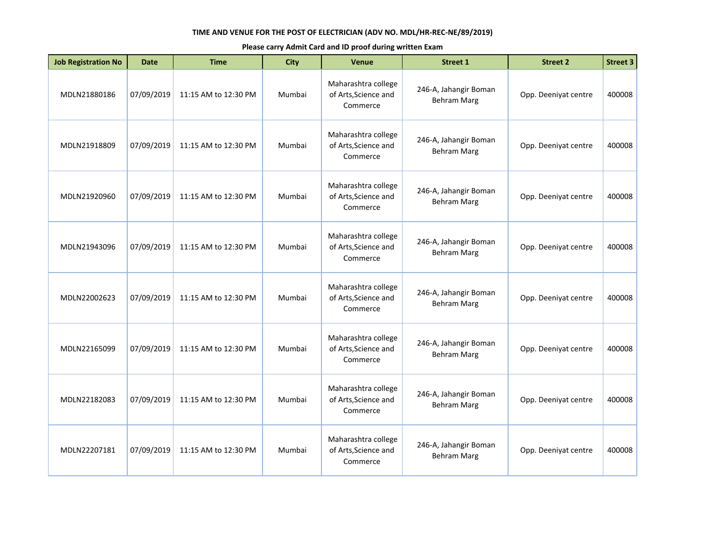| <b>Job Registration No</b> | <b>Date</b> | <b>Time</b>          | <b>City</b> | <b>Venue</b>                                            | <b>Street 1</b>                             | <b>Street 2</b>      | <b>Street 3</b> |
|----------------------------|-------------|----------------------|-------------|---------------------------------------------------------|---------------------------------------------|----------------------|-----------------|
| MDLN21880186               | 07/09/2019  | 11:15 AM to 12:30 PM | Mumbai      | Maharashtra college<br>of Arts, Science and<br>Commerce | 246-A, Jahangir Boman<br><b>Behram Marg</b> | Opp. Deeniyat centre | 400008          |
| MDLN21918809               | 07/09/2019  | 11:15 AM to 12:30 PM | Mumbai      | Maharashtra college<br>of Arts, Science and<br>Commerce | 246-A, Jahangir Boman<br><b>Behram Marg</b> | Opp. Deeniyat centre | 400008          |
| MDLN21920960               | 07/09/2019  | 11:15 AM to 12:30 PM | Mumbai      | Maharashtra college<br>of Arts, Science and<br>Commerce | 246-A, Jahangir Boman<br><b>Behram Marg</b> | Opp. Deeniyat centre | 400008          |
| MDLN21943096               | 07/09/2019  | 11:15 AM to 12:30 PM | Mumbai      | Maharashtra college<br>of Arts, Science and<br>Commerce | 246-A, Jahangir Boman<br><b>Behram Marg</b> | Opp. Deeniyat centre | 400008          |
| MDLN22002623               | 07/09/2019  | 11:15 AM to 12:30 PM | Mumbai      | Maharashtra college<br>of Arts, Science and<br>Commerce | 246-A, Jahangir Boman<br><b>Behram Marg</b> | Opp. Deeniyat centre | 400008          |
| MDLN22165099               | 07/09/2019  | 11:15 AM to 12:30 PM | Mumbai      | Maharashtra college<br>of Arts, Science and<br>Commerce | 246-A, Jahangir Boman<br><b>Behram Marg</b> | Opp. Deeniyat centre | 400008          |
| MDLN22182083               | 07/09/2019  | 11:15 AM to 12:30 PM | Mumbai      | Maharashtra college<br>of Arts, Science and<br>Commerce | 246-A, Jahangir Boman<br><b>Behram Marg</b> | Opp. Deeniyat centre | 400008          |
| MDLN22207181               | 07/09/2019  | 11:15 AM to 12:30 PM | Mumbai      | Maharashtra college<br>of Arts, Science and<br>Commerce | 246-A, Jahangir Boman<br><b>Behram Marg</b> | Opp. Deeniyat centre | 400008          |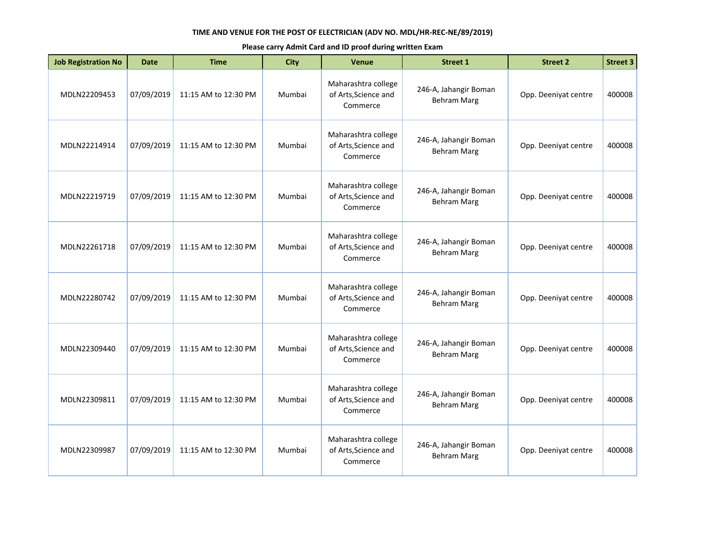| <b>Job Registration No</b> | <b>Date</b> | <b>Time</b>          | <b>City</b> | <b>Venue</b>                                            | <b>Street 1</b>                             | <b>Street 2</b>      | <b>Street 3</b> |
|----------------------------|-------------|----------------------|-------------|---------------------------------------------------------|---------------------------------------------|----------------------|-----------------|
| MDLN22209453               | 07/09/2019  | 11:15 AM to 12:30 PM | Mumbai      | Maharashtra college<br>of Arts, Science and<br>Commerce | 246-A, Jahangir Boman<br><b>Behram Marg</b> | Opp. Deeniyat centre | 400008          |
| MDLN22214914               | 07/09/2019  | 11:15 AM to 12:30 PM | Mumbai      | Maharashtra college<br>of Arts, Science and<br>Commerce | 246-A, Jahangir Boman<br><b>Behram Marg</b> | Opp. Deeniyat centre | 400008          |
| MDLN22219719               | 07/09/2019  | 11:15 AM to 12:30 PM | Mumbai      | Maharashtra college<br>of Arts, Science and<br>Commerce | 246-A, Jahangir Boman<br><b>Behram Marg</b> | Opp. Deeniyat centre | 400008          |
| MDLN22261718               | 07/09/2019  | 11:15 AM to 12:30 PM | Mumbai      | Maharashtra college<br>of Arts, Science and<br>Commerce | 246-A, Jahangir Boman<br><b>Behram Marg</b> | Opp. Deeniyat centre | 400008          |
| MDLN22280742               | 07/09/2019  | 11:15 AM to 12:30 PM | Mumbai      | Maharashtra college<br>of Arts, Science and<br>Commerce | 246-A, Jahangir Boman<br><b>Behram Marg</b> | Opp. Deeniyat centre | 400008          |
| MDLN22309440               | 07/09/2019  | 11:15 AM to 12:30 PM | Mumbai      | Maharashtra college<br>of Arts, Science and<br>Commerce | 246-A, Jahangir Boman<br><b>Behram Marg</b> | Opp. Deeniyat centre | 400008          |
| MDLN22309811               | 07/09/2019  | 11:15 AM to 12:30 PM | Mumbai      | Maharashtra college<br>of Arts, Science and<br>Commerce | 246-A, Jahangir Boman<br><b>Behram Marg</b> | Opp. Deeniyat centre | 400008          |
| MDLN22309987               | 07/09/2019  | 11:15 AM to 12:30 PM | Mumbai      | Maharashtra college<br>of Arts, Science and<br>Commerce | 246-A, Jahangir Boman<br><b>Behram Marg</b> | Opp. Deeniyat centre | 400008          |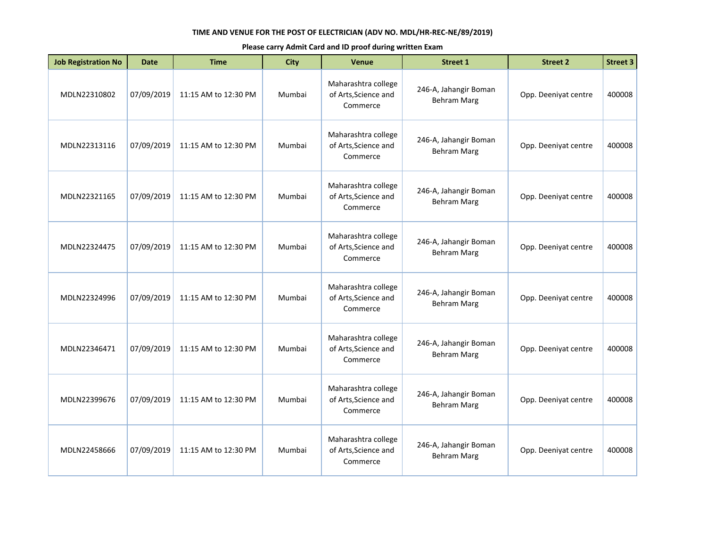| <b>Job Registration No</b> | <b>Date</b> | <b>Time</b>          | City   | <b>Venue</b>                                            | <b>Street 1</b>                             | <b>Street 2</b>      | <b>Street 3</b> |
|----------------------------|-------------|----------------------|--------|---------------------------------------------------------|---------------------------------------------|----------------------|-----------------|
| MDLN22310802               | 07/09/2019  | 11:15 AM to 12:30 PM | Mumbai | Maharashtra college<br>of Arts, Science and<br>Commerce | 246-A, Jahangir Boman<br><b>Behram Marg</b> | Opp. Deeniyat centre | 400008          |
| MDLN22313116               | 07/09/2019  | 11:15 AM to 12:30 PM | Mumbai | Maharashtra college<br>of Arts, Science and<br>Commerce | 246-A, Jahangir Boman<br><b>Behram Marg</b> | Opp. Deeniyat centre | 400008          |
| MDLN22321165               | 07/09/2019  | 11:15 AM to 12:30 PM | Mumbai | Maharashtra college<br>of Arts, Science and<br>Commerce | 246-A, Jahangir Boman<br><b>Behram Marg</b> | Opp. Deeniyat centre | 400008          |
| MDLN22324475               | 07/09/2019  | 11:15 AM to 12:30 PM | Mumbai | Maharashtra college<br>of Arts, Science and<br>Commerce | 246-A, Jahangir Boman<br><b>Behram Marg</b> | Opp. Deeniyat centre | 400008          |
| MDLN22324996               | 07/09/2019  | 11:15 AM to 12:30 PM | Mumbai | Maharashtra college<br>of Arts, Science and<br>Commerce | 246-A, Jahangir Boman<br><b>Behram Marg</b> | Opp. Deeniyat centre | 400008          |
| MDLN22346471               | 07/09/2019  | 11:15 AM to 12:30 PM | Mumbai | Maharashtra college<br>of Arts, Science and<br>Commerce | 246-A, Jahangir Boman<br><b>Behram Marg</b> | Opp. Deeniyat centre | 400008          |
| MDLN22399676               | 07/09/2019  | 11:15 AM to 12:30 PM | Mumbai | Maharashtra college<br>of Arts, Science and<br>Commerce | 246-A, Jahangir Boman<br><b>Behram Marg</b> | Opp. Deeniyat centre | 400008          |
| MDLN22458666               | 07/09/2019  | 11:15 AM to 12:30 PM | Mumbai | Maharashtra college<br>of Arts, Science and<br>Commerce | 246-A, Jahangir Boman<br><b>Behram Marg</b> | Opp. Deeniyat centre | 400008          |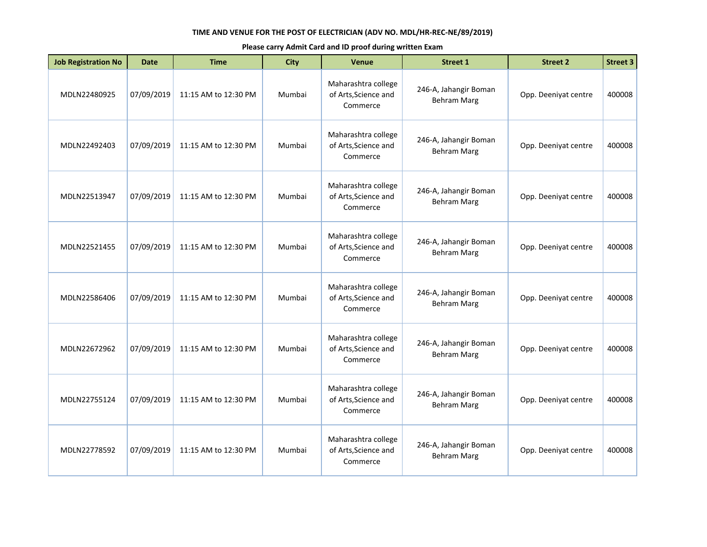| <b>Job Registration No</b> | <b>Date</b> | <b>Time</b>          | <b>City</b> | <b>Venue</b>                                            | <b>Street 1</b>                             | <b>Street 2</b>      | <b>Street 3</b> |
|----------------------------|-------------|----------------------|-------------|---------------------------------------------------------|---------------------------------------------|----------------------|-----------------|
| MDLN22480925               | 07/09/2019  | 11:15 AM to 12:30 PM | Mumbai      | Maharashtra college<br>of Arts, Science and<br>Commerce | 246-A, Jahangir Boman<br><b>Behram Marg</b> | Opp. Deeniyat centre | 400008          |
| MDLN22492403               | 07/09/2019  | 11:15 AM to 12:30 PM | Mumbai      | Maharashtra college<br>of Arts, Science and<br>Commerce | 246-A, Jahangir Boman<br><b>Behram Marg</b> | Opp. Deeniyat centre | 400008          |
| MDLN22513947               | 07/09/2019  | 11:15 AM to 12:30 PM | Mumbai      | Maharashtra college<br>of Arts, Science and<br>Commerce | 246-A, Jahangir Boman<br><b>Behram Marg</b> | Opp. Deeniyat centre | 400008          |
| MDLN22521455               | 07/09/2019  | 11:15 AM to 12:30 PM | Mumbai      | Maharashtra college<br>of Arts, Science and<br>Commerce | 246-A, Jahangir Boman<br><b>Behram Marg</b> | Opp. Deeniyat centre | 400008          |
| MDLN22586406               | 07/09/2019  | 11:15 AM to 12:30 PM | Mumbai      | Maharashtra college<br>of Arts, Science and<br>Commerce | 246-A, Jahangir Boman<br><b>Behram Marg</b> | Opp. Deeniyat centre | 400008          |
| MDLN22672962               | 07/09/2019  | 11:15 AM to 12:30 PM | Mumbai      | Maharashtra college<br>of Arts, Science and<br>Commerce | 246-A, Jahangir Boman<br><b>Behram Marg</b> | Opp. Deeniyat centre | 400008          |
| MDLN22755124               | 07/09/2019  | 11:15 AM to 12:30 PM | Mumbai      | Maharashtra college<br>of Arts, Science and<br>Commerce | 246-A, Jahangir Boman<br><b>Behram Marg</b> | Opp. Deeniyat centre | 400008          |
| MDLN22778592               | 07/09/2019  | 11:15 AM to 12:30 PM | Mumbai      | Maharashtra college<br>of Arts, Science and<br>Commerce | 246-A, Jahangir Boman<br><b>Behram Marg</b> | Opp. Deeniyat centre | 400008          |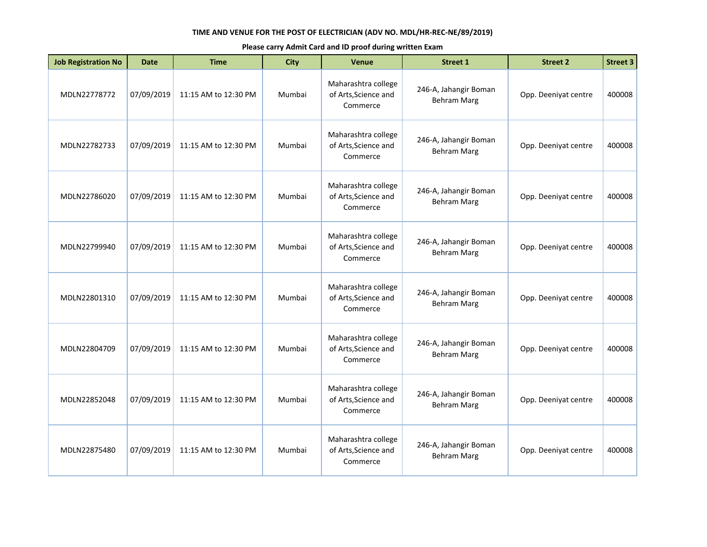| <b>Job Registration No</b> | <b>Date</b> | <b>Time</b>          | City   | <b>Venue</b>                                            | <b>Street 1</b>                             | <b>Street 2</b>      | <b>Street 3</b> |
|----------------------------|-------------|----------------------|--------|---------------------------------------------------------|---------------------------------------------|----------------------|-----------------|
| MDLN22778772               | 07/09/2019  | 11:15 AM to 12:30 PM | Mumbai | Maharashtra college<br>of Arts, Science and<br>Commerce | 246-A, Jahangir Boman<br><b>Behram Marg</b> | Opp. Deeniyat centre | 400008          |
| MDLN22782733               | 07/09/2019  | 11:15 AM to 12:30 PM | Mumbai | Maharashtra college<br>of Arts, Science and<br>Commerce | 246-A, Jahangir Boman<br><b>Behram Marg</b> | Opp. Deeniyat centre | 400008          |
| MDLN22786020               | 07/09/2019  | 11:15 AM to 12:30 PM | Mumbai | Maharashtra college<br>of Arts, Science and<br>Commerce | 246-A, Jahangir Boman<br><b>Behram Marg</b> | Opp. Deeniyat centre | 400008          |
| MDLN22799940               | 07/09/2019  | 11:15 AM to 12:30 PM | Mumbai | Maharashtra college<br>of Arts, Science and<br>Commerce | 246-A, Jahangir Boman<br><b>Behram Marg</b> | Opp. Deeniyat centre | 400008          |
| MDLN22801310               | 07/09/2019  | 11:15 AM to 12:30 PM | Mumbai | Maharashtra college<br>of Arts, Science and<br>Commerce | 246-A, Jahangir Boman<br><b>Behram Marg</b> | Opp. Deeniyat centre | 400008          |
| MDLN22804709               | 07/09/2019  | 11:15 AM to 12:30 PM | Mumbai | Maharashtra college<br>of Arts, Science and<br>Commerce | 246-A, Jahangir Boman<br><b>Behram Marg</b> | Opp. Deeniyat centre | 400008          |
| MDLN22852048               | 07/09/2019  | 11:15 AM to 12:30 PM | Mumbai | Maharashtra college<br>of Arts, Science and<br>Commerce | 246-A, Jahangir Boman<br><b>Behram Marg</b> | Opp. Deeniyat centre | 400008          |
| MDLN22875480               | 07/09/2019  | 11:15 AM to 12:30 PM | Mumbai | Maharashtra college<br>of Arts, Science and<br>Commerce | 246-A, Jahangir Boman<br><b>Behram Marg</b> | Opp. Deeniyat centre | 400008          |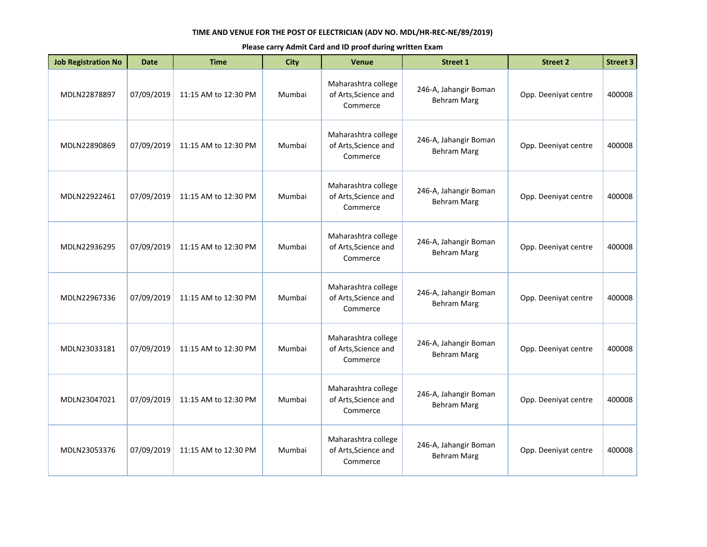| <b>Job Registration No</b> | <b>Date</b> | <b>Time</b>          | <b>City</b> | <b>Venue</b>                                            | <b>Street 1</b>                             | <b>Street 2</b>      | <b>Street 3</b> |
|----------------------------|-------------|----------------------|-------------|---------------------------------------------------------|---------------------------------------------|----------------------|-----------------|
| MDLN22878897               | 07/09/2019  | 11:15 AM to 12:30 PM | Mumbai      | Maharashtra college<br>of Arts, Science and<br>Commerce | 246-A, Jahangir Boman<br><b>Behram Marg</b> | Opp. Deeniyat centre | 400008          |
| MDLN22890869               | 07/09/2019  | 11:15 AM to 12:30 PM | Mumbai      | Maharashtra college<br>of Arts, Science and<br>Commerce | 246-A, Jahangir Boman<br><b>Behram Marg</b> | Opp. Deeniyat centre | 400008          |
| MDLN22922461               | 07/09/2019  | 11:15 AM to 12:30 PM | Mumbai      | Maharashtra college<br>of Arts, Science and<br>Commerce | 246-A, Jahangir Boman<br><b>Behram Marg</b> | Opp. Deeniyat centre | 400008          |
| MDLN22936295               | 07/09/2019  | 11:15 AM to 12:30 PM | Mumbai      | Maharashtra college<br>of Arts, Science and<br>Commerce | 246-A, Jahangir Boman<br><b>Behram Marg</b> | Opp. Deeniyat centre | 400008          |
| MDLN22967336               | 07/09/2019  | 11:15 AM to 12:30 PM | Mumbai      | Maharashtra college<br>of Arts, Science and<br>Commerce | 246-A, Jahangir Boman<br><b>Behram Marg</b> | Opp. Deeniyat centre | 400008          |
| MDLN23033181               | 07/09/2019  | 11:15 AM to 12:30 PM | Mumbai      | Maharashtra college<br>of Arts, Science and<br>Commerce | 246-A, Jahangir Boman<br><b>Behram Marg</b> | Opp. Deeniyat centre | 400008          |
| MDLN23047021               | 07/09/2019  | 11:15 AM to 12:30 PM | Mumbai      | Maharashtra college<br>of Arts, Science and<br>Commerce | 246-A, Jahangir Boman<br><b>Behram Marg</b> | Opp. Deeniyat centre | 400008          |
| MDLN23053376               | 07/09/2019  | 11:15 AM to 12:30 PM | Mumbai      | Maharashtra college<br>of Arts, Science and<br>Commerce | 246-A, Jahangir Boman<br><b>Behram Marg</b> | Opp. Deeniyat centre | 400008          |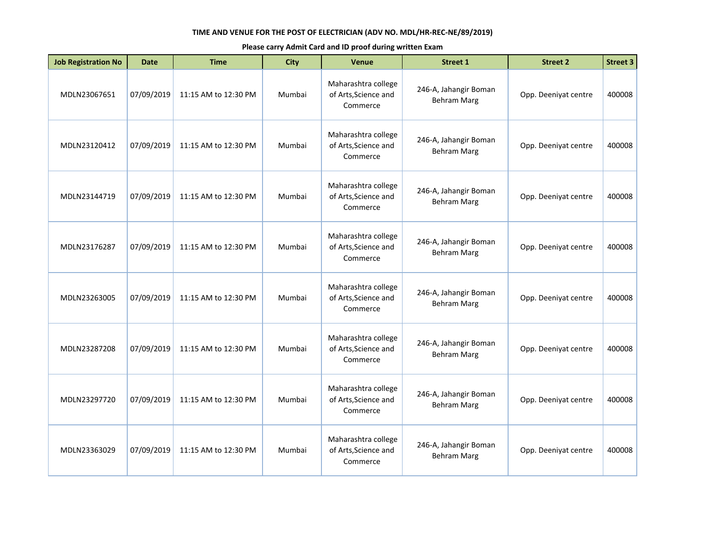| <b>Job Registration No</b> | <b>Date</b> | <b>Time</b>          | <b>City</b> | <b>Venue</b>                                            | <b>Street 1</b>                             | <b>Street 2</b>      | <b>Street 3</b> |
|----------------------------|-------------|----------------------|-------------|---------------------------------------------------------|---------------------------------------------|----------------------|-----------------|
| MDLN23067651               | 07/09/2019  | 11:15 AM to 12:30 PM | Mumbai      | Maharashtra college<br>of Arts, Science and<br>Commerce | 246-A, Jahangir Boman<br><b>Behram Marg</b> | Opp. Deeniyat centre | 400008          |
| MDLN23120412               | 07/09/2019  | 11:15 AM to 12:30 PM | Mumbai      | Maharashtra college<br>of Arts, Science and<br>Commerce | 246-A, Jahangir Boman<br><b>Behram Marg</b> | Opp. Deeniyat centre | 400008          |
| MDLN23144719               | 07/09/2019  | 11:15 AM to 12:30 PM | Mumbai      | Maharashtra college<br>of Arts, Science and<br>Commerce | 246-A, Jahangir Boman<br><b>Behram Marg</b> | Opp. Deeniyat centre | 400008          |
| MDLN23176287               | 07/09/2019  | 11:15 AM to 12:30 PM | Mumbai      | Maharashtra college<br>of Arts, Science and<br>Commerce | 246-A, Jahangir Boman<br><b>Behram Marg</b> | Opp. Deeniyat centre | 400008          |
| MDLN23263005               | 07/09/2019  | 11:15 AM to 12:30 PM | Mumbai      | Maharashtra college<br>of Arts, Science and<br>Commerce | 246-A, Jahangir Boman<br><b>Behram Marg</b> | Opp. Deeniyat centre | 400008          |
| MDLN23287208               | 07/09/2019  | 11:15 AM to 12:30 PM | Mumbai      | Maharashtra college<br>of Arts, Science and<br>Commerce | 246-A, Jahangir Boman<br><b>Behram Marg</b> | Opp. Deeniyat centre | 400008          |
| MDLN23297720               | 07/09/2019  | 11:15 AM to 12:30 PM | Mumbai      | Maharashtra college<br>of Arts, Science and<br>Commerce | 246-A, Jahangir Boman<br><b>Behram Marg</b> | Opp. Deeniyat centre | 400008          |
| MDLN23363029               | 07/09/2019  | 11:15 AM to 12:30 PM | Mumbai      | Maharashtra college<br>of Arts, Science and<br>Commerce | 246-A, Jahangir Boman<br><b>Behram Marg</b> | Opp. Deeniyat centre | 400008          |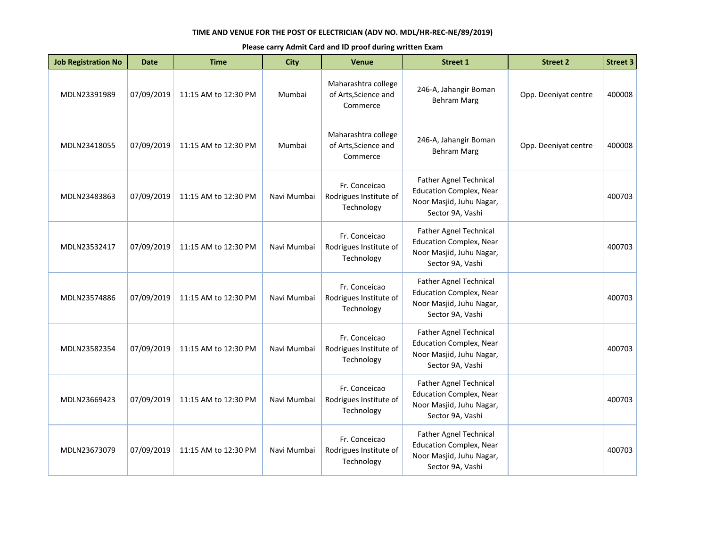| <b>Job Registration No</b> | <b>Date</b> | <b>Time</b>          | <b>City</b> | <b>Venue</b>                                            | <b>Street 1</b>                                                                                                 | <b>Street 2</b>      | <b>Street 3</b> |
|----------------------------|-------------|----------------------|-------------|---------------------------------------------------------|-----------------------------------------------------------------------------------------------------------------|----------------------|-----------------|
| MDLN23391989               | 07/09/2019  | 11:15 AM to 12:30 PM | Mumbai      | Maharashtra college<br>of Arts, Science and<br>Commerce | 246-A, Jahangir Boman<br>Behram Marg                                                                            | Opp. Deeniyat centre | 400008          |
| MDLN23418055               | 07/09/2019  | 11:15 AM to 12:30 PM | Mumbai      | Maharashtra college<br>of Arts, Science and<br>Commerce | 246-A, Jahangir Boman<br><b>Behram Marg</b>                                                                     | Opp. Deeniyat centre | 400008          |
| MDLN23483863               | 07/09/2019  | 11:15 AM to 12:30 PM | Navi Mumbai | Fr. Conceicao<br>Rodrigues Institute of<br>Technology   | <b>Father Agnel Technical</b><br><b>Education Complex, Near</b><br>Noor Masjid, Juhu Nagar,<br>Sector 9A, Vashi |                      | 400703          |
| MDLN23532417               | 07/09/2019  | 11:15 AM to 12:30 PM | Navi Mumbai | Fr. Conceicao<br>Rodrigues Institute of<br>Technology   | <b>Father Agnel Technical</b><br><b>Education Complex, Near</b><br>Noor Masjid, Juhu Nagar,<br>Sector 9A, Vashi |                      | 400703          |
| MDLN23574886               | 07/09/2019  | 11:15 AM to 12:30 PM | Navi Mumbai | Fr. Conceicao<br>Rodrigues Institute of<br>Technology   | <b>Father Agnel Technical</b><br><b>Education Complex, Near</b><br>Noor Masjid, Juhu Nagar,<br>Sector 9A, Vashi |                      | 400703          |
| MDLN23582354               | 07/09/2019  | 11:15 AM to 12:30 PM | Navi Mumbai | Fr. Conceicao<br>Rodrigues Institute of<br>Technology   | <b>Father Agnel Technical</b><br><b>Education Complex, Near</b><br>Noor Masjid, Juhu Nagar,<br>Sector 9A, Vashi |                      | 400703          |
| MDLN23669423               | 07/09/2019  | 11:15 AM to 12:30 PM | Navi Mumbai | Fr. Conceicao<br>Rodrigues Institute of<br>Technology   | <b>Father Agnel Technical</b><br><b>Education Complex, Near</b><br>Noor Masjid, Juhu Nagar,<br>Sector 9A, Vashi |                      | 400703          |
| MDLN23673079               | 07/09/2019  | 11:15 AM to 12:30 PM | Navi Mumbai | Fr. Conceicao<br>Rodrigues Institute of<br>Technology   | <b>Father Agnel Technical</b><br><b>Education Complex, Near</b><br>Noor Masjid, Juhu Nagar,<br>Sector 9A, Vashi |                      | 400703          |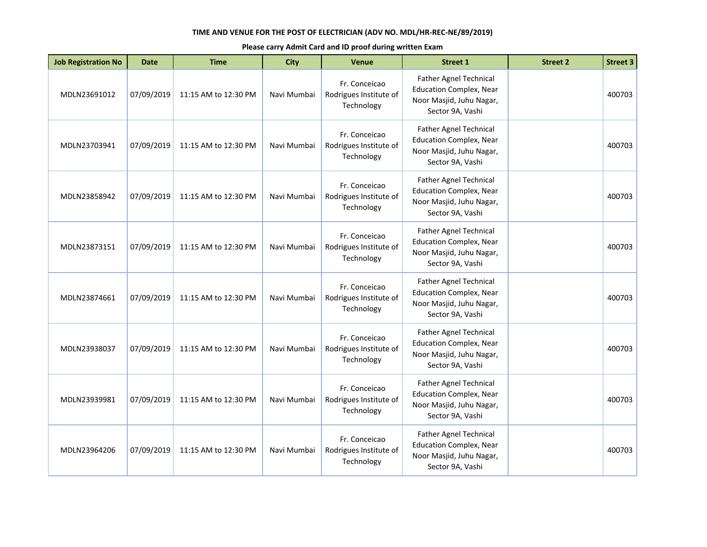| <b>Job Registration No</b> | <b>Date</b> | <b>Time</b>          | <b>City</b> | Venue                                                 | <b>Street 1</b>                                                                                                 | <b>Street 2</b> | <b>Street 3</b> |
|----------------------------|-------------|----------------------|-------------|-------------------------------------------------------|-----------------------------------------------------------------------------------------------------------------|-----------------|-----------------|
| MDLN23691012               | 07/09/2019  | 11:15 AM to 12:30 PM | Navi Mumbai | Fr. Conceicao<br>Rodrigues Institute of<br>Technology | <b>Father Agnel Technical</b><br><b>Education Complex, Near</b><br>Noor Masjid, Juhu Nagar,<br>Sector 9A, Vashi |                 | 400703          |
| MDLN23703941               | 07/09/2019  | 11:15 AM to 12:30 PM | Navi Mumbai | Fr. Conceicao<br>Rodrigues Institute of<br>Technology | Father Agnel Technical<br><b>Education Complex, Near</b><br>Noor Masjid, Juhu Nagar,<br>Sector 9A, Vashi        |                 | 400703          |
| MDLN23858942               | 07/09/2019  | 11:15 AM to 12:30 PM | Navi Mumbai | Fr. Conceicao<br>Rodrigues Institute of<br>Technology | <b>Father Agnel Technical</b><br><b>Education Complex, Near</b><br>Noor Masjid, Juhu Nagar,<br>Sector 9A, Vashi |                 | 400703          |
| MDLN23873151               | 07/09/2019  | 11:15 AM to 12:30 PM | Navi Mumbai | Fr. Conceicao<br>Rodrigues Institute of<br>Technology | <b>Father Agnel Technical</b><br><b>Education Complex, Near</b><br>Noor Masjid, Juhu Nagar,<br>Sector 9A, Vashi |                 | 400703          |
| MDLN23874661               | 07/09/2019  | 11:15 AM to 12:30 PM | Navi Mumbai | Fr. Conceicao<br>Rodrigues Institute of<br>Technology | <b>Father Agnel Technical</b><br><b>Education Complex, Near</b><br>Noor Masjid, Juhu Nagar,<br>Sector 9A, Vashi |                 | 400703          |
| MDLN23938037               | 07/09/2019  | 11:15 AM to 12:30 PM | Navi Mumbai | Fr. Conceicao<br>Rodrigues Institute of<br>Technology | <b>Father Agnel Technical</b><br><b>Education Complex, Near</b><br>Noor Masjid, Juhu Nagar,<br>Sector 9A, Vashi |                 | 400703          |
| MDLN23939981               | 07/09/2019  | 11:15 AM to 12:30 PM | Navi Mumbai | Fr. Conceicao<br>Rodrigues Institute of<br>Technology | <b>Father Agnel Technical</b><br><b>Education Complex, Near</b><br>Noor Masjid, Juhu Nagar,<br>Sector 9A, Vashi |                 | 400703          |
| MDLN23964206               | 07/09/2019  | 11:15 AM to 12:30 PM | Navi Mumbai | Fr. Conceicao<br>Rodrigues Institute of<br>Technology | <b>Father Agnel Technical</b><br><b>Education Complex, Near</b><br>Noor Masjid, Juhu Nagar,<br>Sector 9A, Vashi |                 | 400703          |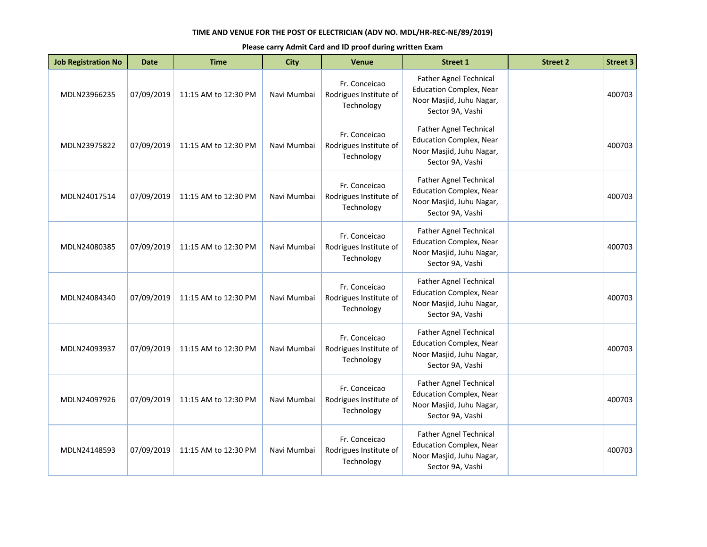| <b>Job Registration No</b> | <b>Date</b> | <b>Time</b>          | <b>City</b> | <b>Venue</b>                                          | <b>Street 1</b>                                                                                                 | <b>Street 2</b> | <b>Street 3</b> |
|----------------------------|-------------|----------------------|-------------|-------------------------------------------------------|-----------------------------------------------------------------------------------------------------------------|-----------------|-----------------|
| MDLN23966235               | 07/09/2019  | 11:15 AM to 12:30 PM | Navi Mumbai | Fr. Conceicao<br>Rodrigues Institute of<br>Technology | Father Agnel Technical<br><b>Education Complex, Near</b><br>Noor Masjid, Juhu Nagar,<br>Sector 9A, Vashi        |                 | 400703          |
| MDLN23975822               | 07/09/2019  | 11:15 AM to 12:30 PM | Navi Mumbai | Fr. Conceicao<br>Rodrigues Institute of<br>Technology | <b>Father Agnel Technical</b><br><b>Education Complex, Near</b><br>Noor Masjid, Juhu Nagar,<br>Sector 9A, Vashi |                 | 400703          |
| MDLN24017514               | 07/09/2019  | 11:15 AM to 12:30 PM | Navi Mumbai | Fr. Conceicao<br>Rodrigues Institute of<br>Technology | <b>Father Agnel Technical</b><br><b>Education Complex, Near</b><br>Noor Masjid, Juhu Nagar,<br>Sector 9A, Vashi |                 | 400703          |
| MDLN24080385               | 07/09/2019  | 11:15 AM to 12:30 PM | Navi Mumbai | Fr. Conceicao<br>Rodrigues Institute of<br>Technology | <b>Father Agnel Technical</b><br><b>Education Complex, Near</b><br>Noor Masjid, Juhu Nagar,<br>Sector 9A, Vashi |                 | 400703          |
| MDLN24084340               | 07/09/2019  | 11:15 AM to 12:30 PM | Navi Mumbai | Fr. Conceicao<br>Rodrigues Institute of<br>Technology | <b>Father Agnel Technical</b><br><b>Education Complex, Near</b><br>Noor Masjid, Juhu Nagar,<br>Sector 9A, Vashi |                 | 400703          |
| MDLN24093937               | 07/09/2019  | 11:15 AM to 12:30 PM | Navi Mumbai | Fr. Conceicao<br>Rodrigues Institute of<br>Technology | <b>Father Agnel Technical</b><br><b>Education Complex, Near</b><br>Noor Masjid, Juhu Nagar,<br>Sector 9A, Vashi |                 | 400703          |
| MDLN24097926               | 07/09/2019  | 11:15 AM to 12:30 PM | Navi Mumbai | Fr. Conceicao<br>Rodrigues Institute of<br>Technology | Father Agnel Technical<br><b>Education Complex, Near</b><br>Noor Masjid, Juhu Nagar,<br>Sector 9A, Vashi        |                 | 400703          |
| MDLN24148593               | 07/09/2019  | 11:15 AM to 12:30 PM | Navi Mumbai | Fr. Conceicao<br>Rodrigues Institute of<br>Technology | <b>Father Agnel Technical</b><br><b>Education Complex, Near</b><br>Noor Masjid, Juhu Nagar,<br>Sector 9A, Vashi |                 | 400703          |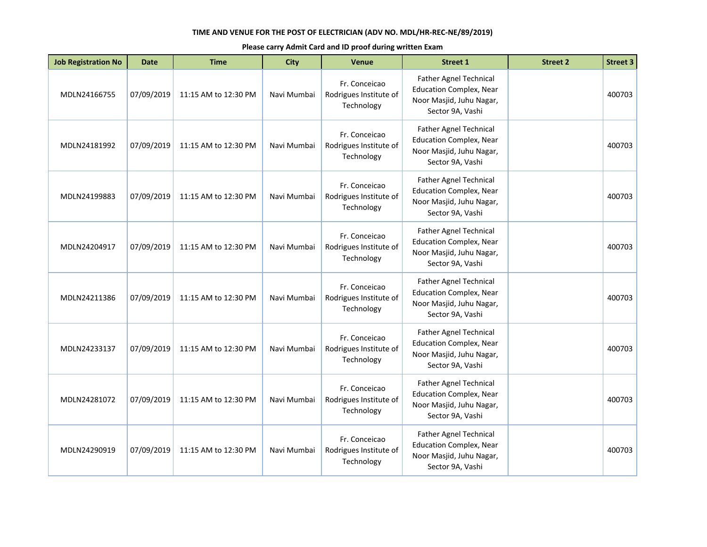| <b>Job Registration No</b> | <b>Date</b> | <b>Time</b>          | <b>City</b> | <b>Venue</b>                                          | <b>Street 1</b>                                                                                                 | <b>Street 2</b> | <b>Street 3</b> |
|----------------------------|-------------|----------------------|-------------|-------------------------------------------------------|-----------------------------------------------------------------------------------------------------------------|-----------------|-----------------|
| MDLN24166755               | 07/09/2019  | 11:15 AM to 12:30 PM | Navi Mumbai | Fr. Conceicao<br>Rodrigues Institute of<br>Technology | Father Agnel Technical<br><b>Education Complex, Near</b><br>Noor Masjid, Juhu Nagar,<br>Sector 9A, Vashi        |                 | 400703          |
| MDLN24181992               | 07/09/2019  | 11:15 AM to 12:30 PM | Navi Mumbai | Fr. Conceicao<br>Rodrigues Institute of<br>Technology | <b>Father Agnel Technical</b><br><b>Education Complex, Near</b><br>Noor Masjid, Juhu Nagar,<br>Sector 9A, Vashi |                 | 400703          |
| MDLN24199883               | 07/09/2019  | 11:15 AM to 12:30 PM | Navi Mumbai | Fr. Conceicao<br>Rodrigues Institute of<br>Technology | <b>Father Agnel Technical</b><br><b>Education Complex, Near</b><br>Noor Masjid, Juhu Nagar,<br>Sector 9A, Vashi |                 | 400703          |
| MDLN24204917               | 07/09/2019  | 11:15 AM to 12:30 PM | Navi Mumbai | Fr. Conceicao<br>Rodrigues Institute of<br>Technology | <b>Father Agnel Technical</b><br><b>Education Complex, Near</b><br>Noor Masjid, Juhu Nagar,<br>Sector 9A, Vashi |                 | 400703          |
| MDLN24211386               | 07/09/2019  | 11:15 AM to 12:30 PM | Navi Mumbai | Fr. Conceicao<br>Rodrigues Institute of<br>Technology | <b>Father Agnel Technical</b><br><b>Education Complex, Near</b><br>Noor Masjid, Juhu Nagar,<br>Sector 9A, Vashi |                 | 400703          |
| MDLN24233137               | 07/09/2019  | 11:15 AM to 12:30 PM | Navi Mumbai | Fr. Conceicao<br>Rodrigues Institute of<br>Technology | <b>Father Agnel Technical</b><br><b>Education Complex, Near</b><br>Noor Masjid, Juhu Nagar,<br>Sector 9A, Vashi |                 | 400703          |
| MDLN24281072               | 07/09/2019  | 11:15 AM to 12:30 PM | Navi Mumbai | Fr. Conceicao<br>Rodrigues Institute of<br>Technology | Father Agnel Technical<br><b>Education Complex, Near</b><br>Noor Masjid, Juhu Nagar,<br>Sector 9A, Vashi        |                 | 400703          |
| MDLN24290919               | 07/09/2019  | 11:15 AM to 12:30 PM | Navi Mumbai | Fr. Conceicao<br>Rodrigues Institute of<br>Technology | <b>Father Agnel Technical</b><br><b>Education Complex, Near</b><br>Noor Masjid, Juhu Nagar,<br>Sector 9A, Vashi |                 | 400703          |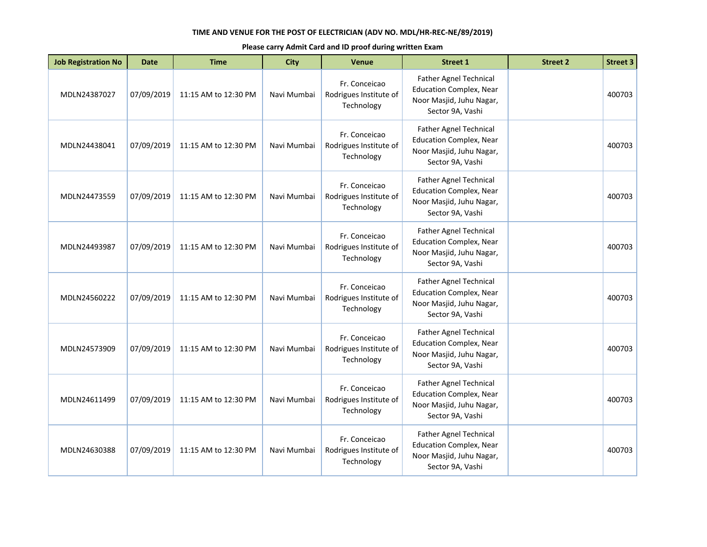| <b>Job Registration No</b> | <b>Date</b> | <b>Time</b>          | <b>City</b> | <b>Venue</b>                                          | <b>Street 1</b>                                                                                                 | <b>Street 2</b> | <b>Street 3</b> |
|----------------------------|-------------|----------------------|-------------|-------------------------------------------------------|-----------------------------------------------------------------------------------------------------------------|-----------------|-----------------|
| MDLN24387027               | 07/09/2019  | 11:15 AM to 12:30 PM | Navi Mumbai | Fr. Conceicao<br>Rodrigues Institute of<br>Technology | Father Agnel Technical<br><b>Education Complex, Near</b><br>Noor Masjid, Juhu Nagar,<br>Sector 9A, Vashi        |                 | 400703          |
| MDLN24438041               | 07/09/2019  | 11:15 AM to 12:30 PM | Navi Mumbai | Fr. Conceicao<br>Rodrigues Institute of<br>Technology | <b>Father Agnel Technical</b><br><b>Education Complex, Near</b><br>Noor Masjid, Juhu Nagar,<br>Sector 9A, Vashi |                 | 400703          |
| MDLN24473559               | 07/09/2019  | 11:15 AM to 12:30 PM | Navi Mumbai | Fr. Conceicao<br>Rodrigues Institute of<br>Technology | <b>Father Agnel Technical</b><br><b>Education Complex, Near</b><br>Noor Masjid, Juhu Nagar,<br>Sector 9A, Vashi |                 | 400703          |
| MDLN24493987               | 07/09/2019  | 11:15 AM to 12:30 PM | Navi Mumbai | Fr. Conceicao<br>Rodrigues Institute of<br>Technology | <b>Father Agnel Technical</b><br><b>Education Complex, Near</b><br>Noor Masjid, Juhu Nagar,<br>Sector 9A, Vashi |                 | 400703          |
| MDLN24560222               | 07/09/2019  | 11:15 AM to 12:30 PM | Navi Mumbai | Fr. Conceicao<br>Rodrigues Institute of<br>Technology | <b>Father Agnel Technical</b><br><b>Education Complex, Near</b><br>Noor Masjid, Juhu Nagar,<br>Sector 9A, Vashi |                 | 400703          |
| MDLN24573909               | 07/09/2019  | 11:15 AM to 12:30 PM | Navi Mumbai | Fr. Conceicao<br>Rodrigues Institute of<br>Technology | <b>Father Agnel Technical</b><br><b>Education Complex, Near</b><br>Noor Masjid, Juhu Nagar,<br>Sector 9A, Vashi |                 | 400703          |
| MDLN24611499               | 07/09/2019  | 11:15 AM to 12:30 PM | Navi Mumbai | Fr. Conceicao<br>Rodrigues Institute of<br>Technology | Father Agnel Technical<br><b>Education Complex, Near</b><br>Noor Masjid, Juhu Nagar,<br>Sector 9A, Vashi        |                 | 400703          |
| MDLN24630388               | 07/09/2019  | 11:15 AM to 12:30 PM | Navi Mumbai | Fr. Conceicao<br>Rodrigues Institute of<br>Technology | <b>Father Agnel Technical</b><br><b>Education Complex, Near</b><br>Noor Masjid, Juhu Nagar,<br>Sector 9A, Vashi |                 | 400703          |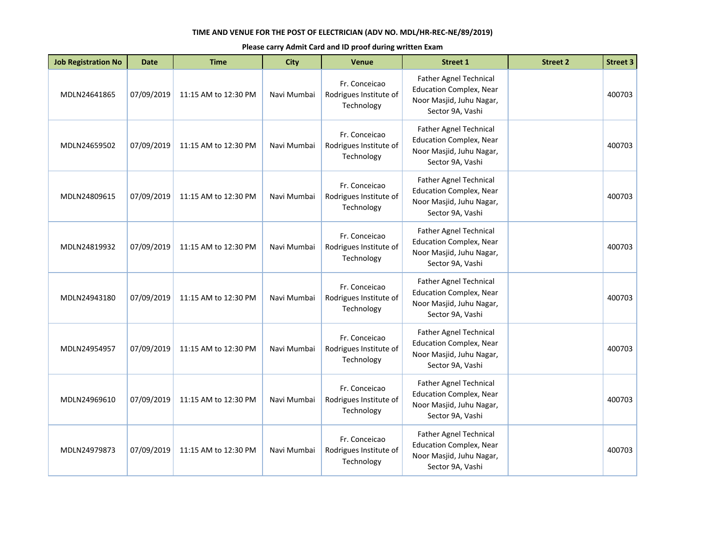| <b>Job Registration No</b> | <b>Date</b> | <b>Time</b>          | <b>City</b> | <b>Venue</b>                                          | <b>Street 1</b>                                                                                                 | <b>Street 2</b> | <b>Street 3</b> |
|----------------------------|-------------|----------------------|-------------|-------------------------------------------------------|-----------------------------------------------------------------------------------------------------------------|-----------------|-----------------|
| MDLN24641865               | 07/09/2019  | 11:15 AM to 12:30 PM | Navi Mumbai | Fr. Conceicao<br>Rodrigues Institute of<br>Technology | Father Agnel Technical<br><b>Education Complex, Near</b><br>Noor Masjid, Juhu Nagar,<br>Sector 9A, Vashi        |                 | 400703          |
| MDLN24659502               | 07/09/2019  | 11:15 AM to 12:30 PM | Navi Mumbai | Fr. Conceicao<br>Rodrigues Institute of<br>Technology | <b>Father Agnel Technical</b><br><b>Education Complex, Near</b><br>Noor Masjid, Juhu Nagar,<br>Sector 9A, Vashi |                 | 400703          |
| MDLN24809615               | 07/09/2019  | 11:15 AM to 12:30 PM | Navi Mumbai | Fr. Conceicao<br>Rodrigues Institute of<br>Technology | <b>Father Agnel Technical</b><br><b>Education Complex, Near</b><br>Noor Masjid, Juhu Nagar,<br>Sector 9A, Vashi |                 | 400703          |
| MDLN24819932               | 07/09/2019  | 11:15 AM to 12:30 PM | Navi Mumbai | Fr. Conceicao<br>Rodrigues Institute of<br>Technology | <b>Father Agnel Technical</b><br><b>Education Complex, Near</b><br>Noor Masjid, Juhu Nagar,<br>Sector 9A, Vashi |                 | 400703          |
| MDLN24943180               | 07/09/2019  | 11:15 AM to 12:30 PM | Navi Mumbai | Fr. Conceicao<br>Rodrigues Institute of<br>Technology | <b>Father Agnel Technical</b><br><b>Education Complex, Near</b><br>Noor Masjid, Juhu Nagar,<br>Sector 9A, Vashi |                 | 400703          |
| MDLN24954957               | 07/09/2019  | 11:15 AM to 12:30 PM | Navi Mumbai | Fr. Conceicao<br>Rodrigues Institute of<br>Technology | <b>Father Agnel Technical</b><br><b>Education Complex, Near</b><br>Noor Masjid, Juhu Nagar,<br>Sector 9A, Vashi |                 | 400703          |
| MDLN24969610               | 07/09/2019  | 11:15 AM to 12:30 PM | Navi Mumbai | Fr. Conceicao<br>Rodrigues Institute of<br>Technology | Father Agnel Technical<br><b>Education Complex, Near</b><br>Noor Masjid, Juhu Nagar,<br>Sector 9A, Vashi        |                 | 400703          |
| MDLN24979873               | 07/09/2019  | 11:15 AM to 12:30 PM | Navi Mumbai | Fr. Conceicao<br>Rodrigues Institute of<br>Technology | <b>Father Agnel Technical</b><br><b>Education Complex, Near</b><br>Noor Masjid, Juhu Nagar,<br>Sector 9A, Vashi |                 | 400703          |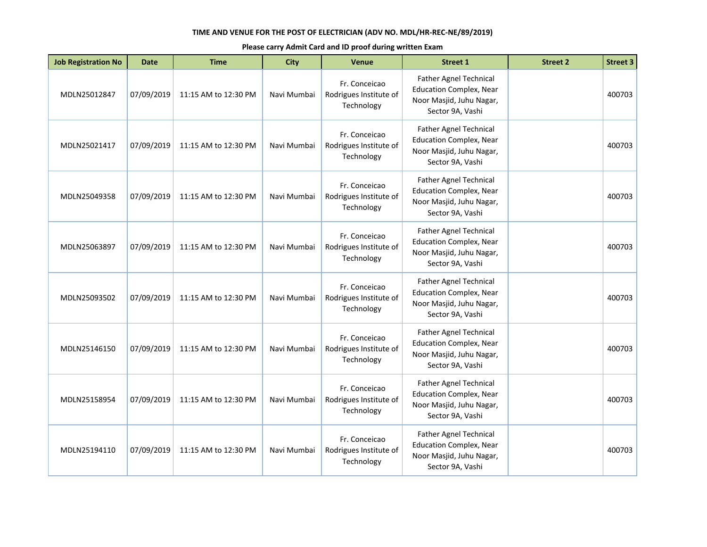| <b>Job Registration No</b> | <b>Date</b> | <b>Time</b>          | <b>City</b> | <b>Venue</b>                                          | <b>Street 1</b>                                                                                                 | <b>Street 2</b> | <b>Street 3</b> |
|----------------------------|-------------|----------------------|-------------|-------------------------------------------------------|-----------------------------------------------------------------------------------------------------------------|-----------------|-----------------|
| MDLN25012847               | 07/09/2019  | 11:15 AM to 12:30 PM | Navi Mumbai | Fr. Conceicao<br>Rodrigues Institute of<br>Technology | Father Agnel Technical<br><b>Education Complex, Near</b><br>Noor Masjid, Juhu Nagar,<br>Sector 9A, Vashi        |                 | 400703          |
| MDLN25021417               | 07/09/2019  | 11:15 AM to 12:30 PM | Navi Mumbai | Fr. Conceicao<br>Rodrigues Institute of<br>Technology | <b>Father Agnel Technical</b><br><b>Education Complex, Near</b><br>Noor Masjid, Juhu Nagar,<br>Sector 9A, Vashi |                 | 400703          |
| MDLN25049358               | 07/09/2019  | 11:15 AM to 12:30 PM | Navi Mumbai | Fr. Conceicao<br>Rodrigues Institute of<br>Technology | <b>Father Agnel Technical</b><br><b>Education Complex, Near</b><br>Noor Masjid, Juhu Nagar,<br>Sector 9A, Vashi |                 | 400703          |
| MDLN25063897               | 07/09/2019  | 11:15 AM to 12:30 PM | Navi Mumbai | Fr. Conceicao<br>Rodrigues Institute of<br>Technology | <b>Father Agnel Technical</b><br><b>Education Complex, Near</b><br>Noor Masjid, Juhu Nagar,<br>Sector 9A, Vashi |                 | 400703          |
| MDLN25093502               | 07/09/2019  | 11:15 AM to 12:30 PM | Navi Mumbai | Fr. Conceicao<br>Rodrigues Institute of<br>Technology | <b>Father Agnel Technical</b><br><b>Education Complex, Near</b><br>Noor Masjid, Juhu Nagar,<br>Sector 9A, Vashi |                 | 400703          |
| MDLN25146150               | 07/09/2019  | 11:15 AM to 12:30 PM | Navi Mumbai | Fr. Conceicao<br>Rodrigues Institute of<br>Technology | <b>Father Agnel Technical</b><br><b>Education Complex, Near</b><br>Noor Masjid, Juhu Nagar,<br>Sector 9A, Vashi |                 | 400703          |
| MDLN25158954               | 07/09/2019  | 11:15 AM to 12:30 PM | Navi Mumbai | Fr. Conceicao<br>Rodrigues Institute of<br>Technology | Father Agnel Technical<br><b>Education Complex, Near</b><br>Noor Masjid, Juhu Nagar,<br>Sector 9A, Vashi        |                 | 400703          |
| MDLN25194110               | 07/09/2019  | 11:15 AM to 12:30 PM | Navi Mumbai | Fr. Conceicao<br>Rodrigues Institute of<br>Technology | <b>Father Agnel Technical</b><br><b>Education Complex, Near</b><br>Noor Masjid, Juhu Nagar,<br>Sector 9A, Vashi |                 | 400703          |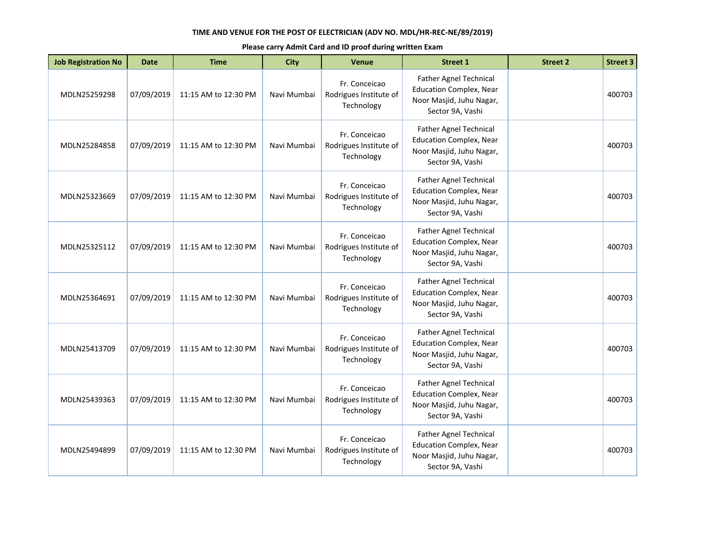| <b>Job Registration No</b> | <b>Date</b> | <b>Time</b>          | <b>City</b> | <b>Venue</b>                                          | <b>Street 1</b>                                                                                                 | <b>Street 2</b> | <b>Street 3</b> |
|----------------------------|-------------|----------------------|-------------|-------------------------------------------------------|-----------------------------------------------------------------------------------------------------------------|-----------------|-----------------|
| MDLN25259298               | 07/09/2019  | 11:15 AM to 12:30 PM | Navi Mumbai | Fr. Conceicao<br>Rodrigues Institute of<br>Technology | Father Agnel Technical<br><b>Education Complex, Near</b><br>Noor Masjid, Juhu Nagar,<br>Sector 9A, Vashi        |                 | 400703          |
| MDLN25284858               | 07/09/2019  | 11:15 AM to 12:30 PM | Navi Mumbai | Fr. Conceicao<br>Rodrigues Institute of<br>Technology | <b>Father Agnel Technical</b><br><b>Education Complex, Near</b><br>Noor Masjid, Juhu Nagar,<br>Sector 9A, Vashi |                 | 400703          |
| MDLN25323669               | 07/09/2019  | 11:15 AM to 12:30 PM | Navi Mumbai | Fr. Conceicao<br>Rodrigues Institute of<br>Technology | <b>Father Agnel Technical</b><br><b>Education Complex, Near</b><br>Noor Masjid, Juhu Nagar,<br>Sector 9A, Vashi |                 | 400703          |
| MDLN25325112               | 07/09/2019  | 11:15 AM to 12:30 PM | Navi Mumbai | Fr. Conceicao<br>Rodrigues Institute of<br>Technology | <b>Father Agnel Technical</b><br><b>Education Complex, Near</b><br>Noor Masjid, Juhu Nagar,<br>Sector 9A, Vashi |                 | 400703          |
| MDLN25364691               | 07/09/2019  | 11:15 AM to 12:30 PM | Navi Mumbai | Fr. Conceicao<br>Rodrigues Institute of<br>Technology | <b>Father Agnel Technical</b><br><b>Education Complex, Near</b><br>Noor Masjid, Juhu Nagar,<br>Sector 9A, Vashi |                 | 400703          |
| MDLN25413709               | 07/09/2019  | 11:15 AM to 12:30 PM | Navi Mumbai | Fr. Conceicao<br>Rodrigues Institute of<br>Technology | <b>Father Agnel Technical</b><br><b>Education Complex, Near</b><br>Noor Masjid, Juhu Nagar,<br>Sector 9A, Vashi |                 | 400703          |
| MDLN25439363               | 07/09/2019  | 11:15 AM to 12:30 PM | Navi Mumbai | Fr. Conceicao<br>Rodrigues Institute of<br>Technology | Father Agnel Technical<br><b>Education Complex, Near</b><br>Noor Masjid, Juhu Nagar,<br>Sector 9A, Vashi        |                 | 400703          |
| MDLN25494899               | 07/09/2019  | 11:15 AM to 12:30 PM | Navi Mumbai | Fr. Conceicao<br>Rodrigues Institute of<br>Technology | Father Agnel Technical<br><b>Education Complex, Near</b><br>Noor Masjid, Juhu Nagar,<br>Sector 9A, Vashi        |                 | 400703          |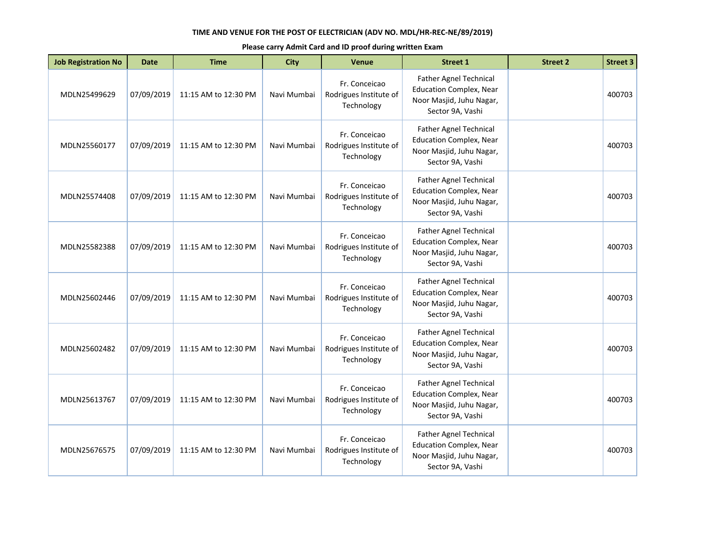| <b>Job Registration No</b> | <b>Date</b> | <b>Time</b>          | <b>City</b> | <b>Venue</b>                                          | <b>Street 1</b>                                                                                                 | <b>Street 2</b> | <b>Street 3</b> |
|----------------------------|-------------|----------------------|-------------|-------------------------------------------------------|-----------------------------------------------------------------------------------------------------------------|-----------------|-----------------|
| MDLN25499629               | 07/09/2019  | 11:15 AM to 12:30 PM | Navi Mumbai | Fr. Conceicao<br>Rodrigues Institute of<br>Technology | Father Agnel Technical<br><b>Education Complex, Near</b><br>Noor Masjid, Juhu Nagar,<br>Sector 9A, Vashi        |                 | 400703          |
| MDLN25560177               | 07/09/2019  | 11:15 AM to 12:30 PM | Navi Mumbai | Fr. Conceicao<br>Rodrigues Institute of<br>Technology | <b>Father Agnel Technical</b><br><b>Education Complex, Near</b><br>Noor Masjid, Juhu Nagar,<br>Sector 9A, Vashi |                 | 400703          |
| MDLN25574408               | 07/09/2019  | 11:15 AM to 12:30 PM | Navi Mumbai | Fr. Conceicao<br>Rodrigues Institute of<br>Technology | <b>Father Agnel Technical</b><br><b>Education Complex, Near</b><br>Noor Masjid, Juhu Nagar,<br>Sector 9A, Vashi |                 | 400703          |
| MDLN25582388               | 07/09/2019  | 11:15 AM to 12:30 PM | Navi Mumbai | Fr. Conceicao<br>Rodrigues Institute of<br>Technology | <b>Father Agnel Technical</b><br><b>Education Complex, Near</b><br>Noor Masjid, Juhu Nagar,<br>Sector 9A, Vashi |                 | 400703          |
| MDLN25602446               | 07/09/2019  | 11:15 AM to 12:30 PM | Navi Mumbai | Fr. Conceicao<br>Rodrigues Institute of<br>Technology | Father Agnel Technical<br><b>Education Complex, Near</b><br>Noor Masjid, Juhu Nagar,<br>Sector 9A, Vashi        |                 | 400703          |
| MDLN25602482               | 07/09/2019  | 11:15 AM to 12:30 PM | Navi Mumbai | Fr. Conceicao<br>Rodrigues Institute of<br>Technology | <b>Father Agnel Technical</b><br><b>Education Complex, Near</b><br>Noor Masjid, Juhu Nagar,<br>Sector 9A, Vashi |                 | 400703          |
| MDLN25613767               | 07/09/2019  | 11:15 AM to 12:30 PM | Navi Mumbai | Fr. Conceicao<br>Rodrigues Institute of<br>Technology | Father Agnel Technical<br><b>Education Complex, Near</b><br>Noor Masjid, Juhu Nagar,<br>Sector 9A, Vashi        |                 | 400703          |
| MDLN25676575               | 07/09/2019  | 11:15 AM to 12:30 PM | Navi Mumbai | Fr. Conceicao<br>Rodrigues Institute of<br>Technology | Father Agnel Technical<br><b>Education Complex, Near</b><br>Noor Masjid, Juhu Nagar,<br>Sector 9A, Vashi        |                 | 400703          |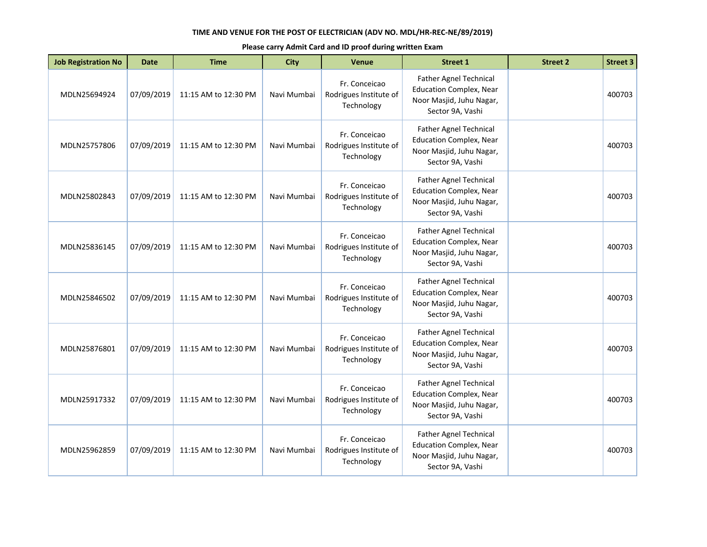| <b>Job Registration No</b> | <b>Date</b> | <b>Time</b>          | <b>City</b> | <b>Venue</b>                                          | <b>Street 1</b>                                                                                                 | <b>Street 2</b> | <b>Street 3</b> |
|----------------------------|-------------|----------------------|-------------|-------------------------------------------------------|-----------------------------------------------------------------------------------------------------------------|-----------------|-----------------|
| MDLN25694924               | 07/09/2019  | 11:15 AM to 12:30 PM | Navi Mumbai | Fr. Conceicao<br>Rodrigues Institute of<br>Technology | Father Agnel Technical<br><b>Education Complex, Near</b><br>Noor Masjid, Juhu Nagar,<br>Sector 9A, Vashi        |                 | 400703          |
| MDLN25757806               | 07/09/2019  | 11:15 AM to 12:30 PM | Navi Mumbai | Fr. Conceicao<br>Rodrigues Institute of<br>Technology | <b>Father Agnel Technical</b><br><b>Education Complex, Near</b><br>Noor Masjid, Juhu Nagar,<br>Sector 9A, Vashi |                 | 400703          |
| MDLN25802843               | 07/09/2019  | 11:15 AM to 12:30 PM | Navi Mumbai | Fr. Conceicao<br>Rodrigues Institute of<br>Technology | <b>Father Agnel Technical</b><br><b>Education Complex, Near</b><br>Noor Masjid, Juhu Nagar,<br>Sector 9A, Vashi |                 | 400703          |
| MDLN25836145               | 07/09/2019  | 11:15 AM to 12:30 PM | Navi Mumbai | Fr. Conceicao<br>Rodrigues Institute of<br>Technology | <b>Father Agnel Technical</b><br><b>Education Complex, Near</b><br>Noor Masjid, Juhu Nagar,<br>Sector 9A, Vashi |                 | 400703          |
| MDLN25846502               | 07/09/2019  | 11:15 AM to 12:30 PM | Navi Mumbai | Fr. Conceicao<br>Rodrigues Institute of<br>Technology | Father Agnel Technical<br><b>Education Complex, Near</b><br>Noor Masjid, Juhu Nagar,<br>Sector 9A, Vashi        |                 | 400703          |
| MDLN25876801               | 07/09/2019  | 11:15 AM to 12:30 PM | Navi Mumbai | Fr. Conceicao<br>Rodrigues Institute of<br>Technology | <b>Father Agnel Technical</b><br><b>Education Complex, Near</b><br>Noor Masjid, Juhu Nagar,<br>Sector 9A, Vashi |                 | 400703          |
| MDLN25917332               | 07/09/2019  | 11:15 AM to 12:30 PM | Navi Mumbai | Fr. Conceicao<br>Rodrigues Institute of<br>Technology | Father Agnel Technical<br><b>Education Complex, Near</b><br>Noor Masjid, Juhu Nagar,<br>Sector 9A, Vashi        |                 | 400703          |
| MDLN25962859               | 07/09/2019  | 11:15 AM to 12:30 PM | Navi Mumbai | Fr. Conceicao<br>Rodrigues Institute of<br>Technology | Father Agnel Technical<br><b>Education Complex, Near</b><br>Noor Masjid, Juhu Nagar,<br>Sector 9A, Vashi        |                 | 400703          |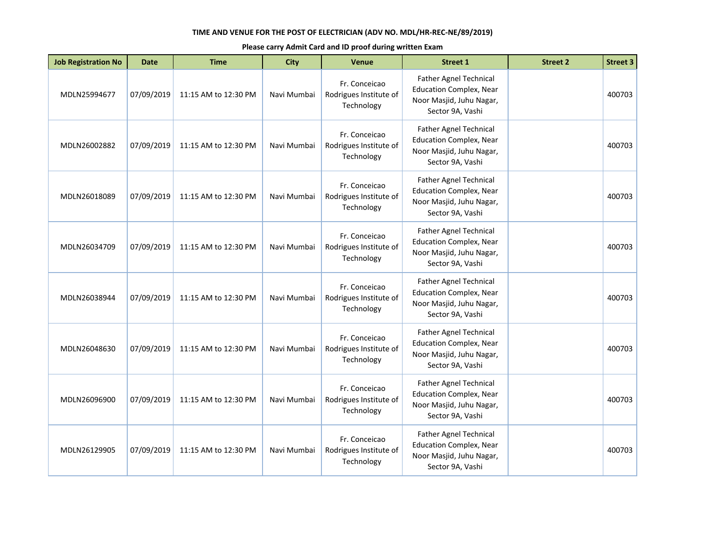| <b>Job Registration No</b> | <b>Date</b> | <b>Time</b>          | <b>City</b> | <b>Venue</b>                                          | <b>Street 1</b>                                                                                                 | <b>Street 2</b> | <b>Street 3</b> |
|----------------------------|-------------|----------------------|-------------|-------------------------------------------------------|-----------------------------------------------------------------------------------------------------------------|-----------------|-----------------|
| MDLN25994677               | 07/09/2019  | 11:15 AM to 12:30 PM | Navi Mumbai | Fr. Conceicao<br>Rodrigues Institute of<br>Technology | Father Agnel Technical<br><b>Education Complex, Near</b><br>Noor Masjid, Juhu Nagar,<br>Sector 9A, Vashi        |                 | 400703          |
| MDLN26002882               | 07/09/2019  | 11:15 AM to 12:30 PM | Navi Mumbai | Fr. Conceicao<br>Rodrigues Institute of<br>Technology | <b>Father Agnel Technical</b><br><b>Education Complex, Near</b><br>Noor Masjid, Juhu Nagar,<br>Sector 9A, Vashi |                 | 400703          |
| MDLN26018089               | 07/09/2019  | 11:15 AM to 12:30 PM | Navi Mumbai | Fr. Conceicao<br>Rodrigues Institute of<br>Technology | <b>Father Agnel Technical</b><br><b>Education Complex, Near</b><br>Noor Masjid, Juhu Nagar,<br>Sector 9A, Vashi |                 | 400703          |
| MDLN26034709               | 07/09/2019  | 11:15 AM to 12:30 PM | Navi Mumbai | Fr. Conceicao<br>Rodrigues Institute of<br>Technology | <b>Father Agnel Technical</b><br><b>Education Complex, Near</b><br>Noor Masjid, Juhu Nagar,<br>Sector 9A, Vashi |                 | 400703          |
| MDLN26038944               | 07/09/2019  | 11:15 AM to 12:30 PM | Navi Mumbai | Fr. Conceicao<br>Rodrigues Institute of<br>Technology | Father Agnel Technical<br><b>Education Complex, Near</b><br>Noor Masjid, Juhu Nagar,<br>Sector 9A, Vashi        |                 | 400703          |
| MDLN26048630               | 07/09/2019  | 11:15 AM to 12:30 PM | Navi Mumbai | Fr. Conceicao<br>Rodrigues Institute of<br>Technology | <b>Father Agnel Technical</b><br><b>Education Complex, Near</b><br>Noor Masjid, Juhu Nagar,<br>Sector 9A, Vashi |                 | 400703          |
| MDLN26096900               | 07/09/2019  | 11:15 AM to 12:30 PM | Navi Mumbai | Fr. Conceicao<br>Rodrigues Institute of<br>Technology | Father Agnel Technical<br><b>Education Complex, Near</b><br>Noor Masjid, Juhu Nagar,<br>Sector 9A, Vashi        |                 | 400703          |
| MDLN26129905               | 07/09/2019  | 11:15 AM to 12:30 PM | Navi Mumbai | Fr. Conceicao<br>Rodrigues Institute of<br>Technology | Father Agnel Technical<br><b>Education Complex, Near</b><br>Noor Masjid, Juhu Nagar,<br>Sector 9A, Vashi        |                 | 400703          |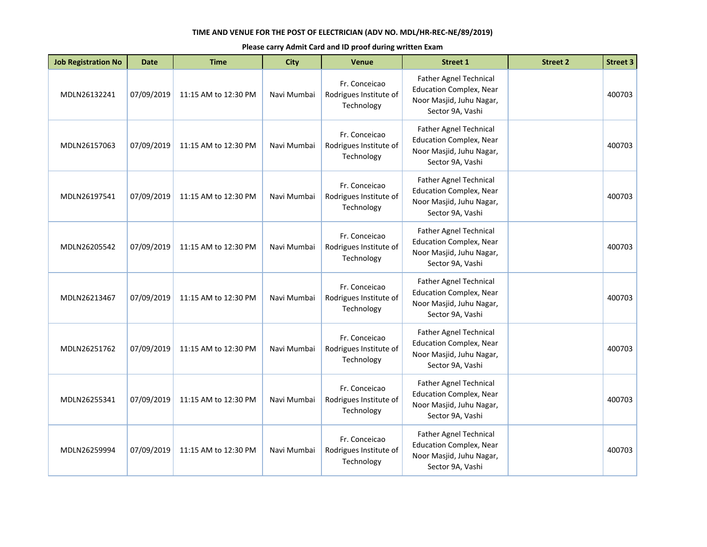| <b>Job Registration No</b> | <b>Date</b> | <b>Time</b>          | <b>City</b> | <b>Venue</b>                                          | <b>Street 1</b>                                                                                                 | <b>Street 2</b> | <b>Street 3</b> |
|----------------------------|-------------|----------------------|-------------|-------------------------------------------------------|-----------------------------------------------------------------------------------------------------------------|-----------------|-----------------|
| MDLN26132241               | 07/09/2019  | 11:15 AM to 12:30 PM | Navi Mumbai | Fr. Conceicao<br>Rodrigues Institute of<br>Technology | Father Agnel Technical<br><b>Education Complex, Near</b><br>Noor Masjid, Juhu Nagar,<br>Sector 9A, Vashi        |                 | 400703          |
| MDLN26157063               | 07/09/2019  | 11:15 AM to 12:30 PM | Navi Mumbai | Fr. Conceicao<br>Rodrigues Institute of<br>Technology | <b>Father Agnel Technical</b><br><b>Education Complex, Near</b><br>Noor Masjid, Juhu Nagar,<br>Sector 9A, Vashi |                 | 400703          |
| MDLN26197541               | 07/09/2019  | 11:15 AM to 12:30 PM | Navi Mumbai | Fr. Conceicao<br>Rodrigues Institute of<br>Technology | <b>Father Agnel Technical</b><br><b>Education Complex, Near</b><br>Noor Masjid, Juhu Nagar,<br>Sector 9A, Vashi |                 | 400703          |
| MDLN26205542               | 07/09/2019  | 11:15 AM to 12:30 PM | Navi Mumbai | Fr. Conceicao<br>Rodrigues Institute of<br>Technology | <b>Father Agnel Technical</b><br><b>Education Complex, Near</b><br>Noor Masjid, Juhu Nagar,<br>Sector 9A, Vashi |                 | 400703          |
| MDLN26213467               | 07/09/2019  | 11:15 AM to 12:30 PM | Navi Mumbai | Fr. Conceicao<br>Rodrigues Institute of<br>Technology | Father Agnel Technical<br><b>Education Complex, Near</b><br>Noor Masjid, Juhu Nagar,<br>Sector 9A, Vashi        |                 | 400703          |
| MDLN26251762               | 07/09/2019  | 11:15 AM to 12:30 PM | Navi Mumbai | Fr. Conceicao<br>Rodrigues Institute of<br>Technology | <b>Father Agnel Technical</b><br><b>Education Complex, Near</b><br>Noor Masjid, Juhu Nagar,<br>Sector 9A, Vashi |                 | 400703          |
| MDLN26255341               | 07/09/2019  | 11:15 AM to 12:30 PM | Navi Mumbai | Fr. Conceicao<br>Rodrigues Institute of<br>Technology | Father Agnel Technical<br><b>Education Complex, Near</b><br>Noor Masjid, Juhu Nagar,<br>Sector 9A, Vashi        |                 | 400703          |
| MDLN26259994               | 07/09/2019  | 11:15 AM to 12:30 PM | Navi Mumbai | Fr. Conceicao<br>Rodrigues Institute of<br>Technology | Father Agnel Technical<br><b>Education Complex, Near</b><br>Noor Masjid, Juhu Nagar,<br>Sector 9A, Vashi        |                 | 400703          |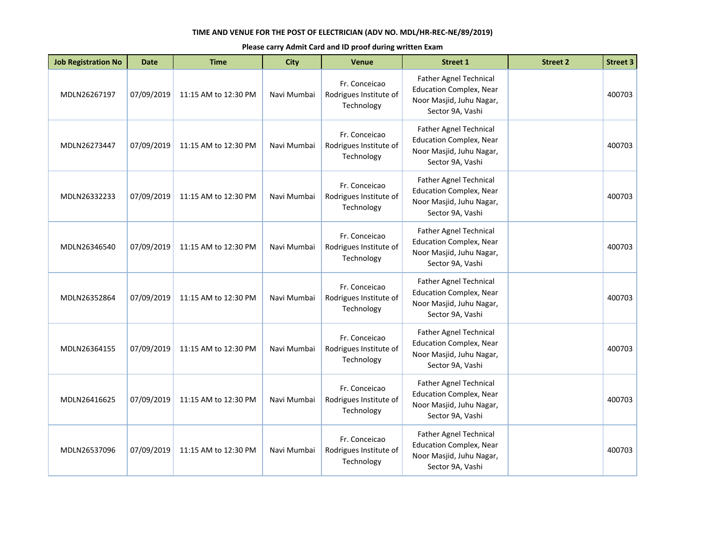| <b>Job Registration No</b> | <b>Date</b> | <b>Time</b>          | <b>City</b> | Venue                                                 | <b>Street 1</b>                                                                                                 | <b>Street 2</b> | <b>Street 3</b> |
|----------------------------|-------------|----------------------|-------------|-------------------------------------------------------|-----------------------------------------------------------------------------------------------------------------|-----------------|-----------------|
| MDLN26267197               | 07/09/2019  | 11:15 AM to 12:30 PM | Navi Mumbai | Fr. Conceicao<br>Rodrigues Institute of<br>Technology | <b>Father Agnel Technical</b><br><b>Education Complex, Near</b><br>Noor Masjid, Juhu Nagar,<br>Sector 9A, Vashi |                 | 400703          |
| MDLN26273447               | 07/09/2019  | 11:15 AM to 12:30 PM | Navi Mumbai | Fr. Conceicao<br>Rodrigues Institute of<br>Technology | Father Agnel Technical<br><b>Education Complex, Near</b><br>Noor Masjid, Juhu Nagar,<br>Sector 9A, Vashi        |                 | 400703          |
| MDLN26332233               | 07/09/2019  | 11:15 AM to 12:30 PM | Navi Mumbai | Fr. Conceicao<br>Rodrigues Institute of<br>Technology | Father Agnel Technical<br><b>Education Complex, Near</b><br>Noor Masjid, Juhu Nagar,<br>Sector 9A, Vashi        |                 | 400703          |
| MDLN26346540               | 07/09/2019  | 11:15 AM to 12:30 PM | Navi Mumbai | Fr. Conceicao<br>Rodrigues Institute of<br>Technology | <b>Father Agnel Technical</b><br><b>Education Complex, Near</b><br>Noor Masjid, Juhu Nagar,<br>Sector 9A, Vashi |                 | 400703          |
| MDLN26352864               | 07/09/2019  | 11:15 AM to 12:30 PM | Navi Mumbai | Fr. Conceicao<br>Rodrigues Institute of<br>Technology | <b>Father Agnel Technical</b><br><b>Education Complex, Near</b><br>Noor Masjid, Juhu Nagar,<br>Sector 9A, Vashi |                 | 400703          |
| MDLN26364155               | 07/09/2019  | 11:15 AM to 12:30 PM | Navi Mumbai | Fr. Conceicao<br>Rodrigues Institute of<br>Technology | Father Agnel Technical<br><b>Education Complex, Near</b><br>Noor Masjid, Juhu Nagar,<br>Sector 9A, Vashi        |                 | 400703          |
| MDLN26416625               | 07/09/2019  | 11:15 AM to 12:30 PM | Navi Mumbai | Fr. Conceicao<br>Rodrigues Institute of<br>Technology | <b>Father Agnel Technical</b><br><b>Education Complex, Near</b><br>Noor Masjid, Juhu Nagar,<br>Sector 9A, Vashi |                 | 400703          |
| MDLN26537096               | 07/09/2019  | 11:15 AM to 12:30 PM | Navi Mumbai | Fr. Conceicao<br>Rodrigues Institute of<br>Technology | Father Agnel Technical<br><b>Education Complex, Near</b><br>Noor Masjid, Juhu Nagar,<br>Sector 9A, Vashi        |                 | 400703          |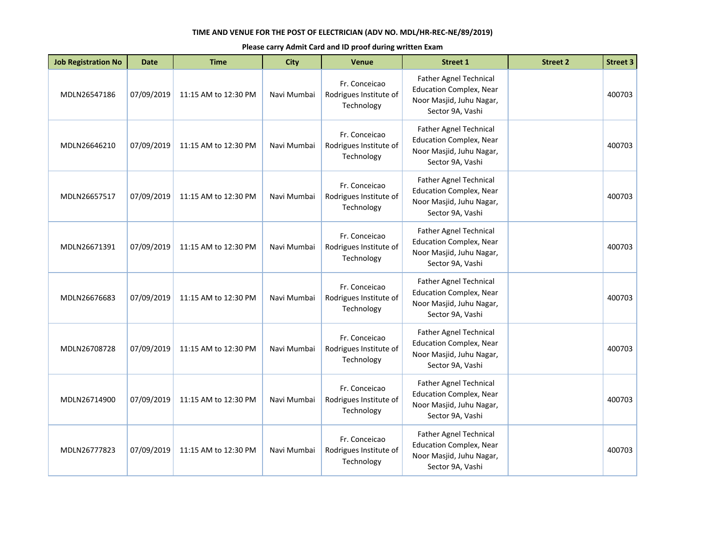| <b>Job Registration No</b> | <b>Date</b> | <b>Time</b>          | <b>City</b> | <b>Venue</b>                                          | <b>Street 1</b>                                                                                                 | <b>Street 2</b> | <b>Street 3</b> |
|----------------------------|-------------|----------------------|-------------|-------------------------------------------------------|-----------------------------------------------------------------------------------------------------------------|-----------------|-----------------|
| MDLN26547186               | 07/09/2019  | 11:15 AM to 12:30 PM | Navi Mumbai | Fr. Conceicao<br>Rodrigues Institute of<br>Technology | <b>Father Agnel Technical</b><br><b>Education Complex, Near</b><br>Noor Masjid, Juhu Nagar,<br>Sector 9A, Vashi |                 | 400703          |
| MDLN26646210               | 07/09/2019  | 11:15 AM to 12:30 PM | Navi Mumbai | Fr. Conceicao<br>Rodrigues Institute of<br>Technology | Father Agnel Technical<br><b>Education Complex, Near</b><br>Noor Masjid, Juhu Nagar,<br>Sector 9A, Vashi        |                 | 400703          |
| MDLN26657517               | 07/09/2019  | 11:15 AM to 12:30 PM | Navi Mumbai | Fr. Conceicao<br>Rodrigues Institute of<br>Technology | Father Agnel Technical<br><b>Education Complex, Near</b><br>Noor Masjid, Juhu Nagar,<br>Sector 9A, Vashi        |                 | 400703          |
| MDLN26671391               | 07/09/2019  | 11:15 AM to 12:30 PM | Navi Mumbai | Fr. Conceicao<br>Rodrigues Institute of<br>Technology | <b>Father Agnel Technical</b><br><b>Education Complex, Near</b><br>Noor Masjid, Juhu Nagar,<br>Sector 9A, Vashi |                 | 400703          |
| MDLN26676683               | 07/09/2019  | 11:15 AM to 12:30 PM | Navi Mumbai | Fr. Conceicao<br>Rodrigues Institute of<br>Technology | <b>Father Agnel Technical</b><br><b>Education Complex, Near</b><br>Noor Masjid, Juhu Nagar,<br>Sector 9A, Vashi |                 | 400703          |
| MDLN26708728               | 07/09/2019  | 11:15 AM to 12:30 PM | Navi Mumbai | Fr. Conceicao<br>Rodrigues Institute of<br>Technology | Father Agnel Technical<br><b>Education Complex, Near</b><br>Noor Masjid, Juhu Nagar,<br>Sector 9A, Vashi        |                 | 400703          |
| MDLN26714900               | 07/09/2019  | 11:15 AM to 12:30 PM | Navi Mumbai | Fr. Conceicao<br>Rodrigues Institute of<br>Technology | <b>Father Agnel Technical</b><br><b>Education Complex, Near</b><br>Noor Masjid, Juhu Nagar,<br>Sector 9A, Vashi |                 | 400703          |
| MDLN26777823               | 07/09/2019  | 11:15 AM to 12:30 PM | Navi Mumbai | Fr. Conceicao<br>Rodrigues Institute of<br>Technology | Father Agnel Technical<br><b>Education Complex, Near</b><br>Noor Masjid, Juhu Nagar,<br>Sector 9A, Vashi        |                 | 400703          |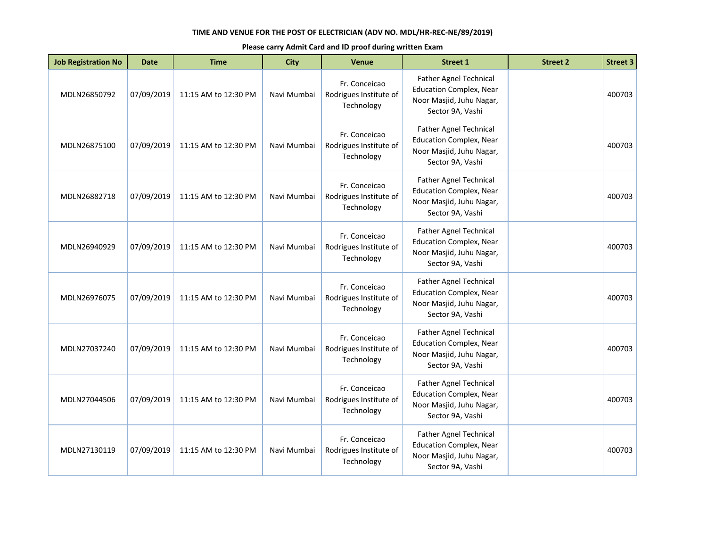| <b>Job Registration No</b> | <b>Date</b> | <b>Time</b>          | <b>City</b> | <b>Venue</b>                                          | <b>Street 1</b>                                                                                                 | <b>Street 2</b> | <b>Street 3</b> |
|----------------------------|-------------|----------------------|-------------|-------------------------------------------------------|-----------------------------------------------------------------------------------------------------------------|-----------------|-----------------|
| MDLN26850792               | 07/09/2019  | 11:15 AM to 12:30 PM | Navi Mumbai | Fr. Conceicao<br>Rodrigues Institute of<br>Technology | Father Agnel Technical<br><b>Education Complex, Near</b><br>Noor Masjid, Juhu Nagar,<br>Sector 9A, Vashi        |                 | 400703          |
| MDLN26875100               | 07/09/2019  | 11:15 AM to 12:30 PM | Navi Mumbai | Fr. Conceicao<br>Rodrigues Institute of<br>Technology | <b>Father Agnel Technical</b><br><b>Education Complex, Near</b><br>Noor Masjid, Juhu Nagar,<br>Sector 9A, Vashi |                 | 400703          |
| MDLN26882718               | 07/09/2019  | 11:15 AM to 12:30 PM | Navi Mumbai | Fr. Conceicao<br>Rodrigues Institute of<br>Technology | <b>Father Agnel Technical</b><br><b>Education Complex, Near</b><br>Noor Masjid, Juhu Nagar,<br>Sector 9A, Vashi |                 | 400703          |
| MDLN26940929               | 07/09/2019  | 11:15 AM to 12:30 PM | Navi Mumbai | Fr. Conceicao<br>Rodrigues Institute of<br>Technology | <b>Father Agnel Technical</b><br><b>Education Complex, Near</b><br>Noor Masjid, Juhu Nagar,<br>Sector 9A, Vashi |                 | 400703          |
| MDLN26976075               | 07/09/2019  | 11:15 AM to 12:30 PM | Navi Mumbai | Fr. Conceicao<br>Rodrigues Institute of<br>Technology | Father Agnel Technical<br><b>Education Complex, Near</b><br>Noor Masjid, Juhu Nagar,<br>Sector 9A, Vashi        |                 | 400703          |
| MDLN27037240               | 07/09/2019  | 11:15 AM to 12:30 PM | Navi Mumbai | Fr. Conceicao<br>Rodrigues Institute of<br>Technology | <b>Father Agnel Technical</b><br><b>Education Complex, Near</b><br>Noor Masjid, Juhu Nagar,<br>Sector 9A, Vashi |                 | 400703          |
| MDLN27044506               | 07/09/2019  | 11:15 AM to 12:30 PM | Navi Mumbai | Fr. Conceicao<br>Rodrigues Institute of<br>Technology | Father Agnel Technical<br><b>Education Complex, Near</b><br>Noor Masjid, Juhu Nagar,<br>Sector 9A, Vashi        |                 | 400703          |
| MDLN27130119               | 07/09/2019  | 11:15 AM to 12:30 PM | Navi Mumbai | Fr. Conceicao<br>Rodrigues Institute of<br>Technology | Father Agnel Technical<br><b>Education Complex, Near</b><br>Noor Masjid, Juhu Nagar,<br>Sector 9A, Vashi        |                 | 400703          |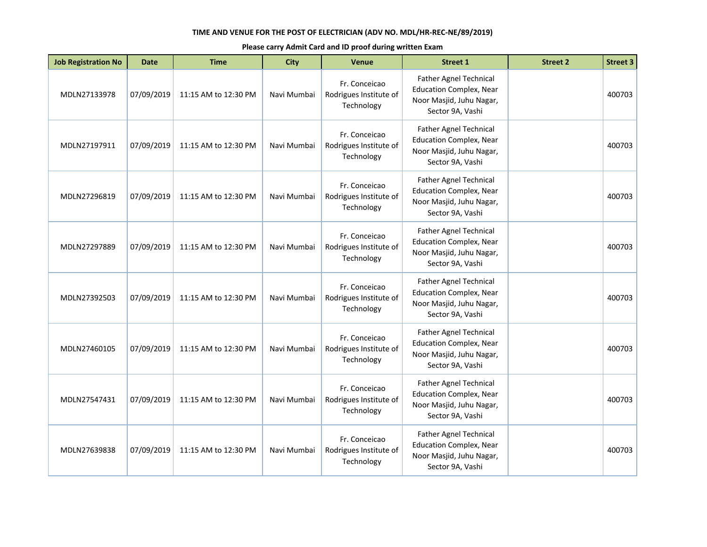| <b>Job Registration No</b> | <b>Date</b> | <b>Time</b>          | <b>City</b> | <b>Venue</b>                                          | <b>Street 1</b>                                                                                                 | <b>Street 2</b> | <b>Street 3</b> |
|----------------------------|-------------|----------------------|-------------|-------------------------------------------------------|-----------------------------------------------------------------------------------------------------------------|-----------------|-----------------|
| MDLN27133978               | 07/09/2019  | 11:15 AM to 12:30 PM | Navi Mumbai | Fr. Conceicao<br>Rodrigues Institute of<br>Technology | Father Agnel Technical<br><b>Education Complex, Near</b><br>Noor Masjid, Juhu Nagar,<br>Sector 9A, Vashi        |                 | 400703          |
| MDLN27197911               | 07/09/2019  | 11:15 AM to 12:30 PM | Navi Mumbai | Fr. Conceicao<br>Rodrigues Institute of<br>Technology | <b>Father Agnel Technical</b><br><b>Education Complex, Near</b><br>Noor Masjid, Juhu Nagar,<br>Sector 9A, Vashi |                 | 400703          |
| MDLN27296819               | 07/09/2019  | 11:15 AM to 12:30 PM | Navi Mumbai | Fr. Conceicao<br>Rodrigues Institute of<br>Technology | <b>Father Agnel Technical</b><br><b>Education Complex, Near</b><br>Noor Masjid, Juhu Nagar,<br>Sector 9A, Vashi |                 | 400703          |
| MDLN27297889               | 07/09/2019  | 11:15 AM to 12:30 PM | Navi Mumbai | Fr. Conceicao<br>Rodrigues Institute of<br>Technology | <b>Father Agnel Technical</b><br><b>Education Complex, Near</b><br>Noor Masjid, Juhu Nagar,<br>Sector 9A, Vashi |                 | 400703          |
| MDLN27392503               | 07/09/2019  | 11:15 AM to 12:30 PM | Navi Mumbai | Fr. Conceicao<br>Rodrigues Institute of<br>Technology | Father Agnel Technical<br><b>Education Complex, Near</b><br>Noor Masjid, Juhu Nagar,<br>Sector 9A, Vashi        |                 | 400703          |
| MDLN27460105               | 07/09/2019  | 11:15 AM to 12:30 PM | Navi Mumbai | Fr. Conceicao<br>Rodrigues Institute of<br>Technology | <b>Father Agnel Technical</b><br><b>Education Complex, Near</b><br>Noor Masjid, Juhu Nagar,<br>Sector 9A, Vashi |                 | 400703          |
| MDLN27547431               | 07/09/2019  | 11:15 AM to 12:30 PM | Navi Mumbai | Fr. Conceicao<br>Rodrigues Institute of<br>Technology | Father Agnel Technical<br><b>Education Complex, Near</b><br>Noor Masjid, Juhu Nagar,<br>Sector 9A, Vashi        |                 | 400703          |
| MDLN27639838               | 07/09/2019  | 11:15 AM to 12:30 PM | Navi Mumbai | Fr. Conceicao<br>Rodrigues Institute of<br>Technology | Father Agnel Technical<br><b>Education Complex, Near</b><br>Noor Masjid, Juhu Nagar,<br>Sector 9A, Vashi        |                 | 400703          |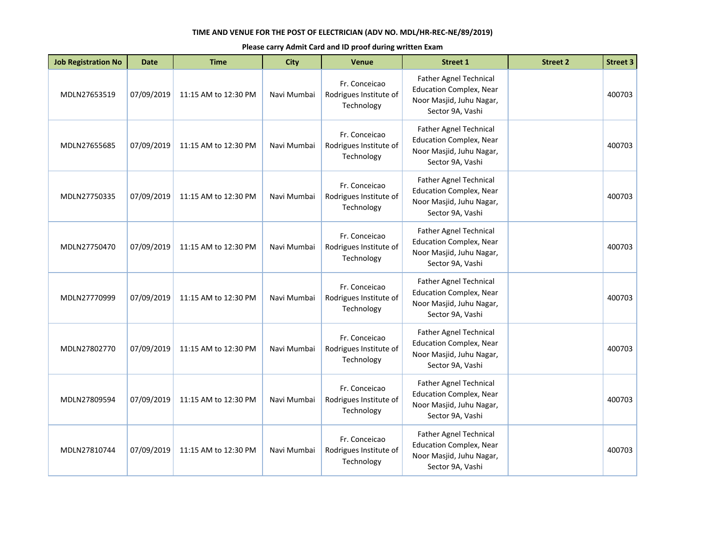| <b>Job Registration No</b> | <b>Date</b> | <b>Time</b>          | <b>City</b> | <b>Venue</b>                                          | <b>Street 1</b>                                                                                                 | <b>Street 2</b> | <b>Street 3</b> |
|----------------------------|-------------|----------------------|-------------|-------------------------------------------------------|-----------------------------------------------------------------------------------------------------------------|-----------------|-----------------|
| MDLN27653519               | 07/09/2019  | 11:15 AM to 12:30 PM | Navi Mumbai | Fr. Conceicao<br>Rodrigues Institute of<br>Technology | Father Agnel Technical<br><b>Education Complex, Near</b><br>Noor Masjid, Juhu Nagar,<br>Sector 9A, Vashi        |                 | 400703          |
| MDLN27655685               | 07/09/2019  | 11:15 AM to 12:30 PM | Navi Mumbai | Fr. Conceicao<br>Rodrigues Institute of<br>Technology | <b>Father Agnel Technical</b><br><b>Education Complex, Near</b><br>Noor Masjid, Juhu Nagar,<br>Sector 9A, Vashi |                 | 400703          |
| MDLN27750335               | 07/09/2019  | 11:15 AM to 12:30 PM | Navi Mumbai | Fr. Conceicao<br>Rodrigues Institute of<br>Technology | <b>Father Agnel Technical</b><br><b>Education Complex, Near</b><br>Noor Masjid, Juhu Nagar,<br>Sector 9A, Vashi |                 | 400703          |
| MDLN27750470               | 07/09/2019  | 11:15 AM to 12:30 PM | Navi Mumbai | Fr. Conceicao<br>Rodrigues Institute of<br>Technology | <b>Father Agnel Technical</b><br><b>Education Complex, Near</b><br>Noor Masjid, Juhu Nagar,<br>Sector 9A, Vashi |                 | 400703          |
| MDLN27770999               | 07/09/2019  | 11:15 AM to 12:30 PM | Navi Mumbai | Fr. Conceicao<br>Rodrigues Institute of<br>Technology | Father Agnel Technical<br><b>Education Complex, Near</b><br>Noor Masjid, Juhu Nagar,<br>Sector 9A, Vashi        |                 | 400703          |
| MDLN27802770               | 07/09/2019  | 11:15 AM to 12:30 PM | Navi Mumbai | Fr. Conceicao<br>Rodrigues Institute of<br>Technology | <b>Father Agnel Technical</b><br><b>Education Complex, Near</b><br>Noor Masjid, Juhu Nagar,<br>Sector 9A, Vashi |                 | 400703          |
| MDLN27809594               | 07/09/2019  | 11:15 AM to 12:30 PM | Navi Mumbai | Fr. Conceicao<br>Rodrigues Institute of<br>Technology | Father Agnel Technical<br><b>Education Complex, Near</b><br>Noor Masjid, Juhu Nagar,<br>Sector 9A, Vashi        |                 | 400703          |
| MDLN27810744               | 07/09/2019  | 11:15 AM to 12:30 PM | Navi Mumbai | Fr. Conceicao<br>Rodrigues Institute of<br>Technology | Father Agnel Technical<br><b>Education Complex, Near</b><br>Noor Masjid, Juhu Nagar,<br>Sector 9A, Vashi        |                 | 400703          |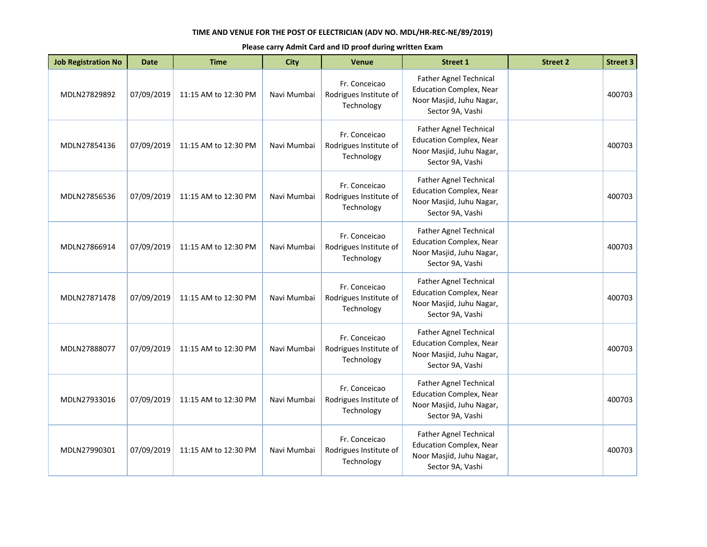| <b>Job Registration No</b> | <b>Date</b> | <b>Time</b>          | <b>City</b> | <b>Venue</b>                                          | <b>Street 1</b>                                                                                                 | <b>Street 2</b> | <b>Street 3</b> |
|----------------------------|-------------|----------------------|-------------|-------------------------------------------------------|-----------------------------------------------------------------------------------------------------------------|-----------------|-----------------|
| MDLN27829892               | 07/09/2019  | 11:15 AM to 12:30 PM | Navi Mumbai | Fr. Conceicao<br>Rodrigues Institute of<br>Technology | Father Agnel Technical<br><b>Education Complex, Near</b><br>Noor Masjid, Juhu Nagar,<br>Sector 9A, Vashi        |                 | 400703          |
| MDLN27854136               | 07/09/2019  | 11:15 AM to 12:30 PM | Navi Mumbai | Fr. Conceicao<br>Rodrigues Institute of<br>Technology | <b>Father Agnel Technical</b><br><b>Education Complex, Near</b><br>Noor Masjid, Juhu Nagar,<br>Sector 9A, Vashi |                 | 400703          |
| MDLN27856536               | 07/09/2019  | 11:15 AM to 12:30 PM | Navi Mumbai | Fr. Conceicao<br>Rodrigues Institute of<br>Technology | <b>Father Agnel Technical</b><br><b>Education Complex, Near</b><br>Noor Masjid, Juhu Nagar,<br>Sector 9A, Vashi |                 | 400703          |
| MDLN27866914               | 07/09/2019  | 11:15 AM to 12:30 PM | Navi Mumbai | Fr. Conceicao<br>Rodrigues Institute of<br>Technology | <b>Father Agnel Technical</b><br><b>Education Complex, Near</b><br>Noor Masjid, Juhu Nagar,<br>Sector 9A, Vashi |                 | 400703          |
| MDLN27871478               | 07/09/2019  | 11:15 AM to 12:30 PM | Navi Mumbai | Fr. Conceicao<br>Rodrigues Institute of<br>Technology | Father Agnel Technical<br><b>Education Complex, Near</b><br>Noor Masjid, Juhu Nagar,<br>Sector 9A, Vashi        |                 | 400703          |
| MDLN27888077               | 07/09/2019  | 11:15 AM to 12:30 PM | Navi Mumbai | Fr. Conceicao<br>Rodrigues Institute of<br>Technology | <b>Father Agnel Technical</b><br><b>Education Complex, Near</b><br>Noor Masjid, Juhu Nagar,<br>Sector 9A, Vashi |                 | 400703          |
| MDLN27933016               | 07/09/2019  | 11:15 AM to 12:30 PM | Navi Mumbai | Fr. Conceicao<br>Rodrigues Institute of<br>Technology | Father Agnel Technical<br><b>Education Complex, Near</b><br>Noor Masjid, Juhu Nagar,<br>Sector 9A, Vashi        |                 | 400703          |
| MDLN27990301               | 07/09/2019  | 11:15 AM to 12:30 PM | Navi Mumbai | Fr. Conceicao<br>Rodrigues Institute of<br>Technology | Father Agnel Technical<br><b>Education Complex, Near</b><br>Noor Masjid, Juhu Nagar,<br>Sector 9A, Vashi        |                 | 400703          |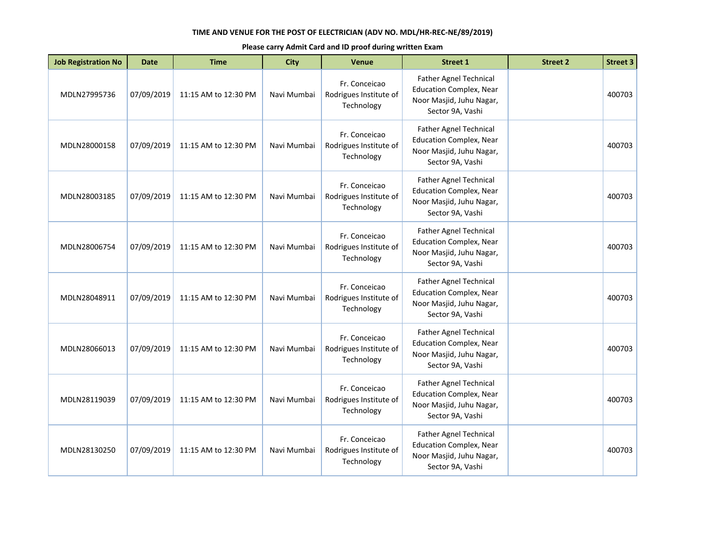| <b>Job Registration No</b> | <b>Date</b> | <b>Time</b>          | <b>City</b> | <b>Venue</b>                                          | <b>Street 1</b>                                                                                                 | <b>Street 2</b> | <b>Street 3</b> |
|----------------------------|-------------|----------------------|-------------|-------------------------------------------------------|-----------------------------------------------------------------------------------------------------------------|-----------------|-----------------|
| MDLN27995736               | 07/09/2019  | 11:15 AM to 12:30 PM | Navi Mumbai | Fr. Conceicao<br>Rodrigues Institute of<br>Technology | Father Agnel Technical<br><b>Education Complex, Near</b><br>Noor Masjid, Juhu Nagar,<br>Sector 9A, Vashi        |                 | 400703          |
| MDLN28000158               | 07/09/2019  | 11:15 AM to 12:30 PM | Navi Mumbai | Fr. Conceicao<br>Rodrigues Institute of<br>Technology | <b>Father Agnel Technical</b><br><b>Education Complex, Near</b><br>Noor Masjid, Juhu Nagar,<br>Sector 9A, Vashi |                 | 400703          |
| MDLN28003185               | 07/09/2019  | 11:15 AM to 12:30 PM | Navi Mumbai | Fr. Conceicao<br>Rodrigues Institute of<br>Technology | <b>Father Agnel Technical</b><br><b>Education Complex, Near</b><br>Noor Masjid, Juhu Nagar,<br>Sector 9A, Vashi |                 | 400703          |
| MDLN28006754               | 07/09/2019  | 11:15 AM to 12:30 PM | Navi Mumbai | Fr. Conceicao<br>Rodrigues Institute of<br>Technology | <b>Father Agnel Technical</b><br><b>Education Complex, Near</b><br>Noor Masjid, Juhu Nagar,<br>Sector 9A, Vashi |                 | 400703          |
| MDLN28048911               | 07/09/2019  | 11:15 AM to 12:30 PM | Navi Mumbai | Fr. Conceicao<br>Rodrigues Institute of<br>Technology | Father Agnel Technical<br><b>Education Complex, Near</b><br>Noor Masjid, Juhu Nagar,<br>Sector 9A, Vashi        |                 | 400703          |
| MDLN28066013               | 07/09/2019  | 11:15 AM to 12:30 PM | Navi Mumbai | Fr. Conceicao<br>Rodrigues Institute of<br>Technology | <b>Father Agnel Technical</b><br><b>Education Complex, Near</b><br>Noor Masjid, Juhu Nagar,<br>Sector 9A, Vashi |                 | 400703          |
| MDLN28119039               | 07/09/2019  | 11:15 AM to 12:30 PM | Navi Mumbai | Fr. Conceicao<br>Rodrigues Institute of<br>Technology | Father Agnel Technical<br><b>Education Complex, Near</b><br>Noor Masjid, Juhu Nagar,<br>Sector 9A, Vashi        |                 | 400703          |
| MDLN28130250               | 07/09/2019  | 11:15 AM to 12:30 PM | Navi Mumbai | Fr. Conceicao<br>Rodrigues Institute of<br>Technology | Father Agnel Technical<br><b>Education Complex, Near</b><br>Noor Masjid, Juhu Nagar,<br>Sector 9A, Vashi        |                 | 400703          |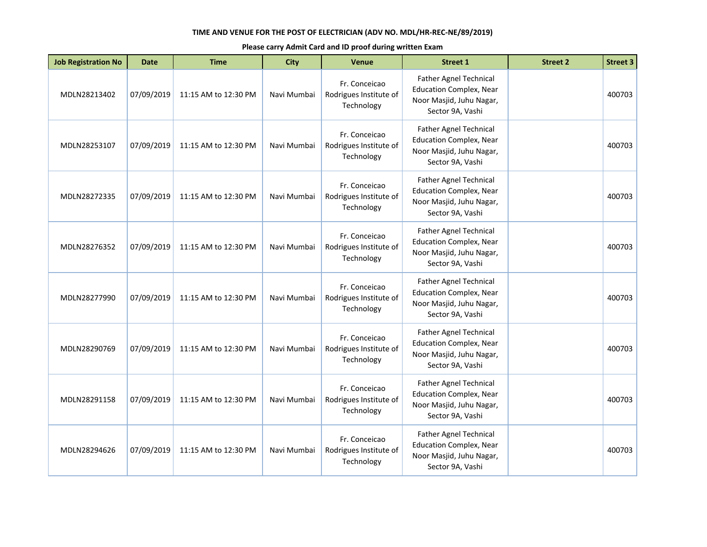| <b>Job Registration No</b> | <b>Date</b> | <b>Time</b>          | <b>City</b> | <b>Venue</b>                                          | <b>Street 1</b>                                                                                                 | <b>Street 2</b> | <b>Street 3</b> |
|----------------------------|-------------|----------------------|-------------|-------------------------------------------------------|-----------------------------------------------------------------------------------------------------------------|-----------------|-----------------|
| MDLN28213402               | 07/09/2019  | 11:15 AM to 12:30 PM | Navi Mumbai | Fr. Conceicao<br>Rodrigues Institute of<br>Technology | Father Agnel Technical<br><b>Education Complex, Near</b><br>Noor Masjid, Juhu Nagar,<br>Sector 9A, Vashi        |                 | 400703          |
| MDLN28253107               | 07/09/2019  | 11:15 AM to 12:30 PM | Navi Mumbai | Fr. Conceicao<br>Rodrigues Institute of<br>Technology | <b>Father Agnel Technical</b><br><b>Education Complex, Near</b><br>Noor Masjid, Juhu Nagar,<br>Sector 9A, Vashi |                 | 400703          |
| MDLN28272335               | 07/09/2019  | 11:15 AM to 12:30 PM | Navi Mumbai | Fr. Conceicao<br>Rodrigues Institute of<br>Technology | <b>Father Agnel Technical</b><br><b>Education Complex, Near</b><br>Noor Masjid, Juhu Nagar,<br>Sector 9A, Vashi |                 | 400703          |
| MDLN28276352               | 07/09/2019  | 11:15 AM to 12:30 PM | Navi Mumbai | Fr. Conceicao<br>Rodrigues Institute of<br>Technology | <b>Father Agnel Technical</b><br><b>Education Complex, Near</b><br>Noor Masjid, Juhu Nagar,<br>Sector 9A, Vashi |                 | 400703          |
| MDLN28277990               | 07/09/2019  | 11:15 AM to 12:30 PM | Navi Mumbai | Fr. Conceicao<br>Rodrigues Institute of<br>Technology | Father Agnel Technical<br><b>Education Complex, Near</b><br>Noor Masjid, Juhu Nagar,<br>Sector 9A, Vashi        |                 | 400703          |
| MDLN28290769               | 07/09/2019  | 11:15 AM to 12:30 PM | Navi Mumbai | Fr. Conceicao<br>Rodrigues Institute of<br>Technology | <b>Father Agnel Technical</b><br><b>Education Complex, Near</b><br>Noor Masjid, Juhu Nagar,<br>Sector 9A, Vashi |                 | 400703          |
| MDLN28291158               | 07/09/2019  | 11:15 AM to 12:30 PM | Navi Mumbai | Fr. Conceicao<br>Rodrigues Institute of<br>Technology | Father Agnel Technical<br><b>Education Complex, Near</b><br>Noor Masjid, Juhu Nagar,<br>Sector 9A, Vashi        |                 | 400703          |
| MDLN28294626               | 07/09/2019  | 11:15 AM to 12:30 PM | Navi Mumbai | Fr. Conceicao<br>Rodrigues Institute of<br>Technology | Father Agnel Technical<br><b>Education Complex, Near</b><br>Noor Masjid, Juhu Nagar,<br>Sector 9A, Vashi        |                 | 400703          |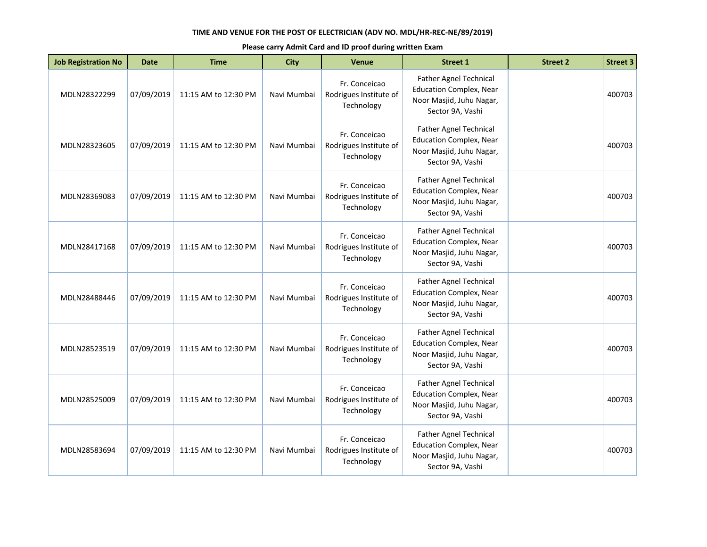| <b>Job Registration No</b> | <b>Date</b> | <b>Time</b>          | <b>City</b> | <b>Venue</b>                                          | <b>Street 1</b>                                                                                                 | <b>Street 2</b> | <b>Street 3</b> |
|----------------------------|-------------|----------------------|-------------|-------------------------------------------------------|-----------------------------------------------------------------------------------------------------------------|-----------------|-----------------|
| MDLN28322299               | 07/09/2019  | 11:15 AM to 12:30 PM | Navi Mumbai | Fr. Conceicao<br>Rodrigues Institute of<br>Technology | Father Agnel Technical<br><b>Education Complex, Near</b><br>Noor Masjid, Juhu Nagar,<br>Sector 9A, Vashi        |                 | 400703          |
| MDLN28323605               | 07/09/2019  | 11:15 AM to 12:30 PM | Navi Mumbai | Fr. Conceicao<br>Rodrigues Institute of<br>Technology | <b>Father Agnel Technical</b><br><b>Education Complex, Near</b><br>Noor Masjid, Juhu Nagar,<br>Sector 9A, Vashi |                 | 400703          |
| MDLN28369083               | 07/09/2019  | 11:15 AM to 12:30 PM | Navi Mumbai | Fr. Conceicao<br>Rodrigues Institute of<br>Technology | <b>Father Agnel Technical</b><br><b>Education Complex, Near</b><br>Noor Masjid, Juhu Nagar,<br>Sector 9A, Vashi |                 | 400703          |
| MDLN28417168               | 07/09/2019  | 11:15 AM to 12:30 PM | Navi Mumbai | Fr. Conceicao<br>Rodrigues Institute of<br>Technology | <b>Father Agnel Technical</b><br><b>Education Complex, Near</b><br>Noor Masjid, Juhu Nagar,<br>Sector 9A, Vashi |                 | 400703          |
| MDLN28488446               | 07/09/2019  | 11:15 AM to 12:30 PM | Navi Mumbai | Fr. Conceicao<br>Rodrigues Institute of<br>Technology | Father Agnel Technical<br><b>Education Complex, Near</b><br>Noor Masjid, Juhu Nagar,<br>Sector 9A, Vashi        |                 | 400703          |
| MDLN28523519               | 07/09/2019  | 11:15 AM to 12:30 PM | Navi Mumbai | Fr. Conceicao<br>Rodrigues Institute of<br>Technology | <b>Father Agnel Technical</b><br><b>Education Complex, Near</b><br>Noor Masjid, Juhu Nagar,<br>Sector 9A, Vashi |                 | 400703          |
| MDLN28525009               | 07/09/2019  | 11:15 AM to 12:30 PM | Navi Mumbai | Fr. Conceicao<br>Rodrigues Institute of<br>Technology | Father Agnel Technical<br><b>Education Complex, Near</b><br>Noor Masjid, Juhu Nagar,<br>Sector 9A, Vashi        |                 | 400703          |
| MDLN28583694               | 07/09/2019  | 11:15 AM to 12:30 PM | Navi Mumbai | Fr. Conceicao<br>Rodrigues Institute of<br>Technology | Father Agnel Technical<br><b>Education Complex, Near</b><br>Noor Masjid, Juhu Nagar,<br>Sector 9A, Vashi        |                 | 400703          |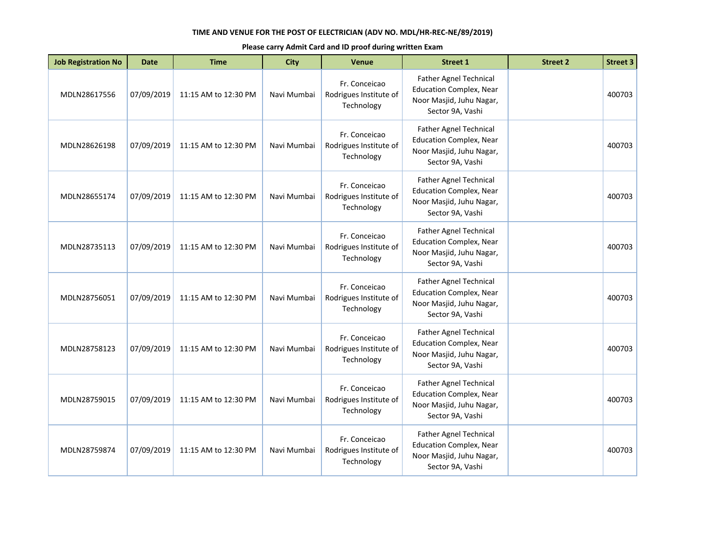| <b>Job Registration No</b> | <b>Date</b> | <b>Time</b>          | <b>City</b> | <b>Venue</b>                                          | <b>Street 1</b>                                                                                                 | <b>Street 2</b> | <b>Street 3</b> |
|----------------------------|-------------|----------------------|-------------|-------------------------------------------------------|-----------------------------------------------------------------------------------------------------------------|-----------------|-----------------|
| MDLN28617556               | 07/09/2019  | 11:15 AM to 12:30 PM | Navi Mumbai | Fr. Conceicao<br>Rodrigues Institute of<br>Technology | Father Agnel Technical<br><b>Education Complex, Near</b><br>Noor Masjid, Juhu Nagar,<br>Sector 9A, Vashi        |                 | 400703          |
| MDLN28626198               | 07/09/2019  | 11:15 AM to 12:30 PM | Navi Mumbai | Fr. Conceicao<br>Rodrigues Institute of<br>Technology | <b>Father Agnel Technical</b><br><b>Education Complex, Near</b><br>Noor Masjid, Juhu Nagar,<br>Sector 9A, Vashi |                 | 400703          |
| MDLN28655174               | 07/09/2019  | 11:15 AM to 12:30 PM | Navi Mumbai | Fr. Conceicao<br>Rodrigues Institute of<br>Technology | <b>Father Agnel Technical</b><br><b>Education Complex, Near</b><br>Noor Masjid, Juhu Nagar,<br>Sector 9A, Vashi |                 | 400703          |
| MDLN28735113               | 07/09/2019  | 11:15 AM to 12:30 PM | Navi Mumbai | Fr. Conceicao<br>Rodrigues Institute of<br>Technology | <b>Father Agnel Technical</b><br><b>Education Complex, Near</b><br>Noor Masjid, Juhu Nagar,<br>Sector 9A, Vashi |                 | 400703          |
| MDLN28756051               | 07/09/2019  | 11:15 AM to 12:30 PM | Navi Mumbai | Fr. Conceicao<br>Rodrigues Institute of<br>Technology | Father Agnel Technical<br><b>Education Complex, Near</b><br>Noor Masjid, Juhu Nagar,<br>Sector 9A, Vashi        |                 | 400703          |
| MDLN28758123               | 07/09/2019  | 11:15 AM to 12:30 PM | Navi Mumbai | Fr. Conceicao<br>Rodrigues Institute of<br>Technology | <b>Father Agnel Technical</b><br><b>Education Complex, Near</b><br>Noor Masjid, Juhu Nagar,<br>Sector 9A, Vashi |                 | 400703          |
| MDLN28759015               | 07/09/2019  | 11:15 AM to 12:30 PM | Navi Mumbai | Fr. Conceicao<br>Rodrigues Institute of<br>Technology | Father Agnel Technical<br><b>Education Complex, Near</b><br>Noor Masjid, Juhu Nagar,<br>Sector 9A, Vashi        |                 | 400703          |
| MDLN28759874               | 07/09/2019  | 11:15 AM to 12:30 PM | Navi Mumbai | Fr. Conceicao<br>Rodrigues Institute of<br>Technology | Father Agnel Technical<br><b>Education Complex, Near</b><br>Noor Masjid, Juhu Nagar,<br>Sector 9A, Vashi        |                 | 400703          |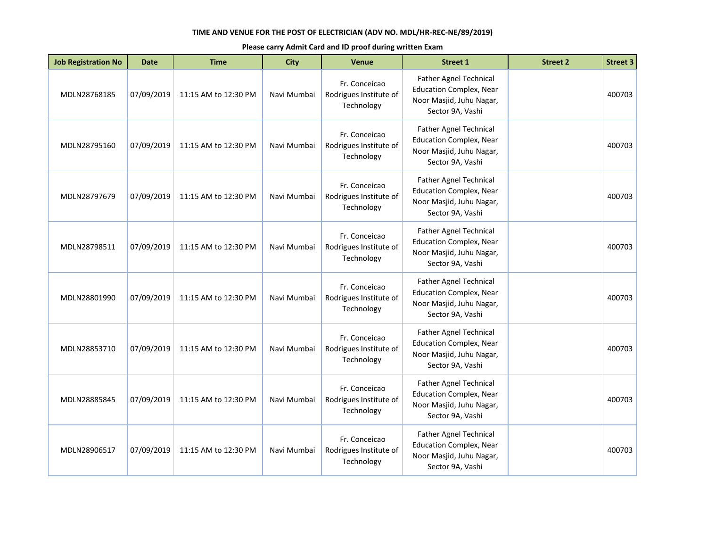| <b>Job Registration No</b> | <b>Date</b> | <b>Time</b>          | <b>City</b> | <b>Venue</b>                                          | <b>Street 1</b>                                                                                                 | <b>Street 2</b> | <b>Street 3</b> |
|----------------------------|-------------|----------------------|-------------|-------------------------------------------------------|-----------------------------------------------------------------------------------------------------------------|-----------------|-----------------|
| MDLN28768185               | 07/09/2019  | 11:15 AM to 12:30 PM | Navi Mumbai | Fr. Conceicao<br>Rodrigues Institute of<br>Technology | <b>Father Agnel Technical</b><br><b>Education Complex, Near</b><br>Noor Masjid, Juhu Nagar,<br>Sector 9A, Vashi |                 | 400703          |
| MDLN28795160               | 07/09/2019  | 11:15 AM to 12:30 PM | Navi Mumbai | Fr. Conceicao<br>Rodrigues Institute of<br>Technology | Father Agnel Technical<br><b>Education Complex, Near</b><br>Noor Masjid, Juhu Nagar,<br>Sector 9A, Vashi        |                 | 400703          |
| MDLN28797679               | 07/09/2019  | 11:15 AM to 12:30 PM | Navi Mumbai | Fr. Conceicao<br>Rodrigues Institute of<br>Technology | Father Agnel Technical<br><b>Education Complex, Near</b><br>Noor Masjid, Juhu Nagar,<br>Sector 9A, Vashi        |                 | 400703          |
| MDLN28798511               | 07/09/2019  | 11:15 AM to 12:30 PM | Navi Mumbai | Fr. Conceicao<br>Rodrigues Institute of<br>Technology | <b>Father Agnel Technical</b><br><b>Education Complex, Near</b><br>Noor Masjid, Juhu Nagar,<br>Sector 9A, Vashi |                 | 400703          |
| MDLN28801990               | 07/09/2019  | 11:15 AM to 12:30 PM | Navi Mumbai | Fr. Conceicao<br>Rodrigues Institute of<br>Technology | <b>Father Agnel Technical</b><br><b>Education Complex, Near</b><br>Noor Masjid, Juhu Nagar,<br>Sector 9A, Vashi |                 | 400703          |
| MDLN28853710               | 07/09/2019  | 11:15 AM to 12:30 PM | Navi Mumbai | Fr. Conceicao<br>Rodrigues Institute of<br>Technology | Father Agnel Technical<br><b>Education Complex, Near</b><br>Noor Masjid, Juhu Nagar,<br>Sector 9A, Vashi        |                 | 400703          |
| MDLN28885845               | 07/09/2019  | 11:15 AM to 12:30 PM | Navi Mumbai | Fr. Conceicao<br>Rodrigues Institute of<br>Technology | <b>Father Agnel Technical</b><br><b>Education Complex, Near</b><br>Noor Masjid, Juhu Nagar,<br>Sector 9A, Vashi |                 | 400703          |
| MDLN28906517               | 07/09/2019  | 11:15 AM to 12:30 PM | Navi Mumbai | Fr. Conceicao<br>Rodrigues Institute of<br>Technology | Father Agnel Technical<br><b>Education Complex, Near</b><br>Noor Masjid, Juhu Nagar,<br>Sector 9A, Vashi        |                 | 400703          |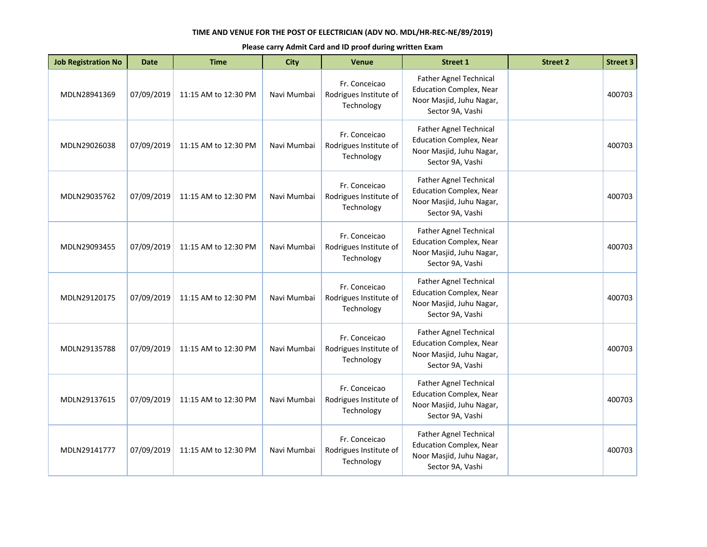| <b>Job Registration No</b> | <b>Date</b> | <b>Time</b>          | <b>City</b> | Venue                                                 | <b>Street 1</b>                                                                                                 | <b>Street 2</b> | <b>Street 3</b> |
|----------------------------|-------------|----------------------|-------------|-------------------------------------------------------|-----------------------------------------------------------------------------------------------------------------|-----------------|-----------------|
| MDLN28941369               | 07/09/2019  | 11:15 AM to 12:30 PM | Navi Mumbai | Fr. Conceicao<br>Rodrigues Institute of<br>Technology | <b>Father Agnel Technical</b><br><b>Education Complex, Near</b><br>Noor Masjid, Juhu Nagar,<br>Sector 9A, Vashi |                 | 400703          |
| MDLN29026038               | 07/09/2019  | 11:15 AM to 12:30 PM | Navi Mumbai | Fr. Conceicao<br>Rodrigues Institute of<br>Technology | Father Agnel Technical<br><b>Education Complex, Near</b><br>Noor Masjid, Juhu Nagar,<br>Sector 9A, Vashi        |                 | 400703          |
| MDLN29035762               | 07/09/2019  | 11:15 AM to 12:30 PM | Navi Mumbai | Fr. Conceicao<br>Rodrigues Institute of<br>Technology | Father Agnel Technical<br><b>Education Complex, Near</b><br>Noor Masjid, Juhu Nagar,<br>Sector 9A, Vashi        |                 | 400703          |
| MDLN29093455               | 07/09/2019  | 11:15 AM to 12:30 PM | Navi Mumbai | Fr. Conceicao<br>Rodrigues Institute of<br>Technology | <b>Father Agnel Technical</b><br><b>Education Complex, Near</b><br>Noor Masjid, Juhu Nagar,<br>Sector 9A, Vashi |                 | 400703          |
| MDLN29120175               | 07/09/2019  | 11:15 AM to 12:30 PM | Navi Mumbai | Fr. Conceicao<br>Rodrigues Institute of<br>Technology | <b>Father Agnel Technical</b><br><b>Education Complex, Near</b><br>Noor Masjid, Juhu Nagar,<br>Sector 9A, Vashi |                 | 400703          |
| MDLN29135788               | 07/09/2019  | 11:15 AM to 12:30 PM | Navi Mumbai | Fr. Conceicao<br>Rodrigues Institute of<br>Technology | Father Agnel Technical<br><b>Education Complex, Near</b><br>Noor Masjid, Juhu Nagar,<br>Sector 9A, Vashi        |                 | 400703          |
| MDLN29137615               | 07/09/2019  | 11:15 AM to 12:30 PM | Navi Mumbai | Fr. Conceicao<br>Rodrigues Institute of<br>Technology | <b>Father Agnel Technical</b><br><b>Education Complex, Near</b><br>Noor Masjid, Juhu Nagar,<br>Sector 9A, Vashi |                 | 400703          |
| MDLN29141777               | 07/09/2019  | 11:15 AM to 12:30 PM | Navi Mumbai | Fr. Conceicao<br>Rodrigues Institute of<br>Technology | Father Agnel Technical<br><b>Education Complex, Near</b><br>Noor Masjid, Juhu Nagar,<br>Sector 9A, Vashi        |                 | 400703          |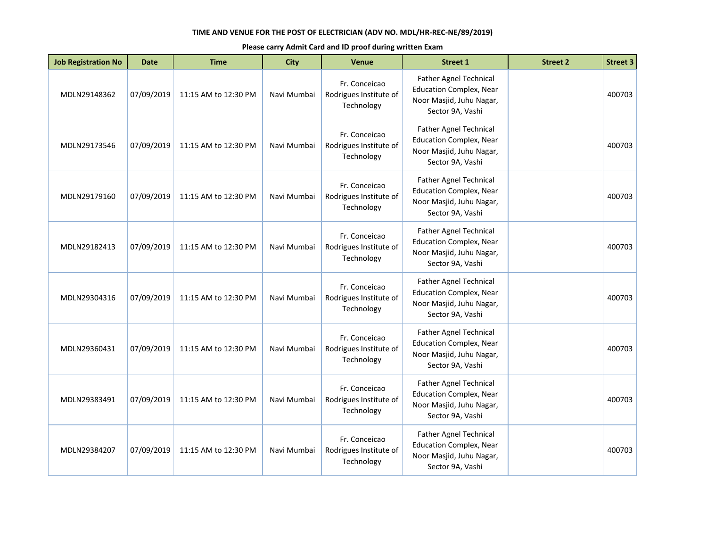| <b>Job Registration No</b> | <b>Date</b> | <b>Time</b>          | <b>City</b> | <b>Venue</b>                                          | <b>Street 1</b>                                                                                                 | <b>Street 2</b> | <b>Street 3</b> |
|----------------------------|-------------|----------------------|-------------|-------------------------------------------------------|-----------------------------------------------------------------------------------------------------------------|-----------------|-----------------|
| MDLN29148362               | 07/09/2019  | 11:15 AM to 12:30 PM | Navi Mumbai | Fr. Conceicao<br>Rodrigues Institute of<br>Technology | Father Agnel Technical<br><b>Education Complex, Near</b><br>Noor Masjid, Juhu Nagar,<br>Sector 9A, Vashi        |                 | 400703          |
| MDLN29173546               | 07/09/2019  | 11:15 AM to 12:30 PM | Navi Mumbai | Fr. Conceicao<br>Rodrigues Institute of<br>Technology | <b>Father Agnel Technical</b><br><b>Education Complex, Near</b><br>Noor Masjid, Juhu Nagar,<br>Sector 9A, Vashi |                 | 400703          |
| MDLN29179160               | 07/09/2019  | 11:15 AM to 12:30 PM | Navi Mumbai | Fr. Conceicao<br>Rodrigues Institute of<br>Technology | <b>Father Agnel Technical</b><br><b>Education Complex, Near</b><br>Noor Masjid, Juhu Nagar,<br>Sector 9A, Vashi |                 | 400703          |
| MDLN29182413               | 07/09/2019  | 11:15 AM to 12:30 PM | Navi Mumbai | Fr. Conceicao<br>Rodrigues Institute of<br>Technology | <b>Father Agnel Technical</b><br><b>Education Complex, Near</b><br>Noor Masjid, Juhu Nagar,<br>Sector 9A, Vashi |                 | 400703          |
| MDLN29304316               | 07/09/2019  | 11:15 AM to 12:30 PM | Navi Mumbai | Fr. Conceicao<br>Rodrigues Institute of<br>Technology | Father Agnel Technical<br><b>Education Complex, Near</b><br>Noor Masjid, Juhu Nagar,<br>Sector 9A, Vashi        |                 | 400703          |
| MDLN29360431               | 07/09/2019  | 11:15 AM to 12:30 PM | Navi Mumbai | Fr. Conceicao<br>Rodrigues Institute of<br>Technology | <b>Father Agnel Technical</b><br><b>Education Complex, Near</b><br>Noor Masjid, Juhu Nagar,<br>Sector 9A, Vashi |                 | 400703          |
| MDLN29383491               | 07/09/2019  | 11:15 AM to 12:30 PM | Navi Mumbai | Fr. Conceicao<br>Rodrigues Institute of<br>Technology | Father Agnel Technical<br><b>Education Complex, Near</b><br>Noor Masjid, Juhu Nagar,<br>Sector 9A, Vashi        |                 | 400703          |
| MDLN29384207               | 07/09/2019  | 11:15 AM to 12:30 PM | Navi Mumbai | Fr. Conceicao<br>Rodrigues Institute of<br>Technology | Father Agnel Technical<br><b>Education Complex, Near</b><br>Noor Masjid, Juhu Nagar,<br>Sector 9A, Vashi        |                 | 400703          |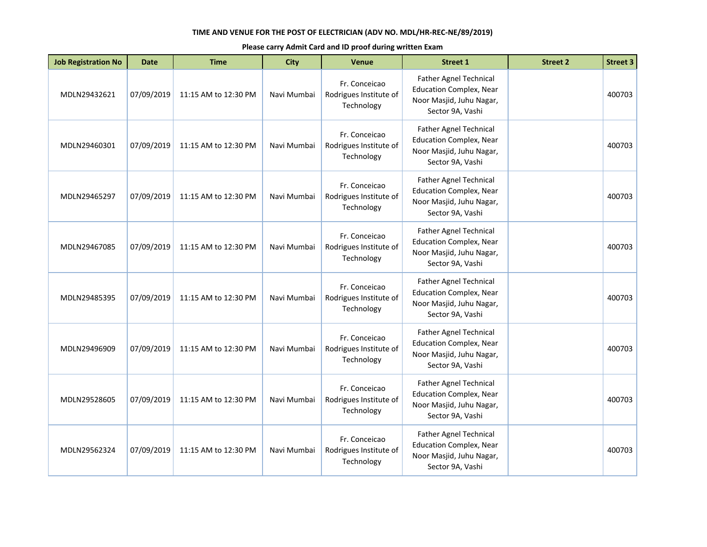| <b>Job Registration No</b> | <b>Date</b> | <b>Time</b>          | <b>City</b> | <b>Venue</b>                                          | <b>Street 1</b>                                                                                                 | <b>Street 2</b> | <b>Street 3</b> |
|----------------------------|-------------|----------------------|-------------|-------------------------------------------------------|-----------------------------------------------------------------------------------------------------------------|-----------------|-----------------|
| MDLN29432621               | 07/09/2019  | 11:15 AM to 12:30 PM | Navi Mumbai | Fr. Conceicao<br>Rodrigues Institute of<br>Technology | Father Agnel Technical<br><b>Education Complex, Near</b><br>Noor Masjid, Juhu Nagar,<br>Sector 9A, Vashi        |                 | 400703          |
| MDLN29460301               | 07/09/2019  | 11:15 AM to 12:30 PM | Navi Mumbai | Fr. Conceicao<br>Rodrigues Institute of<br>Technology | <b>Father Agnel Technical</b><br><b>Education Complex, Near</b><br>Noor Masjid, Juhu Nagar,<br>Sector 9A, Vashi |                 | 400703          |
| MDLN29465297               | 07/09/2019  | 11:15 AM to 12:30 PM | Navi Mumbai | Fr. Conceicao<br>Rodrigues Institute of<br>Technology | <b>Father Agnel Technical</b><br><b>Education Complex, Near</b><br>Noor Masjid, Juhu Nagar,<br>Sector 9A, Vashi |                 | 400703          |
| MDLN29467085               | 07/09/2019  | 11:15 AM to 12:30 PM | Navi Mumbai | Fr. Conceicao<br>Rodrigues Institute of<br>Technology | <b>Father Agnel Technical</b><br><b>Education Complex, Near</b><br>Noor Masjid, Juhu Nagar,<br>Sector 9A, Vashi |                 | 400703          |
| MDLN29485395               | 07/09/2019  | 11:15 AM to 12:30 PM | Navi Mumbai | Fr. Conceicao<br>Rodrigues Institute of<br>Technology | Father Agnel Technical<br><b>Education Complex, Near</b><br>Noor Masjid, Juhu Nagar,<br>Sector 9A, Vashi        |                 | 400703          |
| MDLN29496909               | 07/09/2019  | 11:15 AM to 12:30 PM | Navi Mumbai | Fr. Conceicao<br>Rodrigues Institute of<br>Technology | <b>Father Agnel Technical</b><br><b>Education Complex, Near</b><br>Noor Masjid, Juhu Nagar,<br>Sector 9A, Vashi |                 | 400703          |
| MDLN29528605               | 07/09/2019  | 11:15 AM to 12:30 PM | Navi Mumbai | Fr. Conceicao<br>Rodrigues Institute of<br>Technology | Father Agnel Technical<br><b>Education Complex, Near</b><br>Noor Masjid, Juhu Nagar,<br>Sector 9A, Vashi        |                 | 400703          |
| MDLN29562324               | 07/09/2019  | 11:15 AM to 12:30 PM | Navi Mumbai | Fr. Conceicao<br>Rodrigues Institute of<br>Technology | Father Agnel Technical<br><b>Education Complex, Near</b><br>Noor Masjid, Juhu Nagar,<br>Sector 9A, Vashi        |                 | 400703          |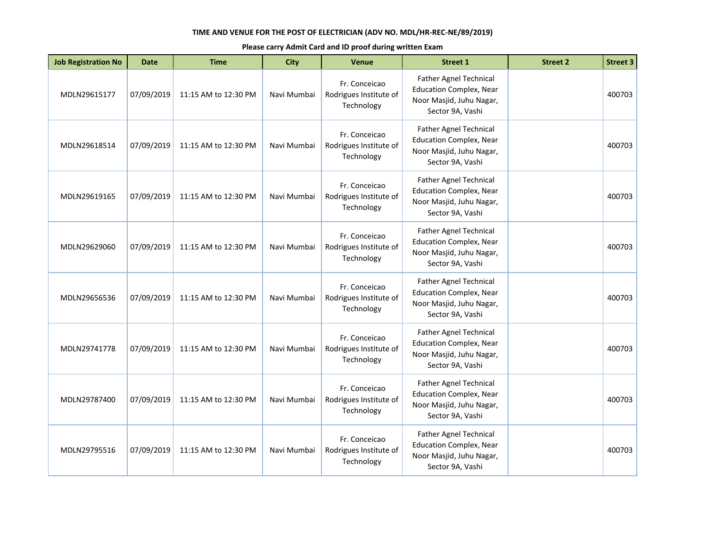| <b>Job Registration No</b> | <b>Date</b> | <b>Time</b>          | <b>City</b> | Venue                                                 | <b>Street 1</b>                                                                                                 | <b>Street 2</b> | <b>Street 3</b> |
|----------------------------|-------------|----------------------|-------------|-------------------------------------------------------|-----------------------------------------------------------------------------------------------------------------|-----------------|-----------------|
| MDLN29615177               | 07/09/2019  | 11:15 AM to 12:30 PM | Navi Mumbai | Fr. Conceicao<br>Rodrigues Institute of<br>Technology | <b>Father Agnel Technical</b><br><b>Education Complex, Near</b><br>Noor Masjid, Juhu Nagar,<br>Sector 9A, Vashi |                 | 400703          |
| MDLN29618514               | 07/09/2019  | 11:15 AM to 12:30 PM | Navi Mumbai | Fr. Conceicao<br>Rodrigues Institute of<br>Technology | Father Agnel Technical<br><b>Education Complex, Near</b><br>Noor Masjid, Juhu Nagar,<br>Sector 9A, Vashi        |                 | 400703          |
| MDLN29619165               | 07/09/2019  | 11:15 AM to 12:30 PM | Navi Mumbai | Fr. Conceicao<br>Rodrigues Institute of<br>Technology | Father Agnel Technical<br><b>Education Complex, Near</b><br>Noor Masjid, Juhu Nagar,<br>Sector 9A, Vashi        |                 | 400703          |
| MDLN29629060               | 07/09/2019  | 11:15 AM to 12:30 PM | Navi Mumbai | Fr. Conceicao<br>Rodrigues Institute of<br>Technology | <b>Father Agnel Technical</b><br><b>Education Complex, Near</b><br>Noor Masjid, Juhu Nagar,<br>Sector 9A, Vashi |                 | 400703          |
| MDLN29656536               | 07/09/2019  | 11:15 AM to 12:30 PM | Navi Mumbai | Fr. Conceicao<br>Rodrigues Institute of<br>Technology | <b>Father Agnel Technical</b><br><b>Education Complex, Near</b><br>Noor Masjid, Juhu Nagar,<br>Sector 9A, Vashi |                 | 400703          |
| MDLN29741778               | 07/09/2019  | 11:15 AM to 12:30 PM | Navi Mumbai | Fr. Conceicao<br>Rodrigues Institute of<br>Technology | Father Agnel Technical<br><b>Education Complex, Near</b><br>Noor Masjid, Juhu Nagar,<br>Sector 9A, Vashi        |                 | 400703          |
| MDLN29787400               | 07/09/2019  | 11:15 AM to 12:30 PM | Navi Mumbai | Fr. Conceicao<br>Rodrigues Institute of<br>Technology | <b>Father Agnel Technical</b><br><b>Education Complex, Near</b><br>Noor Masjid, Juhu Nagar,<br>Sector 9A, Vashi |                 | 400703          |
| MDLN29795516               | 07/09/2019  | 11:15 AM to 12:30 PM | Navi Mumbai | Fr. Conceicao<br>Rodrigues Institute of<br>Technology | Father Agnel Technical<br><b>Education Complex, Near</b><br>Noor Masjid, Juhu Nagar,<br>Sector 9A, Vashi        |                 | 400703          |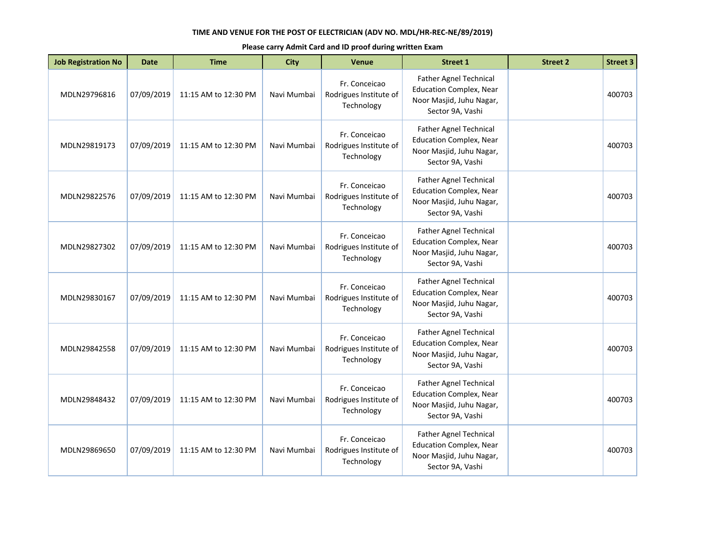| <b>Job Registration No</b> | <b>Date</b> | <b>Time</b>          | <b>City</b> | <b>Venue</b>                                          | <b>Street 1</b>                                                                                                 | <b>Street 2</b> | <b>Street 3</b> |
|----------------------------|-------------|----------------------|-------------|-------------------------------------------------------|-----------------------------------------------------------------------------------------------------------------|-----------------|-----------------|
| MDLN29796816               | 07/09/2019  | 11:15 AM to 12:30 PM | Navi Mumbai | Fr. Conceicao<br>Rodrigues Institute of<br>Technology | Father Agnel Technical<br><b>Education Complex, Near</b><br>Noor Masjid, Juhu Nagar,<br>Sector 9A, Vashi        |                 | 400703          |
| MDLN29819173               | 07/09/2019  | 11:15 AM to 12:30 PM | Navi Mumbai | Fr. Conceicao<br>Rodrigues Institute of<br>Technology | <b>Father Agnel Technical</b><br><b>Education Complex, Near</b><br>Noor Masjid, Juhu Nagar,<br>Sector 9A, Vashi |                 | 400703          |
| MDLN29822576               | 07/09/2019  | 11:15 AM to 12:30 PM | Navi Mumbai | Fr. Conceicao<br>Rodrigues Institute of<br>Technology | <b>Father Agnel Technical</b><br><b>Education Complex, Near</b><br>Noor Masjid, Juhu Nagar,<br>Sector 9A, Vashi |                 | 400703          |
| MDLN29827302               | 07/09/2019  | 11:15 AM to 12:30 PM | Navi Mumbai | Fr. Conceicao<br>Rodrigues Institute of<br>Technology | <b>Father Agnel Technical</b><br><b>Education Complex, Near</b><br>Noor Masjid, Juhu Nagar,<br>Sector 9A, Vashi |                 | 400703          |
| MDLN29830167               | 07/09/2019  | 11:15 AM to 12:30 PM | Navi Mumbai | Fr. Conceicao<br>Rodrigues Institute of<br>Technology | Father Agnel Technical<br><b>Education Complex, Near</b><br>Noor Masjid, Juhu Nagar,<br>Sector 9A, Vashi        |                 | 400703          |
| MDLN29842558               | 07/09/2019  | 11:15 AM to 12:30 PM | Navi Mumbai | Fr. Conceicao<br>Rodrigues Institute of<br>Technology | <b>Father Agnel Technical</b><br><b>Education Complex, Near</b><br>Noor Masjid, Juhu Nagar,<br>Sector 9A, Vashi |                 | 400703          |
| MDLN29848432               | 07/09/2019  | 11:15 AM to 12:30 PM | Navi Mumbai | Fr. Conceicao<br>Rodrigues Institute of<br>Technology | Father Agnel Technical<br><b>Education Complex, Near</b><br>Noor Masjid, Juhu Nagar,<br>Sector 9A, Vashi        |                 | 400703          |
| MDLN29869650               | 07/09/2019  | 11:15 AM to 12:30 PM | Navi Mumbai | Fr. Conceicao<br>Rodrigues Institute of<br>Technology | Father Agnel Technical<br><b>Education Complex, Near</b><br>Noor Masjid, Juhu Nagar,<br>Sector 9A, Vashi        |                 | 400703          |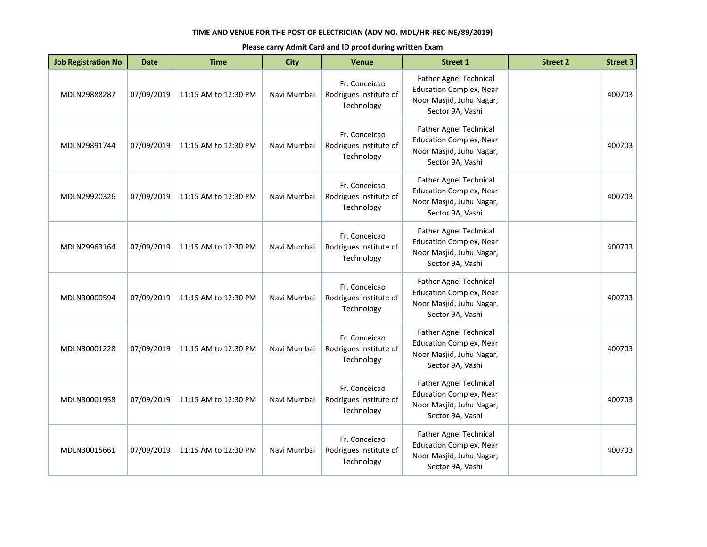| <b>Job Registration No</b> | <b>Date</b> | <b>Time</b>          | <b>City</b> | <b>Venue</b>                                          | <b>Street 1</b>                                                                                                 | <b>Street 2</b> | <b>Street 3</b> |
|----------------------------|-------------|----------------------|-------------|-------------------------------------------------------|-----------------------------------------------------------------------------------------------------------------|-----------------|-----------------|
| MDLN29888287               | 07/09/2019  | 11:15 AM to 12:30 PM | Navi Mumbai | Fr. Conceicao<br>Rodrigues Institute of<br>Technology | Father Agnel Technical<br><b>Education Complex, Near</b><br>Noor Masjid, Juhu Nagar,<br>Sector 9A, Vashi        |                 | 400703          |
| MDLN29891744               | 07/09/2019  | 11:15 AM to 12:30 PM | Navi Mumbai | Fr. Conceicao<br>Rodrigues Institute of<br>Technology | <b>Father Agnel Technical</b><br><b>Education Complex, Near</b><br>Noor Masjid, Juhu Nagar,<br>Sector 9A, Vashi |                 | 400703          |
| MDLN29920326               | 07/09/2019  | 11:15 AM to 12:30 PM | Navi Mumbai | Fr. Conceicao<br>Rodrigues Institute of<br>Technology | <b>Father Agnel Technical</b><br><b>Education Complex, Near</b><br>Noor Masjid, Juhu Nagar,<br>Sector 9A, Vashi |                 | 400703          |
| MDLN29963164               | 07/09/2019  | 11:15 AM to 12:30 PM | Navi Mumbai | Fr. Conceicao<br>Rodrigues Institute of<br>Technology | <b>Father Agnel Technical</b><br><b>Education Complex, Near</b><br>Noor Masjid, Juhu Nagar,<br>Sector 9A, Vashi |                 | 400703          |
| MDLN30000594               | 07/09/2019  | 11:15 AM to 12:30 PM | Navi Mumbai | Fr. Conceicao<br>Rodrigues Institute of<br>Technology | Father Agnel Technical<br><b>Education Complex, Near</b><br>Noor Masjid, Juhu Nagar,<br>Sector 9A, Vashi        |                 | 400703          |
| MDLN30001228               | 07/09/2019  | 11:15 AM to 12:30 PM | Navi Mumbai | Fr. Conceicao<br>Rodrigues Institute of<br>Technology | <b>Father Agnel Technical</b><br><b>Education Complex, Near</b><br>Noor Masjid, Juhu Nagar,<br>Sector 9A, Vashi |                 | 400703          |
| MDLN30001958               | 07/09/2019  | 11:15 AM to 12:30 PM | Navi Mumbai | Fr. Conceicao<br>Rodrigues Institute of<br>Technology | Father Agnel Technical<br><b>Education Complex, Near</b><br>Noor Masjid, Juhu Nagar,<br>Sector 9A, Vashi        |                 | 400703          |
| MDLN30015661               | 07/09/2019  | 11:15 AM to 12:30 PM | Navi Mumbai | Fr. Conceicao<br>Rodrigues Institute of<br>Technology | Father Agnel Technical<br><b>Education Complex, Near</b><br>Noor Masjid, Juhu Nagar,<br>Sector 9A, Vashi        |                 | 400703          |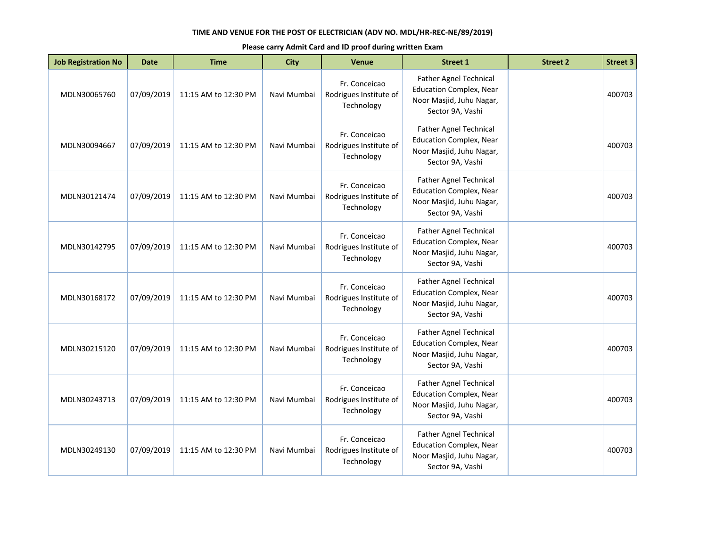| <b>Job Registration No</b> | <b>Date</b> | <b>Time</b>          | <b>City</b> | <b>Venue</b>                                          | <b>Street 1</b>                                                                                                 | <b>Street 2</b> | <b>Street 3</b> |
|----------------------------|-------------|----------------------|-------------|-------------------------------------------------------|-----------------------------------------------------------------------------------------------------------------|-----------------|-----------------|
| MDLN30065760               | 07/09/2019  | 11:15 AM to 12:30 PM | Navi Mumbai | Fr. Conceicao<br>Rodrigues Institute of<br>Technology | Father Agnel Technical<br><b>Education Complex, Near</b><br>Noor Masjid, Juhu Nagar,<br>Sector 9A, Vashi        |                 | 400703          |
| MDLN30094667               | 07/09/2019  | 11:15 AM to 12:30 PM | Navi Mumbai | Fr. Conceicao<br>Rodrigues Institute of<br>Technology | <b>Father Agnel Technical</b><br><b>Education Complex, Near</b><br>Noor Masjid, Juhu Nagar,<br>Sector 9A, Vashi |                 | 400703          |
| MDLN30121474               | 07/09/2019  | 11:15 AM to 12:30 PM | Navi Mumbai | Fr. Conceicao<br>Rodrigues Institute of<br>Technology | <b>Father Agnel Technical</b><br><b>Education Complex, Near</b><br>Noor Masjid, Juhu Nagar,<br>Sector 9A, Vashi |                 | 400703          |
| MDLN30142795               | 07/09/2019  | 11:15 AM to 12:30 PM | Navi Mumbai | Fr. Conceicao<br>Rodrigues Institute of<br>Technology | <b>Father Agnel Technical</b><br><b>Education Complex, Near</b><br>Noor Masjid, Juhu Nagar,<br>Sector 9A, Vashi |                 | 400703          |
| MDLN30168172               | 07/09/2019  | 11:15 AM to 12:30 PM | Navi Mumbai | Fr. Conceicao<br>Rodrigues Institute of<br>Technology | Father Agnel Technical<br><b>Education Complex, Near</b><br>Noor Masjid, Juhu Nagar,<br>Sector 9A, Vashi        |                 | 400703          |
| MDLN30215120               | 07/09/2019  | 11:15 AM to 12:30 PM | Navi Mumbai | Fr. Conceicao<br>Rodrigues Institute of<br>Technology | <b>Father Agnel Technical</b><br><b>Education Complex, Near</b><br>Noor Masjid, Juhu Nagar,<br>Sector 9A, Vashi |                 | 400703          |
| MDLN30243713               | 07/09/2019  | 11:15 AM to 12:30 PM | Navi Mumbai | Fr. Conceicao<br>Rodrigues Institute of<br>Technology | Father Agnel Technical<br><b>Education Complex, Near</b><br>Noor Masjid, Juhu Nagar,<br>Sector 9A, Vashi        |                 | 400703          |
| MDLN30249130               | 07/09/2019  | 11:15 AM to 12:30 PM | Navi Mumbai | Fr. Conceicao<br>Rodrigues Institute of<br>Technology | Father Agnel Technical<br><b>Education Complex, Near</b><br>Noor Masjid, Juhu Nagar,<br>Sector 9A, Vashi        |                 | 400703          |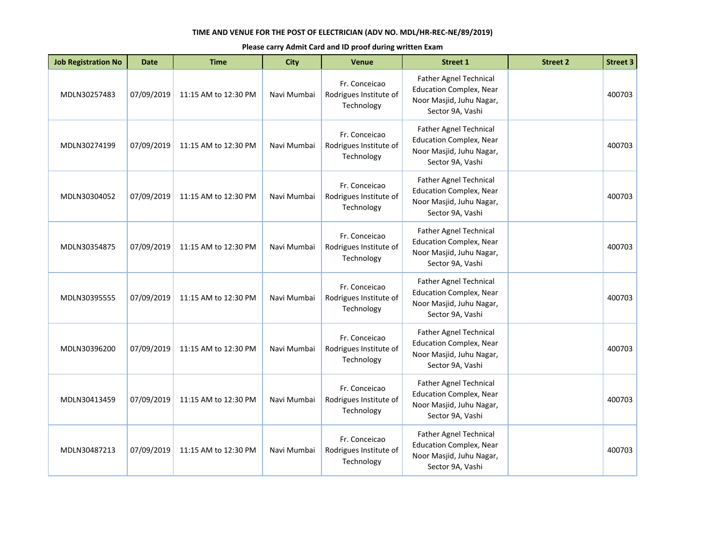| <b>Job Registration No</b> | <b>Date</b> | <b>Time</b>          | <b>City</b> | <b>Venue</b>                                          | <b>Street 1</b>                                                                                                 | <b>Street 2</b> | <b>Street 3</b> |
|----------------------------|-------------|----------------------|-------------|-------------------------------------------------------|-----------------------------------------------------------------------------------------------------------------|-----------------|-----------------|
| MDLN30257483               | 07/09/2019  | 11:15 AM to 12:30 PM | Navi Mumbai | Fr. Conceicao<br>Rodrigues Institute of<br>Technology | Father Agnel Technical<br><b>Education Complex, Near</b><br>Noor Masjid, Juhu Nagar,<br>Sector 9A, Vashi        |                 | 400703          |
| MDLN30274199               | 07/09/2019  | 11:15 AM to 12:30 PM | Navi Mumbai | Fr. Conceicao<br>Rodrigues Institute of<br>Technology | <b>Father Agnel Technical</b><br><b>Education Complex, Near</b><br>Noor Masjid, Juhu Nagar,<br>Sector 9A, Vashi |                 | 400703          |
| MDLN30304052               | 07/09/2019  | 11:15 AM to 12:30 PM | Navi Mumbai | Fr. Conceicao<br>Rodrigues Institute of<br>Technology | <b>Father Agnel Technical</b><br><b>Education Complex, Near</b><br>Noor Masjid, Juhu Nagar,<br>Sector 9A, Vashi |                 | 400703          |
| MDLN30354875               | 07/09/2019  | 11:15 AM to 12:30 PM | Navi Mumbai | Fr. Conceicao<br>Rodrigues Institute of<br>Technology | <b>Father Agnel Technical</b><br><b>Education Complex, Near</b><br>Noor Masjid, Juhu Nagar,<br>Sector 9A, Vashi |                 | 400703          |
| MDLN30395555               | 07/09/2019  | 11:15 AM to 12:30 PM | Navi Mumbai | Fr. Conceicao<br>Rodrigues Institute of<br>Technology | Father Agnel Technical<br><b>Education Complex, Near</b><br>Noor Masjid, Juhu Nagar,<br>Sector 9A, Vashi        |                 | 400703          |
| MDLN30396200               | 07/09/2019  | 11:15 AM to 12:30 PM | Navi Mumbai | Fr. Conceicao<br>Rodrigues Institute of<br>Technology | <b>Father Agnel Technical</b><br><b>Education Complex, Near</b><br>Noor Masjid, Juhu Nagar,<br>Sector 9A, Vashi |                 | 400703          |
| MDLN30413459               | 07/09/2019  | 11:15 AM to 12:30 PM | Navi Mumbai | Fr. Conceicao<br>Rodrigues Institute of<br>Technology | Father Agnel Technical<br><b>Education Complex, Near</b><br>Noor Masjid, Juhu Nagar,<br>Sector 9A, Vashi        |                 | 400703          |
| MDLN30487213               | 07/09/2019  | 11:15 AM to 12:30 PM | Navi Mumbai | Fr. Conceicao<br>Rodrigues Institute of<br>Technology | Father Agnel Technical<br><b>Education Complex, Near</b><br>Noor Masjid, Juhu Nagar,<br>Sector 9A, Vashi        |                 | 400703          |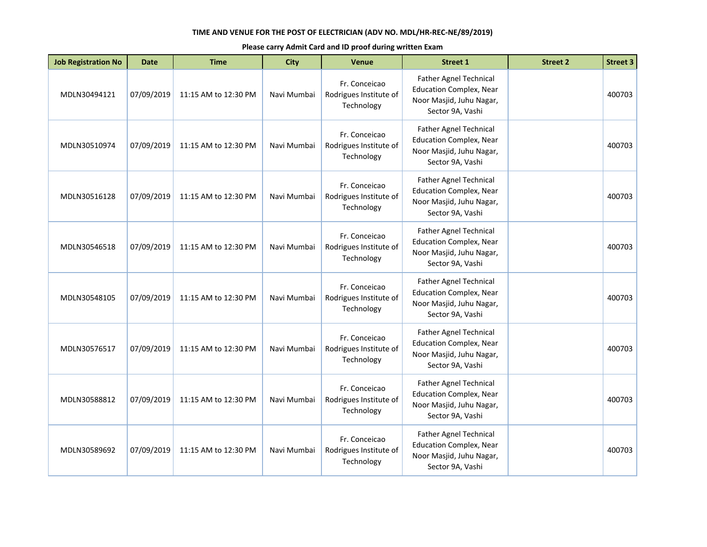| <b>Job Registration No</b> | <b>Date</b> | <b>Time</b>          | <b>City</b> | <b>Venue</b>                                          | <b>Street 1</b>                                                                                                 | <b>Street 2</b> | <b>Street 3</b> |
|----------------------------|-------------|----------------------|-------------|-------------------------------------------------------|-----------------------------------------------------------------------------------------------------------------|-----------------|-----------------|
| MDLN30494121               | 07/09/2019  | 11:15 AM to 12:30 PM | Navi Mumbai | Fr. Conceicao<br>Rodrigues Institute of<br>Technology | Father Agnel Technical<br><b>Education Complex, Near</b><br>Noor Masjid, Juhu Nagar,<br>Sector 9A, Vashi        |                 | 400703          |
| MDLN30510974               | 07/09/2019  | 11:15 AM to 12:30 PM | Navi Mumbai | Fr. Conceicao<br>Rodrigues Institute of<br>Technology | <b>Father Agnel Technical</b><br><b>Education Complex, Near</b><br>Noor Masjid, Juhu Nagar,<br>Sector 9A, Vashi |                 | 400703          |
| MDLN30516128               | 07/09/2019  | 11:15 AM to 12:30 PM | Navi Mumbai | Fr. Conceicao<br>Rodrigues Institute of<br>Technology | <b>Father Agnel Technical</b><br><b>Education Complex, Near</b><br>Noor Masjid, Juhu Nagar,<br>Sector 9A, Vashi |                 | 400703          |
| MDLN30546518               | 07/09/2019  | 11:15 AM to 12:30 PM | Navi Mumbai | Fr. Conceicao<br>Rodrigues Institute of<br>Technology | <b>Father Agnel Technical</b><br><b>Education Complex, Near</b><br>Noor Masjid, Juhu Nagar,<br>Sector 9A, Vashi |                 | 400703          |
| MDLN30548105               | 07/09/2019  | 11:15 AM to 12:30 PM | Navi Mumbai | Fr. Conceicao<br>Rodrigues Institute of<br>Technology | Father Agnel Technical<br><b>Education Complex, Near</b><br>Noor Masjid, Juhu Nagar,<br>Sector 9A, Vashi        |                 | 400703          |
| MDLN30576517               | 07/09/2019  | 11:15 AM to 12:30 PM | Navi Mumbai | Fr. Conceicao<br>Rodrigues Institute of<br>Technology | <b>Father Agnel Technical</b><br><b>Education Complex, Near</b><br>Noor Masjid, Juhu Nagar,<br>Sector 9A, Vashi |                 | 400703          |
| MDLN30588812               | 07/09/2019  | 11:15 AM to 12:30 PM | Navi Mumbai | Fr. Conceicao<br>Rodrigues Institute of<br>Technology | Father Agnel Technical<br><b>Education Complex, Near</b><br>Noor Masjid, Juhu Nagar,<br>Sector 9A, Vashi        |                 | 400703          |
| MDLN30589692               | 07/09/2019  | 11:15 AM to 12:30 PM | Navi Mumbai | Fr. Conceicao<br>Rodrigues Institute of<br>Technology | Father Agnel Technical<br><b>Education Complex, Near</b><br>Noor Masjid, Juhu Nagar,<br>Sector 9A, Vashi        |                 | 400703          |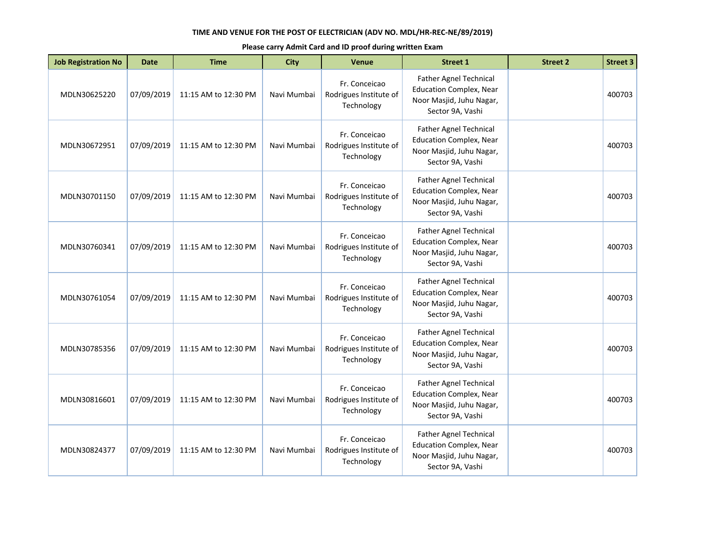| <b>Job Registration No</b> | <b>Date</b> | <b>Time</b>          | <b>City</b> | <b>Venue</b>                                          | <b>Street 1</b>                                                                                                 | <b>Street 2</b> | <b>Street 3</b> |
|----------------------------|-------------|----------------------|-------------|-------------------------------------------------------|-----------------------------------------------------------------------------------------------------------------|-----------------|-----------------|
| MDLN30625220               | 07/09/2019  | 11:15 AM to 12:30 PM | Navi Mumbai | Fr. Conceicao<br>Rodrigues Institute of<br>Technology | Father Agnel Technical<br><b>Education Complex, Near</b><br>Noor Masjid, Juhu Nagar,<br>Sector 9A, Vashi        |                 | 400703          |
| MDLN30672951               | 07/09/2019  | 11:15 AM to 12:30 PM | Navi Mumbai | Fr. Conceicao<br>Rodrigues Institute of<br>Technology | <b>Father Agnel Technical</b><br><b>Education Complex, Near</b><br>Noor Masjid, Juhu Nagar,<br>Sector 9A, Vashi |                 | 400703          |
| MDLN30701150               | 07/09/2019  | 11:15 AM to 12:30 PM | Navi Mumbai | Fr. Conceicao<br>Rodrigues Institute of<br>Technology | <b>Father Agnel Technical</b><br><b>Education Complex, Near</b><br>Noor Masjid, Juhu Nagar,<br>Sector 9A, Vashi |                 | 400703          |
| MDLN30760341               | 07/09/2019  | 11:15 AM to 12:30 PM | Navi Mumbai | Fr. Conceicao<br>Rodrigues Institute of<br>Technology | <b>Father Agnel Technical</b><br><b>Education Complex, Near</b><br>Noor Masjid, Juhu Nagar,<br>Sector 9A, Vashi |                 | 400703          |
| MDLN30761054               | 07/09/2019  | 11:15 AM to 12:30 PM | Navi Mumbai | Fr. Conceicao<br>Rodrigues Institute of<br>Technology | Father Agnel Technical<br><b>Education Complex, Near</b><br>Noor Masjid, Juhu Nagar,<br>Sector 9A, Vashi        |                 | 400703          |
| MDLN30785356               | 07/09/2019  | 11:15 AM to 12:30 PM | Navi Mumbai | Fr. Conceicao<br>Rodrigues Institute of<br>Technology | <b>Father Agnel Technical</b><br><b>Education Complex, Near</b><br>Noor Masjid, Juhu Nagar,<br>Sector 9A, Vashi |                 | 400703          |
| MDLN30816601               | 07/09/2019  | 11:15 AM to 12:30 PM | Navi Mumbai | Fr. Conceicao<br>Rodrigues Institute of<br>Technology | Father Agnel Technical<br><b>Education Complex, Near</b><br>Noor Masjid, Juhu Nagar,<br>Sector 9A, Vashi        |                 | 400703          |
| MDLN30824377               | 07/09/2019  | 11:15 AM to 12:30 PM | Navi Mumbai | Fr. Conceicao<br>Rodrigues Institute of<br>Technology | Father Agnel Technical<br><b>Education Complex, Near</b><br>Noor Masjid, Juhu Nagar,<br>Sector 9A, Vashi        |                 | 400703          |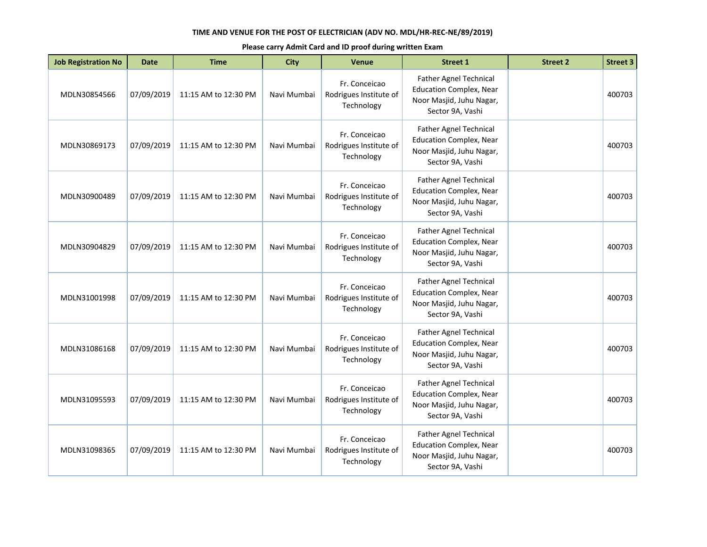| <b>Job Registration No</b> | <b>Date</b> | <b>Time</b>          | <b>City</b> | <b>Venue</b>                                          | <b>Street 1</b>                                                                                                 | <b>Street 2</b> | <b>Street 3</b> |
|----------------------------|-------------|----------------------|-------------|-------------------------------------------------------|-----------------------------------------------------------------------------------------------------------------|-----------------|-----------------|
| MDLN30854566               | 07/09/2019  | 11:15 AM to 12:30 PM | Navi Mumbai | Fr. Conceicao<br>Rodrigues Institute of<br>Technology | Father Agnel Technical<br><b>Education Complex, Near</b><br>Noor Masjid, Juhu Nagar,<br>Sector 9A, Vashi        |                 | 400703          |
| MDLN30869173               | 07/09/2019  | 11:15 AM to 12:30 PM | Navi Mumbai | Fr. Conceicao<br>Rodrigues Institute of<br>Technology | <b>Father Agnel Technical</b><br><b>Education Complex, Near</b><br>Noor Masjid, Juhu Nagar,<br>Sector 9A, Vashi |                 | 400703          |
| MDLN30900489               | 07/09/2019  | 11:15 AM to 12:30 PM | Navi Mumbai | Fr. Conceicao<br>Rodrigues Institute of<br>Technology | <b>Father Agnel Technical</b><br><b>Education Complex, Near</b><br>Noor Masjid, Juhu Nagar,<br>Sector 9A, Vashi |                 | 400703          |
| MDLN30904829               | 07/09/2019  | 11:15 AM to 12:30 PM | Navi Mumbai | Fr. Conceicao<br>Rodrigues Institute of<br>Technology | <b>Father Agnel Technical</b><br><b>Education Complex, Near</b><br>Noor Masjid, Juhu Nagar,<br>Sector 9A, Vashi |                 | 400703          |
| MDLN31001998               | 07/09/2019  | 11:15 AM to 12:30 PM | Navi Mumbai | Fr. Conceicao<br>Rodrigues Institute of<br>Technology | Father Agnel Technical<br><b>Education Complex, Near</b><br>Noor Masjid, Juhu Nagar,<br>Sector 9A, Vashi        |                 | 400703          |
| MDLN31086168               | 07/09/2019  | 11:15 AM to 12:30 PM | Navi Mumbai | Fr. Conceicao<br>Rodrigues Institute of<br>Technology | <b>Father Agnel Technical</b><br><b>Education Complex, Near</b><br>Noor Masjid, Juhu Nagar,<br>Sector 9A, Vashi |                 | 400703          |
| MDLN31095593               | 07/09/2019  | 11:15 AM to 12:30 PM | Navi Mumbai | Fr. Conceicao<br>Rodrigues Institute of<br>Technology | Father Agnel Technical<br><b>Education Complex, Near</b><br>Noor Masjid, Juhu Nagar,<br>Sector 9A, Vashi        |                 | 400703          |
| MDLN31098365               | 07/09/2019  | 11:15 AM to 12:30 PM | Navi Mumbai | Fr. Conceicao<br>Rodrigues Institute of<br>Technology | Father Agnel Technical<br><b>Education Complex, Near</b><br>Noor Masjid, Juhu Nagar,<br>Sector 9A, Vashi        |                 | 400703          |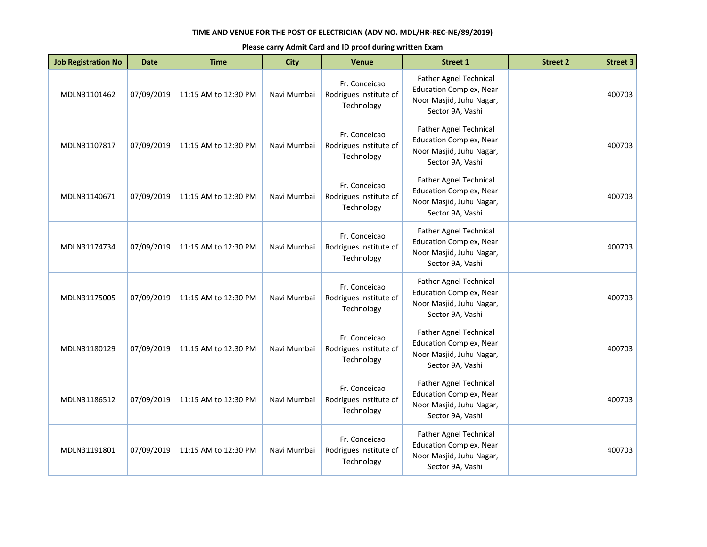| <b>Job Registration No</b> | <b>Date</b> | <b>Time</b>          | <b>City</b> | <b>Venue</b>                                          | <b>Street 1</b>                                                                                                 | <b>Street 2</b> | <b>Street 3</b> |
|----------------------------|-------------|----------------------|-------------|-------------------------------------------------------|-----------------------------------------------------------------------------------------------------------------|-----------------|-----------------|
| MDLN31101462               | 07/09/2019  | 11:15 AM to 12:30 PM | Navi Mumbai | Fr. Conceicao<br>Rodrigues Institute of<br>Technology | Father Agnel Technical<br><b>Education Complex, Near</b><br>Noor Masjid, Juhu Nagar,<br>Sector 9A, Vashi        |                 | 400703          |
| MDLN31107817               | 07/09/2019  | 11:15 AM to 12:30 PM | Navi Mumbai | Fr. Conceicao<br>Rodrigues Institute of<br>Technology | <b>Father Agnel Technical</b><br><b>Education Complex, Near</b><br>Noor Masjid, Juhu Nagar,<br>Sector 9A, Vashi |                 | 400703          |
| MDLN31140671               | 07/09/2019  | 11:15 AM to 12:30 PM | Navi Mumbai | Fr. Conceicao<br>Rodrigues Institute of<br>Technology | <b>Father Agnel Technical</b><br><b>Education Complex, Near</b><br>Noor Masjid, Juhu Nagar,<br>Sector 9A, Vashi |                 | 400703          |
| MDLN31174734               | 07/09/2019  | 11:15 AM to 12:30 PM | Navi Mumbai | Fr. Conceicao<br>Rodrigues Institute of<br>Technology | <b>Father Agnel Technical</b><br><b>Education Complex, Near</b><br>Noor Masjid, Juhu Nagar,<br>Sector 9A, Vashi |                 | 400703          |
| MDLN31175005               | 07/09/2019  | 11:15 AM to 12:30 PM | Navi Mumbai | Fr. Conceicao<br>Rodrigues Institute of<br>Technology | Father Agnel Technical<br><b>Education Complex, Near</b><br>Noor Masjid, Juhu Nagar,<br>Sector 9A, Vashi        |                 | 400703          |
| MDLN31180129               | 07/09/2019  | 11:15 AM to 12:30 PM | Navi Mumbai | Fr. Conceicao<br>Rodrigues Institute of<br>Technology | <b>Father Agnel Technical</b><br><b>Education Complex, Near</b><br>Noor Masjid, Juhu Nagar,<br>Sector 9A, Vashi |                 | 400703          |
| MDLN31186512               | 07/09/2019  | 11:15 AM to 12:30 PM | Navi Mumbai | Fr. Conceicao<br>Rodrigues Institute of<br>Technology | Father Agnel Technical<br><b>Education Complex, Near</b><br>Noor Masjid, Juhu Nagar,<br>Sector 9A, Vashi        |                 | 400703          |
| MDLN31191801               | 07/09/2019  | 11:15 AM to 12:30 PM | Navi Mumbai | Fr. Conceicao<br>Rodrigues Institute of<br>Technology | Father Agnel Technical<br><b>Education Complex, Near</b><br>Noor Masjid, Juhu Nagar,<br>Sector 9A, Vashi        |                 | 400703          |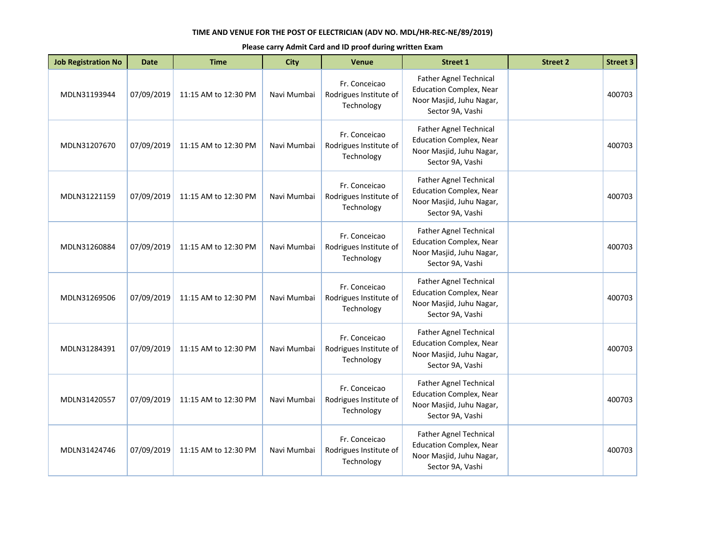| <b>Job Registration No</b> | <b>Date</b> | <b>Time</b>          | <b>City</b> | <b>Venue</b>                                          | <b>Street 1</b>                                                                                                 | <b>Street 2</b> | <b>Street 3</b> |
|----------------------------|-------------|----------------------|-------------|-------------------------------------------------------|-----------------------------------------------------------------------------------------------------------------|-----------------|-----------------|
| MDLN31193944               | 07/09/2019  | 11:15 AM to 12:30 PM | Navi Mumbai | Fr. Conceicao<br>Rodrigues Institute of<br>Technology | Father Agnel Technical<br><b>Education Complex, Near</b><br>Noor Masjid, Juhu Nagar,<br>Sector 9A, Vashi        |                 | 400703          |
| MDLN31207670               | 07/09/2019  | 11:15 AM to 12:30 PM | Navi Mumbai | Fr. Conceicao<br>Rodrigues Institute of<br>Technology | <b>Father Agnel Technical</b><br><b>Education Complex, Near</b><br>Noor Masjid, Juhu Nagar,<br>Sector 9A, Vashi |                 | 400703          |
| MDLN31221159               | 07/09/2019  | 11:15 AM to 12:30 PM | Navi Mumbai | Fr. Conceicao<br>Rodrigues Institute of<br>Technology | <b>Father Agnel Technical</b><br><b>Education Complex, Near</b><br>Noor Masjid, Juhu Nagar,<br>Sector 9A, Vashi |                 | 400703          |
| MDLN31260884               | 07/09/2019  | 11:15 AM to 12:30 PM | Navi Mumbai | Fr. Conceicao<br>Rodrigues Institute of<br>Technology | <b>Father Agnel Technical</b><br><b>Education Complex, Near</b><br>Noor Masjid, Juhu Nagar,<br>Sector 9A, Vashi |                 | 400703          |
| MDLN31269506               | 07/09/2019  | 11:15 AM to 12:30 PM | Navi Mumbai | Fr. Conceicao<br>Rodrigues Institute of<br>Technology | Father Agnel Technical<br><b>Education Complex, Near</b><br>Noor Masjid, Juhu Nagar,<br>Sector 9A, Vashi        |                 | 400703          |
| MDLN31284391               | 07/09/2019  | 11:15 AM to 12:30 PM | Navi Mumbai | Fr. Conceicao<br>Rodrigues Institute of<br>Technology | <b>Father Agnel Technical</b><br><b>Education Complex, Near</b><br>Noor Masjid, Juhu Nagar,<br>Sector 9A, Vashi |                 | 400703          |
| MDLN31420557               | 07/09/2019  | 11:15 AM to 12:30 PM | Navi Mumbai | Fr. Conceicao<br>Rodrigues Institute of<br>Technology | Father Agnel Technical<br><b>Education Complex, Near</b><br>Noor Masjid, Juhu Nagar,<br>Sector 9A, Vashi        |                 | 400703          |
| MDLN31424746               | 07/09/2019  | 11:15 AM to 12:30 PM | Navi Mumbai | Fr. Conceicao<br>Rodrigues Institute of<br>Technology | Father Agnel Technical<br><b>Education Complex, Near</b><br>Noor Masjid, Juhu Nagar,<br>Sector 9A, Vashi        |                 | 400703          |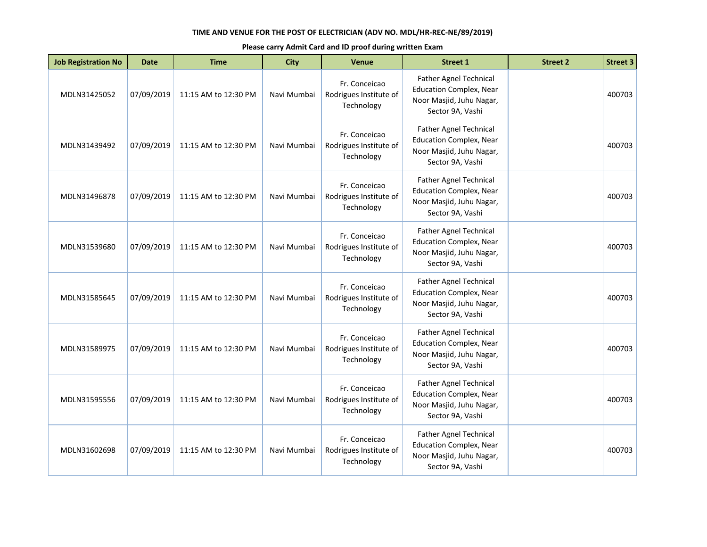| <b>Job Registration No</b> | <b>Date</b> | <b>Time</b>          | <b>City</b> | <b>Venue</b>                                          | <b>Street 1</b>                                                                                                 | <b>Street 2</b> | <b>Street 3</b> |
|----------------------------|-------------|----------------------|-------------|-------------------------------------------------------|-----------------------------------------------------------------------------------------------------------------|-----------------|-----------------|
| MDLN31425052               | 07/09/2019  | 11:15 AM to 12:30 PM | Navi Mumbai | Fr. Conceicao<br>Rodrigues Institute of<br>Technology | Father Agnel Technical<br><b>Education Complex, Near</b><br>Noor Masjid, Juhu Nagar,<br>Sector 9A, Vashi        |                 | 400703          |
| MDLN31439492               | 07/09/2019  | 11:15 AM to 12:30 PM | Navi Mumbai | Fr. Conceicao<br>Rodrigues Institute of<br>Technology | <b>Father Agnel Technical</b><br><b>Education Complex, Near</b><br>Noor Masjid, Juhu Nagar,<br>Sector 9A, Vashi |                 | 400703          |
| MDLN31496878               | 07/09/2019  | 11:15 AM to 12:30 PM | Navi Mumbai | Fr. Conceicao<br>Rodrigues Institute of<br>Technology | <b>Father Agnel Technical</b><br><b>Education Complex, Near</b><br>Noor Masjid, Juhu Nagar,<br>Sector 9A, Vashi |                 | 400703          |
| MDLN31539680               | 07/09/2019  | 11:15 AM to 12:30 PM | Navi Mumbai | Fr. Conceicao<br>Rodrigues Institute of<br>Technology | <b>Father Agnel Technical</b><br><b>Education Complex, Near</b><br>Noor Masjid, Juhu Nagar,<br>Sector 9A, Vashi |                 | 400703          |
| MDLN31585645               | 07/09/2019  | 11:15 AM to 12:30 PM | Navi Mumbai | Fr. Conceicao<br>Rodrigues Institute of<br>Technology | Father Agnel Technical<br><b>Education Complex, Near</b><br>Noor Masjid, Juhu Nagar,<br>Sector 9A, Vashi        |                 | 400703          |
| MDLN31589975               | 07/09/2019  | 11:15 AM to 12:30 PM | Navi Mumbai | Fr. Conceicao<br>Rodrigues Institute of<br>Technology | <b>Father Agnel Technical</b><br><b>Education Complex, Near</b><br>Noor Masjid, Juhu Nagar,<br>Sector 9A, Vashi |                 | 400703          |
| MDLN31595556               | 07/09/2019  | 11:15 AM to 12:30 PM | Navi Mumbai | Fr. Conceicao<br>Rodrigues Institute of<br>Technology | Father Agnel Technical<br><b>Education Complex, Near</b><br>Noor Masjid, Juhu Nagar,<br>Sector 9A, Vashi        |                 | 400703          |
| MDLN31602698               | 07/09/2019  | 11:15 AM to 12:30 PM | Navi Mumbai | Fr. Conceicao<br>Rodrigues Institute of<br>Technology | Father Agnel Technical<br><b>Education Complex, Near</b><br>Noor Masjid, Juhu Nagar,<br>Sector 9A, Vashi        |                 | 400703          |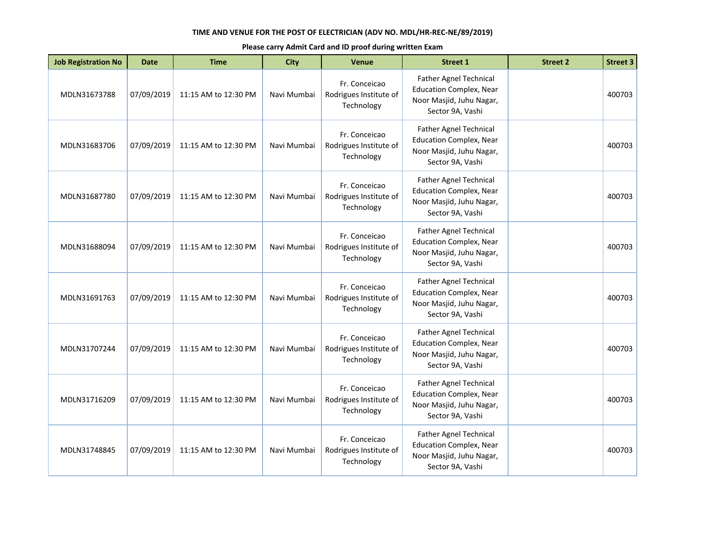| <b>Job Registration No</b> | <b>Date</b> | <b>Time</b>          | <b>City</b> | <b>Venue</b>                                          | <b>Street 1</b>                                                                                                 | <b>Street 2</b> | <b>Street 3</b> |
|----------------------------|-------------|----------------------|-------------|-------------------------------------------------------|-----------------------------------------------------------------------------------------------------------------|-----------------|-----------------|
| MDLN31673788               | 07/09/2019  | 11:15 AM to 12:30 PM | Navi Mumbai | Fr. Conceicao<br>Rodrigues Institute of<br>Technology | Father Agnel Technical<br><b>Education Complex, Near</b><br>Noor Masjid, Juhu Nagar,<br>Sector 9A, Vashi        |                 | 400703          |
| MDLN31683706               | 07/09/2019  | 11:15 AM to 12:30 PM | Navi Mumbai | Fr. Conceicao<br>Rodrigues Institute of<br>Technology | <b>Father Agnel Technical</b><br><b>Education Complex, Near</b><br>Noor Masjid, Juhu Nagar,<br>Sector 9A, Vashi |                 | 400703          |
| MDLN31687780               | 07/09/2019  | 11:15 AM to 12:30 PM | Navi Mumbai | Fr. Conceicao<br>Rodrigues Institute of<br>Technology | <b>Father Agnel Technical</b><br><b>Education Complex, Near</b><br>Noor Masjid, Juhu Nagar,<br>Sector 9A, Vashi |                 | 400703          |
| MDLN31688094               | 07/09/2019  | 11:15 AM to 12:30 PM | Navi Mumbai | Fr. Conceicao<br>Rodrigues Institute of<br>Technology | <b>Father Agnel Technical</b><br><b>Education Complex, Near</b><br>Noor Masjid, Juhu Nagar,<br>Sector 9A, Vashi |                 | 400703          |
| MDLN31691763               | 07/09/2019  | 11:15 AM to 12:30 PM | Navi Mumbai | Fr. Conceicao<br>Rodrigues Institute of<br>Technology | Father Agnel Technical<br><b>Education Complex, Near</b><br>Noor Masjid, Juhu Nagar,<br>Sector 9A, Vashi        |                 | 400703          |
| MDLN31707244               | 07/09/2019  | 11:15 AM to 12:30 PM | Navi Mumbai | Fr. Conceicao<br>Rodrigues Institute of<br>Technology | <b>Father Agnel Technical</b><br><b>Education Complex, Near</b><br>Noor Masjid, Juhu Nagar,<br>Sector 9A, Vashi |                 | 400703          |
| MDLN31716209               | 07/09/2019  | 11:15 AM to 12:30 PM | Navi Mumbai | Fr. Conceicao<br>Rodrigues Institute of<br>Technology | Father Agnel Technical<br><b>Education Complex, Near</b><br>Noor Masjid, Juhu Nagar,<br>Sector 9A, Vashi        |                 | 400703          |
| MDLN31748845               | 07/09/2019  | 11:15 AM to 12:30 PM | Navi Mumbai | Fr. Conceicao<br>Rodrigues Institute of<br>Technology | Father Agnel Technical<br><b>Education Complex, Near</b><br>Noor Masjid, Juhu Nagar,<br>Sector 9A, Vashi        |                 | 400703          |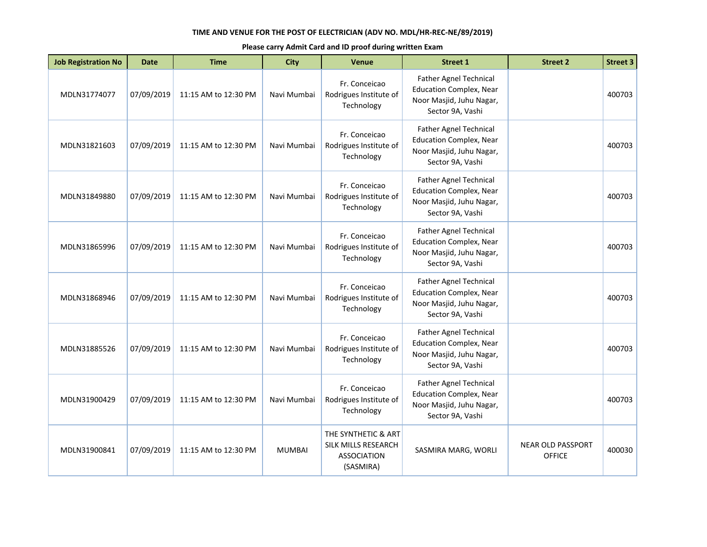| <b>Job Registration No</b> | <b>Date</b> | <b>Time</b>          | <b>City</b>   | <b>Venue</b>                                                                  | <b>Street 1</b>                                                                                                 | <b>Street 2</b>                           | <b>Street 3</b> |
|----------------------------|-------------|----------------------|---------------|-------------------------------------------------------------------------------|-----------------------------------------------------------------------------------------------------------------|-------------------------------------------|-----------------|
| MDLN31774077               | 07/09/2019  | 11:15 AM to 12:30 PM | Navi Mumbai   | Fr. Conceicao<br>Rodrigues Institute of<br>Technology                         | Father Agnel Technical<br><b>Education Complex, Near</b><br>Noor Masjid, Juhu Nagar,<br>Sector 9A, Vashi        |                                           | 400703          |
| MDLN31821603               | 07/09/2019  | 11:15 AM to 12:30 PM | Navi Mumbai   | Fr. Conceicao<br>Rodrigues Institute of<br>Technology                         | <b>Father Agnel Technical</b><br><b>Education Complex, Near</b><br>Noor Masjid, Juhu Nagar,<br>Sector 9A, Vashi |                                           | 400703          |
| MDLN31849880               | 07/09/2019  | 11:15 AM to 12:30 PM | Navi Mumbai   | Fr. Conceicao<br>Rodrigues Institute of<br>Technology                         | <b>Father Agnel Technical</b><br><b>Education Complex, Near</b><br>Noor Masjid, Juhu Nagar,<br>Sector 9A, Vashi |                                           | 400703          |
| MDLN31865996               | 07/09/2019  | 11:15 AM to 12:30 PM | Navi Mumbai   | Fr. Conceicao<br>Rodrigues Institute of<br>Technology                         | <b>Father Agnel Technical</b><br><b>Education Complex, Near</b><br>Noor Masjid, Juhu Nagar,<br>Sector 9A, Vashi |                                           | 400703          |
| MDLN31868946               | 07/09/2019  | 11:15 AM to 12:30 PM | Navi Mumbai   | Fr. Conceicao<br>Rodrigues Institute of<br>Technology                         | Father Agnel Technical<br><b>Education Complex, Near</b><br>Noor Masjid, Juhu Nagar,<br>Sector 9A, Vashi        |                                           | 400703          |
| MDLN31885526               | 07/09/2019  | 11:15 AM to 12:30 PM | Navi Mumbai   | Fr. Conceicao<br>Rodrigues Institute of<br>Technology                         | <b>Father Agnel Technical</b><br><b>Education Complex, Near</b><br>Noor Masjid, Juhu Nagar,<br>Sector 9A, Vashi |                                           | 400703          |
| MDLN31900429               | 07/09/2019  | 11:15 AM to 12:30 PM | Navi Mumbai   | Fr. Conceicao<br>Rodrigues Institute of<br>Technology                         | Father Agnel Technical<br><b>Education Complex, Near</b><br>Noor Masjid, Juhu Nagar,<br>Sector 9A, Vashi        |                                           | 400703          |
| MDLN31900841               | 07/09/2019  | 11:15 AM to 12:30 PM | <b>MUMBAI</b> | THE SYNTHETIC & ART<br>SILK MILLS RESEARCH<br><b>ASSOCIATION</b><br>(SASMIRA) | SASMIRA MARG, WORLI                                                                                             | <b>NEAR OLD PASSPORT</b><br><b>OFFICE</b> | 400030          |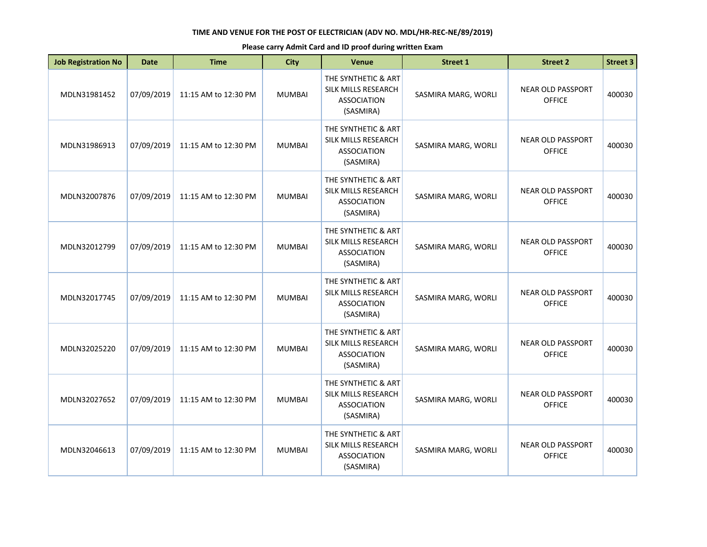| <b>Job Registration No</b> | <b>Date</b> | <b>Time</b>          | <b>City</b>   | Venue                                                                         | <b>Street 1</b>     | <b>Street 2</b>                           | <b>Street 3</b> |
|----------------------------|-------------|----------------------|---------------|-------------------------------------------------------------------------------|---------------------|-------------------------------------------|-----------------|
| MDLN31981452               | 07/09/2019  | 11:15 AM to 12:30 PM | <b>MUMBAI</b> | THE SYNTHETIC & ART<br>SILK MILLS RESEARCH<br><b>ASSOCIATION</b><br>(SASMIRA) | SASMIRA MARG, WORLI | <b>NEAR OLD PASSPORT</b><br><b>OFFICE</b> | 400030          |
| MDLN31986913               | 07/09/2019  | 11:15 AM to 12:30 PM | <b>MUMBAI</b> | THE SYNTHETIC & ART<br>SILK MILLS RESEARCH<br><b>ASSOCIATION</b><br>(SASMIRA) | SASMIRA MARG, WORLI | <b>NEAR OLD PASSPORT</b><br><b>OFFICE</b> | 400030          |
| MDLN32007876               | 07/09/2019  | 11:15 AM to 12:30 PM | <b>MUMBAI</b> | THE SYNTHETIC & ART<br>SILK MILLS RESEARCH<br><b>ASSOCIATION</b><br>(SASMIRA) | SASMIRA MARG, WORLI | <b>NEAR OLD PASSPORT</b><br><b>OFFICE</b> | 400030          |
| MDLN32012799               | 07/09/2019  | 11:15 AM to 12:30 PM | <b>MUMBAI</b> | THE SYNTHETIC & ART<br>SILK MILLS RESEARCH<br><b>ASSOCIATION</b><br>(SASMIRA) | SASMIRA MARG, WORLI | <b>NEAR OLD PASSPORT</b><br><b>OFFICE</b> | 400030          |
| MDLN32017745               | 07/09/2019  | 11:15 AM to 12:30 PM | <b>MUMBAI</b> | THE SYNTHETIC & ART<br>SILK MILLS RESEARCH<br><b>ASSOCIATION</b><br>(SASMIRA) | SASMIRA MARG, WORLI | <b>NEAR OLD PASSPORT</b><br><b>OFFICE</b> | 400030          |
| MDLN32025220               | 07/09/2019  | 11:15 AM to 12:30 PM | <b>MUMBAI</b> | THE SYNTHETIC & ART<br>SILK MILLS RESEARCH<br><b>ASSOCIATION</b><br>(SASMIRA) | SASMIRA MARG, WORLI | <b>NEAR OLD PASSPORT</b><br><b>OFFICE</b> | 400030          |
| MDLN32027652               | 07/09/2019  | 11:15 AM to 12:30 PM | <b>MUMBAI</b> | THE SYNTHETIC & ART<br>SILK MILLS RESEARCH<br><b>ASSOCIATION</b><br>(SASMIRA) | SASMIRA MARG, WORLI | <b>NEAR OLD PASSPORT</b><br><b>OFFICE</b> | 400030          |
| MDLN32046613               | 07/09/2019  | 11:15 AM to 12:30 PM | <b>MUMBAI</b> | THE SYNTHETIC & ART<br>SILK MILLS RESEARCH<br><b>ASSOCIATION</b><br>(SASMIRA) | SASMIRA MARG, WORLI | <b>NEAR OLD PASSPORT</b><br><b>OFFICE</b> | 400030          |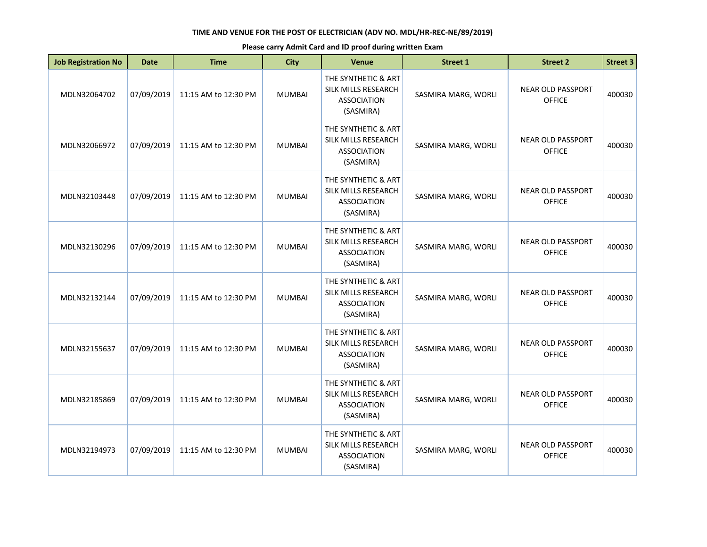| <b>Job Registration No</b> | <b>Date</b> | <b>Time</b>          | <b>City</b>   | Venue                                                                         | <b>Street 1</b>     | <b>Street 2</b>                           | <b>Street 3</b> |
|----------------------------|-------------|----------------------|---------------|-------------------------------------------------------------------------------|---------------------|-------------------------------------------|-----------------|
| MDLN32064702               | 07/09/2019  | 11:15 AM to 12:30 PM | <b>MUMBAI</b> | THE SYNTHETIC & ART<br>SILK MILLS RESEARCH<br><b>ASSOCIATION</b><br>(SASMIRA) | SASMIRA MARG, WORLI | <b>NEAR OLD PASSPORT</b><br><b>OFFICE</b> | 400030          |
| MDLN32066972               | 07/09/2019  | 11:15 AM to 12:30 PM | <b>MUMBAI</b> | THE SYNTHETIC & ART<br>SILK MILLS RESEARCH<br><b>ASSOCIATION</b><br>(SASMIRA) | SASMIRA MARG, WORLI | <b>NEAR OLD PASSPORT</b><br><b>OFFICE</b> | 400030          |
| MDLN32103448               | 07/09/2019  | 11:15 AM to 12:30 PM | <b>MUMBAI</b> | THE SYNTHETIC & ART<br>SILK MILLS RESEARCH<br><b>ASSOCIATION</b><br>(SASMIRA) | SASMIRA MARG, WORLI | <b>NEAR OLD PASSPORT</b><br><b>OFFICE</b> | 400030          |
| MDLN32130296               | 07/09/2019  | 11:15 AM to 12:30 PM | <b>MUMBAI</b> | THE SYNTHETIC & ART<br>SILK MILLS RESEARCH<br><b>ASSOCIATION</b><br>(SASMIRA) | SASMIRA MARG, WORLI | <b>NEAR OLD PASSPORT</b><br><b>OFFICE</b> | 400030          |
| MDLN32132144               | 07/09/2019  | 11:15 AM to 12:30 PM | <b>MUMBAI</b> | THE SYNTHETIC & ART<br>SILK MILLS RESEARCH<br><b>ASSOCIATION</b><br>(SASMIRA) | SASMIRA MARG, WORLI | <b>NEAR OLD PASSPORT</b><br><b>OFFICE</b> | 400030          |
| MDLN32155637               | 07/09/2019  | 11:15 AM to 12:30 PM | <b>MUMBAI</b> | THE SYNTHETIC & ART<br>SILK MILLS RESEARCH<br><b>ASSOCIATION</b><br>(SASMIRA) | SASMIRA MARG, WORLI | <b>NEAR OLD PASSPORT</b><br><b>OFFICE</b> | 400030          |
| MDLN32185869               | 07/09/2019  | 11:15 AM to 12:30 PM | <b>MUMBAI</b> | THE SYNTHETIC & ART<br>SILK MILLS RESEARCH<br><b>ASSOCIATION</b><br>(SASMIRA) | SASMIRA MARG, WORLI | <b>NEAR OLD PASSPORT</b><br><b>OFFICE</b> | 400030          |
| MDLN32194973               | 07/09/2019  | 11:15 AM to 12:30 PM | <b>MUMBAI</b> | THE SYNTHETIC & ART<br>SILK MILLS RESEARCH<br><b>ASSOCIATION</b><br>(SASMIRA) | SASMIRA MARG, WORLI | <b>NEAR OLD PASSPORT</b><br><b>OFFICE</b> | 400030          |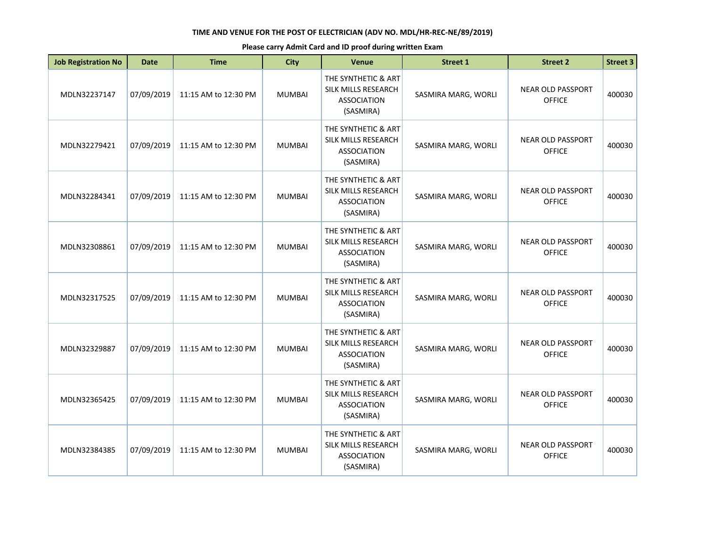| <b>Job Registration No</b> | <b>Date</b> | <b>Time</b>          | <b>City</b>   | Venue                                                                         | <b>Street 1</b>     | <b>Street 2</b>                           | <b>Street 3</b> |
|----------------------------|-------------|----------------------|---------------|-------------------------------------------------------------------------------|---------------------|-------------------------------------------|-----------------|
| MDLN32237147               | 07/09/2019  | 11:15 AM to 12:30 PM | <b>MUMBAI</b> | THE SYNTHETIC & ART<br>SILK MILLS RESEARCH<br><b>ASSOCIATION</b><br>(SASMIRA) | SASMIRA MARG, WORLI | <b>NEAR OLD PASSPORT</b><br><b>OFFICE</b> | 400030          |
| MDLN32279421               | 07/09/2019  | 11:15 AM to 12:30 PM | <b>MUMBAI</b> | THE SYNTHETIC & ART<br>SILK MILLS RESEARCH<br><b>ASSOCIATION</b><br>(SASMIRA) | SASMIRA MARG, WORLI | <b>NEAR OLD PASSPORT</b><br><b>OFFICE</b> | 400030          |
| MDLN32284341               | 07/09/2019  | 11:15 AM to 12:30 PM | <b>MUMBAI</b> | THE SYNTHETIC & ART<br>SILK MILLS RESEARCH<br><b>ASSOCIATION</b><br>(SASMIRA) | SASMIRA MARG, WORLI | <b>NEAR OLD PASSPORT</b><br><b>OFFICE</b> | 400030          |
| MDLN32308861               | 07/09/2019  | 11:15 AM to 12:30 PM | <b>MUMBAI</b> | THE SYNTHETIC & ART<br>SILK MILLS RESEARCH<br><b>ASSOCIATION</b><br>(SASMIRA) | SASMIRA MARG, WORLI | <b>NEAR OLD PASSPORT</b><br><b>OFFICE</b> | 400030          |
| MDLN32317525               | 07/09/2019  | 11:15 AM to 12:30 PM | <b>MUMBAI</b> | THE SYNTHETIC & ART<br>SILK MILLS RESEARCH<br><b>ASSOCIATION</b><br>(SASMIRA) | SASMIRA MARG, WORLI | <b>NEAR OLD PASSPORT</b><br><b>OFFICE</b> | 400030          |
| MDLN32329887               | 07/09/2019  | 11:15 AM to 12:30 PM | <b>MUMBAI</b> | THE SYNTHETIC & ART<br>SILK MILLS RESEARCH<br><b>ASSOCIATION</b><br>(SASMIRA) | SASMIRA MARG, WORLI | <b>NEAR OLD PASSPORT</b><br><b>OFFICE</b> | 400030          |
| MDLN32365425               | 07/09/2019  | 11:15 AM to 12:30 PM | <b>MUMBAI</b> | THE SYNTHETIC & ART<br>SILK MILLS RESEARCH<br><b>ASSOCIATION</b><br>(SASMIRA) | SASMIRA MARG, WORLI | <b>NEAR OLD PASSPORT</b><br><b>OFFICE</b> | 400030          |
| MDLN32384385               | 07/09/2019  | 11:15 AM to 12:30 PM | <b>MUMBAI</b> | THE SYNTHETIC & ART<br>SILK MILLS RESEARCH<br><b>ASSOCIATION</b><br>(SASMIRA) | SASMIRA MARG, WORLI | <b>NEAR OLD PASSPORT</b><br><b>OFFICE</b> | 400030          |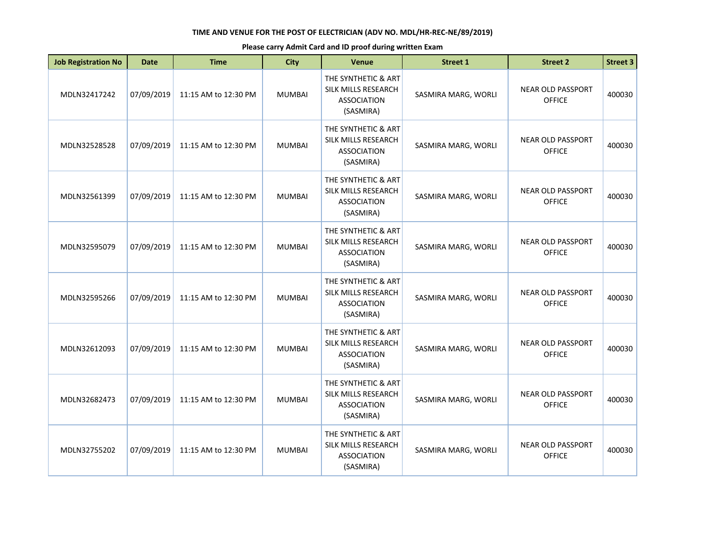| <b>Job Registration No</b> | <b>Date</b> | <b>Time</b>          | <b>City</b>   | <b>Venue</b>                                                                         | <b>Street 1</b>     | <b>Street 2</b>                           | <b>Street 3</b> |
|----------------------------|-------------|----------------------|---------------|--------------------------------------------------------------------------------------|---------------------|-------------------------------------------|-----------------|
| MDLN32417242               | 07/09/2019  | 11:15 AM to 12:30 PM | <b>MUMBAI</b> | THE SYNTHETIC & ART<br><b>SILK MILLS RESEARCH</b><br><b>ASSOCIATION</b><br>(SASMIRA) | SASMIRA MARG, WORLI | <b>NEAR OLD PASSPORT</b><br><b>OFFICE</b> | 400030          |
| MDLN32528528               | 07/09/2019  | 11:15 AM to 12:30 PM | <b>MUMBAI</b> | THE SYNTHETIC & ART<br>SILK MILLS RESEARCH<br><b>ASSOCIATION</b><br>(SASMIRA)        | SASMIRA MARG, WORLI | <b>NEAR OLD PASSPORT</b><br><b>OFFICE</b> | 400030          |
| MDLN32561399               | 07/09/2019  | 11:15 AM to 12:30 PM | <b>MUMBAI</b> | THE SYNTHETIC & ART<br>SILK MILLS RESEARCH<br><b>ASSOCIATION</b><br>(SASMIRA)        | SASMIRA MARG, WORLI | <b>NEAR OLD PASSPORT</b><br><b>OFFICE</b> | 400030          |
| MDLN32595079               | 07/09/2019  | 11:15 AM to 12:30 PM | <b>MUMBAI</b> | THE SYNTHETIC & ART<br>SILK MILLS RESEARCH<br><b>ASSOCIATION</b><br>(SASMIRA)        | SASMIRA MARG, WORLI | <b>NEAR OLD PASSPORT</b><br><b>OFFICE</b> | 400030          |
| MDLN32595266               | 07/09/2019  | 11:15 AM to 12:30 PM | <b>MUMBAI</b> | THE SYNTHETIC & ART<br>SILK MILLS RESEARCH<br><b>ASSOCIATION</b><br>(SASMIRA)        | SASMIRA MARG, WORLI | <b>NEAR OLD PASSPORT</b><br><b>OFFICE</b> | 400030          |
| MDLN32612093               | 07/09/2019  | 11:15 AM to 12:30 PM | <b>MUMBAI</b> | THE SYNTHETIC & ART<br>SILK MILLS RESEARCH<br><b>ASSOCIATION</b><br>(SASMIRA)        | SASMIRA MARG, WORLI | <b>NEAR OLD PASSPORT</b><br><b>OFFICE</b> | 400030          |
| MDLN32682473               | 07/09/2019  | 11:15 AM to 12:30 PM | <b>MUMBAI</b> | THE SYNTHETIC & ART<br>SILK MILLS RESEARCH<br><b>ASSOCIATION</b><br>(SASMIRA)        | SASMIRA MARG, WORLI | <b>NEAR OLD PASSPORT</b><br><b>OFFICE</b> | 400030          |
| MDLN32755202               | 07/09/2019  | 11:15 AM to 12:30 PM | <b>MUMBAI</b> | THE SYNTHETIC & ART<br>SILK MILLS RESEARCH<br><b>ASSOCIATION</b><br>(SASMIRA)        | SASMIRA MARG, WORLI | <b>NEAR OLD PASSPORT</b><br><b>OFFICE</b> | 400030          |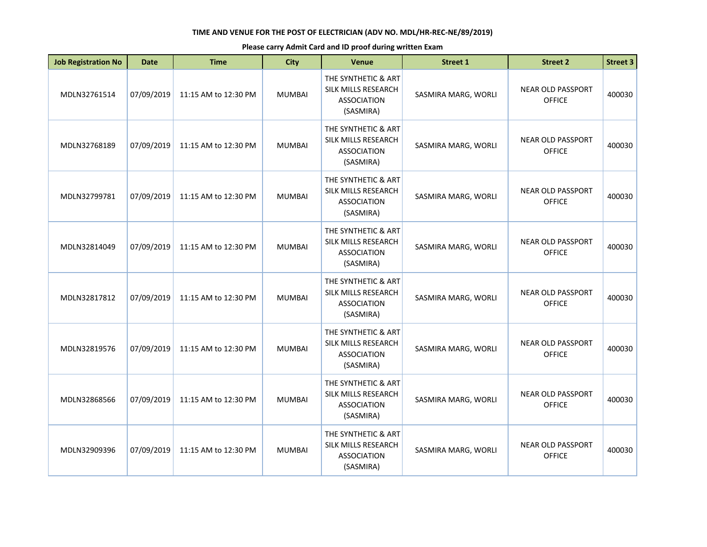| <b>Job Registration No</b> | <b>Date</b> | <b>Time</b>          | <b>City</b>   | Venue                                                                         | <b>Street 1</b>     | <b>Street 2</b>                           | <b>Street 3</b> |
|----------------------------|-------------|----------------------|---------------|-------------------------------------------------------------------------------|---------------------|-------------------------------------------|-----------------|
| MDLN32761514               | 07/09/2019  | 11:15 AM to 12:30 PM | <b>MUMBAI</b> | THE SYNTHETIC & ART<br>SILK MILLS RESEARCH<br><b>ASSOCIATION</b><br>(SASMIRA) | SASMIRA MARG, WORLI | <b>NEAR OLD PASSPORT</b><br><b>OFFICE</b> | 400030          |
| MDLN32768189               | 07/09/2019  | 11:15 AM to 12:30 PM | <b>MUMBAI</b> | THE SYNTHETIC & ART<br>SILK MILLS RESEARCH<br><b>ASSOCIATION</b><br>(SASMIRA) | SASMIRA MARG, WORLI | <b>NEAR OLD PASSPORT</b><br><b>OFFICE</b> | 400030          |
| MDLN32799781               | 07/09/2019  | 11:15 AM to 12:30 PM | <b>MUMBAI</b> | THE SYNTHETIC & ART<br>SILK MILLS RESEARCH<br><b>ASSOCIATION</b><br>(SASMIRA) | SASMIRA MARG, WORLI | <b>NEAR OLD PASSPORT</b><br><b>OFFICE</b> | 400030          |
| MDLN32814049               | 07/09/2019  | 11:15 AM to 12:30 PM | <b>MUMBAI</b> | THE SYNTHETIC & ART<br>SILK MILLS RESEARCH<br><b>ASSOCIATION</b><br>(SASMIRA) | SASMIRA MARG, WORLI | <b>NEAR OLD PASSPORT</b><br><b>OFFICE</b> | 400030          |
| MDLN32817812               | 07/09/2019  | 11:15 AM to 12:30 PM | <b>MUMBAI</b> | THE SYNTHETIC & ART<br>SILK MILLS RESEARCH<br><b>ASSOCIATION</b><br>(SASMIRA) | SASMIRA MARG, WORLI | <b>NEAR OLD PASSPORT</b><br><b>OFFICE</b> | 400030          |
| MDLN32819576               | 07/09/2019  | 11:15 AM to 12:30 PM | <b>MUMBAI</b> | THE SYNTHETIC & ART<br>SILK MILLS RESEARCH<br><b>ASSOCIATION</b><br>(SASMIRA) | SASMIRA MARG, WORLI | <b>NEAR OLD PASSPORT</b><br><b>OFFICE</b> | 400030          |
| MDLN32868566               | 07/09/2019  | 11:15 AM to 12:30 PM | <b>MUMBAI</b> | THE SYNTHETIC & ART<br>SILK MILLS RESEARCH<br><b>ASSOCIATION</b><br>(SASMIRA) | SASMIRA MARG, WORLI | <b>NEAR OLD PASSPORT</b><br><b>OFFICE</b> | 400030          |
| MDLN32909396               | 07/09/2019  | 11:15 AM to 12:30 PM | <b>MUMBAI</b> | THE SYNTHETIC & ART<br>SILK MILLS RESEARCH<br><b>ASSOCIATION</b><br>(SASMIRA) | SASMIRA MARG, WORLI | <b>NEAR OLD PASSPORT</b><br><b>OFFICE</b> | 400030          |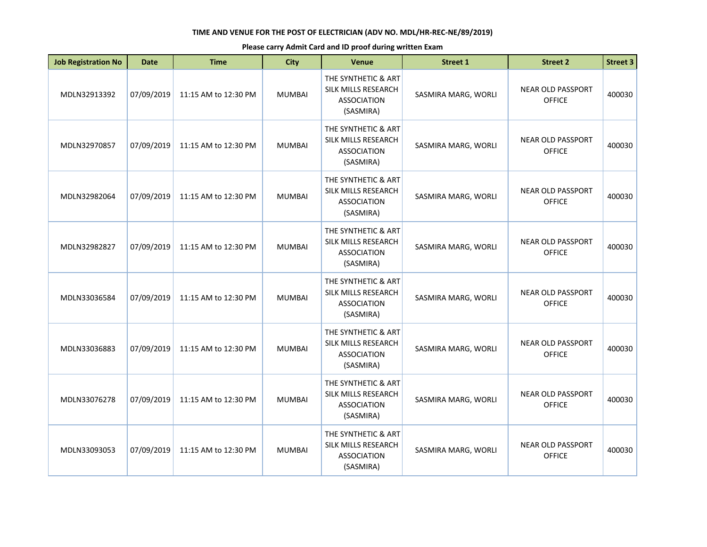| <b>Job Registration No</b> | <b>Date</b> | <b>Time</b>          | <b>City</b>   | <b>Venue</b>                                                                  | <b>Street 1</b>     | <b>Street 2</b>                           | <b>Street 3</b> |
|----------------------------|-------------|----------------------|---------------|-------------------------------------------------------------------------------|---------------------|-------------------------------------------|-----------------|
| MDLN32913392               | 07/09/2019  | 11:15 AM to 12:30 PM | <b>MUMBAI</b> | THE SYNTHETIC & ART<br>SILK MILLS RESEARCH<br><b>ASSOCIATION</b><br>(SASMIRA) | SASMIRA MARG, WORLI | <b>NEAR OLD PASSPORT</b><br><b>OFFICE</b> | 400030          |
| MDLN32970857               | 07/09/2019  | 11:15 AM to 12:30 PM | <b>MUMBAI</b> | THE SYNTHETIC & ART<br>SILK MILLS RESEARCH<br><b>ASSOCIATION</b><br>(SASMIRA) | SASMIRA MARG, WORLI | <b>NEAR OLD PASSPORT</b><br><b>OFFICE</b> | 400030          |
| MDLN32982064               | 07/09/2019  | 11:15 AM to 12:30 PM | <b>MUMBAI</b> | THE SYNTHETIC & ART<br>SILK MILLS RESEARCH<br><b>ASSOCIATION</b><br>(SASMIRA) | SASMIRA MARG, WORLI | <b>NEAR OLD PASSPORT</b><br><b>OFFICE</b> | 400030          |
| MDLN32982827               | 07/09/2019  | 11:15 AM to 12:30 PM | <b>MUMBAI</b> | THE SYNTHETIC & ART<br>SILK MILLS RESEARCH<br><b>ASSOCIATION</b><br>(SASMIRA) | SASMIRA MARG, WORLI | <b>NEAR OLD PASSPORT</b><br><b>OFFICE</b> | 400030          |
| MDLN33036584               | 07/09/2019  | 11:15 AM to 12:30 PM | <b>MUMBAI</b> | THE SYNTHETIC & ART<br>SILK MILLS RESEARCH<br><b>ASSOCIATION</b><br>(SASMIRA) | SASMIRA MARG, WORLI | <b>NEAR OLD PASSPORT</b><br><b>OFFICE</b> | 400030          |
| MDLN33036883               | 07/09/2019  | 11:15 AM to 12:30 PM | <b>MUMBAI</b> | THE SYNTHETIC & ART<br>SILK MILLS RESEARCH<br><b>ASSOCIATION</b><br>(SASMIRA) | SASMIRA MARG, WORLI | <b>NEAR OLD PASSPORT</b><br><b>OFFICE</b> | 400030          |
| MDLN33076278               | 07/09/2019  | 11:15 AM to 12:30 PM | <b>MUMBAI</b> | THE SYNTHETIC & ART<br>SILK MILLS RESEARCH<br><b>ASSOCIATION</b><br>(SASMIRA) | SASMIRA MARG, WORLI | <b>NEAR OLD PASSPORT</b><br><b>OFFICE</b> | 400030          |
| MDLN33093053               | 07/09/2019  | 11:15 AM to 12:30 PM | <b>MUMBAI</b> | THE SYNTHETIC & ART<br>SILK MILLS RESEARCH<br><b>ASSOCIATION</b><br>(SASMIRA) | SASMIRA MARG, WORLI | <b>NEAR OLD PASSPORT</b><br><b>OFFICE</b> | 400030          |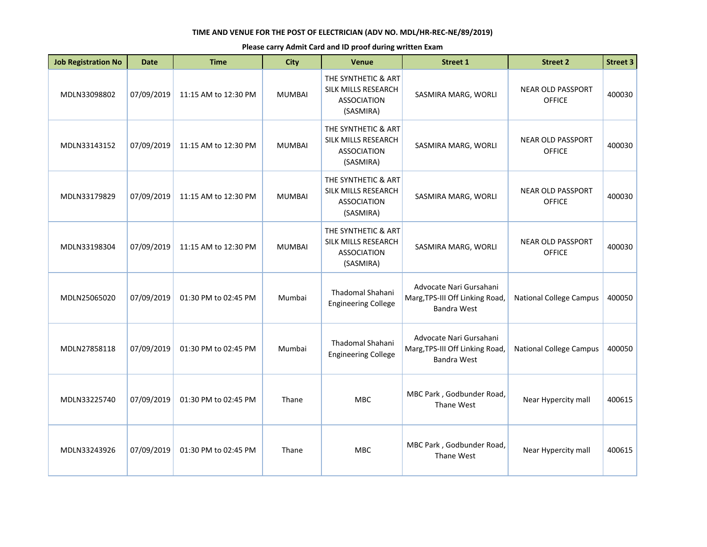| <b>Job Registration No</b> | <b>Date</b> | <b>Time</b>          | <b>City</b>   | <b>Venue</b>                                                                  | Street 1                                                                         | <b>Street 2</b>                           | <b>Street 3</b> |
|----------------------------|-------------|----------------------|---------------|-------------------------------------------------------------------------------|----------------------------------------------------------------------------------|-------------------------------------------|-----------------|
| MDLN33098802               | 07/09/2019  | 11:15 AM to 12:30 PM | <b>MUMBAI</b> | THE SYNTHETIC & ART<br>SILK MILLS RESEARCH<br><b>ASSOCIATION</b><br>(SASMIRA) | SASMIRA MARG, WORLI                                                              | <b>NEAR OLD PASSPORT</b><br><b>OFFICE</b> | 400030          |
| MDLN33143152               | 07/09/2019  | 11:15 AM to 12:30 PM | <b>MUMBAI</b> | THE SYNTHETIC & ART<br>SILK MILLS RESEARCH<br><b>ASSOCIATION</b><br>(SASMIRA) | SASMIRA MARG, WORLI                                                              | <b>NEAR OLD PASSPORT</b><br><b>OFFICE</b> | 400030          |
| MDLN33179829               | 07/09/2019  | 11:15 AM to 12:30 PM | <b>MUMBAI</b> | THE SYNTHETIC & ART<br>SILK MILLS RESEARCH<br><b>ASSOCIATION</b><br>(SASMIRA) | SASMIRA MARG, WORLI                                                              | <b>NEAR OLD PASSPORT</b><br><b>OFFICE</b> | 400030          |
| MDLN33198304               | 07/09/2019  | 11:15 AM to 12:30 PM | <b>MUMBAI</b> | THE SYNTHETIC & ART<br>SILK MILLS RESEARCH<br><b>ASSOCIATION</b><br>(SASMIRA) | SASMIRA MARG, WORLI                                                              | <b>NEAR OLD PASSPORT</b><br><b>OFFICE</b> | 400030          |
| MDLN25065020               | 07/09/2019  | 01:30 PM to 02:45 PM | Mumbai        | Thadomal Shahani<br><b>Engineering College</b>                                | Advocate Nari Gursahani<br>Marg, TPS-III Off Linking Road,<br>Bandra West        | <b>National College Campus</b>            | 400050          |
| MDLN27858118               | 07/09/2019  | 01:30 PM to 02:45 PM | Mumbai        | <b>Thadomal Shahani</b><br><b>Engineering College</b>                         | Advocate Nari Gursahani<br>Marg, TPS-III Off Linking Road,<br><b>Bandra West</b> | <b>National College Campus</b>            | 400050          |
| MDLN33225740               | 07/09/2019  | 01:30 PM to 02:45 PM | Thane         | <b>MBC</b>                                                                    | MBC Park, Godbunder Road,<br>Thane West                                          | Near Hypercity mall                       | 400615          |
| MDLN33243926               | 07/09/2019  | 01:30 PM to 02:45 PM | Thane         | <b>MBC</b>                                                                    | MBC Park, Godbunder Road,<br>Thane West                                          | Near Hypercity mall                       | 400615          |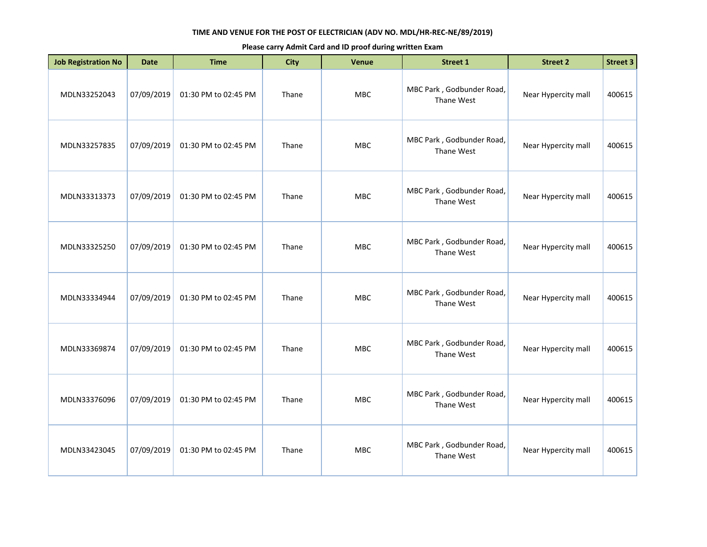| <b>Job Registration No</b> | <b>Date</b> | <b>Time</b>          | <b>City</b> | Venue      | <b>Street 1</b>                         | <b>Street 2</b>     | <b>Street 3</b> |
|----------------------------|-------------|----------------------|-------------|------------|-----------------------------------------|---------------------|-----------------|
| MDLN33252043               | 07/09/2019  | 01:30 PM to 02:45 PM | Thane       | MBC        | MBC Park, Godbunder Road,<br>Thane West | Near Hypercity mall | 400615          |
| MDLN33257835               | 07/09/2019  | 01:30 PM to 02:45 PM | Thane       | <b>MBC</b> | MBC Park, Godbunder Road,<br>Thane West | Near Hypercity mall | 400615          |
| MDLN33313373               | 07/09/2019  | 01:30 PM to 02:45 PM | Thane       | <b>MBC</b> | MBC Park, Godbunder Road,<br>Thane West | Near Hypercity mall | 400615          |
| MDLN33325250               | 07/09/2019  | 01:30 PM to 02:45 PM | Thane       | <b>MBC</b> | MBC Park, Godbunder Road,<br>Thane West | Near Hypercity mall | 400615          |
| MDLN33334944               | 07/09/2019  | 01:30 PM to 02:45 PM | Thane       | MBC        | MBC Park, Godbunder Road,<br>Thane West | Near Hypercity mall | 400615          |
| MDLN33369874               | 07/09/2019  | 01:30 PM to 02:45 PM | Thane       | <b>MBC</b> | MBC Park, Godbunder Road,<br>Thane West | Near Hypercity mall | 400615          |
| MDLN33376096               | 07/09/2019  | 01:30 PM to 02:45 PM | Thane       | <b>MBC</b> | MBC Park, Godbunder Road,<br>Thane West | Near Hypercity mall | 400615          |
| MDLN33423045               | 07/09/2019  | 01:30 PM to 02:45 PM | Thane       | <b>MBC</b> | MBC Park, Godbunder Road,<br>Thane West | Near Hypercity mall | 400615          |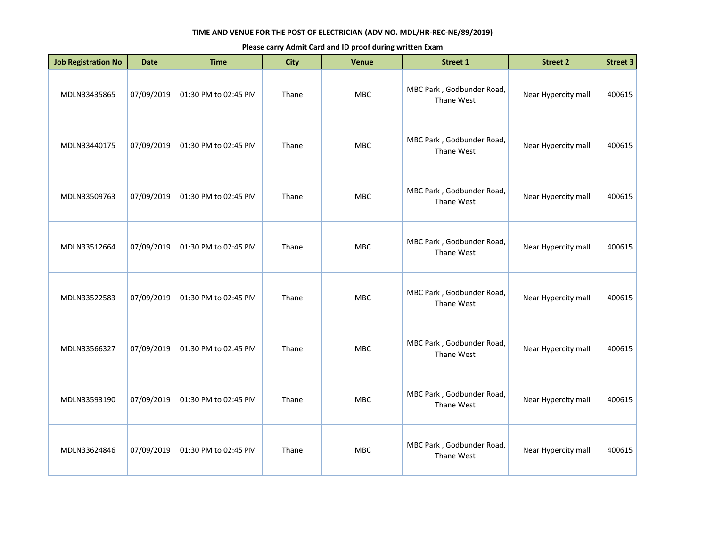| <b>Job Registration No</b> | <b>Date</b> | <b>Time</b>          | <b>City</b> | Venue      | Street 1                                | <b>Street 2</b>     | <b>Street 3</b> |
|----------------------------|-------------|----------------------|-------------|------------|-----------------------------------------|---------------------|-----------------|
| MDLN33435865               | 07/09/2019  | 01:30 PM to 02:45 PM | Thane       | <b>MBC</b> | MBC Park, Godbunder Road,<br>Thane West | Near Hypercity mall | 400615          |
| MDLN33440175               | 07/09/2019  | 01:30 PM to 02:45 PM | Thane       | <b>MBC</b> | MBC Park, Godbunder Road,<br>Thane West | Near Hypercity mall | 400615          |
| MDLN33509763               | 07/09/2019  | 01:30 PM to 02:45 PM | Thane       | MBC        | MBC Park, Godbunder Road,<br>Thane West | Near Hypercity mall | 400615          |
| MDLN33512664               | 07/09/2019  | 01:30 PM to 02:45 PM | Thane       | <b>MBC</b> | MBC Park, Godbunder Road,<br>Thane West | Near Hypercity mall | 400615          |
| MDLN33522583               | 07/09/2019  | 01:30 PM to 02:45 PM | Thane       | <b>MBC</b> | MBC Park, Godbunder Road,<br>Thane West | Near Hypercity mall | 400615          |
| MDLN33566327               | 07/09/2019  | 01:30 PM to 02:45 PM | Thane       | MBC        | MBC Park, Godbunder Road,<br>Thane West | Near Hypercity mall | 400615          |
| MDLN33593190               | 07/09/2019  | 01:30 PM to 02:45 PM | Thane       | <b>MBC</b> | MBC Park, Godbunder Road,<br>Thane West | Near Hypercity mall | 400615          |
| MDLN33624846               | 07/09/2019  | 01:30 PM to 02:45 PM | Thane       | <b>MBC</b> | MBC Park, Godbunder Road,<br>Thane West | Near Hypercity mall | 400615          |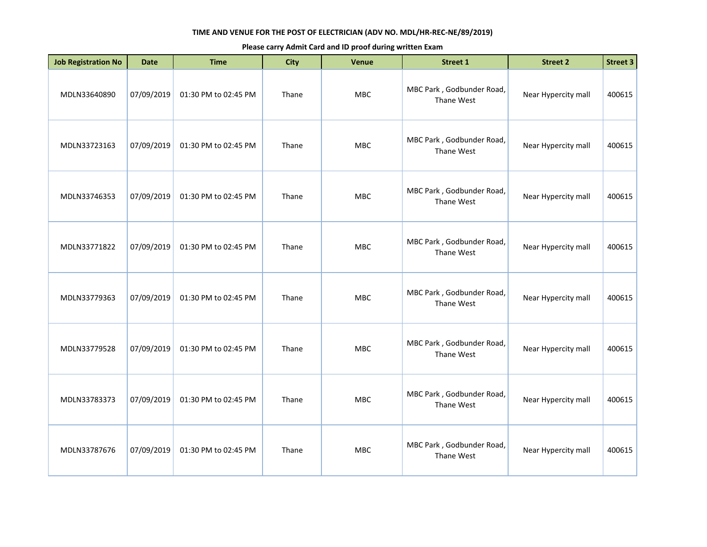| <b>Job Registration No</b> | <b>Date</b> | <b>Time</b>          | <b>City</b> | Venue      | <b>Street 1</b>                         | <b>Street 2</b>     | <b>Street 3</b> |
|----------------------------|-------------|----------------------|-------------|------------|-----------------------------------------|---------------------|-----------------|
| MDLN33640890               | 07/09/2019  | 01:30 PM to 02:45 PM | Thane       | MBC        | MBC Park, Godbunder Road,<br>Thane West | Near Hypercity mall | 400615          |
| MDLN33723163               | 07/09/2019  | 01:30 PM to 02:45 PM | Thane       | <b>MBC</b> | MBC Park, Godbunder Road,<br>Thane West | Near Hypercity mall | 400615          |
| MDLN33746353               | 07/09/2019  | 01:30 PM to 02:45 PM | Thane       | <b>MBC</b> | MBC Park, Godbunder Road,<br>Thane West | Near Hypercity mall | 400615          |
| MDLN33771822               | 07/09/2019  | 01:30 PM to 02:45 PM | Thane       | <b>MBC</b> | MBC Park, Godbunder Road,<br>Thane West | Near Hypercity mall | 400615          |
| MDLN33779363               | 07/09/2019  | 01:30 PM to 02:45 PM | Thane       | MBC        | MBC Park, Godbunder Road,<br>Thane West | Near Hypercity mall | 400615          |
| MDLN33779528               | 07/09/2019  | 01:30 PM to 02:45 PM | Thane       | <b>MBC</b> | MBC Park, Godbunder Road,<br>Thane West | Near Hypercity mall | 400615          |
| MDLN33783373               | 07/09/2019  | 01:30 PM to 02:45 PM | Thane       | <b>MBC</b> | MBC Park, Godbunder Road,<br>Thane West | Near Hypercity mall | 400615          |
| MDLN33787676               | 07/09/2019  | 01:30 PM to 02:45 PM | Thane       | <b>MBC</b> | MBC Park, Godbunder Road,<br>Thane West | Near Hypercity mall | 400615          |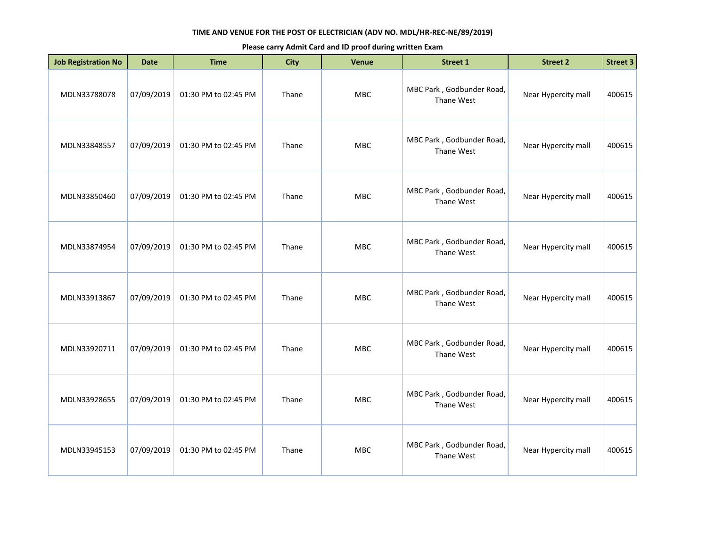| <b>Job Registration No</b> | <b>Date</b> | <b>Time</b>          | <b>City</b> | <b>Venue</b> | <b>Street 1</b>                         | <b>Street 2</b>     | <b>Street 3</b> |
|----------------------------|-------------|----------------------|-------------|--------------|-----------------------------------------|---------------------|-----------------|
| MDLN33788078               | 07/09/2019  | 01:30 PM to 02:45 PM | Thane       | MBC          | MBC Park, Godbunder Road,<br>Thane West | Near Hypercity mall | 400615          |
| MDLN33848557               | 07/09/2019  | 01:30 PM to 02:45 PM | Thane       | MBC          | MBC Park, Godbunder Road,<br>Thane West | Near Hypercity mall | 400615          |
| MDLN33850460               | 07/09/2019  | 01:30 PM to 02:45 PM | Thane       | MBC          | MBC Park, Godbunder Road,<br>Thane West | Near Hypercity mall | 400615          |
| MDLN33874954               | 07/09/2019  | 01:30 PM to 02:45 PM | Thane       | <b>MBC</b>   | MBC Park, Godbunder Road,<br>Thane West | Near Hypercity mall | 400615          |
| MDLN33913867               | 07/09/2019  | 01:30 PM to 02:45 PM | Thane       | MBC          | MBC Park, Godbunder Road,<br>Thane West | Near Hypercity mall | 400615          |
| MDLN33920711               | 07/09/2019  | 01:30 PM to 02:45 PM | Thane       | MBC          | MBC Park, Godbunder Road,<br>Thane West | Near Hypercity mall | 400615          |
| MDLN33928655               | 07/09/2019  | 01:30 PM to 02:45 PM | Thane       | <b>MBC</b>   | MBC Park, Godbunder Road,<br>Thane West | Near Hypercity mall | 400615          |
| MDLN33945153               | 07/09/2019  | 01:30 PM to 02:45 PM | Thane       | MBC          | MBC Park, Godbunder Road,<br>Thane West | Near Hypercity mall | 400615          |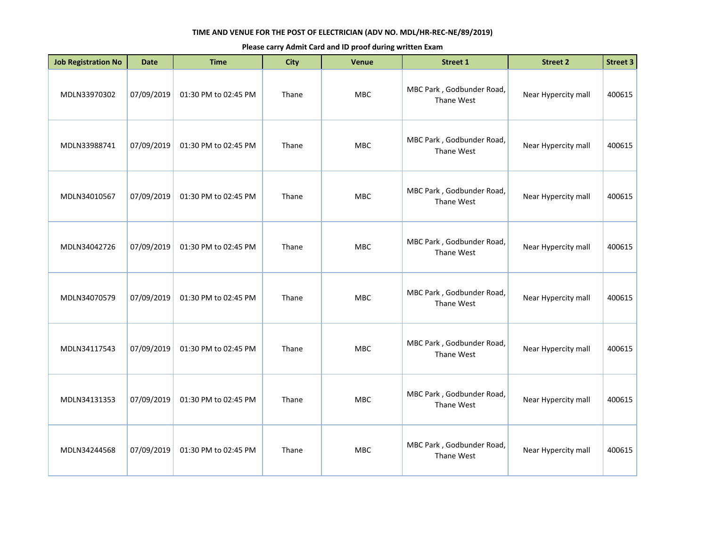| <b>Job Registration No</b> | <b>Date</b> | <b>Time</b>          | <b>City</b> | Venue      | <b>Street 1</b>                         | <b>Street 2</b>     | <b>Street 3</b> |
|----------------------------|-------------|----------------------|-------------|------------|-----------------------------------------|---------------------|-----------------|
| MDLN33970302               | 07/09/2019  | 01:30 PM to 02:45 PM | Thane       | MBC        | MBC Park, Godbunder Road,<br>Thane West | Near Hypercity mall | 400615          |
| MDLN33988741               | 07/09/2019  | 01:30 PM to 02:45 PM | Thane       | <b>MBC</b> | MBC Park, Godbunder Road,<br>Thane West | Near Hypercity mall | 400615          |
| MDLN34010567               | 07/09/2019  | 01:30 PM to 02:45 PM | Thane       | <b>MBC</b> | MBC Park, Godbunder Road,<br>Thane West | Near Hypercity mall | 400615          |
| MDLN34042726               | 07/09/2019  | 01:30 PM to 02:45 PM | Thane       | <b>MBC</b> | MBC Park, Godbunder Road,<br>Thane West | Near Hypercity mall | 400615          |
| MDLN34070579               | 07/09/2019  | 01:30 PM to 02:45 PM | Thane       | MBC        | MBC Park, Godbunder Road,<br>Thane West | Near Hypercity mall | 400615          |
| MDLN34117543               | 07/09/2019  | 01:30 PM to 02:45 PM | Thane       | <b>MBC</b> | MBC Park, Godbunder Road,<br>Thane West | Near Hypercity mall | 400615          |
| MDLN34131353               | 07/09/2019  | 01:30 PM to 02:45 PM | Thane       | <b>MBC</b> | MBC Park, Godbunder Road,<br>Thane West | Near Hypercity mall | 400615          |
| MDLN34244568               | 07/09/2019  | 01:30 PM to 02:45 PM | Thane       | <b>MBC</b> | MBC Park, Godbunder Road,<br>Thane West | Near Hypercity mall | 400615          |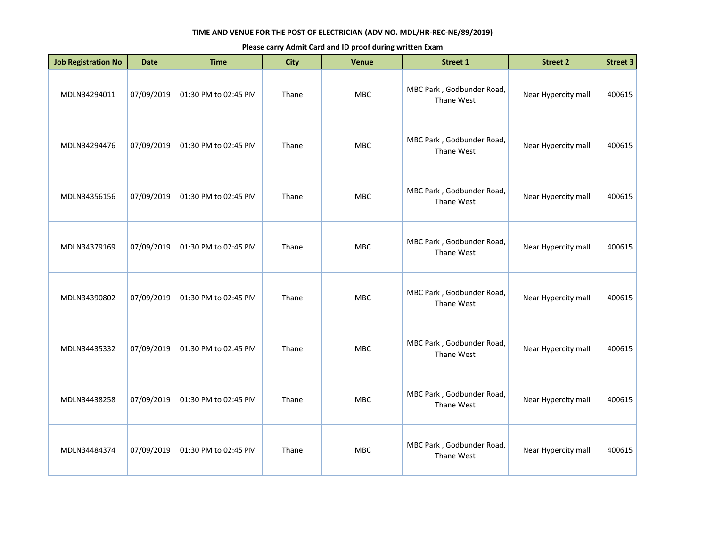| <b>Job Registration No</b> | <b>Date</b> | <b>Time</b>          | <b>City</b> | <b>Venue</b> | <b>Street 1</b>                         | <b>Street 2</b>     | <b>Street 3</b> |
|----------------------------|-------------|----------------------|-------------|--------------|-----------------------------------------|---------------------|-----------------|
| MDLN34294011               | 07/09/2019  | 01:30 PM to 02:45 PM | Thane       | MBC          | MBC Park, Godbunder Road,<br>Thane West | Near Hypercity mall | 400615          |
| MDLN34294476               | 07/09/2019  | 01:30 PM to 02:45 PM | Thane       | MBC          | MBC Park, Godbunder Road,<br>Thane West | Near Hypercity mall | 400615          |
| MDLN34356156               | 07/09/2019  | 01:30 PM to 02:45 PM | Thane       | <b>MBC</b>   | MBC Park, Godbunder Road,<br>Thane West | Near Hypercity mall | 400615          |
| MDLN34379169               | 07/09/2019  | 01:30 PM to 02:45 PM | Thane       | <b>MBC</b>   | MBC Park, Godbunder Road,<br>Thane West | Near Hypercity mall | 400615          |
| MDLN34390802               | 07/09/2019  | 01:30 PM to 02:45 PM | Thane       | <b>MBC</b>   | MBC Park, Godbunder Road,<br>Thane West | Near Hypercity mall | 400615          |
| MDLN34435332               | 07/09/2019  | 01:30 PM to 02:45 PM | Thane       | <b>MBC</b>   | MBC Park, Godbunder Road,<br>Thane West | Near Hypercity mall | 400615          |
| MDLN34438258               | 07/09/2019  | 01:30 PM to 02:45 PM | Thane       | MBC          | MBC Park, Godbunder Road,<br>Thane West | Near Hypercity mall | 400615          |
| MDLN34484374               | 07/09/2019  | 01:30 PM to 02:45 PM | Thane       | <b>MBC</b>   | MBC Park, Godbunder Road,<br>Thane West | Near Hypercity mall | 400615          |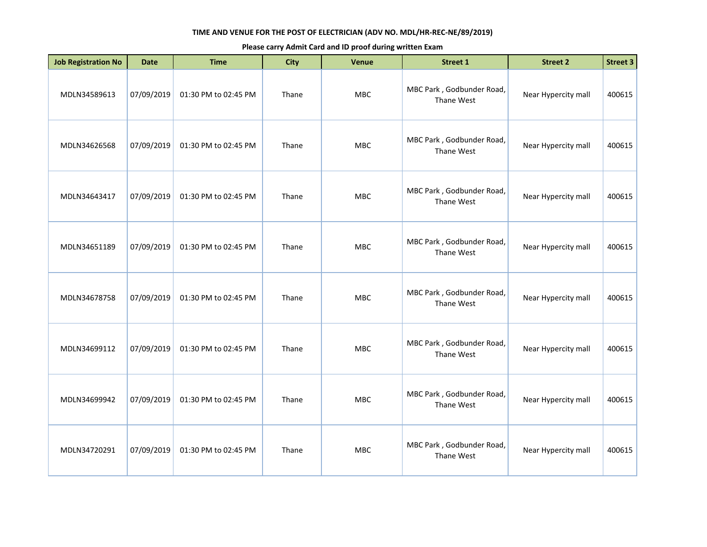| <b>Job Registration No</b> | <b>Date</b> | <b>Time</b>          | <b>City</b> | Venue      | <b>Street 1</b>                         | <b>Street 2</b>     | <b>Street 3</b> |
|----------------------------|-------------|----------------------|-------------|------------|-----------------------------------------|---------------------|-----------------|
| MDLN34589613               | 07/09/2019  | 01:30 PM to 02:45 PM | Thane       | MBC        | MBC Park, Godbunder Road,<br>Thane West | Near Hypercity mall | 400615          |
| MDLN34626568               | 07/09/2019  | 01:30 PM to 02:45 PM | Thane       | <b>MBC</b> | MBC Park, Godbunder Road,<br>Thane West | Near Hypercity mall | 400615          |
| MDLN34643417               | 07/09/2019  | 01:30 PM to 02:45 PM | Thane       | <b>MBC</b> | MBC Park, Godbunder Road,<br>Thane West | Near Hypercity mall | 400615          |
| MDLN34651189               | 07/09/2019  | 01:30 PM to 02:45 PM | Thane       | <b>MBC</b> | MBC Park, Godbunder Road,<br>Thane West | Near Hypercity mall | 400615          |
| MDLN34678758               | 07/09/2019  | 01:30 PM to 02:45 PM | Thane       | MBC        | MBC Park, Godbunder Road,<br>Thane West | Near Hypercity mall | 400615          |
| MDLN34699112               | 07/09/2019  | 01:30 PM to 02:45 PM | Thane       | <b>MBC</b> | MBC Park, Godbunder Road,<br>Thane West | Near Hypercity mall | 400615          |
| MDLN34699942               | 07/09/2019  | 01:30 PM to 02:45 PM | Thane       | <b>MBC</b> | MBC Park, Godbunder Road,<br>Thane West | Near Hypercity mall | 400615          |
| MDLN34720291               | 07/09/2019  | 01:30 PM to 02:45 PM | Thane       | <b>MBC</b> | MBC Park, Godbunder Road,<br>Thane West | Near Hypercity mall | 400615          |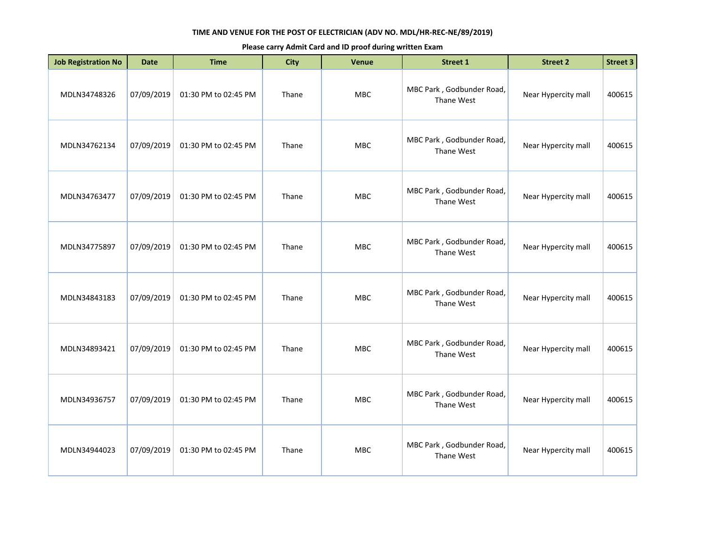| <b>Job Registration No</b> | <b>Date</b> | <b>Time</b>          | <b>City</b> | Venue      | <b>Street 1</b>                         | <b>Street 2</b>     | <b>Street 3</b> |
|----------------------------|-------------|----------------------|-------------|------------|-----------------------------------------|---------------------|-----------------|
| MDLN34748326               | 07/09/2019  | 01:30 PM to 02:45 PM | Thane       | MBC        | MBC Park, Godbunder Road,<br>Thane West | Near Hypercity mall | 400615          |
| MDLN34762134               | 07/09/2019  | 01:30 PM to 02:45 PM | Thane       | <b>MBC</b> | MBC Park, Godbunder Road,<br>Thane West | Near Hypercity mall | 400615          |
| MDLN34763477               | 07/09/2019  | 01:30 PM to 02:45 PM | Thane       | <b>MBC</b> | MBC Park, Godbunder Road,<br>Thane West | Near Hypercity mall | 400615          |
| MDLN34775897               | 07/09/2019  | 01:30 PM to 02:45 PM | Thane       | <b>MBC</b> | MBC Park, Godbunder Road,<br>Thane West | Near Hypercity mall | 400615          |
| MDLN34843183               | 07/09/2019  | 01:30 PM to 02:45 PM | Thane       | MBC        | MBC Park, Godbunder Road,<br>Thane West | Near Hypercity mall | 400615          |
| MDLN34893421               | 07/09/2019  | 01:30 PM to 02:45 PM | Thane       | <b>MBC</b> | MBC Park, Godbunder Road,<br>Thane West | Near Hypercity mall | 400615          |
| MDLN34936757               | 07/09/2019  | 01:30 PM to 02:45 PM | Thane       | <b>MBC</b> | MBC Park, Godbunder Road,<br>Thane West | Near Hypercity mall | 400615          |
| MDLN34944023               | 07/09/2019  | 01:30 PM to 02:45 PM | Thane       | <b>MBC</b> | MBC Park, Godbunder Road,<br>Thane West | Near Hypercity mall | 400615          |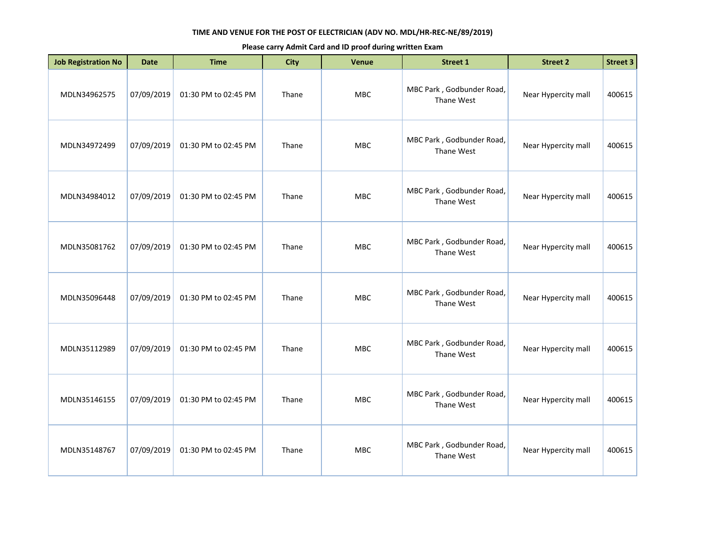| <b>Job Registration No</b> | <b>Date</b> | <b>Time</b>          | <b>City</b> | <b>Venue</b> | <b>Street 1</b>                         | <b>Street 2</b>     | <b>Street 3</b> |
|----------------------------|-------------|----------------------|-------------|--------------|-----------------------------------------|---------------------|-----------------|
| MDLN34962575               | 07/09/2019  | 01:30 PM to 02:45 PM | Thane       | MBC          | MBC Park, Godbunder Road,<br>Thane West | Near Hypercity mall | 400615          |
| MDLN34972499               | 07/09/2019  | 01:30 PM to 02:45 PM | Thane       | <b>MBC</b>   | MBC Park, Godbunder Road,<br>Thane West | Near Hypercity mall | 400615          |
| MDLN34984012               | 07/09/2019  | 01:30 PM to 02:45 PM | Thane       | <b>MBC</b>   | MBC Park, Godbunder Road,<br>Thane West | Near Hypercity mall | 400615          |
| MDLN35081762               | 07/09/2019  | 01:30 PM to 02:45 PM | Thane       | <b>MBC</b>   | MBC Park, Godbunder Road,<br>Thane West | Near Hypercity mall | 400615          |
| MDLN35096448               | 07/09/2019  | 01:30 PM to 02:45 PM | Thane       | <b>MBC</b>   | MBC Park, Godbunder Road,<br>Thane West | Near Hypercity mall | 400615          |
| MDLN35112989               | 07/09/2019  | 01:30 PM to 02:45 PM | Thane       | <b>MBC</b>   | MBC Park, Godbunder Road,<br>Thane West | Near Hypercity mall | 400615          |
| MDLN35146155               | 07/09/2019  | 01:30 PM to 02:45 PM | Thane       | MBC          | MBC Park, Godbunder Road,<br>Thane West | Near Hypercity mall | 400615          |
| MDLN35148767               | 07/09/2019  | 01:30 PM to 02:45 PM | Thane       | <b>MBC</b>   | MBC Park, Godbunder Road,<br>Thane West | Near Hypercity mall | 400615          |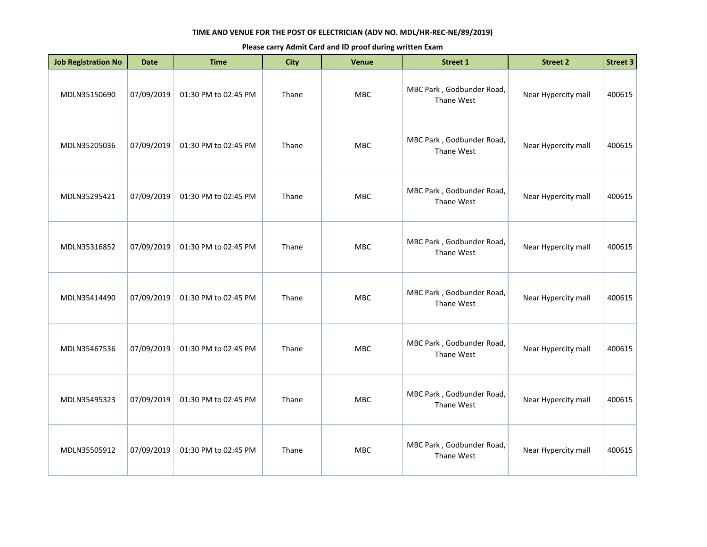| <b>Job Registration No</b> | <b>Date</b> | <b>Time</b>          | <b>City</b> | <b>Venue</b> | <b>Street 1</b>                         | <b>Street 2</b>     | <b>Street 3</b> |
|----------------------------|-------------|----------------------|-------------|--------------|-----------------------------------------|---------------------|-----------------|
| MDLN35150690               | 07/09/2019  | 01:30 PM to 02:45 PM | Thane       | MBC          | MBC Park, Godbunder Road,<br>Thane West | Near Hypercity mall | 400615          |
| MDLN35205036               | 07/09/2019  | 01:30 PM to 02:45 PM | Thane       | MBC          | MBC Park, Godbunder Road,<br>Thane West | Near Hypercity mall | 400615          |
| MDLN35295421               | 07/09/2019  | 01:30 PM to 02:45 PM | Thane       | <b>MBC</b>   | MBC Park, Godbunder Road,<br>Thane West | Near Hypercity mall | 400615          |
| MDLN35316852               | 07/09/2019  | 01:30 PM to 02:45 PM | Thane       | MBC          | MBC Park, Godbunder Road,<br>Thane West | Near Hypercity mall | 400615          |
| MDLN35414490               | 07/09/2019  | 01:30 PM to 02:45 PM | Thane       | <b>MBC</b>   | MBC Park, Godbunder Road,<br>Thane West | Near Hypercity mall | 400615          |
| MDLN35467536               | 07/09/2019  | 01:30 PM to 02:45 PM | Thane       | <b>MBC</b>   | MBC Park, Godbunder Road,<br>Thane West | Near Hypercity mall | 400615          |
| MDLN35495323               | 07/09/2019  | 01:30 PM to 02:45 PM | Thane       | MBC          | MBC Park, Godbunder Road,<br>Thane West | Near Hypercity mall | 400615          |
| MDLN35505912               | 07/09/2019  | 01:30 PM to 02:45 PM | Thane       | <b>MBC</b>   | MBC Park, Godbunder Road,<br>Thane West | Near Hypercity mall | 400615          |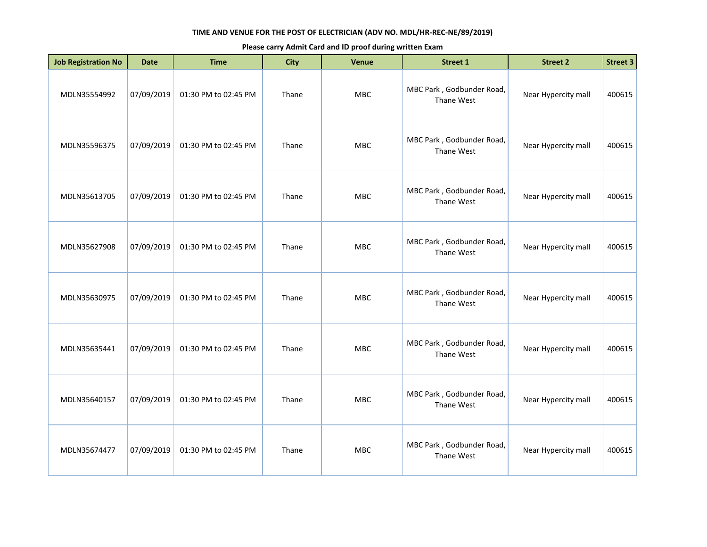| <b>Job Registration No</b> | <b>Date</b> | <b>Time</b>          | <b>City</b> | Venue      | <b>Street 1</b>                         | <b>Street 2</b>     | <b>Street 3</b> |
|----------------------------|-------------|----------------------|-------------|------------|-----------------------------------------|---------------------|-----------------|
| MDLN35554992               | 07/09/2019  | 01:30 PM to 02:45 PM | Thane       | <b>MBC</b> | MBC Park, Godbunder Road,<br>Thane West | Near Hypercity mall | 400615          |
| MDLN35596375               | 07/09/2019  | 01:30 PM to 02:45 PM | Thane       | <b>MBC</b> | MBC Park, Godbunder Road,<br>Thane West | Near Hypercity mall | 400615          |
| MDLN35613705               | 07/09/2019  | 01:30 PM to 02:45 PM | Thane       | MBC        | MBC Park, Godbunder Road,<br>Thane West | Near Hypercity mall | 400615          |
| MDLN35627908               | 07/09/2019  | 01:30 PM to 02:45 PM | Thane       | <b>MBC</b> | MBC Park, Godbunder Road,<br>Thane West | Near Hypercity mall | 400615          |
| MDLN35630975               | 07/09/2019  | 01:30 PM to 02:45 PM | Thane       | <b>MBC</b> | MBC Park, Godbunder Road,<br>Thane West | Near Hypercity mall | 400615          |
| MDLN35635441               | 07/09/2019  | 01:30 PM to 02:45 PM | Thane       | MBC        | MBC Park, Godbunder Road,<br>Thane West | Near Hypercity mall | 400615          |
| MDLN35640157               | 07/09/2019  | 01:30 PM to 02:45 PM | Thane       | <b>MBC</b> | MBC Park, Godbunder Road,<br>Thane West | Near Hypercity mall | 400615          |
| MDLN35674477               | 07/09/2019  | 01:30 PM to 02:45 PM | Thane       | <b>MBC</b> | MBC Park, Godbunder Road,<br>Thane West | Near Hypercity mall | 400615          |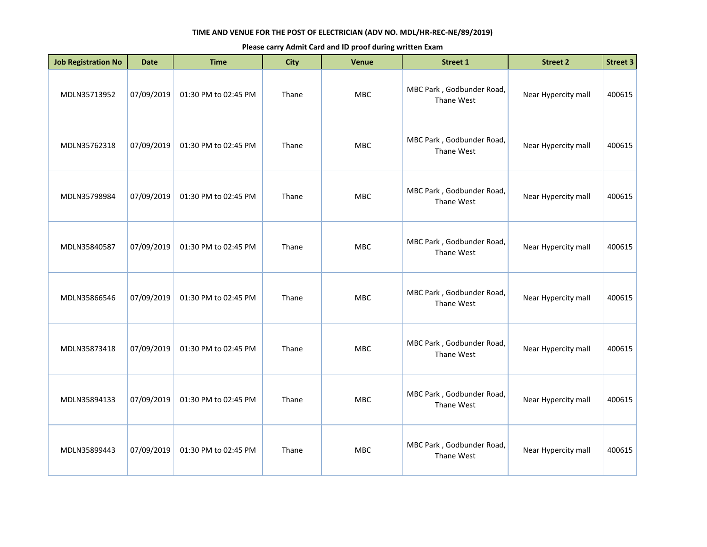| <b>Job Registration No</b> | <b>Date</b> | <b>Time</b>          | <b>City</b> | Venue      | Street 1                                | <b>Street 2</b>     | Street 3 |
|----------------------------|-------------|----------------------|-------------|------------|-----------------------------------------|---------------------|----------|
| MDLN35713952               | 07/09/2019  | 01:30 PM to 02:45 PM | Thane       | <b>MBC</b> | MBC Park, Godbunder Road,<br>Thane West | Near Hypercity mall | 400615   |
| MDLN35762318               | 07/09/2019  | 01:30 PM to 02:45 PM | Thane       | <b>MBC</b> | MBC Park, Godbunder Road,<br>Thane West | Near Hypercity mall | 400615   |
| MDLN35798984               | 07/09/2019  | 01:30 PM to 02:45 PM | Thane       | MBC        | MBC Park, Godbunder Road,<br>Thane West | Near Hypercity mall | 400615   |
| MDLN35840587               | 07/09/2019  | 01:30 PM to 02:45 PM | Thane       | <b>MBC</b> | MBC Park, Godbunder Road,<br>Thane West | Near Hypercity mall | 400615   |
| MDLN35866546               | 07/09/2019  | 01:30 PM to 02:45 PM | Thane       | <b>MBC</b> | MBC Park, Godbunder Road,<br>Thane West | Near Hypercity mall | 400615   |
| MDLN35873418               | 07/09/2019  | 01:30 PM to 02:45 PM | Thane       | MBC        | MBC Park, Godbunder Road,<br>Thane West | Near Hypercity mall | 400615   |
| MDLN35894133               | 07/09/2019  | 01:30 PM to 02:45 PM | Thane       | <b>MBC</b> | MBC Park, Godbunder Road,<br>Thane West | Near Hypercity mall | 400615   |
| MDLN35899443               | 07/09/2019  | 01:30 PM to 02:45 PM | Thane       | <b>MBC</b> | MBC Park, Godbunder Road,<br>Thane West | Near Hypercity mall | 400615   |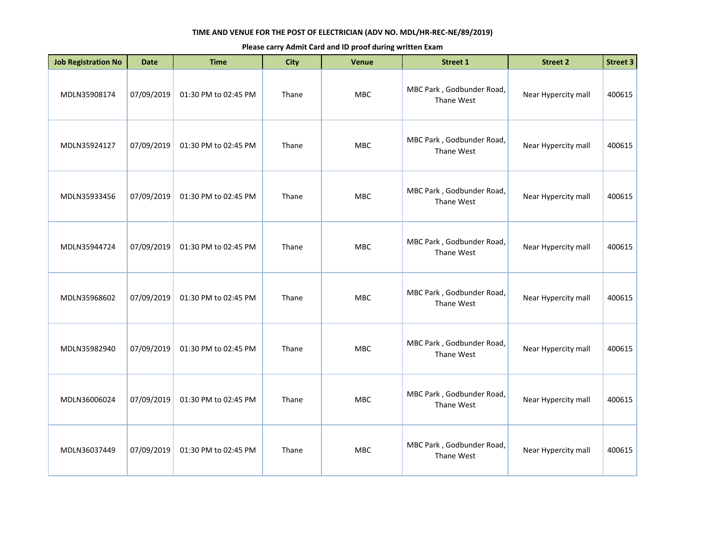| <b>Job Registration No</b> | <b>Date</b> | <b>Time</b>          | <b>City</b> | Venue      | <b>Street 1</b>                         | <b>Street 2</b>     | Street 3 |
|----------------------------|-------------|----------------------|-------------|------------|-----------------------------------------|---------------------|----------|
| MDLN35908174               | 07/09/2019  | 01:30 PM to 02:45 PM | Thane       | <b>MBC</b> | MBC Park, Godbunder Road,<br>Thane West | Near Hypercity mall | 400615   |
| MDLN35924127               | 07/09/2019  | 01:30 PM to 02:45 PM | Thane       | <b>MBC</b> | MBC Park, Godbunder Road,<br>Thane West | Near Hypercity mall | 400615   |
| MDLN35933456               | 07/09/2019  | 01:30 PM to 02:45 PM | Thane       | MBC        | MBC Park, Godbunder Road,<br>Thane West | Near Hypercity mall | 400615   |
| MDLN35944724               | 07/09/2019  | 01:30 PM to 02:45 PM | Thane       | <b>MBC</b> | MBC Park, Godbunder Road,<br>Thane West | Near Hypercity mall | 400615   |
| MDLN35968602               | 07/09/2019  | 01:30 PM to 02:45 PM | Thane       | <b>MBC</b> | MBC Park, Godbunder Road,<br>Thane West | Near Hypercity mall | 400615   |
| MDLN35982940               | 07/09/2019  | 01:30 PM to 02:45 PM | Thane       | MBC        | MBC Park, Godbunder Road,<br>Thane West | Near Hypercity mall | 400615   |
| MDLN36006024               | 07/09/2019  | 01:30 PM to 02:45 PM | Thane       | <b>MBC</b> | MBC Park, Godbunder Road,<br>Thane West | Near Hypercity mall | 400615   |
| MDLN36037449               | 07/09/2019  | 01:30 PM to 02:45 PM | Thane       | <b>MBC</b> | MBC Park, Godbunder Road,<br>Thane West | Near Hypercity mall | 400615   |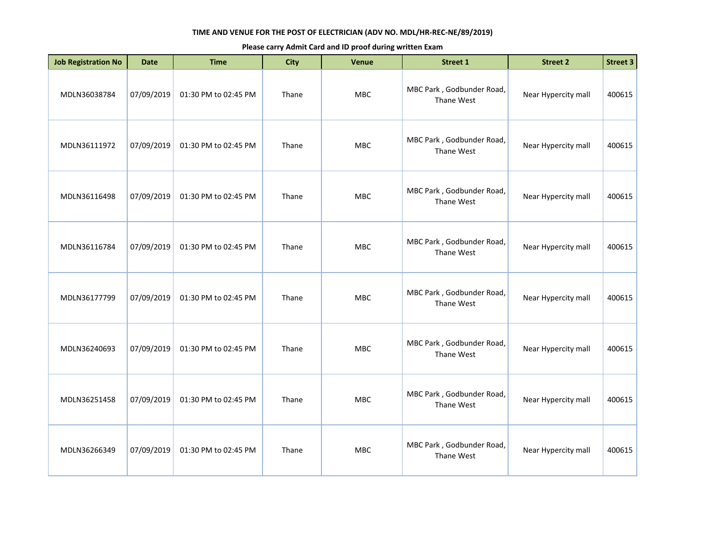| <b>Job Registration No</b> | <b>Date</b> | <b>Time</b>          | <b>City</b> | Venue      | <b>Street 1</b>                         | <b>Street 2</b>     | Street 3 |
|----------------------------|-------------|----------------------|-------------|------------|-----------------------------------------|---------------------|----------|
| MDLN36038784               | 07/09/2019  | 01:30 PM to 02:45 PM | Thane       | <b>MBC</b> | MBC Park, Godbunder Road,<br>Thane West | Near Hypercity mall | 400615   |
| MDLN36111972               | 07/09/2019  | 01:30 PM to 02:45 PM | Thane       | MBC        | MBC Park, Godbunder Road,<br>Thane West | Near Hypercity mall | 400615   |
| MDLN36116498               | 07/09/2019  | 01:30 PM to 02:45 PM | Thane       | MBC        | MBC Park, Godbunder Road,<br>Thane West | Near Hypercity mall | 400615   |
| MDLN36116784               | 07/09/2019  | 01:30 PM to 02:45 PM | Thane       | <b>MBC</b> | MBC Park, Godbunder Road,<br>Thane West | Near Hypercity mall | 400615   |
| MDLN36177799               | 07/09/2019  | 01:30 PM to 02:45 PM | Thane       | <b>MBC</b> | MBC Park, Godbunder Road,<br>Thane West | Near Hypercity mall | 400615   |
| MDLN36240693               | 07/09/2019  | 01:30 PM to 02:45 PM | Thane       | MBC        | MBC Park, Godbunder Road,<br>Thane West | Near Hypercity mall | 400615   |
| MDLN36251458               | 07/09/2019  | 01:30 PM to 02:45 PM | Thane       | <b>MBC</b> | MBC Park, Godbunder Road,<br>Thane West | Near Hypercity mall | 400615   |
| MDLN36266349               | 07/09/2019  | 01:30 PM to 02:45 PM | Thane       | <b>MBC</b> | MBC Park, Godbunder Road,<br>Thane West | Near Hypercity mall | 400615   |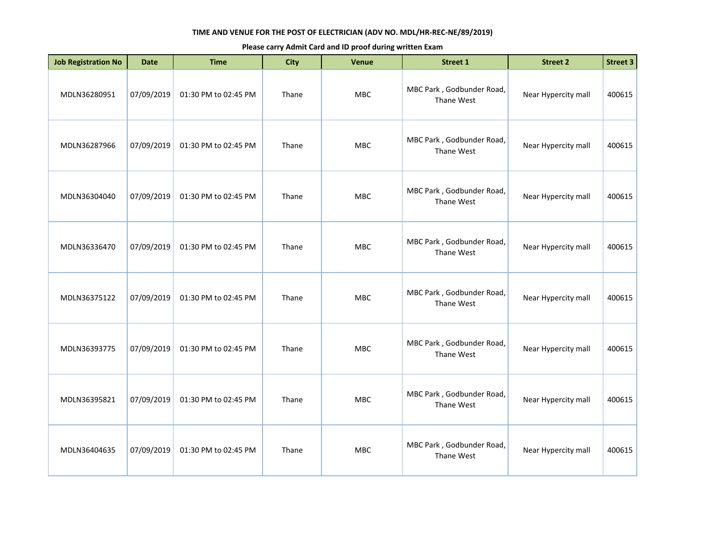| <b>Job Registration No</b> | <b>Date</b> | <b>Time</b>          | <b>City</b> | <b>Venue</b> | <b>Street 1</b>                         | <b>Street 2</b>     | <b>Street 3</b> |
|----------------------------|-------------|----------------------|-------------|--------------|-----------------------------------------|---------------------|-----------------|
| MDLN36280951               | 07/09/2019  | 01:30 PM to 02:45 PM | Thane       | MBC          | MBC Park, Godbunder Road,<br>Thane West | Near Hypercity mall | 400615          |
| MDLN36287966               | 07/09/2019  | 01:30 PM to 02:45 PM | Thane       | MBC          | MBC Park, Godbunder Road,<br>Thane West | Near Hypercity mall | 400615          |
| MDLN36304040               | 07/09/2019  | 01:30 PM to 02:45 PM | Thane       | <b>MBC</b>   | MBC Park, Godbunder Road,<br>Thane West | Near Hypercity mall | 400615          |
| MDLN36336470               | 07/09/2019  | 01:30 PM to 02:45 PM | Thane       | MBC          | MBC Park, Godbunder Road,<br>Thane West | Near Hypercity mall | 400615          |
| MDLN36375122               | 07/09/2019  | 01:30 PM to 02:45 PM | Thane       | <b>MBC</b>   | MBC Park, Godbunder Road,<br>Thane West | Near Hypercity mall | 400615          |
| MDLN36393775               | 07/09/2019  | 01:30 PM to 02:45 PM | Thane       | <b>MBC</b>   | MBC Park, Godbunder Road,<br>Thane West | Near Hypercity mall | 400615          |
| MDLN36395821               | 07/09/2019  | 01:30 PM to 02:45 PM | Thane       | MBC          | MBC Park, Godbunder Road,<br>Thane West | Near Hypercity mall | 400615          |
| MDLN36404635               | 07/09/2019  | 01:30 PM to 02:45 PM | Thane       | <b>MBC</b>   | MBC Park, Godbunder Road,<br>Thane West | Near Hypercity mall | 400615          |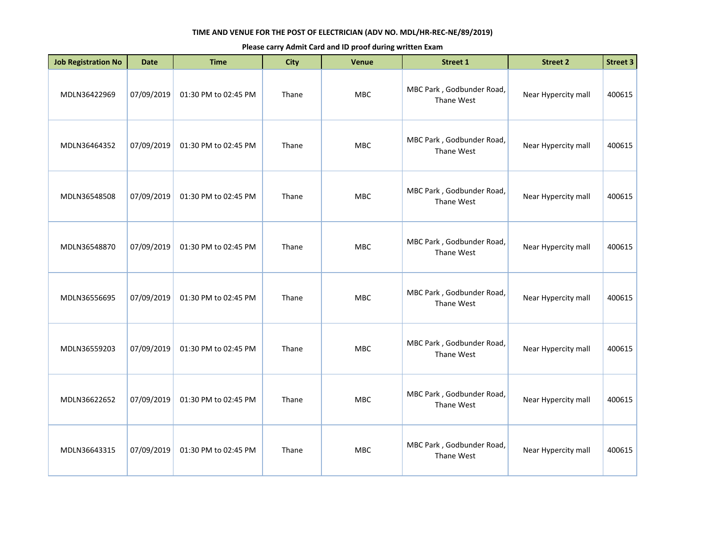| <b>Job Registration No</b> | <b>Date</b> | <b>Time</b>          | <b>City</b> | <b>Venue</b> | <b>Street 1</b>                         | <b>Street 2</b>     | <b>Street 3</b> |
|----------------------------|-------------|----------------------|-------------|--------------|-----------------------------------------|---------------------|-----------------|
| MDLN36422969               | 07/09/2019  | 01:30 PM to 02:45 PM | Thane       | MBC          | MBC Park, Godbunder Road,<br>Thane West | Near Hypercity mall | 400615          |
| MDLN36464352               | 07/09/2019  | 01:30 PM to 02:45 PM | Thane       | MBC          | MBC Park, Godbunder Road,<br>Thane West | Near Hypercity mall | 400615          |
| MDLN36548508               | 07/09/2019  | 01:30 PM to 02:45 PM | Thane       | <b>MBC</b>   | MBC Park, Godbunder Road,<br>Thane West | Near Hypercity mall | 400615          |
| MDLN36548870               | 07/09/2019  | 01:30 PM to 02:45 PM | Thane       | MBC          | MBC Park, Godbunder Road,<br>Thane West | Near Hypercity mall | 400615          |
| MDLN36556695               | 07/09/2019  | 01:30 PM to 02:45 PM | Thane       | <b>MBC</b>   | MBC Park, Godbunder Road,<br>Thane West | Near Hypercity mall | 400615          |
| MDLN36559203               | 07/09/2019  | 01:30 PM to 02:45 PM | Thane       | <b>MBC</b>   | MBC Park, Godbunder Road,<br>Thane West | Near Hypercity mall | 400615          |
| MDLN36622652               | 07/09/2019  | 01:30 PM to 02:45 PM | Thane       | MBC          | MBC Park, Godbunder Road,<br>Thane West | Near Hypercity mall | 400615          |
| MDLN36643315               | 07/09/2019  | 01:30 PM to 02:45 PM | Thane       | <b>MBC</b>   | MBC Park, Godbunder Road,<br>Thane West | Near Hypercity mall | 400615          |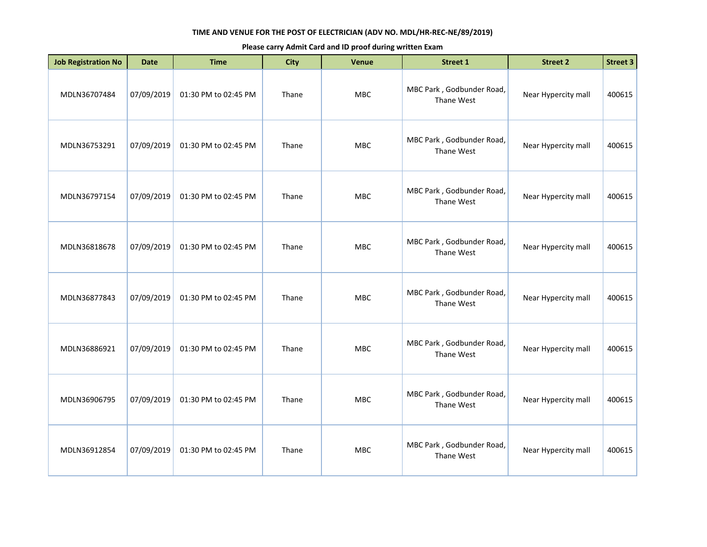| <b>Job Registration No</b> | <b>Date</b> | <b>Time</b>          | <b>City</b> | <b>Venue</b> | Street 1                                | <b>Street 2</b>     | <b>Street 3</b> |
|----------------------------|-------------|----------------------|-------------|--------------|-----------------------------------------|---------------------|-----------------|
| MDLN36707484               | 07/09/2019  | 01:30 PM to 02:45 PM | Thane       | MBC          | MBC Park, Godbunder Road,<br>Thane West | Near Hypercity mall | 400615          |
| MDLN36753291               | 07/09/2019  | 01:30 PM to 02:45 PM | Thane       | MBC          | MBC Park, Godbunder Road,<br>Thane West | Near Hypercity mall | 400615          |
| MDLN36797154               | 07/09/2019  | 01:30 PM to 02:45 PM | Thane       | <b>MBC</b>   | MBC Park, Godbunder Road,<br>Thane West | Near Hypercity mall | 400615          |
| MDLN36818678               | 07/09/2019  | 01:30 PM to 02:45 PM | Thane       | MBC          | MBC Park, Godbunder Road,<br>Thane West | Near Hypercity mall | 400615          |
| MDLN36877843               | 07/09/2019  | 01:30 PM to 02:45 PM | Thane       | <b>MBC</b>   | MBC Park, Godbunder Road,<br>Thane West | Near Hypercity mall | 400615          |
| MDLN36886921               | 07/09/2019  | 01:30 PM to 02:45 PM | Thane       | <b>MBC</b>   | MBC Park, Godbunder Road,<br>Thane West | Near Hypercity mall | 400615          |
| MDLN36906795               | 07/09/2019  | 01:30 PM to 02:45 PM | Thane       | <b>MBC</b>   | MBC Park, Godbunder Road,<br>Thane West | Near Hypercity mall | 400615          |
| MDLN36912854               | 07/09/2019  | 01:30 PM to 02:45 PM | Thane       | <b>MBC</b>   | MBC Park, Godbunder Road,<br>Thane West | Near Hypercity mall | 400615          |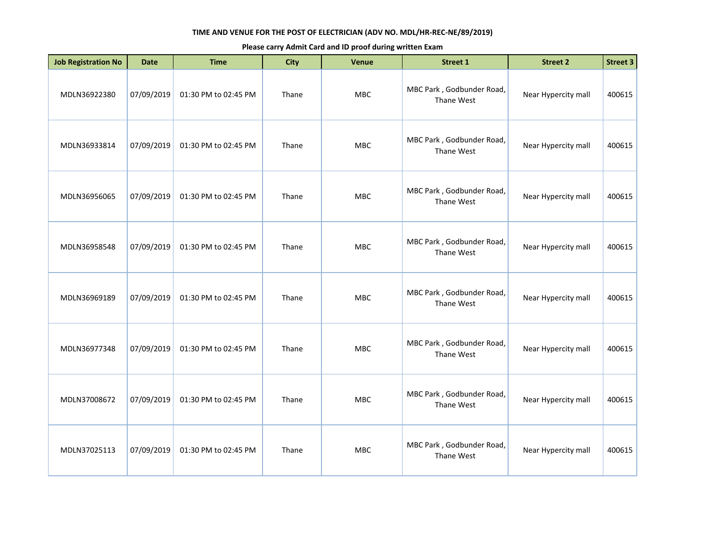| <b>Job Registration No</b> | <b>Date</b> | <b>Time</b>          | <b>City</b> | <b>Venue</b> | <b>Street 1</b>                         | <b>Street 2</b>     | <b>Street 3</b> |
|----------------------------|-------------|----------------------|-------------|--------------|-----------------------------------------|---------------------|-----------------|
| MDLN36922380               | 07/09/2019  | 01:30 PM to 02:45 PM | Thane       | MBC          | MBC Park, Godbunder Road,<br>Thane West | Near Hypercity mall | 400615          |
| MDLN36933814               | 07/09/2019  | 01:30 PM to 02:45 PM | Thane       | MBC          | MBC Park, Godbunder Road,<br>Thane West | Near Hypercity mall | 400615          |
| MDLN36956065               | 07/09/2019  | 01:30 PM to 02:45 PM | Thane       | MBC          | MBC Park, Godbunder Road,<br>Thane West | Near Hypercity mall | 400615          |
| MDLN36958548               | 07/09/2019  | 01:30 PM to 02:45 PM | Thane       | <b>MBC</b>   | MBC Park, Godbunder Road,<br>Thane West | Near Hypercity mall | 400615          |
| MDLN36969189               | 07/09/2019  | 01:30 PM to 02:45 PM | Thane       | MBC          | MBC Park, Godbunder Road,<br>Thane West | Near Hypercity mall | 400615          |
| MDLN36977348               | 07/09/2019  | 01:30 PM to 02:45 PM | Thane       | MBC          | MBC Park, Godbunder Road,<br>Thane West | Near Hypercity mall | 400615          |
| MDLN37008672               | 07/09/2019  | 01:30 PM to 02:45 PM | Thane       | <b>MBC</b>   | MBC Park, Godbunder Road,<br>Thane West | Near Hypercity mall | 400615          |
| MDLN37025113               | 07/09/2019  | 01:30 PM to 02:45 PM | Thane       | MBC          | MBC Park, Godbunder Road,<br>Thane West | Near Hypercity mall | 400615          |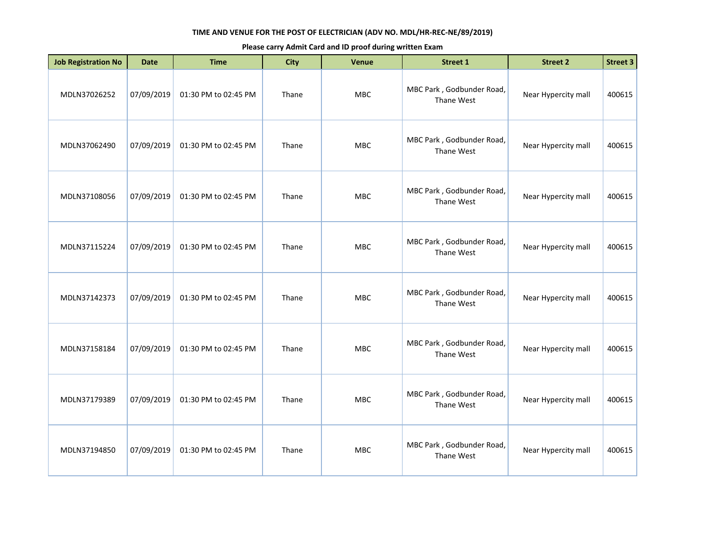| <b>Job Registration No</b> | <b>Date</b> | <b>Time</b>          | <b>City</b> | <b>Venue</b> | <b>Street 1</b>                         | <b>Street 2</b>     | Street 3 |
|----------------------------|-------------|----------------------|-------------|--------------|-----------------------------------------|---------------------|----------|
| MDLN37026252               | 07/09/2019  | 01:30 PM to 02:45 PM | Thane       | <b>MBC</b>   | MBC Park, Godbunder Road,<br>Thane West | Near Hypercity mall | 400615   |
| MDLN37062490               | 07/09/2019  | 01:30 PM to 02:45 PM | Thane       | MBC          | MBC Park, Godbunder Road,<br>Thane West | Near Hypercity mall | 400615   |
| MDLN37108056               | 07/09/2019  | 01:30 PM to 02:45 PM | Thane       | MBC          | MBC Park, Godbunder Road,<br>Thane West | Near Hypercity mall | 400615   |
| MDLN37115224               | 07/09/2019  | 01:30 PM to 02:45 PM | Thane       | <b>MBC</b>   | MBC Park, Godbunder Road,<br>Thane West | Near Hypercity mall | 400615   |
| MDLN37142373               | 07/09/2019  | 01:30 PM to 02:45 PM | Thane       | <b>MBC</b>   | MBC Park, Godbunder Road,<br>Thane West | Near Hypercity mall | 400615   |
| MDLN37158184               | 07/09/2019  | 01:30 PM to 02:45 PM | Thane       | MBC          | MBC Park, Godbunder Road,<br>Thane West | Near Hypercity mall | 400615   |
| MDLN37179389               | 07/09/2019  | 01:30 PM to 02:45 PM | Thane       | <b>MBC</b>   | MBC Park, Godbunder Road,<br>Thane West | Near Hypercity mall | 400615   |
| MDLN37194850               | 07/09/2019  | 01:30 PM to 02:45 PM | Thane       | <b>MBC</b>   | MBC Park, Godbunder Road,<br>Thane West | Near Hypercity mall | 400615   |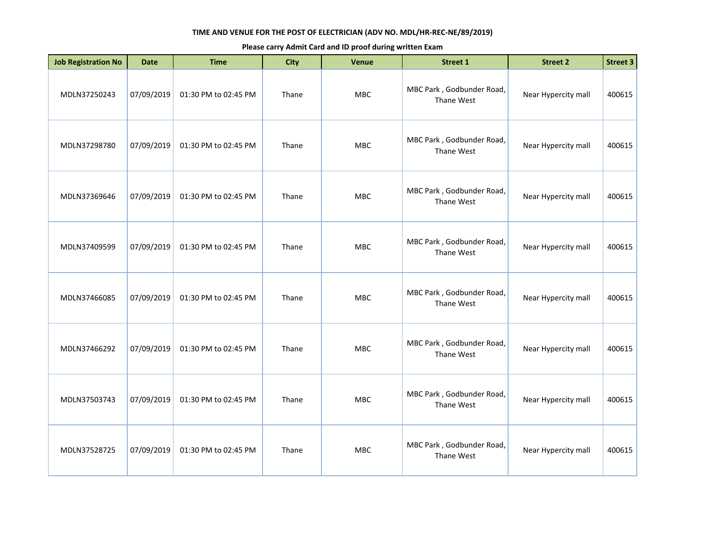| <b>Job Registration No</b> | <b>Date</b> | <b>Time</b>          | <b>City</b> | <b>Venue</b> | <b>Street 1</b>                         | <b>Street 2</b>     | <b>Street 3</b> |
|----------------------------|-------------|----------------------|-------------|--------------|-----------------------------------------|---------------------|-----------------|
| MDLN37250243               | 07/09/2019  | 01:30 PM to 02:45 PM | Thane       | MBC          | MBC Park, Godbunder Road,<br>Thane West | Near Hypercity mall | 400615          |
| MDLN37298780               | 07/09/2019  | 01:30 PM to 02:45 PM | Thane       | <b>MBC</b>   | MBC Park, Godbunder Road,<br>Thane West | Near Hypercity mall | 400615          |
| MDLN37369646               | 07/09/2019  | 01:30 PM to 02:45 PM | Thane       | <b>MBC</b>   | MBC Park, Godbunder Road,<br>Thane West | Near Hypercity mall | 400615          |
| MDLN37409599               | 07/09/2019  | 01:30 PM to 02:45 PM | Thane       | <b>MBC</b>   | MBC Park, Godbunder Road,<br>Thane West | Near Hypercity mall | 400615          |
| MDLN37466085               | 07/09/2019  | 01:30 PM to 02:45 PM | Thane       | MBC          | MBC Park, Godbunder Road,<br>Thane West | Near Hypercity mall | 400615          |
| MDLN37466292               | 07/09/2019  | 01:30 PM to 02:45 PM | Thane       | <b>MBC</b>   | MBC Park, Godbunder Road,<br>Thane West | Near Hypercity mall | 400615          |
| MDLN37503743               | 07/09/2019  | 01:30 PM to 02:45 PM | Thane       | <b>MBC</b>   | MBC Park, Godbunder Road,<br>Thane West | Near Hypercity mall | 400615          |
| MDLN37528725               | 07/09/2019  | 01:30 PM to 02:45 PM | Thane       | <b>MBC</b>   | MBC Park, Godbunder Road,<br>Thane West | Near Hypercity mall | 400615          |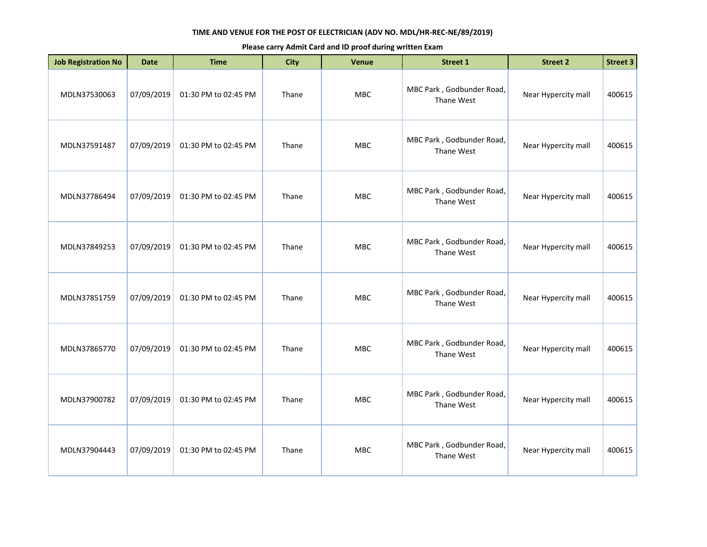| <b>Job Registration No</b> | <b>Date</b> | <b>Time</b>          | <b>City</b> | <b>Venue</b> | <b>Street 1</b>                         | <b>Street 2</b>     | <b>Street 3</b> |
|----------------------------|-------------|----------------------|-------------|--------------|-----------------------------------------|---------------------|-----------------|
| MDLN37530063               | 07/09/2019  | 01:30 PM to 02:45 PM | Thane       | MBC          | MBC Park, Godbunder Road,<br>Thane West | Near Hypercity mall | 400615          |
| MDLN37591487               | 07/09/2019  | 01:30 PM to 02:45 PM | Thane       | <b>MBC</b>   | MBC Park, Godbunder Road,<br>Thane West | Near Hypercity mall | 400615          |
| MDLN37786494               | 07/09/2019  | 01:30 PM to 02:45 PM | Thane       | <b>MBC</b>   | MBC Park, Godbunder Road,<br>Thane West | Near Hypercity mall | 400615          |
| MDLN37849253               | 07/09/2019  | 01:30 PM to 02:45 PM | Thane       | <b>MBC</b>   | MBC Park, Godbunder Road,<br>Thane West | Near Hypercity mall | 400615          |
| MDLN37851759               | 07/09/2019  | 01:30 PM to 02:45 PM | Thane       | MBC          | MBC Park, Godbunder Road,<br>Thane West | Near Hypercity mall | 400615          |
| MDLN37865770               | 07/09/2019  | 01:30 PM to 02:45 PM | Thane       | <b>MBC</b>   | MBC Park, Godbunder Road,<br>Thane West | Near Hypercity mall | 400615          |
| MDLN37900782               | 07/09/2019  | 01:30 PM to 02:45 PM | Thane       | <b>MBC</b>   | MBC Park, Godbunder Road,<br>Thane West | Near Hypercity mall | 400615          |
| MDLN37904443               | 07/09/2019  | 01:30 PM to 02:45 PM | Thane       | <b>MBC</b>   | MBC Park, Godbunder Road,<br>Thane West | Near Hypercity mall | 400615          |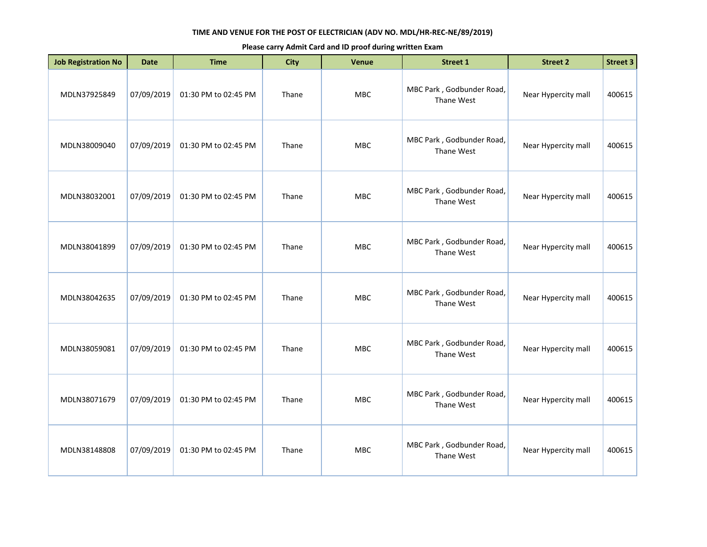| <b>Job Registration No</b> | <b>Date</b> | <b>Time</b>          | <b>City</b> | <b>Venue</b> | <b>Street 1</b>                         | <b>Street 2</b>     | <b>Street 3</b> |
|----------------------------|-------------|----------------------|-------------|--------------|-----------------------------------------|---------------------|-----------------|
| MDLN37925849               | 07/09/2019  | 01:30 PM to 02:45 PM | Thane       | MBC          | MBC Park, Godbunder Road,<br>Thane West | Near Hypercity mall | 400615          |
| MDLN38009040               | 07/09/2019  | 01:30 PM to 02:45 PM | Thane       | <b>MBC</b>   | MBC Park, Godbunder Road,<br>Thane West | Near Hypercity mall | 400615          |
| MDLN38032001               | 07/09/2019  | 01:30 PM to 02:45 PM | Thane       | <b>MBC</b>   | MBC Park, Godbunder Road,<br>Thane West | Near Hypercity mall | 400615          |
| MDLN38041899               | 07/09/2019  | 01:30 PM to 02:45 PM | Thane       | MBC          | MBC Park, Godbunder Road,<br>Thane West | Near Hypercity mall | 400615          |
| MDLN38042635               | 07/09/2019  | 01:30 PM to 02:45 PM | Thane       | MBC          | MBC Park, Godbunder Road,<br>Thane West | Near Hypercity mall | 400615          |
| MDLN38059081               | 07/09/2019  | 01:30 PM to 02:45 PM | Thane       | <b>MBC</b>   | MBC Park, Godbunder Road,<br>Thane West | Near Hypercity mall | 400615          |
| MDLN38071679               | 07/09/2019  | 01:30 PM to 02:45 PM | Thane       | <b>MBC</b>   | MBC Park, Godbunder Road,<br>Thane West | Near Hypercity mall | 400615          |
| MDLN38148808               | 07/09/2019  | 01:30 PM to 02:45 PM | Thane       | <b>MBC</b>   | MBC Park, Godbunder Road,<br>Thane West | Near Hypercity mall | 400615          |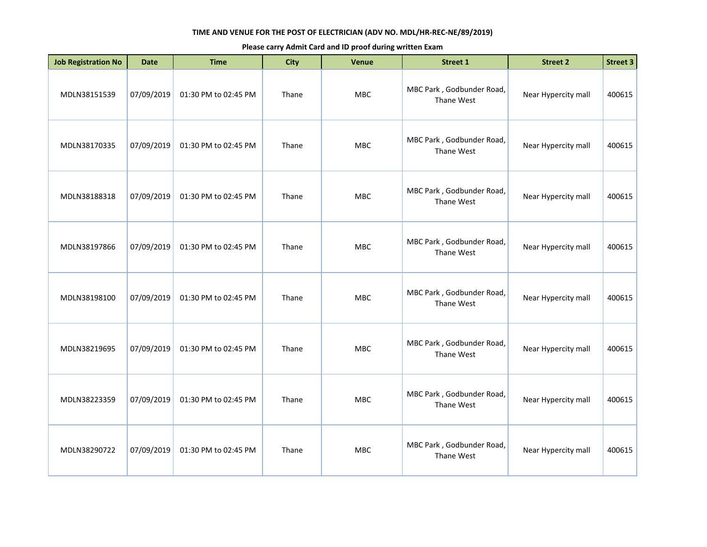| <b>Job Registration No</b> | <b>Date</b> | <b>Time</b>          | <b>City</b> | <b>Venue</b> | <b>Street 1</b>                         | <b>Street 2</b>     | Street 3 |
|----------------------------|-------------|----------------------|-------------|--------------|-----------------------------------------|---------------------|----------|
| MDLN38151539               | 07/09/2019  | 01:30 PM to 02:45 PM | Thane       | <b>MBC</b>   | MBC Park, Godbunder Road,<br>Thane West | Near Hypercity mall | 400615   |
| MDLN38170335               | 07/09/2019  | 01:30 PM to 02:45 PM | Thane       | MBC          | MBC Park, Godbunder Road,<br>Thane West | Near Hypercity mall | 400615   |
| MDLN38188318               | 07/09/2019  | 01:30 PM to 02:45 PM | Thane       | MBC          | MBC Park, Godbunder Road,<br>Thane West | Near Hypercity mall | 400615   |
| MDLN38197866               | 07/09/2019  | 01:30 PM to 02:45 PM | Thane       | <b>MBC</b>   | MBC Park, Godbunder Road,<br>Thane West | Near Hypercity mall | 400615   |
| MDLN38198100               | 07/09/2019  | 01:30 PM to 02:45 PM | Thane       | <b>MBC</b>   | MBC Park, Godbunder Road,<br>Thane West | Near Hypercity mall | 400615   |
| MDLN38219695               | 07/09/2019  | 01:30 PM to 02:45 PM | Thane       | MBC          | MBC Park, Godbunder Road,<br>Thane West | Near Hypercity mall | 400615   |
| MDLN38223359               | 07/09/2019  | 01:30 PM to 02:45 PM | Thane       | <b>MBC</b>   | MBC Park, Godbunder Road,<br>Thane West | Near Hypercity mall | 400615   |
| MDLN38290722               | 07/09/2019  | 01:30 PM to 02:45 PM | Thane       | <b>MBC</b>   | MBC Park, Godbunder Road,<br>Thane West | Near Hypercity mall | 400615   |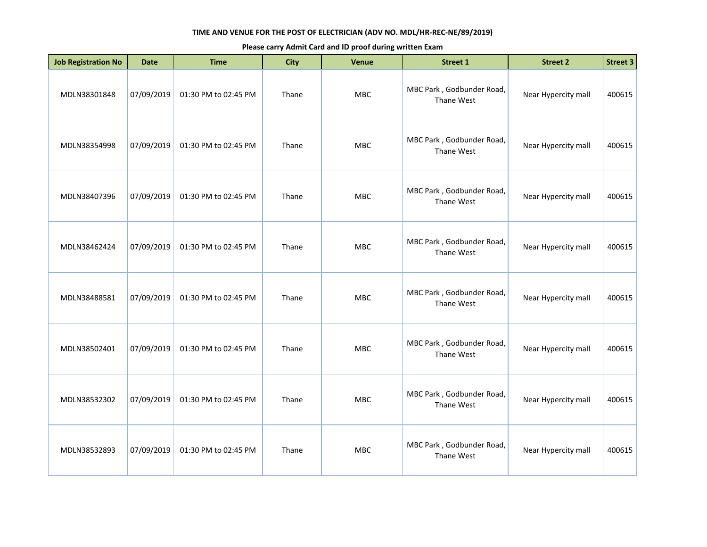| <b>Job Registration No</b> | <b>Date</b> | <b>Time</b>          | <b>City</b> | Venue      | Street 1                                | <b>Street 2</b>     | <b>Street 3</b> |
|----------------------------|-------------|----------------------|-------------|------------|-----------------------------------------|---------------------|-----------------|
| MDLN38301848               | 07/09/2019  | 01:30 PM to 02:45 PM | Thane       | MBC        | MBC Park, Godbunder Road,<br>Thane West | Near Hypercity mall | 400615          |
| MDLN38354998               | 07/09/2019  | 01:30 PM to 02:45 PM | Thane       | <b>MBC</b> | MBC Park, Godbunder Road,<br>Thane West | Near Hypercity mall | 400615          |
| MDLN38407396               | 07/09/2019  | 01:30 PM to 02:45 PM | Thane       | MBC        | MBC Park, Godbunder Road,<br>Thane West | Near Hypercity mall | 400615          |
| MDLN38462424               | 07/09/2019  | 01:30 PM to 02:45 PM | Thane       | MBC        | MBC Park, Godbunder Road,<br>Thane West | Near Hypercity mall | 400615          |
| MDLN38488581               | 07/09/2019  | 01:30 PM to 02:45 PM | Thane       | MBC        | MBC Park, Godbunder Road,<br>Thane West | Near Hypercity mall | 400615          |
| MDLN38502401               | 07/09/2019  | 01:30 PM to 02:45 PM | Thane       | <b>MBC</b> | MBC Park, Godbunder Road,<br>Thane West | Near Hypercity mall | 400615          |
| MDLN38532302               | 07/09/2019  | 01:30 PM to 02:45 PM | Thane       | <b>MBC</b> | MBC Park, Godbunder Road,<br>Thane West | Near Hypercity mall | 400615          |
| MDLN38532893               | 07/09/2019  | 01:30 PM to 02:45 PM | Thane       | <b>MBC</b> | MBC Park, Godbunder Road,<br>Thane West | Near Hypercity mall | 400615          |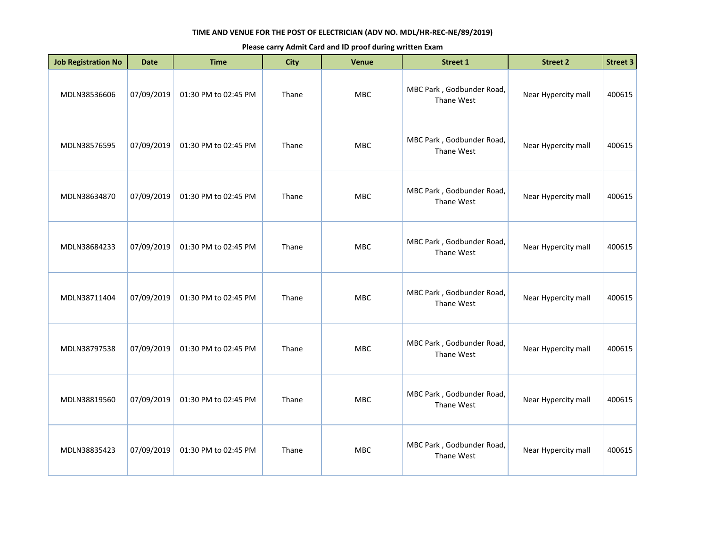| <b>Job Registration No</b> | <b>Date</b> | <b>Time</b>          | <b>City</b> | <b>Venue</b> | Street 1                                | <b>Street 2</b>     | Street 3 |
|----------------------------|-------------|----------------------|-------------|--------------|-----------------------------------------|---------------------|----------|
| MDLN38536606               | 07/09/2019  | 01:30 PM to 02:45 PM | Thane       | <b>MBC</b>   | MBC Park, Godbunder Road,<br>Thane West | Near Hypercity mall | 400615   |
| MDLN38576595               | 07/09/2019  | 01:30 PM to 02:45 PM | Thane       | MBC          | MBC Park, Godbunder Road,<br>Thane West | Near Hypercity mall | 400615   |
| MDLN38634870               | 07/09/2019  | 01:30 PM to 02:45 PM | Thane       | MBC          | MBC Park, Godbunder Road,<br>Thane West | Near Hypercity mall | 400615   |
| MDLN38684233               | 07/09/2019  | 01:30 PM to 02:45 PM | Thane       | <b>MBC</b>   | MBC Park, Godbunder Road,<br>Thane West | Near Hypercity mall | 400615   |
| MDLN38711404               | 07/09/2019  | 01:30 PM to 02:45 PM | Thane       | <b>MBC</b>   | MBC Park, Godbunder Road,<br>Thane West | Near Hypercity mall | 400615   |
| MDLN38797538               | 07/09/2019  | 01:30 PM to 02:45 PM | Thane       | MBC          | MBC Park, Godbunder Road,<br>Thane West | Near Hypercity mall | 400615   |
| MDLN38819560               | 07/09/2019  | 01:30 PM to 02:45 PM | Thane       | <b>MBC</b>   | MBC Park, Godbunder Road,<br>Thane West | Near Hypercity mall | 400615   |
| MDLN38835423               | 07/09/2019  | 01:30 PM to 02:45 PM | Thane       | <b>MBC</b>   | MBC Park, Godbunder Road,<br>Thane West | Near Hypercity mall | 400615   |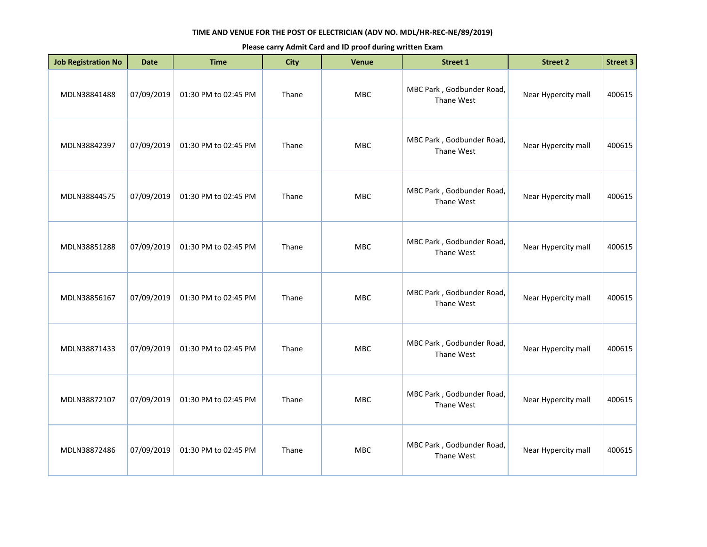| <b>Job Registration No</b> | <b>Date</b> | <b>Time</b>          | <b>City</b> | Venue      | Street 1                                | <b>Street 2</b>     | <b>Street 3</b> |
|----------------------------|-------------|----------------------|-------------|------------|-----------------------------------------|---------------------|-----------------|
| MDLN38841488               | 07/09/2019  | 01:30 PM to 02:45 PM | Thane       | MBC        | MBC Park, Godbunder Road,<br>Thane West | Near Hypercity mall | 400615          |
| MDLN38842397               | 07/09/2019  | 01:30 PM to 02:45 PM | Thane       | <b>MBC</b> | MBC Park, Godbunder Road,<br>Thane West | Near Hypercity mall | 400615          |
| MDLN38844575               | 07/09/2019  | 01:30 PM to 02:45 PM | Thane       | MBC        | MBC Park, Godbunder Road,<br>Thane West | Near Hypercity mall | 400615          |
| MDLN38851288               | 07/09/2019  | 01:30 PM to 02:45 PM | Thane       | MBC        | MBC Park, Godbunder Road,<br>Thane West | Near Hypercity mall | 400615          |
| MDLN38856167               | 07/09/2019  | 01:30 PM to 02:45 PM | Thane       | MBC        | MBC Park, Godbunder Road,<br>Thane West | Near Hypercity mall | 400615          |
| MDLN38871433               | 07/09/2019  | 01:30 PM to 02:45 PM | Thane       | <b>MBC</b> | MBC Park, Godbunder Road,<br>Thane West | Near Hypercity mall | 400615          |
| MDLN38872107               | 07/09/2019  | 01:30 PM to 02:45 PM | Thane       | <b>MBC</b> | MBC Park, Godbunder Road,<br>Thane West | Near Hypercity mall | 400615          |
| MDLN38872486               | 07/09/2019  | 01:30 PM to 02:45 PM | Thane       | <b>MBC</b> | MBC Park, Godbunder Road,<br>Thane West | Near Hypercity mall | 400615          |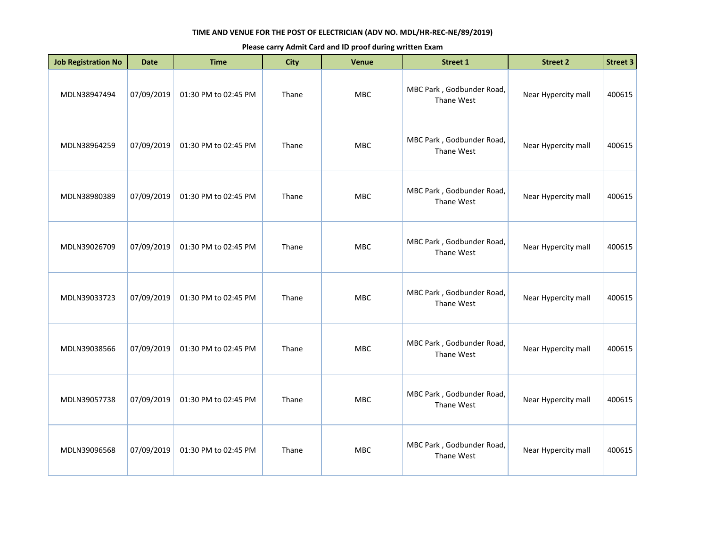| <b>Job Registration No</b> | <b>Date</b> | <b>Time</b>          | <b>City</b> | <b>Venue</b> | <b>Street 1</b>                         | <b>Street 2</b>     | <b>Street 3</b> |
|----------------------------|-------------|----------------------|-------------|--------------|-----------------------------------------|---------------------|-----------------|
| MDLN38947494               | 07/09/2019  | 01:30 PM to 02:45 PM | Thane       | MBC          | MBC Park, Godbunder Road,<br>Thane West | Near Hypercity mall | 400615          |
| MDLN38964259               | 07/09/2019  | 01:30 PM to 02:45 PM | Thane       | <b>MBC</b>   | MBC Park, Godbunder Road,<br>Thane West | Near Hypercity mall | 400615          |
| MDLN38980389               | 07/09/2019  | 01:30 PM to 02:45 PM | Thane       | <b>MBC</b>   | MBC Park, Godbunder Road,<br>Thane West | Near Hypercity mall | 400615          |
| MDLN39026709               | 07/09/2019  | 01:30 PM to 02:45 PM | Thane       | <b>MBC</b>   | MBC Park, Godbunder Road,<br>Thane West | Near Hypercity mall | 400615          |
| MDLN39033723               | 07/09/2019  | 01:30 PM to 02:45 PM | Thane       | <b>MBC</b>   | MBC Park, Godbunder Road,<br>Thane West | Near Hypercity mall | 400615          |
| MDLN39038566               | 07/09/2019  | 01:30 PM to 02:45 PM | Thane       | <b>MBC</b>   | MBC Park, Godbunder Road,<br>Thane West | Near Hypercity mall | 400615          |
| MDLN39057738               | 07/09/2019  | 01:30 PM to 02:45 PM | Thane       | MBC          | MBC Park, Godbunder Road,<br>Thane West | Near Hypercity mall | 400615          |
| MDLN39096568               | 07/09/2019  | 01:30 PM to 02:45 PM | Thane       | <b>MBC</b>   | MBC Park, Godbunder Road,<br>Thane West | Near Hypercity mall | 400615          |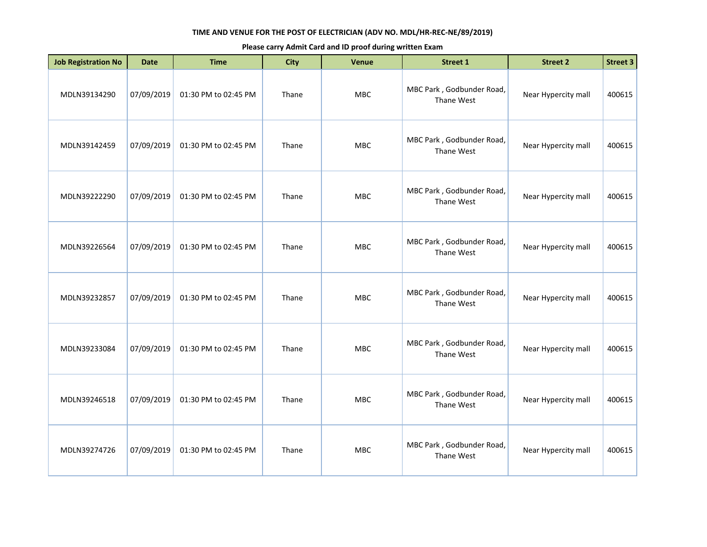| <b>Job Registration No</b> | <b>Date</b> | <b>Time</b>          | <b>City</b> | <b>Venue</b> | <b>Street 1</b>                         | <b>Street 2</b>     | <b>Street 3</b> |
|----------------------------|-------------|----------------------|-------------|--------------|-----------------------------------------|---------------------|-----------------|
| MDLN39134290               | 07/09/2019  | 01:30 PM to 02:45 PM | Thane       | MBC          | MBC Park, Godbunder Road,<br>Thane West | Near Hypercity mall | 400615          |
| MDLN39142459               | 07/09/2019  | 01:30 PM to 02:45 PM | Thane       | MBC          | MBC Park, Godbunder Road,<br>Thane West | Near Hypercity mall | 400615          |
| MDLN39222290               | 07/09/2019  | 01:30 PM to 02:45 PM | Thane       | MBC          | MBC Park, Godbunder Road,<br>Thane West | Near Hypercity mall | 400615          |
| MDLN39226564               | 07/09/2019  | 01:30 PM to 02:45 PM | Thane       | <b>MBC</b>   | MBC Park, Godbunder Road,<br>Thane West | Near Hypercity mall | 400615          |
| MDLN39232857               | 07/09/2019  | 01:30 PM to 02:45 PM | Thane       | MBC          | MBC Park, Godbunder Road,<br>Thane West | Near Hypercity mall | 400615          |
| MDLN39233084               | 07/09/2019  | 01:30 PM to 02:45 PM | Thane       | MBC          | MBC Park, Godbunder Road,<br>Thane West | Near Hypercity mall | 400615          |
| MDLN39246518               | 07/09/2019  | 01:30 PM to 02:45 PM | Thane       | <b>MBC</b>   | MBC Park, Godbunder Road,<br>Thane West | Near Hypercity mall | 400615          |
| MDLN39274726               | 07/09/2019  | 01:30 PM to 02:45 PM | Thane       | MBC          | MBC Park, Godbunder Road,<br>Thane West | Near Hypercity mall | 400615          |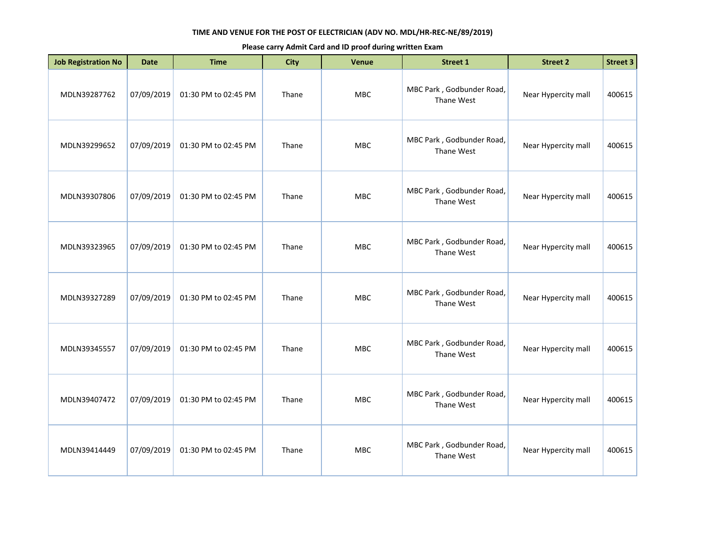| <b>Job Registration No</b> | <b>Date</b> | <b>Time</b>          | <b>City</b> | <b>Venue</b> | <b>Street 1</b>                         | <b>Street 2</b>     | <b>Street 3</b> |
|----------------------------|-------------|----------------------|-------------|--------------|-----------------------------------------|---------------------|-----------------|
| MDLN39287762               | 07/09/2019  | 01:30 PM to 02:45 PM | Thane       | MBC          | MBC Park, Godbunder Road,<br>Thane West | Near Hypercity mall | 400615          |
| MDLN39299652               | 07/09/2019  | 01:30 PM to 02:45 PM | Thane       | <b>MBC</b>   | MBC Park, Godbunder Road,<br>Thane West | Near Hypercity mall | 400615          |
| MDLN39307806               | 07/09/2019  | 01:30 PM to 02:45 PM | Thane       | <b>MBC</b>   | MBC Park, Godbunder Road,<br>Thane West | Near Hypercity mall | 400615          |
| MDLN39323965               | 07/09/2019  | 01:30 PM to 02:45 PM | Thane       | <b>MBC</b>   | MBC Park, Godbunder Road,<br>Thane West | Near Hypercity mall | 400615          |
| MDLN39327289               | 07/09/2019  | 01:30 PM to 02:45 PM | Thane       | <b>MBC</b>   | MBC Park, Godbunder Road,<br>Thane West | Near Hypercity mall | 400615          |
| MDLN39345557               | 07/09/2019  | 01:30 PM to 02:45 PM | Thane       | <b>MBC</b>   | MBC Park, Godbunder Road,<br>Thane West | Near Hypercity mall | 400615          |
| MDLN39407472               | 07/09/2019  | 01:30 PM to 02:45 PM | Thane       | MBC          | MBC Park, Godbunder Road,<br>Thane West | Near Hypercity mall | 400615          |
| MDLN39414449               | 07/09/2019  | 01:30 PM to 02:45 PM | Thane       | <b>MBC</b>   | MBC Park, Godbunder Road,<br>Thane West | Near Hypercity mall | 400615          |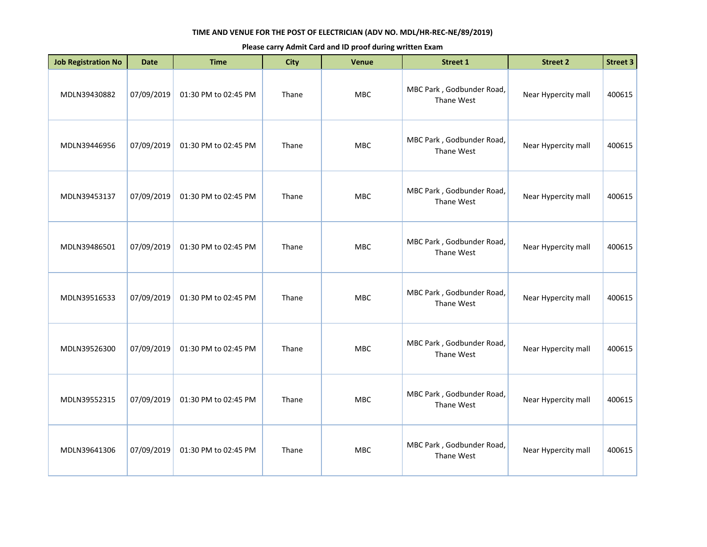| <b>Job Registration No</b> | <b>Date</b> | <b>Time</b>          | <b>City</b> | <b>Venue</b> | <b>Street 1</b>                         | <b>Street 2</b>     | <b>Street 3</b> |
|----------------------------|-------------|----------------------|-------------|--------------|-----------------------------------------|---------------------|-----------------|
| MDLN39430882               | 07/09/2019  | 01:30 PM to 02:45 PM | Thane       | MBC          | MBC Park, Godbunder Road,<br>Thane West | Near Hypercity mall | 400615          |
| MDLN39446956               | 07/09/2019  | 01:30 PM to 02:45 PM | Thane       | <b>MBC</b>   | MBC Park, Godbunder Road,<br>Thane West | Near Hypercity mall | 400615          |
| MDLN39453137               | 07/09/2019  | 01:30 PM to 02:45 PM | Thane       | MBC          | MBC Park, Godbunder Road,<br>Thane West | Near Hypercity mall | 400615          |
| MDLN39486501               | 07/09/2019  | 01:30 PM to 02:45 PM | Thane       | <b>MBC</b>   | MBC Park, Godbunder Road,<br>Thane West | Near Hypercity mall | 400615          |
| MDLN39516533               | 07/09/2019  | 01:30 PM to 02:45 PM | Thane       | <b>MBC</b>   | MBC Park, Godbunder Road,<br>Thane West | Near Hypercity mall | 400615          |
| MDLN39526300               | 07/09/2019  | 01:30 PM to 02:45 PM | Thane       | <b>MBC</b>   | MBC Park, Godbunder Road,<br>Thane West | Near Hypercity mall | 400615          |
| MDLN39552315               | 07/09/2019  | 01:30 PM to 02:45 PM | Thane       | <b>MBC</b>   | MBC Park, Godbunder Road,<br>Thane West | Near Hypercity mall | 400615          |
| MDLN39641306               | 07/09/2019  | 01:30 PM to 02:45 PM | Thane       | <b>MBC</b>   | MBC Park, Godbunder Road,<br>Thane West | Near Hypercity mall | 400615          |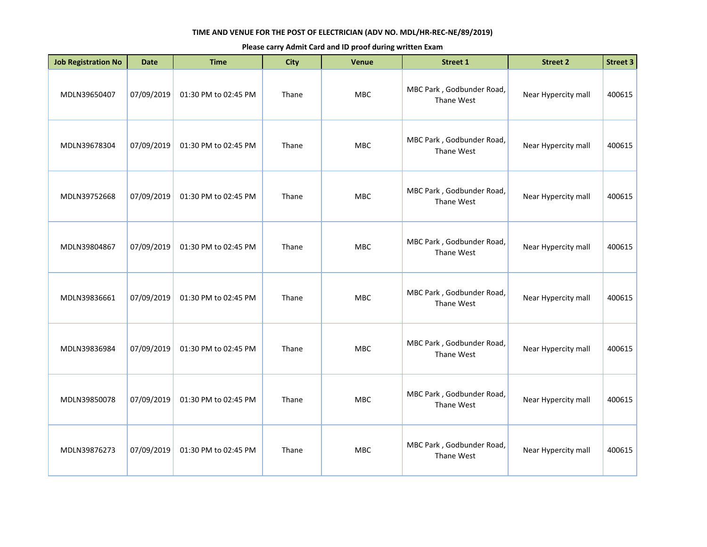| <b>Job Registration No</b> | <b>Date</b> | <b>Time</b>          | <b>City</b> | <b>Venue</b> | <b>Street 1</b>                         | <b>Street 2</b>     | Street 3 |
|----------------------------|-------------|----------------------|-------------|--------------|-----------------------------------------|---------------------|----------|
| MDLN39650407               | 07/09/2019  | 01:30 PM to 02:45 PM | Thane       | <b>MBC</b>   | MBC Park, Godbunder Road,<br>Thane West | Near Hypercity mall | 400615   |
| MDLN39678304               | 07/09/2019  | 01:30 PM to 02:45 PM | Thane       | MBC          | MBC Park, Godbunder Road,<br>Thane West | Near Hypercity mall | 400615   |
| MDLN39752668               | 07/09/2019  | 01:30 PM to 02:45 PM | Thane       | MBC          | MBC Park, Godbunder Road,<br>Thane West | Near Hypercity mall | 400615   |
| MDLN39804867               | 07/09/2019  | 01:30 PM to 02:45 PM | Thane       | <b>MBC</b>   | MBC Park, Godbunder Road,<br>Thane West | Near Hypercity mall | 400615   |
| MDLN39836661               | 07/09/2019  | 01:30 PM to 02:45 PM | Thane       | <b>MBC</b>   | MBC Park, Godbunder Road,<br>Thane West | Near Hypercity mall | 400615   |
| MDLN39836984               | 07/09/2019  | 01:30 PM to 02:45 PM | Thane       | MBC          | MBC Park, Godbunder Road,<br>Thane West | Near Hypercity mall | 400615   |
| MDLN39850078               | 07/09/2019  | 01:30 PM to 02:45 PM | Thane       | <b>MBC</b>   | MBC Park, Godbunder Road,<br>Thane West | Near Hypercity mall | 400615   |
| MDLN39876273               | 07/09/2019  | 01:30 PM to 02:45 PM | Thane       | <b>MBC</b>   | MBC Park, Godbunder Road,<br>Thane West | Near Hypercity mall | 400615   |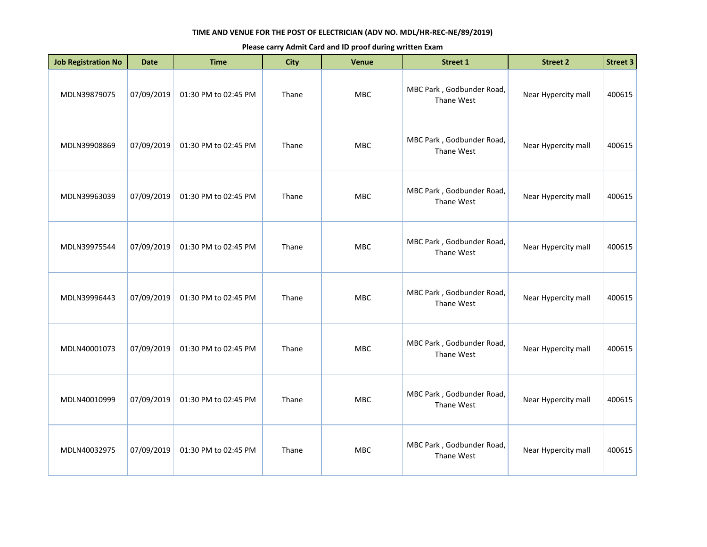| <b>Job Registration No</b> | <b>Date</b> | <b>Time</b>          | <b>City</b> | <b>Venue</b> | <b>Street 1</b>                         | <b>Street 2</b>     | Street 3 |
|----------------------------|-------------|----------------------|-------------|--------------|-----------------------------------------|---------------------|----------|
| MDLN39879075               | 07/09/2019  | 01:30 PM to 02:45 PM | Thane       | <b>MBC</b>   | MBC Park, Godbunder Road,<br>Thane West | Near Hypercity mall | 400615   |
| MDLN39908869               | 07/09/2019  | 01:30 PM to 02:45 PM | Thane       | <b>MBC</b>   | MBC Park, Godbunder Road,<br>Thane West | Near Hypercity mall | 400615   |
| MDLN39963039               | 07/09/2019  | 01:30 PM to 02:45 PM | Thane       | MBC          | MBC Park, Godbunder Road,<br>Thane West | Near Hypercity mall | 400615   |
| MDLN39975544               | 07/09/2019  | 01:30 PM to 02:45 PM | Thane       | <b>MBC</b>   | MBC Park, Godbunder Road,<br>Thane West | Near Hypercity mall | 400615   |
| MDLN39996443               | 07/09/2019  | 01:30 PM to 02:45 PM | Thane       | <b>MBC</b>   | MBC Park, Godbunder Road,<br>Thane West | Near Hypercity mall | 400615   |
| MDLN40001073               | 07/09/2019  | 01:30 PM to 02:45 PM | Thane       | MBC          | MBC Park, Godbunder Road,<br>Thane West | Near Hypercity mall | 400615   |
| MDLN40010999               | 07/09/2019  | 01:30 PM to 02:45 PM | Thane       | <b>MBC</b>   | MBC Park, Godbunder Road,<br>Thane West | Near Hypercity mall | 400615   |
| MDLN40032975               | 07/09/2019  | 01:30 PM to 02:45 PM | Thane       | <b>MBC</b>   | MBC Park, Godbunder Road,<br>Thane West | Near Hypercity mall | 400615   |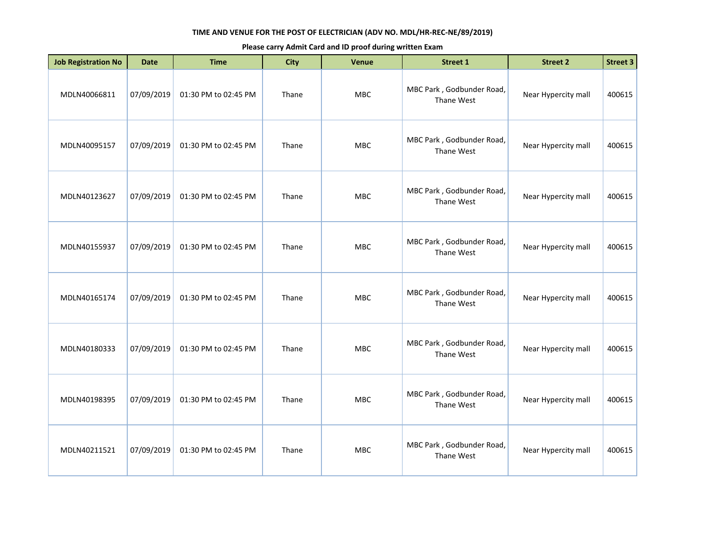| <b>Job Registration No</b> | <b>Date</b> | <b>Time</b>          | <b>City</b> | <b>Venue</b> | <b>Street 1</b>                         | <b>Street 2</b>     | <b>Street 3</b> |
|----------------------------|-------------|----------------------|-------------|--------------|-----------------------------------------|---------------------|-----------------|
| MDLN40066811               | 07/09/2019  | 01:30 PM to 02:45 PM | Thane       | MBC          | MBC Park, Godbunder Road,<br>Thane West | Near Hypercity mall | 400615          |
| MDLN40095157               | 07/09/2019  | 01:30 PM to 02:45 PM | Thane       | <b>MBC</b>   | MBC Park, Godbunder Road,<br>Thane West | Near Hypercity mall | 400615          |
| MDLN40123627               | 07/09/2019  | 01:30 PM to 02:45 PM | Thane       | <b>MBC</b>   | MBC Park, Godbunder Road,<br>Thane West | Near Hypercity mall | 400615          |
| MDLN40155937               | 07/09/2019  | 01:30 PM to 02:45 PM | Thane       | <b>MBC</b>   | MBC Park, Godbunder Road,<br>Thane West | Near Hypercity mall | 400615          |
| MDLN40165174               | 07/09/2019  | 01:30 PM to 02:45 PM | Thane       | MBC          | MBC Park, Godbunder Road,<br>Thane West | Near Hypercity mall | 400615          |
| MDLN40180333               | 07/09/2019  | 01:30 PM to 02:45 PM | Thane       | <b>MBC</b>   | MBC Park, Godbunder Road,<br>Thane West | Near Hypercity mall | 400615          |
| MDLN40198395               | 07/09/2019  | 01:30 PM to 02:45 PM | Thane       | <b>MBC</b>   | MBC Park, Godbunder Road,<br>Thane West | Near Hypercity mall | 400615          |
| MDLN40211521               | 07/09/2019  | 01:30 PM to 02:45 PM | Thane       | <b>MBC</b>   | MBC Park, Godbunder Road,<br>Thane West | Near Hypercity mall | 400615          |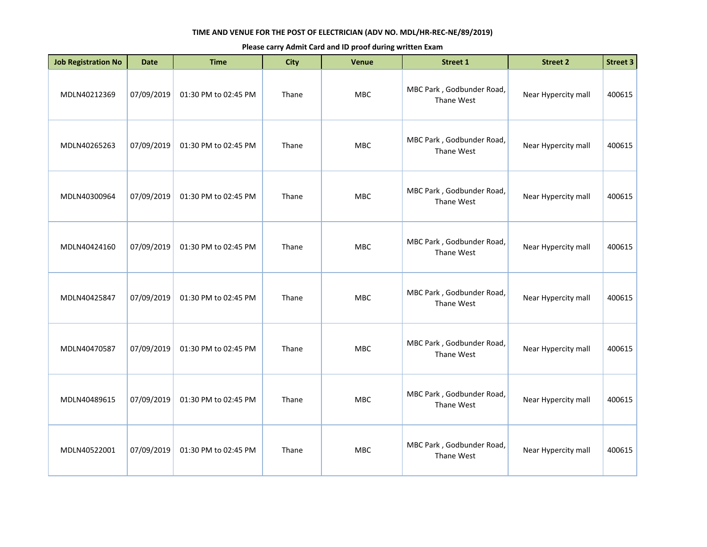| <b>Job Registration No</b> | <b>Date</b> | <b>Time</b>          | <b>City</b> | <b>Venue</b> | <b>Street 1</b>                         | <b>Street 2</b>     | Street 3 |
|----------------------------|-------------|----------------------|-------------|--------------|-----------------------------------------|---------------------|----------|
| MDLN40212369               | 07/09/2019  | 01:30 PM to 02:45 PM | Thane       | <b>MBC</b>   | MBC Park, Godbunder Road,<br>Thane West | Near Hypercity mall | 400615   |
| MDLN40265263               | 07/09/2019  | 01:30 PM to 02:45 PM | Thane       | MBC          | MBC Park, Godbunder Road,<br>Thane West | Near Hypercity mall | 400615   |
| MDLN40300964               | 07/09/2019  | 01:30 PM to 02:45 PM | Thane       | MBC          | MBC Park, Godbunder Road,<br>Thane West | Near Hypercity mall | 400615   |
| MDLN40424160               | 07/09/2019  | 01:30 PM to 02:45 PM | Thane       | <b>MBC</b>   | MBC Park, Godbunder Road,<br>Thane West | Near Hypercity mall | 400615   |
| MDLN40425847               | 07/09/2019  | 01:30 PM to 02:45 PM | Thane       | <b>MBC</b>   | MBC Park, Godbunder Road,<br>Thane West | Near Hypercity mall | 400615   |
| MDLN40470587               | 07/09/2019  | 01:30 PM to 02:45 PM | Thane       | MBC          | MBC Park, Godbunder Road,<br>Thane West | Near Hypercity mall | 400615   |
| MDLN40489615               | 07/09/2019  | 01:30 PM to 02:45 PM | Thane       | <b>MBC</b>   | MBC Park, Godbunder Road,<br>Thane West | Near Hypercity mall | 400615   |
| MDLN40522001               | 07/09/2019  | 01:30 PM to 02:45 PM | Thane       | <b>MBC</b>   | MBC Park, Godbunder Road,<br>Thane West | Near Hypercity mall | 400615   |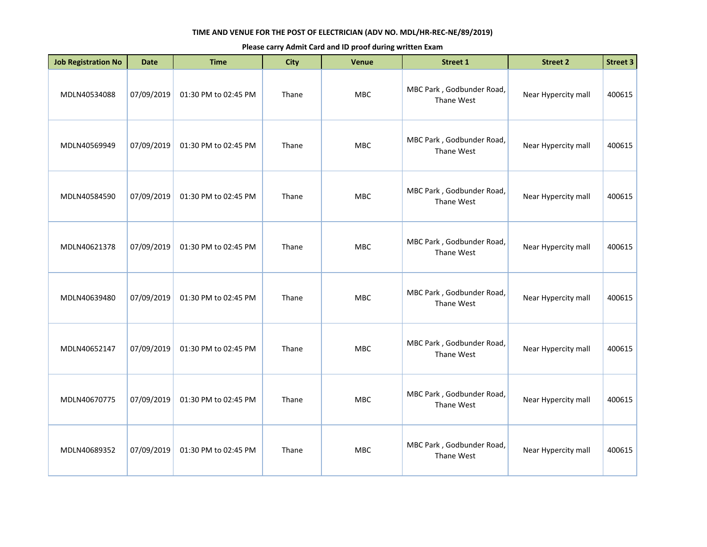| <b>Job Registration No</b> | <b>Date</b> | <b>Time</b>          | <b>City</b> | <b>Venue</b> | <b>Street 1</b>                         | <b>Street 2</b>     | Street 3 |
|----------------------------|-------------|----------------------|-------------|--------------|-----------------------------------------|---------------------|----------|
| MDLN40534088               | 07/09/2019  | 01:30 PM to 02:45 PM | Thane       | <b>MBC</b>   | MBC Park, Godbunder Road,<br>Thane West | Near Hypercity mall | 400615   |
| MDLN40569949               | 07/09/2019  | 01:30 PM to 02:45 PM | Thane       | MBC          | MBC Park, Godbunder Road,<br>Thane West | Near Hypercity mall | 400615   |
| MDLN40584590               | 07/09/2019  | 01:30 PM to 02:45 PM | Thane       | MBC          | MBC Park, Godbunder Road,<br>Thane West | Near Hypercity mall | 400615   |
| MDLN40621378               | 07/09/2019  | 01:30 PM to 02:45 PM | Thane       | <b>MBC</b>   | MBC Park, Godbunder Road,<br>Thane West | Near Hypercity mall | 400615   |
| MDLN40639480               | 07/09/2019  | 01:30 PM to 02:45 PM | Thane       | <b>MBC</b>   | MBC Park, Godbunder Road,<br>Thane West | Near Hypercity mall | 400615   |
| MDLN40652147               | 07/09/2019  | 01:30 PM to 02:45 PM | Thane       | MBC          | MBC Park, Godbunder Road,<br>Thane West | Near Hypercity mall | 400615   |
| MDLN40670775               | 07/09/2019  | 01:30 PM to 02:45 PM | Thane       | <b>MBC</b>   | MBC Park, Godbunder Road,<br>Thane West | Near Hypercity mall | 400615   |
| MDLN40689352               | 07/09/2019  | 01:30 PM to 02:45 PM | Thane       | <b>MBC</b>   | MBC Park, Godbunder Road,<br>Thane West | Near Hypercity mall | 400615   |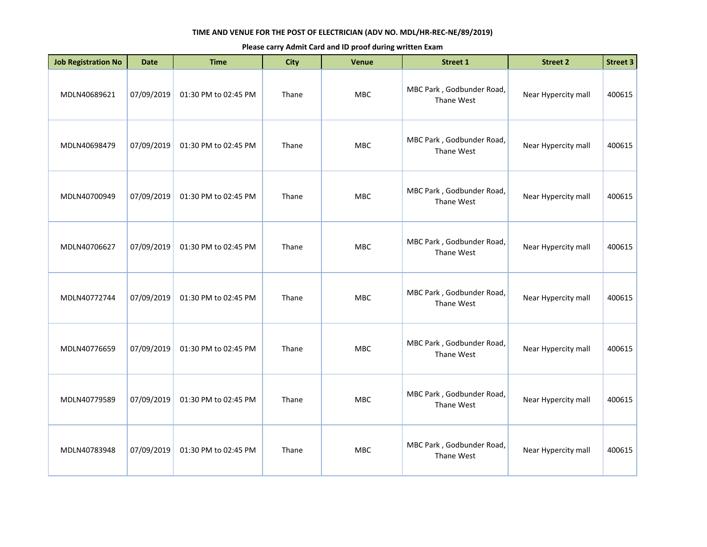| <b>Job Registration No</b> | <b>Date</b> | <b>Time</b>          | <b>City</b> | <b>Venue</b> | Street 1                                | <b>Street 2</b>     | <b>Street 3</b> |
|----------------------------|-------------|----------------------|-------------|--------------|-----------------------------------------|---------------------|-----------------|
| MDLN40689621               | 07/09/2019  | 01:30 PM to 02:45 PM | Thane       | MBC          | MBC Park, Godbunder Road,<br>Thane West | Near Hypercity mall | 400615          |
| MDLN40698479               | 07/09/2019  | 01:30 PM to 02:45 PM | Thane       | MBC          | MBC Park, Godbunder Road,<br>Thane West | Near Hypercity mall | 400615          |
| MDLN40700949               | 07/09/2019  | 01:30 PM to 02:45 PM | Thane       | <b>MBC</b>   | MBC Park, Godbunder Road,<br>Thane West | Near Hypercity mall | 400615          |
| MDLN40706627               | 07/09/2019  | 01:30 PM to 02:45 PM | Thane       | <b>MBC</b>   | MBC Park, Godbunder Road,<br>Thane West | Near Hypercity mall | 400615          |
| MDLN40772744               | 07/09/2019  | 01:30 PM to 02:45 PM | Thane       | <b>MBC</b>   | MBC Park, Godbunder Road,<br>Thane West | Near Hypercity mall | 400615          |
| MDLN40776659               | 07/09/2019  | 01:30 PM to 02:45 PM | Thane       | <b>MBC</b>   | MBC Park, Godbunder Road,<br>Thane West | Near Hypercity mall | 400615          |
| MDLN40779589               | 07/09/2019  | 01:30 PM to 02:45 PM | Thane       | <b>MBC</b>   | MBC Park, Godbunder Road,<br>Thane West | Near Hypercity mall | 400615          |
| MDLN40783948               | 07/09/2019  | 01:30 PM to 02:45 PM | Thane       | <b>MBC</b>   | MBC Park, Godbunder Road,<br>Thane West | Near Hypercity mall | 400615          |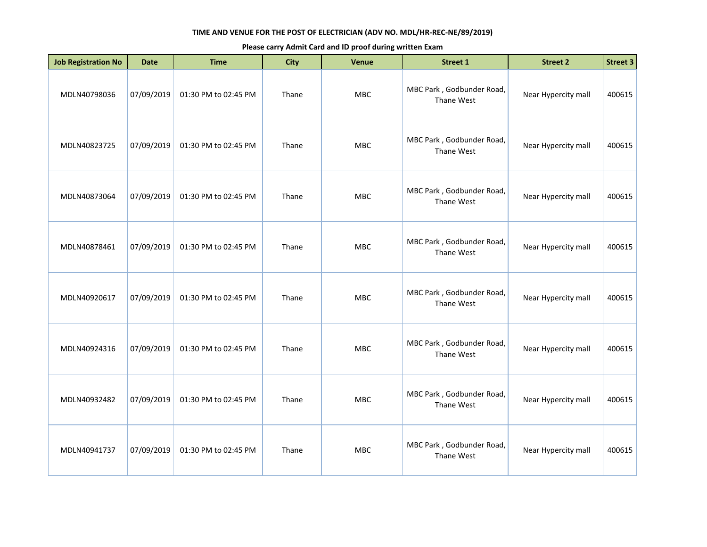| <b>Job Registration No</b> | <b>Date</b> | <b>Time</b>          | <b>City</b> | <b>Venue</b> | <b>Street 1</b>                         | <b>Street 2</b>     | <b>Street 3</b> |
|----------------------------|-------------|----------------------|-------------|--------------|-----------------------------------------|---------------------|-----------------|
| MDLN40798036               | 07/09/2019  | 01:30 PM to 02:45 PM | Thane       | MBC          | MBC Park, Godbunder Road,<br>Thane West | Near Hypercity mall | 400615          |
| MDLN40823725               | 07/09/2019  | 01:30 PM to 02:45 PM | Thane       | MBC          | MBC Park, Godbunder Road,<br>Thane West | Near Hypercity mall | 400615          |
| MDLN40873064               | 07/09/2019  | 01:30 PM to 02:45 PM | Thane       | MBC          | MBC Park, Godbunder Road,<br>Thane West | Near Hypercity mall | 400615          |
| MDLN40878461               | 07/09/2019  | 01:30 PM to 02:45 PM | Thane       | <b>MBC</b>   | MBC Park, Godbunder Road,<br>Thane West | Near Hypercity mall | 400615          |
| MDLN40920617               | 07/09/2019  | 01:30 PM to 02:45 PM | Thane       | MBC          | MBC Park, Godbunder Road,<br>Thane West | Near Hypercity mall | 400615          |
| MDLN40924316               | 07/09/2019  | 01:30 PM to 02:45 PM | Thane       | MBC          | MBC Park, Godbunder Road,<br>Thane West | Near Hypercity mall | 400615          |
| MDLN40932482               | 07/09/2019  | 01:30 PM to 02:45 PM | Thane       | <b>MBC</b>   | MBC Park, Godbunder Road,<br>Thane West | Near Hypercity mall | 400615          |
| MDLN40941737               | 07/09/2019  | 01:30 PM to 02:45 PM | Thane       | MBC          | MBC Park, Godbunder Road,<br>Thane West | Near Hypercity mall | 400615          |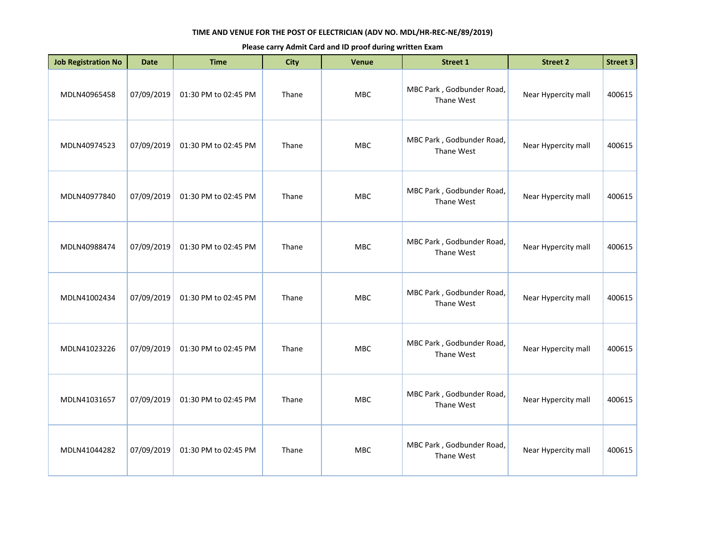| <b>Job Registration No</b> | <b>Date</b> | <b>Time</b>          | <b>City</b> | <b>Venue</b> | <b>Street 1</b>                         | <b>Street 2</b>     | <b>Street 3</b> |
|----------------------------|-------------|----------------------|-------------|--------------|-----------------------------------------|---------------------|-----------------|
| MDLN40965458               | 07/09/2019  | 01:30 PM to 02:45 PM | Thane       | MBC          | MBC Park, Godbunder Road,<br>Thane West | Near Hypercity mall | 400615          |
| MDLN40974523               | 07/09/2019  | 01:30 PM to 02:45 PM | Thane       | MBC          | MBC Park, Godbunder Road,<br>Thane West | Near Hypercity mall | 400615          |
| MDLN40977840               | 07/09/2019  | 01:30 PM to 02:45 PM | Thane       | MBC          | MBC Park, Godbunder Road,<br>Thane West | Near Hypercity mall | 400615          |
| MDLN40988474               | 07/09/2019  | 01:30 PM to 02:45 PM | Thane       | <b>MBC</b>   | MBC Park, Godbunder Road,<br>Thane West | Near Hypercity mall | 400615          |
| MDLN41002434               | 07/09/2019  | 01:30 PM to 02:45 PM | Thane       | MBC          | MBC Park, Godbunder Road,<br>Thane West | Near Hypercity mall | 400615          |
| MDLN41023226               | 07/09/2019  | 01:30 PM to 02:45 PM | Thane       | MBC          | MBC Park, Godbunder Road,<br>Thane West | Near Hypercity mall | 400615          |
| MDLN41031657               | 07/09/2019  | 01:30 PM to 02:45 PM | Thane       | <b>MBC</b>   | MBC Park, Godbunder Road,<br>Thane West | Near Hypercity mall | 400615          |
| MDLN41044282               | 07/09/2019  | 01:30 PM to 02:45 PM | Thane       | MBC          | MBC Park, Godbunder Road,<br>Thane West | Near Hypercity mall | 400615          |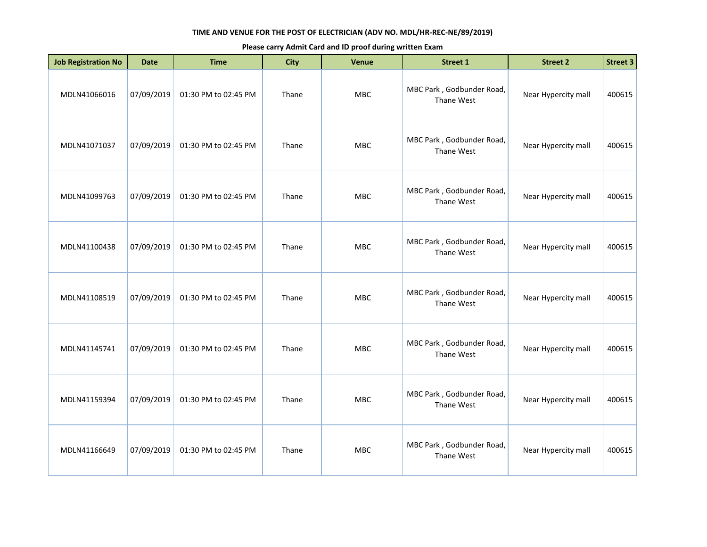| <b>Job Registration No</b> | <b>Date</b> | <b>Time</b>          | <b>City</b> | <b>Venue</b> | Street 1                                | <b>Street 2</b>     | Street 3 |
|----------------------------|-------------|----------------------|-------------|--------------|-----------------------------------------|---------------------|----------|
| MDLN41066016               | 07/09/2019  | 01:30 PM to 02:45 PM | Thane       | MBC          | MBC Park, Godbunder Road,<br>Thane West | Near Hypercity mall | 400615   |
| MDLN41071037               | 07/09/2019  | 01:30 PM to 02:45 PM | Thane       | MBC          | MBC Park, Godbunder Road,<br>Thane West | Near Hypercity mall | 400615   |
| MDLN41099763               | 07/09/2019  | 01:30 PM to 02:45 PM | Thane       | <b>MBC</b>   | MBC Park, Godbunder Road,<br>Thane West | Near Hypercity mall | 400615   |
| MDLN41100438               | 07/09/2019  | 01:30 PM to 02:45 PM | Thane       | <b>MBC</b>   | MBC Park, Godbunder Road,<br>Thane West | Near Hypercity mall | 400615   |
| MDLN41108519               | 07/09/2019  | 01:30 PM to 02:45 PM | Thane       | <b>MBC</b>   | MBC Park, Godbunder Road,<br>Thane West | Near Hypercity mall | 400615   |
| MDLN41145741               | 07/09/2019  | 01:30 PM to 02:45 PM | Thane       | <b>MBC</b>   | MBC Park, Godbunder Road,<br>Thane West | Near Hypercity mall | 400615   |
| MDLN41159394               | 07/09/2019  | 01:30 PM to 02:45 PM | Thane       | <b>MBC</b>   | MBC Park, Godbunder Road,<br>Thane West | Near Hypercity mall | 400615   |
| MDLN41166649               | 07/09/2019  | 01:30 PM to 02:45 PM | Thane       | <b>MBC</b>   | MBC Park, Godbunder Road,<br>Thane West | Near Hypercity mall | 400615   |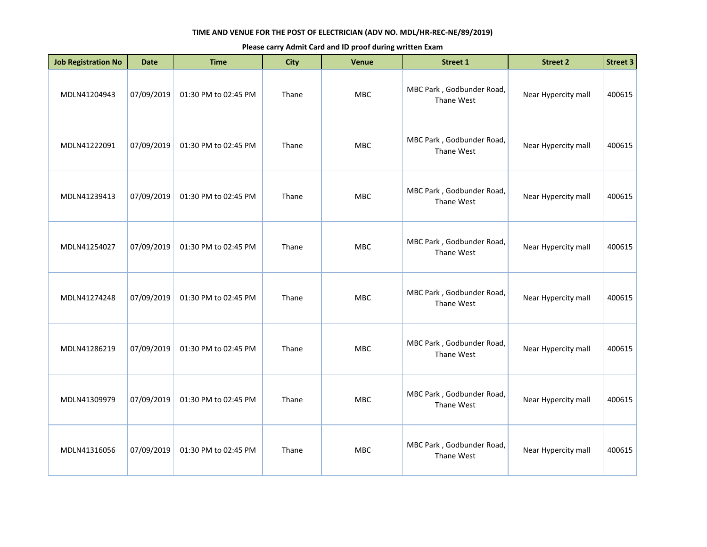| <b>Job Registration No</b> | <b>Date</b> | <b>Time</b>          | <b>City</b> | Venue      | Street 1                                | <b>Street 2</b>     | Street 3 |
|----------------------------|-------------|----------------------|-------------|------------|-----------------------------------------|---------------------|----------|
| MDLN41204943               | 07/09/2019  | 01:30 PM to 02:45 PM | Thane       | <b>MBC</b> | MBC Park, Godbunder Road,<br>Thane West | Near Hypercity mall | 400615   |
| MDLN41222091               | 07/09/2019  | 01:30 PM to 02:45 PM | Thane       | <b>MBC</b> | MBC Park, Godbunder Road,<br>Thane West | Near Hypercity mall | 400615   |
| MDLN41239413               | 07/09/2019  | 01:30 PM to 02:45 PM | Thane       | MBC        | MBC Park, Godbunder Road,<br>Thane West | Near Hypercity mall | 400615   |
| MDLN41254027               | 07/09/2019  | 01:30 PM to 02:45 PM | Thane       | <b>MBC</b> | MBC Park, Godbunder Road,<br>Thane West | Near Hypercity mall | 400615   |
| MDLN41274248               | 07/09/2019  | 01:30 PM to 02:45 PM | Thane       | <b>MBC</b> | MBC Park, Godbunder Road,<br>Thane West | Near Hypercity mall | 400615   |
| MDLN41286219               | 07/09/2019  | 01:30 PM to 02:45 PM | Thane       | MBC        | MBC Park, Godbunder Road,<br>Thane West | Near Hypercity mall | 400615   |
| MDLN41309979               | 07/09/2019  | 01:30 PM to 02:45 PM | Thane       | <b>MBC</b> | MBC Park, Godbunder Road,<br>Thane West | Near Hypercity mall | 400615   |
| MDLN41316056               | 07/09/2019  | 01:30 PM to 02:45 PM | Thane       | <b>MBC</b> | MBC Park, Godbunder Road,<br>Thane West | Near Hypercity mall | 400615   |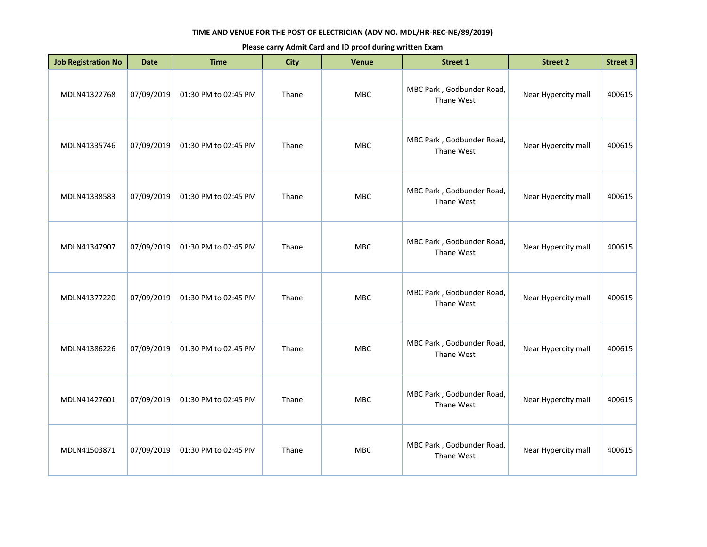| <b>Job Registration No</b> | <b>Date</b> | <b>Time</b>          | <b>City</b> | Venue      | <b>Street 1</b>                         | <b>Street 2</b>     | <b>Street 3</b> |
|----------------------------|-------------|----------------------|-------------|------------|-----------------------------------------|---------------------|-----------------|
| MDLN41322768               | 07/09/2019  | 01:30 PM to 02:45 PM | Thane       | MBC        | MBC Park, Godbunder Road,<br>Thane West | Near Hypercity mall | 400615          |
| MDLN41335746               | 07/09/2019  | 01:30 PM to 02:45 PM | Thane       | <b>MBC</b> | MBC Park, Godbunder Road,<br>Thane West | Near Hypercity mall | 400615          |
| MDLN41338583               | 07/09/2019  | 01:30 PM to 02:45 PM | Thane       | <b>MBC</b> | MBC Park, Godbunder Road,<br>Thane West | Near Hypercity mall | 400615          |
| MDLN41347907               | 07/09/2019  | 01:30 PM to 02:45 PM | Thane       | <b>MBC</b> | MBC Park, Godbunder Road,<br>Thane West | Near Hypercity mall | 400615          |
| MDLN41377220               | 07/09/2019  | 01:30 PM to 02:45 PM | Thane       | MBC        | MBC Park, Godbunder Road,<br>Thane West | Near Hypercity mall | 400615          |
| MDLN41386226               | 07/09/2019  | 01:30 PM to 02:45 PM | Thane       | <b>MBC</b> | MBC Park, Godbunder Road,<br>Thane West | Near Hypercity mall | 400615          |
| MDLN41427601               | 07/09/2019  | 01:30 PM to 02:45 PM | Thane       | <b>MBC</b> | MBC Park, Godbunder Road,<br>Thane West | Near Hypercity mall | 400615          |
| MDLN41503871               | 07/09/2019  | 01:30 PM to 02:45 PM | Thane       | <b>MBC</b> | MBC Park, Godbunder Road,<br>Thane West | Near Hypercity mall | 400615          |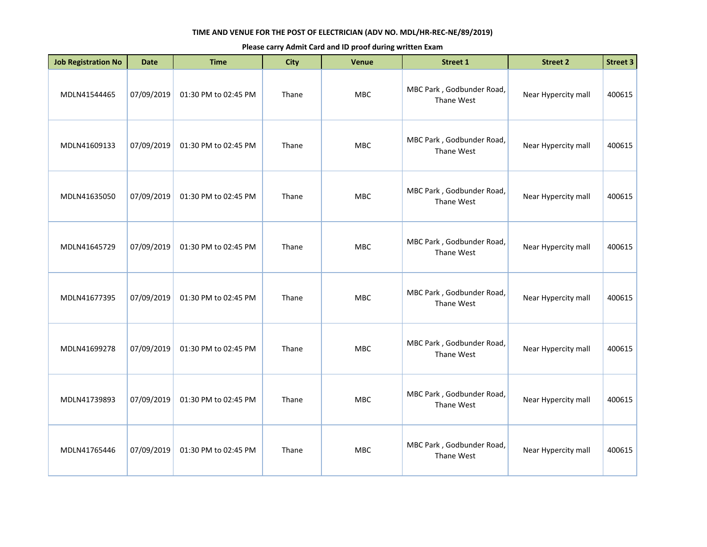| <b>Job Registration No</b> | <b>Date</b> | <b>Time</b>          | <b>City</b> | <b>Venue</b> | <b>Street 1</b>                         | <b>Street 2</b>     | <b>Street 3</b> |
|----------------------------|-------------|----------------------|-------------|--------------|-----------------------------------------|---------------------|-----------------|
| MDLN41544465               | 07/09/2019  | 01:30 PM to 02:45 PM | Thane       | MBC          | MBC Park, Godbunder Road,<br>Thane West | Near Hypercity mall | 400615          |
| MDLN41609133               | 07/09/2019  | 01:30 PM to 02:45 PM | Thane       | MBC          | MBC Park, Godbunder Road,<br>Thane West | Near Hypercity mall | 400615          |
| MDLN41635050               | 07/09/2019  | 01:30 PM to 02:45 PM | Thane       | MBC          | MBC Park, Godbunder Road,<br>Thane West | Near Hypercity mall | 400615          |
| MDLN41645729               | 07/09/2019  | 01:30 PM to 02:45 PM | Thane       | <b>MBC</b>   | MBC Park, Godbunder Road,<br>Thane West | Near Hypercity mall | 400615          |
| MDLN41677395               | 07/09/2019  | 01:30 PM to 02:45 PM | Thane       | MBC          | MBC Park, Godbunder Road,<br>Thane West | Near Hypercity mall | 400615          |
| MDLN41699278               | 07/09/2019  | 01:30 PM to 02:45 PM | Thane       | MBC          | MBC Park, Godbunder Road,<br>Thane West | Near Hypercity mall | 400615          |
| MDLN41739893               | 07/09/2019  | 01:30 PM to 02:45 PM | Thane       | <b>MBC</b>   | MBC Park, Godbunder Road,<br>Thane West | Near Hypercity mall | 400615          |
| MDLN41765446               | 07/09/2019  | 01:30 PM to 02:45 PM | Thane       | MBC          | MBC Park, Godbunder Road,<br>Thane West | Near Hypercity mall | 400615          |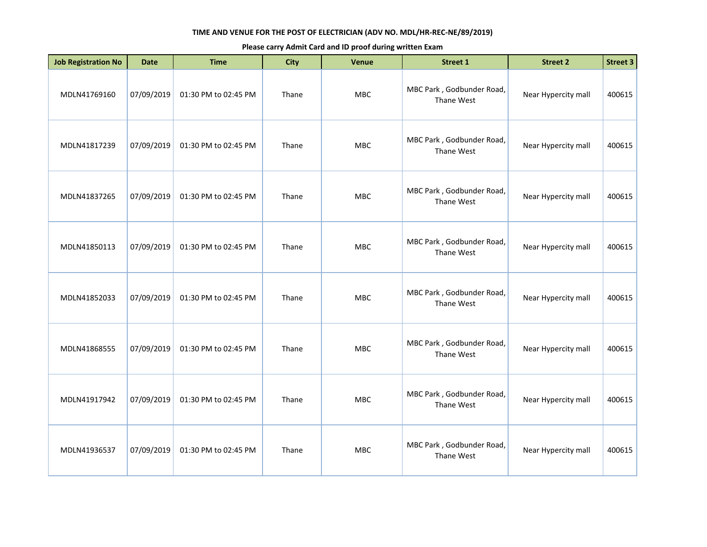| <b>Job Registration No</b> | <b>Date</b> | <b>Time</b>          | <b>City</b> | Venue      | <b>Street 1</b>                         | <b>Street 2</b>     | <b>Street 3</b> |
|----------------------------|-------------|----------------------|-------------|------------|-----------------------------------------|---------------------|-----------------|
| MDLN41769160               | 07/09/2019  | 01:30 PM to 02:45 PM | Thane       | MBC        | MBC Park, Godbunder Road,<br>Thane West | Near Hypercity mall | 400615          |
| MDLN41817239               | 07/09/2019  | 01:30 PM to 02:45 PM | Thane       | <b>MBC</b> | MBC Park, Godbunder Road,<br>Thane West | Near Hypercity mall | 400615          |
| MDLN41837265               | 07/09/2019  | 01:30 PM to 02:45 PM | Thane       | <b>MBC</b> | MBC Park, Godbunder Road,<br>Thane West | Near Hypercity mall | 400615          |
| MDLN41850113               | 07/09/2019  | 01:30 PM to 02:45 PM | Thane       | <b>MBC</b> | MBC Park, Godbunder Road,<br>Thane West | Near Hypercity mall | 400615          |
| MDLN41852033               | 07/09/2019  | 01:30 PM to 02:45 PM | Thane       | MBC        | MBC Park, Godbunder Road,<br>Thane West | Near Hypercity mall | 400615          |
| MDLN41868555               | 07/09/2019  | 01:30 PM to 02:45 PM | Thane       | <b>MBC</b> | MBC Park, Godbunder Road,<br>Thane West | Near Hypercity mall | 400615          |
| MDLN41917942               | 07/09/2019  | 01:30 PM to 02:45 PM | Thane       | <b>MBC</b> | MBC Park, Godbunder Road,<br>Thane West | Near Hypercity mall | 400615          |
| MDLN41936537               | 07/09/2019  | 01:30 PM to 02:45 PM | Thane       | <b>MBC</b> | MBC Park, Godbunder Road,<br>Thane West | Near Hypercity mall | 400615          |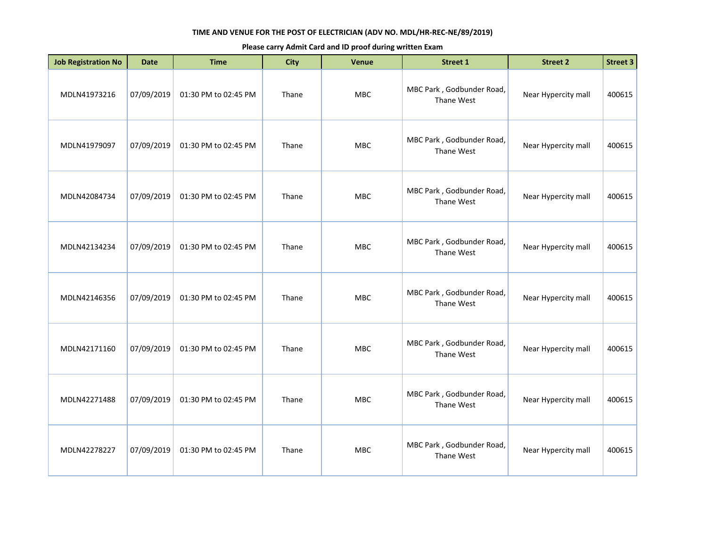| <b>Job Registration No</b> | <b>Date</b> | <b>Time</b>          | <b>City</b> | Venue      | <b>Street 1</b>                         | <b>Street 2</b>     | <b>Street 3</b> |
|----------------------------|-------------|----------------------|-------------|------------|-----------------------------------------|---------------------|-----------------|
| MDLN41973216               | 07/09/2019  | 01:30 PM to 02:45 PM | Thane       | MBC        | MBC Park, Godbunder Road,<br>Thane West | Near Hypercity mall | 400615          |
| MDLN41979097               | 07/09/2019  | 01:30 PM to 02:45 PM | Thane       | <b>MBC</b> | MBC Park, Godbunder Road,<br>Thane West | Near Hypercity mall | 400615          |
| MDLN42084734               | 07/09/2019  | 01:30 PM to 02:45 PM | Thane       | <b>MBC</b> | MBC Park, Godbunder Road,<br>Thane West | Near Hypercity mall | 400615          |
| MDLN42134234               | 07/09/2019  | 01:30 PM to 02:45 PM | Thane       | <b>MBC</b> | MBC Park, Godbunder Road,<br>Thane West | Near Hypercity mall | 400615          |
| MDLN42146356               | 07/09/2019  | 01:30 PM to 02:45 PM | Thane       | MBC        | MBC Park, Godbunder Road,<br>Thane West | Near Hypercity mall | 400615          |
| MDLN42171160               | 07/09/2019  | 01:30 PM to 02:45 PM | Thane       | <b>MBC</b> | MBC Park, Godbunder Road,<br>Thane West | Near Hypercity mall | 400615          |
| MDLN42271488               | 07/09/2019  | 01:30 PM to 02:45 PM | Thane       | <b>MBC</b> | MBC Park, Godbunder Road,<br>Thane West | Near Hypercity mall | 400615          |
| MDLN42278227               | 07/09/2019  | 01:30 PM to 02:45 PM | Thane       | <b>MBC</b> | MBC Park, Godbunder Road,<br>Thane West | Near Hypercity mall | 400615          |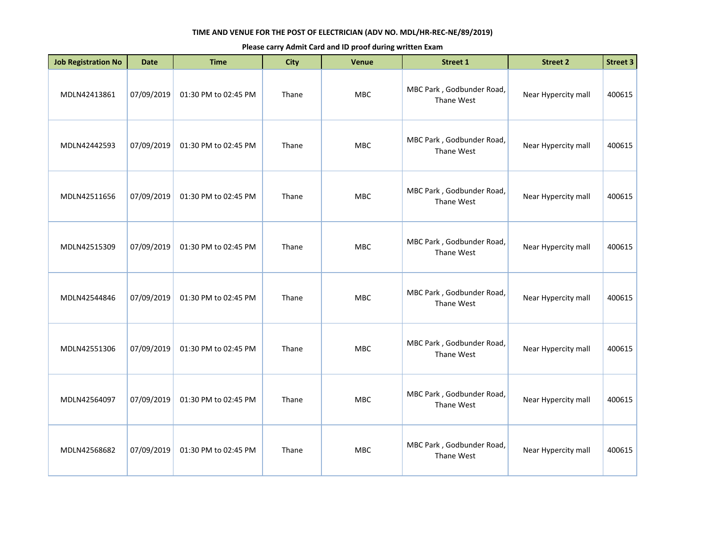| <b>Job Registration No</b> | <b>Date</b> | <b>Time</b>          | <b>City</b> | Venue      | <b>Street 1</b>                         | <b>Street 2</b>     | <b>Street 3</b> |
|----------------------------|-------------|----------------------|-------------|------------|-----------------------------------------|---------------------|-----------------|
| MDLN42413861               | 07/09/2019  | 01:30 PM to 02:45 PM | Thane       | MBC        | MBC Park, Godbunder Road,<br>Thane West | Near Hypercity mall | 400615          |
| MDLN42442593               | 07/09/2019  | 01:30 PM to 02:45 PM | Thane       | MBC        | MBC Park, Godbunder Road,<br>Thane West | Near Hypercity mall | 400615          |
| MDLN42511656               | 07/09/2019  | 01:30 PM to 02:45 PM | Thane       | <b>MBC</b> | MBC Park, Godbunder Road,<br>Thane West | Near Hypercity mall | 400615          |
| MDLN42515309               | 07/09/2019  | 01:30 PM to 02:45 PM | Thane       | <b>MBC</b> | MBC Park, Godbunder Road,<br>Thane West | Near Hypercity mall | 400615          |
| MDLN42544846               | 07/09/2019  | 01:30 PM to 02:45 PM | Thane       | <b>MBC</b> | MBC Park, Godbunder Road,<br>Thane West | Near Hypercity mall | 400615          |
| MDLN42551306               | 07/09/2019  | 01:30 PM to 02:45 PM | Thane       | <b>MBC</b> | MBC Park, Godbunder Road,<br>Thane West | Near Hypercity mall | 400615          |
| MDLN42564097               | 07/09/2019  | 01:30 PM to 02:45 PM | Thane       | MBC        | MBC Park, Godbunder Road,<br>Thane West | Near Hypercity mall | 400615          |
| MDLN42568682               | 07/09/2019  | 01:30 PM to 02:45 PM | Thane       | <b>MBC</b> | MBC Park, Godbunder Road,<br>Thane West | Near Hypercity mall | 400615          |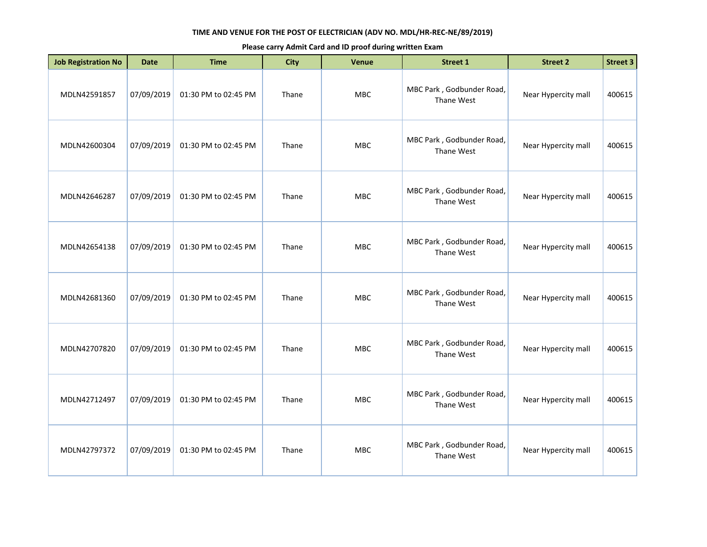| <b>Job Registration No</b> | <b>Date</b> | <b>Time</b>          | <b>City</b> | Venue      | Street 1                                | <b>Street 2</b>     | Street 3 |
|----------------------------|-------------|----------------------|-------------|------------|-----------------------------------------|---------------------|----------|
| MDLN42591857               | 07/09/2019  | 01:30 PM to 02:45 PM | Thane       | <b>MBC</b> | MBC Park, Godbunder Road,<br>Thane West | Near Hypercity mall | 400615   |
| MDLN42600304               | 07/09/2019  | 01:30 PM to 02:45 PM | Thane       | MBC        | MBC Park, Godbunder Road,<br>Thane West | Near Hypercity mall | 400615   |
| MDLN42646287               | 07/09/2019  | 01:30 PM to 02:45 PM | Thane       | MBC        | MBC Park, Godbunder Road,<br>Thane West | Near Hypercity mall | 400615   |
| MDLN42654138               | 07/09/2019  | 01:30 PM to 02:45 PM | Thane       | <b>MBC</b> | MBC Park, Godbunder Road,<br>Thane West | Near Hypercity mall | 400615   |
| MDLN42681360               | 07/09/2019  | 01:30 PM to 02:45 PM | Thane       | <b>MBC</b> | MBC Park, Godbunder Road,<br>Thane West | Near Hypercity mall | 400615   |
| MDLN42707820               | 07/09/2019  | 01:30 PM to 02:45 PM | Thane       | MBC        | MBC Park, Godbunder Road,<br>Thane West | Near Hypercity mall | 400615   |
| MDLN42712497               | 07/09/2019  | 01:30 PM to 02:45 PM | Thane       | <b>MBC</b> | MBC Park, Godbunder Road,<br>Thane West | Near Hypercity mall | 400615   |
| MDLN42797372               | 07/09/2019  | 01:30 PM to 02:45 PM | Thane       | <b>MBC</b> | MBC Park, Godbunder Road,<br>Thane West | Near Hypercity mall | 400615   |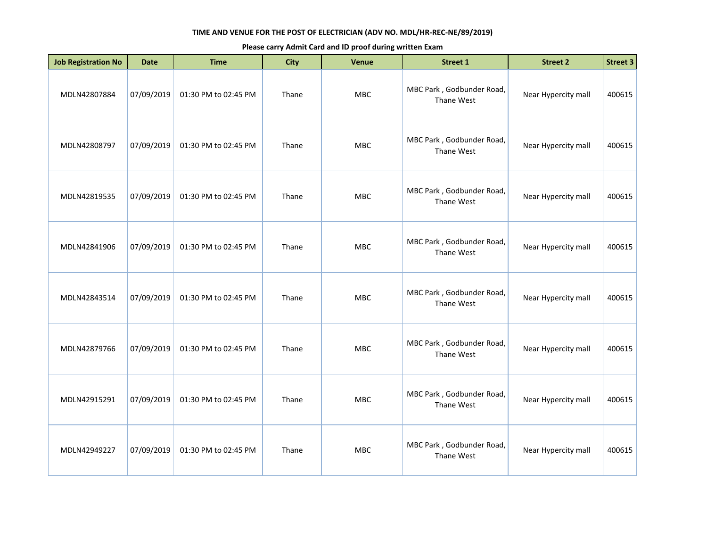| <b>Job Registration No</b> | <b>Date</b> | <b>Time</b>          | <b>City</b> | Venue      | Street 1                                | <b>Street 2</b>     | Street 3 |
|----------------------------|-------------|----------------------|-------------|------------|-----------------------------------------|---------------------|----------|
| MDLN42807884               | 07/09/2019  | 01:30 PM to 02:45 PM | Thane       | <b>MBC</b> | MBC Park, Godbunder Road,<br>Thane West | Near Hypercity mall | 400615   |
| MDLN42808797               | 07/09/2019  | 01:30 PM to 02:45 PM | Thane       | MBC        | MBC Park, Godbunder Road,<br>Thane West | Near Hypercity mall | 400615   |
| MDLN42819535               | 07/09/2019  | 01:30 PM to 02:45 PM | Thane       | MBC        | MBC Park, Godbunder Road,<br>Thane West | Near Hypercity mall | 400615   |
| MDLN42841906               | 07/09/2019  | 01:30 PM to 02:45 PM | Thane       | <b>MBC</b> | MBC Park, Godbunder Road,<br>Thane West | Near Hypercity mall | 400615   |
| MDLN42843514               | 07/09/2019  | 01:30 PM to 02:45 PM | Thane       | <b>MBC</b> | MBC Park, Godbunder Road,<br>Thane West | Near Hypercity mall | 400615   |
| MDLN42879766               | 07/09/2019  | 01:30 PM to 02:45 PM | Thane       | MBC        | MBC Park, Godbunder Road,<br>Thane West | Near Hypercity mall | 400615   |
| MDLN42915291               | 07/09/2019  | 01:30 PM to 02:45 PM | Thane       | <b>MBC</b> | MBC Park, Godbunder Road,<br>Thane West | Near Hypercity mall | 400615   |
| MDLN42949227               | 07/09/2019  | 01:30 PM to 02:45 PM | Thane       | <b>MBC</b> | MBC Park, Godbunder Road,<br>Thane West | Near Hypercity mall | 400615   |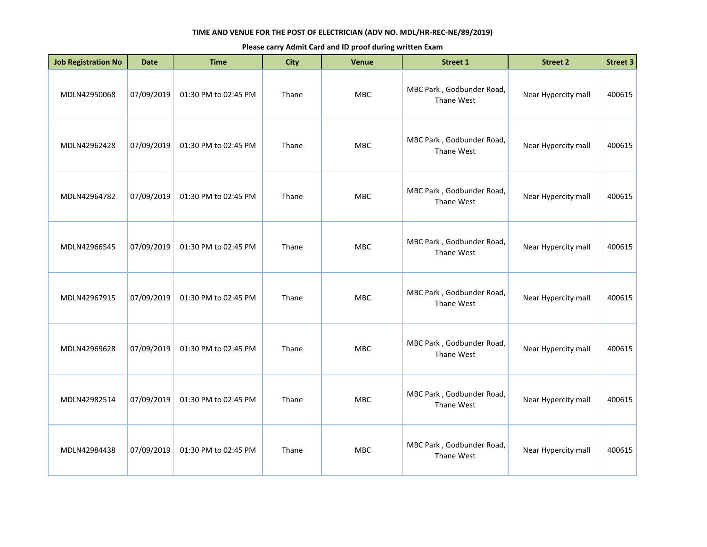| <b>Job Registration No</b> | <b>Date</b> | <b>Time</b>          | <b>City</b> | <b>Venue</b> | <b>Street 1</b>                         | <b>Street 2</b>     | <b>Street 3</b> |
|----------------------------|-------------|----------------------|-------------|--------------|-----------------------------------------|---------------------|-----------------|
| MDLN42950068               | 07/09/2019  | 01:30 PM to 02:45 PM | Thane       | MBC          | MBC Park, Godbunder Road,<br>Thane West | Near Hypercity mall | 400615          |
| MDLN42962428               | 07/09/2019  | 01:30 PM to 02:45 PM | Thane       | <b>MBC</b>   | MBC Park, Godbunder Road,<br>Thane West | Near Hypercity mall | 400615          |
| MDLN42964782               | 07/09/2019  | 01:30 PM to 02:45 PM | Thane       | <b>MBC</b>   | MBC Park, Godbunder Road,<br>Thane West | Near Hypercity mall | 400615          |
| MDLN42966545               | 07/09/2019  | 01:30 PM to 02:45 PM | Thane       | <b>MBC</b>   | MBC Park, Godbunder Road,<br>Thane West | Near Hypercity mall | 400615          |
| MDLN42967915               | 07/09/2019  | 01:30 PM to 02:45 PM | Thane       | <b>MBC</b>   | MBC Park, Godbunder Road,<br>Thane West | Near Hypercity mall | 400615          |
| MDLN42969628               | 07/09/2019  | 01:30 PM to 02:45 PM | Thane       | <b>MBC</b>   | MBC Park, Godbunder Road,<br>Thane West | Near Hypercity mall | 400615          |
| MDLN42982514               | 07/09/2019  | 01:30 PM to 02:45 PM | Thane       | <b>MBC</b>   | MBC Park, Godbunder Road,<br>Thane West | Near Hypercity mall | 400615          |
| MDLN42984438               | 07/09/2019  | 01:30 PM to 02:45 PM | Thane       | <b>MBC</b>   | MBC Park, Godbunder Road,<br>Thane West | Near Hypercity mall | 400615          |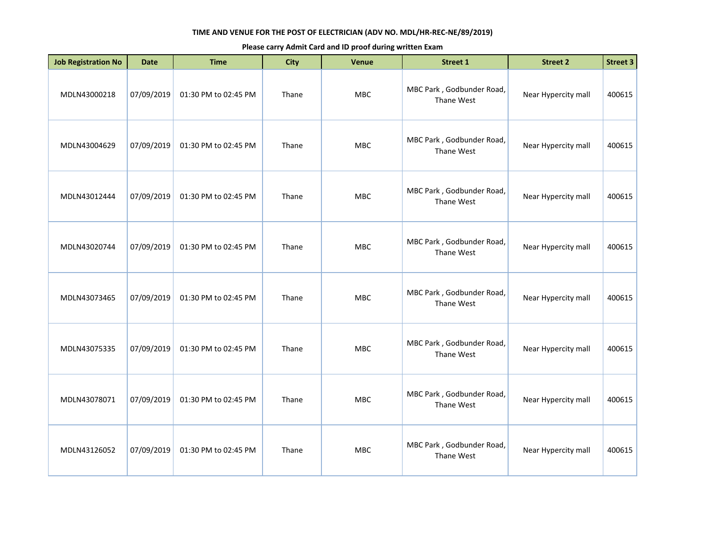| <b>Job Registration No</b> | <b>Date</b> | <b>Time</b>          | <b>City</b> | Venue      | <b>Street 1</b>                         | <b>Street 2</b>     | <b>Street 3</b> |
|----------------------------|-------------|----------------------|-------------|------------|-----------------------------------------|---------------------|-----------------|
| MDLN43000218               | 07/09/2019  | 01:30 PM to 02:45 PM | Thane       | MBC        | MBC Park, Godbunder Road,<br>Thane West | Near Hypercity mall | 400615          |
| MDLN43004629               | 07/09/2019  | 01:30 PM to 02:45 PM | Thane       | <b>MBC</b> | MBC Park, Godbunder Road,<br>Thane West | Near Hypercity mall | 400615          |
| MDLN43012444               | 07/09/2019  | 01:30 PM to 02:45 PM | Thane       | <b>MBC</b> | MBC Park, Godbunder Road,<br>Thane West | Near Hypercity mall | 400615          |
| MDLN43020744               | 07/09/2019  | 01:30 PM to 02:45 PM | Thane       | <b>MBC</b> | MBC Park, Godbunder Road,<br>Thane West | Near Hypercity mall | 400615          |
| MDLN43073465               | 07/09/2019  | 01:30 PM to 02:45 PM | Thane       | MBC        | MBC Park, Godbunder Road,<br>Thane West | Near Hypercity mall | 400615          |
| MDLN43075335               | 07/09/2019  | 01:30 PM to 02:45 PM | Thane       | <b>MBC</b> | MBC Park, Godbunder Road,<br>Thane West | Near Hypercity mall | 400615          |
| MDLN43078071               | 07/09/2019  | 01:30 PM to 02:45 PM | Thane       | <b>MBC</b> | MBC Park, Godbunder Road,<br>Thane West | Near Hypercity mall | 400615          |
| MDLN43126052               | 07/09/2019  | 01:30 PM to 02:45 PM | Thane       | <b>MBC</b> | MBC Park, Godbunder Road,<br>Thane West | Near Hypercity mall | 400615          |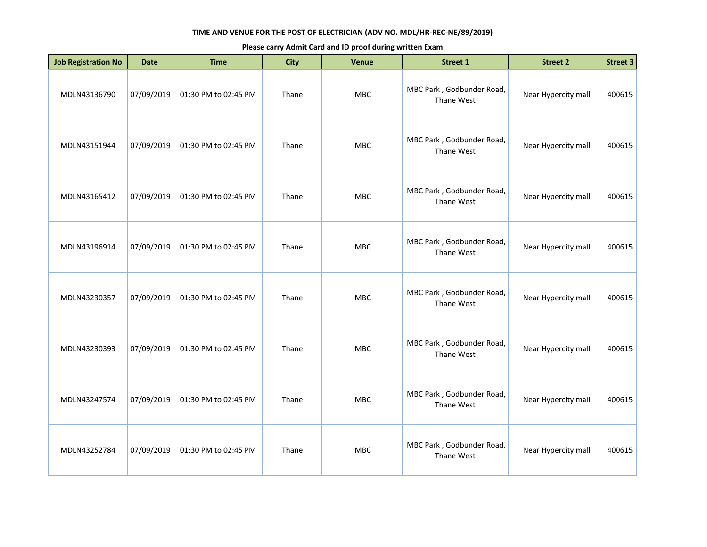| <b>Job Registration No</b> | <b>Date</b> | <b>Time</b>          | <b>City</b> | <b>Venue</b> | <b>Street 1</b>                         | <b>Street 2</b>     | <b>Street 3</b> |
|----------------------------|-------------|----------------------|-------------|--------------|-----------------------------------------|---------------------|-----------------|
| MDLN43136790               | 07/09/2019  | 01:30 PM to 02:45 PM | Thane       | MBC          | MBC Park, Godbunder Road,<br>Thane West | Near Hypercity mall | 400615          |
| MDLN43151944               | 07/09/2019  | 01:30 PM to 02:45 PM | Thane       | <b>MBC</b>   | MBC Park, Godbunder Road,<br>Thane West | Near Hypercity mall | 400615          |
| MDLN43165412               | 07/09/2019  | 01:30 PM to 02:45 PM | Thane       | <b>MBC</b>   | MBC Park, Godbunder Road,<br>Thane West | Near Hypercity mall | 400615          |
| MDLN43196914               | 07/09/2019  | 01:30 PM to 02:45 PM | Thane       | <b>MBC</b>   | MBC Park, Godbunder Road,<br>Thane West | Near Hypercity mall | 400615          |
| MDLN43230357               | 07/09/2019  | 01:30 PM to 02:45 PM | Thane       | <b>MBC</b>   | MBC Park, Godbunder Road,<br>Thane West | Near Hypercity mall | 400615          |
| MDLN43230393               | 07/09/2019  | 01:30 PM to 02:45 PM | Thane       | <b>MBC</b>   | MBC Park, Godbunder Road,<br>Thane West | Near Hypercity mall | 400615          |
| MDLN43247574               | 07/09/2019  | 01:30 PM to 02:45 PM | Thane       | MBC          | MBC Park, Godbunder Road,<br>Thane West | Near Hypercity mall | 400615          |
| MDLN43252784               | 07/09/2019  | 01:30 PM to 02:45 PM | Thane       | <b>MBC</b>   | MBC Park, Godbunder Road,<br>Thane West | Near Hypercity mall | 400615          |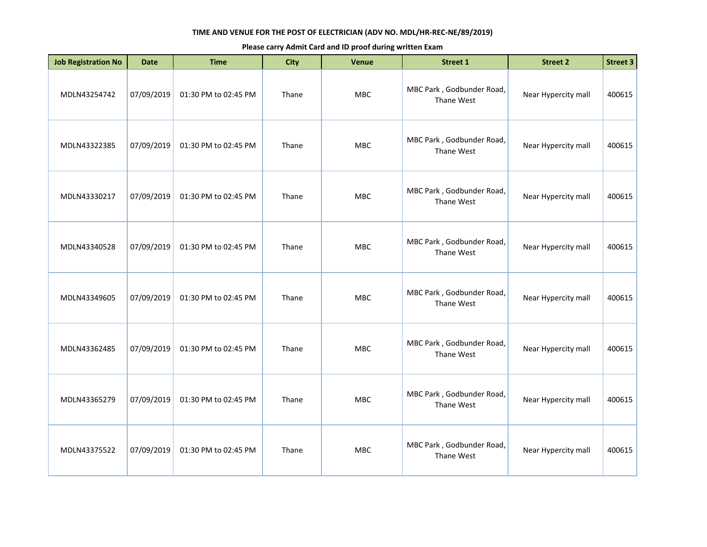| <b>Job Registration No</b> | <b>Date</b> | <b>Time</b>          | <b>City</b> | Venue      | <b>Street 1</b>                         | <b>Street 2</b>     | <b>Street 3</b> |
|----------------------------|-------------|----------------------|-------------|------------|-----------------------------------------|---------------------|-----------------|
| MDLN43254742               | 07/09/2019  | 01:30 PM to 02:45 PM | Thane       | MBC        | MBC Park, Godbunder Road,<br>Thane West | Near Hypercity mall | 400615          |
| MDLN43322385               | 07/09/2019  | 01:30 PM to 02:45 PM | Thane       | <b>MBC</b> | MBC Park, Godbunder Road,<br>Thane West | Near Hypercity mall | 400615          |
| MDLN43330217               | 07/09/2019  | 01:30 PM to 02:45 PM | Thane       | <b>MBC</b> | MBC Park, Godbunder Road,<br>Thane West | Near Hypercity mall | 400615          |
| MDLN43340528               | 07/09/2019  | 01:30 PM to 02:45 PM | Thane       | <b>MBC</b> | MBC Park, Godbunder Road,<br>Thane West | Near Hypercity mall | 400615          |
| MDLN43349605               | 07/09/2019  | 01:30 PM to 02:45 PM | Thane       | MBC        | MBC Park, Godbunder Road,<br>Thane West | Near Hypercity mall | 400615          |
| MDLN43362485               | 07/09/2019  | 01:30 PM to 02:45 PM | Thane       | <b>MBC</b> | MBC Park, Godbunder Road,<br>Thane West | Near Hypercity mall | 400615          |
| MDLN43365279               | 07/09/2019  | 01:30 PM to 02:45 PM | Thane       | <b>MBC</b> | MBC Park, Godbunder Road,<br>Thane West | Near Hypercity mall | 400615          |
| MDLN43375522               | 07/09/2019  | 01:30 PM to 02:45 PM | Thane       | <b>MBC</b> | MBC Park, Godbunder Road,<br>Thane West | Near Hypercity mall | 400615          |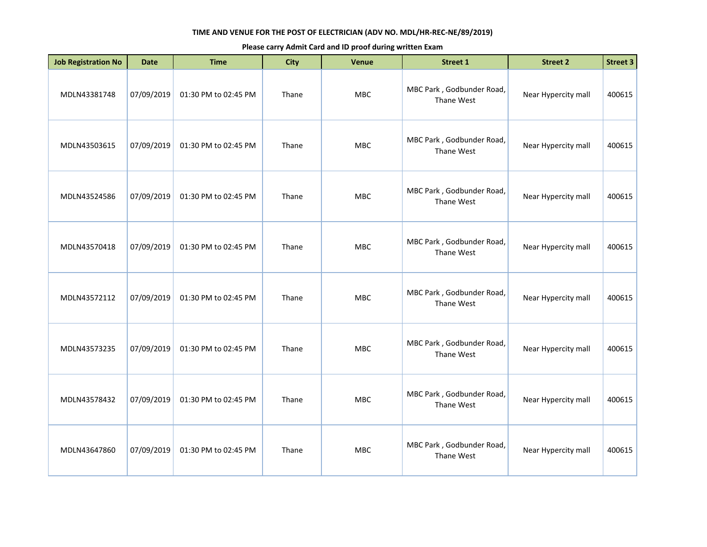| <b>Job Registration No</b> | <b>Date</b> | <b>Time</b>          | <b>City</b> | Venue      | Street 1                                | <b>Street 2</b>     | Street 3 |
|----------------------------|-------------|----------------------|-------------|------------|-----------------------------------------|---------------------|----------|
| MDLN43381748               | 07/09/2019  | 01:30 PM to 02:45 PM | Thane       | <b>MBC</b> | MBC Park, Godbunder Road,<br>Thane West | Near Hypercity mall | 400615   |
| MDLN43503615               | 07/09/2019  | 01:30 PM to 02:45 PM | Thane       | MBC        | MBC Park, Godbunder Road,<br>Thane West | Near Hypercity mall | 400615   |
| MDLN43524586               | 07/09/2019  | 01:30 PM to 02:45 PM | Thane       | MBC        | MBC Park, Godbunder Road,<br>Thane West | Near Hypercity mall | 400615   |
| MDLN43570418               | 07/09/2019  | 01:30 PM to 02:45 PM | Thane       | <b>MBC</b> | MBC Park, Godbunder Road,<br>Thane West | Near Hypercity mall | 400615   |
| MDLN43572112               | 07/09/2019  | 01:30 PM to 02:45 PM | Thane       | <b>MBC</b> | MBC Park, Godbunder Road,<br>Thane West | Near Hypercity mall | 400615   |
| MDLN43573235               | 07/09/2019  | 01:30 PM to 02:45 PM | Thane       | MBC        | MBC Park, Godbunder Road,<br>Thane West | Near Hypercity mall | 400615   |
| MDLN43578432               | 07/09/2019  | 01:30 PM to 02:45 PM | Thane       | <b>MBC</b> | MBC Park, Godbunder Road,<br>Thane West | Near Hypercity mall | 400615   |
| MDLN43647860               | 07/09/2019  | 01:30 PM to 02:45 PM | Thane       | <b>MBC</b> | MBC Park, Godbunder Road,<br>Thane West | Near Hypercity mall | 400615   |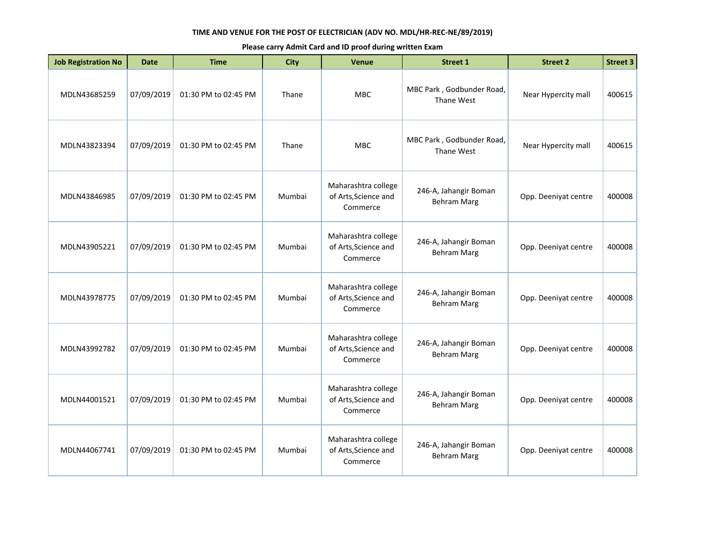| <b>Job Registration No</b> | <b>Date</b> | <b>Time</b>          | <b>City</b> | <b>Venue</b>                                            | <b>Street 1</b>                             | <b>Street 2</b>      | <b>Street 3</b> |
|----------------------------|-------------|----------------------|-------------|---------------------------------------------------------|---------------------------------------------|----------------------|-----------------|
| MDLN43685259               | 07/09/2019  | 01:30 PM to 02:45 PM | Thane       | <b>MBC</b>                                              | MBC Park, Godbunder Road,<br>Thane West     | Near Hypercity mall  | 400615          |
| MDLN43823394               | 07/09/2019  | 01:30 PM to 02:45 PM | Thane       | <b>MBC</b>                                              | MBC Park, Godbunder Road,<br>Thane West     | Near Hypercity mall  | 400615          |
| MDLN43846985               | 07/09/2019  | 01:30 PM to 02:45 PM | Mumbai      | Maharashtra college<br>of Arts, Science and<br>Commerce | 246-A, Jahangir Boman<br><b>Behram Marg</b> | Opp. Deeniyat centre | 400008          |
| MDLN43905221               | 07/09/2019  | 01:30 PM to 02:45 PM | Mumbai      | Maharashtra college<br>of Arts, Science and<br>Commerce | 246-A, Jahangir Boman<br><b>Behram Marg</b> | Opp. Deeniyat centre | 400008          |
| MDLN43978775               | 07/09/2019  | 01:30 PM to 02:45 PM | Mumbai      | Maharashtra college<br>of Arts, Science and<br>Commerce | 246-A, Jahangir Boman<br><b>Behram Marg</b> | Opp. Deeniyat centre | 400008          |
| MDLN43992782               | 07/09/2019  | 01:30 PM to 02:45 PM | Mumbai      | Maharashtra college<br>of Arts, Science and<br>Commerce | 246-A, Jahangir Boman<br><b>Behram Marg</b> | Opp. Deeniyat centre | 400008          |
| MDLN44001521               | 07/09/2019  | 01:30 PM to 02:45 PM | Mumbai      | Maharashtra college<br>of Arts, Science and<br>Commerce | 246-A, Jahangir Boman<br><b>Behram Marg</b> | Opp. Deeniyat centre | 400008          |
| MDLN44067741               | 07/09/2019  | 01:30 PM to 02:45 PM | Mumbai      | Maharashtra college<br>of Arts, Science and<br>Commerce | 246-A, Jahangir Boman<br><b>Behram Marg</b> | Opp. Deeniyat centre | 400008          |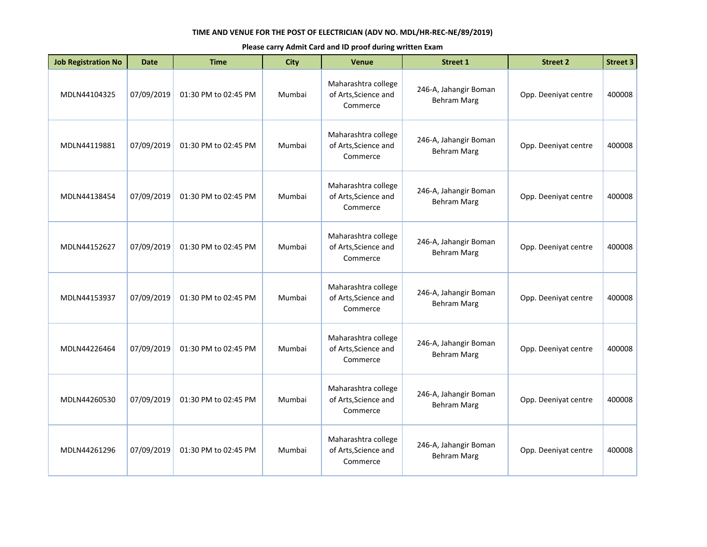| <b>Job Registration No</b> | <b>Date</b> | <b>Time</b>          | <b>City</b> | <b>Venue</b>                                            | <b>Street 1</b>                             | <b>Street 2</b>      | <b>Street 3</b> |
|----------------------------|-------------|----------------------|-------------|---------------------------------------------------------|---------------------------------------------|----------------------|-----------------|
| MDLN44104325               | 07/09/2019  | 01:30 PM to 02:45 PM | Mumbai      | Maharashtra college<br>of Arts, Science and<br>Commerce | 246-A, Jahangir Boman<br><b>Behram Marg</b> | Opp. Deeniyat centre | 400008          |
| MDLN44119881               | 07/09/2019  | 01:30 PM to 02:45 PM | Mumbai      | Maharashtra college<br>of Arts, Science and<br>Commerce | 246-A, Jahangir Boman<br><b>Behram Marg</b> | Opp. Deeniyat centre | 400008          |
| MDLN44138454               | 07/09/2019  | 01:30 PM to 02:45 PM | Mumbai      | Maharashtra college<br>of Arts, Science and<br>Commerce | 246-A, Jahangir Boman<br><b>Behram Marg</b> | Opp. Deeniyat centre | 400008          |
| MDLN44152627               | 07/09/2019  | 01:30 PM to 02:45 PM | Mumbai      | Maharashtra college<br>of Arts, Science and<br>Commerce | 246-A, Jahangir Boman<br><b>Behram Marg</b> | Opp. Deeniyat centre | 400008          |
| MDLN44153937               | 07/09/2019  | 01:30 PM to 02:45 PM | Mumbai      | Maharashtra college<br>of Arts, Science and<br>Commerce | 246-A, Jahangir Boman<br><b>Behram Marg</b> | Opp. Deeniyat centre | 400008          |
| MDLN44226464               | 07/09/2019  | 01:30 PM to 02:45 PM | Mumbai      | Maharashtra college<br>of Arts, Science and<br>Commerce | 246-A, Jahangir Boman<br><b>Behram Marg</b> | Opp. Deeniyat centre | 400008          |
| MDLN44260530               | 07/09/2019  | 01:30 PM to 02:45 PM | Mumbai      | Maharashtra college<br>of Arts, Science and<br>Commerce | 246-A, Jahangir Boman<br><b>Behram Marg</b> | Opp. Deeniyat centre | 400008          |
| MDLN44261296               | 07/09/2019  | 01:30 PM to 02:45 PM | Mumbai      | Maharashtra college<br>of Arts, Science and<br>Commerce | 246-A, Jahangir Boman<br><b>Behram Marg</b> | Opp. Deeniyat centre | 400008          |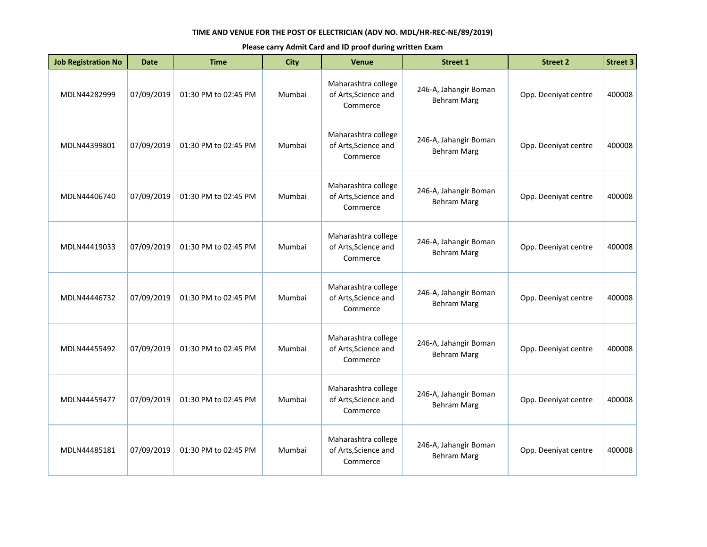| <b>Job Registration No</b> | <b>Date</b> | <b>Time</b>          | <b>City</b> | <b>Venue</b>                                            | <b>Street 1</b>                             | <b>Street 2</b>      | <b>Street 3</b> |
|----------------------------|-------------|----------------------|-------------|---------------------------------------------------------|---------------------------------------------|----------------------|-----------------|
| MDLN44282999               | 07/09/2019  | 01:30 PM to 02:45 PM | Mumbai      | Maharashtra college<br>of Arts, Science and<br>Commerce | 246-A, Jahangir Boman<br><b>Behram Marg</b> | Opp. Deeniyat centre | 400008          |
| MDLN44399801               | 07/09/2019  | 01:30 PM to 02:45 PM | Mumbai      | Maharashtra college<br>of Arts, Science and<br>Commerce | 246-A, Jahangir Boman<br><b>Behram Marg</b> | Opp. Deeniyat centre | 400008          |
| MDLN44406740               | 07/09/2019  | 01:30 PM to 02:45 PM | Mumbai      | Maharashtra college<br>of Arts, Science and<br>Commerce | 246-A, Jahangir Boman<br><b>Behram Marg</b> | Opp. Deeniyat centre | 400008          |
| MDLN44419033               | 07/09/2019  | 01:30 PM to 02:45 PM | Mumbai      | Maharashtra college<br>of Arts, Science and<br>Commerce | 246-A, Jahangir Boman<br><b>Behram Marg</b> | Opp. Deeniyat centre | 400008          |
| MDLN44446732               | 07/09/2019  | 01:30 PM to 02:45 PM | Mumbai      | Maharashtra college<br>of Arts, Science and<br>Commerce | 246-A, Jahangir Boman<br><b>Behram Marg</b> | Opp. Deeniyat centre | 400008          |
| MDLN44455492               | 07/09/2019  | 01:30 PM to 02:45 PM | Mumbai      | Maharashtra college<br>of Arts, Science and<br>Commerce | 246-A, Jahangir Boman<br><b>Behram Marg</b> | Opp. Deeniyat centre | 400008          |
| MDLN44459477               | 07/09/2019  | 01:30 PM to 02:45 PM | Mumbai      | Maharashtra college<br>of Arts, Science and<br>Commerce | 246-A, Jahangir Boman<br><b>Behram Marg</b> | Opp. Deeniyat centre | 400008          |
| MDLN44485181               | 07/09/2019  | 01:30 PM to 02:45 PM | Mumbai      | Maharashtra college<br>of Arts, Science and<br>Commerce | 246-A, Jahangir Boman<br><b>Behram Marg</b> | Opp. Deeniyat centre | 400008          |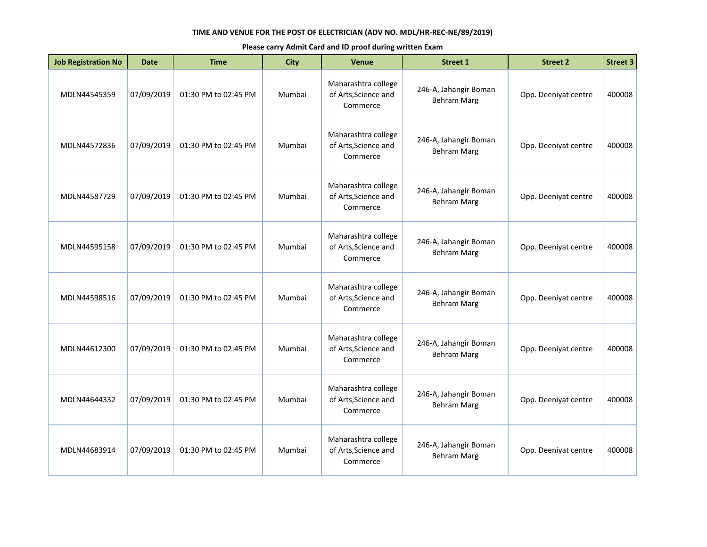| <b>Job Registration No</b> | <b>Date</b> | <b>Time</b>          | <b>City</b> | <b>Venue</b>                                            | <b>Street 1</b>                             | <b>Street 2</b>      | <b>Street 3</b> |
|----------------------------|-------------|----------------------|-------------|---------------------------------------------------------|---------------------------------------------|----------------------|-----------------|
| MDLN44545359               | 07/09/2019  | 01:30 PM to 02:45 PM | Mumbai      | Maharashtra college<br>of Arts, Science and<br>Commerce | 246-A, Jahangir Boman<br><b>Behram Marg</b> | Opp. Deeniyat centre | 400008          |
| MDLN44572836               | 07/09/2019  | 01:30 PM to 02:45 PM | Mumbai      | Maharashtra college<br>of Arts, Science and<br>Commerce | 246-A, Jahangir Boman<br><b>Behram Marg</b> | Opp. Deeniyat centre | 400008          |
| MDLN44587729               | 07/09/2019  | 01:30 PM to 02:45 PM | Mumbai      | Maharashtra college<br>of Arts, Science and<br>Commerce | 246-A, Jahangir Boman<br><b>Behram Marg</b> | Opp. Deeniyat centre | 400008          |
| MDLN44595158               | 07/09/2019  | 01:30 PM to 02:45 PM | Mumbai      | Maharashtra college<br>of Arts, Science and<br>Commerce | 246-A, Jahangir Boman<br><b>Behram Marg</b> | Opp. Deeniyat centre | 400008          |
| MDLN44598516               | 07/09/2019  | 01:30 PM to 02:45 PM | Mumbai      | Maharashtra college<br>of Arts, Science and<br>Commerce | 246-A, Jahangir Boman<br><b>Behram Marg</b> | Opp. Deeniyat centre | 400008          |
| MDLN44612300               | 07/09/2019  | 01:30 PM to 02:45 PM | Mumbai      | Maharashtra college<br>of Arts, Science and<br>Commerce | 246-A, Jahangir Boman<br><b>Behram Marg</b> | Opp. Deeniyat centre | 400008          |
| MDLN44644332               | 07/09/2019  | 01:30 PM to 02:45 PM | Mumbai      | Maharashtra college<br>of Arts, Science and<br>Commerce | 246-A, Jahangir Boman<br><b>Behram Marg</b> | Opp. Deeniyat centre | 400008          |
| MDLN44683914               | 07/09/2019  | 01:30 PM to 02:45 PM | Mumbai      | Maharashtra college<br>of Arts, Science and<br>Commerce | 246-A, Jahangir Boman<br><b>Behram Marg</b> | Opp. Deeniyat centre | 400008          |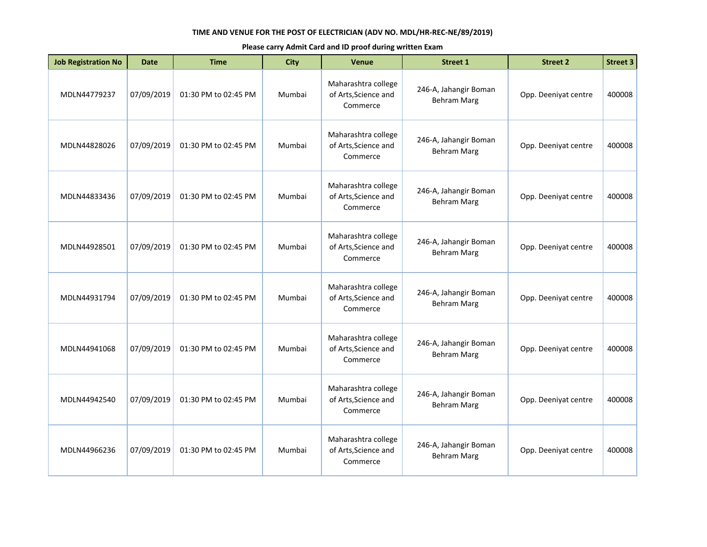| <b>Job Registration No</b> | <b>Date</b> | <b>Time</b>          | <b>City</b> | <b>Venue</b>                                            | <b>Street 1</b>                             | <b>Street 2</b>      | <b>Street 3</b> |
|----------------------------|-------------|----------------------|-------------|---------------------------------------------------------|---------------------------------------------|----------------------|-----------------|
| MDLN44779237               | 07/09/2019  | 01:30 PM to 02:45 PM | Mumbai      | Maharashtra college<br>of Arts, Science and<br>Commerce | 246-A, Jahangir Boman<br><b>Behram Marg</b> | Opp. Deeniyat centre | 400008          |
| MDLN44828026               | 07/09/2019  | 01:30 PM to 02:45 PM | Mumbai      | Maharashtra college<br>of Arts, Science and<br>Commerce | 246-A, Jahangir Boman<br><b>Behram Marg</b> | Opp. Deeniyat centre | 400008          |
| MDLN44833436               | 07/09/2019  | 01:30 PM to 02:45 PM | Mumbai      | Maharashtra college<br>of Arts, Science and<br>Commerce | 246-A, Jahangir Boman<br><b>Behram Marg</b> | Opp. Deeniyat centre | 400008          |
| MDLN44928501               | 07/09/2019  | 01:30 PM to 02:45 PM | Mumbai      | Maharashtra college<br>of Arts, Science and<br>Commerce | 246-A, Jahangir Boman<br><b>Behram Marg</b> | Opp. Deeniyat centre | 400008          |
| MDLN44931794               | 07/09/2019  | 01:30 PM to 02:45 PM | Mumbai      | Maharashtra college<br>of Arts, Science and<br>Commerce | 246-A, Jahangir Boman<br><b>Behram Marg</b> | Opp. Deeniyat centre | 400008          |
| MDLN44941068               | 07/09/2019  | 01:30 PM to 02:45 PM | Mumbai      | Maharashtra college<br>of Arts, Science and<br>Commerce | 246-A, Jahangir Boman<br><b>Behram Marg</b> | Opp. Deeniyat centre | 400008          |
| MDLN44942540               | 07/09/2019  | 01:30 PM to 02:45 PM | Mumbai      | Maharashtra college<br>of Arts, Science and<br>Commerce | 246-A, Jahangir Boman<br><b>Behram Marg</b> | Opp. Deeniyat centre | 400008          |
| MDLN44966236               | 07/09/2019  | 01:30 PM to 02:45 PM | Mumbai      | Maharashtra college<br>of Arts, Science and<br>Commerce | 246-A, Jahangir Boman<br><b>Behram Marg</b> | Opp. Deeniyat centre | 400008          |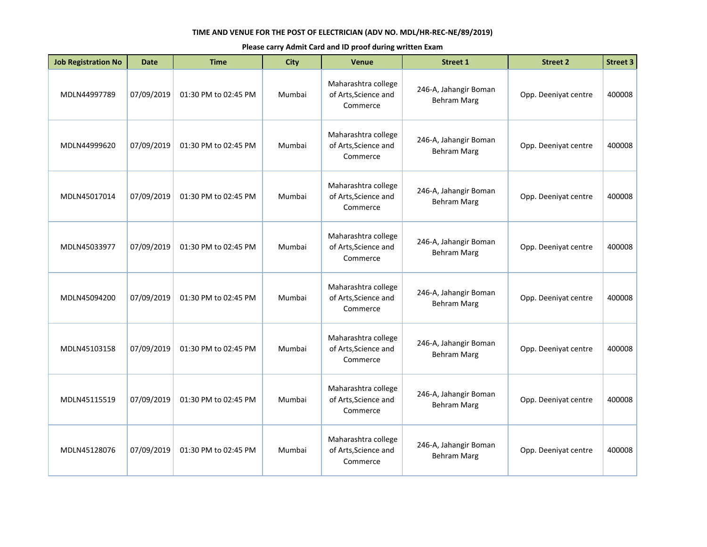| <b>Job Registration No</b> | <b>Date</b> | <b>Time</b>          | <b>City</b> | <b>Venue</b>                                            | <b>Street 1</b>                             | <b>Street 2</b>      | <b>Street 3</b> |
|----------------------------|-------------|----------------------|-------------|---------------------------------------------------------|---------------------------------------------|----------------------|-----------------|
| MDLN44997789               | 07/09/2019  | 01:30 PM to 02:45 PM | Mumbai      | Maharashtra college<br>of Arts, Science and<br>Commerce | 246-A, Jahangir Boman<br><b>Behram Marg</b> | Opp. Deeniyat centre | 400008          |
| MDLN44999620               | 07/09/2019  | 01:30 PM to 02:45 PM | Mumbai      | Maharashtra college<br>of Arts, Science and<br>Commerce | 246-A, Jahangir Boman<br><b>Behram Marg</b> | Opp. Deeniyat centre | 400008          |
| MDLN45017014               | 07/09/2019  | 01:30 PM to 02:45 PM | Mumbai      | Maharashtra college<br>of Arts, Science and<br>Commerce | 246-A, Jahangir Boman<br><b>Behram Marg</b> | Opp. Deeniyat centre | 400008          |
| MDLN45033977               | 07/09/2019  | 01:30 PM to 02:45 PM | Mumbai      | Maharashtra college<br>of Arts, Science and<br>Commerce | 246-A, Jahangir Boman<br><b>Behram Marg</b> | Opp. Deeniyat centre | 400008          |
| MDLN45094200               | 07/09/2019  | 01:30 PM to 02:45 PM | Mumbai      | Maharashtra college<br>of Arts, Science and<br>Commerce | 246-A, Jahangir Boman<br><b>Behram Marg</b> | Opp. Deeniyat centre | 400008          |
| MDLN45103158               | 07/09/2019  | 01:30 PM to 02:45 PM | Mumbai      | Maharashtra college<br>of Arts, Science and<br>Commerce | 246-A, Jahangir Boman<br><b>Behram Marg</b> | Opp. Deeniyat centre | 400008          |
| MDLN45115519               | 07/09/2019  | 01:30 PM to 02:45 PM | Mumbai      | Maharashtra college<br>of Arts, Science and<br>Commerce | 246-A, Jahangir Boman<br><b>Behram Marg</b> | Opp. Deeniyat centre | 400008          |
| MDLN45128076               | 07/09/2019  | 01:30 PM to 02:45 PM | Mumbai      | Maharashtra college<br>of Arts, Science and<br>Commerce | 246-A, Jahangir Boman<br><b>Behram Marg</b> | Opp. Deeniyat centre | 400008          |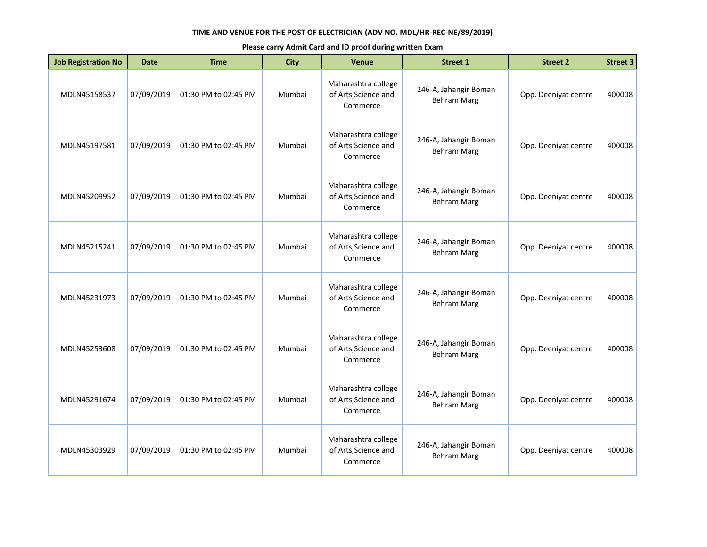| <b>Job Registration No</b> | <b>Date</b> | <b>Time</b>          | <b>City</b> | <b>Venue</b>                                            | <b>Street 1</b>                             | <b>Street 2</b>      | <b>Street 3</b> |
|----------------------------|-------------|----------------------|-------------|---------------------------------------------------------|---------------------------------------------|----------------------|-----------------|
| MDLN45158537               | 07/09/2019  | 01:30 PM to 02:45 PM | Mumbai      | Maharashtra college<br>of Arts, Science and<br>Commerce | 246-A, Jahangir Boman<br><b>Behram Marg</b> | Opp. Deeniyat centre | 400008          |
| MDLN45197581               | 07/09/2019  | 01:30 PM to 02:45 PM | Mumbai      | Maharashtra college<br>of Arts, Science and<br>Commerce | 246-A, Jahangir Boman<br><b>Behram Marg</b> | Opp. Deeniyat centre | 400008          |
| MDLN45209952               | 07/09/2019  | 01:30 PM to 02:45 PM | Mumbai      | Maharashtra college<br>of Arts, Science and<br>Commerce | 246-A, Jahangir Boman<br><b>Behram Marg</b> | Opp. Deeniyat centre | 400008          |
| MDLN45215241               | 07/09/2019  | 01:30 PM to 02:45 PM | Mumbai      | Maharashtra college<br>of Arts, Science and<br>Commerce | 246-A, Jahangir Boman<br><b>Behram Marg</b> | Opp. Deeniyat centre | 400008          |
| MDLN45231973               | 07/09/2019  | 01:30 PM to 02:45 PM | Mumbai      | Maharashtra college<br>of Arts, Science and<br>Commerce | 246-A, Jahangir Boman<br><b>Behram Marg</b> | Opp. Deeniyat centre | 400008          |
| MDLN45253608               | 07/09/2019  | 01:30 PM to 02:45 PM | Mumbai      | Maharashtra college<br>of Arts, Science and<br>Commerce | 246-A, Jahangir Boman<br><b>Behram Marg</b> | Opp. Deeniyat centre | 400008          |
| MDLN45291674               | 07/09/2019  | 01:30 PM to 02:45 PM | Mumbai      | Maharashtra college<br>of Arts, Science and<br>Commerce | 246-A, Jahangir Boman<br><b>Behram Marg</b> | Opp. Deeniyat centre | 400008          |
| MDLN45303929               | 07/09/2019  | 01:30 PM to 02:45 PM | Mumbai      | Maharashtra college<br>of Arts, Science and<br>Commerce | 246-A, Jahangir Boman<br><b>Behram Marg</b> | Opp. Deeniyat centre | 400008          |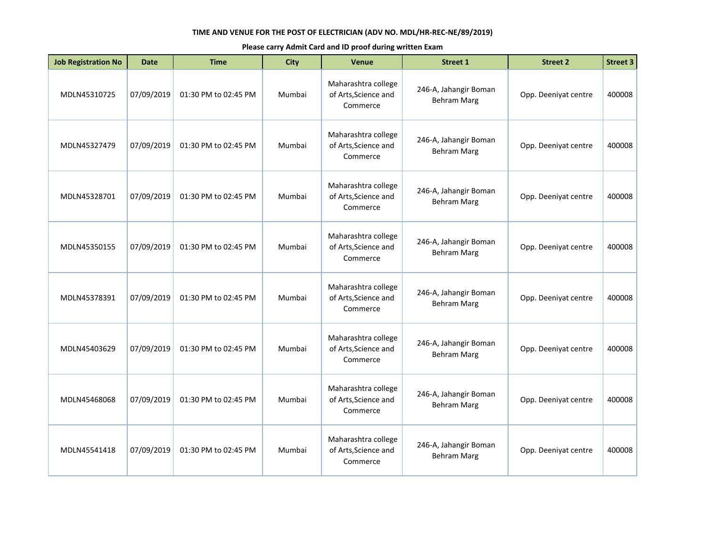| <b>Job Registration No</b> | <b>Date</b> | <b>Time</b>          | <b>City</b> | <b>Venue</b>                                            | <b>Street 1</b>                             | <b>Street 2</b>      | <b>Street 3</b> |
|----------------------------|-------------|----------------------|-------------|---------------------------------------------------------|---------------------------------------------|----------------------|-----------------|
| MDLN45310725               | 07/09/2019  | 01:30 PM to 02:45 PM | Mumbai      | Maharashtra college<br>of Arts, Science and<br>Commerce | 246-A, Jahangir Boman<br><b>Behram Marg</b> | Opp. Deeniyat centre | 400008          |
| MDLN45327479               | 07/09/2019  | 01:30 PM to 02:45 PM | Mumbai      | Maharashtra college<br>of Arts, Science and<br>Commerce | 246-A, Jahangir Boman<br><b>Behram Marg</b> | Opp. Deeniyat centre | 400008          |
| MDLN45328701               | 07/09/2019  | 01:30 PM to 02:45 PM | Mumbai      | Maharashtra college<br>of Arts, Science and<br>Commerce | 246-A, Jahangir Boman<br><b>Behram Marg</b> | Opp. Deeniyat centre | 400008          |
| MDLN45350155               | 07/09/2019  | 01:30 PM to 02:45 PM | Mumbai      | Maharashtra college<br>of Arts, Science and<br>Commerce | 246-A, Jahangir Boman<br><b>Behram Marg</b> | Opp. Deeniyat centre | 400008          |
| MDLN45378391               | 07/09/2019  | 01:30 PM to 02:45 PM | Mumbai      | Maharashtra college<br>of Arts, Science and<br>Commerce | 246-A, Jahangir Boman<br><b>Behram Marg</b> | Opp. Deeniyat centre | 400008          |
| MDLN45403629               | 07/09/2019  | 01:30 PM to 02:45 PM | Mumbai      | Maharashtra college<br>of Arts, Science and<br>Commerce | 246-A, Jahangir Boman<br><b>Behram Marg</b> | Opp. Deeniyat centre | 400008          |
| MDLN45468068               | 07/09/2019  | 01:30 PM to 02:45 PM | Mumbai      | Maharashtra college<br>of Arts, Science and<br>Commerce | 246-A, Jahangir Boman<br><b>Behram Marg</b> | Opp. Deeniyat centre | 400008          |
| MDLN45541418               | 07/09/2019  | 01:30 PM to 02:45 PM | Mumbai      | Maharashtra college<br>of Arts, Science and<br>Commerce | 246-A, Jahangir Boman<br><b>Behram Marg</b> | Opp. Deeniyat centre | 400008          |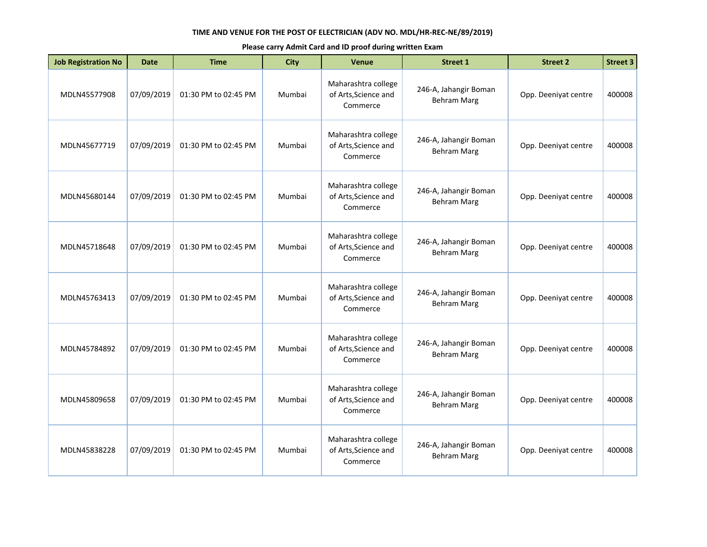| <b>Job Registration No</b> | <b>Date</b> | <b>Time</b>          | <b>City</b> | <b>Venue</b>                                            | <b>Street 1</b>                             | <b>Street 2</b>      | <b>Street 3</b> |
|----------------------------|-------------|----------------------|-------------|---------------------------------------------------------|---------------------------------------------|----------------------|-----------------|
| MDLN45577908               | 07/09/2019  | 01:30 PM to 02:45 PM | Mumbai      | Maharashtra college<br>of Arts, Science and<br>Commerce | 246-A, Jahangir Boman<br><b>Behram Marg</b> | Opp. Deeniyat centre | 400008          |
| MDLN45677719               | 07/09/2019  | 01:30 PM to 02:45 PM | Mumbai      | Maharashtra college<br>of Arts, Science and<br>Commerce | 246-A, Jahangir Boman<br><b>Behram Marg</b> | Opp. Deeniyat centre | 400008          |
| MDLN45680144               | 07/09/2019  | 01:30 PM to 02:45 PM | Mumbai      | Maharashtra college<br>of Arts, Science and<br>Commerce | 246-A, Jahangir Boman<br><b>Behram Marg</b> | Opp. Deeniyat centre | 400008          |
| MDLN45718648               | 07/09/2019  | 01:30 PM to 02:45 PM | Mumbai      | Maharashtra college<br>of Arts, Science and<br>Commerce | 246-A, Jahangir Boman<br><b>Behram Marg</b> | Opp. Deeniyat centre | 400008          |
| MDLN45763413               | 07/09/2019  | 01:30 PM to 02:45 PM | Mumbai      | Maharashtra college<br>of Arts, Science and<br>Commerce | 246-A, Jahangir Boman<br><b>Behram Marg</b> | Opp. Deeniyat centre | 400008          |
| MDLN45784892               | 07/09/2019  | 01:30 PM to 02:45 PM | Mumbai      | Maharashtra college<br>of Arts, Science and<br>Commerce | 246-A, Jahangir Boman<br><b>Behram Marg</b> | Opp. Deeniyat centre | 400008          |
| MDLN45809658               | 07/09/2019  | 01:30 PM to 02:45 PM | Mumbai      | Maharashtra college<br>of Arts, Science and<br>Commerce | 246-A, Jahangir Boman<br><b>Behram Marg</b> | Opp. Deeniyat centre | 400008          |
| MDLN45838228               | 07/09/2019  | 01:30 PM to 02:45 PM | Mumbai      | Maharashtra college<br>of Arts, Science and<br>Commerce | 246-A, Jahangir Boman<br><b>Behram Marg</b> | Opp. Deeniyat centre | 400008          |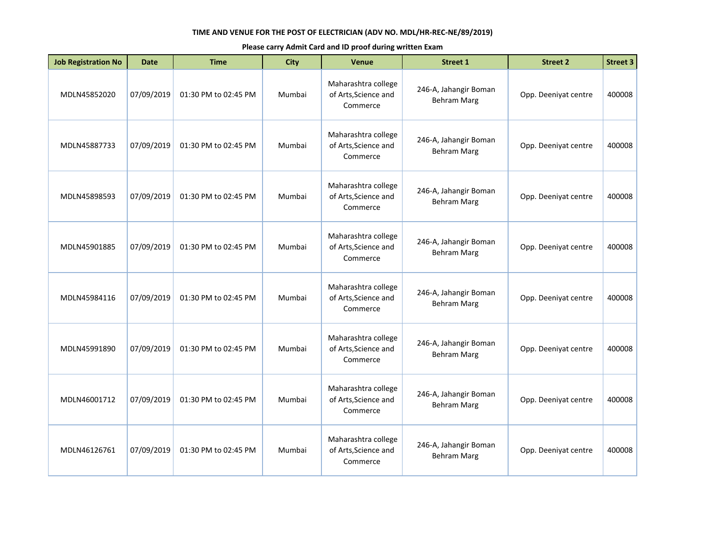| <b>Job Registration No</b> | <b>Date</b> | <b>Time</b>          | <b>City</b> | <b>Venue</b>                                            | <b>Street 1</b>                             | <b>Street 2</b>      | <b>Street 3</b> |
|----------------------------|-------------|----------------------|-------------|---------------------------------------------------------|---------------------------------------------|----------------------|-----------------|
| MDLN45852020               | 07/09/2019  | 01:30 PM to 02:45 PM | Mumbai      | Maharashtra college<br>of Arts, Science and<br>Commerce | 246-A, Jahangir Boman<br><b>Behram Marg</b> | Opp. Deeniyat centre | 400008          |
| MDLN45887733               | 07/09/2019  | 01:30 PM to 02:45 PM | Mumbai      | Maharashtra college<br>of Arts, Science and<br>Commerce | 246-A, Jahangir Boman<br><b>Behram Marg</b> | Opp. Deeniyat centre | 400008          |
| MDLN45898593               | 07/09/2019  | 01:30 PM to 02:45 PM | Mumbai      | Maharashtra college<br>of Arts, Science and<br>Commerce | 246-A, Jahangir Boman<br><b>Behram Marg</b> | Opp. Deeniyat centre | 400008          |
| MDLN45901885               | 07/09/2019  | 01:30 PM to 02:45 PM | Mumbai      | Maharashtra college<br>of Arts, Science and<br>Commerce | 246-A, Jahangir Boman<br><b>Behram Marg</b> | Opp. Deeniyat centre | 400008          |
| MDLN45984116               | 07/09/2019  | 01:30 PM to 02:45 PM | Mumbai      | Maharashtra college<br>of Arts, Science and<br>Commerce | 246-A, Jahangir Boman<br><b>Behram Marg</b> | Opp. Deeniyat centre | 400008          |
| MDLN45991890               | 07/09/2019  | 01:30 PM to 02:45 PM | Mumbai      | Maharashtra college<br>of Arts, Science and<br>Commerce | 246-A, Jahangir Boman<br><b>Behram Marg</b> | Opp. Deeniyat centre | 400008          |
| MDLN46001712               | 07/09/2019  | 01:30 PM to 02:45 PM | Mumbai      | Maharashtra college<br>of Arts, Science and<br>Commerce | 246-A, Jahangir Boman<br><b>Behram Marg</b> | Opp. Deeniyat centre | 400008          |
| MDLN46126761               | 07/09/2019  | 01:30 PM to 02:45 PM | Mumbai      | Maharashtra college<br>of Arts, Science and<br>Commerce | 246-A, Jahangir Boman<br><b>Behram Marg</b> | Opp. Deeniyat centre | 400008          |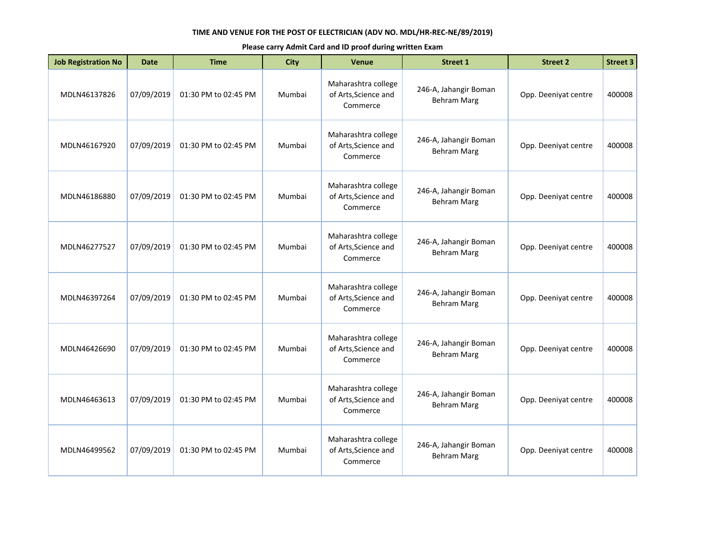| <b>Job Registration No</b> | <b>Date</b> | <b>Time</b>          | <b>City</b> | <b>Venue</b>                                            | <b>Street 1</b>                             | <b>Street 2</b>      | <b>Street 3</b> |
|----------------------------|-------------|----------------------|-------------|---------------------------------------------------------|---------------------------------------------|----------------------|-----------------|
| MDLN46137826               | 07/09/2019  | 01:30 PM to 02:45 PM | Mumbai      | Maharashtra college<br>of Arts, Science and<br>Commerce | 246-A, Jahangir Boman<br><b>Behram Marg</b> | Opp. Deeniyat centre | 400008          |
| MDLN46167920               | 07/09/2019  | 01:30 PM to 02:45 PM | Mumbai      | Maharashtra college<br>of Arts, Science and<br>Commerce | 246-A, Jahangir Boman<br><b>Behram Marg</b> | Opp. Deeniyat centre | 400008          |
| MDLN46186880               | 07/09/2019  | 01:30 PM to 02:45 PM | Mumbai      | Maharashtra college<br>of Arts, Science and<br>Commerce | 246-A, Jahangir Boman<br><b>Behram Marg</b> | Opp. Deeniyat centre | 400008          |
| MDLN46277527               | 07/09/2019  | 01:30 PM to 02:45 PM | Mumbai      | Maharashtra college<br>of Arts, Science and<br>Commerce | 246-A, Jahangir Boman<br><b>Behram Marg</b> | Opp. Deeniyat centre | 400008          |
| MDLN46397264               | 07/09/2019  | 01:30 PM to 02:45 PM | Mumbai      | Maharashtra college<br>of Arts, Science and<br>Commerce | 246-A, Jahangir Boman<br><b>Behram Marg</b> | Opp. Deeniyat centre | 400008          |
| MDLN46426690               | 07/09/2019  | 01:30 PM to 02:45 PM | Mumbai      | Maharashtra college<br>of Arts, Science and<br>Commerce | 246-A, Jahangir Boman<br><b>Behram Marg</b> | Opp. Deeniyat centre | 400008          |
| MDLN46463613               | 07/09/2019  | 01:30 PM to 02:45 PM | Mumbai      | Maharashtra college<br>of Arts, Science and<br>Commerce | 246-A, Jahangir Boman<br><b>Behram Marg</b> | Opp. Deeniyat centre | 400008          |
| MDLN46499562               | 07/09/2019  | 01:30 PM to 02:45 PM | Mumbai      | Maharashtra college<br>of Arts, Science and<br>Commerce | 246-A, Jahangir Boman<br><b>Behram Marg</b> | Opp. Deeniyat centre | 400008          |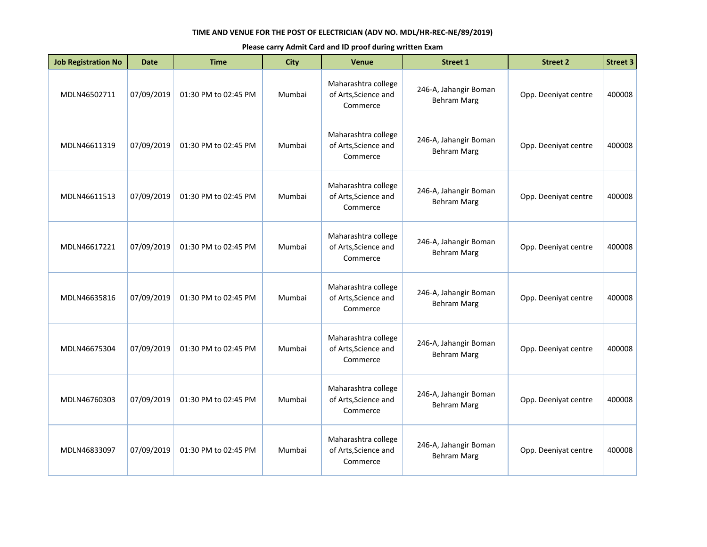| <b>Job Registration No</b> | <b>Date</b> | <b>Time</b>          | <b>City</b> | <b>Venue</b>                                            | <b>Street 1</b>                             | <b>Street 2</b>      | <b>Street 3</b> |
|----------------------------|-------------|----------------------|-------------|---------------------------------------------------------|---------------------------------------------|----------------------|-----------------|
| MDLN46502711               | 07/09/2019  | 01:30 PM to 02:45 PM | Mumbai      | Maharashtra college<br>of Arts, Science and<br>Commerce | 246-A, Jahangir Boman<br><b>Behram Marg</b> | Opp. Deeniyat centre | 400008          |
| MDLN46611319               | 07/09/2019  | 01:30 PM to 02:45 PM | Mumbai      | Maharashtra college<br>of Arts, Science and<br>Commerce | 246-A, Jahangir Boman<br><b>Behram Marg</b> | Opp. Deeniyat centre | 400008          |
| MDLN46611513               | 07/09/2019  | 01:30 PM to 02:45 PM | Mumbai      | Maharashtra college<br>of Arts, Science and<br>Commerce | 246-A, Jahangir Boman<br><b>Behram Marg</b> | Opp. Deeniyat centre | 400008          |
| MDLN46617221               | 07/09/2019  | 01:30 PM to 02:45 PM | Mumbai      | Maharashtra college<br>of Arts, Science and<br>Commerce | 246-A, Jahangir Boman<br><b>Behram Marg</b> | Opp. Deeniyat centre | 400008          |
| MDLN46635816               | 07/09/2019  | 01:30 PM to 02:45 PM | Mumbai      | Maharashtra college<br>of Arts, Science and<br>Commerce | 246-A, Jahangir Boman<br><b>Behram Marg</b> | Opp. Deeniyat centre | 400008          |
| MDLN46675304               | 07/09/2019  | 01:30 PM to 02:45 PM | Mumbai      | Maharashtra college<br>of Arts, Science and<br>Commerce | 246-A, Jahangir Boman<br><b>Behram Marg</b> | Opp. Deeniyat centre | 400008          |
| MDLN46760303               | 07/09/2019  | 01:30 PM to 02:45 PM | Mumbai      | Maharashtra college<br>of Arts, Science and<br>Commerce | 246-A, Jahangir Boman<br><b>Behram Marg</b> | Opp. Deeniyat centre | 400008          |
| MDLN46833097               | 07/09/2019  | 01:30 PM to 02:45 PM | Mumbai      | Maharashtra college<br>of Arts, Science and<br>Commerce | 246-A, Jahangir Boman<br><b>Behram Marg</b> | Opp. Deeniyat centre | 400008          |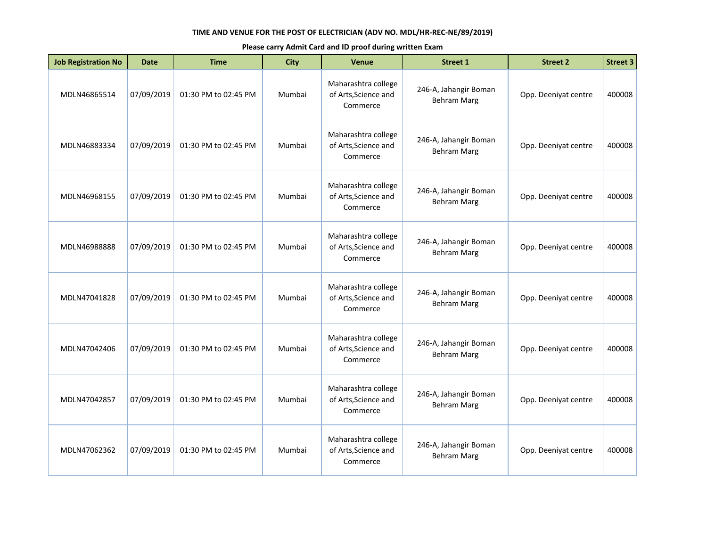| <b>Job Registration No</b> | <b>Date</b> | <b>Time</b>          | <b>City</b> | <b>Venue</b>                                            | <b>Street 1</b>                             | <b>Street 2</b>      | <b>Street 3</b> |
|----------------------------|-------------|----------------------|-------------|---------------------------------------------------------|---------------------------------------------|----------------------|-----------------|
| MDLN46865514               | 07/09/2019  | 01:30 PM to 02:45 PM | Mumbai      | Maharashtra college<br>of Arts, Science and<br>Commerce | 246-A, Jahangir Boman<br><b>Behram Marg</b> | Opp. Deeniyat centre | 400008          |
| MDLN46883334               | 07/09/2019  | 01:30 PM to 02:45 PM | Mumbai      | Maharashtra college<br>of Arts, Science and<br>Commerce | 246-A, Jahangir Boman<br><b>Behram Marg</b> | Opp. Deeniyat centre | 400008          |
| MDLN46968155               | 07/09/2019  | 01:30 PM to 02:45 PM | Mumbai      | Maharashtra college<br>of Arts, Science and<br>Commerce | 246-A, Jahangir Boman<br><b>Behram Marg</b> | Opp. Deeniyat centre | 400008          |
| MDLN46988888               | 07/09/2019  | 01:30 PM to 02:45 PM | Mumbai      | Maharashtra college<br>of Arts, Science and<br>Commerce | 246-A, Jahangir Boman<br><b>Behram Marg</b> | Opp. Deeniyat centre | 400008          |
| MDLN47041828               | 07/09/2019  | 01:30 PM to 02:45 PM | Mumbai      | Maharashtra college<br>of Arts, Science and<br>Commerce | 246-A, Jahangir Boman<br><b>Behram Marg</b> | Opp. Deeniyat centre | 400008          |
| MDLN47042406               | 07/09/2019  | 01:30 PM to 02:45 PM | Mumbai      | Maharashtra college<br>of Arts, Science and<br>Commerce | 246-A, Jahangir Boman<br><b>Behram Marg</b> | Opp. Deeniyat centre | 400008          |
| MDLN47042857               | 07/09/2019  | 01:30 PM to 02:45 PM | Mumbai      | Maharashtra college<br>of Arts, Science and<br>Commerce | 246-A, Jahangir Boman<br><b>Behram Marg</b> | Opp. Deeniyat centre | 400008          |
| MDLN47062362               | 07/09/2019  | 01:30 PM to 02:45 PM | Mumbai      | Maharashtra college<br>of Arts, Science and<br>Commerce | 246-A, Jahangir Boman<br><b>Behram Marg</b> | Opp. Deeniyat centre | 400008          |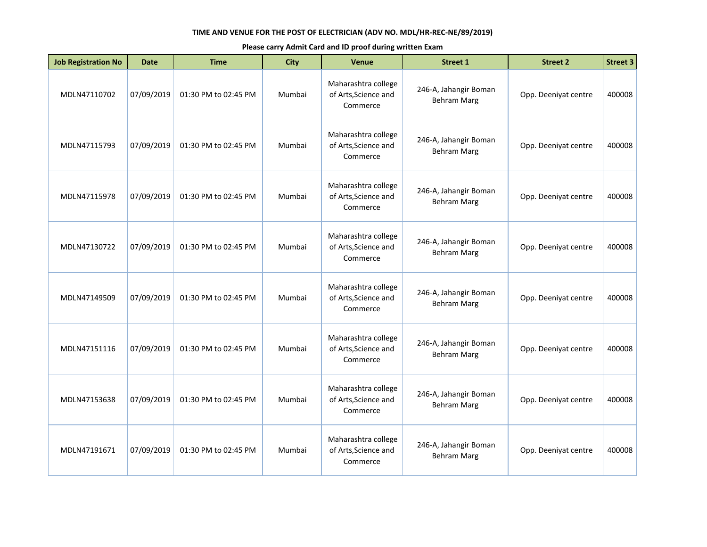| <b>Job Registration No</b> | <b>Date</b> | <b>Time</b>          | <b>City</b> | <b>Venue</b>                                            | <b>Street 1</b>                             | <b>Street 2</b>      | <b>Street 3</b> |
|----------------------------|-------------|----------------------|-------------|---------------------------------------------------------|---------------------------------------------|----------------------|-----------------|
| MDLN47110702               | 07/09/2019  | 01:30 PM to 02:45 PM | Mumbai      | Maharashtra college<br>of Arts, Science and<br>Commerce | 246-A, Jahangir Boman<br><b>Behram Marg</b> | Opp. Deeniyat centre | 400008          |
| MDLN47115793               | 07/09/2019  | 01:30 PM to 02:45 PM | Mumbai      | Maharashtra college<br>of Arts, Science and<br>Commerce | 246-A, Jahangir Boman<br><b>Behram Marg</b> | Opp. Deeniyat centre | 400008          |
| MDLN47115978               | 07/09/2019  | 01:30 PM to 02:45 PM | Mumbai      | Maharashtra college<br>of Arts, Science and<br>Commerce | 246-A, Jahangir Boman<br><b>Behram Marg</b> | Opp. Deeniyat centre | 400008          |
| MDLN47130722               | 07/09/2019  | 01:30 PM to 02:45 PM | Mumbai      | Maharashtra college<br>of Arts, Science and<br>Commerce | 246-A, Jahangir Boman<br><b>Behram Marg</b> | Opp. Deeniyat centre | 400008          |
| MDLN47149509               | 07/09/2019  | 01:30 PM to 02:45 PM | Mumbai      | Maharashtra college<br>of Arts, Science and<br>Commerce | 246-A, Jahangir Boman<br><b>Behram Marg</b> | Opp. Deeniyat centre | 400008          |
| MDLN47151116               | 07/09/2019  | 01:30 PM to 02:45 PM | Mumbai      | Maharashtra college<br>of Arts, Science and<br>Commerce | 246-A, Jahangir Boman<br><b>Behram Marg</b> | Opp. Deeniyat centre | 400008          |
| MDLN47153638               | 07/09/2019  | 01:30 PM to 02:45 PM | Mumbai      | Maharashtra college<br>of Arts, Science and<br>Commerce | 246-A, Jahangir Boman<br><b>Behram Marg</b> | Opp. Deeniyat centre | 400008          |
| MDLN47191671               | 07/09/2019  | 01:30 PM to 02:45 PM | Mumbai      | Maharashtra college<br>of Arts, Science and<br>Commerce | 246-A, Jahangir Boman<br><b>Behram Marg</b> | Opp. Deeniyat centre | 400008          |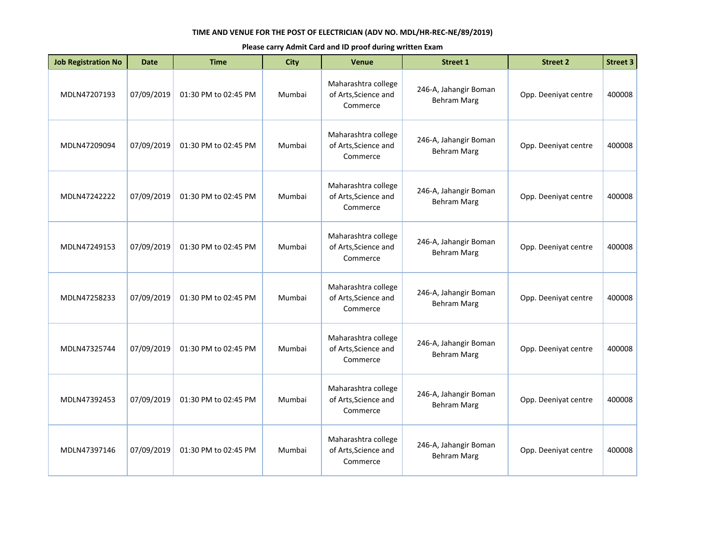| <b>Job Registration No</b> | <b>Date</b> | <b>Time</b>          | <b>City</b> | <b>Venue</b>                                            | <b>Street 1</b>                             | <b>Street 2</b>      | <b>Street 3</b> |
|----------------------------|-------------|----------------------|-------------|---------------------------------------------------------|---------------------------------------------|----------------------|-----------------|
| MDLN47207193               | 07/09/2019  | 01:30 PM to 02:45 PM | Mumbai      | Maharashtra college<br>of Arts, Science and<br>Commerce | 246-A, Jahangir Boman<br><b>Behram Marg</b> | Opp. Deeniyat centre | 400008          |
| MDLN47209094               | 07/09/2019  | 01:30 PM to 02:45 PM | Mumbai      | Maharashtra college<br>of Arts, Science and<br>Commerce | 246-A, Jahangir Boman<br><b>Behram Marg</b> | Opp. Deeniyat centre | 400008          |
| MDLN47242222               | 07/09/2019  | 01:30 PM to 02:45 PM | Mumbai      | Maharashtra college<br>of Arts, Science and<br>Commerce | 246-A, Jahangir Boman<br><b>Behram Marg</b> | Opp. Deeniyat centre | 400008          |
| MDLN47249153               | 07/09/2019  | 01:30 PM to 02:45 PM | Mumbai      | Maharashtra college<br>of Arts, Science and<br>Commerce | 246-A, Jahangir Boman<br><b>Behram Marg</b> | Opp. Deeniyat centre | 400008          |
| MDLN47258233               | 07/09/2019  | 01:30 PM to 02:45 PM | Mumbai      | Maharashtra college<br>of Arts, Science and<br>Commerce | 246-A, Jahangir Boman<br><b>Behram Marg</b> | Opp. Deeniyat centre | 400008          |
| MDLN47325744               | 07/09/2019  | 01:30 PM to 02:45 PM | Mumbai      | Maharashtra college<br>of Arts, Science and<br>Commerce | 246-A, Jahangir Boman<br><b>Behram Marg</b> | Opp. Deeniyat centre | 400008          |
| MDLN47392453               | 07/09/2019  | 01:30 PM to 02:45 PM | Mumbai      | Maharashtra college<br>of Arts, Science and<br>Commerce | 246-A, Jahangir Boman<br><b>Behram Marg</b> | Opp. Deeniyat centre | 400008          |
| MDLN47397146               | 07/09/2019  | 01:30 PM to 02:45 PM | Mumbai      | Maharashtra college<br>of Arts, Science and<br>Commerce | 246-A, Jahangir Boman<br><b>Behram Marg</b> | Opp. Deeniyat centre | 400008          |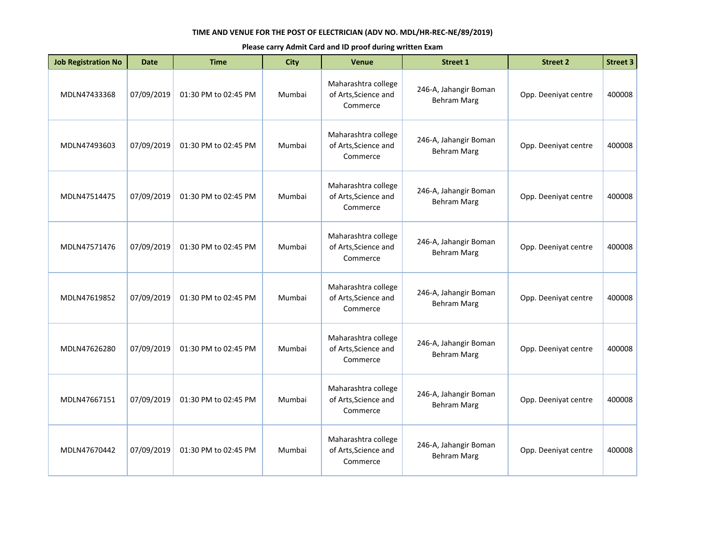| <b>Job Registration No</b> | <b>Date</b> | <b>Time</b>          | <b>City</b> | <b>Venue</b>                                            | <b>Street 1</b>                             | <b>Street 2</b>      | <b>Street 3</b> |
|----------------------------|-------------|----------------------|-------------|---------------------------------------------------------|---------------------------------------------|----------------------|-----------------|
| MDLN47433368               | 07/09/2019  | 01:30 PM to 02:45 PM | Mumbai      | Maharashtra college<br>of Arts, Science and<br>Commerce | 246-A, Jahangir Boman<br><b>Behram Marg</b> | Opp. Deeniyat centre | 400008          |
| MDLN47493603               | 07/09/2019  | 01:30 PM to 02:45 PM | Mumbai      | Maharashtra college<br>of Arts, Science and<br>Commerce | 246-A, Jahangir Boman<br><b>Behram Marg</b> | Opp. Deeniyat centre | 400008          |
| MDLN47514475               | 07/09/2019  | 01:30 PM to 02:45 PM | Mumbai      | Maharashtra college<br>of Arts, Science and<br>Commerce | 246-A, Jahangir Boman<br><b>Behram Marg</b> | Opp. Deeniyat centre | 400008          |
| MDLN47571476               | 07/09/2019  | 01:30 PM to 02:45 PM | Mumbai      | Maharashtra college<br>of Arts, Science and<br>Commerce | 246-A, Jahangir Boman<br><b>Behram Marg</b> | Opp. Deeniyat centre | 400008          |
| MDLN47619852               | 07/09/2019  | 01:30 PM to 02:45 PM | Mumbai      | Maharashtra college<br>of Arts, Science and<br>Commerce | 246-A, Jahangir Boman<br><b>Behram Marg</b> | Opp. Deeniyat centre | 400008          |
| MDLN47626280               | 07/09/2019  | 01:30 PM to 02:45 PM | Mumbai      | Maharashtra college<br>of Arts, Science and<br>Commerce | 246-A, Jahangir Boman<br><b>Behram Marg</b> | Opp. Deeniyat centre | 400008          |
| MDLN47667151               | 07/09/2019  | 01:30 PM to 02:45 PM | Mumbai      | Maharashtra college<br>of Arts, Science and<br>Commerce | 246-A, Jahangir Boman<br><b>Behram Marg</b> | Opp. Deeniyat centre | 400008          |
| MDLN47670442               | 07/09/2019  | 01:30 PM to 02:45 PM | Mumbai      | Maharashtra college<br>of Arts, Science and<br>Commerce | 246-A, Jahangir Boman<br><b>Behram Marg</b> | Opp. Deeniyat centre | 400008          |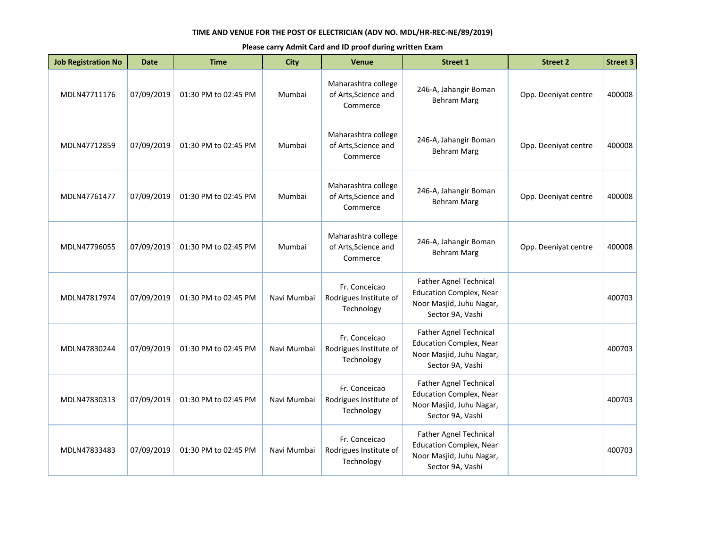| <b>Job Registration No</b> | <b>Date</b> | <b>Time</b>          | <b>City</b> | <b>Venue</b>                                            | <b>Street 1</b>                                                                                                 | <b>Street 2</b>      | <b>Street 3</b> |
|----------------------------|-------------|----------------------|-------------|---------------------------------------------------------|-----------------------------------------------------------------------------------------------------------------|----------------------|-----------------|
| MDLN47711176               | 07/09/2019  | 01:30 PM to 02:45 PM | Mumbai      | Maharashtra college<br>of Arts, Science and<br>Commerce | 246-A, Jahangir Boman<br><b>Behram Marg</b>                                                                     | Opp. Deeniyat centre | 400008          |
| MDLN47712859               | 07/09/2019  | 01:30 PM to 02:45 PM | Mumbai      | Maharashtra college<br>of Arts, Science and<br>Commerce | 246-A, Jahangir Boman<br><b>Behram Marg</b>                                                                     | Opp. Deeniyat centre | 400008          |
| MDLN47761477               | 07/09/2019  | 01:30 PM to 02:45 PM | Mumbai      | Maharashtra college<br>of Arts, Science and<br>Commerce | 246-A, Jahangir Boman<br><b>Behram Marg</b>                                                                     | Opp. Deeniyat centre | 400008          |
| MDLN47796055               | 07/09/2019  | 01:30 PM to 02:45 PM | Mumbai      | Maharashtra college<br>of Arts, Science and<br>Commerce | 246-A, Jahangir Boman<br><b>Behram Marg</b>                                                                     | Opp. Deeniyat centre | 400008          |
| MDLN47817974               | 07/09/2019  | 01:30 PM to 02:45 PM | Navi Mumbai | Fr. Conceicao<br>Rodrigues Institute of<br>Technology   | <b>Father Agnel Technical</b><br><b>Education Complex, Near</b><br>Noor Masjid, Juhu Nagar,<br>Sector 9A, Vashi |                      | 400703          |
| MDLN47830244               | 07/09/2019  | 01:30 PM to 02:45 PM | Navi Mumbai | Fr. Conceicao<br>Rodrigues Institute of<br>Technology   | Father Agnel Technical<br><b>Education Complex, Near</b><br>Noor Masjid, Juhu Nagar,<br>Sector 9A, Vashi        |                      | 400703          |
| MDLN47830313               | 07/09/2019  | 01:30 PM to 02:45 PM | Navi Mumbai | Fr. Conceicao<br>Rodrigues Institute of<br>Technology   | <b>Father Agnel Technical</b><br><b>Education Complex, Near</b><br>Noor Masjid, Juhu Nagar,<br>Sector 9A, Vashi |                      | 400703          |
| MDLN47833483               | 07/09/2019  | 01:30 PM to 02:45 PM | Navi Mumbai | Fr. Conceicao<br>Rodrigues Institute of<br>Technology   | <b>Father Agnel Technical</b><br><b>Education Complex, Near</b><br>Noor Masjid, Juhu Nagar,<br>Sector 9A, Vashi |                      | 400703          |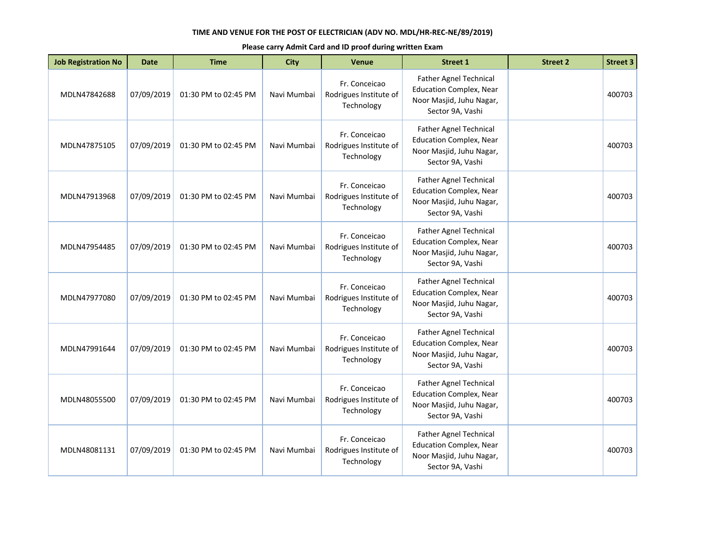| <b>Job Registration No</b> | <b>Date</b> | <b>Time</b>          | <b>City</b> | <b>Venue</b>                                          | <b>Street 1</b>                                                                                                 | <b>Street 2</b> | <b>Street 3</b> |
|----------------------------|-------------|----------------------|-------------|-------------------------------------------------------|-----------------------------------------------------------------------------------------------------------------|-----------------|-----------------|
| MDLN47842688               | 07/09/2019  | 01:30 PM to 02:45 PM | Navi Mumbai | Fr. Conceicao<br>Rodrigues Institute of<br>Technology | Father Agnel Technical<br><b>Education Complex, Near</b><br>Noor Masjid, Juhu Nagar,<br>Sector 9A, Vashi        |                 | 400703          |
| MDLN47875105               | 07/09/2019  | 01:30 PM to 02:45 PM | Navi Mumbai | Fr. Conceicao<br>Rodrigues Institute of<br>Technology | <b>Father Agnel Technical</b><br><b>Education Complex, Near</b><br>Noor Masjid, Juhu Nagar,<br>Sector 9A, Vashi |                 | 400703          |
| MDLN47913968               | 07/09/2019  | 01:30 PM to 02:45 PM | Navi Mumbai | Fr. Conceicao<br>Rodrigues Institute of<br>Technology | <b>Father Agnel Technical</b><br><b>Education Complex, Near</b><br>Noor Masjid, Juhu Nagar,<br>Sector 9A, Vashi |                 | 400703          |
| MDLN47954485               | 07/09/2019  | 01:30 PM to 02:45 PM | Navi Mumbai | Fr. Conceicao<br>Rodrigues Institute of<br>Technology | <b>Father Agnel Technical</b><br><b>Education Complex, Near</b><br>Noor Masjid, Juhu Nagar,<br>Sector 9A, Vashi |                 | 400703          |
| MDLN47977080               | 07/09/2019  | 01:30 PM to 02:45 PM | Navi Mumbai | Fr. Conceicao<br>Rodrigues Institute of<br>Technology | Father Agnel Technical<br><b>Education Complex, Near</b><br>Noor Masjid, Juhu Nagar,<br>Sector 9A, Vashi        |                 | 400703          |
| MDLN47991644               | 07/09/2019  | 01:30 PM to 02:45 PM | Navi Mumbai | Fr. Conceicao<br>Rodrigues Institute of<br>Technology | <b>Father Agnel Technical</b><br><b>Education Complex, Near</b><br>Noor Masjid, Juhu Nagar,<br>Sector 9A, Vashi |                 | 400703          |
| MDLN48055500               | 07/09/2019  | 01:30 PM to 02:45 PM | Navi Mumbai | Fr. Conceicao<br>Rodrigues Institute of<br>Technology | Father Agnel Technical<br><b>Education Complex, Near</b><br>Noor Masjid, Juhu Nagar,<br>Sector 9A, Vashi        |                 | 400703          |
| MDLN48081131               | 07/09/2019  | 01:30 PM to 02:45 PM | Navi Mumbai | Fr. Conceicao<br>Rodrigues Institute of<br>Technology | Father Agnel Technical<br><b>Education Complex, Near</b><br>Noor Masjid, Juhu Nagar,<br>Sector 9A, Vashi        |                 | 400703          |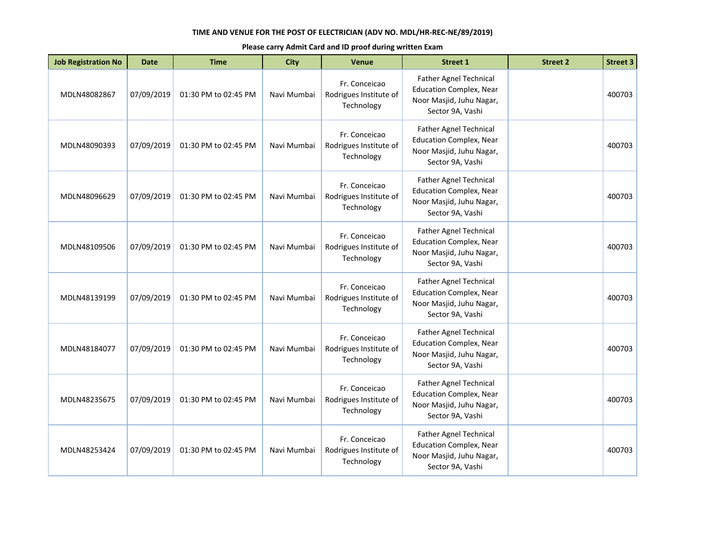| <b>Job Registration No</b> | <b>Date</b> | <b>Time</b>          | <b>City</b> | <b>Venue</b>                                          | <b>Street 1</b>                                                                                                 | <b>Street 2</b> | <b>Street 3</b> |
|----------------------------|-------------|----------------------|-------------|-------------------------------------------------------|-----------------------------------------------------------------------------------------------------------------|-----------------|-----------------|
| MDLN48082867               | 07/09/2019  | 01:30 PM to 02:45 PM | Navi Mumbai | Fr. Conceicao<br>Rodrigues Institute of<br>Technology | Father Agnel Technical<br><b>Education Complex, Near</b><br>Noor Masjid, Juhu Nagar,<br>Sector 9A, Vashi        |                 | 400703          |
| MDLN48090393               | 07/09/2019  | 01:30 PM to 02:45 PM | Navi Mumbai | Fr. Conceicao<br>Rodrigues Institute of<br>Technology | <b>Father Agnel Technical</b><br><b>Education Complex, Near</b><br>Noor Masjid, Juhu Nagar,<br>Sector 9A, Vashi |                 | 400703          |
| MDLN48096629               | 07/09/2019  | 01:30 PM to 02:45 PM | Navi Mumbai | Fr. Conceicao<br>Rodrigues Institute of<br>Technology | <b>Father Agnel Technical</b><br><b>Education Complex, Near</b><br>Noor Masjid, Juhu Nagar,<br>Sector 9A, Vashi |                 | 400703          |
| MDLN48109506               | 07/09/2019  | 01:30 PM to 02:45 PM | Navi Mumbai | Fr. Conceicao<br>Rodrigues Institute of<br>Technology | Father Agnel Technical<br><b>Education Complex, Near</b><br>Noor Masjid, Juhu Nagar,<br>Sector 9A, Vashi        |                 | 400703          |
| MDLN48139199               | 07/09/2019  | 01:30 PM to 02:45 PM | Navi Mumbai | Fr. Conceicao<br>Rodrigues Institute of<br>Technology | Father Agnel Technical<br><b>Education Complex, Near</b><br>Noor Masjid, Juhu Nagar,<br>Sector 9A, Vashi        |                 | 400703          |
| MDLN48184077               | 07/09/2019  | 01:30 PM to 02:45 PM | Navi Mumbai | Fr. Conceicao<br>Rodrigues Institute of<br>Technology | <b>Father Agnel Technical</b><br><b>Education Complex, Near</b><br>Noor Masjid, Juhu Nagar,<br>Sector 9A, Vashi |                 | 400703          |
| MDLN48235675               | 07/09/2019  | 01:30 PM to 02:45 PM | Navi Mumbai | Fr. Conceicao<br>Rodrigues Institute of<br>Technology | Father Agnel Technical<br><b>Education Complex, Near</b><br>Noor Masjid, Juhu Nagar,<br>Sector 9A, Vashi        |                 | 400703          |
| MDLN48253424               | 07/09/2019  | 01:30 PM to 02:45 PM | Navi Mumbai | Fr. Conceicao<br>Rodrigues Institute of<br>Technology | Father Agnel Technical<br><b>Education Complex, Near</b><br>Noor Masjid, Juhu Nagar,<br>Sector 9A, Vashi        |                 | 400703          |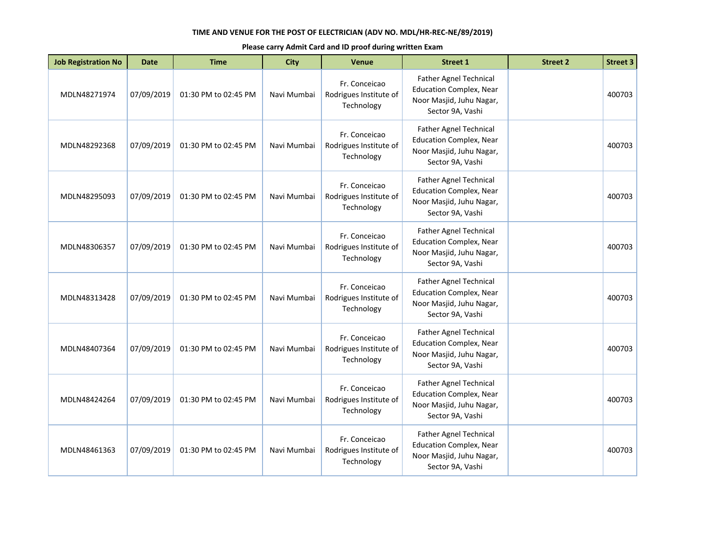| <b>Job Registration No</b> | <b>Date</b> | <b>Time</b>          | <b>City</b> | <b>Venue</b>                                          | <b>Street 1</b>                                                                                                 | <b>Street 2</b> | <b>Street 3</b> |
|----------------------------|-------------|----------------------|-------------|-------------------------------------------------------|-----------------------------------------------------------------------------------------------------------------|-----------------|-----------------|
| MDLN48271974               | 07/09/2019  | 01:30 PM to 02:45 PM | Navi Mumbai | Fr. Conceicao<br>Rodrigues Institute of<br>Technology | Father Agnel Technical<br><b>Education Complex, Near</b><br>Noor Masjid, Juhu Nagar,<br>Sector 9A, Vashi        |                 | 400703          |
| MDLN48292368               | 07/09/2019  | 01:30 PM to 02:45 PM | Navi Mumbai | Fr. Conceicao<br>Rodrigues Institute of<br>Technology | <b>Father Agnel Technical</b><br><b>Education Complex, Near</b><br>Noor Masjid, Juhu Nagar,<br>Sector 9A, Vashi |                 | 400703          |
| MDLN48295093               | 07/09/2019  | 01:30 PM to 02:45 PM | Navi Mumbai | Fr. Conceicao<br>Rodrigues Institute of<br>Technology | Father Agnel Technical<br><b>Education Complex, Near</b><br>Noor Masjid, Juhu Nagar,<br>Sector 9A, Vashi        |                 | 400703          |
| MDLN48306357               | 07/09/2019  | 01:30 PM to 02:45 PM | Navi Mumbai | Fr. Conceicao<br>Rodrigues Institute of<br>Technology | <b>Father Agnel Technical</b><br><b>Education Complex, Near</b><br>Noor Masjid, Juhu Nagar,<br>Sector 9A, Vashi |                 | 400703          |
| MDLN48313428               | 07/09/2019  | 01:30 PM to 02:45 PM | Navi Mumbai | Fr. Conceicao<br>Rodrigues Institute of<br>Technology | <b>Father Agnel Technical</b><br><b>Education Complex, Near</b><br>Noor Masjid, Juhu Nagar,<br>Sector 9A, Vashi |                 | 400703          |
| MDLN48407364               | 07/09/2019  | 01:30 PM to 02:45 PM | Navi Mumbai | Fr. Conceicao<br>Rodrigues Institute of<br>Technology | Father Agnel Technical<br><b>Education Complex, Near</b><br>Noor Masjid, Juhu Nagar,<br>Sector 9A, Vashi        |                 | 400703          |
| MDLN48424264               | 07/09/2019  | 01:30 PM to 02:45 PM | Navi Mumbai | Fr. Conceicao<br>Rodrigues Institute of<br>Technology | <b>Father Agnel Technical</b><br><b>Education Complex, Near</b><br>Noor Masjid, Juhu Nagar,<br>Sector 9A, Vashi |                 | 400703          |
| MDLN48461363               | 07/09/2019  | 01:30 PM to 02:45 PM | Navi Mumbai | Fr. Conceicao<br>Rodrigues Institute of<br>Technology | Father Agnel Technical<br><b>Education Complex, Near</b><br>Noor Masjid, Juhu Nagar,<br>Sector 9A, Vashi        |                 | 400703          |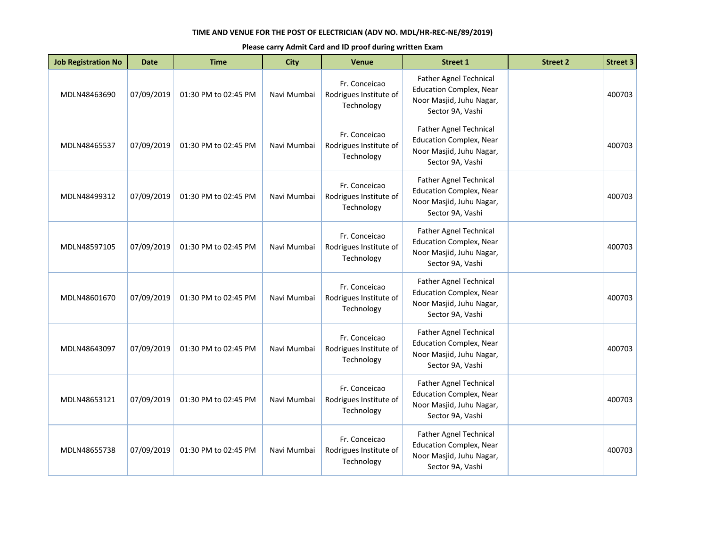| <b>Job Registration No</b> | <b>Date</b> | <b>Time</b>          | <b>City</b> | <b>Venue</b>                                          | <b>Street 1</b>                                                                                                 | <b>Street 2</b> | <b>Street 3</b> |
|----------------------------|-------------|----------------------|-------------|-------------------------------------------------------|-----------------------------------------------------------------------------------------------------------------|-----------------|-----------------|
| MDLN48463690               | 07/09/2019  | 01:30 PM to 02:45 PM | Navi Mumbai | Fr. Conceicao<br>Rodrigues Institute of<br>Technology | Father Agnel Technical<br><b>Education Complex, Near</b><br>Noor Masjid, Juhu Nagar,<br>Sector 9A, Vashi        |                 | 400703          |
| MDLN48465537               | 07/09/2019  | 01:30 PM to 02:45 PM | Navi Mumbai | Fr. Conceicao<br>Rodrigues Institute of<br>Technology | <b>Father Agnel Technical</b><br><b>Education Complex, Near</b><br>Noor Masjid, Juhu Nagar,<br>Sector 9A, Vashi |                 | 400703          |
| MDLN48499312               | 07/09/2019  | 01:30 PM to 02:45 PM | Navi Mumbai | Fr. Conceicao<br>Rodrigues Institute of<br>Technology | <b>Father Agnel Technical</b><br><b>Education Complex, Near</b><br>Noor Masjid, Juhu Nagar,<br>Sector 9A, Vashi |                 | 400703          |
| MDLN48597105               | 07/09/2019  | 01:30 PM to 02:45 PM | Navi Mumbai | Fr. Conceicao<br>Rodrigues Institute of<br>Technology | Father Agnel Technical<br><b>Education Complex, Near</b><br>Noor Masjid, Juhu Nagar,<br>Sector 9A, Vashi        |                 | 400703          |
| MDLN48601670               | 07/09/2019  | 01:30 PM to 02:45 PM | Navi Mumbai | Fr. Conceicao<br>Rodrigues Institute of<br>Technology | Father Agnel Technical<br><b>Education Complex, Near</b><br>Noor Masjid, Juhu Nagar,<br>Sector 9A, Vashi        |                 | 400703          |
| MDLN48643097               | 07/09/2019  | 01:30 PM to 02:45 PM | Navi Mumbai | Fr. Conceicao<br>Rodrigues Institute of<br>Technology | <b>Father Agnel Technical</b><br><b>Education Complex, Near</b><br>Noor Masjid, Juhu Nagar,<br>Sector 9A, Vashi |                 | 400703          |
| MDLN48653121               | 07/09/2019  | 01:30 PM to 02:45 PM | Navi Mumbai | Fr. Conceicao<br>Rodrigues Institute of<br>Technology | Father Agnel Technical<br><b>Education Complex, Near</b><br>Noor Masjid, Juhu Nagar,<br>Sector 9A, Vashi        |                 | 400703          |
| MDLN48655738               | 07/09/2019  | 01:30 PM to 02:45 PM | Navi Mumbai | Fr. Conceicao<br>Rodrigues Institute of<br>Technology | Father Agnel Technical<br><b>Education Complex, Near</b><br>Noor Masjid, Juhu Nagar,<br>Sector 9A, Vashi        |                 | 400703          |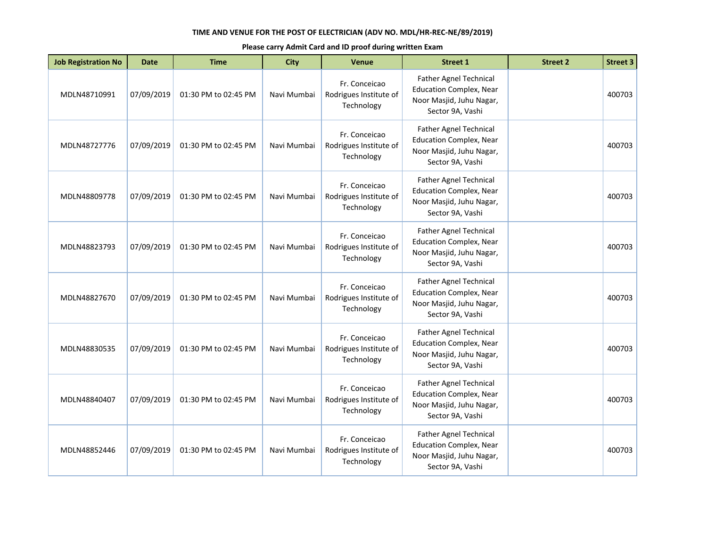| <b>Job Registration No</b> | <b>Date</b> | <b>Time</b>          | <b>City</b> | <b>Venue</b>                                          | <b>Street 1</b>                                                                                                 | <b>Street 2</b> | <b>Street 3</b> |
|----------------------------|-------------|----------------------|-------------|-------------------------------------------------------|-----------------------------------------------------------------------------------------------------------------|-----------------|-----------------|
| MDLN48710991               | 07/09/2019  | 01:30 PM to 02:45 PM | Navi Mumbai | Fr. Conceicao<br>Rodrigues Institute of<br>Technology | Father Agnel Technical<br><b>Education Complex, Near</b><br>Noor Masjid, Juhu Nagar,<br>Sector 9A, Vashi        |                 | 400703          |
| MDLN48727776               | 07/09/2019  | 01:30 PM to 02:45 PM | Navi Mumbai | Fr. Conceicao<br>Rodrigues Institute of<br>Technology | <b>Father Agnel Technical</b><br><b>Education Complex, Near</b><br>Noor Masjid, Juhu Nagar,<br>Sector 9A, Vashi |                 | 400703          |
| MDLN48809778               | 07/09/2019  | 01:30 PM to 02:45 PM | Navi Mumbai | Fr. Conceicao<br>Rodrigues Institute of<br>Technology | Father Agnel Technical<br><b>Education Complex, Near</b><br>Noor Masjid, Juhu Nagar,<br>Sector 9A, Vashi        |                 | 400703          |
| MDLN48823793               | 07/09/2019  | 01:30 PM to 02:45 PM | Navi Mumbai | Fr. Conceicao<br>Rodrigues Institute of<br>Technology | <b>Father Agnel Technical</b><br><b>Education Complex, Near</b><br>Noor Masjid, Juhu Nagar,<br>Sector 9A, Vashi |                 | 400703          |
| MDLN48827670               | 07/09/2019  | 01:30 PM to 02:45 PM | Navi Mumbai | Fr. Conceicao<br>Rodrigues Institute of<br>Technology | <b>Father Agnel Technical</b><br><b>Education Complex, Near</b><br>Noor Masjid, Juhu Nagar,<br>Sector 9A, Vashi |                 | 400703          |
| MDLN48830535               | 07/09/2019  | 01:30 PM to 02:45 PM | Navi Mumbai | Fr. Conceicao<br>Rodrigues Institute of<br>Technology | Father Agnel Technical<br><b>Education Complex, Near</b><br>Noor Masjid, Juhu Nagar,<br>Sector 9A, Vashi        |                 | 400703          |
| MDLN48840407               | 07/09/2019  | 01:30 PM to 02:45 PM | Navi Mumbai | Fr. Conceicao<br>Rodrigues Institute of<br>Technology | <b>Father Agnel Technical</b><br><b>Education Complex, Near</b><br>Noor Masjid, Juhu Nagar,<br>Sector 9A, Vashi |                 | 400703          |
| MDLN48852446               | 07/09/2019  | 01:30 PM to 02:45 PM | Navi Mumbai | Fr. Conceicao<br>Rodrigues Institute of<br>Technology | Father Agnel Technical<br><b>Education Complex, Near</b><br>Noor Masjid, Juhu Nagar,<br>Sector 9A, Vashi        |                 | 400703          |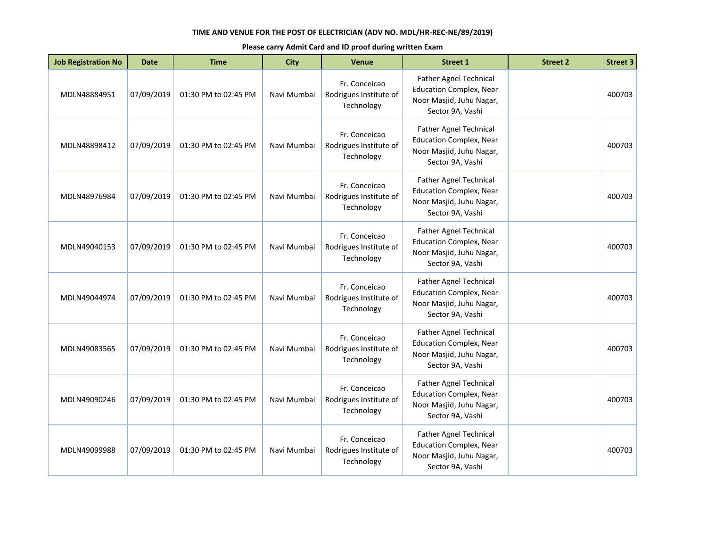| <b>Job Registration No</b> | <b>Date</b> | <b>Time</b>          | <b>City</b> | <b>Venue</b>                                          | <b>Street 1</b>                                                                                                 | <b>Street 2</b> | <b>Street 3</b> |
|----------------------------|-------------|----------------------|-------------|-------------------------------------------------------|-----------------------------------------------------------------------------------------------------------------|-----------------|-----------------|
| MDLN48884951               | 07/09/2019  | 01:30 PM to 02:45 PM | Navi Mumbai | Fr. Conceicao<br>Rodrigues Institute of<br>Technology | Father Agnel Technical<br><b>Education Complex, Near</b><br>Noor Masjid, Juhu Nagar,<br>Sector 9A, Vashi        |                 | 400703          |
| MDLN48898412               | 07/09/2019  | 01:30 PM to 02:45 PM | Navi Mumbai | Fr. Conceicao<br>Rodrigues Institute of<br>Technology | Father Agnel Technical<br><b>Education Complex, Near</b><br>Noor Masjid, Juhu Nagar,<br>Sector 9A, Vashi        |                 | 400703          |
| MDLN48976984               | 07/09/2019  | 01:30 PM to 02:45 PM | Navi Mumbai | Fr. Conceicao<br>Rodrigues Institute of<br>Technology | Father Agnel Technical<br><b>Education Complex, Near</b><br>Noor Masjid, Juhu Nagar,<br>Sector 9A, Vashi        |                 | 400703          |
| MDLN49040153               | 07/09/2019  | 01:30 PM to 02:45 PM | Navi Mumbai | Fr. Conceicao<br>Rodrigues Institute of<br>Technology | Father Agnel Technical<br><b>Education Complex, Near</b><br>Noor Masjid, Juhu Nagar,<br>Sector 9A, Vashi        |                 | 400703          |
| MDLN49044974               | 07/09/2019  | 01:30 PM to 02:45 PM | Navi Mumbai | Fr. Conceicao<br>Rodrigues Institute of<br>Technology | <b>Father Agnel Technical</b><br><b>Education Complex, Near</b><br>Noor Masjid, Juhu Nagar,<br>Sector 9A, Vashi |                 | 400703          |
| MDLN49083565               | 07/09/2019  | 01:30 PM to 02:45 PM | Navi Mumbai | Fr. Conceicao<br>Rodrigues Institute of<br>Technology | Father Agnel Technical<br><b>Education Complex, Near</b><br>Noor Masjid, Juhu Nagar,<br>Sector 9A, Vashi        |                 | 400703          |
| MDLN49090246               | 07/09/2019  | 01:30 PM to 02:45 PM | Navi Mumbai | Fr. Conceicao<br>Rodrigues Institute of<br>Technology | <b>Father Agnel Technical</b><br><b>Education Complex, Near</b><br>Noor Masjid, Juhu Nagar,<br>Sector 9A, Vashi |                 | 400703          |
| MDLN49099988               | 07/09/2019  | 01:30 PM to 02:45 PM | Navi Mumbai | Fr. Conceicao<br>Rodrigues Institute of<br>Technology | Father Agnel Technical<br><b>Education Complex, Near</b><br>Noor Masjid, Juhu Nagar,<br>Sector 9A, Vashi        |                 | 400703          |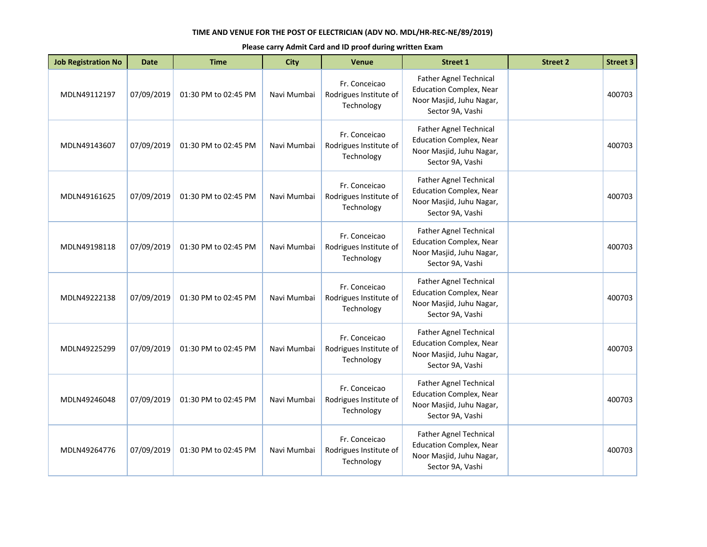| <b>Job Registration No</b> | <b>Date</b> | <b>Time</b>          | <b>City</b> | <b>Venue</b>                                          | <b>Street 1</b>                                                                                                 | <b>Street 2</b> | <b>Street 3</b> |
|----------------------------|-------------|----------------------|-------------|-------------------------------------------------------|-----------------------------------------------------------------------------------------------------------------|-----------------|-----------------|
| MDLN49112197               | 07/09/2019  | 01:30 PM to 02:45 PM | Navi Mumbai | Fr. Conceicao<br>Rodrigues Institute of<br>Technology | Father Agnel Technical<br><b>Education Complex, Near</b><br>Noor Masjid, Juhu Nagar,<br>Sector 9A, Vashi        |                 | 400703          |
| MDLN49143607               | 07/09/2019  | 01:30 PM to 02:45 PM | Navi Mumbai | Fr. Conceicao<br>Rodrigues Institute of<br>Technology | Father Agnel Technical<br><b>Education Complex, Near</b><br>Noor Masjid, Juhu Nagar,<br>Sector 9A, Vashi        |                 | 400703          |
| MDLN49161625               | 07/09/2019  | 01:30 PM to 02:45 PM | Navi Mumbai | Fr. Conceicao<br>Rodrigues Institute of<br>Technology | Father Agnel Technical<br><b>Education Complex, Near</b><br>Noor Masjid, Juhu Nagar,<br>Sector 9A, Vashi        |                 | 400703          |
| MDLN49198118               | 07/09/2019  | 01:30 PM to 02:45 PM | Navi Mumbai | Fr. Conceicao<br>Rodrigues Institute of<br>Technology | Father Agnel Technical<br><b>Education Complex, Near</b><br>Noor Masjid, Juhu Nagar,<br>Sector 9A, Vashi        |                 | 400703          |
| MDLN49222138               | 07/09/2019  | 01:30 PM to 02:45 PM | Navi Mumbai | Fr. Conceicao<br>Rodrigues Institute of<br>Technology | <b>Father Agnel Technical</b><br><b>Education Complex, Near</b><br>Noor Masjid, Juhu Nagar,<br>Sector 9A, Vashi |                 | 400703          |
| MDLN49225299               | 07/09/2019  | 01:30 PM to 02:45 PM | Navi Mumbai | Fr. Conceicao<br>Rodrigues Institute of<br>Technology | Father Agnel Technical<br><b>Education Complex, Near</b><br>Noor Masjid, Juhu Nagar,<br>Sector 9A, Vashi        |                 | 400703          |
| MDLN49246048               | 07/09/2019  | 01:30 PM to 02:45 PM | Navi Mumbai | Fr. Conceicao<br>Rodrigues Institute of<br>Technology | <b>Father Agnel Technical</b><br><b>Education Complex, Near</b><br>Noor Masjid, Juhu Nagar,<br>Sector 9A, Vashi |                 | 400703          |
| MDLN49264776               | 07/09/2019  | 01:30 PM to 02:45 PM | Navi Mumbai | Fr. Conceicao<br>Rodrigues Institute of<br>Technology | Father Agnel Technical<br><b>Education Complex, Near</b><br>Noor Masjid, Juhu Nagar,<br>Sector 9A, Vashi        |                 | 400703          |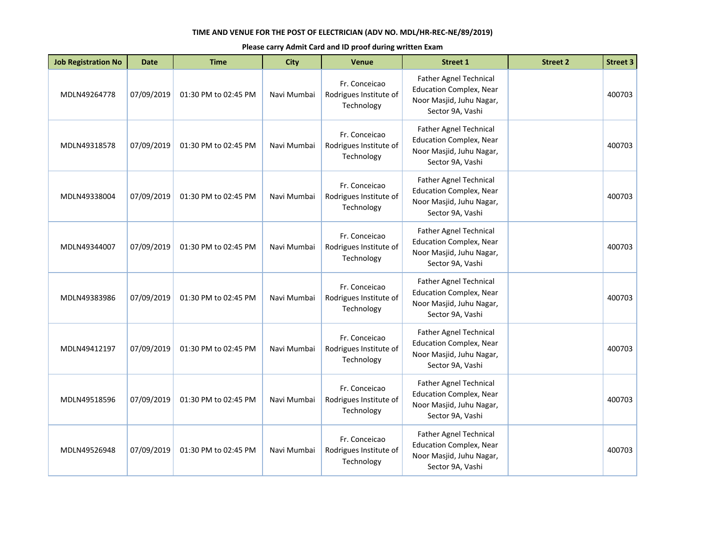| <b>Job Registration No</b> | <b>Date</b> | <b>Time</b>          | <b>City</b> | <b>Venue</b>                                          | <b>Street 1</b>                                                                                                 | <b>Street 2</b> | <b>Street 3</b> |
|----------------------------|-------------|----------------------|-------------|-------------------------------------------------------|-----------------------------------------------------------------------------------------------------------------|-----------------|-----------------|
| MDLN49264778               | 07/09/2019  | 01:30 PM to 02:45 PM | Navi Mumbai | Fr. Conceicao<br>Rodrigues Institute of<br>Technology | Father Agnel Technical<br><b>Education Complex, Near</b><br>Noor Masjid, Juhu Nagar,<br>Sector 9A, Vashi        |                 | 400703          |
| MDLN49318578               | 07/09/2019  | 01:30 PM to 02:45 PM | Navi Mumbai | Fr. Conceicao<br>Rodrigues Institute of<br>Technology | <b>Father Agnel Technical</b><br><b>Education Complex, Near</b><br>Noor Masjid, Juhu Nagar,<br>Sector 9A, Vashi |                 | 400703          |
| MDLN49338004               | 07/09/2019  | 01:30 PM to 02:45 PM | Navi Mumbai | Fr. Conceicao<br>Rodrigues Institute of<br>Technology | <b>Father Agnel Technical</b><br><b>Education Complex, Near</b><br>Noor Masjid, Juhu Nagar,<br>Sector 9A, Vashi |                 | 400703          |
| MDLN49344007               | 07/09/2019  | 01:30 PM to 02:45 PM | Navi Mumbai | Fr. Conceicao<br>Rodrigues Institute of<br>Technology | <b>Father Agnel Technical</b><br><b>Education Complex, Near</b><br>Noor Masjid, Juhu Nagar,<br>Sector 9A, Vashi |                 | 400703          |
| MDLN49383986               | 07/09/2019  | 01:30 PM to 02:45 PM | Navi Mumbai | Fr. Conceicao<br>Rodrigues Institute of<br>Technology | Father Agnel Technical<br><b>Education Complex, Near</b><br>Noor Masjid, Juhu Nagar,<br>Sector 9A, Vashi        |                 | 400703          |
| MDLN49412197               | 07/09/2019  | 01:30 PM to 02:45 PM | Navi Mumbai | Fr. Conceicao<br>Rodrigues Institute of<br>Technology | <b>Father Agnel Technical</b><br><b>Education Complex, Near</b><br>Noor Masjid, Juhu Nagar,<br>Sector 9A, Vashi |                 | 400703          |
| MDLN49518596               | 07/09/2019  | 01:30 PM to 02:45 PM | Navi Mumbai | Fr. Conceicao<br>Rodrigues Institute of<br>Technology | Father Agnel Technical<br><b>Education Complex, Near</b><br>Noor Masjid, Juhu Nagar,<br>Sector 9A, Vashi        |                 | 400703          |
| MDLN49526948               | 07/09/2019  | 01:30 PM to 02:45 PM | Navi Mumbai | Fr. Conceicao<br>Rodrigues Institute of<br>Technology | Father Agnel Technical<br><b>Education Complex, Near</b><br>Noor Masjid, Juhu Nagar,<br>Sector 9A, Vashi        |                 | 400703          |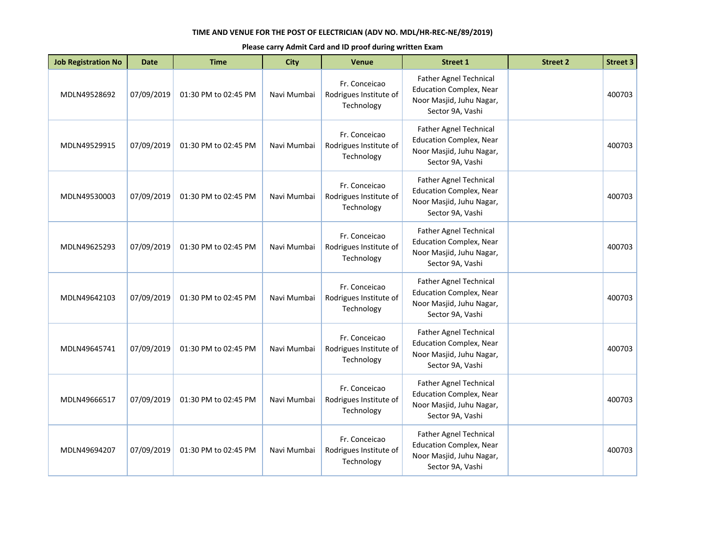| <b>Job Registration No</b> | <b>Date</b> | <b>Time</b>          | <b>City</b> | <b>Venue</b>                                          | <b>Street 1</b>                                                                                                 | <b>Street 2</b> | <b>Street 3</b> |
|----------------------------|-------------|----------------------|-------------|-------------------------------------------------------|-----------------------------------------------------------------------------------------------------------------|-----------------|-----------------|
| MDLN49528692               | 07/09/2019  | 01:30 PM to 02:45 PM | Navi Mumbai | Fr. Conceicao<br>Rodrigues Institute of<br>Technology | Father Agnel Technical<br><b>Education Complex, Near</b><br>Noor Masjid, Juhu Nagar,<br>Sector 9A, Vashi        |                 | 400703          |
| MDLN49529915               | 07/09/2019  | 01:30 PM to 02:45 PM | Navi Mumbai | Fr. Conceicao<br>Rodrigues Institute of<br>Technology | Father Agnel Technical<br><b>Education Complex, Near</b><br>Noor Masjid, Juhu Nagar,<br>Sector 9A, Vashi        |                 | 400703          |
| MDLN49530003               | 07/09/2019  | 01:30 PM to 02:45 PM | Navi Mumbai | Fr. Conceicao<br>Rodrigues Institute of<br>Technology | Father Agnel Technical<br><b>Education Complex, Near</b><br>Noor Masjid, Juhu Nagar,<br>Sector 9A, Vashi        |                 | 400703          |
| MDLN49625293               | 07/09/2019  | 01:30 PM to 02:45 PM | Navi Mumbai | Fr. Conceicao<br>Rodrigues Institute of<br>Technology | Father Agnel Technical<br><b>Education Complex, Near</b><br>Noor Masjid, Juhu Nagar,<br>Sector 9A, Vashi        |                 | 400703          |
| MDLN49642103               | 07/09/2019  | 01:30 PM to 02:45 PM | Navi Mumbai | Fr. Conceicao<br>Rodrigues Institute of<br>Technology | <b>Father Agnel Technical</b><br><b>Education Complex, Near</b><br>Noor Masjid, Juhu Nagar,<br>Sector 9A, Vashi |                 | 400703          |
| MDLN49645741               | 07/09/2019  | 01:30 PM to 02:45 PM | Navi Mumbai | Fr. Conceicao<br>Rodrigues Institute of<br>Technology | Father Agnel Technical<br><b>Education Complex, Near</b><br>Noor Masjid, Juhu Nagar,<br>Sector 9A, Vashi        |                 | 400703          |
| MDLN49666517               | 07/09/2019  | 01:30 PM to 02:45 PM | Navi Mumbai | Fr. Conceicao<br>Rodrigues Institute of<br>Technology | <b>Father Agnel Technical</b><br><b>Education Complex, Near</b><br>Noor Masjid, Juhu Nagar,<br>Sector 9A, Vashi |                 | 400703          |
| MDLN49694207               | 07/09/2019  | 01:30 PM to 02:45 PM | Navi Mumbai | Fr. Conceicao<br>Rodrigues Institute of<br>Technology | Father Agnel Technical<br><b>Education Complex, Near</b><br>Noor Masjid, Juhu Nagar,<br>Sector 9A, Vashi        |                 | 400703          |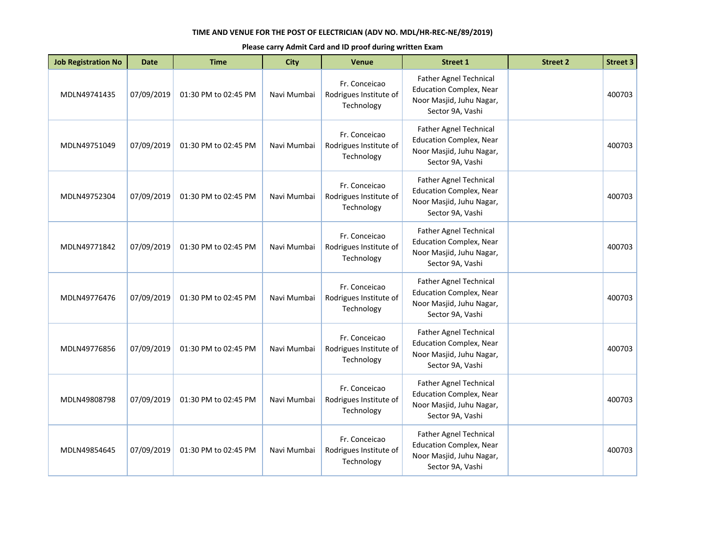| <b>Job Registration No</b> | <b>Date</b> | <b>Time</b>          | <b>City</b> | <b>Venue</b>                                          | <b>Street 1</b>                                                                                                 | <b>Street 2</b> | <b>Street 3</b> |
|----------------------------|-------------|----------------------|-------------|-------------------------------------------------------|-----------------------------------------------------------------------------------------------------------------|-----------------|-----------------|
| MDLN49741435               | 07/09/2019  | 01:30 PM to 02:45 PM | Navi Mumbai | Fr. Conceicao<br>Rodrigues Institute of<br>Technology | Father Agnel Technical<br><b>Education Complex, Near</b><br>Noor Masjid, Juhu Nagar,<br>Sector 9A, Vashi        |                 | 400703          |
| MDLN49751049               | 07/09/2019  | 01:30 PM to 02:45 PM | Navi Mumbai | Fr. Conceicao<br>Rodrigues Institute of<br>Technology | Father Agnel Technical<br><b>Education Complex, Near</b><br>Noor Masjid, Juhu Nagar,<br>Sector 9A, Vashi        |                 | 400703          |
| MDLN49752304               | 07/09/2019  | 01:30 PM to 02:45 PM | Navi Mumbai | Fr. Conceicao<br>Rodrigues Institute of<br>Technology | Father Agnel Technical<br><b>Education Complex, Near</b><br>Noor Masjid, Juhu Nagar,<br>Sector 9A, Vashi        |                 | 400703          |
| MDLN49771842               | 07/09/2019  | 01:30 PM to 02:45 PM | Navi Mumbai | Fr. Conceicao<br>Rodrigues Institute of<br>Technology | Father Agnel Technical<br><b>Education Complex, Near</b><br>Noor Masjid, Juhu Nagar,<br>Sector 9A, Vashi        |                 | 400703          |
| MDLN49776476               | 07/09/2019  | 01:30 PM to 02:45 PM | Navi Mumbai | Fr. Conceicao<br>Rodrigues Institute of<br>Technology | <b>Father Agnel Technical</b><br><b>Education Complex, Near</b><br>Noor Masjid, Juhu Nagar,<br>Sector 9A, Vashi |                 | 400703          |
| MDLN49776856               | 07/09/2019  | 01:30 PM to 02:45 PM | Navi Mumbai | Fr. Conceicao<br>Rodrigues Institute of<br>Technology | Father Agnel Technical<br><b>Education Complex, Near</b><br>Noor Masjid, Juhu Nagar,<br>Sector 9A, Vashi        |                 | 400703          |
| MDLN49808798               | 07/09/2019  | 01:30 PM to 02:45 PM | Navi Mumbai | Fr. Conceicao<br>Rodrigues Institute of<br>Technology | <b>Father Agnel Technical</b><br><b>Education Complex, Near</b><br>Noor Masjid, Juhu Nagar,<br>Sector 9A, Vashi |                 | 400703          |
| MDLN49854645               | 07/09/2019  | 01:30 PM to 02:45 PM | Navi Mumbai | Fr. Conceicao<br>Rodrigues Institute of<br>Technology | Father Agnel Technical<br><b>Education Complex, Near</b><br>Noor Masjid, Juhu Nagar,<br>Sector 9A, Vashi        |                 | 400703          |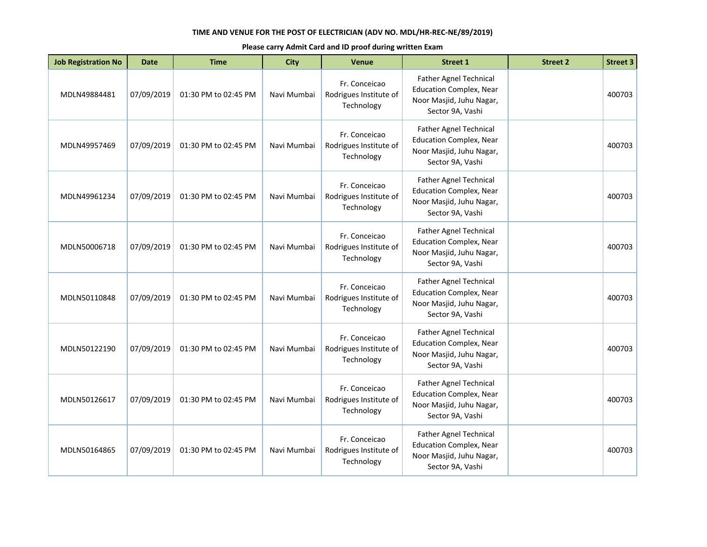| <b>Job Registration No</b> | <b>Date</b> | <b>Time</b>          | <b>City</b> | <b>Venue</b>                                          | <b>Street 1</b>                                                                                                 | <b>Street 2</b> | <b>Street 3</b> |
|----------------------------|-------------|----------------------|-------------|-------------------------------------------------------|-----------------------------------------------------------------------------------------------------------------|-----------------|-----------------|
| MDLN49884481               | 07/09/2019  | 01:30 PM to 02:45 PM | Navi Mumbai | Fr. Conceicao<br>Rodrigues Institute of<br>Technology | Father Agnel Technical<br><b>Education Complex, Near</b><br>Noor Masjid, Juhu Nagar,<br>Sector 9A, Vashi        |                 | 400703          |
| MDLN49957469               | 07/09/2019  | 01:30 PM to 02:45 PM | Navi Mumbai | Fr. Conceicao<br>Rodrigues Institute of<br>Technology | Father Agnel Technical<br><b>Education Complex, Near</b><br>Noor Masjid, Juhu Nagar,<br>Sector 9A, Vashi        |                 | 400703          |
| MDLN49961234               | 07/09/2019  | 01:30 PM to 02:45 PM | Navi Mumbai | Fr. Conceicao<br>Rodrigues Institute of<br>Technology | Father Agnel Technical<br><b>Education Complex, Near</b><br>Noor Masjid, Juhu Nagar,<br>Sector 9A, Vashi        |                 | 400703          |
| MDLN50006718               | 07/09/2019  | 01:30 PM to 02:45 PM | Navi Mumbai | Fr. Conceicao<br>Rodrigues Institute of<br>Technology | Father Agnel Technical<br><b>Education Complex, Near</b><br>Noor Masjid, Juhu Nagar,<br>Sector 9A, Vashi        |                 | 400703          |
| MDLN50110848               | 07/09/2019  | 01:30 PM to 02:45 PM | Navi Mumbai | Fr. Conceicao<br>Rodrigues Institute of<br>Technology | <b>Father Agnel Technical</b><br><b>Education Complex, Near</b><br>Noor Masjid, Juhu Nagar,<br>Sector 9A, Vashi |                 | 400703          |
| MDLN50122190               | 07/09/2019  | 01:30 PM to 02:45 PM | Navi Mumbai | Fr. Conceicao<br>Rodrigues Institute of<br>Technology | Father Agnel Technical<br><b>Education Complex, Near</b><br>Noor Masjid, Juhu Nagar,<br>Sector 9A, Vashi        |                 | 400703          |
| MDLN50126617               | 07/09/2019  | 01:30 PM to 02:45 PM | Navi Mumbai | Fr. Conceicao<br>Rodrigues Institute of<br>Technology | <b>Father Agnel Technical</b><br><b>Education Complex, Near</b><br>Noor Masjid, Juhu Nagar,<br>Sector 9A, Vashi |                 | 400703          |
| MDLN50164865               | 07/09/2019  | 01:30 PM to 02:45 PM | Navi Mumbai | Fr. Conceicao<br>Rodrigues Institute of<br>Technology | Father Agnel Technical<br><b>Education Complex, Near</b><br>Noor Masjid, Juhu Nagar,<br>Sector 9A, Vashi        |                 | 400703          |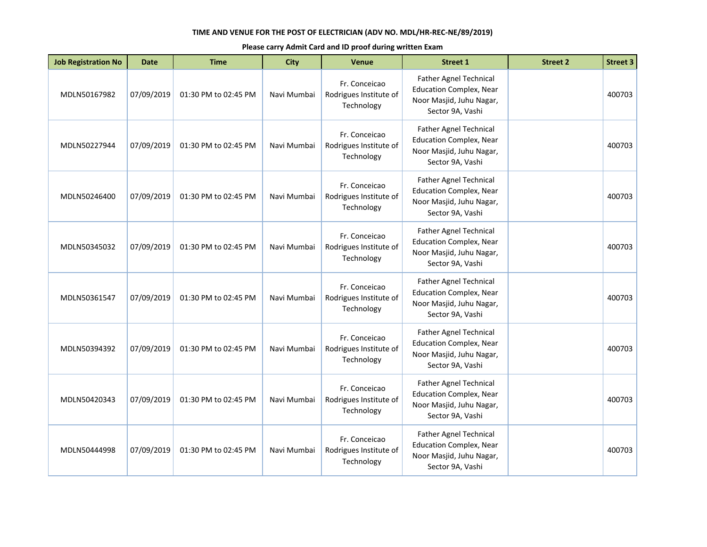| <b>Job Registration No</b> | <b>Date</b> | <b>Time</b>          | <b>City</b> | <b>Venue</b>                                          | <b>Street 1</b>                                                                                                 | <b>Street 2</b> | <b>Street 3</b> |
|----------------------------|-------------|----------------------|-------------|-------------------------------------------------------|-----------------------------------------------------------------------------------------------------------------|-----------------|-----------------|
| MDLN50167982               | 07/09/2019  | 01:30 PM to 02:45 PM | Navi Mumbai | Fr. Conceicao<br>Rodrigues Institute of<br>Technology | Father Agnel Technical<br><b>Education Complex, Near</b><br>Noor Masjid, Juhu Nagar,<br>Sector 9A, Vashi        |                 | 400703          |
| MDLN50227944               | 07/09/2019  | 01:30 PM to 02:45 PM | Navi Mumbai | Fr. Conceicao<br>Rodrigues Institute of<br>Technology | <b>Father Agnel Technical</b><br><b>Education Complex, Near</b><br>Noor Masjid, Juhu Nagar,<br>Sector 9A, Vashi |                 | 400703          |
| MDLN50246400               | 07/09/2019  | 01:30 PM to 02:45 PM | Navi Mumbai | Fr. Conceicao<br>Rodrigues Institute of<br>Technology | <b>Father Agnel Technical</b><br><b>Education Complex, Near</b><br>Noor Masjid, Juhu Nagar,<br>Sector 9A, Vashi |                 | 400703          |
| MDLN50345032               | 07/09/2019  | 01:30 PM to 02:45 PM | Navi Mumbai | Fr. Conceicao<br>Rodrigues Institute of<br>Technology | Father Agnel Technical<br><b>Education Complex, Near</b><br>Noor Masjid, Juhu Nagar,<br>Sector 9A, Vashi        |                 | 400703          |
| MDLN50361547               | 07/09/2019  | 01:30 PM to 02:45 PM | Navi Mumbai | Fr. Conceicao<br>Rodrigues Institute of<br>Technology | Father Agnel Technical<br><b>Education Complex, Near</b><br>Noor Masjid, Juhu Nagar,<br>Sector 9A, Vashi        |                 | 400703          |
| MDLN50394392               | 07/09/2019  | 01:30 PM to 02:45 PM | Navi Mumbai | Fr. Conceicao<br>Rodrigues Institute of<br>Technology | <b>Father Agnel Technical</b><br><b>Education Complex, Near</b><br>Noor Masjid, Juhu Nagar,<br>Sector 9A, Vashi |                 | 400703          |
| MDLN50420343               | 07/09/2019  | 01:30 PM to 02:45 PM | Navi Mumbai | Fr. Conceicao<br>Rodrigues Institute of<br>Technology | Father Agnel Technical<br><b>Education Complex, Near</b><br>Noor Masjid, Juhu Nagar,<br>Sector 9A, Vashi        |                 | 400703          |
| MDLN50444998               | 07/09/2019  | 01:30 PM to 02:45 PM | Navi Mumbai | Fr. Conceicao<br>Rodrigues Institute of<br>Technology | Father Agnel Technical<br><b>Education Complex, Near</b><br>Noor Masjid, Juhu Nagar,<br>Sector 9A, Vashi        |                 | 400703          |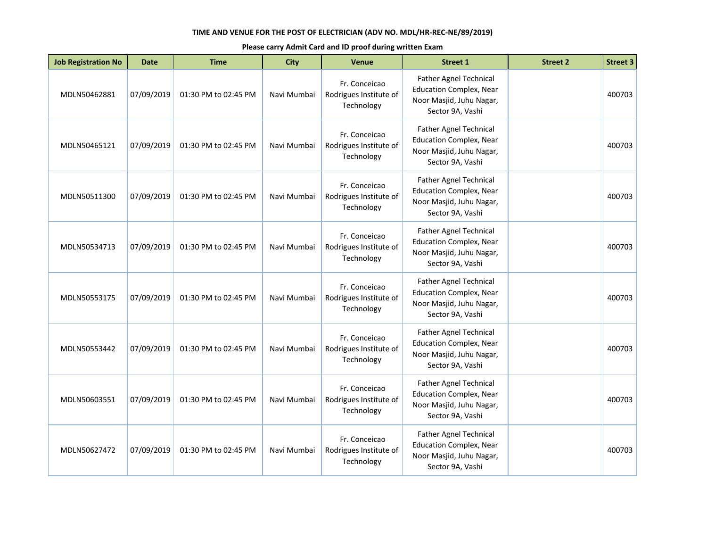| <b>Job Registration No</b> | <b>Date</b> | <b>Time</b>          | <b>City</b> | Venue                                                 | <b>Street 1</b>                                                                                                 | <b>Street 2</b> | <b>Street 3</b> |
|----------------------------|-------------|----------------------|-------------|-------------------------------------------------------|-----------------------------------------------------------------------------------------------------------------|-----------------|-----------------|
| MDLN50462881               | 07/09/2019  | 01:30 PM to 02:45 PM | Navi Mumbai | Fr. Conceicao<br>Rodrigues Institute of<br>Technology | Father Agnel Technical<br><b>Education Complex, Near</b><br>Noor Masjid, Juhu Nagar,<br>Sector 9A, Vashi        |                 | 400703          |
| MDLN50465121               | 07/09/2019  | 01:30 PM to 02:45 PM | Navi Mumbai | Fr. Conceicao<br>Rodrigues Institute of<br>Technology | <b>Father Agnel Technical</b><br><b>Education Complex, Near</b><br>Noor Masjid, Juhu Nagar,<br>Sector 9A, Vashi |                 | 400703          |
| MDLN50511300               | 07/09/2019  | 01:30 PM to 02:45 PM | Navi Mumbai | Fr. Conceicao<br>Rodrigues Institute of<br>Technology | <b>Father Agnel Technical</b><br><b>Education Complex, Near</b><br>Noor Masjid, Juhu Nagar,<br>Sector 9A, Vashi |                 | 400703          |
| MDLN50534713               | 07/09/2019  | 01:30 PM to 02:45 PM | Navi Mumbai | Fr. Conceicao<br>Rodrigues Institute of<br>Technology | <b>Father Agnel Technical</b><br><b>Education Complex, Near</b><br>Noor Masjid, Juhu Nagar,<br>Sector 9A, Vashi |                 | 400703          |
| MDLN50553175               | 07/09/2019  | 01:30 PM to 02:45 PM | Navi Mumbai | Fr. Conceicao<br>Rodrigues Institute of<br>Technology | <b>Father Agnel Technical</b><br><b>Education Complex, Near</b><br>Noor Masjid, Juhu Nagar,<br>Sector 9A, Vashi |                 | 400703          |
| MDLN50553442               | 07/09/2019  | 01:30 PM to 02:45 PM | Navi Mumbai | Fr. Conceicao<br>Rodrigues Institute of<br>Technology | <b>Father Agnel Technical</b><br><b>Education Complex, Near</b><br>Noor Masjid, Juhu Nagar,<br>Sector 9A, Vashi |                 | 400703          |
| MDLN50603551               | 07/09/2019  | 01:30 PM to 02:45 PM | Navi Mumbai | Fr. Conceicao<br>Rodrigues Institute of<br>Technology | <b>Father Agnel Technical</b><br><b>Education Complex, Near</b><br>Noor Masjid, Juhu Nagar,<br>Sector 9A, Vashi |                 | 400703          |
| MDLN50627472               | 07/09/2019  | 01:30 PM to 02:45 PM | Navi Mumbai | Fr. Conceicao<br>Rodrigues Institute of<br>Technology | Father Agnel Technical<br><b>Education Complex, Near</b><br>Noor Masjid, Juhu Nagar,<br>Sector 9A, Vashi        |                 | 400703          |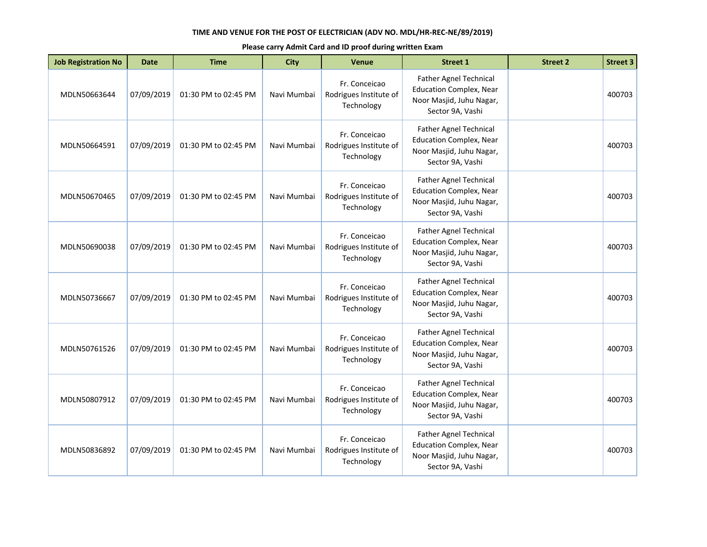| <b>Job Registration No</b> | <b>Date</b> | <b>Time</b>          | <b>City</b> | <b>Venue</b>                                          | <b>Street 1</b>                                                                                                 | <b>Street 2</b> | <b>Street 3</b> |
|----------------------------|-------------|----------------------|-------------|-------------------------------------------------------|-----------------------------------------------------------------------------------------------------------------|-----------------|-----------------|
| MDLN50663644               | 07/09/2019  | 01:30 PM to 02:45 PM | Navi Mumbai | Fr. Conceicao<br>Rodrigues Institute of<br>Technology | Father Agnel Technical<br><b>Education Complex, Near</b><br>Noor Masjid, Juhu Nagar,<br>Sector 9A, Vashi        |                 | 400703          |
| MDLN50664591               | 07/09/2019  | 01:30 PM to 02:45 PM | Navi Mumbai | Fr. Conceicao<br>Rodrigues Institute of<br>Technology | <b>Father Agnel Technical</b><br><b>Education Complex, Near</b><br>Noor Masjid, Juhu Nagar,<br>Sector 9A, Vashi |                 | 400703          |
| MDLN50670465               | 07/09/2019  | 01:30 PM to 02:45 PM | Navi Mumbai | Fr. Conceicao<br>Rodrigues Institute of<br>Technology | <b>Father Agnel Technical</b><br><b>Education Complex, Near</b><br>Noor Masjid, Juhu Nagar,<br>Sector 9A, Vashi |                 | 400703          |
| MDLN50690038               | 07/09/2019  | 01:30 PM to 02:45 PM | Navi Mumbai | Fr. Conceicao<br>Rodrigues Institute of<br>Technology | Father Agnel Technical<br><b>Education Complex, Near</b><br>Noor Masjid, Juhu Nagar,<br>Sector 9A, Vashi        |                 | 400703          |
| MDLN50736667               | 07/09/2019  | 01:30 PM to 02:45 PM | Navi Mumbai | Fr. Conceicao<br>Rodrigues Institute of<br>Technology | Father Agnel Technical<br><b>Education Complex, Near</b><br>Noor Masjid, Juhu Nagar,<br>Sector 9A, Vashi        |                 | 400703          |
| MDLN50761526               | 07/09/2019  | 01:30 PM to 02:45 PM | Navi Mumbai | Fr. Conceicao<br>Rodrigues Institute of<br>Technology | <b>Father Agnel Technical</b><br><b>Education Complex, Near</b><br>Noor Masjid, Juhu Nagar,<br>Sector 9A, Vashi |                 | 400703          |
| MDLN50807912               | 07/09/2019  | 01:30 PM to 02:45 PM | Navi Mumbai | Fr. Conceicao<br>Rodrigues Institute of<br>Technology | Father Agnel Technical<br><b>Education Complex, Near</b><br>Noor Masjid, Juhu Nagar,<br>Sector 9A, Vashi        |                 | 400703          |
| MDLN50836892               | 07/09/2019  | 01:30 PM to 02:45 PM | Navi Mumbai | Fr. Conceicao<br>Rodrigues Institute of<br>Technology | Father Agnel Technical<br><b>Education Complex, Near</b><br>Noor Masjid, Juhu Nagar,<br>Sector 9A, Vashi        |                 | 400703          |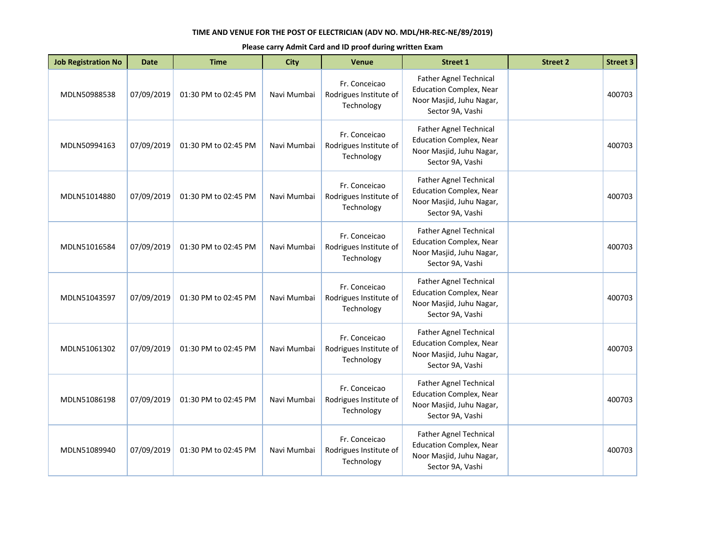| <b>Job Registration No</b> | <b>Date</b> | <b>Time</b>          | <b>City</b> | Venue                                                 | <b>Street 1</b>                                                                                                 | <b>Street 2</b> | <b>Street 3</b> |
|----------------------------|-------------|----------------------|-------------|-------------------------------------------------------|-----------------------------------------------------------------------------------------------------------------|-----------------|-----------------|
| MDLN50988538               | 07/09/2019  | 01:30 PM to 02:45 PM | Navi Mumbai | Fr. Conceicao<br>Rodrigues Institute of<br>Technology | Father Agnel Technical<br><b>Education Complex, Near</b><br>Noor Masjid, Juhu Nagar,<br>Sector 9A, Vashi        |                 | 400703          |
| MDLN50994163               | 07/09/2019  | 01:30 PM to 02:45 PM | Navi Mumbai | Fr. Conceicao<br>Rodrigues Institute of<br>Technology | <b>Father Agnel Technical</b><br><b>Education Complex, Near</b><br>Noor Masjid, Juhu Nagar,<br>Sector 9A, Vashi |                 | 400703          |
| MDLN51014880               | 07/09/2019  | 01:30 PM to 02:45 PM | Navi Mumbai | Fr. Conceicao<br>Rodrigues Institute of<br>Technology | Father Agnel Technical<br><b>Education Complex, Near</b><br>Noor Masjid, Juhu Nagar,<br>Sector 9A, Vashi        |                 | 400703          |
| MDLN51016584               | 07/09/2019  | 01:30 PM to 02:45 PM | Navi Mumbai | Fr. Conceicao<br>Rodrigues Institute of<br>Technology | <b>Father Agnel Technical</b><br><b>Education Complex, Near</b><br>Noor Masjid, Juhu Nagar,<br>Sector 9A, Vashi |                 | 400703          |
| MDLN51043597               | 07/09/2019  | 01:30 PM to 02:45 PM | Navi Mumbai | Fr. Conceicao<br>Rodrigues Institute of<br>Technology | <b>Father Agnel Technical</b><br><b>Education Complex, Near</b><br>Noor Masjid, Juhu Nagar,<br>Sector 9A, Vashi |                 | 400703          |
| MDLN51061302               | 07/09/2019  | 01:30 PM to 02:45 PM | Navi Mumbai | Fr. Conceicao<br>Rodrigues Institute of<br>Technology | Father Agnel Technical<br><b>Education Complex, Near</b><br>Noor Masjid, Juhu Nagar,<br>Sector 9A, Vashi        |                 | 400703          |
| MDLN51086198               | 07/09/2019  | 01:30 PM to 02:45 PM | Navi Mumbai | Fr. Conceicao<br>Rodrigues Institute of<br>Technology | <b>Father Agnel Technical</b><br><b>Education Complex, Near</b><br>Noor Masjid, Juhu Nagar,<br>Sector 9A, Vashi |                 | 400703          |
| MDLN51089940               | 07/09/2019  | 01:30 PM to 02:45 PM | Navi Mumbai | Fr. Conceicao<br>Rodrigues Institute of<br>Technology | Father Agnel Technical<br><b>Education Complex, Near</b><br>Noor Masjid, Juhu Nagar,<br>Sector 9A, Vashi        |                 | 400703          |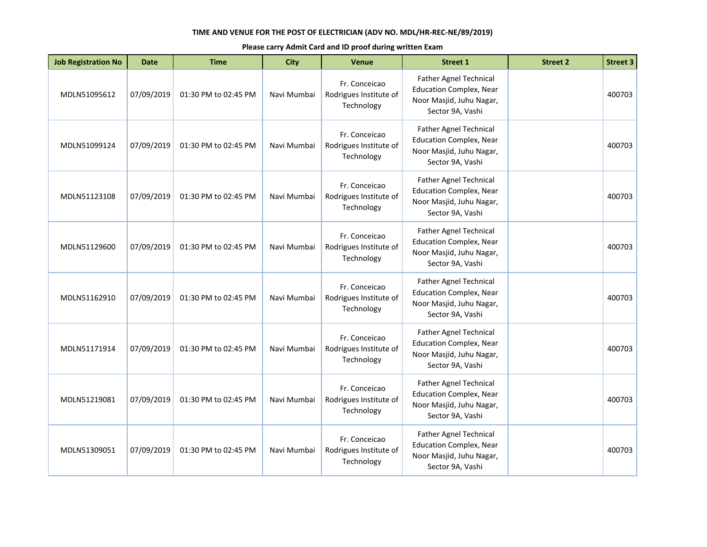| <b>Job Registration No</b> | <b>Date</b> | <b>Time</b>          | <b>City</b> | <b>Venue</b>                                          | <b>Street 1</b>                                                                                                 | <b>Street 2</b> | <b>Street 3</b> |
|----------------------------|-------------|----------------------|-------------|-------------------------------------------------------|-----------------------------------------------------------------------------------------------------------------|-----------------|-----------------|
| MDLN51095612               | 07/09/2019  | 01:30 PM to 02:45 PM | Navi Mumbai | Fr. Conceicao<br>Rodrigues Institute of<br>Technology | Father Agnel Technical<br><b>Education Complex, Near</b><br>Noor Masjid, Juhu Nagar,<br>Sector 9A, Vashi        |                 | 400703          |
| MDLN51099124               | 07/09/2019  | 01:30 PM to 02:45 PM | Navi Mumbai | Fr. Conceicao<br>Rodrigues Institute of<br>Technology | <b>Father Agnel Technical</b><br><b>Education Complex, Near</b><br>Noor Masjid, Juhu Nagar,<br>Sector 9A, Vashi |                 | 400703          |
| MDLN51123108               | 07/09/2019  | 01:30 PM to 02:45 PM | Navi Mumbai | Fr. Conceicao<br>Rodrigues Institute of<br>Technology | <b>Father Agnel Technical</b><br><b>Education Complex, Near</b><br>Noor Masjid, Juhu Nagar,<br>Sector 9A, Vashi |                 | 400703          |
| MDLN51129600               | 07/09/2019  | 01:30 PM to 02:45 PM | Navi Mumbai | Fr. Conceicao<br>Rodrigues Institute of<br>Technology | <b>Father Agnel Technical</b><br><b>Education Complex, Near</b><br>Noor Masjid, Juhu Nagar,<br>Sector 9A, Vashi |                 | 400703          |
| MDLN51162910               | 07/09/2019  | 01:30 PM to 02:45 PM | Navi Mumbai | Fr. Conceicao<br>Rodrigues Institute of<br>Technology | Father Agnel Technical<br><b>Education Complex, Near</b><br>Noor Masjid, Juhu Nagar,<br>Sector 9A, Vashi        |                 | 400703          |
| MDLN51171914               | 07/09/2019  | 01:30 PM to 02:45 PM | Navi Mumbai | Fr. Conceicao<br>Rodrigues Institute of<br>Technology | <b>Father Agnel Technical</b><br><b>Education Complex, Near</b><br>Noor Masjid, Juhu Nagar,<br>Sector 9A, Vashi |                 | 400703          |
| MDLN51219081               | 07/09/2019  | 01:30 PM to 02:45 PM | Navi Mumbai | Fr. Conceicao<br>Rodrigues Institute of<br>Technology | Father Agnel Technical<br><b>Education Complex, Near</b><br>Noor Masjid, Juhu Nagar,<br>Sector 9A, Vashi        |                 | 400703          |
| MDLN51309051               | 07/09/2019  | 01:30 PM to 02:45 PM | Navi Mumbai | Fr. Conceicao<br>Rodrigues Institute of<br>Technology | Father Agnel Technical<br><b>Education Complex, Near</b><br>Noor Masjid, Juhu Nagar,<br>Sector 9A, Vashi        |                 | 400703          |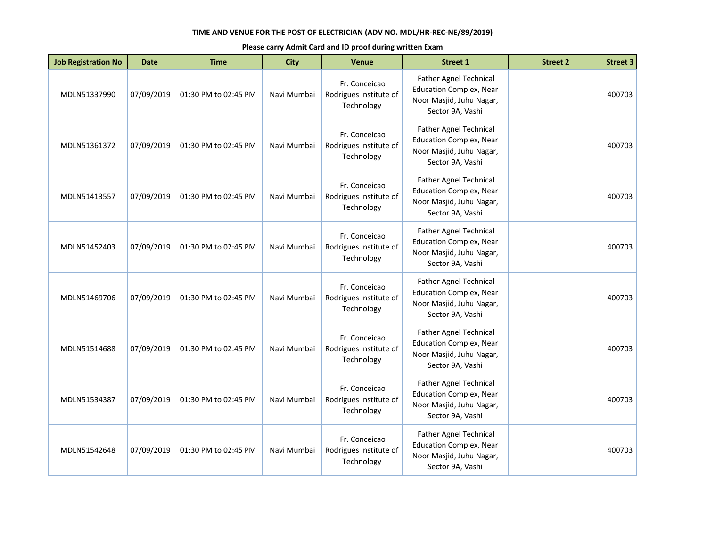| <b>Job Registration No</b> | <b>Date</b> | <b>Time</b>          | <b>City</b> | <b>Venue</b>                                          | <b>Street 1</b>                                                                                                 | <b>Street 2</b> | <b>Street 3</b> |
|----------------------------|-------------|----------------------|-------------|-------------------------------------------------------|-----------------------------------------------------------------------------------------------------------------|-----------------|-----------------|
| MDLN51337990               | 07/09/2019  | 01:30 PM to 02:45 PM | Navi Mumbai | Fr. Conceicao<br>Rodrigues Institute of<br>Technology | Father Agnel Technical<br><b>Education Complex, Near</b><br>Noor Masjid, Juhu Nagar,<br>Sector 9A, Vashi        |                 | 400703          |
| MDLN51361372               | 07/09/2019  | 01:30 PM to 02:45 PM | Navi Mumbai | Fr. Conceicao<br>Rodrigues Institute of<br>Technology | <b>Father Agnel Technical</b><br><b>Education Complex, Near</b><br>Noor Masjid, Juhu Nagar,<br>Sector 9A, Vashi |                 | 400703          |
| MDLN51413557               | 07/09/2019  | 01:30 PM to 02:45 PM | Navi Mumbai | Fr. Conceicao<br>Rodrigues Institute of<br>Technology | <b>Father Agnel Technical</b><br><b>Education Complex, Near</b><br>Noor Masjid, Juhu Nagar,<br>Sector 9A, Vashi |                 | 400703          |
| MDLN51452403               | 07/09/2019  | 01:30 PM to 02:45 PM | Navi Mumbai | Fr. Conceicao<br>Rodrigues Institute of<br>Technology | <b>Father Agnel Technical</b><br><b>Education Complex, Near</b><br>Noor Masjid, Juhu Nagar,<br>Sector 9A, Vashi |                 | 400703          |
| MDLN51469706               | 07/09/2019  | 01:30 PM to 02:45 PM | Navi Mumbai | Fr. Conceicao<br>Rodrigues Institute of<br>Technology | Father Agnel Technical<br><b>Education Complex, Near</b><br>Noor Masjid, Juhu Nagar,<br>Sector 9A, Vashi        |                 | 400703          |
| MDLN51514688               | 07/09/2019  | 01:30 PM to 02:45 PM | Navi Mumbai | Fr. Conceicao<br>Rodrigues Institute of<br>Technology | <b>Father Agnel Technical</b><br><b>Education Complex, Near</b><br>Noor Masjid, Juhu Nagar,<br>Sector 9A, Vashi |                 | 400703          |
| MDLN51534387               | 07/09/2019  | 01:30 PM to 02:45 PM | Navi Mumbai | Fr. Conceicao<br>Rodrigues Institute of<br>Technology | Father Agnel Technical<br><b>Education Complex, Near</b><br>Noor Masjid, Juhu Nagar,<br>Sector 9A, Vashi        |                 | 400703          |
| MDLN51542648               | 07/09/2019  | 01:30 PM to 02:45 PM | Navi Mumbai | Fr. Conceicao<br>Rodrigues Institute of<br>Technology | Father Agnel Technical<br><b>Education Complex, Near</b><br>Noor Masjid, Juhu Nagar,<br>Sector 9A, Vashi        |                 | 400703          |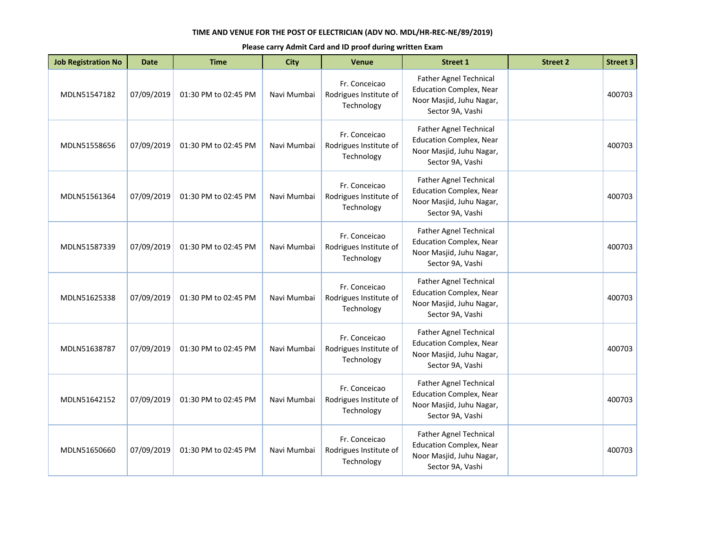| <b>Job Registration No</b> | <b>Date</b> | <b>Time</b>          | <b>City</b> | Venue                                                 | <b>Street 1</b>                                                                                                 | <b>Street 2</b> | <b>Street 3</b> |
|----------------------------|-------------|----------------------|-------------|-------------------------------------------------------|-----------------------------------------------------------------------------------------------------------------|-----------------|-----------------|
| MDLN51547182               | 07/09/2019  | 01:30 PM to 02:45 PM | Navi Mumbai | Fr. Conceicao<br>Rodrigues Institute of<br>Technology | Father Agnel Technical<br><b>Education Complex, Near</b><br>Noor Masjid, Juhu Nagar,<br>Sector 9A, Vashi        |                 | 400703          |
| MDLN51558656               | 07/09/2019  | 01:30 PM to 02:45 PM | Navi Mumbai | Fr. Conceicao<br>Rodrigues Institute of<br>Technology | <b>Father Agnel Technical</b><br><b>Education Complex, Near</b><br>Noor Masjid, Juhu Nagar,<br>Sector 9A, Vashi |                 | 400703          |
| MDLN51561364               | 07/09/2019  | 01:30 PM to 02:45 PM | Navi Mumbai | Fr. Conceicao<br>Rodrigues Institute of<br>Technology | <b>Father Agnel Technical</b><br><b>Education Complex, Near</b><br>Noor Masjid, Juhu Nagar,<br>Sector 9A, Vashi |                 | 400703          |
| MDLN51587339               | 07/09/2019  | 01:30 PM to 02:45 PM | Navi Mumbai | Fr. Conceicao<br>Rodrigues Institute of<br>Technology | <b>Father Agnel Technical</b><br><b>Education Complex, Near</b><br>Noor Masjid, Juhu Nagar,<br>Sector 9A, Vashi |                 | 400703          |
| MDLN51625338               | 07/09/2019  | 01:30 PM to 02:45 PM | Navi Mumbai | Fr. Conceicao<br>Rodrigues Institute of<br>Technology | <b>Father Agnel Technical</b><br><b>Education Complex, Near</b><br>Noor Masjid, Juhu Nagar,<br>Sector 9A, Vashi |                 | 400703          |
| MDLN51638787               | 07/09/2019  | 01:30 PM to 02:45 PM | Navi Mumbai | Fr. Conceicao<br>Rodrigues Institute of<br>Technology | <b>Father Agnel Technical</b><br><b>Education Complex, Near</b><br>Noor Masjid, Juhu Nagar,<br>Sector 9A, Vashi |                 | 400703          |
| MDLN51642152               | 07/09/2019  | 01:30 PM to 02:45 PM | Navi Mumbai | Fr. Conceicao<br>Rodrigues Institute of<br>Technology | <b>Father Agnel Technical</b><br><b>Education Complex, Near</b><br>Noor Masjid, Juhu Nagar,<br>Sector 9A, Vashi |                 | 400703          |
| MDLN51650660               | 07/09/2019  | 01:30 PM to 02:45 PM | Navi Mumbai | Fr. Conceicao<br>Rodrigues Institute of<br>Technology | Father Agnel Technical<br><b>Education Complex, Near</b><br>Noor Masjid, Juhu Nagar,<br>Sector 9A, Vashi        |                 | 400703          |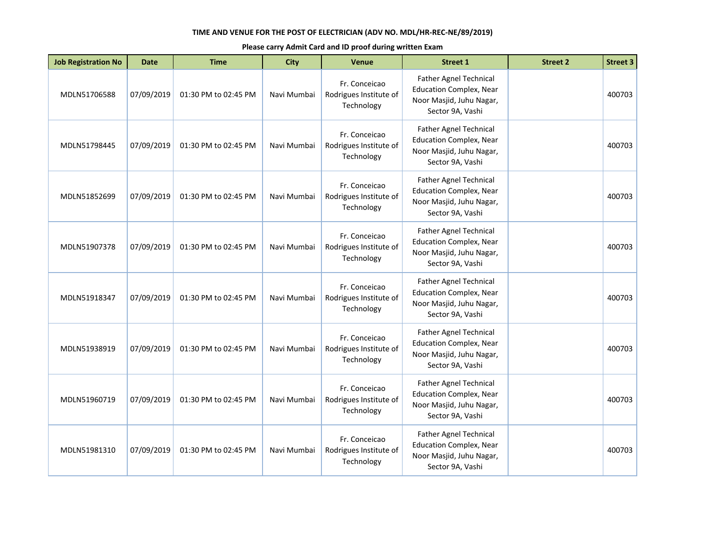| <b>Job Registration No</b> | <b>Date</b> | <b>Time</b>          | <b>City</b> | Venue                                                 | <b>Street 1</b>                                                                                                 | <b>Street 2</b> | <b>Street 3</b> |
|----------------------------|-------------|----------------------|-------------|-------------------------------------------------------|-----------------------------------------------------------------------------------------------------------------|-----------------|-----------------|
| MDLN51706588               | 07/09/2019  | 01:30 PM to 02:45 PM | Navi Mumbai | Fr. Conceicao<br>Rodrigues Institute of<br>Technology | Father Agnel Technical<br><b>Education Complex, Near</b><br>Noor Masjid, Juhu Nagar,<br>Sector 9A, Vashi        |                 | 400703          |
| MDLN51798445               | 07/09/2019  | 01:30 PM to 02:45 PM | Navi Mumbai | Fr. Conceicao<br>Rodrigues Institute of<br>Technology | <b>Father Agnel Technical</b><br><b>Education Complex, Near</b><br>Noor Masjid, Juhu Nagar,<br>Sector 9A, Vashi |                 | 400703          |
| MDLN51852699               | 07/09/2019  | 01:30 PM to 02:45 PM | Navi Mumbai | Fr. Conceicao<br>Rodrigues Institute of<br>Technology | Father Agnel Technical<br><b>Education Complex, Near</b><br>Noor Masjid, Juhu Nagar,<br>Sector 9A, Vashi        |                 | 400703          |
| MDLN51907378               | 07/09/2019  | 01:30 PM to 02:45 PM | Navi Mumbai | Fr. Conceicao<br>Rodrigues Institute of<br>Technology | <b>Father Agnel Technical</b><br><b>Education Complex, Near</b><br>Noor Masjid, Juhu Nagar,<br>Sector 9A, Vashi |                 | 400703          |
| MDLN51918347               | 07/09/2019  | 01:30 PM to 02:45 PM | Navi Mumbai | Fr. Conceicao<br>Rodrigues Institute of<br>Technology | <b>Father Agnel Technical</b><br><b>Education Complex, Near</b><br>Noor Masjid, Juhu Nagar,<br>Sector 9A, Vashi |                 | 400703          |
| MDLN51938919               | 07/09/2019  | 01:30 PM to 02:45 PM | Navi Mumbai | Fr. Conceicao<br>Rodrigues Institute of<br>Technology | Father Agnel Technical<br><b>Education Complex, Near</b><br>Noor Masjid, Juhu Nagar,<br>Sector 9A, Vashi        |                 | 400703          |
| MDLN51960719               | 07/09/2019  | 01:30 PM to 02:45 PM | Navi Mumbai | Fr. Conceicao<br>Rodrigues Institute of<br>Technology | <b>Father Agnel Technical</b><br><b>Education Complex, Near</b><br>Noor Masjid, Juhu Nagar,<br>Sector 9A, Vashi |                 | 400703          |
| MDLN51981310               | 07/09/2019  | 01:30 PM to 02:45 PM | Navi Mumbai | Fr. Conceicao<br>Rodrigues Institute of<br>Technology | Father Agnel Technical<br><b>Education Complex, Near</b><br>Noor Masjid, Juhu Nagar,<br>Sector 9A, Vashi        |                 | 400703          |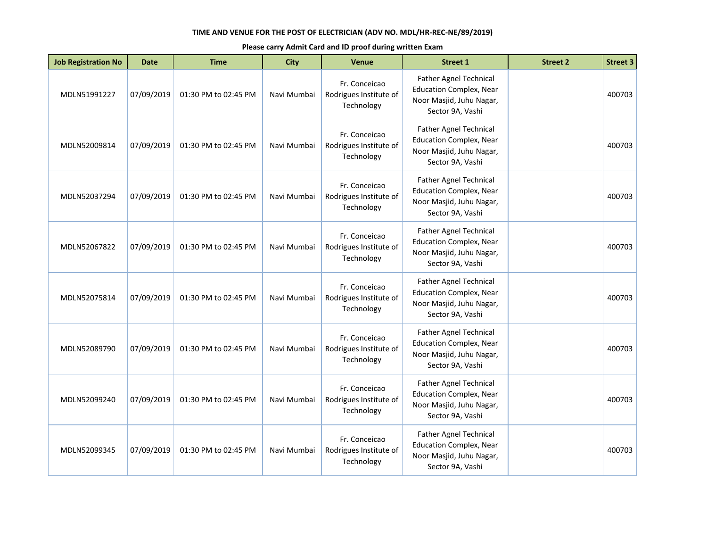| <b>Job Registration No</b> | <b>Date</b> | <b>Time</b>          | <b>City</b> | Venue                                                 | <b>Street 1</b>                                                                                                 | <b>Street 2</b> | <b>Street 3</b> |
|----------------------------|-------------|----------------------|-------------|-------------------------------------------------------|-----------------------------------------------------------------------------------------------------------------|-----------------|-----------------|
| MDLN51991227               | 07/09/2019  | 01:30 PM to 02:45 PM | Navi Mumbai | Fr. Conceicao<br>Rodrigues Institute of<br>Technology | Father Agnel Technical<br><b>Education Complex, Near</b><br>Noor Masjid, Juhu Nagar,<br>Sector 9A, Vashi        |                 | 400703          |
| MDLN52009814               | 07/09/2019  | 01:30 PM to 02:45 PM | Navi Mumbai | Fr. Conceicao<br>Rodrigues Institute of<br>Technology | <b>Father Agnel Technical</b><br><b>Education Complex, Near</b><br>Noor Masjid, Juhu Nagar,<br>Sector 9A, Vashi |                 | 400703          |
| MDLN52037294               | 07/09/2019  | 01:30 PM to 02:45 PM | Navi Mumbai | Fr. Conceicao<br>Rodrigues Institute of<br>Technology | Father Agnel Technical<br><b>Education Complex, Near</b><br>Noor Masjid, Juhu Nagar,<br>Sector 9A, Vashi        |                 | 400703          |
| MDLN52067822               | 07/09/2019  | 01:30 PM to 02:45 PM | Navi Mumbai | Fr. Conceicao<br>Rodrigues Institute of<br>Technology | <b>Father Agnel Technical</b><br><b>Education Complex, Near</b><br>Noor Masjid, Juhu Nagar,<br>Sector 9A, Vashi |                 | 400703          |
| MDLN52075814               | 07/09/2019  | 01:30 PM to 02:45 PM | Navi Mumbai | Fr. Conceicao<br>Rodrigues Institute of<br>Technology | <b>Father Agnel Technical</b><br><b>Education Complex, Near</b><br>Noor Masjid, Juhu Nagar,<br>Sector 9A, Vashi |                 | 400703          |
| MDLN52089790               | 07/09/2019  | 01:30 PM to 02:45 PM | Navi Mumbai | Fr. Conceicao<br>Rodrigues Institute of<br>Technology | Father Agnel Technical<br><b>Education Complex, Near</b><br>Noor Masjid, Juhu Nagar,<br>Sector 9A, Vashi        |                 | 400703          |
| MDLN52099240               | 07/09/2019  | 01:30 PM to 02:45 PM | Navi Mumbai | Fr. Conceicao<br>Rodrigues Institute of<br>Technology | <b>Father Agnel Technical</b><br><b>Education Complex, Near</b><br>Noor Masjid, Juhu Nagar,<br>Sector 9A, Vashi |                 | 400703          |
| MDLN52099345               | 07/09/2019  | 01:30 PM to 02:45 PM | Navi Mumbai | Fr. Conceicao<br>Rodrigues Institute of<br>Technology | Father Agnel Technical<br><b>Education Complex, Near</b><br>Noor Masjid, Juhu Nagar,<br>Sector 9A, Vashi        |                 | 400703          |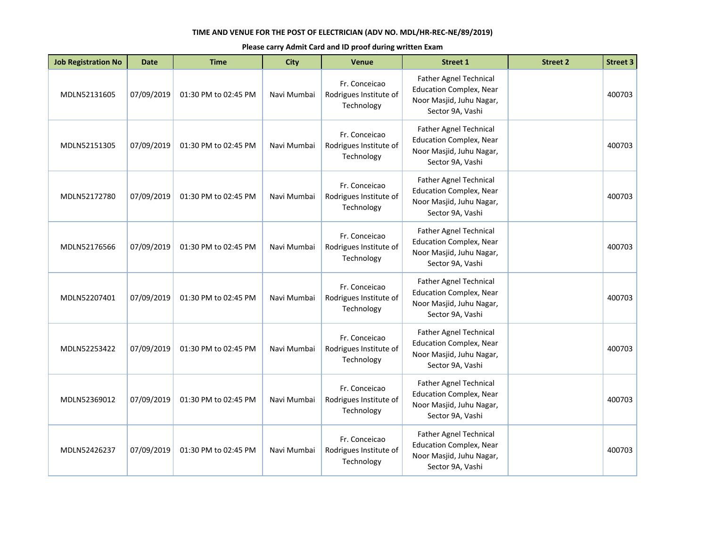| <b>Job Registration No</b> | <b>Date</b> | <b>Time</b>          | <b>City</b> | Venue                                                 | <b>Street 1</b>                                                                                                 | <b>Street 2</b> | <b>Street 3</b> |
|----------------------------|-------------|----------------------|-------------|-------------------------------------------------------|-----------------------------------------------------------------------------------------------------------------|-----------------|-----------------|
| MDLN52131605               | 07/09/2019  | 01:30 PM to 02:45 PM | Navi Mumbai | Fr. Conceicao<br>Rodrigues Institute of<br>Technology | Father Agnel Technical<br><b>Education Complex, Near</b><br>Noor Masjid, Juhu Nagar,<br>Sector 9A, Vashi        |                 | 400703          |
| MDLN52151305               | 07/09/2019  | 01:30 PM to 02:45 PM | Navi Mumbai | Fr. Conceicao<br>Rodrigues Institute of<br>Technology | <b>Father Agnel Technical</b><br><b>Education Complex, Near</b><br>Noor Masjid, Juhu Nagar,<br>Sector 9A, Vashi |                 | 400703          |
| MDLN52172780               | 07/09/2019  | 01:30 PM to 02:45 PM | Navi Mumbai | Fr. Conceicao<br>Rodrigues Institute of<br>Technology | Father Agnel Technical<br><b>Education Complex, Near</b><br>Noor Masjid, Juhu Nagar,<br>Sector 9A, Vashi        |                 | 400703          |
| MDLN52176566               | 07/09/2019  | 01:30 PM to 02:45 PM | Navi Mumbai | Fr. Conceicao<br>Rodrigues Institute of<br>Technology | <b>Father Agnel Technical</b><br><b>Education Complex, Near</b><br>Noor Masjid, Juhu Nagar,<br>Sector 9A, Vashi |                 | 400703          |
| MDLN52207401               | 07/09/2019  | 01:30 PM to 02:45 PM | Navi Mumbai | Fr. Conceicao<br>Rodrigues Institute of<br>Technology | <b>Father Agnel Technical</b><br><b>Education Complex, Near</b><br>Noor Masjid, Juhu Nagar,<br>Sector 9A, Vashi |                 | 400703          |
| MDLN52253422               | 07/09/2019  | 01:30 PM to 02:45 PM | Navi Mumbai | Fr. Conceicao<br>Rodrigues Institute of<br>Technology | Father Agnel Technical<br><b>Education Complex, Near</b><br>Noor Masjid, Juhu Nagar,<br>Sector 9A, Vashi        |                 | 400703          |
| MDLN52369012               | 07/09/2019  | 01:30 PM to 02:45 PM | Navi Mumbai | Fr. Conceicao<br>Rodrigues Institute of<br>Technology | <b>Father Agnel Technical</b><br><b>Education Complex, Near</b><br>Noor Masjid, Juhu Nagar,<br>Sector 9A, Vashi |                 | 400703          |
| MDLN52426237               | 07/09/2019  | 01:30 PM to 02:45 PM | Navi Mumbai | Fr. Conceicao<br>Rodrigues Institute of<br>Technology | Father Agnel Technical<br><b>Education Complex, Near</b><br>Noor Masjid, Juhu Nagar,<br>Sector 9A, Vashi        |                 | 400703          |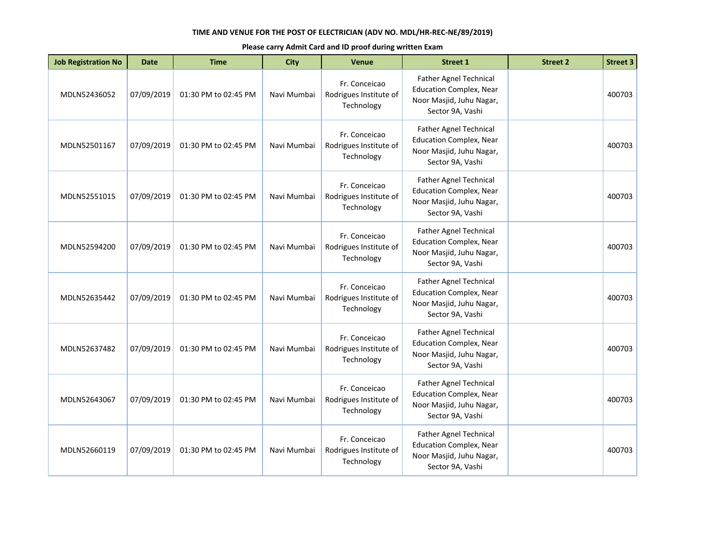| <b>Job Registration No</b> | <b>Date</b> | <b>Time</b>          | <b>City</b> | Venue                                                 | <b>Street 1</b>                                                                                                 | <b>Street 2</b> | <b>Street 3</b> |
|----------------------------|-------------|----------------------|-------------|-------------------------------------------------------|-----------------------------------------------------------------------------------------------------------------|-----------------|-----------------|
| MDLN52436052               | 07/09/2019  | 01:30 PM to 02:45 PM | Navi Mumbai | Fr. Conceicao<br>Rodrigues Institute of<br>Technology | Father Agnel Technical<br><b>Education Complex, Near</b><br>Noor Masjid, Juhu Nagar,<br>Sector 9A, Vashi        |                 | 400703          |
| MDLN52501167               | 07/09/2019  | 01:30 PM to 02:45 PM | Navi Mumbai | Fr. Conceicao<br>Rodrigues Institute of<br>Technology | <b>Father Agnel Technical</b><br><b>Education Complex, Near</b><br>Noor Masjid, Juhu Nagar,<br>Sector 9A, Vashi |                 | 400703          |
| MDLN52551015               | 07/09/2019  | 01:30 PM to 02:45 PM | Navi Mumbai | Fr. Conceicao<br>Rodrigues Institute of<br>Technology | Father Agnel Technical<br><b>Education Complex, Near</b><br>Noor Masjid, Juhu Nagar,<br>Sector 9A, Vashi        |                 | 400703          |
| MDLN52594200               | 07/09/2019  | 01:30 PM to 02:45 PM | Navi Mumbai | Fr. Conceicao<br>Rodrigues Institute of<br>Technology | <b>Father Agnel Technical</b><br><b>Education Complex, Near</b><br>Noor Masjid, Juhu Nagar,<br>Sector 9A, Vashi |                 | 400703          |
| MDLN52635442               | 07/09/2019  | 01:30 PM to 02:45 PM | Navi Mumbai | Fr. Conceicao<br>Rodrigues Institute of<br>Technology | <b>Father Agnel Technical</b><br><b>Education Complex, Near</b><br>Noor Masjid, Juhu Nagar,<br>Sector 9A, Vashi |                 | 400703          |
| MDLN52637482               | 07/09/2019  | 01:30 PM to 02:45 PM | Navi Mumbai | Fr. Conceicao<br>Rodrigues Institute of<br>Technology | Father Agnel Technical<br><b>Education Complex, Near</b><br>Noor Masjid, Juhu Nagar,<br>Sector 9A, Vashi        |                 | 400703          |
| MDLN52643067               | 07/09/2019  | 01:30 PM to 02:45 PM | Navi Mumbai | Fr. Conceicao<br>Rodrigues Institute of<br>Technology | <b>Father Agnel Technical</b><br><b>Education Complex, Near</b><br>Noor Masjid, Juhu Nagar,<br>Sector 9A, Vashi |                 | 400703          |
| MDLN52660119               | 07/09/2019  | 01:30 PM to 02:45 PM | Navi Mumbai | Fr. Conceicao<br>Rodrigues Institute of<br>Technology | Father Agnel Technical<br><b>Education Complex, Near</b><br>Noor Masjid, Juhu Nagar,<br>Sector 9A, Vashi        |                 | 400703          |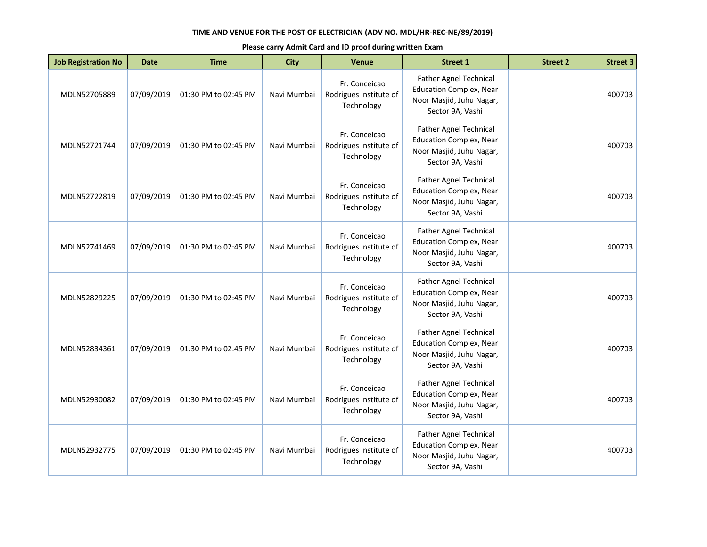| <b>Job Registration No</b> | <b>Date</b> | <b>Time</b>          | <b>City</b> | Venue                                                 | <b>Street 1</b>                                                                                                 | <b>Street 2</b> | <b>Street 3</b> |
|----------------------------|-------------|----------------------|-------------|-------------------------------------------------------|-----------------------------------------------------------------------------------------------------------------|-----------------|-----------------|
| MDLN52705889               | 07/09/2019  | 01:30 PM to 02:45 PM | Navi Mumbai | Fr. Conceicao<br>Rodrigues Institute of<br>Technology | Father Agnel Technical<br><b>Education Complex, Near</b><br>Noor Masjid, Juhu Nagar,<br>Sector 9A, Vashi        |                 | 400703          |
| MDLN52721744               | 07/09/2019  | 01:30 PM to 02:45 PM | Navi Mumbai | Fr. Conceicao<br>Rodrigues Institute of<br>Technology | <b>Father Agnel Technical</b><br><b>Education Complex, Near</b><br>Noor Masjid, Juhu Nagar,<br>Sector 9A, Vashi |                 | 400703          |
| MDLN52722819               | 07/09/2019  | 01:30 PM to 02:45 PM | Navi Mumbai | Fr. Conceicao<br>Rodrigues Institute of<br>Technology | Father Agnel Technical<br><b>Education Complex, Near</b><br>Noor Masjid, Juhu Nagar,<br>Sector 9A, Vashi        |                 | 400703          |
| MDLN52741469               | 07/09/2019  | 01:30 PM to 02:45 PM | Navi Mumbai | Fr. Conceicao<br>Rodrigues Institute of<br>Technology | <b>Father Agnel Technical</b><br><b>Education Complex, Near</b><br>Noor Masjid, Juhu Nagar,<br>Sector 9A, Vashi |                 | 400703          |
| MDLN52829225               | 07/09/2019  | 01:30 PM to 02:45 PM | Navi Mumbai | Fr. Conceicao<br>Rodrigues Institute of<br>Technology | <b>Father Agnel Technical</b><br><b>Education Complex, Near</b><br>Noor Masjid, Juhu Nagar,<br>Sector 9A, Vashi |                 | 400703          |
| MDLN52834361               | 07/09/2019  | 01:30 PM to 02:45 PM | Navi Mumbai | Fr. Conceicao<br>Rodrigues Institute of<br>Technology | Father Agnel Technical<br><b>Education Complex, Near</b><br>Noor Masjid, Juhu Nagar,<br>Sector 9A, Vashi        |                 | 400703          |
| MDLN52930082               | 07/09/2019  | 01:30 PM to 02:45 PM | Navi Mumbai | Fr. Conceicao<br>Rodrigues Institute of<br>Technology | <b>Father Agnel Technical</b><br><b>Education Complex, Near</b><br>Noor Masjid, Juhu Nagar,<br>Sector 9A, Vashi |                 | 400703          |
| MDLN52932775               | 07/09/2019  | 01:30 PM to 02:45 PM | Navi Mumbai | Fr. Conceicao<br>Rodrigues Institute of<br>Technology | Father Agnel Technical<br><b>Education Complex, Near</b><br>Noor Masjid, Juhu Nagar,<br>Sector 9A, Vashi        |                 | 400703          |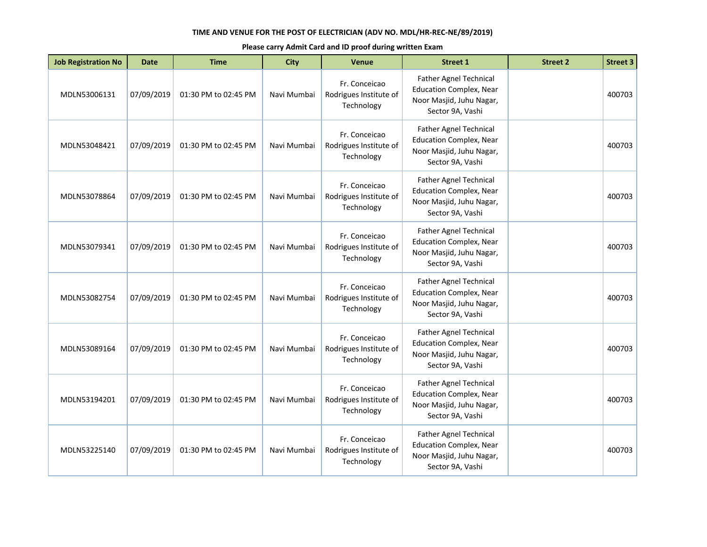| <b>Job Registration No</b> | <b>Date</b> | <b>Time</b>          | <b>City</b> | <b>Venue</b>                                          | <b>Street 1</b>                                                                                                 | <b>Street 2</b> | <b>Street 3</b> |
|----------------------------|-------------|----------------------|-------------|-------------------------------------------------------|-----------------------------------------------------------------------------------------------------------------|-----------------|-----------------|
| MDLN53006131               | 07/09/2019  | 01:30 PM to 02:45 PM | Navi Mumbai | Fr. Conceicao<br>Rodrigues Institute of<br>Technology | Father Agnel Technical<br><b>Education Complex, Near</b><br>Noor Masjid, Juhu Nagar,<br>Sector 9A, Vashi        |                 | 400703          |
| MDLN53048421               | 07/09/2019  | 01:30 PM to 02:45 PM | Navi Mumbai | Fr. Conceicao<br>Rodrigues Institute of<br>Technology | <b>Father Agnel Technical</b><br><b>Education Complex, Near</b><br>Noor Masjid, Juhu Nagar,<br>Sector 9A, Vashi |                 | 400703          |
| MDLN53078864               | 07/09/2019  | 01:30 PM to 02:45 PM | Navi Mumbai | Fr. Conceicao<br>Rodrigues Institute of<br>Technology | <b>Father Agnel Technical</b><br><b>Education Complex, Near</b><br>Noor Masjid, Juhu Nagar,<br>Sector 9A, Vashi |                 | 400703          |
| MDLN53079341               | 07/09/2019  | 01:30 PM to 02:45 PM | Navi Mumbai | Fr. Conceicao<br>Rodrigues Institute of<br>Technology | <b>Father Agnel Technical</b><br><b>Education Complex, Near</b><br>Noor Masjid, Juhu Nagar,<br>Sector 9A, Vashi |                 | 400703          |
| MDLN53082754               | 07/09/2019  | 01:30 PM to 02:45 PM | Navi Mumbai | Fr. Conceicao<br>Rodrigues Institute of<br>Technology | Father Agnel Technical<br><b>Education Complex, Near</b><br>Noor Masjid, Juhu Nagar,<br>Sector 9A, Vashi        |                 | 400703          |
| MDLN53089164               | 07/09/2019  | 01:30 PM to 02:45 PM | Navi Mumbai | Fr. Conceicao<br>Rodrigues Institute of<br>Technology | <b>Father Agnel Technical</b><br><b>Education Complex, Near</b><br>Noor Masjid, Juhu Nagar,<br>Sector 9A, Vashi |                 | 400703          |
| MDLN53194201               | 07/09/2019  | 01:30 PM to 02:45 PM | Navi Mumbai | Fr. Conceicao<br>Rodrigues Institute of<br>Technology | Father Agnel Technical<br><b>Education Complex, Near</b><br>Noor Masjid, Juhu Nagar,<br>Sector 9A, Vashi        |                 | 400703          |
| MDLN53225140               | 07/09/2019  | 01:30 PM to 02:45 PM | Navi Mumbai | Fr. Conceicao<br>Rodrigues Institute of<br>Technology | Father Agnel Technical<br><b>Education Complex, Near</b><br>Noor Masjid, Juhu Nagar,<br>Sector 9A, Vashi        |                 | 400703          |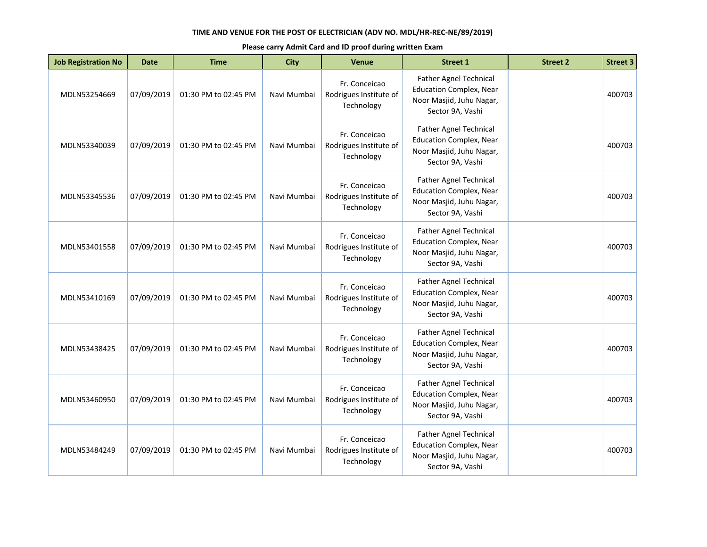| <b>Job Registration No</b> | <b>Date</b> | <b>Time</b>          | <b>City</b> | <b>Venue</b>                                          | <b>Street 1</b>                                                                                                 | <b>Street 2</b> | <b>Street 3</b> |
|----------------------------|-------------|----------------------|-------------|-------------------------------------------------------|-----------------------------------------------------------------------------------------------------------------|-----------------|-----------------|
| MDLN53254669               | 07/09/2019  | 01:30 PM to 02:45 PM | Navi Mumbai | Fr. Conceicao<br>Rodrigues Institute of<br>Technology | Father Agnel Technical<br><b>Education Complex, Near</b><br>Noor Masjid, Juhu Nagar,<br>Sector 9A, Vashi        |                 | 400703          |
| MDLN53340039               | 07/09/2019  | 01:30 PM to 02:45 PM | Navi Mumbai | Fr. Conceicao<br>Rodrigues Institute of<br>Technology | <b>Father Agnel Technical</b><br><b>Education Complex, Near</b><br>Noor Masjid, Juhu Nagar,<br>Sector 9A, Vashi |                 | 400703          |
| MDLN53345536               | 07/09/2019  | 01:30 PM to 02:45 PM | Navi Mumbai | Fr. Conceicao<br>Rodrigues Institute of<br>Technology | <b>Father Agnel Technical</b><br><b>Education Complex, Near</b><br>Noor Masjid, Juhu Nagar,<br>Sector 9A, Vashi |                 | 400703          |
| MDLN53401558               | 07/09/2019  | 01:30 PM to 02:45 PM | Navi Mumbai | Fr. Conceicao<br>Rodrigues Institute of<br>Technology | <b>Father Agnel Technical</b><br><b>Education Complex, Near</b><br>Noor Masjid, Juhu Nagar,<br>Sector 9A, Vashi |                 | 400703          |
| MDLN53410169               | 07/09/2019  | 01:30 PM to 02:45 PM | Navi Mumbai | Fr. Conceicao<br>Rodrigues Institute of<br>Technology | Father Agnel Technical<br><b>Education Complex, Near</b><br>Noor Masjid, Juhu Nagar,<br>Sector 9A, Vashi        |                 | 400703          |
| MDLN53438425               | 07/09/2019  | 01:30 PM to 02:45 PM | Navi Mumbai | Fr. Conceicao<br>Rodrigues Institute of<br>Technology | <b>Father Agnel Technical</b><br><b>Education Complex, Near</b><br>Noor Masjid, Juhu Nagar,<br>Sector 9A, Vashi |                 | 400703          |
| MDLN53460950               | 07/09/2019  | 01:30 PM to 02:45 PM | Navi Mumbai | Fr. Conceicao<br>Rodrigues Institute of<br>Technology | Father Agnel Technical<br><b>Education Complex, Near</b><br>Noor Masjid, Juhu Nagar,<br>Sector 9A, Vashi        |                 | 400703          |
| MDLN53484249               | 07/09/2019  | 01:30 PM to 02:45 PM | Navi Mumbai | Fr. Conceicao<br>Rodrigues Institute of<br>Technology | Father Agnel Technical<br><b>Education Complex, Near</b><br>Noor Masjid, Juhu Nagar,<br>Sector 9A, Vashi        |                 | 400703          |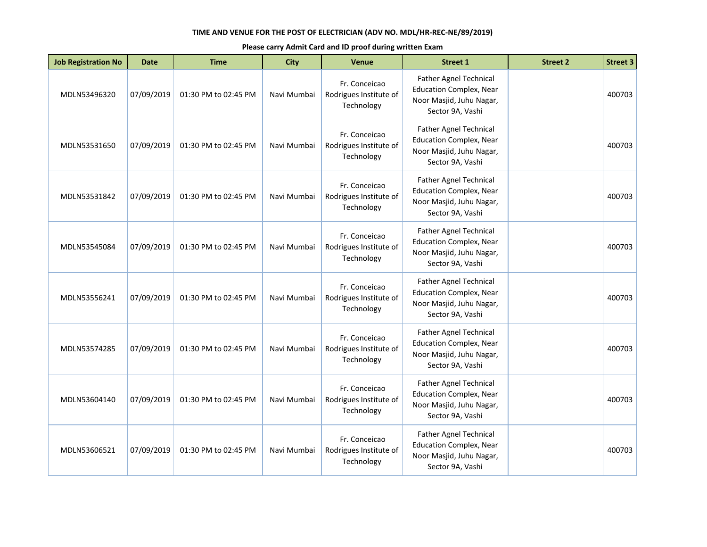| <b>Job Registration No</b> | <b>Date</b> | <b>Time</b>          | <b>City</b> | Venue                                                 | <b>Street 1</b>                                                                                                 | <b>Street 2</b> | <b>Street 3</b> |
|----------------------------|-------------|----------------------|-------------|-------------------------------------------------------|-----------------------------------------------------------------------------------------------------------------|-----------------|-----------------|
| MDLN53496320               | 07/09/2019  | 01:30 PM to 02:45 PM | Navi Mumbai | Fr. Conceicao<br>Rodrigues Institute of<br>Technology | Father Agnel Technical<br><b>Education Complex, Near</b><br>Noor Masjid, Juhu Nagar,<br>Sector 9A, Vashi        |                 | 400703          |
| MDLN53531650               | 07/09/2019  | 01:30 PM to 02:45 PM | Navi Mumbai | Fr. Conceicao<br>Rodrigues Institute of<br>Technology | <b>Father Agnel Technical</b><br><b>Education Complex, Near</b><br>Noor Masjid, Juhu Nagar,<br>Sector 9A, Vashi |                 | 400703          |
| MDLN53531842               | 07/09/2019  | 01:30 PM to 02:45 PM | Navi Mumbai | Fr. Conceicao<br>Rodrigues Institute of<br>Technology | <b>Father Agnel Technical</b><br><b>Education Complex, Near</b><br>Noor Masjid, Juhu Nagar,<br>Sector 9A, Vashi |                 | 400703          |
| MDLN53545084               | 07/09/2019  | 01:30 PM to 02:45 PM | Navi Mumbai | Fr. Conceicao<br>Rodrigues Institute of<br>Technology | <b>Father Agnel Technical</b><br><b>Education Complex, Near</b><br>Noor Masjid, Juhu Nagar,<br>Sector 9A, Vashi |                 | 400703          |
| MDLN53556241               | 07/09/2019  | 01:30 PM to 02:45 PM | Navi Mumbai | Fr. Conceicao<br>Rodrigues Institute of<br>Technology | <b>Father Agnel Technical</b><br><b>Education Complex, Near</b><br>Noor Masjid, Juhu Nagar,<br>Sector 9A, Vashi |                 | 400703          |
| MDLN53574285               | 07/09/2019  | 01:30 PM to 02:45 PM | Navi Mumbai | Fr. Conceicao<br>Rodrigues Institute of<br>Technology | <b>Father Agnel Technical</b><br><b>Education Complex, Near</b><br>Noor Masjid, Juhu Nagar,<br>Sector 9A, Vashi |                 | 400703          |
| MDLN53604140               | 07/09/2019  | 01:30 PM to 02:45 PM | Navi Mumbai | Fr. Conceicao<br>Rodrigues Institute of<br>Technology | <b>Father Agnel Technical</b><br><b>Education Complex, Near</b><br>Noor Masjid, Juhu Nagar,<br>Sector 9A, Vashi |                 | 400703          |
| MDLN53606521               | 07/09/2019  | 01:30 PM to 02:45 PM | Navi Mumbai | Fr. Conceicao<br>Rodrigues Institute of<br>Technology | <b>Father Agnel Technical</b><br><b>Education Complex, Near</b><br>Noor Masjid, Juhu Nagar,<br>Sector 9A, Vashi |                 | 400703          |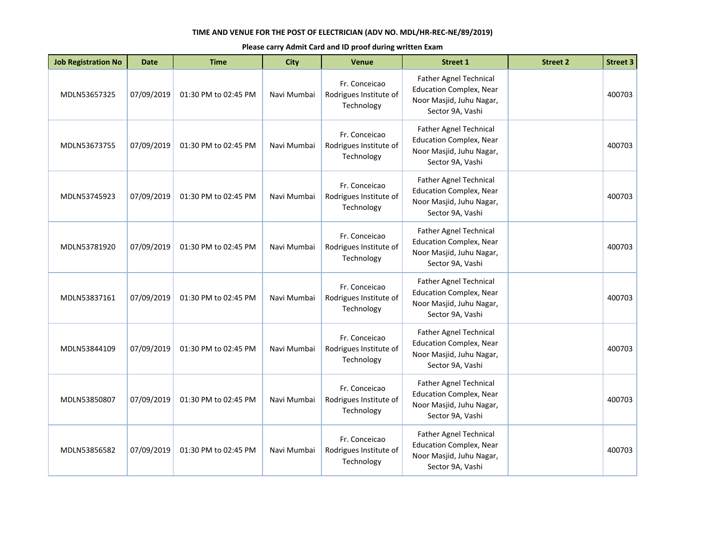| <b>Job Registration No</b> | <b>Date</b> | <b>Time</b>          | <b>City</b> | Venue                                                 | <b>Street 1</b>                                                                                                 | <b>Street 2</b> | <b>Street 3</b> |
|----------------------------|-------------|----------------------|-------------|-------------------------------------------------------|-----------------------------------------------------------------------------------------------------------------|-----------------|-----------------|
| MDLN53657325               | 07/09/2019  | 01:30 PM to 02:45 PM | Navi Mumbai | Fr. Conceicao<br>Rodrigues Institute of<br>Technology | Father Agnel Technical<br><b>Education Complex, Near</b><br>Noor Masjid, Juhu Nagar,<br>Sector 9A, Vashi        |                 | 400703          |
| MDLN53673755               | 07/09/2019  | 01:30 PM to 02:45 PM | Navi Mumbai | Fr. Conceicao<br>Rodrigues Institute of<br>Technology | <b>Father Agnel Technical</b><br><b>Education Complex, Near</b><br>Noor Masjid, Juhu Nagar,<br>Sector 9A, Vashi |                 | 400703          |
| MDLN53745923               | 07/09/2019  | 01:30 PM to 02:45 PM | Navi Mumbai | Fr. Conceicao<br>Rodrigues Institute of<br>Technology | <b>Father Agnel Technical</b><br><b>Education Complex, Near</b><br>Noor Masjid, Juhu Nagar,<br>Sector 9A, Vashi |                 | 400703          |
| MDLN53781920               | 07/09/2019  | 01:30 PM to 02:45 PM | Navi Mumbai | Fr. Conceicao<br>Rodrigues Institute of<br>Technology | <b>Father Agnel Technical</b><br><b>Education Complex, Near</b><br>Noor Masjid, Juhu Nagar,<br>Sector 9A, Vashi |                 | 400703          |
| MDLN53837161               | 07/09/2019  | 01:30 PM to 02:45 PM | Navi Mumbai | Fr. Conceicao<br>Rodrigues Institute of<br>Technology | <b>Father Agnel Technical</b><br><b>Education Complex, Near</b><br>Noor Masjid, Juhu Nagar,<br>Sector 9A, Vashi |                 | 400703          |
| MDLN53844109               | 07/09/2019  | 01:30 PM to 02:45 PM | Navi Mumbai | Fr. Conceicao<br>Rodrigues Institute of<br>Technology | <b>Father Agnel Technical</b><br><b>Education Complex, Near</b><br>Noor Masjid, Juhu Nagar,<br>Sector 9A, Vashi |                 | 400703          |
| MDLN53850807               | 07/09/2019  | 01:30 PM to 02:45 PM | Navi Mumbai | Fr. Conceicao<br>Rodrigues Institute of<br>Technology | <b>Father Agnel Technical</b><br><b>Education Complex, Near</b><br>Noor Masjid, Juhu Nagar,<br>Sector 9A, Vashi |                 | 400703          |
| MDLN53856582               | 07/09/2019  | 01:30 PM to 02:45 PM | Navi Mumbai | Fr. Conceicao<br>Rodrigues Institute of<br>Technology | <b>Father Agnel Technical</b><br><b>Education Complex, Near</b><br>Noor Masjid, Juhu Nagar,<br>Sector 9A, Vashi |                 | 400703          |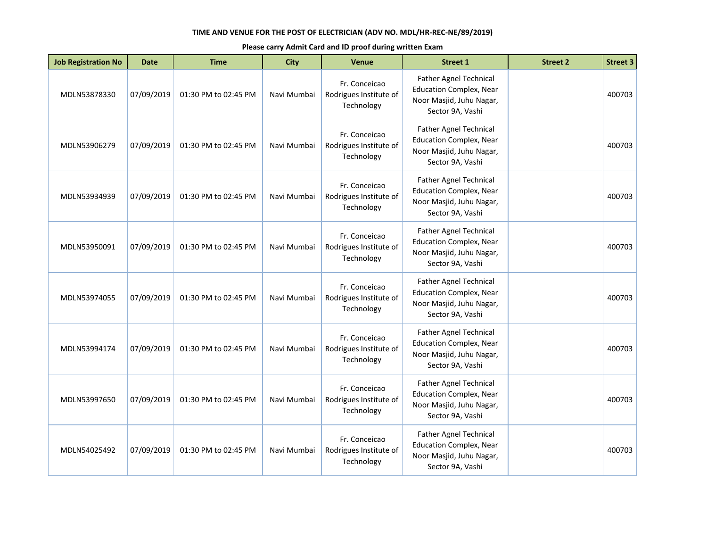| <b>Job Registration No</b> | <b>Date</b> | <b>Time</b>          | <b>City</b> | Venue                                                 | <b>Street 1</b>                                                                                                 | <b>Street 2</b> | <b>Street 3</b> |
|----------------------------|-------------|----------------------|-------------|-------------------------------------------------------|-----------------------------------------------------------------------------------------------------------------|-----------------|-----------------|
| MDLN53878330               | 07/09/2019  | 01:30 PM to 02:45 PM | Navi Mumbai | Fr. Conceicao<br>Rodrigues Institute of<br>Technology | Father Agnel Technical<br><b>Education Complex, Near</b><br>Noor Masjid, Juhu Nagar,<br>Sector 9A, Vashi        |                 | 400703          |
| MDLN53906279               | 07/09/2019  | 01:30 PM to 02:45 PM | Navi Mumbai | Fr. Conceicao<br>Rodrigues Institute of<br>Technology | <b>Father Agnel Technical</b><br><b>Education Complex, Near</b><br>Noor Masjid, Juhu Nagar,<br>Sector 9A, Vashi |                 | 400703          |
| MDLN53934939               | 07/09/2019  | 01:30 PM to 02:45 PM | Navi Mumbai | Fr. Conceicao<br>Rodrigues Institute of<br>Technology | <b>Father Agnel Technical</b><br><b>Education Complex, Near</b><br>Noor Masjid, Juhu Nagar,<br>Sector 9A, Vashi |                 | 400703          |
| MDLN53950091               | 07/09/2019  | 01:30 PM to 02:45 PM | Navi Mumbai | Fr. Conceicao<br>Rodrigues Institute of<br>Technology | <b>Father Agnel Technical</b><br><b>Education Complex, Near</b><br>Noor Masjid, Juhu Nagar,<br>Sector 9A, Vashi |                 | 400703          |
| MDLN53974055               | 07/09/2019  | 01:30 PM to 02:45 PM | Navi Mumbai | Fr. Conceicao<br>Rodrigues Institute of<br>Technology | <b>Father Agnel Technical</b><br><b>Education Complex, Near</b><br>Noor Masjid, Juhu Nagar,<br>Sector 9A, Vashi |                 | 400703          |
| MDLN53994174               | 07/09/2019  | 01:30 PM to 02:45 PM | Navi Mumbai | Fr. Conceicao<br>Rodrigues Institute of<br>Technology | Father Agnel Technical<br><b>Education Complex, Near</b><br>Noor Masjid, Juhu Nagar,<br>Sector 9A, Vashi        |                 | 400703          |
| MDLN53997650               | 07/09/2019  | 01:30 PM to 02:45 PM | Navi Mumbai | Fr. Conceicao<br>Rodrigues Institute of<br>Technology | <b>Father Agnel Technical</b><br><b>Education Complex, Near</b><br>Noor Masjid, Juhu Nagar,<br>Sector 9A, Vashi |                 | 400703          |
| MDLN54025492               | 07/09/2019  | 01:30 PM to 02:45 PM | Navi Mumbai | Fr. Conceicao<br>Rodrigues Institute of<br>Technology | Father Agnel Technical<br><b>Education Complex, Near</b><br>Noor Masjid, Juhu Nagar,<br>Sector 9A, Vashi        |                 | 400703          |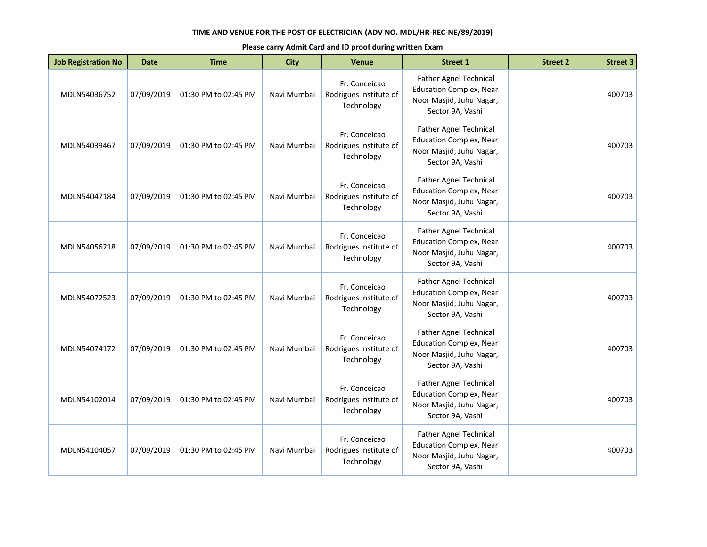| <b>Job Registration No</b> | <b>Date</b> | <b>Time</b>          | <b>City</b> | <b>Venue</b>                                          | <b>Street 1</b>                                                                                                 | <b>Street 2</b> | <b>Street 3</b> |
|----------------------------|-------------|----------------------|-------------|-------------------------------------------------------|-----------------------------------------------------------------------------------------------------------------|-----------------|-----------------|
| MDLN54036752               | 07/09/2019  | 01:30 PM to 02:45 PM | Navi Mumbai | Fr. Conceicao<br>Rodrigues Institute of<br>Technology | Father Agnel Technical<br><b>Education Complex, Near</b><br>Noor Masjid, Juhu Nagar,<br>Sector 9A, Vashi        |                 | 400703          |
| MDLN54039467               | 07/09/2019  | 01:30 PM to 02:45 PM | Navi Mumbai | Fr. Conceicao<br>Rodrigues Institute of<br>Technology | <b>Father Agnel Technical</b><br><b>Education Complex, Near</b><br>Noor Masjid, Juhu Nagar,<br>Sector 9A, Vashi |                 | 400703          |
| MDLN54047184               | 07/09/2019  | 01:30 PM to 02:45 PM | Navi Mumbai | Fr. Conceicao<br>Rodrigues Institute of<br>Technology | <b>Father Agnel Technical</b><br><b>Education Complex, Near</b><br>Noor Masjid, Juhu Nagar,<br>Sector 9A, Vashi |                 | 400703          |
| MDLN54056218               | 07/09/2019  | 01:30 PM to 02:45 PM | Navi Mumbai | Fr. Conceicao<br>Rodrigues Institute of<br>Technology | <b>Father Agnel Technical</b><br><b>Education Complex, Near</b><br>Noor Masjid, Juhu Nagar,<br>Sector 9A, Vashi |                 | 400703          |
| MDLN54072523               | 07/09/2019  | 01:30 PM to 02:45 PM | Navi Mumbai | Fr. Conceicao<br>Rodrigues Institute of<br>Technology | Father Agnel Technical<br><b>Education Complex, Near</b><br>Noor Masjid, Juhu Nagar,<br>Sector 9A, Vashi        |                 | 400703          |
| MDLN54074172               | 07/09/2019  | 01:30 PM to 02:45 PM | Navi Mumbai | Fr. Conceicao<br>Rodrigues Institute of<br>Technology | <b>Father Agnel Technical</b><br><b>Education Complex, Near</b><br>Noor Masjid, Juhu Nagar,<br>Sector 9A, Vashi |                 | 400703          |
| MDLN54102014               | 07/09/2019  | 01:30 PM to 02:45 PM | Navi Mumbai | Fr. Conceicao<br>Rodrigues Institute of<br>Technology | Father Agnel Technical<br><b>Education Complex, Near</b><br>Noor Masjid, Juhu Nagar,<br>Sector 9A, Vashi        |                 | 400703          |
| MDLN54104057               | 07/09/2019  | 01:30 PM to 02:45 PM | Navi Mumbai | Fr. Conceicao<br>Rodrigues Institute of<br>Technology | Father Agnel Technical<br><b>Education Complex, Near</b><br>Noor Masjid, Juhu Nagar,<br>Sector 9A, Vashi        |                 | 400703          |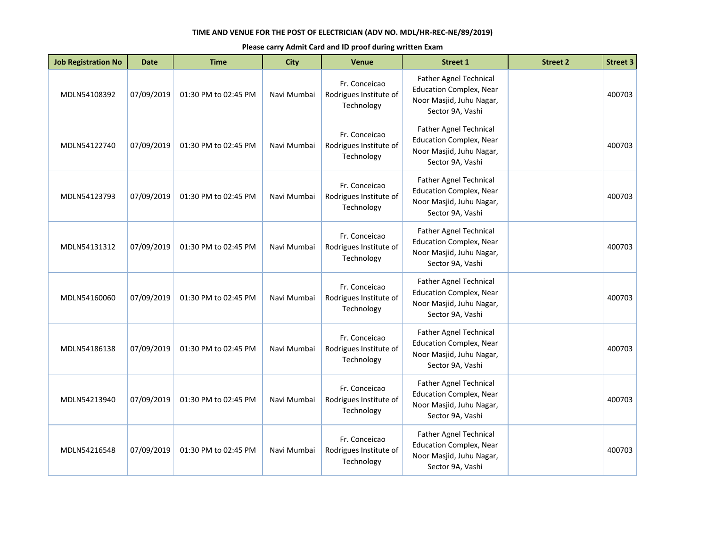| <b>Job Registration No</b> | <b>Date</b> | <b>Time</b>          | <b>City</b> | Venue                                                 | <b>Street 1</b>                                                                                                 | <b>Street 2</b> | <b>Street 3</b> |
|----------------------------|-------------|----------------------|-------------|-------------------------------------------------------|-----------------------------------------------------------------------------------------------------------------|-----------------|-----------------|
| MDLN54108392               | 07/09/2019  | 01:30 PM to 02:45 PM | Navi Mumbai | Fr. Conceicao<br>Rodrigues Institute of<br>Technology | Father Agnel Technical<br><b>Education Complex, Near</b><br>Noor Masjid, Juhu Nagar,<br>Sector 9A, Vashi        |                 | 400703          |
| MDLN54122740               | 07/09/2019  | 01:30 PM to 02:45 PM | Navi Mumbai | Fr. Conceicao<br>Rodrigues Institute of<br>Technology | <b>Father Agnel Technical</b><br><b>Education Complex, Near</b><br>Noor Masjid, Juhu Nagar,<br>Sector 9A, Vashi |                 | 400703          |
| MDLN54123793               | 07/09/2019  | 01:30 PM to 02:45 PM | Navi Mumbai | Fr. Conceicao<br>Rodrigues Institute of<br>Technology | Father Agnel Technical<br><b>Education Complex, Near</b><br>Noor Masjid, Juhu Nagar,<br>Sector 9A, Vashi        |                 | 400703          |
| MDLN54131312               | 07/09/2019  | 01:30 PM to 02:45 PM | Navi Mumbai | Fr. Conceicao<br>Rodrigues Institute of<br>Technology | <b>Father Agnel Technical</b><br><b>Education Complex, Near</b><br>Noor Masjid, Juhu Nagar,<br>Sector 9A, Vashi |                 | 400703          |
| MDLN54160060               | 07/09/2019  | 01:30 PM to 02:45 PM | Navi Mumbai | Fr. Conceicao<br>Rodrigues Institute of<br>Technology | <b>Father Agnel Technical</b><br><b>Education Complex, Near</b><br>Noor Masjid, Juhu Nagar,<br>Sector 9A, Vashi |                 | 400703          |
| MDLN54186138               | 07/09/2019  | 01:30 PM to 02:45 PM | Navi Mumbai | Fr. Conceicao<br>Rodrigues Institute of<br>Technology | Father Agnel Technical<br><b>Education Complex, Near</b><br>Noor Masjid, Juhu Nagar,<br>Sector 9A, Vashi        |                 | 400703          |
| MDLN54213940               | 07/09/2019  | 01:30 PM to 02:45 PM | Navi Mumbai | Fr. Conceicao<br>Rodrigues Institute of<br>Technology | <b>Father Agnel Technical</b><br><b>Education Complex, Near</b><br>Noor Masjid, Juhu Nagar,<br>Sector 9A, Vashi |                 | 400703          |
| MDLN54216548               | 07/09/2019  | 01:30 PM to 02:45 PM | Navi Mumbai | Fr. Conceicao<br>Rodrigues Institute of<br>Technology | Father Agnel Technical<br><b>Education Complex, Near</b><br>Noor Masjid, Juhu Nagar,<br>Sector 9A, Vashi        |                 | 400703          |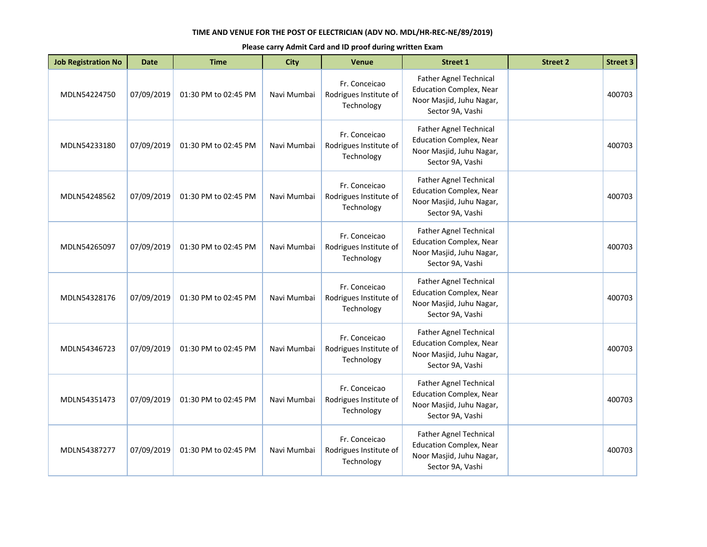| <b>Job Registration No</b> | <b>Date</b> | <b>Time</b>          | <b>City</b> | Venue                                                 | <b>Street 1</b>                                                                                                 | <b>Street 2</b> | <b>Street 3</b> |
|----------------------------|-------------|----------------------|-------------|-------------------------------------------------------|-----------------------------------------------------------------------------------------------------------------|-----------------|-----------------|
| MDLN54224750               | 07/09/2019  | 01:30 PM to 02:45 PM | Navi Mumbai | Fr. Conceicao<br>Rodrigues Institute of<br>Technology | Father Agnel Technical<br><b>Education Complex, Near</b><br>Noor Masjid, Juhu Nagar,<br>Sector 9A, Vashi        |                 | 400703          |
| MDLN54233180               | 07/09/2019  | 01:30 PM to 02:45 PM | Navi Mumbai | Fr. Conceicao<br>Rodrigues Institute of<br>Technology | <b>Father Agnel Technical</b><br><b>Education Complex, Near</b><br>Noor Masjid, Juhu Nagar,<br>Sector 9A, Vashi |                 | 400703          |
| MDLN54248562               | 07/09/2019  | 01:30 PM to 02:45 PM | Navi Mumbai | Fr. Conceicao<br>Rodrigues Institute of<br>Technology | Father Agnel Technical<br><b>Education Complex, Near</b><br>Noor Masjid, Juhu Nagar,<br>Sector 9A, Vashi        |                 | 400703          |
| MDLN54265097               | 07/09/2019  | 01:30 PM to 02:45 PM | Navi Mumbai | Fr. Conceicao<br>Rodrigues Institute of<br>Technology | <b>Father Agnel Technical</b><br><b>Education Complex, Near</b><br>Noor Masjid, Juhu Nagar,<br>Sector 9A, Vashi |                 | 400703          |
| MDLN54328176               | 07/09/2019  | 01:30 PM to 02:45 PM | Navi Mumbai | Fr. Conceicao<br>Rodrigues Institute of<br>Technology | <b>Father Agnel Technical</b><br><b>Education Complex, Near</b><br>Noor Masjid, Juhu Nagar,<br>Sector 9A, Vashi |                 | 400703          |
| MDLN54346723               | 07/09/2019  | 01:30 PM to 02:45 PM | Navi Mumbai | Fr. Conceicao<br>Rodrigues Institute of<br>Technology | Father Agnel Technical<br><b>Education Complex, Near</b><br>Noor Masjid, Juhu Nagar,<br>Sector 9A, Vashi        |                 | 400703          |
| MDLN54351473               | 07/09/2019  | 01:30 PM to 02:45 PM | Navi Mumbai | Fr. Conceicao<br>Rodrigues Institute of<br>Technology | <b>Father Agnel Technical</b><br><b>Education Complex, Near</b><br>Noor Masjid, Juhu Nagar,<br>Sector 9A, Vashi |                 | 400703          |
| MDLN54387277               | 07/09/2019  | 01:30 PM to 02:45 PM | Navi Mumbai | Fr. Conceicao<br>Rodrigues Institute of<br>Technology | Father Agnel Technical<br><b>Education Complex, Near</b><br>Noor Masjid, Juhu Nagar,<br>Sector 9A, Vashi        |                 | 400703          |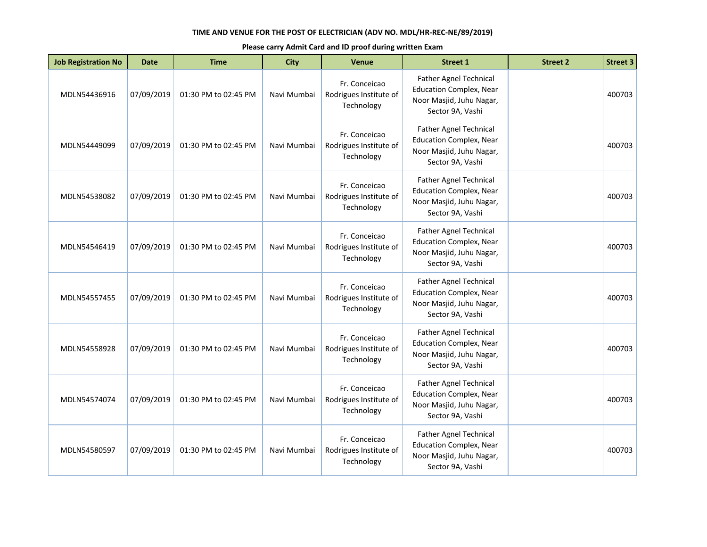| <b>Job Registration No</b> | <b>Date</b> | <b>Time</b>          | <b>City</b> | Venue                                                 | <b>Street 1</b>                                                                                                 | <b>Street 2</b> | <b>Street 3</b> |
|----------------------------|-------------|----------------------|-------------|-------------------------------------------------------|-----------------------------------------------------------------------------------------------------------------|-----------------|-----------------|
| MDLN54436916               | 07/09/2019  | 01:30 PM to 02:45 PM | Navi Mumbai | Fr. Conceicao<br>Rodrigues Institute of<br>Technology | Father Agnel Technical<br><b>Education Complex, Near</b><br>Noor Masjid, Juhu Nagar,<br>Sector 9A, Vashi        |                 | 400703          |
| MDLN54449099               | 07/09/2019  | 01:30 PM to 02:45 PM | Navi Mumbai | Fr. Conceicao<br>Rodrigues Institute of<br>Technology | <b>Father Agnel Technical</b><br><b>Education Complex, Near</b><br>Noor Masjid, Juhu Nagar,<br>Sector 9A, Vashi |                 | 400703          |
| MDLN54538082               | 07/09/2019  | 01:30 PM to 02:45 PM | Navi Mumbai | Fr. Conceicao<br>Rodrigues Institute of<br>Technology | Father Agnel Technical<br><b>Education Complex, Near</b><br>Noor Masjid, Juhu Nagar,<br>Sector 9A, Vashi        |                 | 400703          |
| MDLN54546419               | 07/09/2019  | 01:30 PM to 02:45 PM | Navi Mumbai | Fr. Conceicao<br>Rodrigues Institute of<br>Technology | <b>Father Agnel Technical</b><br><b>Education Complex, Near</b><br>Noor Masjid, Juhu Nagar,<br>Sector 9A, Vashi |                 | 400703          |
| MDLN54557455               | 07/09/2019  | 01:30 PM to 02:45 PM | Navi Mumbai | Fr. Conceicao<br>Rodrigues Institute of<br>Technology | <b>Father Agnel Technical</b><br><b>Education Complex, Near</b><br>Noor Masjid, Juhu Nagar,<br>Sector 9A, Vashi |                 | 400703          |
| MDLN54558928               | 07/09/2019  | 01:30 PM to 02:45 PM | Navi Mumbai | Fr. Conceicao<br>Rodrigues Institute of<br>Technology | <b>Father Agnel Technical</b><br><b>Education Complex, Near</b><br>Noor Masjid, Juhu Nagar,<br>Sector 9A, Vashi |                 | 400703          |
| MDLN54574074               | 07/09/2019  | 01:30 PM to 02:45 PM | Navi Mumbai | Fr. Conceicao<br>Rodrigues Institute of<br>Technology | <b>Father Agnel Technical</b><br><b>Education Complex, Near</b><br>Noor Masjid, Juhu Nagar,<br>Sector 9A, Vashi |                 | 400703          |
| MDLN54580597               | 07/09/2019  | 01:30 PM to 02:45 PM | Navi Mumbai | Fr. Conceicao<br>Rodrigues Institute of<br>Technology | <b>Father Agnel Technical</b><br><b>Education Complex, Near</b><br>Noor Masjid, Juhu Nagar,<br>Sector 9A, Vashi |                 | 400703          |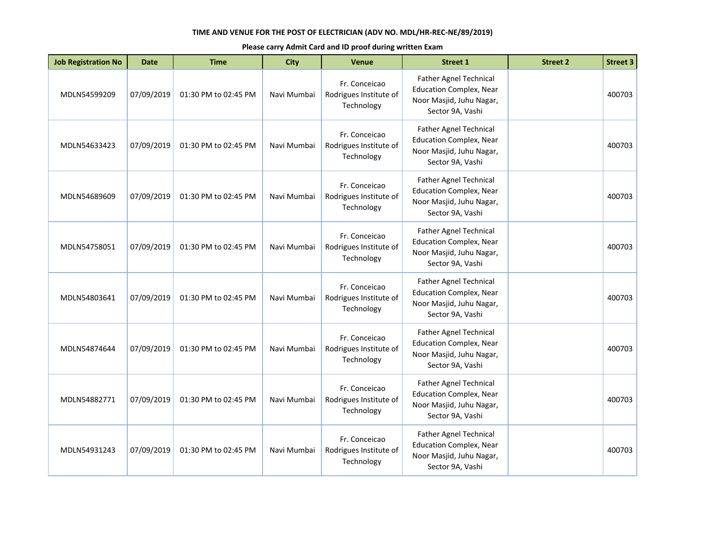| <b>Job Registration No</b> | <b>Date</b> | <b>Time</b>          | <b>City</b> | <b>Venue</b>                                          | <b>Street 1</b>                                                                                                 | <b>Street 2</b> | <b>Street 3</b> |
|----------------------------|-------------|----------------------|-------------|-------------------------------------------------------|-----------------------------------------------------------------------------------------------------------------|-----------------|-----------------|
| MDLN54599209               | 07/09/2019  | 01:30 PM to 02:45 PM | Navi Mumbai | Fr. Conceicao<br>Rodrigues Institute of<br>Technology | Father Agnel Technical<br><b>Education Complex, Near</b><br>Noor Masjid, Juhu Nagar,<br>Sector 9A, Vashi        |                 | 400703          |
| MDLN54633423               | 07/09/2019  | 01:30 PM to 02:45 PM | Navi Mumbai | Fr. Conceicao<br>Rodrigues Institute of<br>Technology | <b>Father Agnel Technical</b><br><b>Education Complex, Near</b><br>Noor Masjid, Juhu Nagar,<br>Sector 9A, Vashi |                 | 400703          |
| MDLN54689609               | 07/09/2019  | 01:30 PM to 02:45 PM | Navi Mumbai | Fr. Conceicao<br>Rodrigues Institute of<br>Technology | <b>Father Agnel Technical</b><br><b>Education Complex, Near</b><br>Noor Masjid, Juhu Nagar,<br>Sector 9A, Vashi |                 | 400703          |
| MDLN54758051               | 07/09/2019  | 01:30 PM to 02:45 PM | Navi Mumbai | Fr. Conceicao<br>Rodrigues Institute of<br>Technology | Father Agnel Technical<br><b>Education Complex, Near</b><br>Noor Masjid, Juhu Nagar,<br>Sector 9A, Vashi        |                 | 400703          |
| MDLN54803641               | 07/09/2019  | 01:30 PM to 02:45 PM | Navi Mumbai | Fr. Conceicao<br>Rodrigues Institute of<br>Technology | Father Agnel Technical<br><b>Education Complex, Near</b><br>Noor Masjid, Juhu Nagar,<br>Sector 9A, Vashi        |                 | 400703          |
| MDLN54874644               | 07/09/2019  | 01:30 PM to 02:45 PM | Navi Mumbai | Fr. Conceicao<br>Rodrigues Institute of<br>Technology | <b>Father Agnel Technical</b><br><b>Education Complex, Near</b><br>Noor Masjid, Juhu Nagar,<br>Sector 9A, Vashi |                 | 400703          |
| MDLN54882771               | 07/09/2019  | 01:30 PM to 02:45 PM | Navi Mumbai | Fr. Conceicao<br>Rodrigues Institute of<br>Technology | Father Agnel Technical<br><b>Education Complex, Near</b><br>Noor Masjid, Juhu Nagar,<br>Sector 9A, Vashi        |                 | 400703          |
| MDLN54931243               | 07/09/2019  | 01:30 PM to 02:45 PM | Navi Mumbai | Fr. Conceicao<br>Rodrigues Institute of<br>Technology | <b>Father Agnel Technical</b><br><b>Education Complex, Near</b><br>Noor Masjid, Juhu Nagar,<br>Sector 9A, Vashi |                 | 400703          |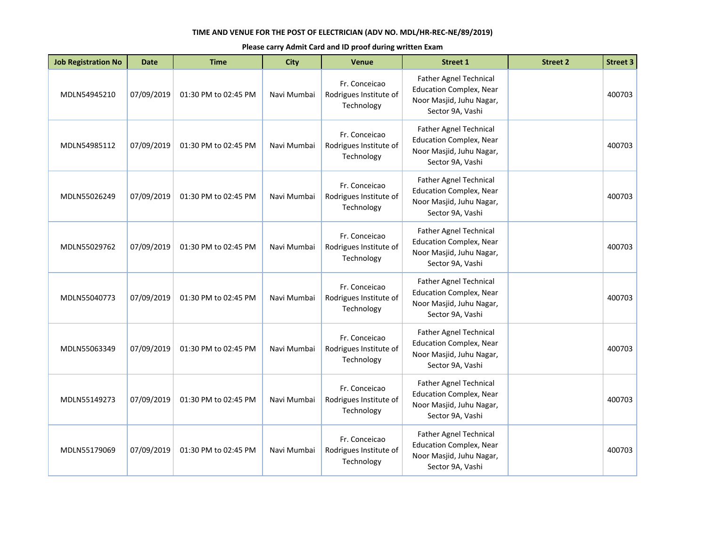| <b>Job Registration No</b> | <b>Date</b> | <b>Time</b>          | <b>City</b> | <b>Venue</b>                                          | <b>Street 1</b>                                                                                                 | <b>Street 2</b> | <b>Street 3</b> |
|----------------------------|-------------|----------------------|-------------|-------------------------------------------------------|-----------------------------------------------------------------------------------------------------------------|-----------------|-----------------|
| MDLN54945210               | 07/09/2019  | 01:30 PM to 02:45 PM | Navi Mumbai | Fr. Conceicao<br>Rodrigues Institute of<br>Technology | Father Agnel Technical<br><b>Education Complex, Near</b><br>Noor Masjid, Juhu Nagar,<br>Sector 9A, Vashi        |                 | 400703          |
| MDLN54985112               | 07/09/2019  | 01:30 PM to 02:45 PM | Navi Mumbai | Fr. Conceicao<br>Rodrigues Institute of<br>Technology | <b>Father Agnel Technical</b><br><b>Education Complex, Near</b><br>Noor Masjid, Juhu Nagar,<br>Sector 9A, Vashi |                 | 400703          |
| MDLN55026249               | 07/09/2019  | 01:30 PM to 02:45 PM | Navi Mumbai | Fr. Conceicao<br>Rodrigues Institute of<br>Technology | <b>Father Agnel Technical</b><br><b>Education Complex, Near</b><br>Noor Masjid, Juhu Nagar,<br>Sector 9A, Vashi |                 | 400703          |
| MDLN55029762               | 07/09/2019  | 01:30 PM to 02:45 PM | Navi Mumbai | Fr. Conceicao<br>Rodrigues Institute of<br>Technology | <b>Father Agnel Technical</b><br><b>Education Complex, Near</b><br>Noor Masjid, Juhu Nagar,<br>Sector 9A, Vashi |                 | 400703          |
| MDLN55040773               | 07/09/2019  | 01:30 PM to 02:45 PM | Navi Mumbai | Fr. Conceicao<br>Rodrigues Institute of<br>Technology | <b>Father Agnel Technical</b><br><b>Education Complex, Near</b><br>Noor Masjid, Juhu Nagar,<br>Sector 9A, Vashi |                 | 400703          |
| MDLN55063349               | 07/09/2019  | 01:30 PM to 02:45 PM | Navi Mumbai | Fr. Conceicao<br>Rodrigues Institute of<br>Technology | <b>Father Agnel Technical</b><br><b>Education Complex, Near</b><br>Noor Masjid, Juhu Nagar,<br>Sector 9A, Vashi |                 | 400703          |
| MDLN55149273               | 07/09/2019  | 01:30 PM to 02:45 PM | Navi Mumbai | Fr. Conceicao<br>Rodrigues Institute of<br>Technology | Father Agnel Technical<br><b>Education Complex, Near</b><br>Noor Masjid, Juhu Nagar,<br>Sector 9A, Vashi        |                 | 400703          |
| MDLN55179069               | 07/09/2019  | 01:30 PM to 02:45 PM | Navi Mumbai | Fr. Conceicao<br>Rodrigues Institute of<br>Technology | <b>Father Agnel Technical</b><br><b>Education Complex, Near</b><br>Noor Masjid, Juhu Nagar,<br>Sector 9A, Vashi |                 | 400703          |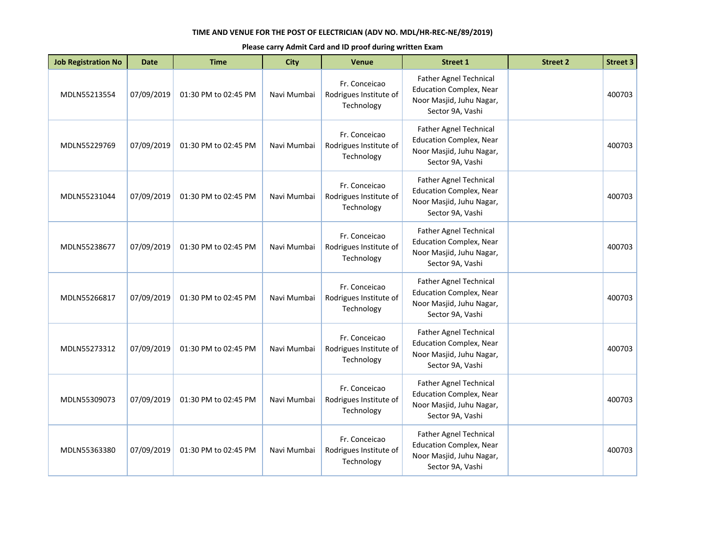| <b>Job Registration No</b> | <b>Date</b> | <b>Time</b>          | <b>City</b> | <b>Venue</b>                                          | <b>Street 1</b>                                                                                                 | <b>Street 2</b> | <b>Street 3</b> |
|----------------------------|-------------|----------------------|-------------|-------------------------------------------------------|-----------------------------------------------------------------------------------------------------------------|-----------------|-----------------|
| MDLN55213554               | 07/09/2019  | 01:30 PM to 02:45 PM | Navi Mumbai | Fr. Conceicao<br>Rodrigues Institute of<br>Technology | Father Agnel Technical<br><b>Education Complex, Near</b><br>Noor Masjid, Juhu Nagar,<br>Sector 9A, Vashi        |                 | 400703          |
| MDLN55229769               | 07/09/2019  | 01:30 PM to 02:45 PM | Navi Mumbai | Fr. Conceicao<br>Rodrigues Institute of<br>Technology | <b>Father Agnel Technical</b><br><b>Education Complex, Near</b><br>Noor Masjid, Juhu Nagar,<br>Sector 9A, Vashi |                 | 400703          |
| MDLN55231044               | 07/09/2019  | 01:30 PM to 02:45 PM | Navi Mumbai | Fr. Conceicao<br>Rodrigues Institute of<br>Technology | <b>Father Agnel Technical</b><br><b>Education Complex, Near</b><br>Noor Masjid, Juhu Nagar,<br>Sector 9A, Vashi |                 | 400703          |
| MDLN55238677               | 07/09/2019  | 01:30 PM to 02:45 PM | Navi Mumbai | Fr. Conceicao<br>Rodrigues Institute of<br>Technology | <b>Father Agnel Technical</b><br><b>Education Complex, Near</b><br>Noor Masjid, Juhu Nagar,<br>Sector 9A, Vashi |                 | 400703          |
| MDLN55266817               | 07/09/2019  | 01:30 PM to 02:45 PM | Navi Mumbai | Fr. Conceicao<br>Rodrigues Institute of<br>Technology | Father Agnel Technical<br><b>Education Complex, Near</b><br>Noor Masjid, Juhu Nagar,<br>Sector 9A, Vashi        |                 | 400703          |
| MDLN55273312               | 07/09/2019  | 01:30 PM to 02:45 PM | Navi Mumbai | Fr. Conceicao<br>Rodrigues Institute of<br>Technology | <b>Father Agnel Technical</b><br><b>Education Complex, Near</b><br>Noor Masjid, Juhu Nagar,<br>Sector 9A, Vashi |                 | 400703          |
| MDLN55309073               | 07/09/2019  | 01:30 PM to 02:45 PM | Navi Mumbai | Fr. Conceicao<br>Rodrigues Institute of<br>Technology | Father Agnel Technical<br><b>Education Complex, Near</b><br>Noor Masjid, Juhu Nagar,<br>Sector 9A, Vashi        |                 | 400703          |
| MDLN55363380               | 07/09/2019  | 01:30 PM to 02:45 PM | Navi Mumbai | Fr. Conceicao<br>Rodrigues Institute of<br>Technology | Father Agnel Technical<br><b>Education Complex, Near</b><br>Noor Masjid, Juhu Nagar,<br>Sector 9A, Vashi        |                 | 400703          |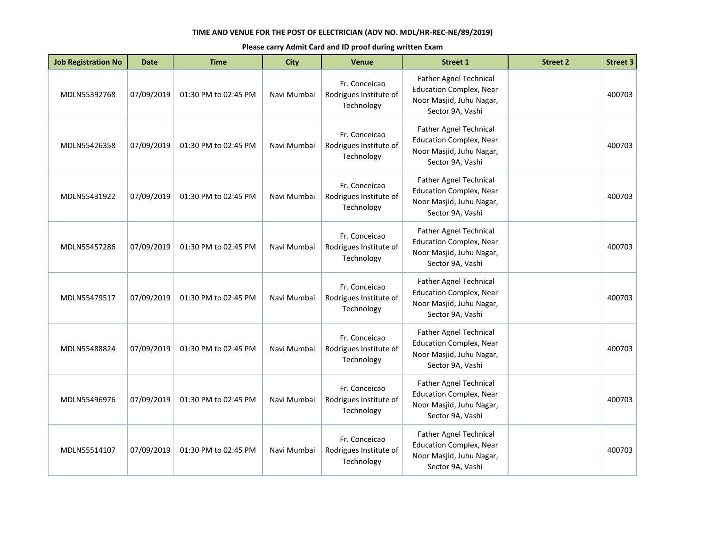| <b>Job Registration No</b> | <b>Date</b> | <b>Time</b>          | <b>City</b> | <b>Venue</b>                                          | <b>Street 1</b>                                                                                                 | <b>Street 2</b> | <b>Street 3</b> |
|----------------------------|-------------|----------------------|-------------|-------------------------------------------------------|-----------------------------------------------------------------------------------------------------------------|-----------------|-----------------|
| MDLN55392768               | 07/09/2019  | 01:30 PM to 02:45 PM | Navi Mumbai | Fr. Conceicao<br>Rodrigues Institute of<br>Technology | Father Agnel Technical<br><b>Education Complex, Near</b><br>Noor Masjid, Juhu Nagar,<br>Sector 9A, Vashi        |                 | 400703          |
| MDLN55426358               | 07/09/2019  | 01:30 PM to 02:45 PM | Navi Mumbai | Fr. Conceicao<br>Rodrigues Institute of<br>Technology | <b>Father Agnel Technical</b><br><b>Education Complex, Near</b><br>Noor Masjid, Juhu Nagar,<br>Sector 9A, Vashi |                 | 400703          |
| MDLN55431922               | 07/09/2019  | 01:30 PM to 02:45 PM | Navi Mumbai | Fr. Conceicao<br>Rodrigues Institute of<br>Technology | <b>Father Agnel Technical</b><br><b>Education Complex, Near</b><br>Noor Masjid, Juhu Nagar,<br>Sector 9A, Vashi |                 | 400703          |
| MDLN55457286               | 07/09/2019  | 01:30 PM to 02:45 PM | Navi Mumbai | Fr. Conceicao<br>Rodrigues Institute of<br>Technology | <b>Father Agnel Technical</b><br><b>Education Complex, Near</b><br>Noor Masjid, Juhu Nagar,<br>Sector 9A, Vashi |                 | 400703          |
| MDLN55479517               | 07/09/2019  | 01:30 PM to 02:45 PM | Navi Mumbai | Fr. Conceicao<br>Rodrigues Institute of<br>Technology | Father Agnel Technical<br><b>Education Complex, Near</b><br>Noor Masjid, Juhu Nagar,<br>Sector 9A, Vashi        |                 | 400703          |
| MDLN55488824               | 07/09/2019  | 01:30 PM to 02:45 PM | Navi Mumbai | Fr. Conceicao<br>Rodrigues Institute of<br>Technology | <b>Father Agnel Technical</b><br><b>Education Complex, Near</b><br>Noor Masjid, Juhu Nagar,<br>Sector 9A, Vashi |                 | 400703          |
| MDLN55496976               | 07/09/2019  | 01:30 PM to 02:45 PM | Navi Mumbai | Fr. Conceicao<br>Rodrigues Institute of<br>Technology | Father Agnel Technical<br><b>Education Complex, Near</b><br>Noor Masjid, Juhu Nagar,<br>Sector 9A, Vashi        |                 | 400703          |
| MDLN55514107               | 07/09/2019  | 01:30 PM to 02:45 PM | Navi Mumbai | Fr. Conceicao<br>Rodrigues Institute of<br>Technology | Father Agnel Technical<br><b>Education Complex, Near</b><br>Noor Masjid, Juhu Nagar,<br>Sector 9A, Vashi        |                 | 400703          |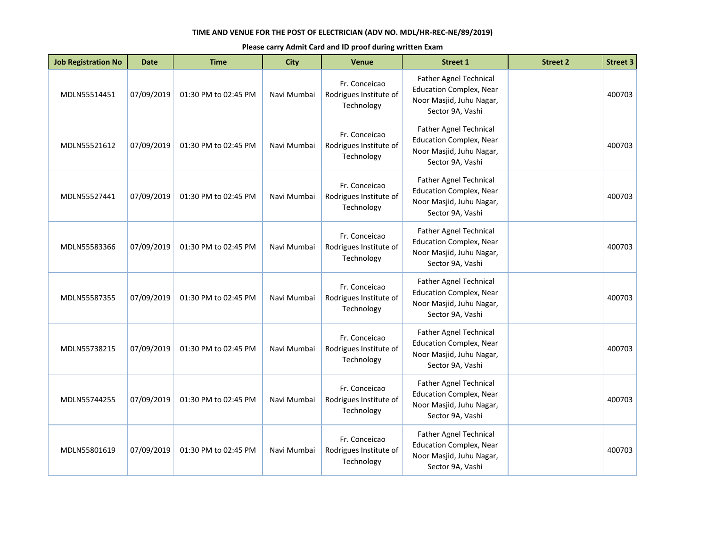| <b>Job Registration No</b> | <b>Date</b> | <b>Time</b>          | <b>City</b> | <b>Venue</b>                                          | <b>Street 1</b>                                                                                                 | <b>Street 2</b> | <b>Street 3</b> |
|----------------------------|-------------|----------------------|-------------|-------------------------------------------------------|-----------------------------------------------------------------------------------------------------------------|-----------------|-----------------|
| MDLN55514451               | 07/09/2019  | 01:30 PM to 02:45 PM | Navi Mumbai | Fr. Conceicao<br>Rodrigues Institute of<br>Technology | Father Agnel Technical<br><b>Education Complex, Near</b><br>Noor Masjid, Juhu Nagar,<br>Sector 9A, Vashi        |                 | 400703          |
| MDLN55521612               | 07/09/2019  | 01:30 PM to 02:45 PM | Navi Mumbai | Fr. Conceicao<br>Rodrigues Institute of<br>Technology | <b>Father Agnel Technical</b><br><b>Education Complex, Near</b><br>Noor Masjid, Juhu Nagar,<br>Sector 9A, Vashi |                 | 400703          |
| MDLN55527441               | 07/09/2019  | 01:30 PM to 02:45 PM | Navi Mumbai | Fr. Conceicao<br>Rodrigues Institute of<br>Technology | <b>Father Agnel Technical</b><br><b>Education Complex, Near</b><br>Noor Masjid, Juhu Nagar,<br>Sector 9A, Vashi |                 | 400703          |
| MDLN55583366               | 07/09/2019  | 01:30 PM to 02:45 PM | Navi Mumbai | Fr. Conceicao<br>Rodrigues Institute of<br>Technology | Father Agnel Technical<br><b>Education Complex, Near</b><br>Noor Masjid, Juhu Nagar,<br>Sector 9A, Vashi        |                 | 400703          |
| MDLN55587355               | 07/09/2019  | 01:30 PM to 02:45 PM | Navi Mumbai | Fr. Conceicao<br>Rodrigues Institute of<br>Technology | Father Agnel Technical<br><b>Education Complex, Near</b><br>Noor Masjid, Juhu Nagar,<br>Sector 9A, Vashi        |                 | 400703          |
| MDLN55738215               | 07/09/2019  | 01:30 PM to 02:45 PM | Navi Mumbai | Fr. Conceicao<br>Rodrigues Institute of<br>Technology | <b>Father Agnel Technical</b><br><b>Education Complex, Near</b><br>Noor Masjid, Juhu Nagar,<br>Sector 9A, Vashi |                 | 400703          |
| MDLN55744255               | 07/09/2019  | 01:30 PM to 02:45 PM | Navi Mumbai | Fr. Conceicao<br>Rodrigues Institute of<br>Technology | Father Agnel Technical<br><b>Education Complex, Near</b><br>Noor Masjid, Juhu Nagar,<br>Sector 9A, Vashi        |                 | 400703          |
| MDLN55801619               | 07/09/2019  | 01:30 PM to 02:45 PM | Navi Mumbai | Fr. Conceicao<br>Rodrigues Institute of<br>Technology | Father Agnel Technical<br><b>Education Complex, Near</b><br>Noor Masjid, Juhu Nagar,<br>Sector 9A, Vashi        |                 | 400703          |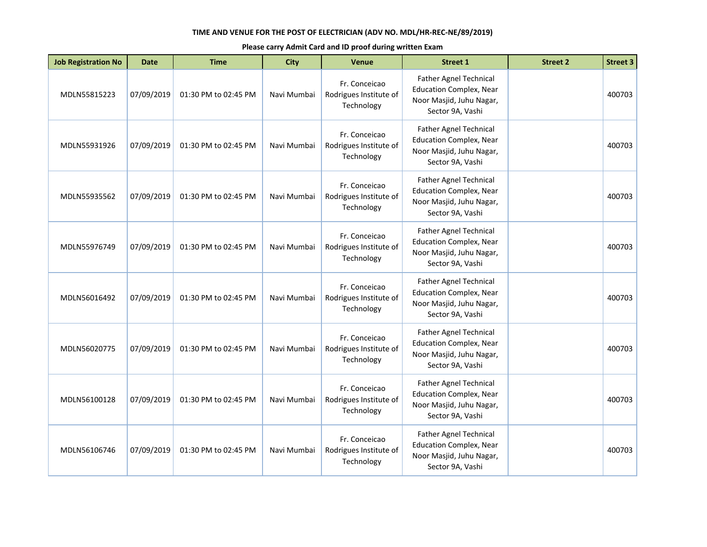| <b>Job Registration No</b> | <b>Date</b> | <b>Time</b>          | <b>City</b> | Venue                                                 | <b>Street 1</b>                                                                                                 | <b>Street 2</b> | <b>Street 3</b> |
|----------------------------|-------------|----------------------|-------------|-------------------------------------------------------|-----------------------------------------------------------------------------------------------------------------|-----------------|-----------------|
| MDLN55815223               | 07/09/2019  | 01:30 PM to 02:45 PM | Navi Mumbai | Fr. Conceicao<br>Rodrigues Institute of<br>Technology | Father Agnel Technical<br><b>Education Complex, Near</b><br>Noor Masjid, Juhu Nagar,<br>Sector 9A, Vashi        |                 | 400703          |
| MDLN55931926               | 07/09/2019  | 01:30 PM to 02:45 PM | Navi Mumbai | Fr. Conceicao<br>Rodrigues Institute of<br>Technology | <b>Father Agnel Technical</b><br><b>Education Complex, Near</b><br>Noor Masjid, Juhu Nagar,<br>Sector 9A, Vashi |                 | 400703          |
| MDLN55935562               | 07/09/2019  | 01:30 PM to 02:45 PM | Navi Mumbai | Fr. Conceicao<br>Rodrigues Institute of<br>Technology | Father Agnel Technical<br><b>Education Complex, Near</b><br>Noor Masjid, Juhu Nagar,<br>Sector 9A, Vashi        |                 | 400703          |
| MDLN55976749               | 07/09/2019  | 01:30 PM to 02:45 PM | Navi Mumbai | Fr. Conceicao<br>Rodrigues Institute of<br>Technology | <b>Father Agnel Technical</b><br><b>Education Complex, Near</b><br>Noor Masjid, Juhu Nagar,<br>Sector 9A, Vashi |                 | 400703          |
| MDLN56016492               | 07/09/2019  | 01:30 PM to 02:45 PM | Navi Mumbai | Fr. Conceicao<br>Rodrigues Institute of<br>Technology | <b>Father Agnel Technical</b><br><b>Education Complex, Near</b><br>Noor Masjid, Juhu Nagar,<br>Sector 9A, Vashi |                 | 400703          |
| MDLN56020775               | 07/09/2019  | 01:30 PM to 02:45 PM | Navi Mumbai | Fr. Conceicao<br>Rodrigues Institute of<br>Technology | Father Agnel Technical<br><b>Education Complex, Near</b><br>Noor Masjid, Juhu Nagar,<br>Sector 9A, Vashi        |                 | 400703          |
| MDLN56100128               | 07/09/2019  | 01:30 PM to 02:45 PM | Navi Mumbai | Fr. Conceicao<br>Rodrigues Institute of<br>Technology | <b>Father Agnel Technical</b><br><b>Education Complex, Near</b><br>Noor Masjid, Juhu Nagar,<br>Sector 9A, Vashi |                 | 400703          |
| MDLN56106746               | 07/09/2019  | 01:30 PM to 02:45 PM | Navi Mumbai | Fr. Conceicao<br>Rodrigues Institute of<br>Technology | Father Agnel Technical<br><b>Education Complex, Near</b><br>Noor Masjid, Juhu Nagar,<br>Sector 9A, Vashi        |                 | 400703          |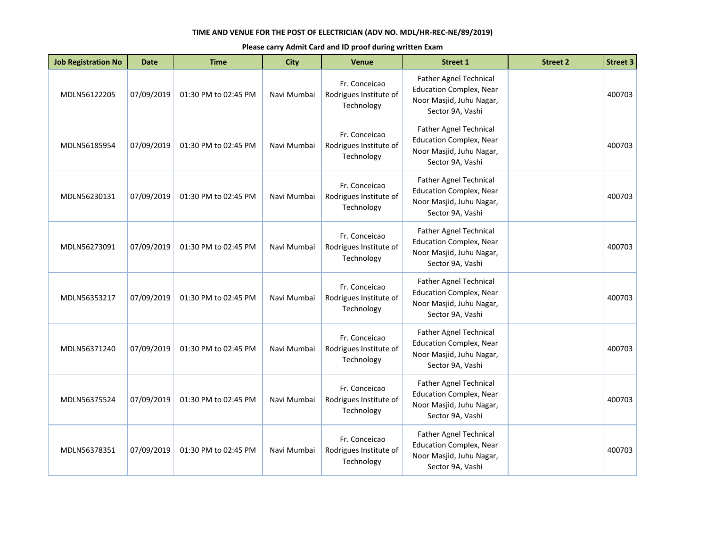| <b>Job Registration No</b> | <b>Date</b> | <b>Time</b>          | <b>City</b> | Venue                                                 | <b>Street 1</b>                                                                                                 | <b>Street 2</b> | <b>Street 3</b> |
|----------------------------|-------------|----------------------|-------------|-------------------------------------------------------|-----------------------------------------------------------------------------------------------------------------|-----------------|-----------------|
| MDLN56122205               | 07/09/2019  | 01:30 PM to 02:45 PM | Navi Mumbai | Fr. Conceicao<br>Rodrigues Institute of<br>Technology | Father Agnel Technical<br><b>Education Complex, Near</b><br>Noor Masjid, Juhu Nagar,<br>Sector 9A, Vashi        |                 | 400703          |
| MDLN56185954               | 07/09/2019  | 01:30 PM to 02:45 PM | Navi Mumbai | Fr. Conceicao<br>Rodrigues Institute of<br>Technology | <b>Father Agnel Technical</b><br><b>Education Complex, Near</b><br>Noor Masjid, Juhu Nagar,<br>Sector 9A, Vashi |                 | 400703          |
| MDLN56230131               | 07/09/2019  | 01:30 PM to 02:45 PM | Navi Mumbai | Fr. Conceicao<br>Rodrigues Institute of<br>Technology | Father Agnel Technical<br><b>Education Complex, Near</b><br>Noor Masjid, Juhu Nagar,<br>Sector 9A, Vashi        |                 | 400703          |
| MDLN56273091               | 07/09/2019  | 01:30 PM to 02:45 PM | Navi Mumbai | Fr. Conceicao<br>Rodrigues Institute of<br>Technology | <b>Father Agnel Technical</b><br><b>Education Complex, Near</b><br>Noor Masjid, Juhu Nagar,<br>Sector 9A, Vashi |                 | 400703          |
| MDLN56353217               | 07/09/2019  | 01:30 PM to 02:45 PM | Navi Mumbai | Fr. Conceicao<br>Rodrigues Institute of<br>Technology | <b>Father Agnel Technical</b><br><b>Education Complex, Near</b><br>Noor Masjid, Juhu Nagar,<br>Sector 9A, Vashi |                 | 400703          |
| MDLN56371240               | 07/09/2019  | 01:30 PM to 02:45 PM | Navi Mumbai | Fr. Conceicao<br>Rodrigues Institute of<br>Technology | Father Agnel Technical<br><b>Education Complex, Near</b><br>Noor Masjid, Juhu Nagar,<br>Sector 9A, Vashi        |                 | 400703          |
| MDLN56375524               | 07/09/2019  | 01:30 PM to 02:45 PM | Navi Mumbai | Fr. Conceicao<br>Rodrigues Institute of<br>Technology | <b>Father Agnel Technical</b><br><b>Education Complex, Near</b><br>Noor Masjid, Juhu Nagar,<br>Sector 9A, Vashi |                 | 400703          |
| MDLN56378351               | 07/09/2019  | 01:30 PM to 02:45 PM | Navi Mumbai | Fr. Conceicao<br>Rodrigues Institute of<br>Technology | Father Agnel Technical<br><b>Education Complex, Near</b><br>Noor Masjid, Juhu Nagar,<br>Sector 9A, Vashi        |                 | 400703          |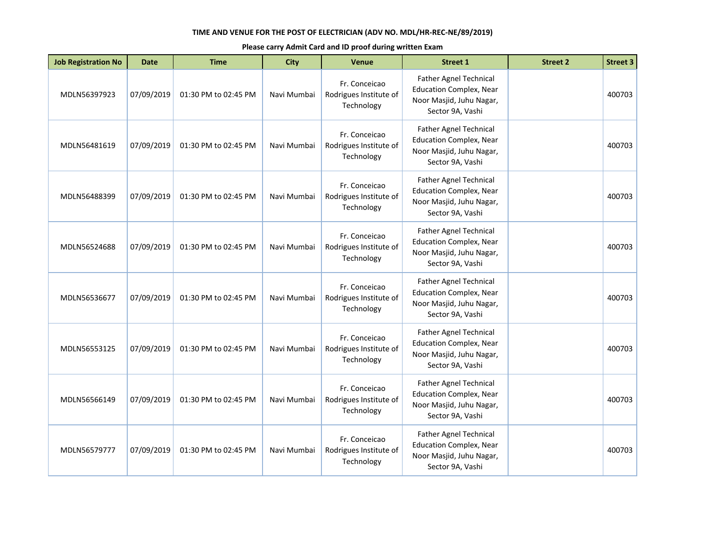| <b>Job Registration No</b> | <b>Date</b> | <b>Time</b>          | <b>City</b> | <b>Venue</b>                                          | <b>Street 1</b>                                                                                                 | <b>Street 2</b> | <b>Street 3</b> |
|----------------------------|-------------|----------------------|-------------|-------------------------------------------------------|-----------------------------------------------------------------------------------------------------------------|-----------------|-----------------|
| MDLN56397923               | 07/09/2019  | 01:30 PM to 02:45 PM | Navi Mumbai | Fr. Conceicao<br>Rodrigues Institute of<br>Technology | Father Agnel Technical<br><b>Education Complex, Near</b><br>Noor Masjid, Juhu Nagar,<br>Sector 9A, Vashi        |                 | 400703          |
| MDLN56481619               | 07/09/2019  | 01:30 PM to 02:45 PM | Navi Mumbai | Fr. Conceicao<br>Rodrigues Institute of<br>Technology | Father Agnel Technical<br><b>Education Complex, Near</b><br>Noor Masjid, Juhu Nagar,<br>Sector 9A, Vashi        |                 | 400703          |
| MDLN56488399               | 07/09/2019  | 01:30 PM to 02:45 PM | Navi Mumbai | Fr. Conceicao<br>Rodrigues Institute of<br>Technology | Father Agnel Technical<br><b>Education Complex, Near</b><br>Noor Masjid, Juhu Nagar,<br>Sector 9A, Vashi        |                 | 400703          |
| MDLN56524688               | 07/09/2019  | 01:30 PM to 02:45 PM | Navi Mumbai | Fr. Conceicao<br>Rodrigues Institute of<br>Technology | Father Agnel Technical<br><b>Education Complex, Near</b><br>Noor Masjid, Juhu Nagar,<br>Sector 9A, Vashi        |                 | 400703          |
| MDLN56536677               | 07/09/2019  | 01:30 PM to 02:45 PM | Navi Mumbai | Fr. Conceicao<br>Rodrigues Institute of<br>Technology | <b>Father Agnel Technical</b><br><b>Education Complex, Near</b><br>Noor Masjid, Juhu Nagar,<br>Sector 9A, Vashi |                 | 400703          |
| MDLN56553125               | 07/09/2019  | 01:30 PM to 02:45 PM | Navi Mumbai | Fr. Conceicao<br>Rodrigues Institute of<br>Technology | Father Agnel Technical<br><b>Education Complex, Near</b><br>Noor Masjid, Juhu Nagar,<br>Sector 9A, Vashi        |                 | 400703          |
| MDLN56566149               | 07/09/2019  | 01:30 PM to 02:45 PM | Navi Mumbai | Fr. Conceicao<br>Rodrigues Institute of<br>Technology | <b>Father Agnel Technical</b><br><b>Education Complex, Near</b><br>Noor Masjid, Juhu Nagar,<br>Sector 9A, Vashi |                 | 400703          |
| MDLN56579777               | 07/09/2019  | 01:30 PM to 02:45 PM | Navi Mumbai | Fr. Conceicao<br>Rodrigues Institute of<br>Technology | Father Agnel Technical<br><b>Education Complex, Near</b><br>Noor Masjid, Juhu Nagar,<br>Sector 9A, Vashi        |                 | 400703          |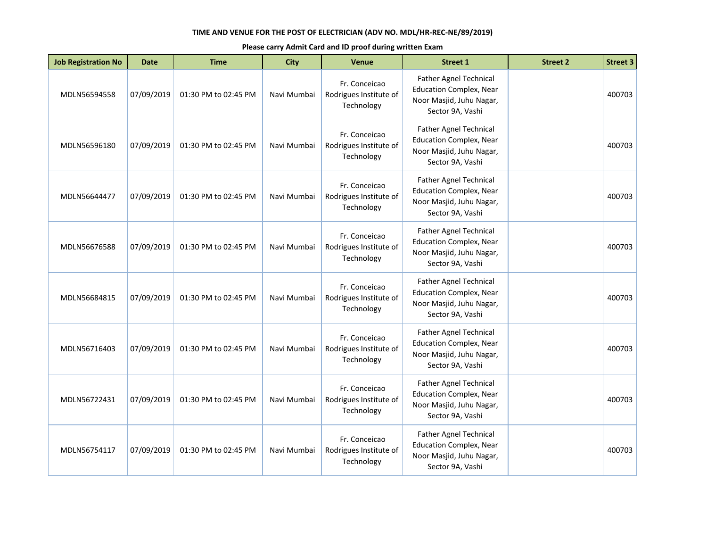| <b>Job Registration No</b> | <b>Date</b> | <b>Time</b>          | <b>City</b> | <b>Venue</b>                                          | <b>Street 1</b>                                                                                                 | <b>Street 2</b> | <b>Street 3</b> |
|----------------------------|-------------|----------------------|-------------|-------------------------------------------------------|-----------------------------------------------------------------------------------------------------------------|-----------------|-----------------|
| MDLN56594558               | 07/09/2019  | 01:30 PM to 02:45 PM | Navi Mumbai | Fr. Conceicao<br>Rodrigues Institute of<br>Technology | Father Agnel Technical<br><b>Education Complex, Near</b><br>Noor Masjid, Juhu Nagar,<br>Sector 9A, Vashi        |                 | 400703          |
| MDLN56596180               | 07/09/2019  | 01:30 PM to 02:45 PM | Navi Mumbai | Fr. Conceicao<br>Rodrigues Institute of<br>Technology | Father Agnel Technical<br><b>Education Complex, Near</b><br>Noor Masjid, Juhu Nagar,<br>Sector 9A, Vashi        |                 | 400703          |
| MDLN56644477               | 07/09/2019  | 01:30 PM to 02:45 PM | Navi Mumbai | Fr. Conceicao<br>Rodrigues Institute of<br>Technology | Father Agnel Technical<br><b>Education Complex, Near</b><br>Noor Masjid, Juhu Nagar,<br>Sector 9A, Vashi        |                 | 400703          |
| MDLN56676588               | 07/09/2019  | 01:30 PM to 02:45 PM | Navi Mumbai | Fr. Conceicao<br>Rodrigues Institute of<br>Technology | Father Agnel Technical<br><b>Education Complex, Near</b><br>Noor Masjid, Juhu Nagar,<br>Sector 9A, Vashi        |                 | 400703          |
| MDLN56684815               | 07/09/2019  | 01:30 PM to 02:45 PM | Navi Mumbai | Fr. Conceicao<br>Rodrigues Institute of<br>Technology | <b>Father Agnel Technical</b><br><b>Education Complex, Near</b><br>Noor Masjid, Juhu Nagar,<br>Sector 9A, Vashi |                 | 400703          |
| MDLN56716403               | 07/09/2019  | 01:30 PM to 02:45 PM | Navi Mumbai | Fr. Conceicao<br>Rodrigues Institute of<br>Technology | Father Agnel Technical<br><b>Education Complex, Near</b><br>Noor Masjid, Juhu Nagar,<br>Sector 9A, Vashi        |                 | 400703          |
| MDLN56722431               | 07/09/2019  | 01:30 PM to 02:45 PM | Navi Mumbai | Fr. Conceicao<br>Rodrigues Institute of<br>Technology | <b>Father Agnel Technical</b><br><b>Education Complex, Near</b><br>Noor Masjid, Juhu Nagar,<br>Sector 9A, Vashi |                 | 400703          |
| MDLN56754117               | 07/09/2019  | 01:30 PM to 02:45 PM | Navi Mumbai | Fr. Conceicao<br>Rodrigues Institute of<br>Technology | Father Agnel Technical<br><b>Education Complex, Near</b><br>Noor Masjid, Juhu Nagar,<br>Sector 9A, Vashi        |                 | 400703          |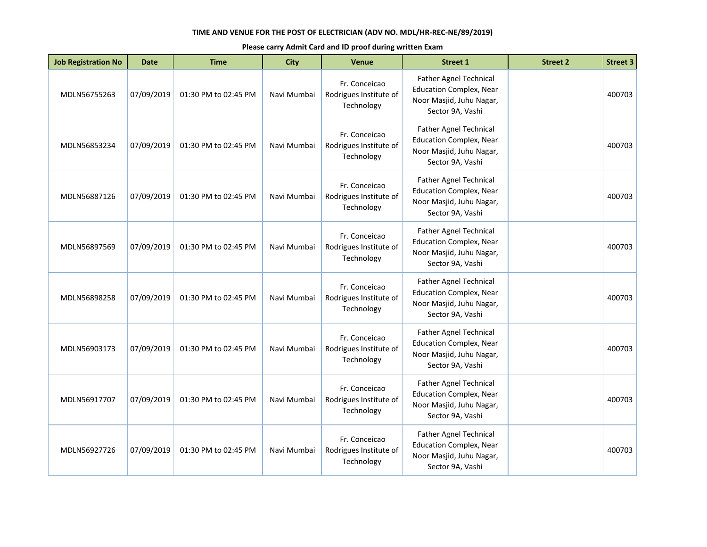| <b>Job Registration No</b> | <b>Date</b> | <b>Time</b>          | <b>City</b> | <b>Venue</b>                                          | <b>Street 1</b>                                                                                                 | <b>Street 2</b> | <b>Street 3</b> |
|----------------------------|-------------|----------------------|-------------|-------------------------------------------------------|-----------------------------------------------------------------------------------------------------------------|-----------------|-----------------|
| MDLN56755263               | 07/09/2019  | 01:30 PM to 02:45 PM | Navi Mumbai | Fr. Conceicao<br>Rodrigues Institute of<br>Technology | Father Agnel Technical<br><b>Education Complex, Near</b><br>Noor Masjid, Juhu Nagar,<br>Sector 9A, Vashi        |                 | 400703          |
| MDLN56853234               | 07/09/2019  | 01:30 PM to 02:45 PM | Navi Mumbai | Fr. Conceicao<br>Rodrigues Institute of<br>Technology | <b>Father Agnel Technical</b><br><b>Education Complex, Near</b><br>Noor Masjid, Juhu Nagar,<br>Sector 9A, Vashi |                 | 400703          |
| MDLN56887126               | 07/09/2019  | 01:30 PM to 02:45 PM | Navi Mumbai | Fr. Conceicao<br>Rodrigues Institute of<br>Technology | Father Agnel Technical<br><b>Education Complex, Near</b><br>Noor Masjid, Juhu Nagar,<br>Sector 9A, Vashi        |                 | 400703          |
| MDLN56897569               | 07/09/2019  | 01:30 PM to 02:45 PM | Navi Mumbai | Fr. Conceicao<br>Rodrigues Institute of<br>Technology | <b>Father Agnel Technical</b><br><b>Education Complex, Near</b><br>Noor Masjid, Juhu Nagar,<br>Sector 9A, Vashi |                 | 400703          |
| MDLN56898258               | 07/09/2019  | 01:30 PM to 02:45 PM | Navi Mumbai | Fr. Conceicao<br>Rodrigues Institute of<br>Technology | <b>Father Agnel Technical</b><br><b>Education Complex, Near</b><br>Noor Masjid, Juhu Nagar,<br>Sector 9A, Vashi |                 | 400703          |
| MDLN56903173               | 07/09/2019  | 01:30 PM to 02:45 PM | Navi Mumbai | Fr. Conceicao<br>Rodrigues Institute of<br>Technology | Father Agnel Technical<br><b>Education Complex, Near</b><br>Noor Masjid, Juhu Nagar,<br>Sector 9A, Vashi        |                 | 400703          |
| MDLN56917707               | 07/09/2019  | 01:30 PM to 02:45 PM | Navi Mumbai | Fr. Conceicao<br>Rodrigues Institute of<br>Technology | <b>Father Agnel Technical</b><br><b>Education Complex, Near</b><br>Noor Masjid, Juhu Nagar,<br>Sector 9A, Vashi |                 | 400703          |
| MDLN56927726               | 07/09/2019  | 01:30 PM to 02:45 PM | Navi Mumbai | Fr. Conceicao<br>Rodrigues Institute of<br>Technology | Father Agnel Technical<br><b>Education Complex, Near</b><br>Noor Masjid, Juhu Nagar,<br>Sector 9A, Vashi        |                 | 400703          |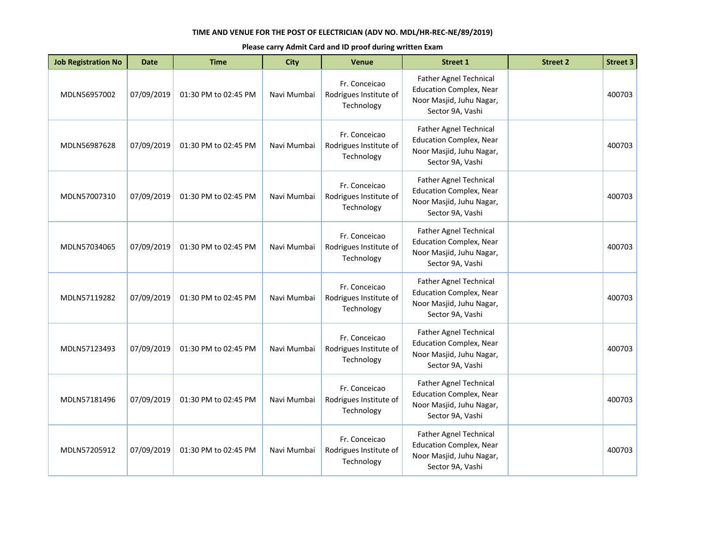| <b>Job Registration No</b> | <b>Date</b> | <b>Time</b>          | <b>City</b> | <b>Venue</b>                                          | <b>Street 1</b>                                                                                                 | <b>Street 2</b> | <b>Street 3</b> |
|----------------------------|-------------|----------------------|-------------|-------------------------------------------------------|-----------------------------------------------------------------------------------------------------------------|-----------------|-----------------|
| MDLN56957002               | 07/09/2019  | 01:30 PM to 02:45 PM | Navi Mumbai | Fr. Conceicao<br>Rodrigues Institute of<br>Technology | Father Agnel Technical<br><b>Education Complex, Near</b><br>Noor Masjid, Juhu Nagar,<br>Sector 9A, Vashi        |                 | 400703          |
| MDLN56987628               | 07/09/2019  | 01:30 PM to 02:45 PM | Navi Mumbai | Fr. Conceicao<br>Rodrigues Institute of<br>Technology | <b>Father Agnel Technical</b><br><b>Education Complex, Near</b><br>Noor Masjid, Juhu Nagar,<br>Sector 9A, Vashi |                 | 400703          |
| MDLN57007310               | 07/09/2019  | 01:30 PM to 02:45 PM | Navi Mumbai | Fr. Conceicao<br>Rodrigues Institute of<br>Technology | Father Agnel Technical<br><b>Education Complex, Near</b><br>Noor Masjid, Juhu Nagar,<br>Sector 9A, Vashi        |                 | 400703          |
| MDLN57034065               | 07/09/2019  | 01:30 PM to 02:45 PM | Navi Mumbai | Fr. Conceicao<br>Rodrigues Institute of<br>Technology | <b>Father Agnel Technical</b><br><b>Education Complex, Near</b><br>Noor Masjid, Juhu Nagar,<br>Sector 9A, Vashi |                 | 400703          |
| MDLN57119282               | 07/09/2019  | 01:30 PM to 02:45 PM | Navi Mumbai | Fr. Conceicao<br>Rodrigues Institute of<br>Technology | <b>Father Agnel Technical</b><br><b>Education Complex, Near</b><br>Noor Masjid, Juhu Nagar,<br>Sector 9A, Vashi |                 | 400703          |
| MDLN57123493               | 07/09/2019  | 01:30 PM to 02:45 PM | Navi Mumbai | Fr. Conceicao<br>Rodrigues Institute of<br>Technology | Father Agnel Technical<br><b>Education Complex, Near</b><br>Noor Masjid, Juhu Nagar,<br>Sector 9A, Vashi        |                 | 400703          |
| MDLN57181496               | 07/09/2019  | 01:30 PM to 02:45 PM | Navi Mumbai | Fr. Conceicao<br>Rodrigues Institute of<br>Technology | <b>Father Agnel Technical</b><br><b>Education Complex, Near</b><br>Noor Masjid, Juhu Nagar,<br>Sector 9A, Vashi |                 | 400703          |
| MDLN57205912               | 07/09/2019  | 01:30 PM to 02:45 PM | Navi Mumbai | Fr. Conceicao<br>Rodrigues Institute of<br>Technology | Father Agnel Technical<br><b>Education Complex, Near</b><br>Noor Masjid, Juhu Nagar,<br>Sector 9A, Vashi        |                 | 400703          |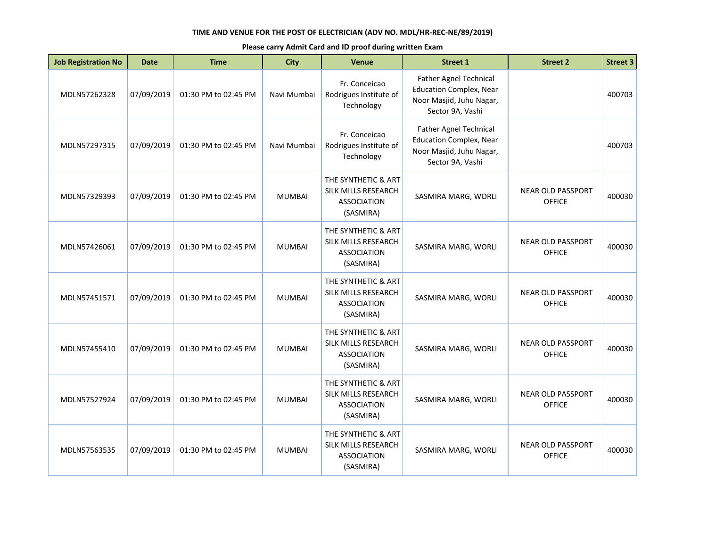| <b>Job Registration No</b> | <b>Date</b> | <b>Time</b>          | <b>City</b>   | Venue                                                                         | Street 1                                                                                                        | <b>Street 2</b>                           | <b>Street 3</b> |
|----------------------------|-------------|----------------------|---------------|-------------------------------------------------------------------------------|-----------------------------------------------------------------------------------------------------------------|-------------------------------------------|-----------------|
| MDLN57262328               | 07/09/2019  | 01:30 PM to 02:45 PM | Navi Mumbai   | Fr. Conceicao<br>Rodrigues Institute of<br>Technology                         | <b>Father Agnel Technical</b><br><b>Education Complex, Near</b><br>Noor Masjid, Juhu Nagar,<br>Sector 9A, Vashi |                                           | 400703          |
| MDLN57297315               | 07/09/2019  | 01:30 PM to 02:45 PM | Navi Mumbai   | Fr. Conceicao<br>Rodrigues Institute of<br>Technology                         | <b>Father Agnel Technical</b><br><b>Education Complex, Near</b><br>Noor Masjid, Juhu Nagar,<br>Sector 9A, Vashi |                                           | 400703          |
| MDLN57329393               | 07/09/2019  | 01:30 PM to 02:45 PM | <b>MUMBAI</b> | THE SYNTHETIC & ART<br>SILK MILLS RESEARCH<br><b>ASSOCIATION</b><br>(SASMIRA) | SASMIRA MARG, WORLI                                                                                             | <b>NEAR OLD PASSPORT</b><br><b>OFFICE</b> | 400030          |
| MDLN57426061               | 07/09/2019  | 01:30 PM to 02:45 PM | <b>MUMBAI</b> | THE SYNTHETIC & ART<br>SILK MILLS RESEARCH<br><b>ASSOCIATION</b><br>(SASMIRA) | SASMIRA MARG, WORLI                                                                                             | <b>NEAR OLD PASSPORT</b><br><b>OFFICE</b> | 400030          |
| MDLN57451571               | 07/09/2019  | 01:30 PM to 02:45 PM | <b>MUMBAI</b> | THE SYNTHETIC & ART<br>SILK MILLS RESEARCH<br><b>ASSOCIATION</b><br>(SASMIRA) | SASMIRA MARG, WORLI                                                                                             | <b>NEAR OLD PASSPORT</b><br><b>OFFICE</b> | 400030          |
| MDLN57455410               | 07/09/2019  | 01:30 PM to 02:45 PM | <b>MUMBAI</b> | THE SYNTHETIC & ART<br>SILK MILLS RESEARCH<br><b>ASSOCIATION</b><br>(SASMIRA) | SASMIRA MARG, WORLI                                                                                             | <b>NEAR OLD PASSPORT</b><br><b>OFFICE</b> | 400030          |
| MDLN57527924               | 07/09/2019  | 01:30 PM to 02:45 PM | <b>MUMBAI</b> | THE SYNTHETIC & ART<br>SILK MILLS RESEARCH<br><b>ASSOCIATION</b><br>(SASMIRA) | SASMIRA MARG, WORLI                                                                                             | <b>NEAR OLD PASSPORT</b><br><b>OFFICE</b> | 400030          |
| MDLN57563535               | 07/09/2019  | 01:30 PM to 02:45 PM | <b>MUMBAI</b> | THE SYNTHETIC & ART<br>SILK MILLS RESEARCH<br><b>ASSOCIATION</b><br>(SASMIRA) | SASMIRA MARG, WORLI                                                                                             | <b>NEAR OLD PASSPORT</b><br><b>OFFICE</b> | 400030          |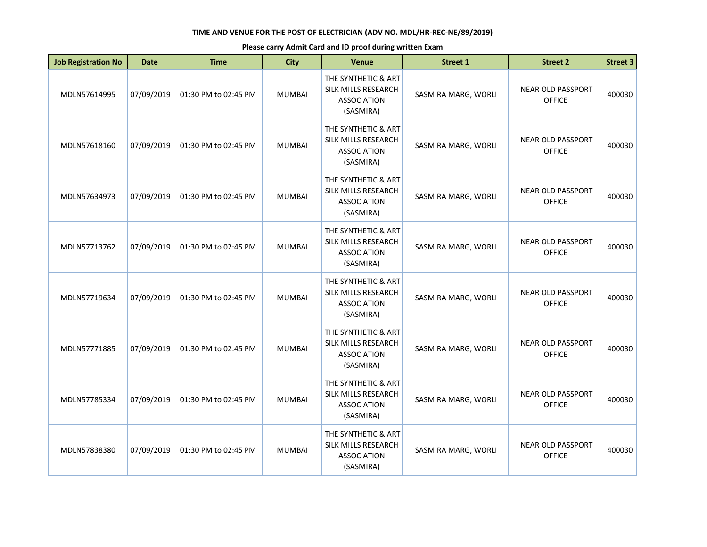| <b>Job Registration No</b> | <b>Date</b> | <b>Time</b>          | <b>City</b>   | Venue                                                                         | <b>Street 1</b>     | <b>Street 2</b>                           | <b>Street 3</b> |
|----------------------------|-------------|----------------------|---------------|-------------------------------------------------------------------------------|---------------------|-------------------------------------------|-----------------|
| MDLN57614995               | 07/09/2019  | 01:30 PM to 02:45 PM | <b>MUMBAI</b> | THE SYNTHETIC & ART<br>SILK MILLS RESEARCH<br><b>ASSOCIATION</b><br>(SASMIRA) | SASMIRA MARG, WORLI | <b>NEAR OLD PASSPORT</b><br><b>OFFICE</b> | 400030          |
| MDLN57618160               | 07/09/2019  | 01:30 PM to 02:45 PM | <b>MUMBAI</b> | THE SYNTHETIC & ART<br>SILK MILLS RESEARCH<br><b>ASSOCIATION</b><br>(SASMIRA) | SASMIRA MARG, WORLI | <b>NEAR OLD PASSPORT</b><br><b>OFFICE</b> | 400030          |
| MDLN57634973               | 07/09/2019  | 01:30 PM to 02:45 PM | <b>MUMBAI</b> | THE SYNTHETIC & ART<br>SILK MILLS RESEARCH<br><b>ASSOCIATION</b><br>(SASMIRA) | SASMIRA MARG, WORLI | <b>NEAR OLD PASSPORT</b><br><b>OFFICE</b> | 400030          |
| MDLN57713762               | 07/09/2019  | 01:30 PM to 02:45 PM | <b>MUMBAI</b> | THE SYNTHETIC & ART<br>SILK MILLS RESEARCH<br><b>ASSOCIATION</b><br>(SASMIRA) | SASMIRA MARG, WORLI | <b>NEAR OLD PASSPORT</b><br><b>OFFICE</b> | 400030          |
| MDLN57719634               | 07/09/2019  | 01:30 PM to 02:45 PM | <b>MUMBAI</b> | THE SYNTHETIC & ART<br>SILK MILLS RESEARCH<br><b>ASSOCIATION</b><br>(SASMIRA) | SASMIRA MARG, WORLI | <b>NEAR OLD PASSPORT</b><br><b>OFFICE</b> | 400030          |
| MDLN57771885               | 07/09/2019  | 01:30 PM to 02:45 PM | <b>MUMBAI</b> | THE SYNTHETIC & ART<br>SILK MILLS RESEARCH<br><b>ASSOCIATION</b><br>(SASMIRA) | SASMIRA MARG, WORLI | <b>NEAR OLD PASSPORT</b><br><b>OFFICE</b> | 400030          |
| MDLN57785334               | 07/09/2019  | 01:30 PM to 02:45 PM | <b>MUMBAI</b> | THE SYNTHETIC & ART<br>SILK MILLS RESEARCH<br><b>ASSOCIATION</b><br>(SASMIRA) | SASMIRA MARG, WORLI | <b>NEAR OLD PASSPORT</b><br><b>OFFICE</b> | 400030          |
| MDLN57838380               | 07/09/2019  | 01:30 PM to 02:45 PM | <b>MUMBAI</b> | THE SYNTHETIC & ART<br>SILK MILLS RESEARCH<br><b>ASSOCIATION</b><br>(SASMIRA) | SASMIRA MARG, WORLI | <b>NEAR OLD PASSPORT</b><br><b>OFFICE</b> | 400030          |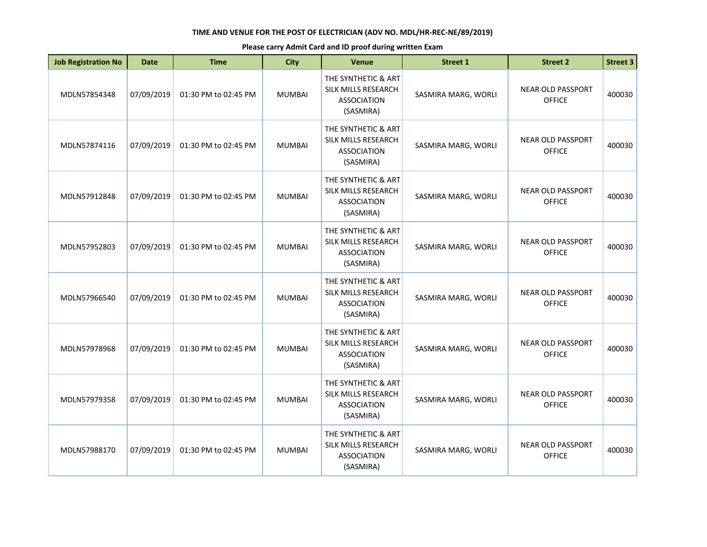| <b>Job Registration No</b> | <b>Date</b> | <b>Time</b>          | <b>City</b>   | Venue                                                                         | <b>Street 1</b>     | <b>Street 2</b>                           | <b>Street 3</b> |
|----------------------------|-------------|----------------------|---------------|-------------------------------------------------------------------------------|---------------------|-------------------------------------------|-----------------|
| MDLN57854348               | 07/09/2019  | 01:30 PM to 02:45 PM | <b>MUMBAI</b> | THE SYNTHETIC & ART<br>SILK MILLS RESEARCH<br><b>ASSOCIATION</b><br>(SASMIRA) | SASMIRA MARG, WORLI | <b>NEAR OLD PASSPORT</b><br><b>OFFICE</b> | 400030          |
| MDLN57874116               | 07/09/2019  | 01:30 PM to 02:45 PM | <b>MUMBAI</b> | THE SYNTHETIC & ART<br>SILK MILLS RESEARCH<br><b>ASSOCIATION</b><br>(SASMIRA) | SASMIRA MARG, WORLI | <b>NEAR OLD PASSPORT</b><br><b>OFFICE</b> | 400030          |
| MDLN57912848               | 07/09/2019  | 01:30 PM to 02:45 PM | <b>MUMBAI</b> | THE SYNTHETIC & ART<br>SILK MILLS RESEARCH<br><b>ASSOCIATION</b><br>(SASMIRA) | SASMIRA MARG, WORLI | <b>NEAR OLD PASSPORT</b><br><b>OFFICE</b> | 400030          |
| MDLN57952803               | 07/09/2019  | 01:30 PM to 02:45 PM | <b>MUMBAI</b> | THE SYNTHETIC & ART<br>SILK MILLS RESEARCH<br><b>ASSOCIATION</b><br>(SASMIRA) | SASMIRA MARG, WORLI | <b>NEAR OLD PASSPORT</b><br><b>OFFICE</b> | 400030          |
| MDLN57966540               | 07/09/2019  | 01:30 PM to 02:45 PM | <b>MUMBAI</b> | THE SYNTHETIC & ART<br>SILK MILLS RESEARCH<br><b>ASSOCIATION</b><br>(SASMIRA) | SASMIRA MARG, WORLI | <b>NEAR OLD PASSPORT</b><br><b>OFFICE</b> | 400030          |
| MDLN57978968               | 07/09/2019  | 01:30 PM to 02:45 PM | <b>MUMBAI</b> | THE SYNTHETIC & ART<br>SILK MILLS RESEARCH<br><b>ASSOCIATION</b><br>(SASMIRA) | SASMIRA MARG, WORLI | <b>NEAR OLD PASSPORT</b><br><b>OFFICE</b> | 400030          |
| MDLN57979358               | 07/09/2019  | 01:30 PM to 02:45 PM | <b>MUMBAI</b> | THE SYNTHETIC & ART<br>SILK MILLS RESEARCH<br><b>ASSOCIATION</b><br>(SASMIRA) | SASMIRA MARG, WORLI | <b>NEAR OLD PASSPORT</b><br><b>OFFICE</b> | 400030          |
| MDLN57988170               | 07/09/2019  | 01:30 PM to 02:45 PM | <b>MUMBAI</b> | THE SYNTHETIC & ART<br>SILK MILLS RESEARCH<br><b>ASSOCIATION</b><br>(SASMIRA) | SASMIRA MARG, WORLI | <b>NEAR OLD PASSPORT</b><br><b>OFFICE</b> | 400030          |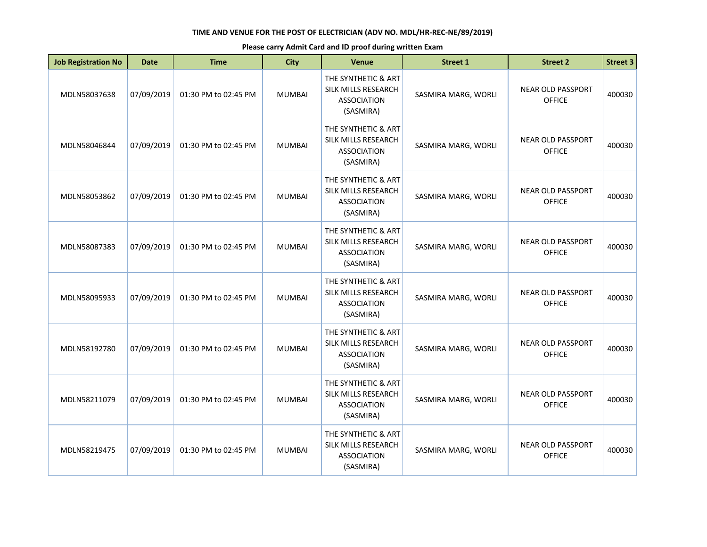| <b>Job Registration No</b> | <b>Date</b> | <b>Time</b>          | <b>City</b>   | Venue                                                                         | <b>Street 1</b>     | <b>Street 2</b>                           | <b>Street 3</b> |
|----------------------------|-------------|----------------------|---------------|-------------------------------------------------------------------------------|---------------------|-------------------------------------------|-----------------|
| MDLN58037638               | 07/09/2019  | 01:30 PM to 02:45 PM | <b>MUMBAI</b> | THE SYNTHETIC & ART<br>SILK MILLS RESEARCH<br><b>ASSOCIATION</b><br>(SASMIRA) | SASMIRA MARG, WORLI | <b>NEAR OLD PASSPORT</b><br><b>OFFICE</b> | 400030          |
| MDLN58046844               | 07/09/2019  | 01:30 PM to 02:45 PM | <b>MUMBAI</b> | THE SYNTHETIC & ART<br>SILK MILLS RESEARCH<br><b>ASSOCIATION</b><br>(SASMIRA) | SASMIRA MARG, WORLI | <b>NEAR OLD PASSPORT</b><br><b>OFFICE</b> | 400030          |
| MDLN58053862               | 07/09/2019  | 01:30 PM to 02:45 PM | <b>MUMBAI</b> | THE SYNTHETIC & ART<br>SILK MILLS RESEARCH<br><b>ASSOCIATION</b><br>(SASMIRA) | SASMIRA MARG, WORLI | <b>NEAR OLD PASSPORT</b><br><b>OFFICE</b> | 400030          |
| MDLN58087383               | 07/09/2019  | 01:30 PM to 02:45 PM | <b>MUMBAI</b> | THE SYNTHETIC & ART<br>SILK MILLS RESEARCH<br><b>ASSOCIATION</b><br>(SASMIRA) | SASMIRA MARG, WORLI | <b>NEAR OLD PASSPORT</b><br><b>OFFICE</b> | 400030          |
| MDLN58095933               | 07/09/2019  | 01:30 PM to 02:45 PM | <b>MUMBAI</b> | THE SYNTHETIC & ART<br>SILK MILLS RESEARCH<br><b>ASSOCIATION</b><br>(SASMIRA) | SASMIRA MARG, WORLI | <b>NEAR OLD PASSPORT</b><br><b>OFFICE</b> | 400030          |
| MDLN58192780               | 07/09/2019  | 01:30 PM to 02:45 PM | <b>MUMBAI</b> | THE SYNTHETIC & ART<br>SILK MILLS RESEARCH<br><b>ASSOCIATION</b><br>(SASMIRA) | SASMIRA MARG, WORLI | <b>NEAR OLD PASSPORT</b><br><b>OFFICE</b> | 400030          |
| MDLN58211079               | 07/09/2019  | 01:30 PM to 02:45 PM | <b>MUMBAI</b> | THE SYNTHETIC & ART<br>SILK MILLS RESEARCH<br><b>ASSOCIATION</b><br>(SASMIRA) | SASMIRA MARG, WORLI | <b>NEAR OLD PASSPORT</b><br><b>OFFICE</b> | 400030          |
| MDLN58219475               | 07/09/2019  | 01:30 PM to 02:45 PM | <b>MUMBAI</b> | THE SYNTHETIC & ART<br>SILK MILLS RESEARCH<br><b>ASSOCIATION</b><br>(SASMIRA) | SASMIRA MARG, WORLI | <b>NEAR OLD PASSPORT</b><br><b>OFFICE</b> | 400030          |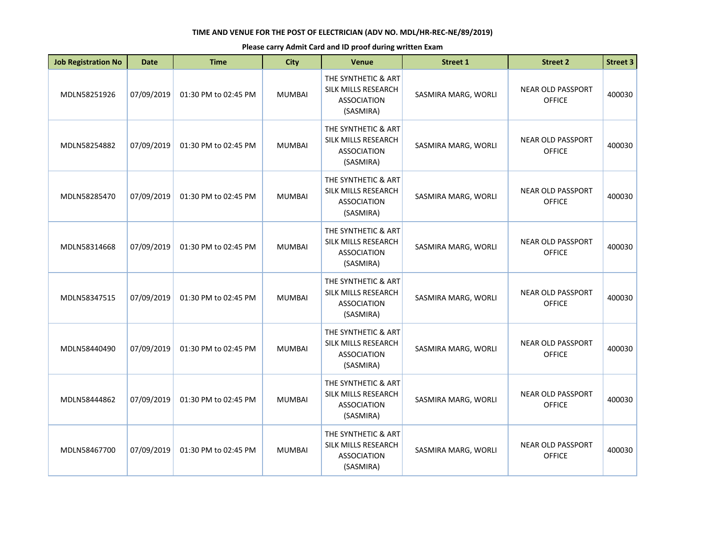| <b>Job Registration No</b> | <b>Date</b> | <b>Time</b>          | <b>City</b>   | Venue                                                                         | <b>Street 1</b>     | <b>Street 2</b>                           | <b>Street 3</b> |
|----------------------------|-------------|----------------------|---------------|-------------------------------------------------------------------------------|---------------------|-------------------------------------------|-----------------|
| MDLN58251926               | 07/09/2019  | 01:30 PM to 02:45 PM | <b>MUMBAI</b> | THE SYNTHETIC & ART<br>SILK MILLS RESEARCH<br><b>ASSOCIATION</b><br>(SASMIRA) | SASMIRA MARG, WORLI | <b>NEAR OLD PASSPORT</b><br><b>OFFICE</b> | 400030          |
| MDLN58254882               | 07/09/2019  | 01:30 PM to 02:45 PM | <b>MUMBAI</b> | THE SYNTHETIC & ART<br>SILK MILLS RESEARCH<br><b>ASSOCIATION</b><br>(SASMIRA) | SASMIRA MARG, WORLI | <b>NEAR OLD PASSPORT</b><br><b>OFFICE</b> | 400030          |
| MDLN58285470               | 07/09/2019  | 01:30 PM to 02:45 PM | <b>MUMBAI</b> | THE SYNTHETIC & ART<br>SILK MILLS RESEARCH<br><b>ASSOCIATION</b><br>(SASMIRA) | SASMIRA MARG, WORLI | <b>NEAR OLD PASSPORT</b><br><b>OFFICE</b> | 400030          |
| MDLN58314668               | 07/09/2019  | 01:30 PM to 02:45 PM | <b>MUMBAI</b> | THE SYNTHETIC & ART<br>SILK MILLS RESEARCH<br><b>ASSOCIATION</b><br>(SASMIRA) | SASMIRA MARG, WORLI | <b>NEAR OLD PASSPORT</b><br><b>OFFICE</b> | 400030          |
| MDLN58347515               | 07/09/2019  | 01:30 PM to 02:45 PM | <b>MUMBAI</b> | THE SYNTHETIC & ART<br>SILK MILLS RESEARCH<br><b>ASSOCIATION</b><br>(SASMIRA) | SASMIRA MARG, WORLI | <b>NEAR OLD PASSPORT</b><br><b>OFFICE</b> | 400030          |
| MDLN58440490               | 07/09/2019  | 01:30 PM to 02:45 PM | <b>MUMBAI</b> | THE SYNTHETIC & ART<br>SILK MILLS RESEARCH<br><b>ASSOCIATION</b><br>(SASMIRA) | SASMIRA MARG, WORLI | <b>NEAR OLD PASSPORT</b><br><b>OFFICE</b> | 400030          |
| MDLN58444862               | 07/09/2019  | 01:30 PM to 02:45 PM | <b>MUMBAI</b> | THE SYNTHETIC & ART<br>SILK MILLS RESEARCH<br><b>ASSOCIATION</b><br>(SASMIRA) | SASMIRA MARG, WORLI | <b>NEAR OLD PASSPORT</b><br><b>OFFICE</b> | 400030          |
| MDLN58467700               | 07/09/2019  | 01:30 PM to 02:45 PM | <b>MUMBAI</b> | THE SYNTHETIC & ART<br>SILK MILLS RESEARCH<br><b>ASSOCIATION</b><br>(SASMIRA) | SASMIRA MARG, WORLI | <b>NEAR OLD PASSPORT</b><br><b>OFFICE</b> | 400030          |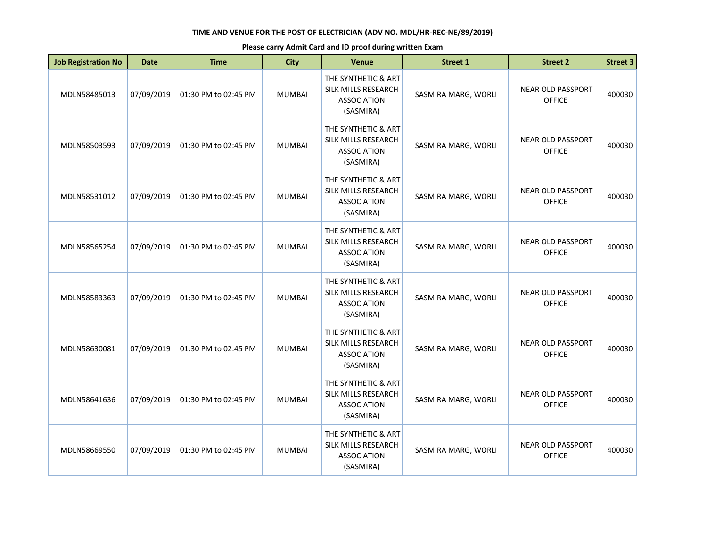| <b>Job Registration No</b> | <b>Date</b> | <b>Time</b>          | <b>City</b>   | Venue                                                                         | <b>Street 1</b>     | <b>Street 2</b>                           | <b>Street 3</b> |
|----------------------------|-------------|----------------------|---------------|-------------------------------------------------------------------------------|---------------------|-------------------------------------------|-----------------|
| MDLN58485013               | 07/09/2019  | 01:30 PM to 02:45 PM | <b>MUMBAI</b> | THE SYNTHETIC & ART<br>SILK MILLS RESEARCH<br><b>ASSOCIATION</b><br>(SASMIRA) | SASMIRA MARG, WORLI | <b>NEAR OLD PASSPORT</b><br><b>OFFICE</b> | 400030          |
| MDLN58503593               | 07/09/2019  | 01:30 PM to 02:45 PM | <b>MUMBAI</b> | THE SYNTHETIC & ART<br>SILK MILLS RESEARCH<br><b>ASSOCIATION</b><br>(SASMIRA) | SASMIRA MARG, WORLI | <b>NEAR OLD PASSPORT</b><br><b>OFFICE</b> | 400030          |
| MDLN58531012               | 07/09/2019  | 01:30 PM to 02:45 PM | <b>MUMBAI</b> | THE SYNTHETIC & ART<br>SILK MILLS RESEARCH<br><b>ASSOCIATION</b><br>(SASMIRA) | SASMIRA MARG, WORLI | <b>NEAR OLD PASSPORT</b><br><b>OFFICE</b> | 400030          |
| MDLN58565254               | 07/09/2019  | 01:30 PM to 02:45 PM | <b>MUMBAI</b> | THE SYNTHETIC & ART<br>SILK MILLS RESEARCH<br><b>ASSOCIATION</b><br>(SASMIRA) | SASMIRA MARG, WORLI | <b>NEAR OLD PASSPORT</b><br><b>OFFICE</b> | 400030          |
| MDLN58583363               | 07/09/2019  | 01:30 PM to 02:45 PM | <b>MUMBAI</b> | THE SYNTHETIC & ART<br>SILK MILLS RESEARCH<br><b>ASSOCIATION</b><br>(SASMIRA) | SASMIRA MARG, WORLI | <b>NEAR OLD PASSPORT</b><br><b>OFFICE</b> | 400030          |
| MDLN58630081               | 07/09/2019  | 01:30 PM to 02:45 PM | <b>MUMBAI</b> | THE SYNTHETIC & ART<br>SILK MILLS RESEARCH<br><b>ASSOCIATION</b><br>(SASMIRA) | SASMIRA MARG, WORLI | <b>NEAR OLD PASSPORT</b><br><b>OFFICE</b> | 400030          |
| MDLN58641636               | 07/09/2019  | 01:30 PM to 02:45 PM | <b>MUMBAI</b> | THE SYNTHETIC & ART<br>SILK MILLS RESEARCH<br><b>ASSOCIATION</b><br>(SASMIRA) | SASMIRA MARG, WORLI | <b>NEAR OLD PASSPORT</b><br><b>OFFICE</b> | 400030          |
| MDLN58669550               | 07/09/2019  | 01:30 PM to 02:45 PM | <b>MUMBAI</b> | THE SYNTHETIC & ART<br>SILK MILLS RESEARCH<br><b>ASSOCIATION</b><br>(SASMIRA) | SASMIRA MARG, WORLI | <b>NEAR OLD PASSPORT</b><br><b>OFFICE</b> | 400030          |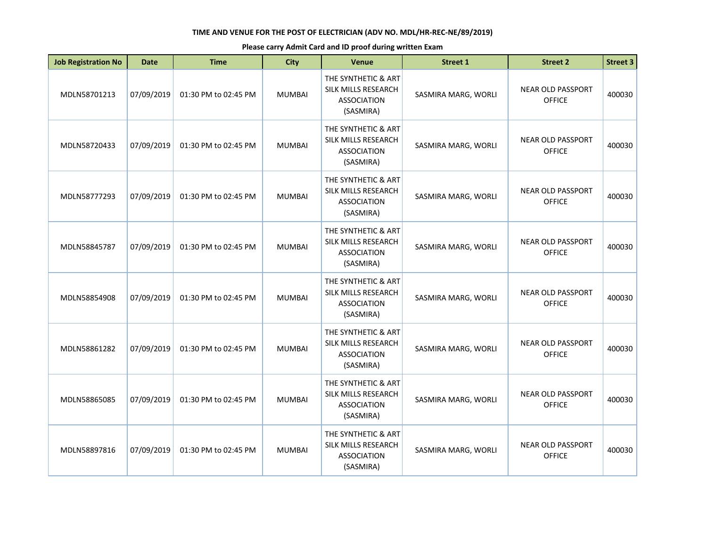| <b>Job Registration No</b> | <b>Date</b> | <b>Time</b>          | <b>City</b>   | <b>Venue</b>                                                                  | <b>Street 1</b>     | <b>Street 2</b>                           | <b>Street 3</b> |
|----------------------------|-------------|----------------------|---------------|-------------------------------------------------------------------------------|---------------------|-------------------------------------------|-----------------|
| MDLN58701213               | 07/09/2019  | 01:30 PM to 02:45 PM | <b>MUMBAI</b> | THE SYNTHETIC & ART<br>SILK MILLS RESEARCH<br><b>ASSOCIATION</b><br>(SASMIRA) | SASMIRA MARG, WORLI | <b>NEAR OLD PASSPORT</b><br><b>OFFICE</b> | 400030          |
| MDLN58720433               | 07/09/2019  | 01:30 PM to 02:45 PM | <b>MUMBAI</b> | THE SYNTHETIC & ART<br>SILK MILLS RESEARCH<br><b>ASSOCIATION</b><br>(SASMIRA) | SASMIRA MARG, WORLI | <b>NEAR OLD PASSPORT</b><br><b>OFFICE</b> | 400030          |
| MDLN58777293               | 07/09/2019  | 01:30 PM to 02:45 PM | <b>MUMBAI</b> | THE SYNTHETIC & ART<br>SILK MILLS RESEARCH<br><b>ASSOCIATION</b><br>(SASMIRA) | SASMIRA MARG, WORLI | <b>NEAR OLD PASSPORT</b><br><b>OFFICE</b> | 400030          |
| MDLN58845787               | 07/09/2019  | 01:30 PM to 02:45 PM | <b>MUMBAI</b> | THE SYNTHETIC & ART<br>SILK MILLS RESEARCH<br><b>ASSOCIATION</b><br>(SASMIRA) | SASMIRA MARG, WORLI | <b>NEAR OLD PASSPORT</b><br><b>OFFICE</b> | 400030          |
| MDLN58854908               | 07/09/2019  | 01:30 PM to 02:45 PM | <b>MUMBAI</b> | THE SYNTHETIC & ART<br>SILK MILLS RESEARCH<br><b>ASSOCIATION</b><br>(SASMIRA) | SASMIRA MARG, WORLI | <b>NEAR OLD PASSPORT</b><br><b>OFFICE</b> | 400030          |
| MDLN58861282               | 07/09/2019  | 01:30 PM to 02:45 PM | <b>MUMBAI</b> | THE SYNTHETIC & ART<br>SILK MILLS RESEARCH<br><b>ASSOCIATION</b><br>(SASMIRA) | SASMIRA MARG, WORLI | <b>NEAR OLD PASSPORT</b><br><b>OFFICE</b> | 400030          |
| MDLN58865085               | 07/09/2019  | 01:30 PM to 02:45 PM | <b>MUMBAI</b> | THE SYNTHETIC & ART<br>SILK MILLS RESEARCH<br><b>ASSOCIATION</b><br>(SASMIRA) | SASMIRA MARG, WORLI | <b>NEAR OLD PASSPORT</b><br><b>OFFICE</b> | 400030          |
| MDLN58897816               | 07/09/2019  | 01:30 PM to 02:45 PM | <b>MUMBAI</b> | THE SYNTHETIC & ART<br>SILK MILLS RESEARCH<br><b>ASSOCIATION</b><br>(SASMIRA) | SASMIRA MARG, WORLI | <b>NEAR OLD PASSPORT</b><br><b>OFFICE</b> | 400030          |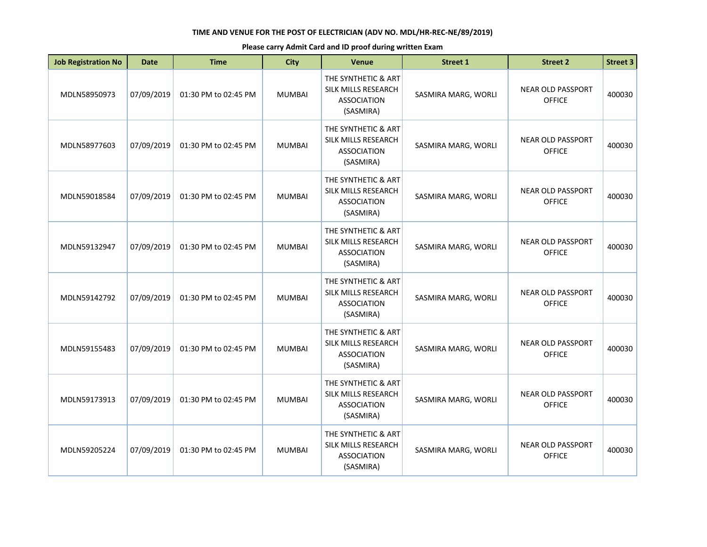| <b>Job Registration No</b> | <b>Date</b> | <b>Time</b>          | <b>City</b>   | Venue                                                                         | <b>Street 1</b>     | <b>Street 2</b>                           | <b>Street 3</b> |
|----------------------------|-------------|----------------------|---------------|-------------------------------------------------------------------------------|---------------------|-------------------------------------------|-----------------|
| MDLN58950973               | 07/09/2019  | 01:30 PM to 02:45 PM | <b>MUMBAI</b> | THE SYNTHETIC & ART<br>SILK MILLS RESEARCH<br><b>ASSOCIATION</b><br>(SASMIRA) | SASMIRA MARG, WORLI | <b>NEAR OLD PASSPORT</b><br><b>OFFICE</b> | 400030          |
| MDLN58977603               | 07/09/2019  | 01:30 PM to 02:45 PM | <b>MUMBAI</b> | THE SYNTHETIC & ART<br>SILK MILLS RESEARCH<br><b>ASSOCIATION</b><br>(SASMIRA) | SASMIRA MARG, WORLI | <b>NEAR OLD PASSPORT</b><br><b>OFFICE</b> | 400030          |
| MDLN59018584               | 07/09/2019  | 01:30 PM to 02:45 PM | <b>MUMBAI</b> | THE SYNTHETIC & ART<br>SILK MILLS RESEARCH<br><b>ASSOCIATION</b><br>(SASMIRA) | SASMIRA MARG, WORLI | <b>NEAR OLD PASSPORT</b><br><b>OFFICE</b> | 400030          |
| MDLN59132947               | 07/09/2019  | 01:30 PM to 02:45 PM | <b>MUMBAI</b> | THE SYNTHETIC & ART<br>SILK MILLS RESEARCH<br><b>ASSOCIATION</b><br>(SASMIRA) | SASMIRA MARG, WORLI | <b>NEAR OLD PASSPORT</b><br><b>OFFICE</b> | 400030          |
| MDLN59142792               | 07/09/2019  | 01:30 PM to 02:45 PM | <b>MUMBAI</b> | THE SYNTHETIC & ART<br>SILK MILLS RESEARCH<br><b>ASSOCIATION</b><br>(SASMIRA) | SASMIRA MARG, WORLI | <b>NEAR OLD PASSPORT</b><br><b>OFFICE</b> | 400030          |
| MDLN59155483               | 07/09/2019  | 01:30 PM to 02:45 PM | <b>MUMBAI</b> | THE SYNTHETIC & ART<br>SILK MILLS RESEARCH<br><b>ASSOCIATION</b><br>(SASMIRA) | SASMIRA MARG, WORLI | <b>NEAR OLD PASSPORT</b><br><b>OFFICE</b> | 400030          |
| MDLN59173913               | 07/09/2019  | 01:30 PM to 02:45 PM | <b>MUMBAI</b> | THE SYNTHETIC & ART<br>SILK MILLS RESEARCH<br><b>ASSOCIATION</b><br>(SASMIRA) | SASMIRA MARG, WORLI | <b>NEAR OLD PASSPORT</b><br><b>OFFICE</b> | 400030          |
| MDLN59205224               | 07/09/2019  | 01:30 PM to 02:45 PM | <b>MUMBAI</b> | THE SYNTHETIC & ART<br>SILK MILLS RESEARCH<br><b>ASSOCIATION</b><br>(SASMIRA) | SASMIRA MARG, WORLI | <b>NEAR OLD PASSPORT</b><br><b>OFFICE</b> | 400030          |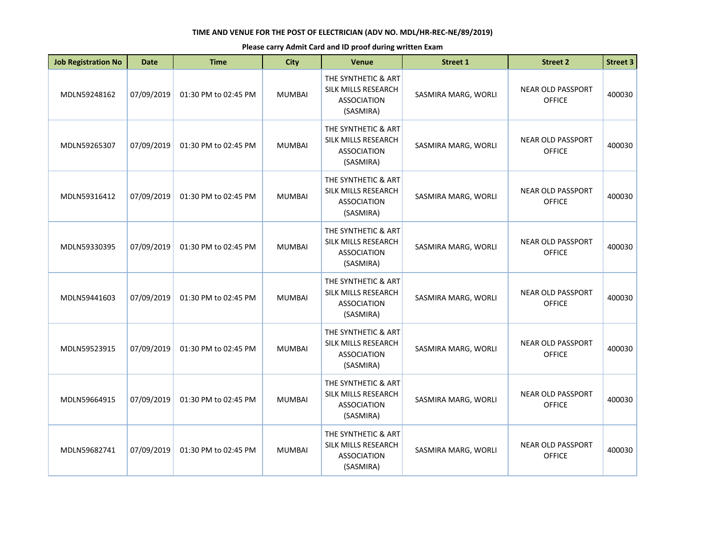| <b>Job Registration No</b> | <b>Date</b> | <b>Time</b>          | <b>City</b>   | <b>Venue</b>                                                                  | <b>Street 1</b>     | <b>Street 2</b>                           | <b>Street 3</b> |
|----------------------------|-------------|----------------------|---------------|-------------------------------------------------------------------------------|---------------------|-------------------------------------------|-----------------|
| MDLN59248162               | 07/09/2019  | 01:30 PM to 02:45 PM | <b>MUMBAI</b> | THE SYNTHETIC & ART<br>SILK MILLS RESEARCH<br><b>ASSOCIATION</b><br>(SASMIRA) | SASMIRA MARG, WORLI | <b>NEAR OLD PASSPORT</b><br><b>OFFICE</b> | 400030          |
| MDLN59265307               | 07/09/2019  | 01:30 PM to 02:45 PM | <b>MUMBAI</b> | THE SYNTHETIC & ART<br>SILK MILLS RESEARCH<br><b>ASSOCIATION</b><br>(SASMIRA) | SASMIRA MARG, WORLI | <b>NEAR OLD PASSPORT</b><br><b>OFFICE</b> | 400030          |
| MDLN59316412               | 07/09/2019  | 01:30 PM to 02:45 PM | <b>MUMBAI</b> | THE SYNTHETIC & ART<br>SILK MILLS RESEARCH<br><b>ASSOCIATION</b><br>(SASMIRA) | SASMIRA MARG, WORLI | <b>NEAR OLD PASSPORT</b><br><b>OFFICE</b> | 400030          |
| MDLN59330395               | 07/09/2019  | 01:30 PM to 02:45 PM | <b>MUMBAI</b> | THE SYNTHETIC & ART<br>SILK MILLS RESEARCH<br><b>ASSOCIATION</b><br>(SASMIRA) | SASMIRA MARG, WORLI | <b>NEAR OLD PASSPORT</b><br><b>OFFICE</b> | 400030          |
| MDLN59441603               | 07/09/2019  | 01:30 PM to 02:45 PM | <b>MUMBAI</b> | THE SYNTHETIC & ART<br>SILK MILLS RESEARCH<br><b>ASSOCIATION</b><br>(SASMIRA) | SASMIRA MARG, WORLI | <b>NEAR OLD PASSPORT</b><br><b>OFFICE</b> | 400030          |
| MDLN59523915               | 07/09/2019  | 01:30 PM to 02:45 PM | <b>MUMBAI</b> | THE SYNTHETIC & ART<br>SILK MILLS RESEARCH<br><b>ASSOCIATION</b><br>(SASMIRA) | SASMIRA MARG, WORLI | <b>NEAR OLD PASSPORT</b><br><b>OFFICE</b> | 400030          |
| MDLN59664915               | 07/09/2019  | 01:30 PM to 02:45 PM | <b>MUMBAI</b> | THE SYNTHETIC & ART<br>SILK MILLS RESEARCH<br><b>ASSOCIATION</b><br>(SASMIRA) | SASMIRA MARG, WORLI | <b>NEAR OLD PASSPORT</b><br><b>OFFICE</b> | 400030          |
| MDLN59682741               | 07/09/2019  | 01:30 PM to 02:45 PM | <b>MUMBAI</b> | THE SYNTHETIC & ART<br>SILK MILLS RESEARCH<br><b>ASSOCIATION</b><br>(SASMIRA) | SASMIRA MARG, WORLI | <b>NEAR OLD PASSPORT</b><br><b>OFFICE</b> | 400030          |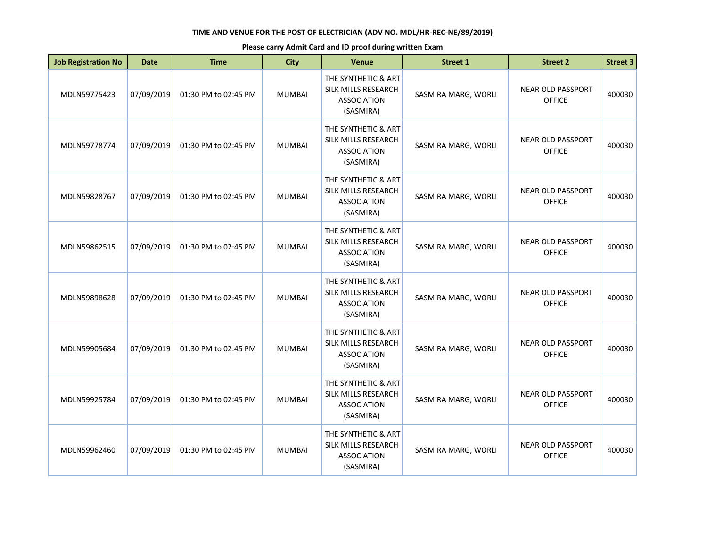| <b>Job Registration No</b> | <b>Date</b> | <b>Time</b>          | <b>City</b>   | Venue                                                                         | <b>Street 1</b>     | <b>Street 2</b>                           | <b>Street 3</b> |
|----------------------------|-------------|----------------------|---------------|-------------------------------------------------------------------------------|---------------------|-------------------------------------------|-----------------|
| MDLN59775423               | 07/09/2019  | 01:30 PM to 02:45 PM | <b>MUMBAI</b> | THE SYNTHETIC & ART<br>SILK MILLS RESEARCH<br><b>ASSOCIATION</b><br>(SASMIRA) | SASMIRA MARG, WORLI | <b>NEAR OLD PASSPORT</b><br><b>OFFICE</b> | 400030          |
| MDLN59778774               | 07/09/2019  | 01:30 PM to 02:45 PM | <b>MUMBAI</b> | THE SYNTHETIC & ART<br>SILK MILLS RESEARCH<br><b>ASSOCIATION</b><br>(SASMIRA) | SASMIRA MARG, WORLI | <b>NEAR OLD PASSPORT</b><br><b>OFFICE</b> | 400030          |
| MDLN59828767               | 07/09/2019  | 01:30 PM to 02:45 PM | <b>MUMBAI</b> | THE SYNTHETIC & ART<br>SILK MILLS RESEARCH<br><b>ASSOCIATION</b><br>(SASMIRA) | SASMIRA MARG, WORLI | <b>NEAR OLD PASSPORT</b><br><b>OFFICE</b> | 400030          |
| MDLN59862515               | 07/09/2019  | 01:30 PM to 02:45 PM | <b>MUMBAI</b> | THE SYNTHETIC & ART<br>SILK MILLS RESEARCH<br><b>ASSOCIATION</b><br>(SASMIRA) | SASMIRA MARG, WORLI | <b>NEAR OLD PASSPORT</b><br><b>OFFICE</b> | 400030          |
| MDLN59898628               | 07/09/2019  | 01:30 PM to 02:45 PM | <b>MUMBAI</b> | THE SYNTHETIC & ART<br>SILK MILLS RESEARCH<br><b>ASSOCIATION</b><br>(SASMIRA) | SASMIRA MARG, WORLI | <b>NEAR OLD PASSPORT</b><br><b>OFFICE</b> | 400030          |
| MDLN59905684               | 07/09/2019  | 01:30 PM to 02:45 PM | <b>MUMBAI</b> | THE SYNTHETIC & ART<br>SILK MILLS RESEARCH<br><b>ASSOCIATION</b><br>(SASMIRA) | SASMIRA MARG, WORLI | <b>NEAR OLD PASSPORT</b><br><b>OFFICE</b> | 400030          |
| MDLN59925784               | 07/09/2019  | 01:30 PM to 02:45 PM | <b>MUMBAI</b> | THE SYNTHETIC & ART<br>SILK MILLS RESEARCH<br><b>ASSOCIATION</b><br>(SASMIRA) | SASMIRA MARG, WORLI | <b>NEAR OLD PASSPORT</b><br><b>OFFICE</b> | 400030          |
| MDLN59962460               | 07/09/2019  | 01:30 PM to 02:45 PM | <b>MUMBAI</b> | THE SYNTHETIC & ART<br>SILK MILLS RESEARCH<br><b>ASSOCIATION</b><br>(SASMIRA) | SASMIRA MARG, WORLI | <b>NEAR OLD PASSPORT</b><br><b>OFFICE</b> | 400030          |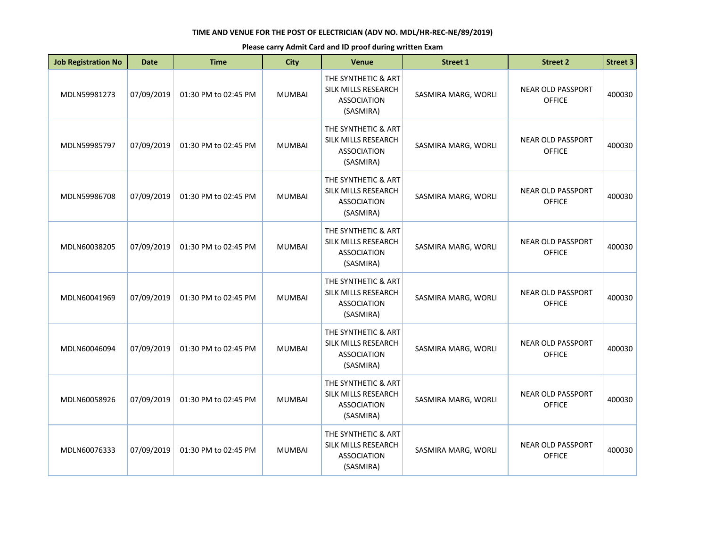| <b>Job Registration No</b> | <b>Date</b> | <b>Time</b>          | <b>City</b>   | Venue                                                                         | <b>Street 1</b>     | <b>Street 2</b>                           | <b>Street 3</b> |
|----------------------------|-------------|----------------------|---------------|-------------------------------------------------------------------------------|---------------------|-------------------------------------------|-----------------|
| MDLN59981273               | 07/09/2019  | 01:30 PM to 02:45 PM | <b>MUMBAI</b> | THE SYNTHETIC & ART<br>SILK MILLS RESEARCH<br><b>ASSOCIATION</b><br>(SASMIRA) | SASMIRA MARG, WORLI | <b>NEAR OLD PASSPORT</b><br><b>OFFICE</b> | 400030          |
| MDLN59985797               | 07/09/2019  | 01:30 PM to 02:45 PM | <b>MUMBAI</b> | THE SYNTHETIC & ART<br>SILK MILLS RESEARCH<br><b>ASSOCIATION</b><br>(SASMIRA) | SASMIRA MARG, WORLI | <b>NEAR OLD PASSPORT</b><br><b>OFFICE</b> | 400030          |
| MDLN59986708               | 07/09/2019  | 01:30 PM to 02:45 PM | <b>MUMBAI</b> | THE SYNTHETIC & ART<br>SILK MILLS RESEARCH<br><b>ASSOCIATION</b><br>(SASMIRA) | SASMIRA MARG, WORLI | <b>NEAR OLD PASSPORT</b><br><b>OFFICE</b> | 400030          |
| MDLN60038205               | 07/09/2019  | 01:30 PM to 02:45 PM | <b>MUMBAI</b> | THE SYNTHETIC & ART<br>SILK MILLS RESEARCH<br><b>ASSOCIATION</b><br>(SASMIRA) | SASMIRA MARG, WORLI | <b>NEAR OLD PASSPORT</b><br><b>OFFICE</b> | 400030          |
| MDLN60041969               | 07/09/2019  | 01:30 PM to 02:45 PM | <b>MUMBAI</b> | THE SYNTHETIC & ART<br>SILK MILLS RESEARCH<br><b>ASSOCIATION</b><br>(SASMIRA) | SASMIRA MARG, WORLI | <b>NEAR OLD PASSPORT</b><br><b>OFFICE</b> | 400030          |
| MDLN60046094               | 07/09/2019  | 01:30 PM to 02:45 PM | <b>MUMBAI</b> | THE SYNTHETIC & ART<br>SILK MILLS RESEARCH<br><b>ASSOCIATION</b><br>(SASMIRA) | SASMIRA MARG, WORLI | <b>NEAR OLD PASSPORT</b><br><b>OFFICE</b> | 400030          |
| MDLN60058926               | 07/09/2019  | 01:30 PM to 02:45 PM | <b>MUMBAI</b> | THE SYNTHETIC & ART<br>SILK MILLS RESEARCH<br><b>ASSOCIATION</b><br>(SASMIRA) | SASMIRA MARG, WORLI | <b>NEAR OLD PASSPORT</b><br><b>OFFICE</b> | 400030          |
| MDLN60076333               | 07/09/2019  | 01:30 PM to 02:45 PM | <b>MUMBAI</b> | THE SYNTHETIC & ART<br>SILK MILLS RESEARCH<br><b>ASSOCIATION</b><br>(SASMIRA) | SASMIRA MARG, WORLI | <b>NEAR OLD PASSPORT</b><br><b>OFFICE</b> | 400030          |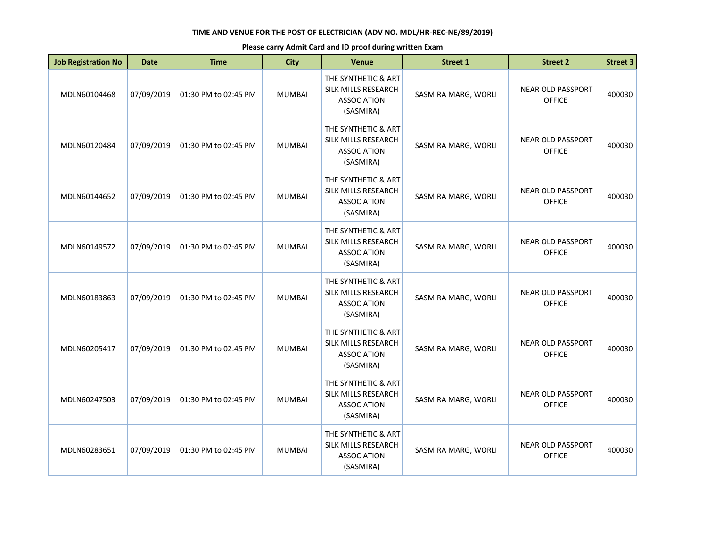| <b>Job Registration No</b> | <b>Date</b> | <b>Time</b>          | <b>City</b>   | Venue                                                                         | <b>Street 1</b>     | <b>Street 2</b>                           | <b>Street 3</b> |
|----------------------------|-------------|----------------------|---------------|-------------------------------------------------------------------------------|---------------------|-------------------------------------------|-----------------|
| MDLN60104468               | 07/09/2019  | 01:30 PM to 02:45 PM | <b>MUMBAI</b> | THE SYNTHETIC & ART<br>SILK MILLS RESEARCH<br><b>ASSOCIATION</b><br>(SASMIRA) | SASMIRA MARG, WORLI | <b>NEAR OLD PASSPORT</b><br><b>OFFICE</b> | 400030          |
| MDLN60120484               | 07/09/2019  | 01:30 PM to 02:45 PM | <b>MUMBAI</b> | THE SYNTHETIC & ART<br>SILK MILLS RESEARCH<br><b>ASSOCIATION</b><br>(SASMIRA) | SASMIRA MARG, WORLI | <b>NEAR OLD PASSPORT</b><br><b>OFFICE</b> | 400030          |
| MDLN60144652               | 07/09/2019  | 01:30 PM to 02:45 PM | <b>MUMBAI</b> | THE SYNTHETIC & ART<br>SILK MILLS RESEARCH<br><b>ASSOCIATION</b><br>(SASMIRA) | SASMIRA MARG, WORLI | <b>NEAR OLD PASSPORT</b><br><b>OFFICE</b> | 400030          |
| MDLN60149572               | 07/09/2019  | 01:30 PM to 02:45 PM | <b>MUMBAI</b> | THE SYNTHETIC & ART<br>SILK MILLS RESEARCH<br><b>ASSOCIATION</b><br>(SASMIRA) | SASMIRA MARG, WORLI | <b>NEAR OLD PASSPORT</b><br><b>OFFICE</b> | 400030          |
| MDLN60183863               | 07/09/2019  | 01:30 PM to 02:45 PM | <b>MUMBAI</b> | THE SYNTHETIC & ART<br>SILK MILLS RESEARCH<br><b>ASSOCIATION</b><br>(SASMIRA) | SASMIRA MARG, WORLI | <b>NEAR OLD PASSPORT</b><br><b>OFFICE</b> | 400030          |
| MDLN60205417               | 07/09/2019  | 01:30 PM to 02:45 PM | <b>MUMBAI</b> | THE SYNTHETIC & ART<br>SILK MILLS RESEARCH<br><b>ASSOCIATION</b><br>(SASMIRA) | SASMIRA MARG, WORLI | <b>NEAR OLD PASSPORT</b><br><b>OFFICE</b> | 400030          |
| MDLN60247503               | 07/09/2019  | 01:30 PM to 02:45 PM | <b>MUMBAI</b> | THE SYNTHETIC & ART<br>SILK MILLS RESEARCH<br><b>ASSOCIATION</b><br>(SASMIRA) | SASMIRA MARG, WORLI | <b>NEAR OLD PASSPORT</b><br><b>OFFICE</b> | 400030          |
| MDLN60283651               | 07/09/2019  | 01:30 PM to 02:45 PM | <b>MUMBAI</b> | THE SYNTHETIC & ART<br>SILK MILLS RESEARCH<br><b>ASSOCIATION</b><br>(SASMIRA) | SASMIRA MARG, WORLI | <b>NEAR OLD PASSPORT</b><br><b>OFFICE</b> | 400030          |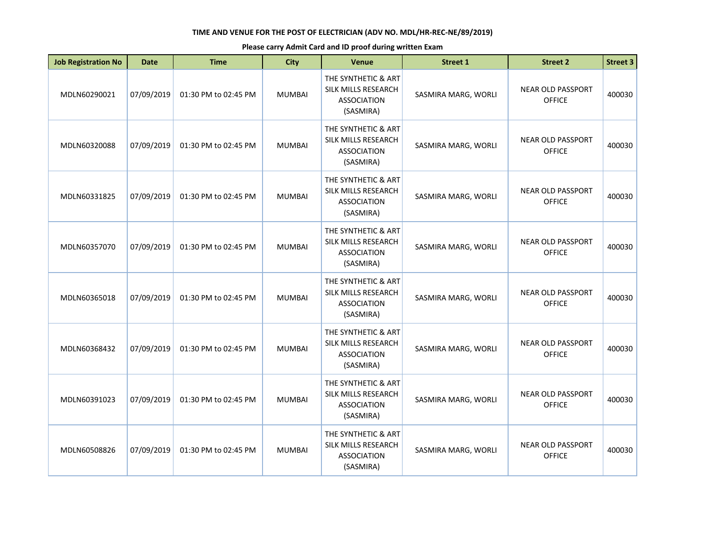| <b>Job Registration No</b> | <b>Date</b> | <b>Time</b>          | <b>City</b>   | Venue                                                                         | <b>Street 1</b>     | <b>Street 2</b>                           | <b>Street 3</b> |
|----------------------------|-------------|----------------------|---------------|-------------------------------------------------------------------------------|---------------------|-------------------------------------------|-----------------|
| MDLN60290021               | 07/09/2019  | 01:30 PM to 02:45 PM | <b>MUMBAI</b> | THE SYNTHETIC & ART<br>SILK MILLS RESEARCH<br><b>ASSOCIATION</b><br>(SASMIRA) | SASMIRA MARG, WORLI | <b>NEAR OLD PASSPORT</b><br><b>OFFICE</b> | 400030          |
| MDLN60320088               | 07/09/2019  | 01:30 PM to 02:45 PM | <b>MUMBAI</b> | THE SYNTHETIC & ART<br>SILK MILLS RESEARCH<br><b>ASSOCIATION</b><br>(SASMIRA) | SASMIRA MARG, WORLI | <b>NEAR OLD PASSPORT</b><br><b>OFFICE</b> | 400030          |
| MDLN60331825               | 07/09/2019  | 01:30 PM to 02:45 PM | <b>MUMBAI</b> | THE SYNTHETIC & ART<br>SILK MILLS RESEARCH<br><b>ASSOCIATION</b><br>(SASMIRA) | SASMIRA MARG, WORLI | <b>NEAR OLD PASSPORT</b><br><b>OFFICE</b> | 400030          |
| MDLN60357070               | 07/09/2019  | 01:30 PM to 02:45 PM | <b>MUMBAI</b> | THE SYNTHETIC & ART<br>SILK MILLS RESEARCH<br><b>ASSOCIATION</b><br>(SASMIRA) | SASMIRA MARG, WORLI | <b>NEAR OLD PASSPORT</b><br><b>OFFICE</b> | 400030          |
| MDLN60365018               | 07/09/2019  | 01:30 PM to 02:45 PM | <b>MUMBAI</b> | THE SYNTHETIC & ART<br>SILK MILLS RESEARCH<br><b>ASSOCIATION</b><br>(SASMIRA) | SASMIRA MARG, WORLI | <b>NEAR OLD PASSPORT</b><br><b>OFFICE</b> | 400030          |
| MDLN60368432               | 07/09/2019  | 01:30 PM to 02:45 PM | <b>MUMBAI</b> | THE SYNTHETIC & ART<br>SILK MILLS RESEARCH<br><b>ASSOCIATION</b><br>(SASMIRA) | SASMIRA MARG, WORLI | <b>NEAR OLD PASSPORT</b><br><b>OFFICE</b> | 400030          |
| MDLN60391023               | 07/09/2019  | 01:30 PM to 02:45 PM | <b>MUMBAI</b> | THE SYNTHETIC & ART<br>SILK MILLS RESEARCH<br><b>ASSOCIATION</b><br>(SASMIRA) | SASMIRA MARG, WORLI | <b>NEAR OLD PASSPORT</b><br><b>OFFICE</b> | 400030          |
| MDLN60508826               | 07/09/2019  | 01:30 PM to 02:45 PM | <b>MUMBAI</b> | THE SYNTHETIC & ART<br>SILK MILLS RESEARCH<br><b>ASSOCIATION</b><br>(SASMIRA) | SASMIRA MARG, WORLI | <b>NEAR OLD PASSPORT</b><br><b>OFFICE</b> | 400030          |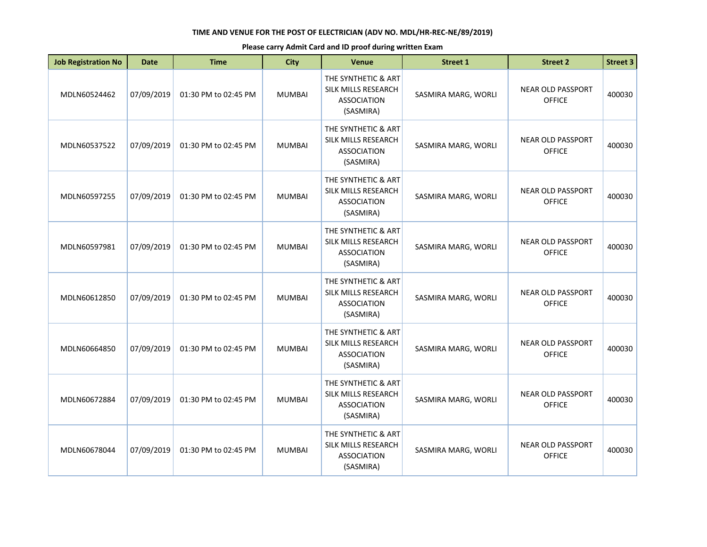| <b>Job Registration No</b> | <b>Date</b> | <b>Time</b>          | <b>City</b>   | Venue                                                                         | <b>Street 1</b>     | <b>Street 2</b>                           | <b>Street 3</b> |
|----------------------------|-------------|----------------------|---------------|-------------------------------------------------------------------------------|---------------------|-------------------------------------------|-----------------|
| MDLN60524462               | 07/09/2019  | 01:30 PM to 02:45 PM | <b>MUMBAI</b> | THE SYNTHETIC & ART<br>SILK MILLS RESEARCH<br><b>ASSOCIATION</b><br>(SASMIRA) | SASMIRA MARG, WORLI | <b>NEAR OLD PASSPORT</b><br><b>OFFICE</b> | 400030          |
| MDLN60537522               | 07/09/2019  | 01:30 PM to 02:45 PM | <b>MUMBAI</b> | THE SYNTHETIC & ART<br>SILK MILLS RESEARCH<br><b>ASSOCIATION</b><br>(SASMIRA) | SASMIRA MARG, WORLI | <b>NEAR OLD PASSPORT</b><br><b>OFFICE</b> | 400030          |
| MDLN60597255               | 07/09/2019  | 01:30 PM to 02:45 PM | <b>MUMBAI</b> | THE SYNTHETIC & ART<br>SILK MILLS RESEARCH<br><b>ASSOCIATION</b><br>(SASMIRA) | SASMIRA MARG, WORLI | <b>NEAR OLD PASSPORT</b><br><b>OFFICE</b> | 400030          |
| MDLN60597981               | 07/09/2019  | 01:30 PM to 02:45 PM | <b>MUMBAI</b> | THE SYNTHETIC & ART<br>SILK MILLS RESEARCH<br><b>ASSOCIATION</b><br>(SASMIRA) | SASMIRA MARG, WORLI | <b>NEAR OLD PASSPORT</b><br><b>OFFICE</b> | 400030          |
| MDLN60612850               | 07/09/2019  | 01:30 PM to 02:45 PM | <b>MUMBAI</b> | THE SYNTHETIC & ART<br>SILK MILLS RESEARCH<br><b>ASSOCIATION</b><br>(SASMIRA) | SASMIRA MARG, WORLI | <b>NEAR OLD PASSPORT</b><br><b>OFFICE</b> | 400030          |
| MDLN60664850               | 07/09/2019  | 01:30 PM to 02:45 PM | <b>MUMBAI</b> | THE SYNTHETIC & ART<br>SILK MILLS RESEARCH<br><b>ASSOCIATION</b><br>(SASMIRA) | SASMIRA MARG, WORLI | <b>NEAR OLD PASSPORT</b><br><b>OFFICE</b> | 400030          |
| MDLN60672884               | 07/09/2019  | 01:30 PM to 02:45 PM | <b>MUMBAI</b> | THE SYNTHETIC & ART<br>SILK MILLS RESEARCH<br><b>ASSOCIATION</b><br>(SASMIRA) | SASMIRA MARG, WORLI | <b>NEAR OLD PASSPORT</b><br><b>OFFICE</b> | 400030          |
| MDLN60678044               | 07/09/2019  | 01:30 PM to 02:45 PM | <b>MUMBAI</b> | THE SYNTHETIC & ART<br>SILK MILLS RESEARCH<br><b>ASSOCIATION</b><br>(SASMIRA) | SASMIRA MARG, WORLI | <b>NEAR OLD PASSPORT</b><br><b>OFFICE</b> | 400030          |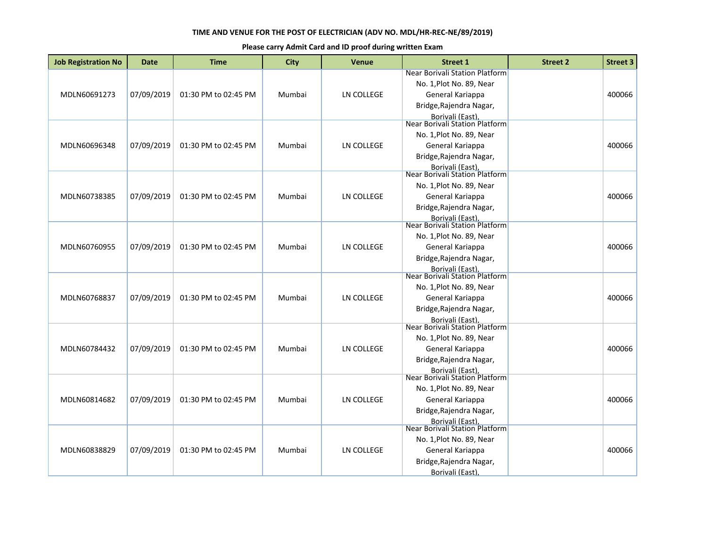| <b>Job Registration No</b> | <b>Date</b> | <b>Time</b>          | <b>City</b> | <b>Venue</b>      | <b>Street 1</b>                                                                                           | <b>Street 2</b> | <b>Street 3</b> |
|----------------------------|-------------|----------------------|-------------|-------------------|-----------------------------------------------------------------------------------------------------------|-----------------|-----------------|
| MDLN60691273               | 07/09/2019  | 01:30 PM to 02:45 PM | Mumbai      | LN COLLEGE        | Near Borivali Station Platform<br>No. 1, Plot No. 89, Near<br>General Kariappa<br>Bridge, Rajendra Nagar, |                 | 400066          |
|                            |             |                      |             |                   | Borivali (East),<br>Near Borivali Station Platform                                                        |                 |                 |
|                            |             |                      |             |                   | No. 1, Plot No. 89, Near                                                                                  |                 |                 |
| MDLN60696348               | 07/09/2019  | 01:30 PM to 02:45 PM | Mumbai      | LN COLLEGE        | General Kariappa                                                                                          |                 | 400066          |
|                            |             |                      |             |                   | Bridge, Rajendra Nagar,                                                                                   |                 |                 |
|                            |             |                      |             |                   | Borivali (East),<br>Near Borivali Station Platform                                                        |                 |                 |
|                            |             |                      |             |                   | No. 1, Plot No. 89, Near                                                                                  |                 |                 |
| MDLN60738385               | 07/09/2019  | 01:30 PM to 02:45 PM | Mumbai      | LN COLLEGE        | General Kariappa                                                                                          |                 | 400066          |
|                            |             |                      |             |                   | Bridge, Rajendra Nagar,                                                                                   |                 |                 |
|                            |             |                      |             |                   | Borivali (East).<br>Near Borivali Station Platform                                                        |                 |                 |
|                            |             |                      |             |                   | No. 1, Plot No. 89, Near                                                                                  |                 |                 |
| MDLN60760955               | 07/09/2019  | 01:30 PM to 02:45 PM | Mumbai      | LN COLLEGE        | General Kariappa                                                                                          |                 | 400066          |
|                            |             |                      |             |                   | Bridge, Rajendra Nagar,                                                                                   |                 |                 |
|                            |             |                      |             |                   | Borivali (East).                                                                                          |                 |                 |
|                            |             |                      |             |                   | Near Borivali Station Platform<br>No. 1, Plot No. 89, Near                                                |                 |                 |
| MDLN60768837               | 07/09/2019  | 01:30 PM to 02:45 PM | Mumbai      | <b>LN COLLEGE</b> | General Kariappa                                                                                          |                 | 400066          |
|                            |             |                      |             |                   | Bridge, Rajendra Nagar,                                                                                   |                 |                 |
|                            |             |                      |             |                   | Borivali (East),<br>Near Borivali Station Platform                                                        |                 |                 |
|                            |             |                      |             |                   |                                                                                                           |                 |                 |
|                            |             |                      |             |                   | No. 1, Plot No. 89, Near                                                                                  |                 |                 |
| MDLN60784432               | 07/09/2019  | 01:30 PM to 02:45 PM | Mumbai      | <b>LN COLLEGE</b> | General Kariappa<br>Bridge, Rajendra Nagar,                                                               |                 | 400066          |
|                            |             |                      |             |                   | <b>Borivali (East)</b>                                                                                    |                 |                 |
|                            |             |                      |             |                   | Near Borivali Station Platform                                                                            |                 |                 |
|                            |             |                      |             |                   | No. 1, Plot No. 89, Near                                                                                  |                 |                 |
| MDLN60814682               | 07/09/2019  | 01:30 PM to 02:45 PM | Mumbai      | <b>LN COLLEGE</b> | General Kariappa                                                                                          |                 | 400066          |
|                            |             |                      |             |                   | Bridge, Rajendra Nagar,                                                                                   |                 |                 |
|                            |             |                      |             |                   | Borivali (East).<br>Near Borivali Station Platform                                                        |                 |                 |
|                            |             |                      |             |                   | No. 1, Plot No. 89, Near                                                                                  |                 |                 |
| MDLN60838829               | 07/09/2019  | 01:30 PM to 02:45 PM | Mumbai      | LN COLLEGE        | General Kariappa                                                                                          |                 | 400066          |
|                            |             |                      |             |                   | Bridge, Rajendra Nagar,                                                                                   |                 |                 |
|                            |             |                      |             |                   | Borivali (East),                                                                                          |                 |                 |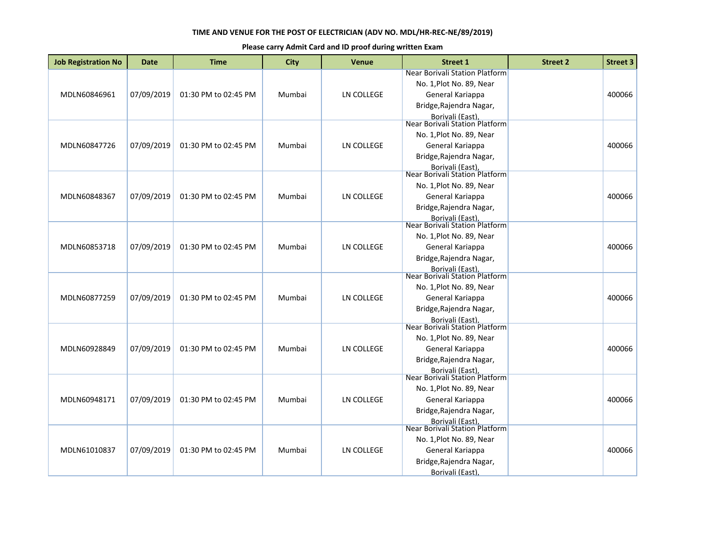| <b>Job Registration No</b> | <b>Date</b> | <b>Time</b>          | <b>City</b> | <b>Venue</b>      | <b>Street 1</b>                                                                                                                                                        | <b>Street 2</b> | <b>Street 3</b> |
|----------------------------|-------------|----------------------|-------------|-------------------|------------------------------------------------------------------------------------------------------------------------------------------------------------------------|-----------------|-----------------|
| MDLN60846961               | 07/09/2019  | 01:30 PM to 02:45 PM | Mumbai      | LN COLLEGE        | Near Borivali Station Platform<br>No. 1, Plot No. 89, Near<br>General Kariappa<br>Bridge, Rajendra Nagar,                                                              |                 | 400066          |
| MDLN60847726               | 07/09/2019  | 01:30 PM to 02:45 PM | Mumbai      | LN COLLEGE        | Borivali (East),<br>Near Borivali Station Platform<br>No. 1, Plot No. 89, Near<br>General Kariappa<br>Bridge, Rajendra Nagar,<br>Borivali (East),                      |                 | 400066          |
| MDLN60848367               | 07/09/2019  | 01:30 PM to 02:45 PM | Mumbai      | LN COLLEGE        | Near Borivali Station Platform<br>No. 1, Plot No. 89, Near<br>General Kariappa<br>Bridge, Rajendra Nagar,                                                              |                 | 400066          |
| MDLN60853718               | 07/09/2019  | 01:30 PM to 02:45 PM | Mumbai      | LN COLLEGE        | Borivali (East).<br>Near Borivali Station Platform<br>No. 1, Plot No. 89, Near<br>General Kariappa<br>Bridge, Rajendra Nagar,<br><b>Borivali (East)</b>                |                 | 400066          |
| MDLN60877259               | 07/09/2019  | 01:30 PM to 02:45 PM | Mumbai      | LN COLLEGE        | <b>Near Borivali Station Platform</b><br>No. 1, Plot No. 89, Near<br>General Kariappa<br>Bridge, Rajendra Nagar,<br>Borivali (East),<br>Near Borivali Station Platform |                 | 400066          |
| MDLN60928849               | 07/09/2019  | 01:30 PM to 02:45 PM | Mumbai      | <b>LN COLLEGE</b> | No. 1, Plot No. 89, Near<br>General Kariappa<br>Bridge, Rajendra Nagar,<br><b>Borivali (East)</b>                                                                      |                 | 400066          |
| MDLN60948171               | 07/09/2019  | 01:30 PM to 02:45 PM | Mumbai      | <b>LN COLLEGE</b> | Near Borivali Station Platform<br>No. 1, Plot No. 89, Near<br>General Kariappa<br>Bridge, Rajendra Nagar,                                                              |                 | 400066          |
| MDLN61010837               | 07/09/2019  | 01:30 PM to 02:45 PM | Mumbai      | LN COLLEGE        | Borivali (East).<br>Near Borivali Station Platform<br>No. 1, Plot No. 89, Near<br>General Kariappa<br>Bridge, Rajendra Nagar,<br>Borivali (East),                      |                 | 400066          |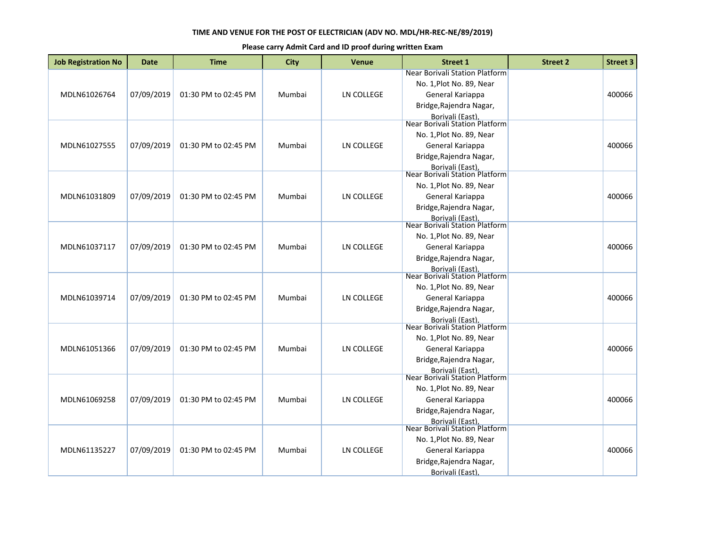| <b>Job Registration No</b> | <b>Date</b> | <b>Time</b>          | <b>City</b> | <b>Venue</b>      | <b>Street 1</b>                                                                                           | <b>Street 2</b> | <b>Street 3</b> |
|----------------------------|-------------|----------------------|-------------|-------------------|-----------------------------------------------------------------------------------------------------------|-----------------|-----------------|
| MDLN61026764               | 07/09/2019  | 01:30 PM to 02:45 PM | Mumbai      | LN COLLEGE        | Near Borivali Station Platform<br>No. 1, Plot No. 89, Near<br>General Kariappa<br>Bridge, Rajendra Nagar, |                 | 400066          |
|                            |             |                      |             |                   | Borivali (East),<br>Near Borivali Station Platform                                                        |                 |                 |
|                            |             |                      |             |                   | No. 1, Plot No. 89, Near                                                                                  |                 |                 |
| MDLN61027555               | 07/09/2019  | 01:30 PM to 02:45 PM | Mumbai      | LN COLLEGE        | General Kariappa                                                                                          |                 | 400066          |
|                            |             |                      |             |                   | Bridge, Rajendra Nagar,                                                                                   |                 |                 |
|                            |             |                      |             |                   | Borivali (East),<br>Near Borivali Station Platform                                                        |                 |                 |
|                            |             |                      |             |                   | No. 1, Plot No. 89, Near                                                                                  |                 |                 |
| MDLN61031809               | 07/09/2019  | 01:30 PM to 02:45 PM | Mumbai      | LN COLLEGE        | General Kariappa                                                                                          |                 | 400066          |
|                            |             |                      |             |                   | Bridge, Rajendra Nagar,                                                                                   |                 |                 |
|                            |             |                      |             |                   | Borivali (East).<br>Near Borivali Station Platform                                                        |                 |                 |
|                            |             |                      |             |                   | No. 1, Plot No. 89, Near                                                                                  |                 |                 |
| MDLN61037117               | 07/09/2019  | 01:30 PM to 02:45 PM | Mumbai      | LN COLLEGE        | General Kariappa                                                                                          |                 | 400066          |
|                            |             |                      |             |                   | Bridge, Rajendra Nagar,                                                                                   |                 |                 |
|                            |             |                      |             |                   | Borivali (East).<br>Near Borivali Station Platform                                                        |                 |                 |
|                            |             |                      |             |                   | No. 1, Plot No. 89, Near                                                                                  |                 |                 |
| MDLN61039714               | 07/09/2019  | 01:30 PM to 02:45 PM | Mumbai      | <b>LN COLLEGE</b> | General Kariappa                                                                                          |                 | 400066          |
|                            |             |                      |             |                   | Bridge, Rajendra Nagar,                                                                                   |                 |                 |
|                            |             |                      |             |                   | Borivali (East),<br>Near Borivali Station Platform                                                        |                 |                 |
|                            |             |                      |             |                   |                                                                                                           |                 |                 |
|                            |             |                      |             |                   | No. 1, Plot No. 89, Near                                                                                  |                 |                 |
| MDLN61051366               | 07/09/2019  | 01:30 PM to 02:45 PM | Mumbai      | <b>LN COLLEGE</b> | General Kariappa<br>Bridge, Rajendra Nagar,                                                               |                 | 400066          |
|                            |             |                      |             |                   | <b>Borivali (East)</b>                                                                                    |                 |                 |
|                            |             |                      |             |                   | Near Borivali Station Platform                                                                            |                 |                 |
|                            |             |                      |             |                   | No. 1, Plot No. 89, Near                                                                                  |                 |                 |
| MDLN61069258               | 07/09/2019  | 01:30 PM to 02:45 PM | Mumbai      | <b>LN COLLEGE</b> | General Kariappa                                                                                          |                 | 400066          |
|                            |             |                      |             |                   | Bridge, Rajendra Nagar,                                                                                   |                 |                 |
|                            |             |                      |             |                   | Borivali (East).<br>Near Borivali Station Platform                                                        |                 |                 |
|                            |             |                      |             |                   | No. 1, Plot No. 89, Near                                                                                  |                 |                 |
| MDLN61135227               | 07/09/2019  | 01:30 PM to 02:45 PM | Mumbai      | LN COLLEGE        | General Kariappa                                                                                          |                 | 400066          |
|                            |             |                      |             |                   | Bridge, Rajendra Nagar,                                                                                   |                 |                 |
|                            |             |                      |             |                   | Borivali (East),                                                                                          |                 |                 |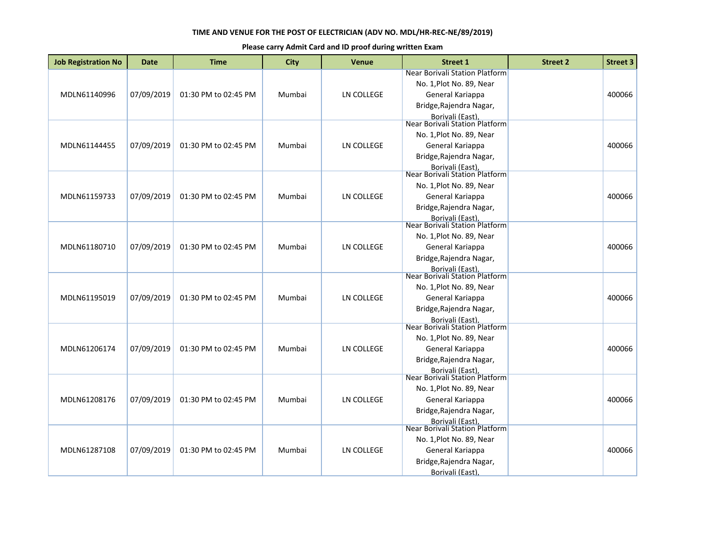| <b>Job Registration No</b> | <b>Date</b> | <b>Time</b>          | <b>City</b> | <b>Venue</b>      | <b>Street 1</b>                                                                                                                                                        | <b>Street 2</b> | <b>Street 3</b> |
|----------------------------|-------------|----------------------|-------------|-------------------|------------------------------------------------------------------------------------------------------------------------------------------------------------------------|-----------------|-----------------|
| MDLN61140996               | 07/09/2019  | 01:30 PM to 02:45 PM | Mumbai      | LN COLLEGE        | Near Borivali Station Platform<br>No. 1, Plot No. 89, Near<br>General Kariappa<br>Bridge, Rajendra Nagar,                                                              |                 | 400066          |
| MDLN61144455               | 07/09/2019  | 01:30 PM to 02:45 PM | Mumbai      | LN COLLEGE        | Borivali (East),<br>Near Borivali Station Platform<br>No. 1, Plot No. 89, Near<br>General Kariappa<br>Bridge, Rajendra Nagar,<br>Borivali (East),                      |                 | 400066          |
| MDLN61159733               | 07/09/2019  | 01:30 PM to 02:45 PM | Mumbai      | LN COLLEGE        | Near Borivali Station Platform<br>No. 1, Plot No. 89, Near<br>General Kariappa<br>Bridge, Rajendra Nagar,                                                              |                 | 400066          |
| MDLN61180710               | 07/09/2019  | 01:30 PM to 02:45 PM | Mumbai      | LN COLLEGE        | Borivali (East).<br>Near Borivali Station Platform<br>No. 1, Plot No. 89, Near<br>General Kariappa<br>Bridge, Rajendra Nagar,<br><b>Borivali (East)</b>                |                 | 400066          |
| MDLN61195019               | 07/09/2019  | 01:30 PM to 02:45 PM | Mumbai      | LN COLLEGE        | <b>Near Borivali Station Platform</b><br>No. 1, Plot No. 89, Near<br>General Kariappa<br>Bridge, Rajendra Nagar,<br>Borivali (East),<br>Near Borivali Station Platform |                 | 400066          |
| MDLN61206174               | 07/09/2019  | 01:30 PM to 02:45 PM | Mumbai      | <b>LN COLLEGE</b> | No. 1, Plot No. 89, Near<br>General Kariappa<br>Bridge, Rajendra Nagar,<br><b>Borivali (East)</b>                                                                      |                 | 400066          |
| MDLN61208176               | 07/09/2019  | 01:30 PM to 02:45 PM | Mumbai      | <b>LN COLLEGE</b> | Near Borivali Station Platform<br>No. 1, Plot No. 89, Near<br>General Kariappa<br>Bridge, Rajendra Nagar,                                                              |                 | 400066          |
| MDLN61287108               | 07/09/2019  | 01:30 PM to 02:45 PM | Mumbai      | LN COLLEGE        | Borivali (East).<br>Near Borivali Station Platform<br>No. 1, Plot No. 89, Near<br>General Kariappa<br>Bridge, Rajendra Nagar,<br>Borivali (East),                      |                 | 400066          |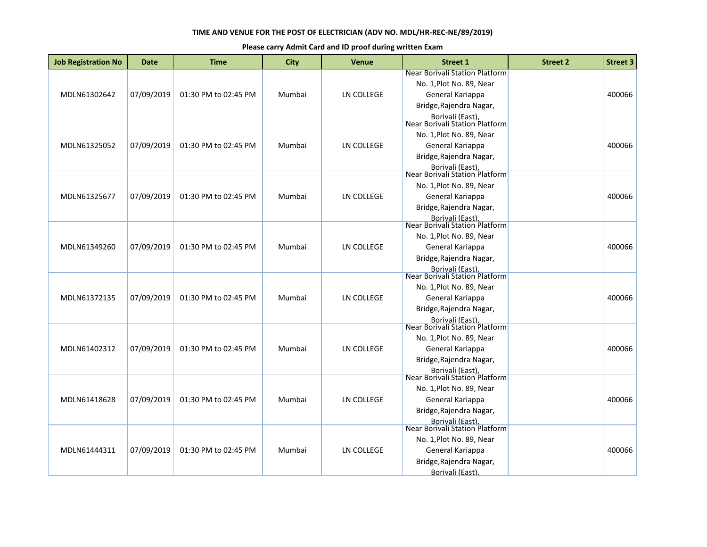| <b>Job Registration No</b> | <b>Date</b> | <b>Time</b>          | <b>City</b> | <b>Venue</b>      | <b>Street 1</b>                                                                | <b>Street 2</b> | <b>Street 3</b> |
|----------------------------|-------------|----------------------|-------------|-------------------|--------------------------------------------------------------------------------|-----------------|-----------------|
| MDLN61302642               | 07/09/2019  | 01:30 PM to 02:45 PM | Mumbai      | LN COLLEGE        | Near Borivali Station Platform<br>No. 1, Plot No. 89, Near<br>General Kariappa |                 | 400066          |
|                            |             |                      |             |                   | Bridge, Rajendra Nagar,<br>Borivali (East),<br>Near Borivali Station Platform  |                 |                 |
|                            |             |                      |             |                   | No. 1, Plot No. 89, Near                                                       |                 |                 |
| MDLN61325052               | 07/09/2019  | 01:30 PM to 02:45 PM | Mumbai      | LN COLLEGE        | General Kariappa                                                               |                 | 400066          |
|                            |             |                      |             |                   | Bridge, Rajendra Nagar,                                                        |                 |                 |
|                            |             |                      |             |                   | Borivali (East),<br>Near Borivali Station Platform                             |                 |                 |
|                            |             |                      |             |                   | No. 1, Plot No. 89, Near                                                       |                 |                 |
| MDLN61325677               | 07/09/2019  | 01:30 PM to 02:45 PM | Mumbai      | LN COLLEGE        | General Kariappa                                                               |                 | 400066          |
|                            |             |                      |             |                   | Bridge, Rajendra Nagar,                                                        |                 |                 |
|                            |             |                      |             |                   | Borivali (East).<br>Near Borivali Station Platform                             |                 |                 |
|                            |             |                      |             |                   | No. 1, Plot No. 89, Near                                                       |                 |                 |
| MDLN61349260               | 07/09/2019  | 01:30 PM to 02:45 PM | Mumbai      | LN COLLEGE        | General Kariappa                                                               |                 | 400066          |
|                            |             |                      |             |                   | Bridge, Rajendra Nagar,                                                        |                 |                 |
|                            |             |                      |             |                   | Borivali (East).<br>Near Borivali Station Platform                             |                 |                 |
|                            |             |                      |             |                   | No. 1, Plot No. 89, Near                                                       |                 |                 |
| MDLN61372135               | 07/09/2019  | 01:30 PM to 02:45 PM | Mumbai      | <b>LN COLLEGE</b> | General Kariappa                                                               |                 | 400066          |
|                            |             |                      |             |                   | Bridge, Rajendra Nagar,                                                        |                 |                 |
|                            |             |                      |             |                   | Borivali (East),<br>Near Borivali Station Platform                             |                 |                 |
|                            |             |                      |             |                   |                                                                                |                 |                 |
|                            |             |                      |             |                   | No. 1, Plot No. 89, Near                                                       |                 |                 |
| MDLN61402312               | 07/09/2019  | 01:30 PM to 02:45 PM | Mumbai      | <b>LN COLLEGE</b> | General Kariappa<br>Bridge, Rajendra Nagar,                                    |                 | 400066          |
|                            |             |                      |             |                   | <b>Borivali (East)</b>                                                         |                 |                 |
|                            |             |                      |             |                   | Near Borivali Station Platform                                                 |                 |                 |
|                            |             |                      |             |                   | No. 1, Plot No. 89, Near                                                       |                 |                 |
| MDLN61418628               | 07/09/2019  | 01:30 PM to 02:45 PM | Mumbai      | <b>LN COLLEGE</b> | General Kariappa                                                               |                 | 400066          |
|                            |             |                      |             |                   | Bridge, Rajendra Nagar,                                                        |                 |                 |
|                            |             |                      |             |                   | Borivali (East).<br>Near Borivali Station Platform                             |                 |                 |
|                            |             |                      |             |                   | No. 1, Plot No. 89, Near                                                       |                 |                 |
| MDLN61444311               | 07/09/2019  | 01:30 PM to 02:45 PM | Mumbai      | LN COLLEGE        | General Kariappa                                                               |                 | 400066          |
|                            |             |                      |             |                   | Bridge, Rajendra Nagar,                                                        |                 |                 |
|                            |             |                      |             |                   | Borivali (East),                                                               |                 |                 |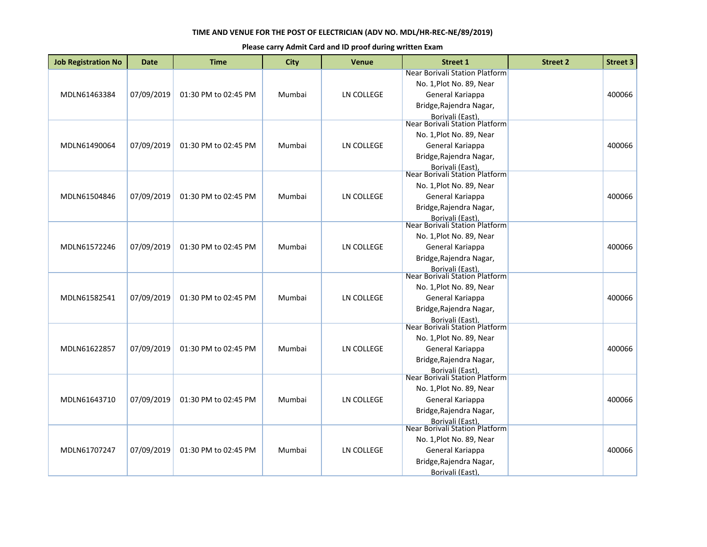| <b>Job Registration No</b> | <b>Date</b> | <b>Time</b>          | <b>City</b> | <b>Venue</b>      | <b>Street 1</b>                                                                                                                                                 | <b>Street 2</b> | <b>Street 3</b> |
|----------------------------|-------------|----------------------|-------------|-------------------|-----------------------------------------------------------------------------------------------------------------------------------------------------------------|-----------------|-----------------|
| MDLN61463384               | 07/09/2019  | 01:30 PM to 02:45 PM | Mumbai      | LN COLLEGE        | Near Borivali Station Platform<br>No. 1, Plot No. 89, Near<br>General Kariappa<br>Bridge, Rajendra Nagar,                                                       |                 | 400066          |
| MDLN61490064               | 07/09/2019  | 01:30 PM to 02:45 PM | Mumbai      | LN COLLEGE        | Borivali (East),<br>Near Borivali Station Platform<br>No. 1, Plot No. 89, Near<br>General Kariappa<br>Bridge, Rajendra Nagar,<br>Borivali (East),               |                 | 400066          |
| MDLN61504846               | 07/09/2019  | 01:30 PM to 02:45 PM | Mumbai      | LN COLLEGE        | Near Borivali Station Platform<br>No. 1, Plot No. 89, Near<br>General Kariappa<br>Bridge, Rajendra Nagar,<br>Borivali (East).<br>Near Borivali Station Platform |                 | 400066          |
| MDLN61572246               | 07/09/2019  | 01:30 PM to 02:45 PM | Mumbai      | LN COLLEGE        | No. 1, Plot No. 89, Near<br>General Kariappa<br>Bridge, Rajendra Nagar,<br>Borivali (East).                                                                     |                 | 400066          |
| MDLN61582541               | 07/09/2019  | 01:30 PM to 02:45 PM | Mumbai      | <b>LN COLLEGE</b> | Near Borivali Station Platform<br>No. 1, Plot No. 89, Near<br>General Kariappa<br>Bridge, Rajendra Nagar,<br>Borivali (East),<br>Near Borivali Station Platform |                 | 400066          |
| MDLN61622857               | 07/09/2019  | 01:30 PM to 02:45 PM | Mumbai      | <b>LN COLLEGE</b> | No. 1, Plot No. 89, Near<br>General Kariappa<br>Bridge, Rajendra Nagar,<br><b>Borivali (East)</b>                                                               |                 | 400066          |
| MDLN61643710               | 07/09/2019  | 01:30 PM to 02:45 PM | Mumbai      | <b>LN COLLEGE</b> | Near Borivali Station Platform<br>No. 1, Plot No. 89, Near<br>General Kariappa<br>Bridge, Rajendra Nagar,<br>Borivali (East).<br>Near Borivali Station Platform |                 | 400066          |
| MDLN61707247               | 07/09/2019  | 01:30 PM to 02:45 PM | Mumbai      | LN COLLEGE        | No. 1, Plot No. 89, Near<br>General Kariappa<br>Bridge, Rajendra Nagar,<br>Borivali (East),                                                                     |                 | 400066          |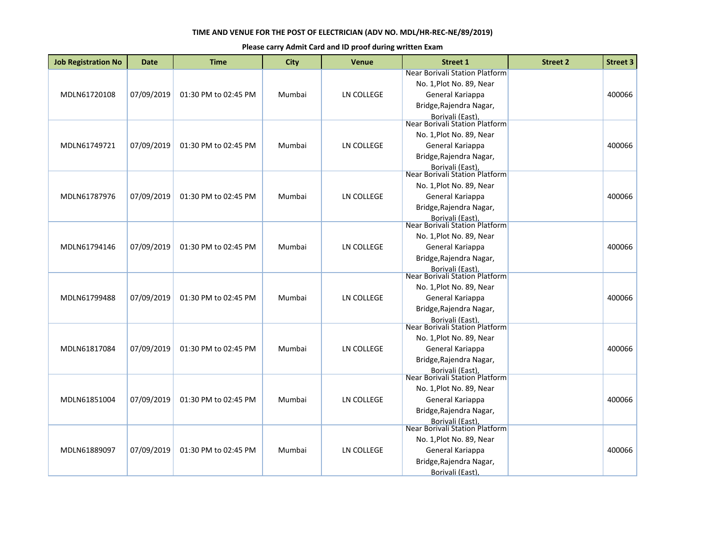| <b>Job Registration No</b> | <b>Date</b> | <b>Time</b>          | <b>City</b> | <b>Venue</b>      | <b>Street 1</b>                                                                                                                                                 | <b>Street 2</b> | <b>Street 3</b> |
|----------------------------|-------------|----------------------|-------------|-------------------|-----------------------------------------------------------------------------------------------------------------------------------------------------------------|-----------------|-----------------|
| MDLN61720108               | 07/09/2019  | 01:30 PM to 02:45 PM | Mumbai      | LN COLLEGE        | Near Borivali Station Platform<br>No. 1, Plot No. 89, Near<br>General Kariappa<br>Bridge, Rajendra Nagar,                                                       |                 | 400066          |
| MDLN61749721               | 07/09/2019  | 01:30 PM to 02:45 PM | Mumbai      | LN COLLEGE        | Borivali (East),<br>Near Borivali Station Platform<br>No. 1, Plot No. 89, Near<br>General Kariappa<br>Bridge, Rajendra Nagar,<br>Borivali (East),               |                 | 400066          |
| MDLN61787976               | 07/09/2019  | 01:30 PM to 02:45 PM | Mumbai      | LN COLLEGE        | Near Borivali Station Platform<br>No. 1, Plot No. 89, Near<br>General Kariappa<br>Bridge, Rajendra Nagar,<br>Borivali (East).<br>Near Borivali Station Platform |                 | 400066          |
| MDLN61794146               | 07/09/2019  | 01:30 PM to 02:45 PM | Mumbai      | LN COLLEGE        | No. 1, Plot No. 89, Near<br>General Kariappa<br>Bridge, Rajendra Nagar,<br>Borivali (East).                                                                     |                 | 400066          |
| MDLN61799488               | 07/09/2019  | 01:30 PM to 02:45 PM | Mumbai      | <b>LN COLLEGE</b> | Near Borivali Station Platform<br>No. 1, Plot No. 89, Near<br>General Kariappa<br>Bridge, Rajendra Nagar,<br>Borivali (East),<br>Near Borivali Station Platform |                 | 400066          |
| MDLN61817084               | 07/09/2019  | 01:30 PM to 02:45 PM | Mumbai      | <b>LN COLLEGE</b> | No. 1, Plot No. 89, Near<br>General Kariappa<br>Bridge, Rajendra Nagar,<br><b>Borivali (East)</b>                                                               |                 | 400066          |
| MDLN61851004               | 07/09/2019  | 01:30 PM to 02:45 PM | Mumbai      | <b>LN COLLEGE</b> | Near Borivali Station Platform<br>No. 1, Plot No. 89, Near<br>General Kariappa<br>Bridge, Rajendra Nagar,<br>Borivali (East).<br>Near Borivali Station Platform |                 | 400066          |
| MDLN61889097               | 07/09/2019  | 01:30 PM to 02:45 PM | Mumbai      | LN COLLEGE        | No. 1, Plot No. 89, Near<br>General Kariappa<br>Bridge, Rajendra Nagar,<br>Borivali (East),                                                                     |                 | 400066          |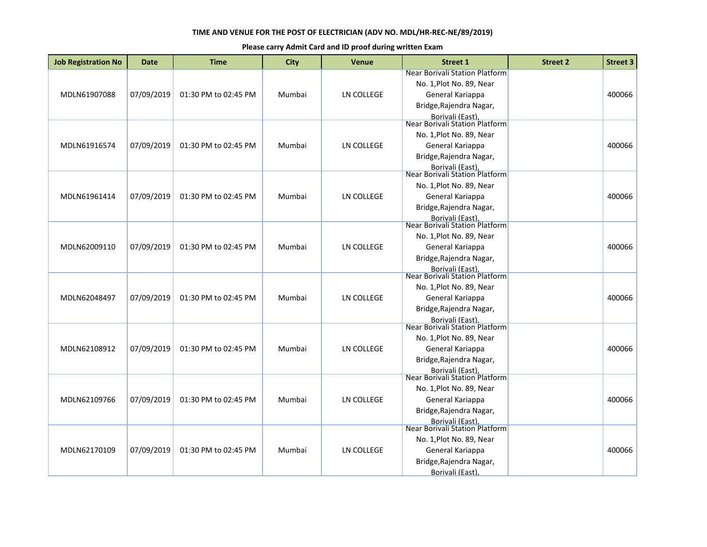| <b>Job Registration No</b> | <b>Date</b> | <b>Time</b>          | <b>City</b> | <b>Venue</b>      | <b>Street 1</b>                                                                                                                                                 | <b>Street 2</b> | <b>Street 3</b> |
|----------------------------|-------------|----------------------|-------------|-------------------|-----------------------------------------------------------------------------------------------------------------------------------------------------------------|-----------------|-----------------|
| MDLN61907088               | 07/09/2019  | 01:30 PM to 02:45 PM | Mumbai      | LN COLLEGE        | Near Borivali Station Platform<br>No. 1, Plot No. 89, Near<br>General Kariappa<br>Bridge, Rajendra Nagar,                                                       |                 | 400066          |
| MDLN61916574               | 07/09/2019  | 01:30 PM to 02:45 PM | Mumbai      | LN COLLEGE        | Borivali (East),<br>Near Borivali Station Platform<br>No. 1, Plot No. 89, Near<br>General Kariappa<br>Bridge, Rajendra Nagar,<br>Borivali (East),               |                 | 400066          |
| MDLN61961414               | 07/09/2019  | 01:30 PM to 02:45 PM | Mumbai      | LN COLLEGE        | Near Borivali Station Platform<br>No. 1, Plot No. 89, Near<br>General Kariappa<br>Bridge, Rajendra Nagar,<br>Borivali (East).<br>Near Borivali Station Platform |                 | 400066          |
| MDLN62009110               | 07/09/2019  | 01:30 PM to 02:45 PM | Mumbai      | LN COLLEGE        | No. 1, Plot No. 89, Near<br>General Kariappa<br>Bridge, Rajendra Nagar,<br>Borivali (East).                                                                     |                 | 400066          |
| MDLN62048497               | 07/09/2019  | 01:30 PM to 02:45 PM | Mumbai      | <b>LN COLLEGE</b> | Near Borivali Station Platform<br>No. 1, Plot No. 89, Near<br>General Kariappa<br>Bridge, Rajendra Nagar,<br>Borivali (East),<br>Near Borivali Station Platform |                 | 400066          |
| MDLN62108912               | 07/09/2019  | 01:30 PM to 02:45 PM | Mumbai      | <b>LN COLLEGE</b> | No. 1, Plot No. 89, Near<br>General Kariappa<br>Bridge, Rajendra Nagar,<br><b>Borivali (East)</b>                                                               |                 | 400066          |
| MDLN62109766               | 07/09/2019  | 01:30 PM to 02:45 PM | Mumbai      | <b>LN COLLEGE</b> | Near Borivali Station Platform<br>No. 1, Plot No. 89, Near<br>General Kariappa<br>Bridge, Rajendra Nagar,<br>Borivali (East).<br>Near Borivali Station Platform |                 | 400066          |
| MDLN62170109               | 07/09/2019  | 01:30 PM to 02:45 PM | Mumbai      | LN COLLEGE        | No. 1, Plot No. 89, Near<br>General Kariappa<br>Bridge, Rajendra Nagar,<br>Borivali (East),                                                                     |                 | 400066          |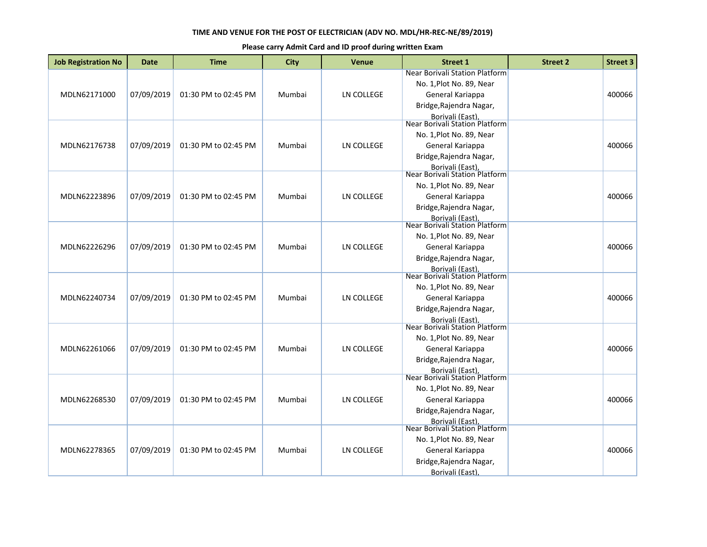| <b>Job Registration No</b> | <b>Date</b> | <b>Time</b>          | <b>City</b> | <b>Venue</b>      | <b>Street 1</b>                                                                                                                                                        | <b>Street 2</b> | <b>Street 3</b> |
|----------------------------|-------------|----------------------|-------------|-------------------|------------------------------------------------------------------------------------------------------------------------------------------------------------------------|-----------------|-----------------|
| MDLN62171000               | 07/09/2019  | 01:30 PM to 02:45 PM | Mumbai      | LN COLLEGE        | Near Borivali Station Platform<br>No. 1, Plot No. 89, Near<br>General Kariappa<br>Bridge, Rajendra Nagar,                                                              |                 | 400066          |
| MDLN62176738               | 07/09/2019  | 01:30 PM to 02:45 PM | Mumbai      | LN COLLEGE        | Borivali (East),<br>Near Borivali Station Platform<br>No. 1, Plot No. 89, Near<br>General Kariappa<br>Bridge, Rajendra Nagar,<br>Borivali (East),                      |                 | 400066          |
| MDLN62223896               | 07/09/2019  | 01:30 PM to 02:45 PM | Mumbai      | LN COLLEGE        | Near Borivali Station Platform<br>No. 1, Plot No. 89, Near<br>General Kariappa<br>Bridge, Rajendra Nagar,                                                              |                 | 400066          |
| MDLN62226296               | 07/09/2019  | 01:30 PM to 02:45 PM | Mumbai      | LN COLLEGE        | Borivali (East).<br>Near Borivali Station Platform<br>No. 1, Plot No. 89, Near<br>General Kariappa<br>Bridge, Rajendra Nagar,<br><b>Borivali (East)</b>                |                 | 400066          |
| MDLN62240734               | 07/09/2019  | 01:30 PM to 02:45 PM | Mumbai      | LN COLLEGE        | <b>Near Borivali Station Platform</b><br>No. 1, Plot No. 89, Near<br>General Kariappa<br>Bridge, Rajendra Nagar,<br>Borivali (East),<br>Near Borivali Station Platform |                 | 400066          |
| MDLN62261066               | 07/09/2019  | 01:30 PM to 02:45 PM | Mumbai      | <b>LN COLLEGE</b> | No. 1, Plot No. 89, Near<br>General Kariappa<br>Bridge, Rajendra Nagar,<br><b>Borivali (East)</b>                                                                      |                 | 400066          |
| MDLN62268530               | 07/09/2019  | 01:30 PM to 02:45 PM | Mumbai      | <b>LN COLLEGE</b> | Near Borivali Station Platform<br>No. 1, Plot No. 89, Near<br>General Kariappa<br>Bridge, Rajendra Nagar,<br>Borivali (East).<br>Near Borivali Station Platform        |                 | 400066          |
| MDLN62278365               | 07/09/2019  | 01:30 PM to 02:45 PM | Mumbai      | LN COLLEGE        | No. 1, Plot No. 89, Near<br>General Kariappa<br>Bridge, Rajendra Nagar,<br>Borivali (East),                                                                            |                 | 400066          |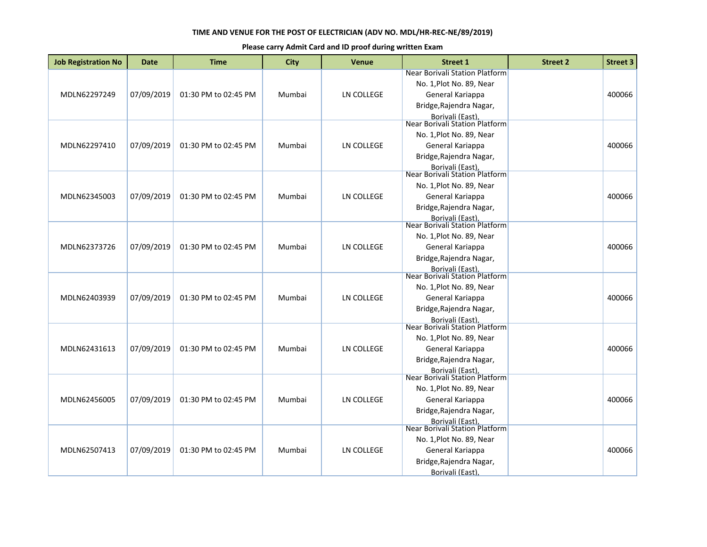| <b>Job Registration No</b> | <b>Date</b> | <b>Time</b>          | <b>City</b> | <b>Venue</b>      | <b>Street 1</b>                                                                | <b>Street 2</b> | <b>Street 3</b> |
|----------------------------|-------------|----------------------|-------------|-------------------|--------------------------------------------------------------------------------|-----------------|-----------------|
| MDLN62297249               | 07/09/2019  | 01:30 PM to 02:45 PM | Mumbai      | LN COLLEGE        | Near Borivali Station Platform<br>No. 1, Plot No. 89, Near<br>General Kariappa |                 | 400066          |
|                            |             |                      |             |                   | Bridge, Rajendra Nagar,<br>Borivali (East),<br>Near Borivali Station Platform  |                 |                 |
|                            |             |                      |             |                   | No. 1, Plot No. 89, Near                                                       |                 |                 |
| MDLN62297410               | 07/09/2019  | 01:30 PM to 02:45 PM | Mumbai      | LN COLLEGE        | General Kariappa                                                               |                 | 400066          |
|                            |             |                      |             |                   | Bridge, Rajendra Nagar,<br>Borivali (East),                                    |                 |                 |
|                            |             |                      |             |                   | Near Borivali Station Platform                                                 |                 |                 |
|                            |             |                      |             |                   | No. 1, Plot No. 89, Near                                                       |                 |                 |
| MDLN62345003               | 07/09/2019  | 01:30 PM to 02:45 PM | Mumbai      | LN COLLEGE        | General Kariappa                                                               |                 | 400066          |
|                            |             |                      |             |                   | Bridge, Rajendra Nagar,                                                        |                 |                 |
|                            |             |                      |             |                   | Borivali (East).<br>Near Borivali Station Platform                             |                 |                 |
|                            |             |                      |             |                   | No. 1, Plot No. 89, Near                                                       |                 |                 |
| MDLN62373726               | 07/09/2019  | 01:30 PM to 02:45 PM | Mumbai      | LN COLLEGE        | General Kariappa                                                               |                 | 400066          |
|                            |             |                      |             |                   | Bridge, Rajendra Nagar,                                                        |                 |                 |
|                            |             |                      |             |                   | <b>Borivali (East)</b><br>Near Borivali Station Platform                       |                 |                 |
|                            |             |                      |             |                   | No. 1, Plot No. 89, Near                                                       |                 |                 |
| MDLN62403939               | 07/09/2019  | 01:30 PM to 02:45 PM | Mumbai      | <b>LN COLLEGE</b> | General Kariappa                                                               |                 | 400066          |
|                            |             |                      |             |                   | Bridge, Rajendra Nagar,                                                        |                 |                 |
|                            |             |                      |             |                   |                                                                                |                 |                 |
|                            |             |                      |             |                   | Borivali (East),<br>Near Borivali Station Platform                             |                 |                 |
|                            |             |                      |             |                   | No. 1, Plot No. 89, Near                                                       |                 |                 |
| MDLN62431613               | 07/09/2019  | 01:30 PM to 02:45 PM | Mumbai      | LN COLLEGE        | General Kariappa                                                               |                 | 400066          |
|                            |             |                      |             |                   | Bridge, Rajendra Nagar,                                                        |                 |                 |
|                            |             |                      |             |                   | <b>Borivali (East)</b><br>Near Borivali Station Platform                       |                 |                 |
|                            |             |                      |             |                   | No. 1, Plot No. 89, Near                                                       |                 |                 |
| MDLN62456005               | 07/09/2019  | 01:30 PM to 02:45 PM | Mumbai      | LN COLLEGE        | General Kariappa                                                               |                 | 400066          |
|                            |             |                      |             |                   | Bridge, Rajendra Nagar,                                                        |                 |                 |
|                            |             |                      |             |                   |                                                                                |                 |                 |
|                            |             |                      |             |                   | Borivali (East).<br>Near Borivali Station Platform                             |                 |                 |
|                            |             |                      |             |                   | No. 1, Plot No. 89, Near                                                       |                 |                 |
| MDLN62507413               | 07/09/2019  | 01:30 PM to 02:45 PM | Mumbai      | <b>LN COLLEGE</b> | General Kariappa                                                               |                 | 400066          |
|                            |             |                      |             |                   | Bridge, Rajendra Nagar,                                                        |                 |                 |
|                            |             |                      |             |                   | Borivali (East)                                                                |                 |                 |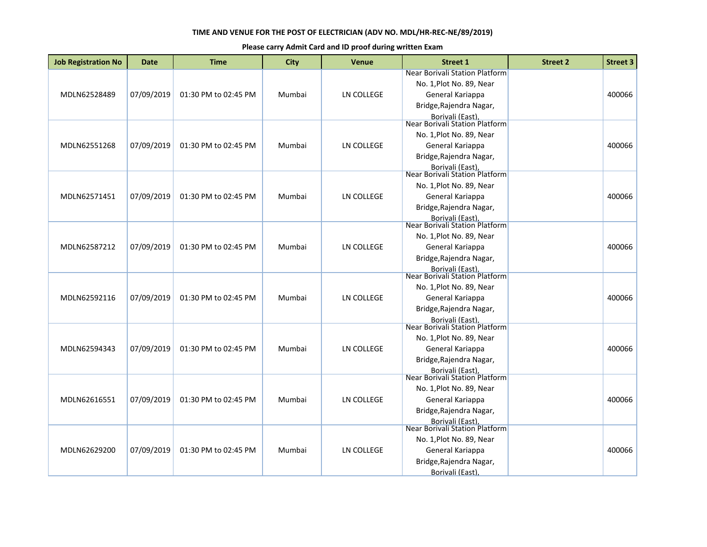| <b>Job Registration No</b> | <b>Date</b> | <b>Time</b>          | <b>City</b> | <b>Venue</b>      | <b>Street 1</b>                                                                                                                                                 | <b>Street 2</b> | <b>Street 3</b> |
|----------------------------|-------------|----------------------|-------------|-------------------|-----------------------------------------------------------------------------------------------------------------------------------------------------------------|-----------------|-----------------|
| MDLN62528489               | 07/09/2019  | 01:30 PM to 02:45 PM | Mumbai      | LN COLLEGE        | Near Borivali Station Platform<br>No. 1, Plot No. 89, Near<br>General Kariappa<br>Bridge, Rajendra Nagar,                                                       |                 | 400066          |
| MDLN62551268               | 07/09/2019  | 01:30 PM to 02:45 PM | Mumbai      | LN COLLEGE        | Borivali (East),<br>Near Borivali Station Platform<br>No. 1, Plot No. 89, Near<br>General Kariappa<br>Bridge, Rajendra Nagar,<br>Borivali (East),               |                 | 400066          |
| MDLN62571451               | 07/09/2019  | 01:30 PM to 02:45 PM | Mumbai      | LN COLLEGE        | Near Borivali Station Platform<br>No. 1, Plot No. 89, Near<br>General Kariappa<br>Bridge, Rajendra Nagar,<br>Borivali (East).<br>Near Borivali Station Platform |                 | 400066          |
| MDLN62587212               | 07/09/2019  | 01:30 PM to 02:45 PM | Mumbai      | LN COLLEGE        | No. 1, Plot No. 89, Near<br>General Kariappa<br>Bridge, Rajendra Nagar,<br>Borivali (East).                                                                     |                 | 400066          |
| MDLN62592116               | 07/09/2019  | 01:30 PM to 02:45 PM | Mumbai      | <b>LN COLLEGE</b> | Near Borivali Station Platform<br>No. 1, Plot No. 89, Near<br>General Kariappa<br>Bridge, Rajendra Nagar,<br>Borivali (East),<br>Near Borivali Station Platform |                 | 400066          |
| MDLN62594343               | 07/09/2019  | 01:30 PM to 02:45 PM | Mumbai      | <b>LN COLLEGE</b> | No. 1, Plot No. 89, Near<br>General Kariappa<br>Bridge, Rajendra Nagar,<br><b>Borivali (East)</b>                                                               |                 | 400066          |
| MDLN62616551               | 07/09/2019  | 01:30 PM to 02:45 PM | Mumbai      | <b>LN COLLEGE</b> | Near Borivali Station Platform<br>No. 1, Plot No. 89, Near<br>General Kariappa<br>Bridge, Rajendra Nagar,<br>Borivali (East).<br>Near Borivali Station Platform |                 | 400066          |
| MDLN62629200               | 07/09/2019  | 01:30 PM to 02:45 PM | Mumbai      | LN COLLEGE        | No. 1, Plot No. 89, Near<br>General Kariappa<br>Bridge, Rajendra Nagar,<br>Borivali (East),                                                                     |                 | 400066          |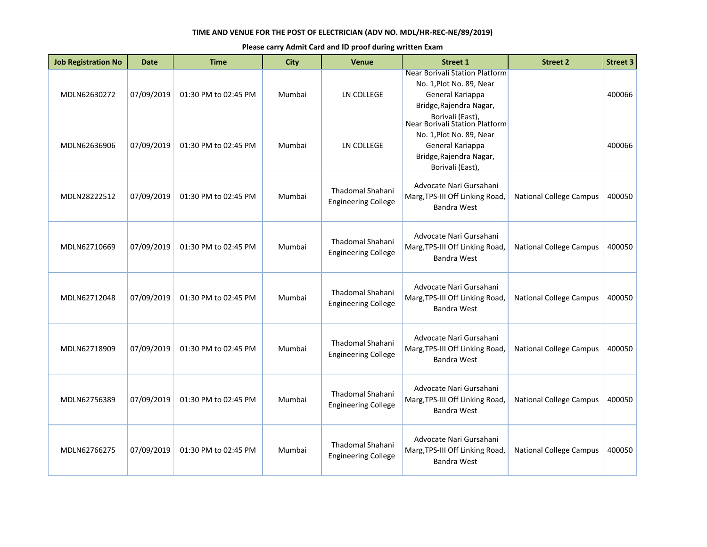| <b>Job Registration No</b> | <b>Date</b> | <b>Time</b>          | <b>City</b> | <b>Venue</b>                                          | <b>Street 1</b>                                                                                                                                                 | <b>Street 2</b>                | <b>Street 3</b> |
|----------------------------|-------------|----------------------|-------------|-------------------------------------------------------|-----------------------------------------------------------------------------------------------------------------------------------------------------------------|--------------------------------|-----------------|
| MDLN62630272               | 07/09/2019  | 01:30 PM to 02:45 PM | Mumbai      | LN COLLEGE                                            | Near Borivali Station Platform<br>No. 1, Plot No. 89, Near<br>General Kariappa<br>Bridge, Rajendra Nagar,<br>Borivali (East),<br>Near Borivali Station Platform |                                | 400066          |
| MDLN62636906               | 07/09/2019  | 01:30 PM to 02:45 PM | Mumbai      | <b>LN COLLEGE</b>                                     | No. 1, Plot No. 89, Near<br>General Kariappa<br>Bridge, Rajendra Nagar,<br>Borivali (East)                                                                      |                                | 400066          |
| MDLN28222512               | 07/09/2019  | 01:30 PM to 02:45 PM | Mumbai      | Thadomal Shahani<br><b>Engineering College</b>        | Advocate Nari Gursahani<br>Marg, TPS-III Off Linking Road,<br><b>Bandra West</b>                                                                                | <b>National College Campus</b> | 400050          |
| MDLN62710669               | 07/09/2019  | 01:30 PM to 02:45 PM | Mumbai      | Thadomal Shahani<br><b>Engineering College</b>        | Advocate Nari Gursahani<br>Marg, TPS-III Off Linking Road,<br><b>Bandra West</b>                                                                                | <b>National College Campus</b> | 400050          |
| MDLN62712048               | 07/09/2019  | 01:30 PM to 02:45 PM | Mumbai      | Thadomal Shahani<br><b>Engineering College</b>        | Advocate Nari Gursahani<br>Marg, TPS-III Off Linking Road,<br><b>Bandra West</b>                                                                                | <b>National College Campus</b> | 400050          |
| MDLN62718909               | 07/09/2019  | 01:30 PM to 02:45 PM | Mumbai      | <b>Thadomal Shahani</b><br><b>Engineering College</b> | Advocate Nari Gursahani<br>Marg, TPS-III Off Linking Road,<br><b>Bandra West</b>                                                                                | <b>National College Campus</b> | 400050          |
| MDLN62756389               | 07/09/2019  | 01:30 PM to 02:45 PM | Mumbai      | Thadomal Shahani<br><b>Engineering College</b>        | Advocate Nari Gursahani<br>Marg, TPS-III Off Linking Road,<br><b>Bandra West</b>                                                                                | <b>National College Campus</b> | 400050          |
| MDLN62766275               | 07/09/2019  | 01:30 PM to 02:45 PM | Mumbai      | <b>Thadomal Shahani</b><br><b>Engineering College</b> | Advocate Nari Gursahani<br>Marg, TPS-III Off Linking Road,<br><b>Bandra West</b>                                                                                | <b>National College Campus</b> | 400050          |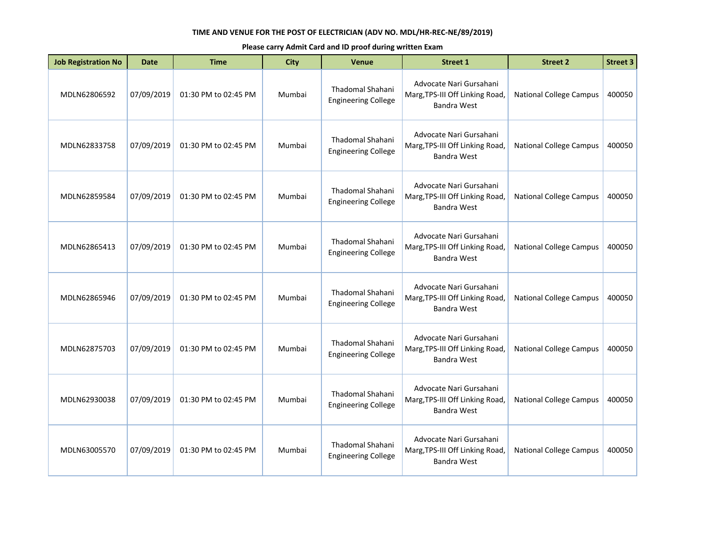| <b>Job Registration No</b> | Date       | <b>Time</b>          | <b>City</b> | <b>Venue</b>                                          | <b>Street 1</b>                                                                  | <b>Street 2</b>                | <b>Street 3</b> |
|----------------------------|------------|----------------------|-------------|-------------------------------------------------------|----------------------------------------------------------------------------------|--------------------------------|-----------------|
| MDLN62806592               | 07/09/2019 | 01:30 PM to 02:45 PM | Mumbai      | Thadomal Shahani<br><b>Engineering College</b>        | Advocate Nari Gursahani<br>Marg, TPS-III Off Linking Road,<br>Bandra West        | <b>National College Campus</b> | 400050          |
| MDLN62833758               | 07/09/2019 | 01:30 PM to 02:45 PM | Mumbai      | <b>Thadomal Shahani</b><br><b>Engineering College</b> | Advocate Nari Gursahani<br>Marg, TPS-III Off Linking Road,<br><b>Bandra West</b> | <b>National College Campus</b> | 400050          |
| MDLN62859584               | 07/09/2019 | 01:30 PM to 02:45 PM | Mumbai      | Thadomal Shahani<br><b>Engineering College</b>        | Advocate Nari Gursahani<br>Marg, TPS-III Off Linking Road,<br><b>Bandra West</b> | <b>National College Campus</b> | 400050          |
| MDLN62865413               | 07/09/2019 | 01:30 PM to 02:45 PM | Mumbai      | Thadomal Shahani<br><b>Engineering College</b>        | Advocate Nari Gursahani<br>Marg, TPS-III Off Linking Road,<br><b>Bandra West</b> | <b>National College Campus</b> | 400050          |
| MDLN62865946               | 07/09/2019 | 01:30 PM to 02:45 PM | Mumbai      | Thadomal Shahani<br><b>Engineering College</b>        | Advocate Nari Gursahani<br>Marg, TPS-III Off Linking Road,<br>Bandra West        | <b>National College Campus</b> | 400050          |
| MDLN62875703               | 07/09/2019 | 01:30 PM to 02:45 PM | Mumbai      | Thadomal Shahani<br><b>Engineering College</b>        | Advocate Nari Gursahani<br>Marg, TPS-III Off Linking Road,<br><b>Bandra West</b> | <b>National College Campus</b> | 400050          |
| MDLN62930038               | 07/09/2019 | 01:30 PM to 02:45 PM | Mumbai      | Thadomal Shahani<br><b>Engineering College</b>        | Advocate Nari Gursahani<br>Marg, TPS-III Off Linking Road,<br>Bandra West        | <b>National College Campus</b> | 400050          |
| MDLN63005570               | 07/09/2019 | 01:30 PM to 02:45 PM | Mumbai      | <b>Thadomal Shahani</b><br><b>Engineering College</b> | Advocate Nari Gursahani<br>Marg, TPS-III Off Linking Road,<br><b>Bandra West</b> | <b>National College Campus</b> | 400050          |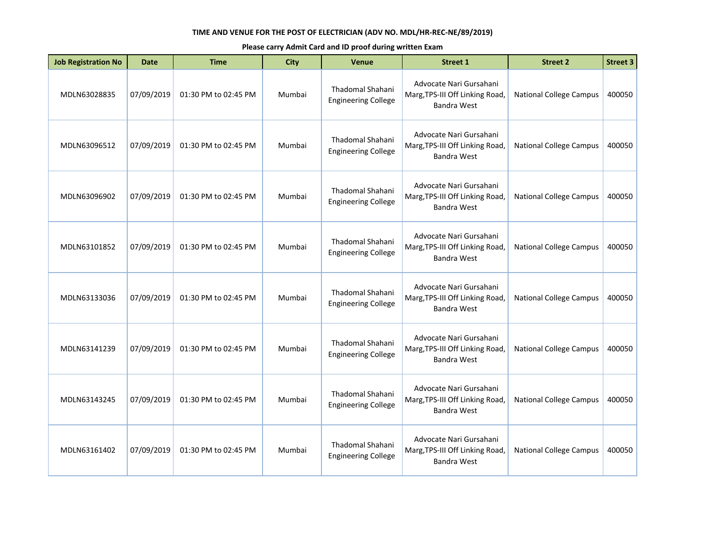| <b>Job Registration No</b> | <b>Date</b> | <b>Time</b>          | City   | <b>Venue</b>                                          | <b>Street 1</b>                                                                  | <b>Street 2</b>                | <b>Street 3</b> |
|----------------------------|-------------|----------------------|--------|-------------------------------------------------------|----------------------------------------------------------------------------------|--------------------------------|-----------------|
| MDLN63028835               | 07/09/2019  | 01:30 PM to 02:45 PM | Mumbai | <b>Thadomal Shahani</b><br><b>Engineering College</b> | Advocate Nari Gursahani<br>Marg, TPS-III Off Linking Road,<br><b>Bandra West</b> | <b>National College Campus</b> | 400050          |
| MDLN63096512               | 07/09/2019  | 01:30 PM to 02:45 PM | Mumbai | Thadomal Shahani<br><b>Engineering College</b>        | Advocate Nari Gursahani<br>Marg, TPS-III Off Linking Road,<br><b>Bandra West</b> | <b>National College Campus</b> | 400050          |
| MDLN63096902               | 07/09/2019  | 01:30 PM to 02:45 PM | Mumbai | <b>Thadomal Shahani</b><br><b>Engineering College</b> | Advocate Nari Gursahani<br>Marg, TPS-III Off Linking Road,<br><b>Bandra West</b> | <b>National College Campus</b> | 400050          |
| MDLN63101852               | 07/09/2019  | 01:30 PM to 02:45 PM | Mumbai | Thadomal Shahani<br><b>Engineering College</b>        | Advocate Nari Gursahani<br>Marg, TPS-III Off Linking Road,<br><b>Bandra West</b> | <b>National College Campus</b> | 400050          |
| MDLN63133036               | 07/09/2019  | 01:30 PM to 02:45 PM | Mumbai | Thadomal Shahani<br><b>Engineering College</b>        | Advocate Nari Gursahani<br>Marg, TPS-III Off Linking Road,<br><b>Bandra West</b> | <b>National College Campus</b> | 400050          |
| MDLN63141239               | 07/09/2019  | 01:30 PM to 02:45 PM | Mumbai | Thadomal Shahani<br><b>Engineering College</b>        | Advocate Nari Gursahani<br>Marg, TPS-III Off Linking Road,<br><b>Bandra West</b> | <b>National College Campus</b> | 400050          |
| MDLN63143245               | 07/09/2019  | 01:30 PM to 02:45 PM | Mumbai | Thadomal Shahani<br><b>Engineering College</b>        | Advocate Nari Gursahani<br>Marg, TPS-III Off Linking Road,<br><b>Bandra West</b> | <b>National College Campus</b> | 400050          |
| MDLN63161402               | 07/09/2019  | 01:30 PM to 02:45 PM | Mumbai | Thadomal Shahani<br><b>Engineering College</b>        | Advocate Nari Gursahani<br>Marg, TPS-III Off Linking Road,<br><b>Bandra West</b> | <b>National College Campus</b> | 400050          |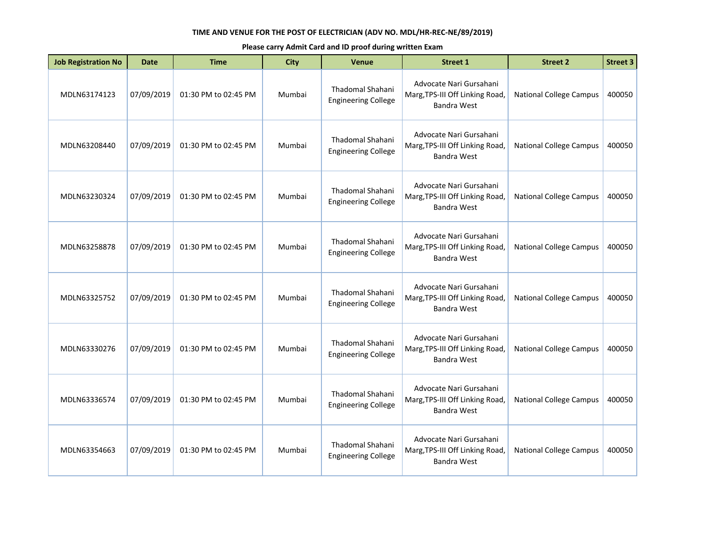| <b>Job Registration No</b> | <b>Date</b> | <b>Time</b>          | <b>City</b> | Venue                                                 | <b>Street 1</b>                                                                  | <b>Street 2</b>                | <b>Street 3</b> |
|----------------------------|-------------|----------------------|-------------|-------------------------------------------------------|----------------------------------------------------------------------------------|--------------------------------|-----------------|
| MDLN63174123               | 07/09/2019  | 01:30 PM to 02:45 PM | Mumbai      | <b>Thadomal Shahani</b><br><b>Engineering College</b> | Advocate Nari Gursahani<br>Marg, TPS-III Off Linking Road,<br>Bandra West        | <b>National College Campus</b> | 400050          |
| MDLN63208440               | 07/09/2019  | 01:30 PM to 02:45 PM | Mumbai      | <b>Thadomal Shahani</b><br><b>Engineering College</b> | Advocate Nari Gursahani<br>Marg, TPS-III Off Linking Road,<br><b>Bandra West</b> | <b>National College Campus</b> | 400050          |
| MDLN63230324               | 07/09/2019  | 01:30 PM to 02:45 PM | Mumbai      | Thadomal Shahani<br><b>Engineering College</b>        | Advocate Nari Gursahani<br>Marg, TPS-III Off Linking Road,<br>Bandra West        | <b>National College Campus</b> | 400050          |
| MDLN63258878               | 07/09/2019  | 01:30 PM to 02:45 PM | Mumbai      | <b>Thadomal Shahani</b><br><b>Engineering College</b> | Advocate Nari Gursahani<br>Marg, TPS-III Off Linking Road,<br>Bandra West        | <b>National College Campus</b> | 400050          |
| MDLN63325752               | 07/09/2019  | 01:30 PM to 02:45 PM | Mumbai      | Thadomal Shahani<br><b>Engineering College</b>        | Advocate Nari Gursahani<br>Marg, TPS-III Off Linking Road,<br>Bandra West        | <b>National College Campus</b> | 400050          |
| MDLN63330276               | 07/09/2019  | 01:30 PM to 02:45 PM | Mumbai      | <b>Thadomal Shahani</b><br><b>Engineering College</b> | Advocate Nari Gursahani<br>Marg, TPS-III Off Linking Road,<br>Bandra West        | <b>National College Campus</b> | 400050          |
| MDLN63336574               | 07/09/2019  | 01:30 PM to 02:45 PM | Mumbai      | Thadomal Shahani<br><b>Engineering College</b>        | Advocate Nari Gursahani<br>Marg, TPS-III Off Linking Road,<br><b>Bandra West</b> | <b>National College Campus</b> | 400050          |
| MDLN63354663               | 07/09/2019  | 01:30 PM to 02:45 PM | Mumbai      | Thadomal Shahani<br><b>Engineering College</b>        | Advocate Nari Gursahani<br>Marg, TPS-III Off Linking Road,<br><b>Bandra West</b> | <b>National College Campus</b> | 400050          |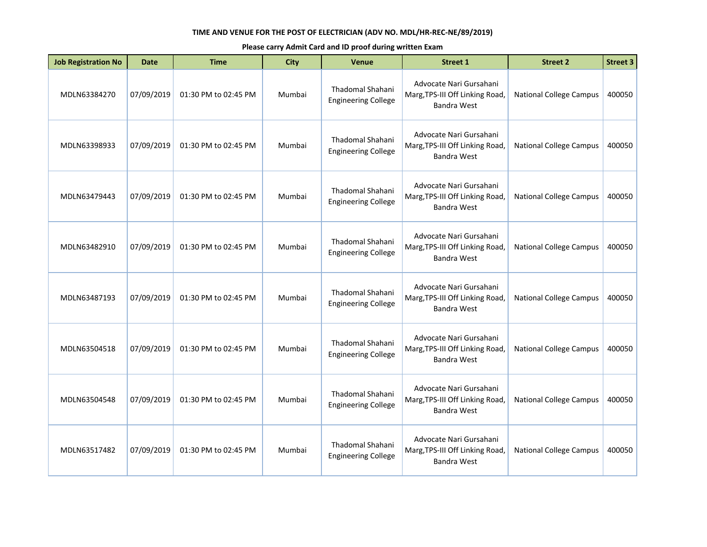| <b>Job Registration No</b> | Date       | <b>Time</b>          | <b>City</b> | <b>Venue</b>                                          | <b>Street 1</b>                                                                  | <b>Street 2</b>                | <b>Street 3</b> |
|----------------------------|------------|----------------------|-------------|-------------------------------------------------------|----------------------------------------------------------------------------------|--------------------------------|-----------------|
| MDLN63384270               | 07/09/2019 | 01:30 PM to 02:45 PM | Mumbai      | Thadomal Shahani<br><b>Engineering College</b>        | Advocate Nari Gursahani<br>Marg, TPS-III Off Linking Road,<br>Bandra West        | <b>National College Campus</b> | 400050          |
| MDLN63398933               | 07/09/2019 | 01:30 PM to 02:45 PM | Mumbai      | <b>Thadomal Shahani</b><br><b>Engineering College</b> | Advocate Nari Gursahani<br>Marg, TPS-III Off Linking Road,<br><b>Bandra West</b> | <b>National College Campus</b> | 400050          |
| MDLN63479443               | 07/09/2019 | 01:30 PM to 02:45 PM | Mumbai      | Thadomal Shahani<br><b>Engineering College</b>        | Advocate Nari Gursahani<br>Marg, TPS-III Off Linking Road,<br><b>Bandra West</b> | <b>National College Campus</b> | 400050          |
| MDLN63482910               | 07/09/2019 | 01:30 PM to 02:45 PM | Mumbai      | Thadomal Shahani<br><b>Engineering College</b>        | Advocate Nari Gursahani<br>Marg, TPS-III Off Linking Road,<br><b>Bandra West</b> | <b>National College Campus</b> | 400050          |
| MDLN63487193               | 07/09/2019 | 01:30 PM to 02:45 PM | Mumbai      | Thadomal Shahani<br><b>Engineering College</b>        | Advocate Nari Gursahani<br>Marg, TPS-III Off Linking Road,<br>Bandra West        | <b>National College Campus</b> | 400050          |
| MDLN63504518               | 07/09/2019 | 01:30 PM to 02:45 PM | Mumbai      | Thadomal Shahani<br><b>Engineering College</b>        | Advocate Nari Gursahani<br>Marg, TPS-III Off Linking Road,<br><b>Bandra West</b> | <b>National College Campus</b> | 400050          |
| MDLN63504548               | 07/09/2019 | 01:30 PM to 02:45 PM | Mumbai      | Thadomal Shahani<br><b>Engineering College</b>        | Advocate Nari Gursahani<br>Marg, TPS-III Off Linking Road,<br>Bandra West        | <b>National College Campus</b> | 400050          |
| MDLN63517482               | 07/09/2019 | 01:30 PM to 02:45 PM | Mumbai      | <b>Thadomal Shahani</b><br><b>Engineering College</b> | Advocate Nari Gursahani<br>Marg, TPS-III Off Linking Road,<br><b>Bandra West</b> | <b>National College Campus</b> | 400050          |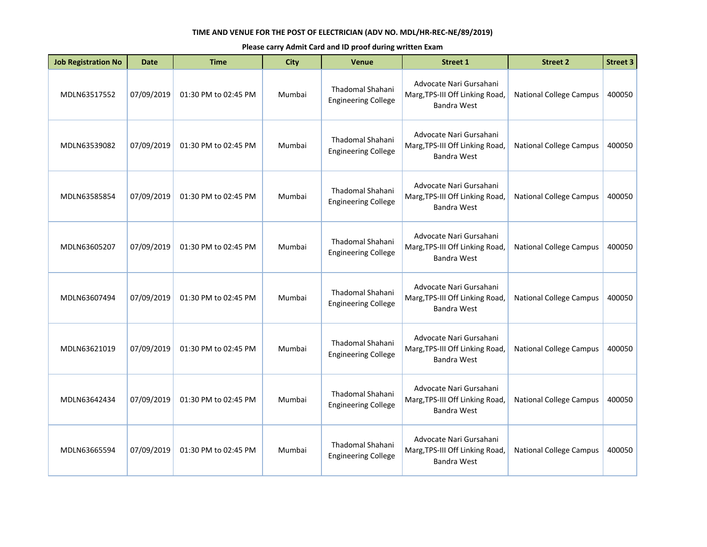| <b>Job Registration No</b> | Date       | <b>Time</b>          | <b>City</b> | <b>Venue</b>                                          | <b>Street 1</b>                                                                  | <b>Street 2</b>                | <b>Street 3</b> |
|----------------------------|------------|----------------------|-------------|-------------------------------------------------------|----------------------------------------------------------------------------------|--------------------------------|-----------------|
| MDLN63517552               | 07/09/2019 | 01:30 PM to 02:45 PM | Mumbai      | Thadomal Shahani<br><b>Engineering College</b>        | Advocate Nari Gursahani<br>Marg, TPS-III Off Linking Road,<br>Bandra West        | <b>National College Campus</b> | 400050          |
| MDLN63539082               | 07/09/2019 | 01:30 PM to 02:45 PM | Mumbai      | Thadomal Shahani<br><b>Engineering College</b>        | Advocate Nari Gursahani<br>Marg, TPS-III Off Linking Road,<br>Bandra West        | <b>National College Campus</b> | 400050          |
| MDLN63585854               | 07/09/2019 | 01:30 PM to 02:45 PM | Mumbai      | Thadomal Shahani<br><b>Engineering College</b>        | Advocate Nari Gursahani<br>Marg, TPS-III Off Linking Road,<br><b>Bandra West</b> | <b>National College Campus</b> | 400050          |
| MDLN63605207               | 07/09/2019 | 01:30 PM to 02:45 PM | Mumbai      | Thadomal Shahani<br><b>Engineering College</b>        | Advocate Nari Gursahani<br>Marg, TPS-III Off Linking Road,<br>Bandra West        | <b>National College Campus</b> | 400050          |
| MDLN63607494               | 07/09/2019 | 01:30 PM to 02:45 PM | Mumbai      | Thadomal Shahani<br><b>Engineering College</b>        | Advocate Nari Gursahani<br>Marg, TPS-III Off Linking Road,<br>Bandra West        | <b>National College Campus</b> | 400050          |
| MDLN63621019               | 07/09/2019 | 01:30 PM to 02:45 PM | Mumbai      | <b>Thadomal Shahani</b><br><b>Engineering College</b> | Advocate Nari Gursahani<br>Marg, TPS-III Off Linking Road,<br><b>Bandra West</b> | <b>National College Campus</b> | 400050          |
| MDLN63642434               | 07/09/2019 | 01:30 PM to 02:45 PM | Mumbai      | Thadomal Shahani<br><b>Engineering College</b>        | Advocate Nari Gursahani<br>Marg, TPS-III Off Linking Road,<br>Bandra West        | <b>National College Campus</b> | 400050          |
| MDLN63665594               | 07/09/2019 | 01:30 PM to 02:45 PM | Mumbai      | <b>Thadomal Shahani</b><br><b>Engineering College</b> | Advocate Nari Gursahani<br>Marg, TPS-III Off Linking Road,<br>Bandra West        | <b>National College Campus</b> | 400050          |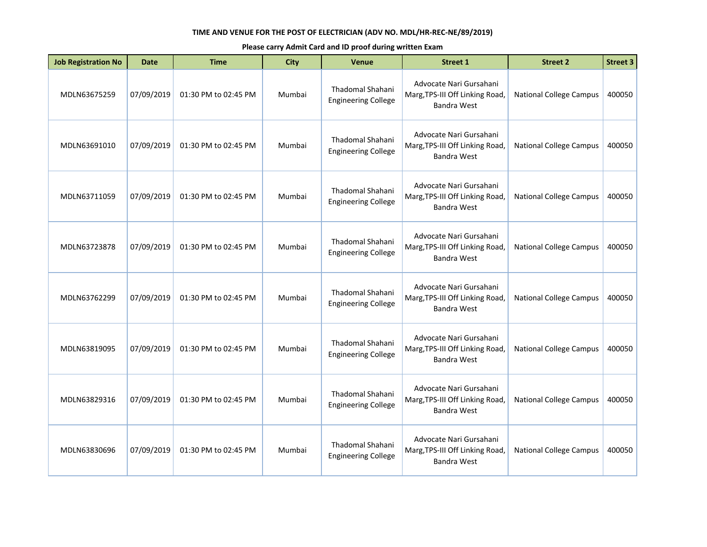| <b>Job Registration No</b> | Date       | <b>Time</b>          | <b>City</b> | <b>Venue</b>                                          | <b>Street 1</b>                                                                  | <b>Street 2</b>                | <b>Street 3</b> |
|----------------------------|------------|----------------------|-------------|-------------------------------------------------------|----------------------------------------------------------------------------------|--------------------------------|-----------------|
| MDLN63675259               | 07/09/2019 | 01:30 PM to 02:45 PM | Mumbai      | Thadomal Shahani<br><b>Engineering College</b>        | Advocate Nari Gursahani<br>Marg, TPS-III Off Linking Road,<br>Bandra West        | <b>National College Campus</b> | 400050          |
| MDLN63691010               | 07/09/2019 | 01:30 PM to 02:45 PM | Mumbai      | Thadomal Shahani<br><b>Engineering College</b>        | Advocate Nari Gursahani<br>Marg, TPS-III Off Linking Road,<br>Bandra West        | <b>National College Campus</b> | 400050          |
| MDLN63711059               | 07/09/2019 | 01:30 PM to 02:45 PM | Mumbai      | Thadomal Shahani<br><b>Engineering College</b>        | Advocate Nari Gursahani<br>Marg, TPS-III Off Linking Road,<br><b>Bandra West</b> | <b>National College Campus</b> | 400050          |
| MDLN63723878               | 07/09/2019 | 01:30 PM to 02:45 PM | Mumbai      | Thadomal Shahani<br><b>Engineering College</b>        | Advocate Nari Gursahani<br>Marg, TPS-III Off Linking Road,<br>Bandra West        | <b>National College Campus</b> | 400050          |
| MDLN63762299               | 07/09/2019 | 01:30 PM to 02:45 PM | Mumbai      | Thadomal Shahani<br><b>Engineering College</b>        | Advocate Nari Gursahani<br>Marg, TPS-III Off Linking Road,<br>Bandra West        | <b>National College Campus</b> | 400050          |
| MDLN63819095               | 07/09/2019 | 01:30 PM to 02:45 PM | Mumbai      | <b>Thadomal Shahani</b><br><b>Engineering College</b> | Advocate Nari Gursahani<br>Marg, TPS-III Off Linking Road,<br><b>Bandra West</b> | <b>National College Campus</b> | 400050          |
| MDLN63829316               | 07/09/2019 | 01:30 PM to 02:45 PM | Mumbai      | Thadomal Shahani<br><b>Engineering College</b>        | Advocate Nari Gursahani<br>Marg, TPS-III Off Linking Road,<br>Bandra West        | <b>National College Campus</b> | 400050          |
| MDLN63830696               | 07/09/2019 | 01:30 PM to 02:45 PM | Mumbai      | <b>Thadomal Shahani</b><br><b>Engineering College</b> | Advocate Nari Gursahani<br>Marg, TPS-III Off Linking Road,<br>Bandra West        | <b>National College Campus</b> | 400050          |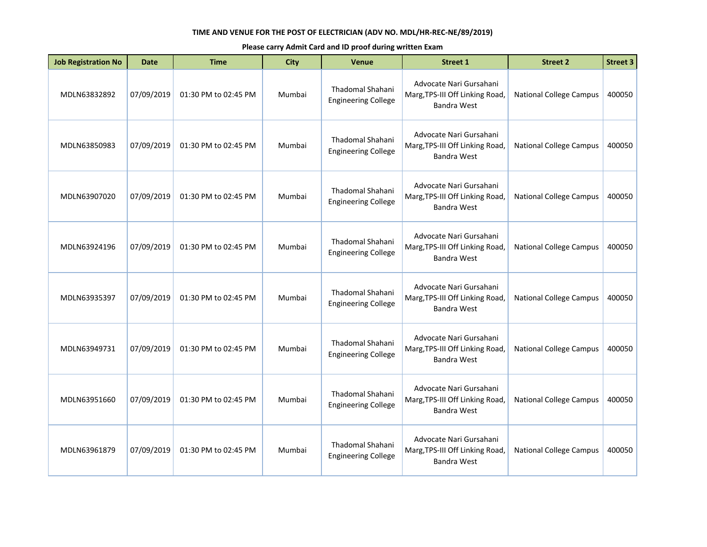| <b>Job Registration No</b> | Date       | <b>Time</b>          | <b>City</b> | <b>Venue</b>                                          | <b>Street 1</b>                                                                  | <b>Street 2</b>                | <b>Street 3</b> |
|----------------------------|------------|----------------------|-------------|-------------------------------------------------------|----------------------------------------------------------------------------------|--------------------------------|-----------------|
| MDLN63832892               | 07/09/2019 | 01:30 PM to 02:45 PM | Mumbai      | Thadomal Shahani<br><b>Engineering College</b>        | Advocate Nari Gursahani<br>Marg, TPS-III Off Linking Road,<br>Bandra West        | <b>National College Campus</b> | 400050          |
| MDLN63850983               | 07/09/2019 | 01:30 PM to 02:45 PM | Mumbai      | <b>Thadomal Shahani</b><br><b>Engineering College</b> | Advocate Nari Gursahani<br>Marg, TPS-III Off Linking Road,<br><b>Bandra West</b> | <b>National College Campus</b> | 400050          |
| MDLN63907020               | 07/09/2019 | 01:30 PM to 02:45 PM | Mumbai      | Thadomal Shahani<br><b>Engineering College</b>        | Advocate Nari Gursahani<br>Marg, TPS-III Off Linking Road,<br><b>Bandra West</b> | <b>National College Campus</b> | 400050          |
| MDLN63924196               | 07/09/2019 | 01:30 PM to 02:45 PM | Mumbai      | Thadomal Shahani<br><b>Engineering College</b>        | Advocate Nari Gursahani<br>Marg, TPS-III Off Linking Road,<br><b>Bandra West</b> | <b>National College Campus</b> | 400050          |
| MDLN63935397               | 07/09/2019 | 01:30 PM to 02:45 PM | Mumbai      | Thadomal Shahani<br><b>Engineering College</b>        | Advocate Nari Gursahani<br>Marg, TPS-III Off Linking Road,<br>Bandra West        | <b>National College Campus</b> | 400050          |
| MDLN63949731               | 07/09/2019 | 01:30 PM to 02:45 PM | Mumbai      | Thadomal Shahani<br><b>Engineering College</b>        | Advocate Nari Gursahani<br>Marg, TPS-III Off Linking Road,<br><b>Bandra West</b> | <b>National College Campus</b> | 400050          |
| MDLN63951660               | 07/09/2019 | 01:30 PM to 02:45 PM | Mumbai      | Thadomal Shahani<br><b>Engineering College</b>        | Advocate Nari Gursahani<br>Marg, TPS-III Off Linking Road,<br>Bandra West        | <b>National College Campus</b> | 400050          |
| MDLN63961879               | 07/09/2019 | 01:30 PM to 02:45 PM | Mumbai      | <b>Thadomal Shahani</b><br><b>Engineering College</b> | Advocate Nari Gursahani<br>Marg, TPS-III Off Linking Road,<br><b>Bandra West</b> | <b>National College Campus</b> | 400050          |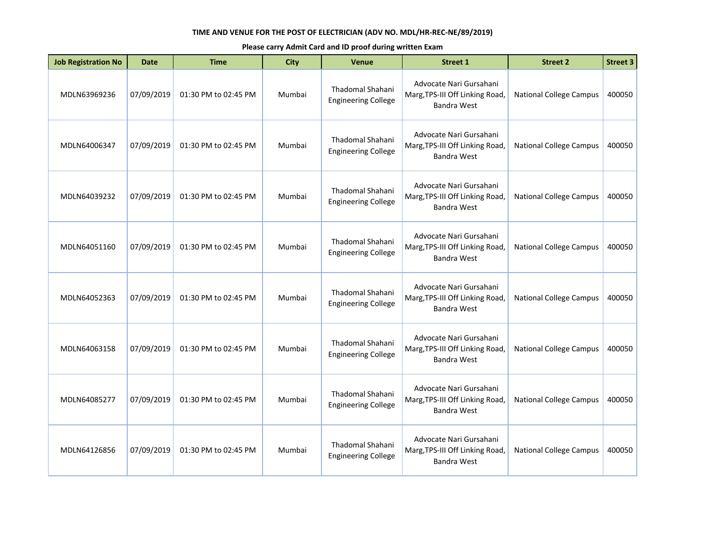| <b>Job Registration No</b> | Date       | <b>Time</b>          | <b>City</b> | <b>Venue</b>                                          | <b>Street 1</b>                                                                  | <b>Street 2</b>                | <b>Street 3</b> |
|----------------------------|------------|----------------------|-------------|-------------------------------------------------------|----------------------------------------------------------------------------------|--------------------------------|-----------------|
| MDLN63969236               | 07/09/2019 | 01:30 PM to 02:45 PM | Mumbai      | Thadomal Shahani<br><b>Engineering College</b>        | Advocate Nari Gursahani<br>Marg, TPS-III Off Linking Road,<br>Bandra West        | <b>National College Campus</b> | 400050          |
| MDLN64006347               | 07/09/2019 | 01:30 PM to 02:45 PM | Mumbai      | <b>Thadomal Shahani</b><br><b>Engineering College</b> | Advocate Nari Gursahani<br>Marg, TPS-III Off Linking Road,<br><b>Bandra West</b> | <b>National College Campus</b> | 400050          |
| MDLN64039232               | 07/09/2019 | 01:30 PM to 02:45 PM | Mumbai      | Thadomal Shahani<br><b>Engineering College</b>        | Advocate Nari Gursahani<br>Marg, TPS-III Off Linking Road,<br><b>Bandra West</b> | <b>National College Campus</b> | 400050          |
| MDLN64051160               | 07/09/2019 | 01:30 PM to 02:45 PM | Mumbai      | Thadomal Shahani<br><b>Engineering College</b>        | Advocate Nari Gursahani<br>Marg, TPS-III Off Linking Road,<br><b>Bandra West</b> | <b>National College Campus</b> | 400050          |
| MDLN64052363               | 07/09/2019 | 01:30 PM to 02:45 PM | Mumbai      | Thadomal Shahani<br><b>Engineering College</b>        | Advocate Nari Gursahani<br>Marg, TPS-III Off Linking Road,<br>Bandra West        | <b>National College Campus</b> | 400050          |
| MDLN64063158               | 07/09/2019 | 01:30 PM to 02:45 PM | Mumbai      | Thadomal Shahani<br><b>Engineering College</b>        | Advocate Nari Gursahani<br>Marg, TPS-III Off Linking Road,<br><b>Bandra West</b> | <b>National College Campus</b> | 400050          |
| MDLN64085277               | 07/09/2019 | 01:30 PM to 02:45 PM | Mumbai      | Thadomal Shahani<br><b>Engineering College</b>        | Advocate Nari Gursahani<br>Marg, TPS-III Off Linking Road,<br>Bandra West        | <b>National College Campus</b> | 400050          |
| MDLN64126856               | 07/09/2019 | 01:30 PM to 02:45 PM | Mumbai      | <b>Thadomal Shahani</b><br><b>Engineering College</b> | Advocate Nari Gursahani<br>Marg, TPS-III Off Linking Road,<br><b>Bandra West</b> | <b>National College Campus</b> | 400050          |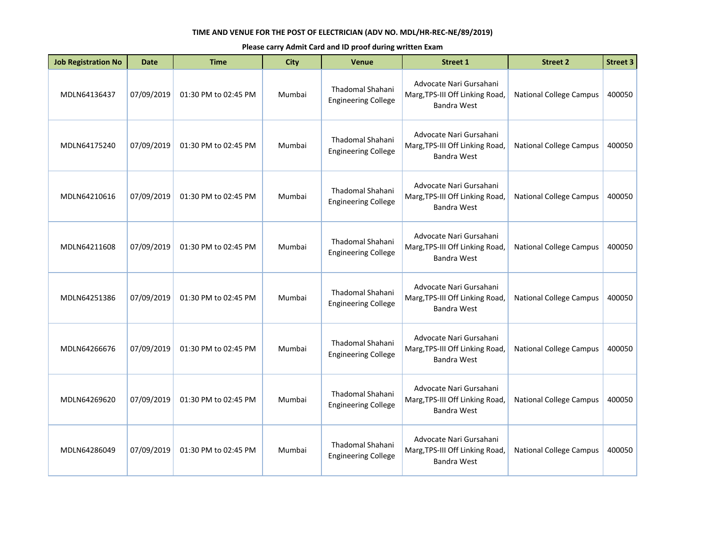| <b>Job Registration No</b> | <b>Date</b> | <b>Time</b>          | <b>City</b> | Venue                                                 | <b>Street 1</b>                                                                  | <b>Street 2</b>                | <b>Street 3</b> |
|----------------------------|-------------|----------------------|-------------|-------------------------------------------------------|----------------------------------------------------------------------------------|--------------------------------|-----------------|
| MDLN64136437               | 07/09/2019  | 01:30 PM to 02:45 PM | Mumbai      | Thadomal Shahani<br><b>Engineering College</b>        | Advocate Nari Gursahani<br>Marg, TPS-III Off Linking Road,<br>Bandra West        | <b>National College Campus</b> | 400050          |
| MDLN64175240               | 07/09/2019  | 01:30 PM to 02:45 PM | Mumbai      | <b>Thadomal Shahani</b><br><b>Engineering College</b> | Advocate Nari Gursahani<br>Marg, TPS-III Off Linking Road,<br><b>Bandra West</b> | <b>National College Campus</b> | 400050          |
| MDLN64210616               | 07/09/2019  | 01:30 PM to 02:45 PM | Mumbai      | Thadomal Shahani<br><b>Engineering College</b>        | Advocate Nari Gursahani<br>Marg, TPS-III Off Linking Road,<br>Bandra West        | <b>National College Campus</b> | 400050          |
| MDLN64211608               | 07/09/2019  | 01:30 PM to 02:45 PM | Mumbai      | <b>Thadomal Shahani</b><br><b>Engineering College</b> | Advocate Nari Gursahani<br>Marg, TPS-III Off Linking Road,<br>Bandra West        | <b>National College Campus</b> | 400050          |
| MDLN64251386               | 07/09/2019  | 01:30 PM to 02:45 PM | Mumbai      | Thadomal Shahani<br><b>Engineering College</b>        | Advocate Nari Gursahani<br>Marg, TPS-III Off Linking Road,<br>Bandra West        | <b>National College Campus</b> | 400050          |
| MDLN64266676               | 07/09/2019  | 01:30 PM to 02:45 PM | Mumbai      | <b>Thadomal Shahani</b><br><b>Engineering College</b> | Advocate Nari Gursahani<br>Marg, TPS-III Off Linking Road,<br>Bandra West        | <b>National College Campus</b> | 400050          |
| MDLN64269620               | 07/09/2019  | 01:30 PM to 02:45 PM | Mumbai      | Thadomal Shahani<br><b>Engineering College</b>        | Advocate Nari Gursahani<br>Marg, TPS-III Off Linking Road,<br><b>Bandra West</b> | <b>National College Campus</b> | 400050          |
| MDLN64286049               | 07/09/2019  | 01:30 PM to 02:45 PM | Mumbai      | Thadomal Shahani<br><b>Engineering College</b>        | Advocate Nari Gursahani<br>Marg, TPS-III Off Linking Road,<br>Bandra West        | <b>National College Campus</b> | 400050          |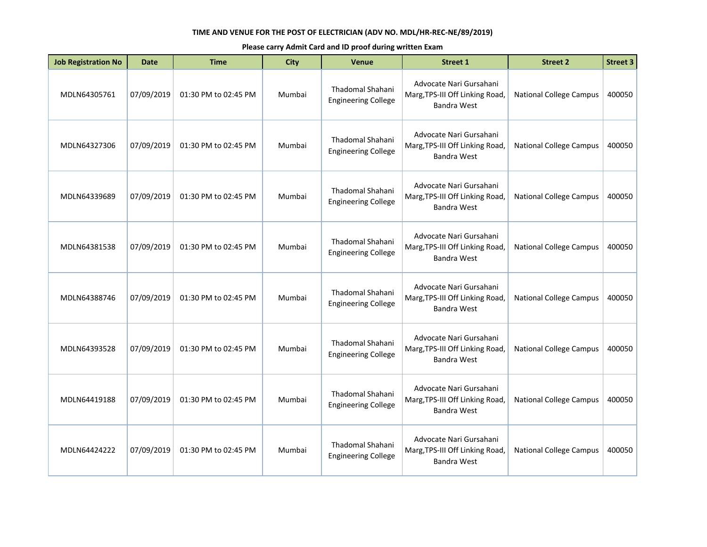| <b>Job Registration No</b> | <b>Date</b> | <b>Time</b>          | <b>City</b> | Venue                                                 | <b>Street 1</b>                                                                  | <b>Street 2</b>                | <b>Street 3</b> |
|----------------------------|-------------|----------------------|-------------|-------------------------------------------------------|----------------------------------------------------------------------------------|--------------------------------|-----------------|
| MDLN64305761               | 07/09/2019  | 01:30 PM to 02:45 PM | Mumbai      | Thadomal Shahani<br><b>Engineering College</b>        | Advocate Nari Gursahani<br>Marg, TPS-III Off Linking Road,<br>Bandra West        | <b>National College Campus</b> | 400050          |
| MDLN64327306               | 07/09/2019  | 01:30 PM to 02:45 PM | Mumbai      | <b>Thadomal Shahani</b><br><b>Engineering College</b> | Advocate Nari Gursahani<br>Marg, TPS-III Off Linking Road,<br><b>Bandra West</b> | <b>National College Campus</b> | 400050          |
| MDLN64339689               | 07/09/2019  | 01:30 PM to 02:45 PM | Mumbai      | Thadomal Shahani<br><b>Engineering College</b>        | Advocate Nari Gursahani<br>Marg, TPS-III Off Linking Road,<br>Bandra West        | <b>National College Campus</b> | 400050          |
| MDLN64381538               | 07/09/2019  | 01:30 PM to 02:45 PM | Mumbai      | <b>Thadomal Shahani</b><br><b>Engineering College</b> | Advocate Nari Gursahani<br>Marg, TPS-III Off Linking Road,<br>Bandra West        | <b>National College Campus</b> | 400050          |
| MDLN64388746               | 07/09/2019  | 01:30 PM to 02:45 PM | Mumbai      | Thadomal Shahani<br><b>Engineering College</b>        | Advocate Nari Gursahani<br>Marg, TPS-III Off Linking Road,<br>Bandra West        | <b>National College Campus</b> | 400050          |
| MDLN64393528               | 07/09/2019  | 01:30 PM to 02:45 PM | Mumbai      | <b>Thadomal Shahani</b><br><b>Engineering College</b> | Advocate Nari Gursahani<br>Marg, TPS-III Off Linking Road,<br><b>Bandra West</b> | <b>National College Campus</b> | 400050          |
| MDLN64419188               | 07/09/2019  | 01:30 PM to 02:45 PM | Mumbai      | Thadomal Shahani<br><b>Engineering College</b>        | Advocate Nari Gursahani<br>Marg, TPS-III Off Linking Road,<br><b>Bandra West</b> | <b>National College Campus</b> | 400050          |
| MDLN64424222               | 07/09/2019  | 01:30 PM to 02:45 PM | Mumbai      | Thadomal Shahani<br><b>Engineering College</b>        | Advocate Nari Gursahani<br>Marg, TPS-III Off Linking Road,<br>Bandra West        | <b>National College Campus</b> | 400050          |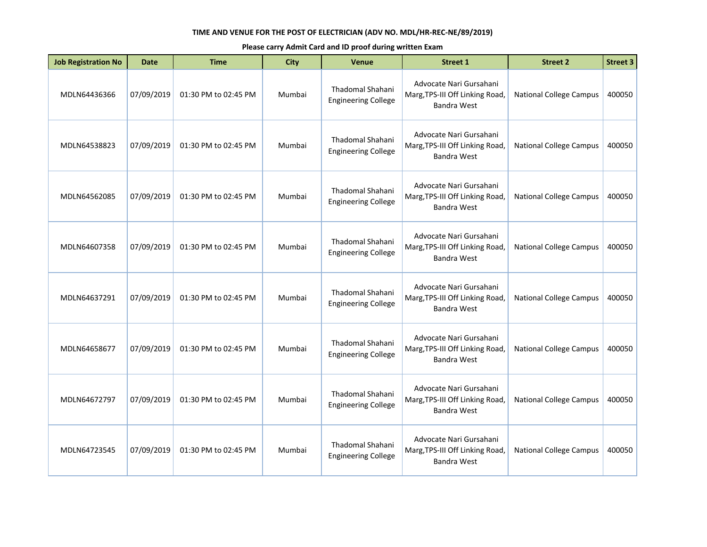| <b>Job Registration No</b> | <b>Date</b> | <b>Time</b>          | <b>City</b> | Venue                                                 | <b>Street 1</b>                                                                  | <b>Street 2</b>                | <b>Street 3</b> |
|----------------------------|-------------|----------------------|-------------|-------------------------------------------------------|----------------------------------------------------------------------------------|--------------------------------|-----------------|
| MDLN64436366               | 07/09/2019  | 01:30 PM to 02:45 PM | Mumbai      | Thadomal Shahani<br><b>Engineering College</b>        | Advocate Nari Gursahani<br>Marg, TPS-III Off Linking Road,<br>Bandra West        | <b>National College Campus</b> | 400050          |
| MDLN64538823               | 07/09/2019  | 01:30 PM to 02:45 PM | Mumbai      | Thadomal Shahani<br><b>Engineering College</b>        | Advocate Nari Gursahani<br>Marg, TPS-III Off Linking Road,<br>Bandra West        | <b>National College Campus</b> | 400050          |
| MDLN64562085               | 07/09/2019  | 01:30 PM to 02:45 PM | Mumbai      | <b>Thadomal Shahani</b><br><b>Engineering College</b> | Advocate Nari Gursahani<br>Marg, TPS-III Off Linking Road,<br>Bandra West        | <b>National College Campus</b> | 400050          |
| MDLN64607358               | 07/09/2019  | 01:30 PM to 02:45 PM | Mumbai      | <b>Thadomal Shahani</b><br><b>Engineering College</b> | Advocate Nari Gursahani<br>Marg, TPS-III Off Linking Road,<br>Bandra West        | <b>National College Campus</b> | 400050          |
| MDLN64637291               | 07/09/2019  | 01:30 PM to 02:45 PM | Mumbai      | Thadomal Shahani<br><b>Engineering College</b>        | Advocate Nari Gursahani<br>Marg, TPS-III Off Linking Road,<br>Bandra West        | <b>National College Campus</b> | 400050          |
| MDLN64658677               | 07/09/2019  | 01:30 PM to 02:45 PM | Mumbai      | <b>Thadomal Shahani</b><br><b>Engineering College</b> | Advocate Nari Gursahani<br>Marg, TPS-III Off Linking Road,<br>Bandra West        | <b>National College Campus</b> | 400050          |
| MDLN64672797               | 07/09/2019  | 01:30 PM to 02:45 PM | Mumbai      | <b>Thadomal Shahani</b><br><b>Engineering College</b> | Advocate Nari Gursahani<br>Marg, TPS-III Off Linking Road,<br><b>Bandra West</b> | <b>National College Campus</b> | 400050          |
| MDLN64723545               | 07/09/2019  | 01:30 PM to 02:45 PM | Mumbai      | Thadomal Shahani<br><b>Engineering College</b>        | Advocate Nari Gursahani<br>Marg, TPS-III Off Linking Road,<br><b>Bandra West</b> | <b>National College Campus</b> | 400050          |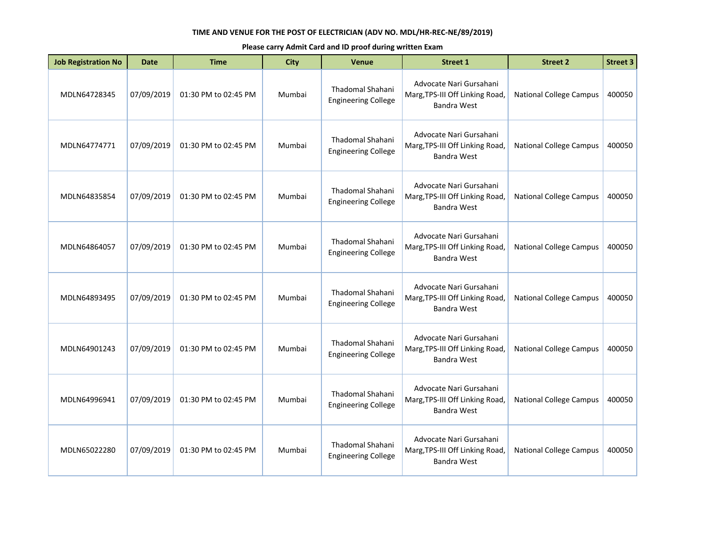| <b>Job Registration No</b> | <b>Date</b> | <b>Time</b>          | <b>City</b> | Venue                                                 | <b>Street 1</b>                                                                  | <b>Street 2</b>                | <b>Street 3</b> |
|----------------------------|-------------|----------------------|-------------|-------------------------------------------------------|----------------------------------------------------------------------------------|--------------------------------|-----------------|
| MDLN64728345               | 07/09/2019  | 01:30 PM to 02:45 PM | Mumbai      | Thadomal Shahani<br><b>Engineering College</b>        | Advocate Nari Gursahani<br>Marg, TPS-III Off Linking Road,<br><b>Bandra West</b> | <b>National College Campus</b> | 400050          |
| MDLN64774771               | 07/09/2019  | 01:30 PM to 02:45 PM | Mumbai      | <b>Thadomal Shahani</b><br><b>Engineering College</b> | Advocate Nari Gursahani<br>Marg, TPS-III Off Linking Road,<br><b>Bandra West</b> | <b>National College Campus</b> | 400050          |
| MDLN64835854               | 07/09/2019  | 01:30 PM to 02:45 PM | Mumbai      | Thadomal Shahani<br><b>Engineering College</b>        | Advocate Nari Gursahani<br>Marg, TPS-III Off Linking Road,<br><b>Bandra West</b> | <b>National College Campus</b> | 400050          |
| MDLN64864057               | 07/09/2019  | 01:30 PM to 02:45 PM | Mumbai      | <b>Thadomal Shahani</b><br><b>Engineering College</b> | Advocate Nari Gursahani<br>Marg, TPS-III Off Linking Road,<br><b>Bandra West</b> | <b>National College Campus</b> | 400050          |
| MDLN64893495               | 07/09/2019  | 01:30 PM to 02:45 PM | Mumbai      | Thadomal Shahani<br><b>Engineering College</b>        | Advocate Nari Gursahani<br>Marg, TPS-III Off Linking Road,<br><b>Bandra West</b> | <b>National College Campus</b> | 400050          |
| MDLN64901243               | 07/09/2019  | 01:30 PM to 02:45 PM | Mumbai      | <b>Thadomal Shahani</b><br><b>Engineering College</b> | Advocate Nari Gursahani<br>Marg, TPS-III Off Linking Road,<br><b>Bandra West</b> | <b>National College Campus</b> | 400050          |
| MDLN64996941               | 07/09/2019  | 01:30 PM to 02:45 PM | Mumbai      | Thadomal Shahani<br><b>Engineering College</b>        | Advocate Nari Gursahani<br>Marg, TPS-III Off Linking Road,<br><b>Bandra West</b> | <b>National College Campus</b> | 400050          |
| MDLN65022280               | 07/09/2019  | 01:30 PM to 02:45 PM | Mumbai      | Thadomal Shahani<br><b>Engineering College</b>        | Advocate Nari Gursahani<br>Marg, TPS-III Off Linking Road,<br><b>Bandra West</b> | <b>National College Campus</b> | 400050          |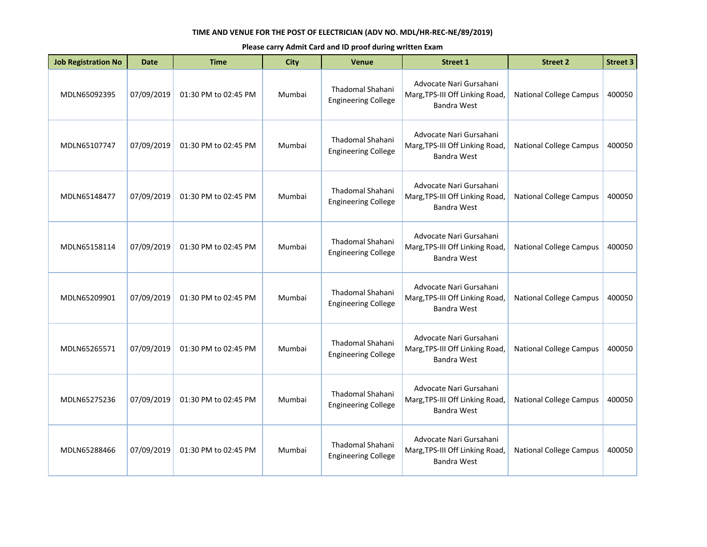| <b>Job Registration No</b> | <b>Date</b> | <b>Time</b>          | <b>City</b> | Venue                                                 | <b>Street 1</b>                                                                  | <b>Street 2</b>                | <b>Street 3</b> |
|----------------------------|-------------|----------------------|-------------|-------------------------------------------------------|----------------------------------------------------------------------------------|--------------------------------|-----------------|
| MDLN65092395               | 07/09/2019  | 01:30 PM to 02:45 PM | Mumbai      | Thadomal Shahani<br><b>Engineering College</b>        | Advocate Nari Gursahani<br>Marg, TPS-III Off Linking Road,<br>Bandra West        | <b>National College Campus</b> | 400050          |
| MDLN65107747               | 07/09/2019  | 01:30 PM to 02:45 PM | Mumbai      | Thadomal Shahani<br><b>Engineering College</b>        | Advocate Nari Gursahani<br>Marg, TPS-III Off Linking Road,<br>Bandra West        | <b>National College Campus</b> | 400050          |
| MDLN65148477               | 07/09/2019  | 01:30 PM to 02:45 PM | Mumbai      | <b>Thadomal Shahani</b><br><b>Engineering College</b> | Advocate Nari Gursahani<br>Marg, TPS-III Off Linking Road,<br>Bandra West        | <b>National College Campus</b> | 400050          |
| MDLN65158114               | 07/09/2019  | 01:30 PM to 02:45 PM | Mumbai      | <b>Thadomal Shahani</b><br><b>Engineering College</b> | Advocate Nari Gursahani<br>Marg, TPS-III Off Linking Road,<br>Bandra West        | <b>National College Campus</b> | 400050          |
| MDLN65209901               | 07/09/2019  | 01:30 PM to 02:45 PM | Mumbai      | Thadomal Shahani<br><b>Engineering College</b>        | Advocate Nari Gursahani<br>Marg, TPS-III Off Linking Road,<br>Bandra West        | <b>National College Campus</b> | 400050          |
| MDLN65265571               | 07/09/2019  | 01:30 PM to 02:45 PM | Mumbai      | <b>Thadomal Shahani</b><br><b>Engineering College</b> | Advocate Nari Gursahani<br>Marg, TPS-III Off Linking Road,<br>Bandra West        | <b>National College Campus</b> | 400050          |
| MDLN65275236               | 07/09/2019  | 01:30 PM to 02:45 PM | Mumbai      | <b>Thadomal Shahani</b><br><b>Engineering College</b> | Advocate Nari Gursahani<br>Marg, TPS-III Off Linking Road,<br><b>Bandra West</b> | <b>National College Campus</b> | 400050          |
| MDLN65288466               | 07/09/2019  | 01:30 PM to 02:45 PM | Mumbai      | Thadomal Shahani<br><b>Engineering College</b>        | Advocate Nari Gursahani<br>Marg, TPS-III Off Linking Road,<br><b>Bandra West</b> | <b>National College Campus</b> | 400050          |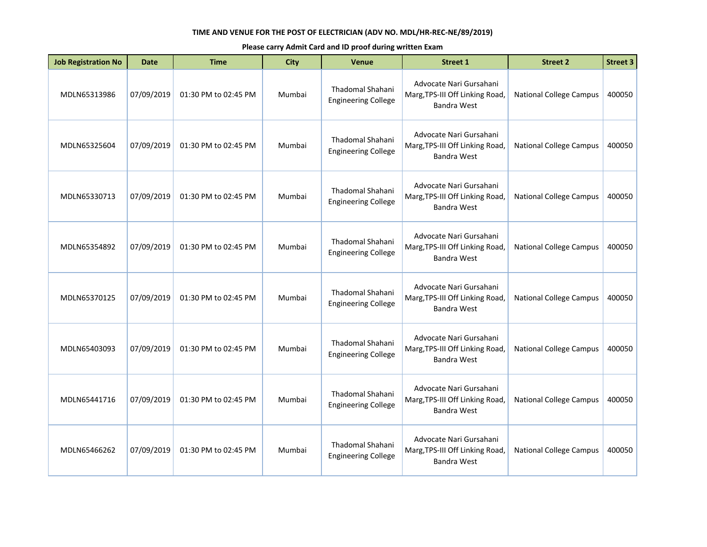| <b>Job Registration No</b> | Date       | <b>Time</b>          | <b>City</b> | <b>Venue</b>                                          | <b>Street 1</b>                                                                  | <b>Street 2</b>                | <b>Street 3</b> |
|----------------------------|------------|----------------------|-------------|-------------------------------------------------------|----------------------------------------------------------------------------------|--------------------------------|-----------------|
| MDLN65313986               | 07/09/2019 | 01:30 PM to 02:45 PM | Mumbai      | Thadomal Shahani<br><b>Engineering College</b>        | Advocate Nari Gursahani<br>Marg, TPS-III Off Linking Road,<br>Bandra West        | <b>National College Campus</b> | 400050          |
| MDLN65325604               | 07/09/2019 | 01:30 PM to 02:45 PM | Mumbai      | Thadomal Shahani<br><b>Engineering College</b>        | Advocate Nari Gursahani<br>Marg, TPS-III Off Linking Road,<br>Bandra West        | <b>National College Campus</b> | 400050          |
| MDLN65330713               | 07/09/2019 | 01:30 PM to 02:45 PM | Mumbai      | Thadomal Shahani<br><b>Engineering College</b>        | Advocate Nari Gursahani<br>Marg, TPS-III Off Linking Road,<br><b>Bandra West</b> | <b>National College Campus</b> | 400050          |
| MDLN65354892               | 07/09/2019 | 01:30 PM to 02:45 PM | Mumbai      | Thadomal Shahani<br><b>Engineering College</b>        | Advocate Nari Gursahani<br>Marg, TPS-III Off Linking Road,<br>Bandra West        | <b>National College Campus</b> | 400050          |
| MDLN65370125               | 07/09/2019 | 01:30 PM to 02:45 PM | Mumbai      | Thadomal Shahani<br><b>Engineering College</b>        | Advocate Nari Gursahani<br>Marg, TPS-III Off Linking Road,<br>Bandra West        | <b>National College Campus</b> | 400050          |
| MDLN65403093               | 07/09/2019 | 01:30 PM to 02:45 PM | Mumbai      | <b>Thadomal Shahani</b><br><b>Engineering College</b> | Advocate Nari Gursahani<br>Marg, TPS-III Off Linking Road,<br><b>Bandra West</b> | <b>National College Campus</b> | 400050          |
| MDLN65441716               | 07/09/2019 | 01:30 PM to 02:45 PM | Mumbai      | Thadomal Shahani<br><b>Engineering College</b>        | Advocate Nari Gursahani<br>Marg, TPS-III Off Linking Road,<br>Bandra West        | <b>National College Campus</b> | 400050          |
| MDLN65466262               | 07/09/2019 | 01:30 PM to 02:45 PM | Mumbai      | <b>Thadomal Shahani</b><br><b>Engineering College</b> | Advocate Nari Gursahani<br>Marg, TPS-III Off Linking Road,<br>Bandra West        | <b>National College Campus</b> | 400050          |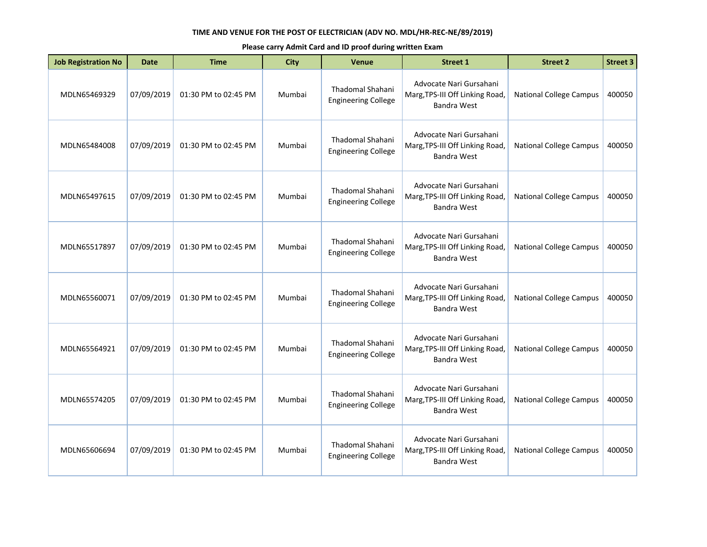| <b>Job Registration No</b> | Date       | <b>Time</b>          | <b>City</b> | <b>Venue</b>                                          | <b>Street 1</b>                                                                  | <b>Street 2</b>                | <b>Street 3</b> |
|----------------------------|------------|----------------------|-------------|-------------------------------------------------------|----------------------------------------------------------------------------------|--------------------------------|-----------------|
| MDLN65469329               | 07/09/2019 | 01:30 PM to 02:45 PM | Mumbai      | Thadomal Shahani<br><b>Engineering College</b>        | Advocate Nari Gursahani<br>Marg, TPS-III Off Linking Road,<br>Bandra West        | <b>National College Campus</b> | 400050          |
| MDLN65484008               | 07/09/2019 | 01:30 PM to 02:45 PM | Mumbai      | <b>Thadomal Shahani</b><br><b>Engineering College</b> | Advocate Nari Gursahani<br>Marg, TPS-III Off Linking Road,<br><b>Bandra West</b> | <b>National College Campus</b> | 400050          |
| MDLN65497615               | 07/09/2019 | 01:30 PM to 02:45 PM | Mumbai      | Thadomal Shahani<br><b>Engineering College</b>        | Advocate Nari Gursahani<br>Marg, TPS-III Off Linking Road,<br><b>Bandra West</b> | <b>National College Campus</b> | 400050          |
| MDLN65517897               | 07/09/2019 | 01:30 PM to 02:45 PM | Mumbai      | Thadomal Shahani<br><b>Engineering College</b>        | Advocate Nari Gursahani<br>Marg, TPS-III Off Linking Road,<br><b>Bandra West</b> | <b>National College Campus</b> | 400050          |
| MDLN65560071               | 07/09/2019 | 01:30 PM to 02:45 PM | Mumbai      | Thadomal Shahani<br><b>Engineering College</b>        | Advocate Nari Gursahani<br>Marg, TPS-III Off Linking Road,<br>Bandra West        | <b>National College Campus</b> | 400050          |
| MDLN65564921               | 07/09/2019 | 01:30 PM to 02:45 PM | Mumbai      | Thadomal Shahani<br><b>Engineering College</b>        | Advocate Nari Gursahani<br>Marg, TPS-III Off Linking Road,<br><b>Bandra West</b> | <b>National College Campus</b> | 400050          |
| MDLN65574205               | 07/09/2019 | 01:30 PM to 02:45 PM | Mumbai      | Thadomal Shahani<br><b>Engineering College</b>        | Advocate Nari Gursahani<br>Marg, TPS-III Off Linking Road,<br>Bandra West        | <b>National College Campus</b> | 400050          |
| MDLN65606694               | 07/09/2019 | 01:30 PM to 02:45 PM | Mumbai      | <b>Thadomal Shahani</b><br><b>Engineering College</b> | Advocate Nari Gursahani<br>Marg, TPS-III Off Linking Road,<br><b>Bandra West</b> | <b>National College Campus</b> | 400050          |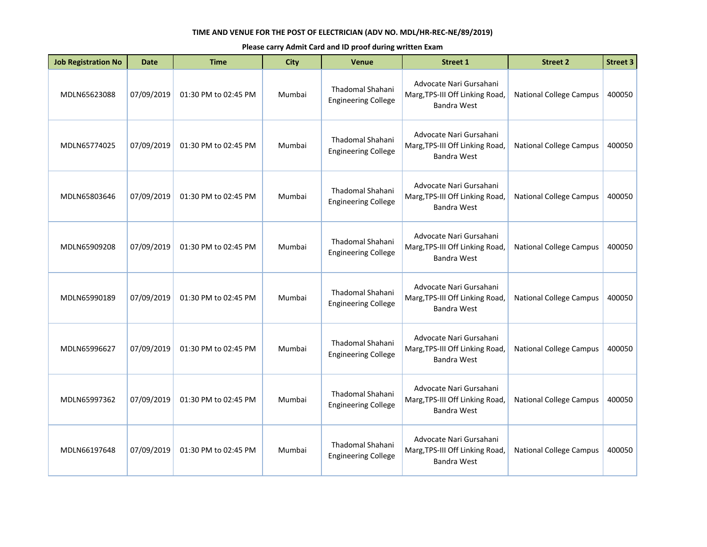| <b>Job Registration No</b> | Date       | <b>Time</b>          | <b>City</b> | <b>Venue</b>                                          | <b>Street 1</b>                                                                  | <b>Street 2</b>                | <b>Street 3</b> |
|----------------------------|------------|----------------------|-------------|-------------------------------------------------------|----------------------------------------------------------------------------------|--------------------------------|-----------------|
| MDLN65623088               | 07/09/2019 | 01:30 PM to 02:45 PM | Mumbai      | Thadomal Shahani<br><b>Engineering College</b>        | Advocate Nari Gursahani<br>Marg, TPS-III Off Linking Road,<br>Bandra West        | <b>National College Campus</b> | 400050          |
| MDLN65774025               | 07/09/2019 | 01:30 PM to 02:45 PM | Mumbai      | <b>Thadomal Shahani</b><br><b>Engineering College</b> | Advocate Nari Gursahani<br>Marg, TPS-III Off Linking Road,<br><b>Bandra West</b> | <b>National College Campus</b> | 400050          |
| MDLN65803646               | 07/09/2019 | 01:30 PM to 02:45 PM | Mumbai      | Thadomal Shahani<br><b>Engineering College</b>        | Advocate Nari Gursahani<br>Marg, TPS-III Off Linking Road,<br><b>Bandra West</b> | <b>National College Campus</b> | 400050          |
| MDLN65909208               | 07/09/2019 | 01:30 PM to 02:45 PM | Mumbai      | Thadomal Shahani<br><b>Engineering College</b>        | Advocate Nari Gursahani<br>Marg, TPS-III Off Linking Road,<br><b>Bandra West</b> | <b>National College Campus</b> | 400050          |
| MDLN65990189               | 07/09/2019 | 01:30 PM to 02:45 PM | Mumbai      | Thadomal Shahani<br><b>Engineering College</b>        | Advocate Nari Gursahani<br>Marg, TPS-III Off Linking Road,<br>Bandra West        | <b>National College Campus</b> | 400050          |
| MDLN65996627               | 07/09/2019 | 01:30 PM to 02:45 PM | Mumbai      | Thadomal Shahani<br><b>Engineering College</b>        | Advocate Nari Gursahani<br>Marg, TPS-III Off Linking Road,<br><b>Bandra West</b> | <b>National College Campus</b> | 400050          |
| MDLN65997362               | 07/09/2019 | 01:30 PM to 02:45 PM | Mumbai      | Thadomal Shahani<br><b>Engineering College</b>        | Advocate Nari Gursahani<br>Marg, TPS-III Off Linking Road,<br>Bandra West        | <b>National College Campus</b> | 400050          |
| MDLN66197648               | 07/09/2019 | 01:30 PM to 02:45 PM | Mumbai      | <b>Thadomal Shahani</b><br><b>Engineering College</b> | Advocate Nari Gursahani<br>Marg, TPS-III Off Linking Road,<br><b>Bandra West</b> | <b>National College Campus</b> | 400050          |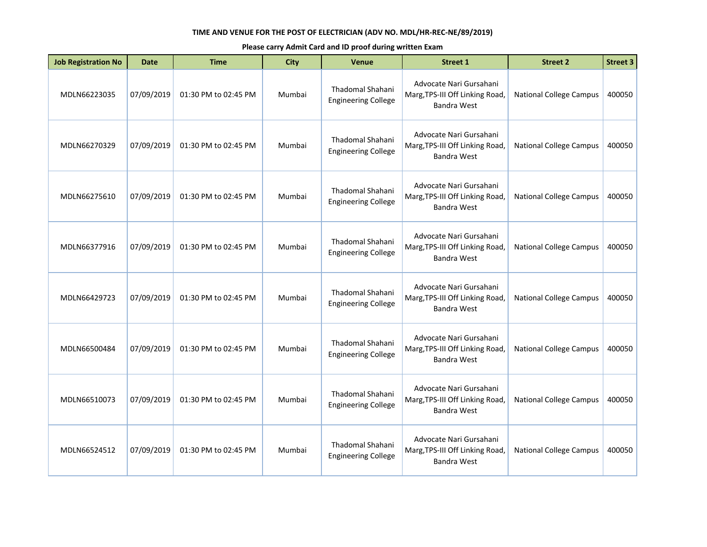| <b>Job Registration No</b> | <b>Date</b> | <b>Time</b>          | <b>City</b> | Venue                                                 | <b>Street 1</b>                                                                  | <b>Street 2</b>                | <b>Street 3</b> |
|----------------------------|-------------|----------------------|-------------|-------------------------------------------------------|----------------------------------------------------------------------------------|--------------------------------|-----------------|
| MDLN66223035               | 07/09/2019  | 01:30 PM to 02:45 PM | Mumbai      | Thadomal Shahani<br><b>Engineering College</b>        | Advocate Nari Gursahani<br>Marg, TPS-III Off Linking Road,<br>Bandra West        | <b>National College Campus</b> | 400050          |
| MDLN66270329               | 07/09/2019  | 01:30 PM to 02:45 PM | Mumbai      | Thadomal Shahani<br><b>Engineering College</b>        | Advocate Nari Gursahani<br>Marg, TPS-III Off Linking Road,<br>Bandra West        | <b>National College Campus</b> | 400050          |
| MDLN66275610               | 07/09/2019  | 01:30 PM to 02:45 PM | Mumbai      | <b>Thadomal Shahani</b><br><b>Engineering College</b> | Advocate Nari Gursahani<br>Marg, TPS-III Off Linking Road,<br>Bandra West        | <b>National College Campus</b> | 400050          |
| MDLN66377916               | 07/09/2019  | 01:30 PM to 02:45 PM | Mumbai      | <b>Thadomal Shahani</b><br><b>Engineering College</b> | Advocate Nari Gursahani<br>Marg, TPS-III Off Linking Road,<br>Bandra West        | <b>National College Campus</b> | 400050          |
| MDLN66429723               | 07/09/2019  | 01:30 PM to 02:45 PM | Mumbai      | Thadomal Shahani<br><b>Engineering College</b>        | Advocate Nari Gursahani<br>Marg, TPS-III Off Linking Road,<br>Bandra West        | <b>National College Campus</b> | 400050          |
| MDLN66500484               | 07/09/2019  | 01:30 PM to 02:45 PM | Mumbai      | <b>Thadomal Shahani</b><br><b>Engineering College</b> | Advocate Nari Gursahani<br>Marg, TPS-III Off Linking Road,<br>Bandra West        | <b>National College Campus</b> | 400050          |
| MDLN66510073               | 07/09/2019  | 01:30 PM to 02:45 PM | Mumbai      | <b>Thadomal Shahani</b><br><b>Engineering College</b> | Advocate Nari Gursahani<br>Marg, TPS-III Off Linking Road,<br><b>Bandra West</b> | <b>National College Campus</b> | 400050          |
| MDLN66524512               | 07/09/2019  | 01:30 PM to 02:45 PM | Mumbai      | Thadomal Shahani<br><b>Engineering College</b>        | Advocate Nari Gursahani<br>Marg, TPS-III Off Linking Road,<br><b>Bandra West</b> | <b>National College Campus</b> | 400050          |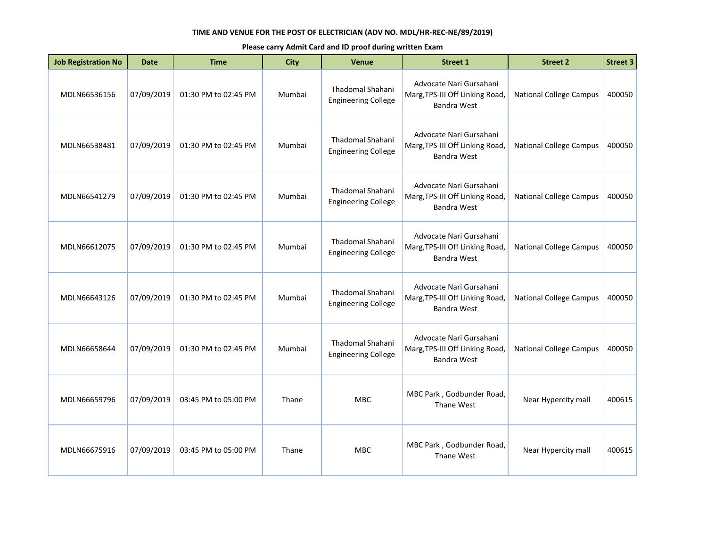| <b>Job Registration No</b> | <b>Date</b> | <b>Time</b>          | <b>City</b> | Venue                                          | <b>Street 1</b>                                                                  | <b>Street 2</b>                | <b>Street 3</b> |
|----------------------------|-------------|----------------------|-------------|------------------------------------------------|----------------------------------------------------------------------------------|--------------------------------|-----------------|
| MDLN66536156               | 07/09/2019  | 01:30 PM to 02:45 PM | Mumbai      | Thadomal Shahani<br><b>Engineering College</b> | Advocate Nari Gursahani<br>Marg, TPS-III Off Linking Road,<br><b>Bandra West</b> | <b>National College Campus</b> | 400050          |
| MDLN66538481               | 07/09/2019  | 01:30 PM to 02:45 PM | Mumbai      | Thadomal Shahani<br><b>Engineering College</b> | Advocate Nari Gursahani<br>Marg, TPS-III Off Linking Road,<br><b>Bandra West</b> | <b>National College Campus</b> | 400050          |
| MDLN66541279               | 07/09/2019  | 01:30 PM to 02:45 PM | Mumbai      | Thadomal Shahani<br><b>Engineering College</b> | Advocate Nari Gursahani<br>Marg, TPS-III Off Linking Road,<br><b>Bandra West</b> | <b>National College Campus</b> | 400050          |
| MDLN66612075               | 07/09/2019  | 01:30 PM to 02:45 PM | Mumbai      | Thadomal Shahani<br><b>Engineering College</b> | Advocate Nari Gursahani<br>Marg, TPS-III Off Linking Road,<br><b>Bandra West</b> | <b>National College Campus</b> | 400050          |
| MDLN66643126               | 07/09/2019  | 01:30 PM to 02:45 PM | Mumbai      | Thadomal Shahani<br><b>Engineering College</b> | Advocate Nari Gursahani<br>Marg, TPS-III Off Linking Road,<br><b>Bandra West</b> | <b>National College Campus</b> | 400050          |
| MDLN66658644               | 07/09/2019  | 01:30 PM to 02:45 PM | Mumbai      | Thadomal Shahani<br><b>Engineering College</b> | Advocate Nari Gursahani<br>Marg, TPS-III Off Linking Road,<br><b>Bandra West</b> | <b>National College Campus</b> | 400050          |
| MDLN66659796               | 07/09/2019  | 03:45 PM to 05:00 PM | Thane       | MBC                                            | MBC Park, Godbunder Road,<br>Thane West                                          | Near Hypercity mall            | 400615          |
| MDLN66675916               | 07/09/2019  | 03:45 PM to 05:00 PM | Thane       | <b>MBC</b>                                     | MBC Park, Godbunder Road,<br>Thane West                                          | Near Hypercity mall            | 400615          |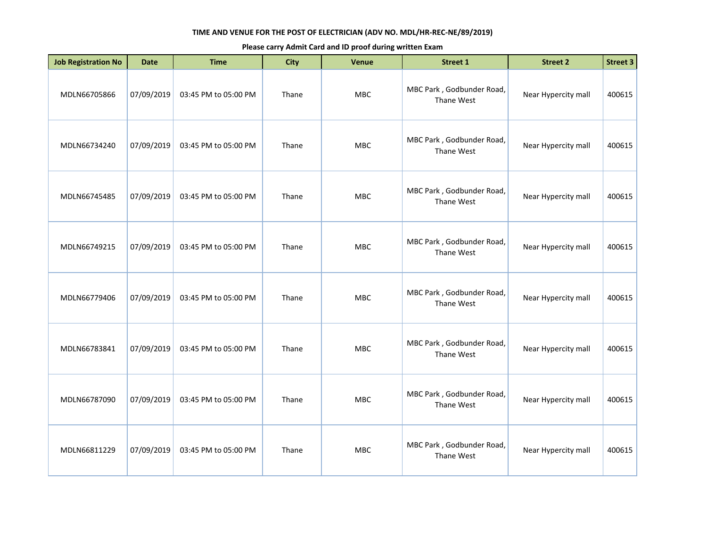| <b>Job Registration No</b> | <b>Date</b> | <b>Time</b>          | <b>City</b> | Venue      | <b>Street 1</b>                         | <b>Street 2</b>     | <b>Street 3</b> |
|----------------------------|-------------|----------------------|-------------|------------|-----------------------------------------|---------------------|-----------------|
| MDLN66705866               | 07/09/2019  | 03:45 PM to 05:00 PM | Thane       | MBC        | MBC Park, Godbunder Road,<br>Thane West | Near Hypercity mall | 400615          |
| MDLN66734240               | 07/09/2019  | 03:45 PM to 05:00 PM | Thane       | <b>MBC</b> | MBC Park, Godbunder Road,<br>Thane West | Near Hypercity mall | 400615          |
| MDLN66745485               | 07/09/2019  | 03:45 PM to 05:00 PM | Thane       | <b>MBC</b> | MBC Park, Godbunder Road,<br>Thane West | Near Hypercity mall | 400615          |
| MDLN66749215               | 07/09/2019  | 03:45 PM to 05:00 PM | Thane       | <b>MBC</b> | MBC Park, Godbunder Road,<br>Thane West | Near Hypercity mall | 400615          |
| MDLN66779406               | 07/09/2019  | 03:45 PM to 05:00 PM | Thane       | <b>MBC</b> | MBC Park, Godbunder Road,<br>Thane West | Near Hypercity mall | 400615          |
| MDLN66783841               | 07/09/2019  | 03:45 PM to 05:00 PM | Thane       | <b>MBC</b> | MBC Park, Godbunder Road,<br>Thane West | Near Hypercity mall | 400615          |
| MDLN66787090               | 07/09/2019  | 03:45 PM to 05:00 PM | Thane       | <b>MBC</b> | MBC Park, Godbunder Road,<br>Thane West | Near Hypercity mall | 400615          |
| MDLN66811229               | 07/09/2019  | 03:45 PM to 05:00 PM | Thane       | <b>MBC</b> | MBC Park, Godbunder Road,<br>Thane West | Near Hypercity mall | 400615          |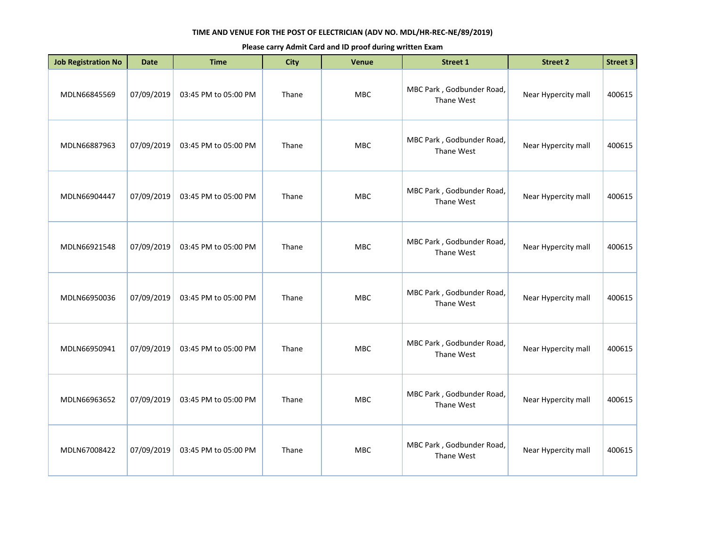| <b>Job Registration No</b> | <b>Date</b> | <b>Time</b>          | <b>City</b> | Venue      | Street 1                                | <b>Street 2</b>     | <b>Street 3</b> |
|----------------------------|-------------|----------------------|-------------|------------|-----------------------------------------|---------------------|-----------------|
| MDLN66845569               | 07/09/2019  | 03:45 PM to 05:00 PM | Thane       | MBC        | MBC Park, Godbunder Road,<br>Thane West | Near Hypercity mall | 400615          |
| MDLN66887963               | 07/09/2019  | 03:45 PM to 05:00 PM | Thane       | MBC        | MBC Park, Godbunder Road,<br>Thane West | Near Hypercity mall | 400615          |
| MDLN66904447               | 07/09/2019  | 03:45 PM to 05:00 PM | Thane       | <b>MBC</b> | MBC Park, Godbunder Road,<br>Thane West | Near Hypercity mall | 400615          |
| MDLN66921548               | 07/09/2019  | 03:45 PM to 05:00 PM | Thane       | <b>MBC</b> | MBC Park, Godbunder Road,<br>Thane West | Near Hypercity mall | 400615          |
| MDLN66950036               | 07/09/2019  | 03:45 PM to 05:00 PM | Thane       | <b>MBC</b> | MBC Park, Godbunder Road,<br>Thane West | Near Hypercity mall | 400615          |
| MDLN66950941               | 07/09/2019  | 03:45 PM to 05:00 PM | Thane       | <b>MBC</b> | MBC Park, Godbunder Road,<br>Thane West | Near Hypercity mall | 400615          |
| MDLN66963652               | 07/09/2019  | 03:45 PM to 05:00 PM | Thane       | <b>MBC</b> | MBC Park, Godbunder Road,<br>Thane West | Near Hypercity mall | 400615          |
| MDLN67008422               | 07/09/2019  | 03:45 PM to 05:00 PM | Thane       | <b>MBC</b> | MBC Park, Godbunder Road,<br>Thane West | Near Hypercity mall | 400615          |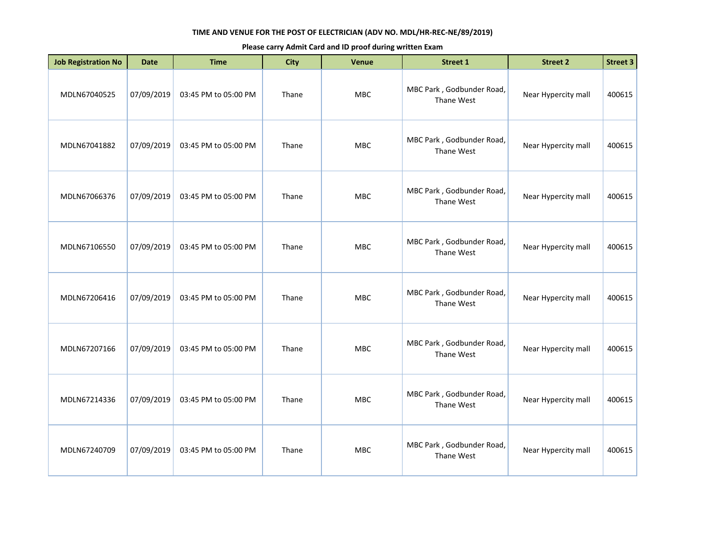| <b>Job Registration No</b> | <b>Date</b> | <b>Time</b>          | <b>City</b> | Venue      | <b>Street 1</b>                         | <b>Street 2</b>     | <b>Street 3</b> |
|----------------------------|-------------|----------------------|-------------|------------|-----------------------------------------|---------------------|-----------------|
| MDLN67040525               | 07/09/2019  | 03:45 PM to 05:00 PM | Thane       | MBC        | MBC Park, Godbunder Road,<br>Thane West | Near Hypercity mall | 400615          |
| MDLN67041882               | 07/09/2019  | 03:45 PM to 05:00 PM | Thane       | <b>MBC</b> | MBC Park, Godbunder Road,<br>Thane West | Near Hypercity mall | 400615          |
| MDLN67066376               | 07/09/2019  | 03:45 PM to 05:00 PM | Thane       | MBC        | MBC Park, Godbunder Road,<br>Thane West | Near Hypercity mall | 400615          |
| MDLN67106550               | 07/09/2019  | 03:45 PM to 05:00 PM | Thane       | MBC        | MBC Park, Godbunder Road,<br>Thane West | Near Hypercity mall | 400615          |
| MDLN67206416               | 07/09/2019  | 03:45 PM to 05:00 PM | Thane       | <b>MBC</b> | MBC Park, Godbunder Road,<br>Thane West | Near Hypercity mall | 400615          |
| MDLN67207166               | 07/09/2019  | 03:45 PM to 05:00 PM | Thane       | <b>MBC</b> | MBC Park, Godbunder Road,<br>Thane West | Near Hypercity mall | 400615          |
| MDLN67214336               | 07/09/2019  | 03:45 PM to 05:00 PM | Thane       | <b>MBC</b> | MBC Park, Godbunder Road,<br>Thane West | Near Hypercity mall | 400615          |
| MDLN67240709               | 07/09/2019  | 03:45 PM to 05:00 PM | Thane       | MBC        | MBC Park, Godbunder Road,<br>Thane West | Near Hypercity mall | 400615          |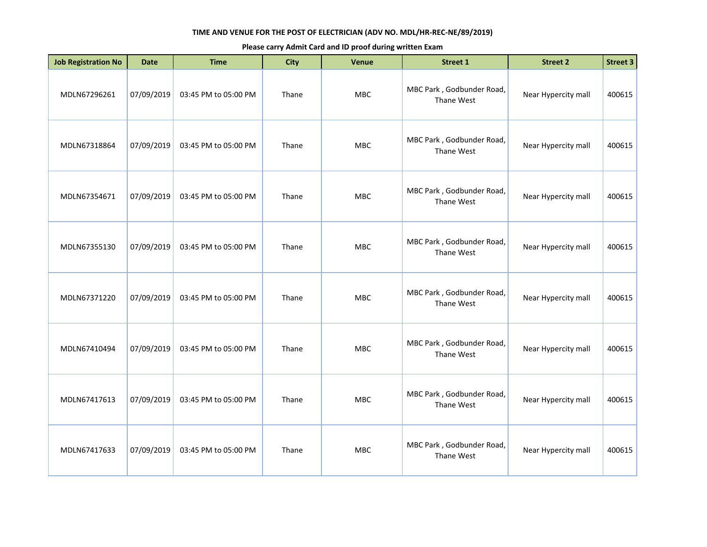| <b>Job Registration No</b> | <b>Date</b> | <b>Time</b>          | <b>City</b> | Venue      | <b>Street 1</b>                         | <b>Street 2</b>     | <b>Street 3</b> |
|----------------------------|-------------|----------------------|-------------|------------|-----------------------------------------|---------------------|-----------------|
| MDLN67296261               | 07/09/2019  | 03:45 PM to 05:00 PM | Thane       | MBC        | MBC Park, Godbunder Road,<br>Thane West | Near Hypercity mall | 400615          |
| MDLN67318864               | 07/09/2019  | 03:45 PM to 05:00 PM | Thane       | MBC        | MBC Park, Godbunder Road,<br>Thane West | Near Hypercity mall | 400615          |
| MDLN67354671               | 07/09/2019  | 03:45 PM to 05:00 PM | Thane       | MBC        | MBC Park, Godbunder Road,<br>Thane West | Near Hypercity mall | 400615          |
| MDLN67355130               | 07/09/2019  | 03:45 PM to 05:00 PM | Thane       | MBC        | MBC Park, Godbunder Road,<br>Thane West | Near Hypercity mall | 400615          |
| MDLN67371220               | 07/09/2019  | 03:45 PM to 05:00 PM | Thane       | MBC        | MBC Park, Godbunder Road,<br>Thane West | Near Hypercity mall | 400615          |
| MDLN67410494               | 07/09/2019  | 03:45 PM to 05:00 PM | Thane       | <b>MBC</b> | MBC Park, Godbunder Road,<br>Thane West | Near Hypercity mall | 400615          |
| MDLN67417613               | 07/09/2019  | 03:45 PM to 05:00 PM | Thane       | MBC        | MBC Park, Godbunder Road,<br>Thane West | Near Hypercity mall | 400615          |
| MDLN67417633               | 07/09/2019  | 03:45 PM to 05:00 PM | Thane       | MBC        | MBC Park, Godbunder Road,<br>Thane West | Near Hypercity mall | 400615          |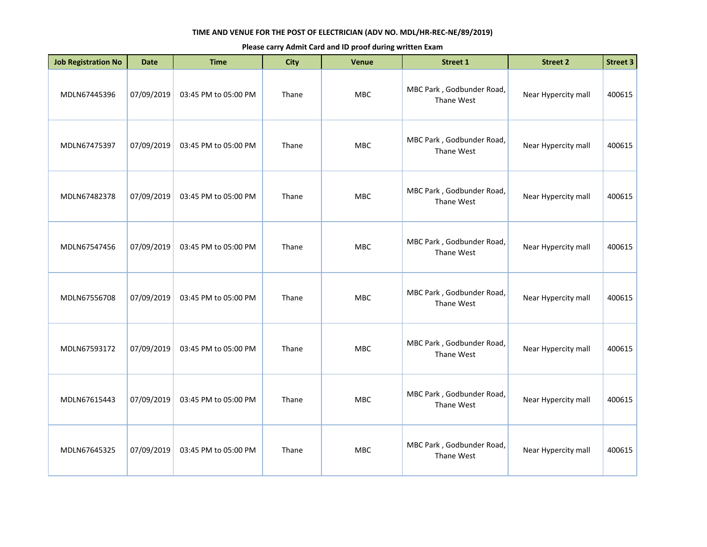| <b>Job Registration No</b> | <b>Date</b> | <b>Time</b>          | <b>City</b> | Venue      | Street 1                                | <b>Street 2</b>     | <b>Street 3</b> |
|----------------------------|-------------|----------------------|-------------|------------|-----------------------------------------|---------------------|-----------------|
| MDLN67445396               | 07/09/2019  | 03:45 PM to 05:00 PM | Thane       | <b>MBC</b> | MBC Park, Godbunder Road,<br>Thane West | Near Hypercity mall | 400615          |
| MDLN67475397               | 07/09/2019  | 03:45 PM to 05:00 PM | Thane       | <b>MBC</b> | MBC Park, Godbunder Road,<br>Thane West | Near Hypercity mall | 400615          |
| MDLN67482378               | 07/09/2019  | 03:45 PM to 05:00 PM | Thane       | MBC        | MBC Park, Godbunder Road,<br>Thane West | Near Hypercity mall | 400615          |
| MDLN67547456               | 07/09/2019  | 03:45 PM to 05:00 PM | Thane       | <b>MBC</b> | MBC Park, Godbunder Road,<br>Thane West | Near Hypercity mall | 400615          |
| MDLN67556708               | 07/09/2019  | 03:45 PM to 05:00 PM | Thane       | MBC        | MBC Park, Godbunder Road,<br>Thane West | Near Hypercity mall | 400615          |
| MDLN67593172               | 07/09/2019  | 03:45 PM to 05:00 PM | Thane       | <b>MBC</b> | MBC Park, Godbunder Road,<br>Thane West | Near Hypercity mall | 400615          |
| MDLN67615443               | 07/09/2019  | 03:45 PM to 05:00 PM | Thane       | <b>MBC</b> | MBC Park, Godbunder Road,<br>Thane West | Near Hypercity mall | 400615          |
| MDLN67645325               | 07/09/2019  | 03:45 PM to 05:00 PM | Thane       | <b>MBC</b> | MBC Park, Godbunder Road,<br>Thane West | Near Hypercity mall | 400615          |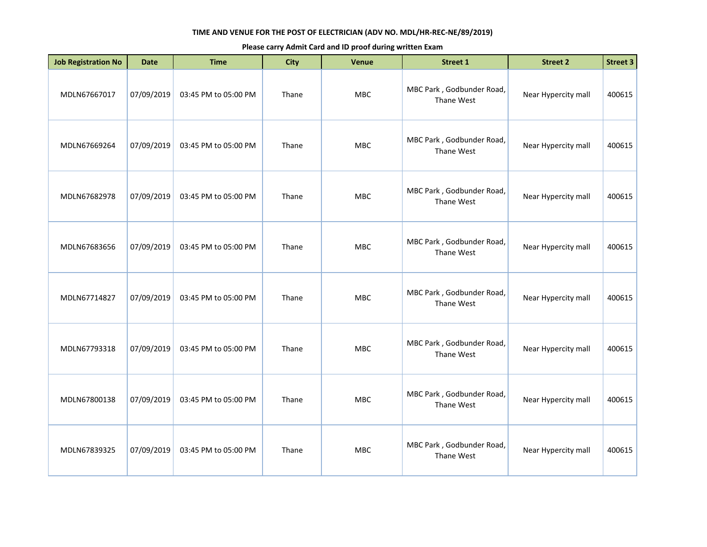| <b>Job Registration No</b> | <b>Date</b> | <b>Time</b>          | <b>City</b> | <b>Venue</b> | <b>Street 1</b>                         | <b>Street 2</b>     | <b>Street 3</b> |
|----------------------------|-------------|----------------------|-------------|--------------|-----------------------------------------|---------------------|-----------------|
| MDLN67667017               | 07/09/2019  | 03:45 PM to 05:00 PM | Thane       | MBC          | MBC Park, Godbunder Road,<br>Thane West | Near Hypercity mall | 400615          |
| MDLN67669264               | 07/09/2019  | 03:45 PM to 05:00 PM | Thane       | MBC          | MBC Park, Godbunder Road,<br>Thane West | Near Hypercity mall | 400615          |
| MDLN67682978               | 07/09/2019  | 03:45 PM to 05:00 PM | Thane       | <b>MBC</b>   | MBC Park, Godbunder Road,<br>Thane West | Near Hypercity mall | 400615          |
| MDLN67683656               | 07/09/2019  | 03:45 PM to 05:00 PM | Thane       | MBC          | MBC Park, Godbunder Road,<br>Thane West | Near Hypercity mall | 400615          |
| MDLN67714827               | 07/09/2019  | 03:45 PM to 05:00 PM | Thane       | <b>MBC</b>   | MBC Park, Godbunder Road,<br>Thane West | Near Hypercity mall | 400615          |
| MDLN67793318               | 07/09/2019  | 03:45 PM to 05:00 PM | Thane       | <b>MBC</b>   | MBC Park, Godbunder Road,<br>Thane West | Near Hypercity mall | 400615          |
| MDLN67800138               | 07/09/2019  | 03:45 PM to 05:00 PM | Thane       | MBC          | MBC Park, Godbunder Road,<br>Thane West | Near Hypercity mall | 400615          |
| MDLN67839325               | 07/09/2019  | 03:45 PM to 05:00 PM | Thane       | <b>MBC</b>   | MBC Park, Godbunder Road,<br>Thane West | Near Hypercity mall | 400615          |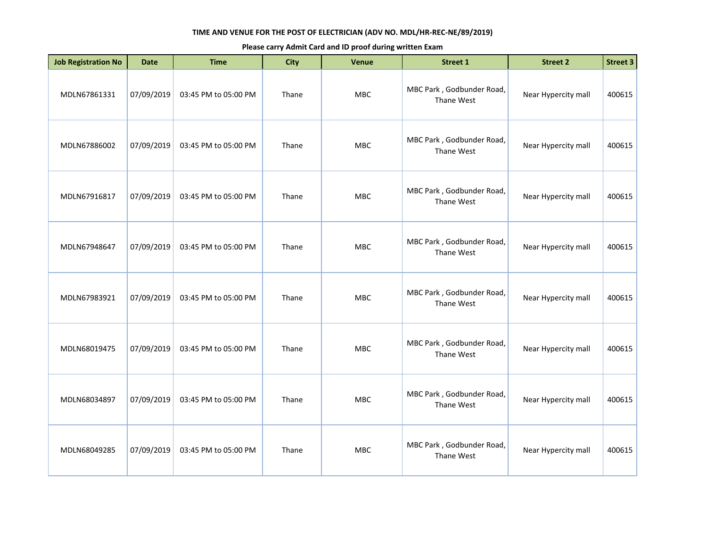| <b>Job Registration No</b> | <b>Date</b> | <b>Time</b>          | <b>City</b> | Venue      | <b>Street 1</b>                         | <b>Street 2</b>     | <b>Street 3</b> |
|----------------------------|-------------|----------------------|-------------|------------|-----------------------------------------|---------------------|-----------------|
| MDLN67861331               | 07/09/2019  | 03:45 PM to 05:00 PM | Thane       | MBC        | MBC Park, Godbunder Road,<br>Thane West | Near Hypercity mall | 400615          |
| MDLN67886002               | 07/09/2019  | 03:45 PM to 05:00 PM | Thane       | <b>MBC</b> | MBC Park, Godbunder Road,<br>Thane West | Near Hypercity mall | 400615          |
| MDLN67916817               | 07/09/2019  | 03:45 PM to 05:00 PM | Thane       | MBC        | MBC Park, Godbunder Road,<br>Thane West | Near Hypercity mall | 400615          |
| MDLN67948647               | 07/09/2019  | 03:45 PM to 05:00 PM | Thane       | MBC        | MBC Park, Godbunder Road,<br>Thane West | Near Hypercity mall | 400615          |
| MDLN67983921               | 07/09/2019  | 03:45 PM to 05:00 PM | Thane       | <b>MBC</b> | MBC Park, Godbunder Road,<br>Thane West | Near Hypercity mall | 400615          |
| MDLN68019475               | 07/09/2019  | 03:45 PM to 05:00 PM | Thane       | <b>MBC</b> | MBC Park, Godbunder Road,<br>Thane West | Near Hypercity mall | 400615          |
| MDLN68034897               | 07/09/2019  | 03:45 PM to 05:00 PM | Thane       | <b>MBC</b> | MBC Park, Godbunder Road,<br>Thane West | Near Hypercity mall | 400615          |
| MDLN68049285               | 07/09/2019  | 03:45 PM to 05:00 PM | Thane       | MBC        | MBC Park, Godbunder Road,<br>Thane West | Near Hypercity mall | 400615          |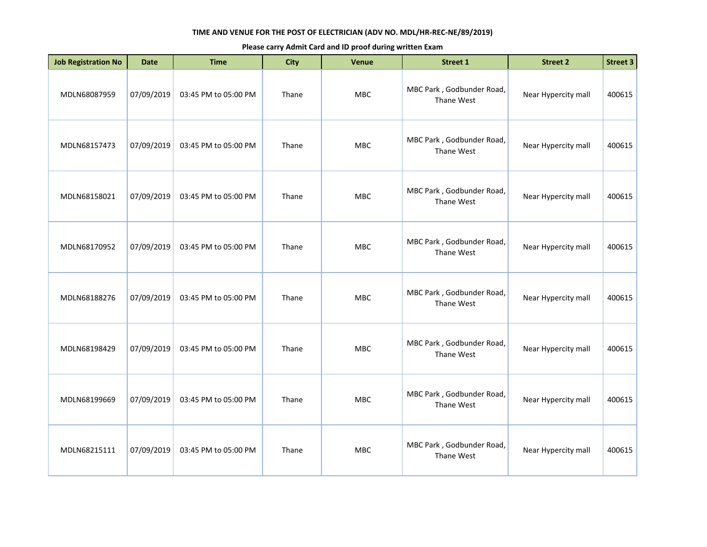| <b>Job Registration No</b> | <b>Date</b> | <b>Time</b>          | <b>City</b> | Venue      | <b>Street 1</b>                         | <b>Street 2</b>     | <b>Street 3</b> |
|----------------------------|-------------|----------------------|-------------|------------|-----------------------------------------|---------------------|-----------------|
| MDLN68087959               | 07/09/2019  | 03:45 PM to 05:00 PM | Thane       | MBC        | MBC Park, Godbunder Road,<br>Thane West | Near Hypercity mall | 400615          |
| MDLN68157473               | 07/09/2019  | 03:45 PM to 05:00 PM | Thane       | MBC        | MBC Park, Godbunder Road,<br>Thane West | Near Hypercity mall | 400615          |
| MDLN68158021               | 07/09/2019  | 03:45 PM to 05:00 PM | Thane       | MBC        | MBC Park, Godbunder Road,<br>Thane West | Near Hypercity mall | 400615          |
| MDLN68170952               | 07/09/2019  | 03:45 PM to 05:00 PM | Thane       | MBC        | MBC Park, Godbunder Road,<br>Thane West | Near Hypercity mall | 400615          |
| MDLN68188276               | 07/09/2019  | 03:45 PM to 05:00 PM | Thane       | MBC        | MBC Park, Godbunder Road,<br>Thane West | Near Hypercity mall | 400615          |
| MDLN68198429               | 07/09/2019  | 03:45 PM to 05:00 PM | Thane       | <b>MBC</b> | MBC Park, Godbunder Road,<br>Thane West | Near Hypercity mall | 400615          |
| MDLN68199669               | 07/09/2019  | 03:45 PM to 05:00 PM | Thane       | MBC        | MBC Park, Godbunder Road,<br>Thane West | Near Hypercity mall | 400615          |
| MDLN68215111               | 07/09/2019  | 03:45 PM to 05:00 PM | Thane       | MBC        | MBC Park, Godbunder Road,<br>Thane West | Near Hypercity mall | 400615          |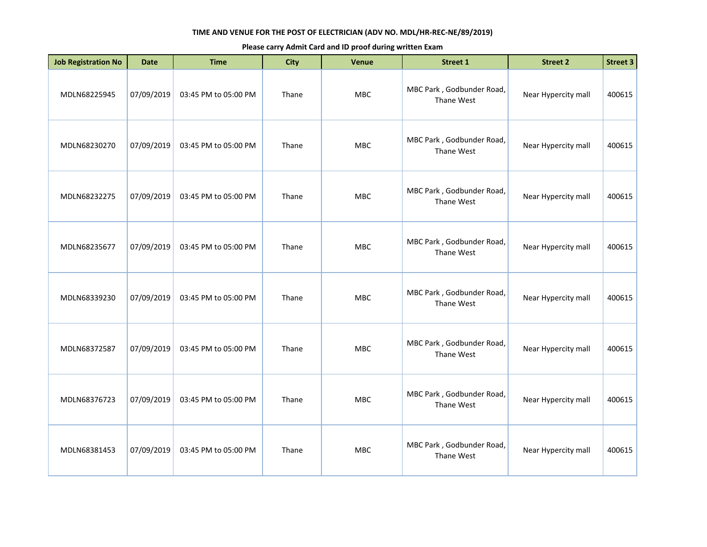| <b>Job Registration No</b> | <b>Date</b> | <b>Time</b>          | <b>City</b> | <b>Venue</b> | <b>Street 1</b>                         | <b>Street 2</b>     | <b>Street 3</b> |
|----------------------------|-------------|----------------------|-------------|--------------|-----------------------------------------|---------------------|-----------------|
| MDLN68225945               | 07/09/2019  | 03:45 PM to 05:00 PM | Thane       | MBC          | MBC Park, Godbunder Road,<br>Thane West | Near Hypercity mall | 400615          |
| MDLN68230270               | 07/09/2019  | 03:45 PM to 05:00 PM | Thane       | <b>MBC</b>   | MBC Park, Godbunder Road,<br>Thane West | Near Hypercity mall | 400615          |
| MDLN68232275               | 07/09/2019  | 03:45 PM to 05:00 PM | Thane       | <b>MBC</b>   | MBC Park, Godbunder Road,<br>Thane West | Near Hypercity mall | 400615          |
| MDLN68235677               | 07/09/2019  | 03:45 PM to 05:00 PM | Thane       | <b>MBC</b>   | MBC Park, Godbunder Road,<br>Thane West | Near Hypercity mall | 400615          |
| MDLN68339230               | 07/09/2019  | 03:45 PM to 05:00 PM | Thane       | <b>MBC</b>   | MBC Park, Godbunder Road,<br>Thane West | Near Hypercity mall | 400615          |
| MDLN68372587               | 07/09/2019  | 03:45 PM to 05:00 PM | Thane       | <b>MBC</b>   | MBC Park, Godbunder Road,<br>Thane West | Near Hypercity mall | 400615          |
| MDLN68376723               | 07/09/2019  | 03:45 PM to 05:00 PM | Thane       | <b>MBC</b>   | MBC Park, Godbunder Road,<br>Thane West | Near Hypercity mall | 400615          |
| MDLN68381453               | 07/09/2019  | 03:45 PM to 05:00 PM | Thane       | <b>MBC</b>   | MBC Park, Godbunder Road,<br>Thane West | Near Hypercity mall | 400615          |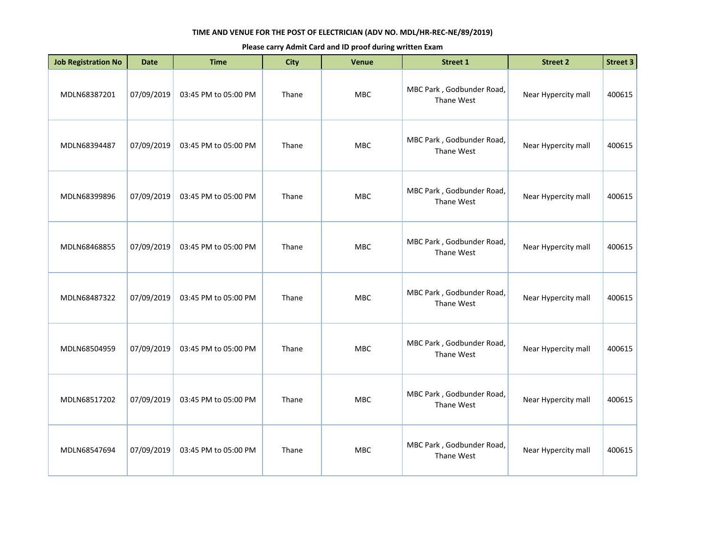| <b>Job Registration No</b> | <b>Date</b> | <b>Time</b>          | <b>City</b> | <b>Venue</b> | <b>Street 1</b>                         | <b>Street 2</b>     | <b>Street 3</b> |
|----------------------------|-------------|----------------------|-------------|--------------|-----------------------------------------|---------------------|-----------------|
| MDLN68387201               | 07/09/2019  | 03:45 PM to 05:00 PM | Thane       | MBC          | MBC Park, Godbunder Road,<br>Thane West | Near Hypercity mall | 400615          |
| MDLN68394487               | 07/09/2019  | 03:45 PM to 05:00 PM | Thane       | MBC          | MBC Park, Godbunder Road,<br>Thane West | Near Hypercity mall | 400615          |
| MDLN68399896               | 07/09/2019  | 03:45 PM to 05:00 PM | Thane       | <b>MBC</b>   | MBC Park, Godbunder Road,<br>Thane West | Near Hypercity mall | 400615          |
| MDLN68468855               | 07/09/2019  | 03:45 PM to 05:00 PM | Thane       | MBC          | MBC Park, Godbunder Road,<br>Thane West | Near Hypercity mall | 400615          |
| MDLN68487322               | 07/09/2019  | 03:45 PM to 05:00 PM | Thane       | <b>MBC</b>   | MBC Park, Godbunder Road,<br>Thane West | Near Hypercity mall | 400615          |
| MDLN68504959               | 07/09/2019  | 03:45 PM to 05:00 PM | Thane       | <b>MBC</b>   | MBC Park, Godbunder Road,<br>Thane West | Near Hypercity mall | 400615          |
| MDLN68517202               | 07/09/2019  | 03:45 PM to 05:00 PM | Thane       | MBC          | MBC Park, Godbunder Road,<br>Thane West | Near Hypercity mall | 400615          |
| MDLN68547694               | 07/09/2019  | 03:45 PM to 05:00 PM | Thane       | <b>MBC</b>   | MBC Park, Godbunder Road,<br>Thane West | Near Hypercity mall | 400615          |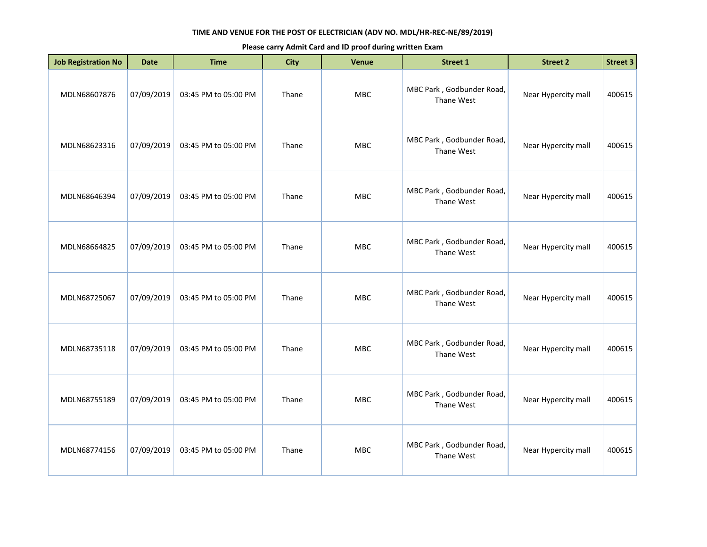| <b>Job Registration No</b> | <b>Date</b> | <b>Time</b>          | <b>City</b> | Venue      | <b>Street 1</b>                         | <b>Street 2</b>     | <b>Street 3</b> |
|----------------------------|-------------|----------------------|-------------|------------|-----------------------------------------|---------------------|-----------------|
| MDLN68607876               | 07/09/2019  | 03:45 PM to 05:00 PM | Thane       | MBC        | MBC Park, Godbunder Road,<br>Thane West | Near Hypercity mall | 400615          |
| MDLN68623316               | 07/09/2019  | 03:45 PM to 05:00 PM | Thane       | <b>MBC</b> | MBC Park, Godbunder Road,<br>Thane West | Near Hypercity mall | 400615          |
| MDLN68646394               | 07/09/2019  | 03:45 PM to 05:00 PM | Thane       | MBC        | MBC Park, Godbunder Road,<br>Thane West | Near Hypercity mall | 400615          |
| MDLN68664825               | 07/09/2019  | 03:45 PM to 05:00 PM | Thane       | MBC        | MBC Park, Godbunder Road,<br>Thane West | Near Hypercity mall | 400615          |
| MDLN68725067               | 07/09/2019  | 03:45 PM to 05:00 PM | Thane       | <b>MBC</b> | MBC Park, Godbunder Road,<br>Thane West | Near Hypercity mall | 400615          |
| MDLN68735118               | 07/09/2019  | 03:45 PM to 05:00 PM | Thane       | <b>MBC</b> | MBC Park, Godbunder Road,<br>Thane West | Near Hypercity mall | 400615          |
| MDLN68755189               | 07/09/2019  | 03:45 PM to 05:00 PM | Thane       | <b>MBC</b> | MBC Park, Godbunder Road,<br>Thane West | Near Hypercity mall | 400615          |
| MDLN68774156               | 07/09/2019  | 03:45 PM to 05:00 PM | Thane       | <b>MBC</b> | MBC Park, Godbunder Road,<br>Thane West | Near Hypercity mall | 400615          |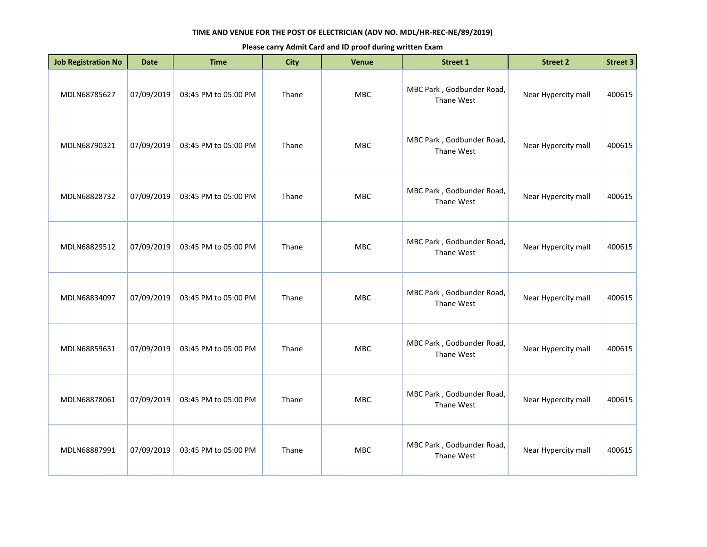| <b>Job Registration No</b> | <b>Date</b> | <b>Time</b>          | <b>City</b> | <b>Venue</b> | <b>Street 1</b>                         | <b>Street 2</b>     | <b>Street 3</b> |
|----------------------------|-------------|----------------------|-------------|--------------|-----------------------------------------|---------------------|-----------------|
| MDLN68785627               | 07/09/2019  | 03:45 PM to 05:00 PM | Thane       | MBC          | MBC Park, Godbunder Road,<br>Thane West | Near Hypercity mall | 400615          |
| MDLN68790321               | 07/09/2019  | 03:45 PM to 05:00 PM | Thane       | MBC          | MBC Park, Godbunder Road,<br>Thane West | Near Hypercity mall | 400615          |
| MDLN68828732               | 07/09/2019  | 03:45 PM to 05:00 PM | Thane       | <b>MBC</b>   | MBC Park, Godbunder Road,<br>Thane West | Near Hypercity mall | 400615          |
| MDLN68829512               | 07/09/2019  | 03:45 PM to 05:00 PM | Thane       | MBC          | MBC Park, Godbunder Road,<br>Thane West | Near Hypercity mall | 400615          |
| MDLN68834097               | 07/09/2019  | 03:45 PM to 05:00 PM | Thane       | <b>MBC</b>   | MBC Park, Godbunder Road,<br>Thane West | Near Hypercity mall | 400615          |
| MDLN68859631               | 07/09/2019  | 03:45 PM to 05:00 PM | Thane       | <b>MBC</b>   | MBC Park, Godbunder Road,<br>Thane West | Near Hypercity mall | 400615          |
| MDLN68878061               | 07/09/2019  | 03:45 PM to 05:00 PM | Thane       | MBC          | MBC Park, Godbunder Road,<br>Thane West | Near Hypercity mall | 400615          |
| MDLN68887991               | 07/09/2019  | 03:45 PM to 05:00 PM | Thane       | <b>MBC</b>   | MBC Park, Godbunder Road,<br>Thane West | Near Hypercity mall | 400615          |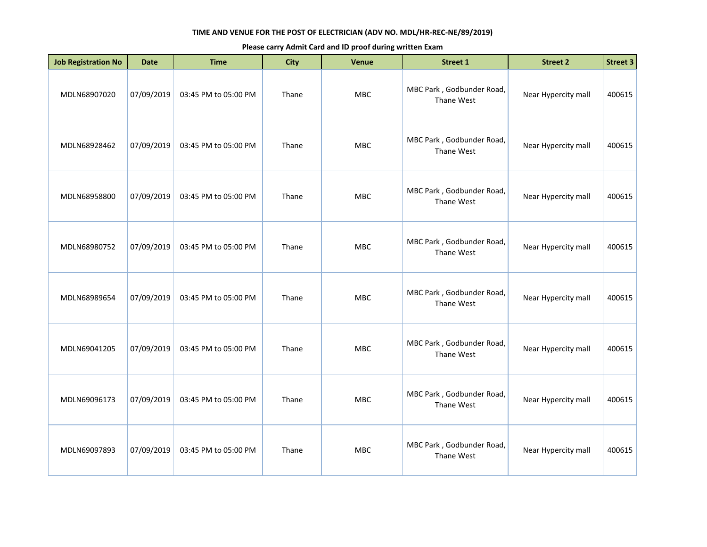| <b>Job Registration No</b> | <b>Date</b> | <b>Time</b>          | <b>City</b> | <b>Venue</b> | <b>Street 1</b>                         | <b>Street 2</b>     | <b>Street 3</b> |
|----------------------------|-------------|----------------------|-------------|--------------|-----------------------------------------|---------------------|-----------------|
| MDLN68907020               | 07/09/2019  | 03:45 PM to 05:00 PM | Thane       | MBC          | MBC Park, Godbunder Road,<br>Thane West | Near Hypercity mall | 400615          |
| MDLN68928462               | 07/09/2019  | 03:45 PM to 05:00 PM | Thane       | <b>MBC</b>   | MBC Park, Godbunder Road,<br>Thane West | Near Hypercity mall | 400615          |
| MDLN68958800               | 07/09/2019  | 03:45 PM to 05:00 PM | Thane       | <b>MBC</b>   | MBC Park, Godbunder Road,<br>Thane West | Near Hypercity mall | 400615          |
| MDLN68980752               | 07/09/2019  | 03:45 PM to 05:00 PM | Thane       | <b>MBC</b>   | MBC Park, Godbunder Road,<br>Thane West | Near Hypercity mall | 400615          |
| MDLN68989654               | 07/09/2019  | 03:45 PM to 05:00 PM | Thane       | MBC          | MBC Park, Godbunder Road,<br>Thane West | Near Hypercity mall | 400615          |
| MDLN69041205               | 07/09/2019  | 03:45 PM to 05:00 PM | Thane       | <b>MBC</b>   | MBC Park, Godbunder Road,<br>Thane West | Near Hypercity mall | 400615          |
| MDLN69096173               | 07/09/2019  | 03:45 PM to 05:00 PM | Thane       | <b>MBC</b>   | MBC Park, Godbunder Road,<br>Thane West | Near Hypercity mall | 400615          |
| MDLN69097893               | 07/09/2019  | 03:45 PM to 05:00 PM | Thane       | <b>MBC</b>   | MBC Park, Godbunder Road,<br>Thane West | Near Hypercity mall | 400615          |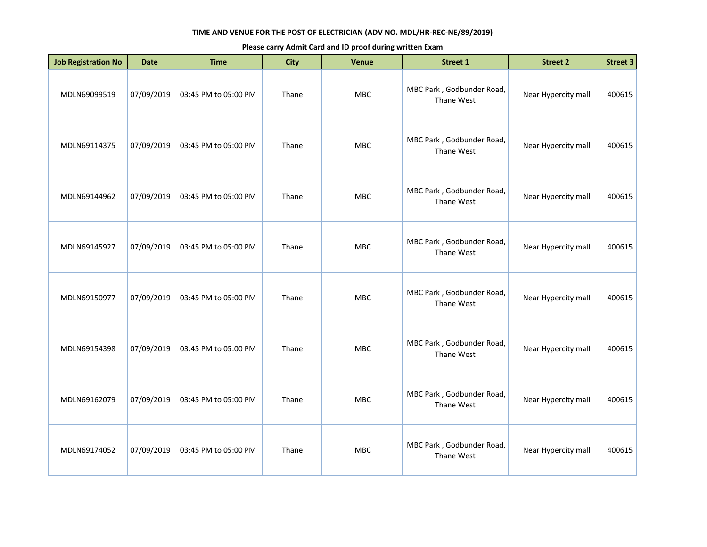| <b>Job Registration No</b> | <b>Date</b> | <b>Time</b>          | <b>City</b> | Venue      | <b>Street 1</b>                         | <b>Street 2</b>     | <b>Street 3</b> |
|----------------------------|-------------|----------------------|-------------|------------|-----------------------------------------|---------------------|-----------------|
| MDLN69099519               | 07/09/2019  | 03:45 PM to 05:00 PM | Thane       | MBC        | MBC Park, Godbunder Road,<br>Thane West | Near Hypercity mall | 400615          |
| MDLN69114375               | 07/09/2019  | 03:45 PM to 05:00 PM | Thane       | <b>MBC</b> | MBC Park, Godbunder Road,<br>Thane West | Near Hypercity mall | 400615          |
| MDLN69144962               | 07/09/2019  | 03:45 PM to 05:00 PM | Thane       | MBC        | MBC Park, Godbunder Road,<br>Thane West | Near Hypercity mall | 400615          |
| MDLN69145927               | 07/09/2019  | 03:45 PM to 05:00 PM | Thane       | MBC        | MBC Park, Godbunder Road,<br>Thane West | Near Hypercity mall | 400615          |
| MDLN69150977               | 07/09/2019  | 03:45 PM to 05:00 PM | Thane       | MBC        | MBC Park, Godbunder Road,<br>Thane West | Near Hypercity mall | 400615          |
| MDLN69154398               | 07/09/2019  | 03:45 PM to 05:00 PM | Thane       | <b>MBC</b> | MBC Park, Godbunder Road,<br>Thane West | Near Hypercity mall | 400615          |
| MDLN69162079               | 07/09/2019  | 03:45 PM to 05:00 PM | Thane       | MBC        | MBC Park, Godbunder Road,<br>Thane West | Near Hypercity mall | 400615          |
| MDLN69174052               | 07/09/2019  | 03:45 PM to 05:00 PM | Thane       | <b>MBC</b> | MBC Park, Godbunder Road,<br>Thane West | Near Hypercity mall | 400615          |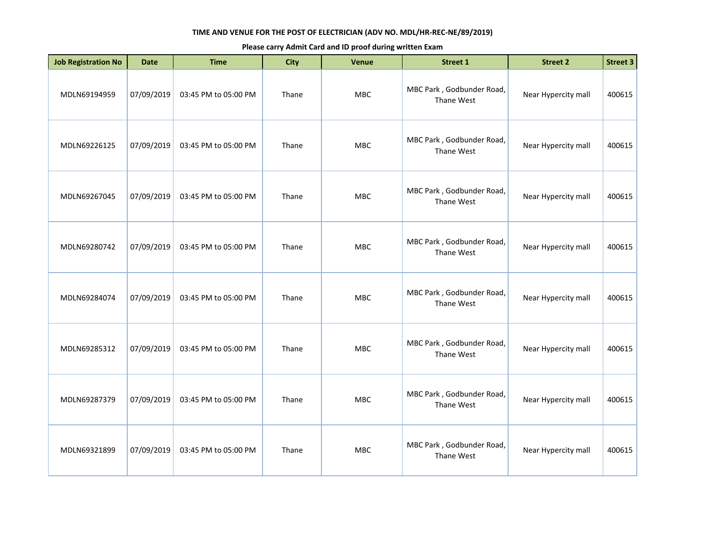| <b>Job Registration No</b> | <b>Date</b> | <b>Time</b>          | <b>City</b> | Venue      | Street 1                                | <b>Street 2</b>     | <b>Street 3</b> |
|----------------------------|-------------|----------------------|-------------|------------|-----------------------------------------|---------------------|-----------------|
| MDLN69194959               | 07/09/2019  | 03:45 PM to 05:00 PM | Thane       | MBC        | MBC Park, Godbunder Road,<br>Thane West | Near Hypercity mall | 400615          |
| MDLN69226125               | 07/09/2019  | 03:45 PM to 05:00 PM | Thane       | <b>MBC</b> | MBC Park, Godbunder Road,<br>Thane West | Near Hypercity mall | 400615          |
| MDLN69267045               | 07/09/2019  | 03:45 PM to 05:00 PM | Thane       | MBC        | MBC Park, Godbunder Road,<br>Thane West | Near Hypercity mall | 400615          |
| MDLN69280742               | 07/09/2019  | 03:45 PM to 05:00 PM | Thane       | <b>MBC</b> | MBC Park, Godbunder Road,<br>Thane West | Near Hypercity mall | 400615          |
| MDLN69284074               | 07/09/2019  | 03:45 PM to 05:00 PM | Thane       | MBC        | MBC Park, Godbunder Road,<br>Thane West | Near Hypercity mall | 400615          |
| MDLN69285312               | 07/09/2019  | 03:45 PM to 05:00 PM | Thane       | <b>MBC</b> | MBC Park, Godbunder Road,<br>Thane West | Near Hypercity mall | 400615          |
| MDLN69287379               | 07/09/2019  | 03:45 PM to 05:00 PM | Thane       | <b>MBC</b> | MBC Park, Godbunder Road,<br>Thane West | Near Hypercity mall | 400615          |
| MDLN69321899               | 07/09/2019  | 03:45 PM to 05:00 PM | Thane       | <b>MBC</b> | MBC Park, Godbunder Road,<br>Thane West | Near Hypercity mall | 400615          |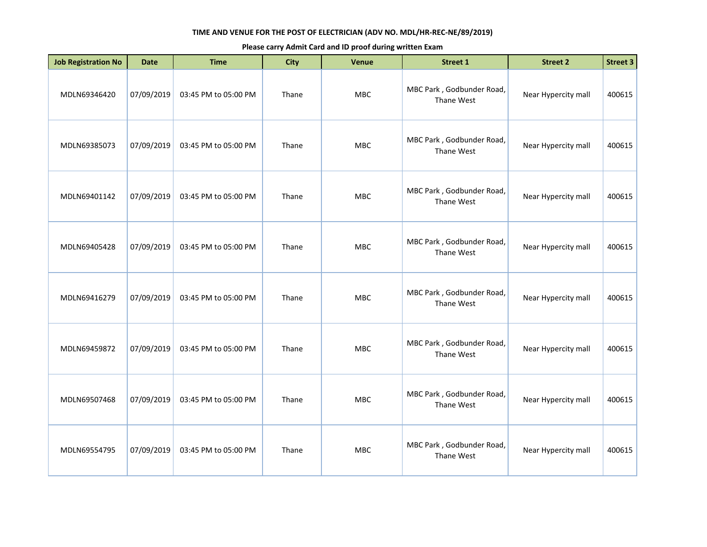| <b>Job Registration No</b> | <b>Date</b> | <b>Time</b>          | <b>City</b> | Venue      | Street 1                                | <b>Street 2</b>     | <b>Street 3</b> |
|----------------------------|-------------|----------------------|-------------|------------|-----------------------------------------|---------------------|-----------------|
| MDLN69346420               | 07/09/2019  | 03:45 PM to 05:00 PM | Thane       | MBC        | MBC Park, Godbunder Road,<br>Thane West | Near Hypercity mall | 400615          |
| MDLN69385073               | 07/09/2019  | 03:45 PM to 05:00 PM | Thane       | <b>MBC</b> | MBC Park, Godbunder Road,<br>Thane West | Near Hypercity mall | 400615          |
| MDLN69401142               | 07/09/2019  | 03:45 PM to 05:00 PM | Thane       | MBC        | MBC Park, Godbunder Road,<br>Thane West | Near Hypercity mall | 400615          |
| MDLN69405428               | 07/09/2019  | 03:45 PM to 05:00 PM | Thane       | <b>MBC</b> | MBC Park, Godbunder Road,<br>Thane West | Near Hypercity mall | 400615          |
| MDLN69416279               | 07/09/2019  | 03:45 PM to 05:00 PM | Thane       | MBC        | MBC Park, Godbunder Road,<br>Thane West | Near Hypercity mall | 400615          |
| MDLN69459872               | 07/09/2019  | 03:45 PM to 05:00 PM | Thane       | <b>MBC</b> | MBC Park, Godbunder Road,<br>Thane West | Near Hypercity mall | 400615          |
| MDLN69507468               | 07/09/2019  | 03:45 PM to 05:00 PM | Thane       | <b>MBC</b> | MBC Park, Godbunder Road,<br>Thane West | Near Hypercity mall | 400615          |
| MDLN69554795               | 07/09/2019  | 03:45 PM to 05:00 PM | Thane       | <b>MBC</b> | MBC Park, Godbunder Road,<br>Thane West | Near Hypercity mall | 400615          |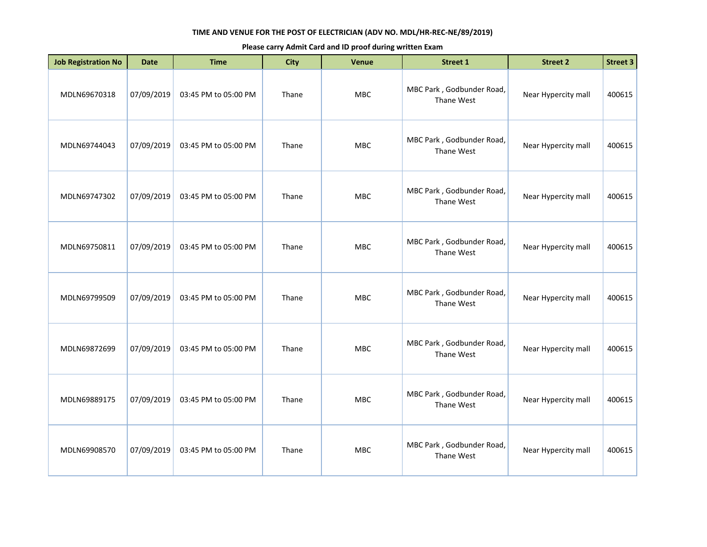| <b>Job Registration No</b> | <b>Date</b> | <b>Time</b>          | <b>City</b> | Venue      | Street 1                                | <b>Street 2</b>     | <b>Street 3</b> |
|----------------------------|-------------|----------------------|-------------|------------|-----------------------------------------|---------------------|-----------------|
| MDLN69670318               | 07/09/2019  | 03:45 PM to 05:00 PM | Thane       | <b>MBC</b> | MBC Park, Godbunder Road,<br>Thane West | Near Hypercity mall | 400615          |
| MDLN69744043               | 07/09/2019  | 03:45 PM to 05:00 PM | Thane       | <b>MBC</b> | MBC Park, Godbunder Road,<br>Thane West | Near Hypercity mall | 400615          |
| MDLN69747302               | 07/09/2019  | 03:45 PM to 05:00 PM | Thane       | MBC        | MBC Park, Godbunder Road,<br>Thane West | Near Hypercity mall | 400615          |
| MDLN69750811               | 07/09/2019  | 03:45 PM to 05:00 PM | Thane       | <b>MBC</b> | MBC Park, Godbunder Road,<br>Thane West | Near Hypercity mall | 400615          |
| MDLN69799509               | 07/09/2019  | 03:45 PM to 05:00 PM | Thane       | MBC        | MBC Park, Godbunder Road,<br>Thane West | Near Hypercity mall | 400615          |
| MDLN69872699               | 07/09/2019  | 03:45 PM to 05:00 PM | Thane       | <b>MBC</b> | MBC Park, Godbunder Road,<br>Thane West | Near Hypercity mall | 400615          |
| MDLN69889175               | 07/09/2019  | 03:45 PM to 05:00 PM | Thane       | <b>MBC</b> | MBC Park, Godbunder Road,<br>Thane West | Near Hypercity mall | 400615          |
| MDLN69908570               | 07/09/2019  | 03:45 PM to 05:00 PM | Thane       | <b>MBC</b> | MBC Park, Godbunder Road,<br>Thane West | Near Hypercity mall | 400615          |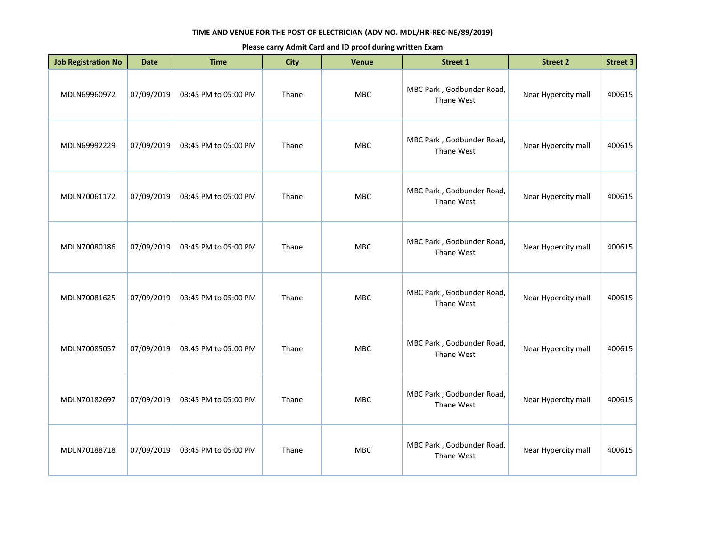| <b>Job Registration No</b> | <b>Date</b> | <b>Time</b>          | <b>City</b> | <b>Venue</b> | Street 1                                | <b>Street 2</b>     | <b>Street 3</b> |
|----------------------------|-------------|----------------------|-------------|--------------|-----------------------------------------|---------------------|-----------------|
| MDLN69960972               | 07/09/2019  | 03:45 PM to 05:00 PM | Thane       | MBC          | MBC Park, Godbunder Road,<br>Thane West | Near Hypercity mall | 400615          |
| MDLN69992229               | 07/09/2019  | 03:45 PM to 05:00 PM | Thane       | MBC          | MBC Park, Godbunder Road,<br>Thane West | Near Hypercity mall | 400615          |
| MDLN70061172               | 07/09/2019  | 03:45 PM to 05:00 PM | Thane       | <b>MBC</b>   | MBC Park, Godbunder Road,<br>Thane West | Near Hypercity mall | 400615          |
| MDLN70080186               | 07/09/2019  | 03:45 PM to 05:00 PM | Thane       | <b>MBC</b>   | MBC Park, Godbunder Road,<br>Thane West | Near Hypercity mall | 400615          |
| MDLN70081625               | 07/09/2019  | 03:45 PM to 05:00 PM | Thane       | <b>MBC</b>   | MBC Park, Godbunder Road,<br>Thane West | Near Hypercity mall | 400615          |
| MDLN70085057               | 07/09/2019  | 03:45 PM to 05:00 PM | Thane       | <b>MBC</b>   | MBC Park, Godbunder Road,<br>Thane West | Near Hypercity mall | 400615          |
| MDLN70182697               | 07/09/2019  | 03:45 PM to 05:00 PM | Thane       | <b>MBC</b>   | MBC Park, Godbunder Road,<br>Thane West | Near Hypercity mall | 400615          |
| MDLN70188718               | 07/09/2019  | 03:45 PM to 05:00 PM | Thane       | <b>MBC</b>   | MBC Park, Godbunder Road,<br>Thane West | Near Hypercity mall | 400615          |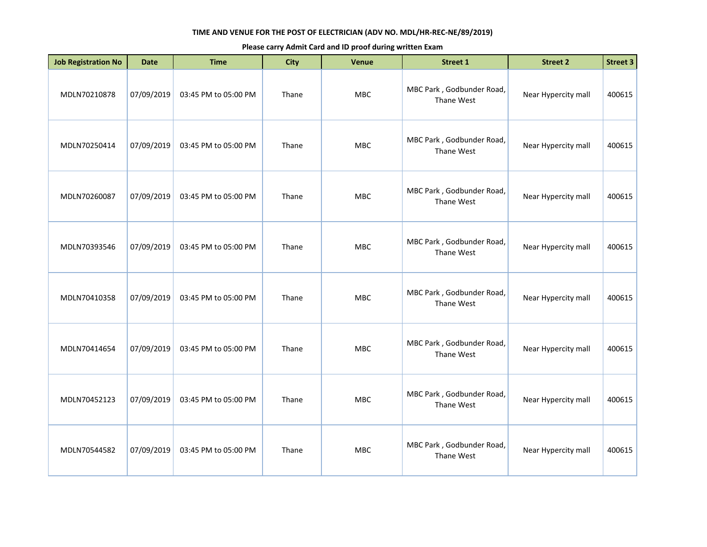| <b>Job Registration No</b> | <b>Date</b> | <b>Time</b>          | <b>City</b> | Venue      | Street 1                                | <b>Street 2</b>     | <b>Street 3</b> |
|----------------------------|-------------|----------------------|-------------|------------|-----------------------------------------|---------------------|-----------------|
| MDLN70210878               | 07/09/2019  | 03:45 PM to 05:00 PM | Thane       | MBC        | MBC Park, Godbunder Road,<br>Thane West | Near Hypercity mall | 400615          |
| MDLN70250414               | 07/09/2019  | 03:45 PM to 05:00 PM | Thane       | <b>MBC</b> | MBC Park, Godbunder Road,<br>Thane West | Near Hypercity mall | 400615          |
| MDLN70260087               | 07/09/2019  | 03:45 PM to 05:00 PM | Thane       | MBC        | MBC Park, Godbunder Road,<br>Thane West | Near Hypercity mall | 400615          |
| MDLN70393546               | 07/09/2019  | 03:45 PM to 05:00 PM | Thane       | <b>MBC</b> | MBC Park, Godbunder Road,<br>Thane West | Near Hypercity mall | 400615          |
| MDLN70410358               | 07/09/2019  | 03:45 PM to 05:00 PM | Thane       | MBC        | MBC Park, Godbunder Road,<br>Thane West | Near Hypercity mall | 400615          |
| MDLN70414654               | 07/09/2019  | 03:45 PM to 05:00 PM | Thane       | <b>MBC</b> | MBC Park, Godbunder Road,<br>Thane West | Near Hypercity mall | 400615          |
| MDLN70452123               | 07/09/2019  | 03:45 PM to 05:00 PM | Thane       | <b>MBC</b> | MBC Park, Godbunder Road,<br>Thane West | Near Hypercity mall | 400615          |
| MDLN70544582               | 07/09/2019  | 03:45 PM to 05:00 PM | Thane       | <b>MBC</b> | MBC Park, Godbunder Road,<br>Thane West | Near Hypercity mall | 400615          |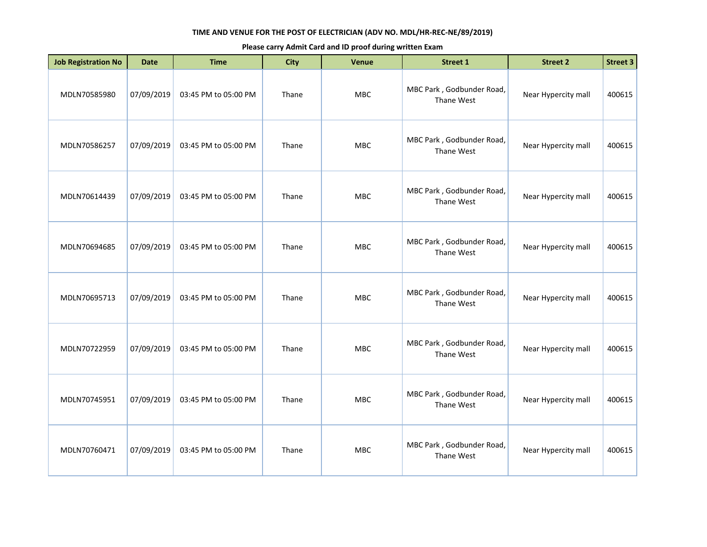| <b>Job Registration No</b> | <b>Date</b> | <b>Time</b>          | <b>City</b> | <b>Venue</b> | Street 1                                | <b>Street 2</b>     | <b>Street 3</b> |
|----------------------------|-------------|----------------------|-------------|--------------|-----------------------------------------|---------------------|-----------------|
| MDLN70585980               | 07/09/2019  | 03:45 PM to 05:00 PM | Thane       | MBC          | MBC Park, Godbunder Road,<br>Thane West | Near Hypercity mall | 400615          |
| MDLN70586257               | 07/09/2019  | 03:45 PM to 05:00 PM | Thane       | MBC          | MBC Park, Godbunder Road,<br>Thane West | Near Hypercity mall | 400615          |
| MDLN70614439               | 07/09/2019  | 03:45 PM to 05:00 PM | Thane       | <b>MBC</b>   | MBC Park, Godbunder Road,<br>Thane West | Near Hypercity mall | 400615          |
| MDLN70694685               | 07/09/2019  | 03:45 PM to 05:00 PM | Thane       | <b>MBC</b>   | MBC Park, Godbunder Road,<br>Thane West | Near Hypercity mall | 400615          |
| MDLN70695713               | 07/09/2019  | 03:45 PM to 05:00 PM | Thane       | <b>MBC</b>   | MBC Park, Godbunder Road,<br>Thane West | Near Hypercity mall | 400615          |
| MDLN70722959               | 07/09/2019  | 03:45 PM to 05:00 PM | Thane       | <b>MBC</b>   | MBC Park, Godbunder Road,<br>Thane West | Near Hypercity mall | 400615          |
| MDLN70745951               | 07/09/2019  | 03:45 PM to 05:00 PM | Thane       | <b>MBC</b>   | MBC Park, Godbunder Road,<br>Thane West | Near Hypercity mall | 400615          |
| MDLN70760471               | 07/09/2019  | 03:45 PM to 05:00 PM | Thane       | <b>MBC</b>   | MBC Park, Godbunder Road,<br>Thane West | Near Hypercity mall | 400615          |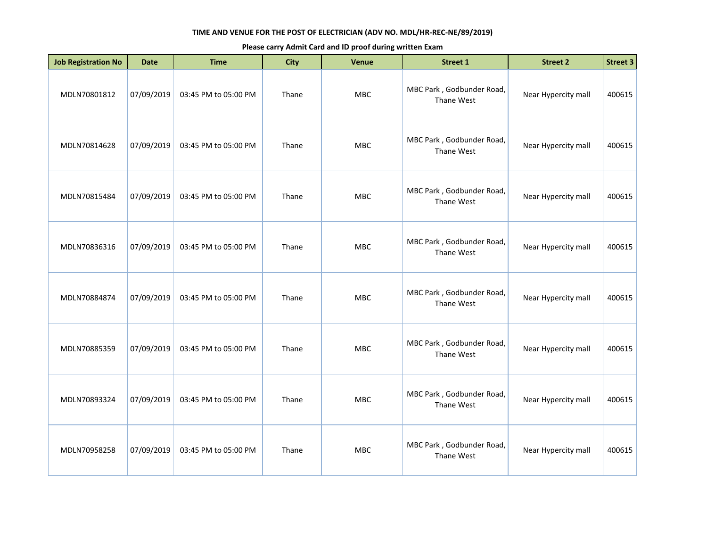| <b>Job Registration No</b> | <b>Date</b> | <b>Time</b>          | <b>City</b> | Venue      | <b>Street 1</b>                         | <b>Street 2</b>     | <b>Street 3</b> |
|----------------------------|-------------|----------------------|-------------|------------|-----------------------------------------|---------------------|-----------------|
| MDLN70801812               | 07/09/2019  | 03:45 PM to 05:00 PM | Thane       | MBC        | MBC Park, Godbunder Road,<br>Thane West | Near Hypercity mall | 400615          |
| MDLN70814628               | 07/09/2019  | 03:45 PM to 05:00 PM | Thane       | <b>MBC</b> | MBC Park, Godbunder Road,<br>Thane West | Near Hypercity mall | 400615          |
| MDLN70815484               | 07/09/2019  | 03:45 PM to 05:00 PM | Thane       | MBC        | MBC Park, Godbunder Road,<br>Thane West | Near Hypercity mall | 400615          |
| MDLN70836316               | 07/09/2019  | 03:45 PM to 05:00 PM | Thane       | MBC        | MBC Park, Godbunder Road,<br>Thane West | Near Hypercity mall | 400615          |
| MDLN70884874               | 07/09/2019  | 03:45 PM to 05:00 PM | Thane       | <b>MBC</b> | MBC Park, Godbunder Road,<br>Thane West | Near Hypercity mall | 400615          |
| MDLN70885359               | 07/09/2019  | 03:45 PM to 05:00 PM | Thane       | <b>MBC</b> | MBC Park, Godbunder Road,<br>Thane West | Near Hypercity mall | 400615          |
| MDLN70893324               | 07/09/2019  | 03:45 PM to 05:00 PM | Thane       | <b>MBC</b> | MBC Park, Godbunder Road,<br>Thane West | Near Hypercity mall | 400615          |
| MDLN70958258               | 07/09/2019  | 03:45 PM to 05:00 PM | Thane       | <b>MBC</b> | MBC Park, Godbunder Road,<br>Thane West | Near Hypercity mall | 400615          |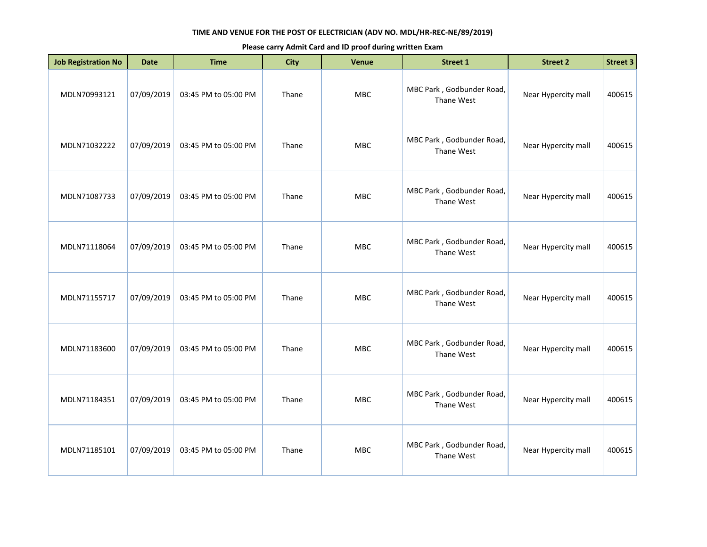| <b>Job Registration No</b> | <b>Date</b> | <b>Time</b>          | <b>City</b> | <b>Venue</b> | <b>Street 1</b>                         | <b>Street 2</b>     | <b>Street 3</b> |
|----------------------------|-------------|----------------------|-------------|--------------|-----------------------------------------|---------------------|-----------------|
| MDLN70993121               | 07/09/2019  | 03:45 PM to 05:00 PM | Thane       | <b>MBC</b>   | MBC Park, Godbunder Road,<br>Thane West | Near Hypercity mall | 400615          |
| MDLN71032222               | 07/09/2019  | 03:45 PM to 05:00 PM | Thane       | MBC          | MBC Park, Godbunder Road,<br>Thane West | Near Hypercity mall | 400615          |
| MDLN71087733               | 07/09/2019  | 03:45 PM to 05:00 PM | Thane       | MBC          | MBC Park, Godbunder Road,<br>Thane West | Near Hypercity mall | 400615          |
| MDLN71118064               | 07/09/2019  | 03:45 PM to 05:00 PM | Thane       | <b>MBC</b>   | MBC Park, Godbunder Road,<br>Thane West | Near Hypercity mall | 400615          |
| MDLN71155717               | 07/09/2019  | 03:45 PM to 05:00 PM | Thane       | <b>MBC</b>   | MBC Park, Godbunder Road,<br>Thane West | Near Hypercity mall | 400615          |
| MDLN71183600               | 07/09/2019  | 03:45 PM to 05:00 PM | Thane       | MBC          | MBC Park, Godbunder Road,<br>Thane West | Near Hypercity mall | 400615          |
| MDLN71184351               | 07/09/2019  | 03:45 PM to 05:00 PM | Thane       | <b>MBC</b>   | MBC Park, Godbunder Road,<br>Thane West | Near Hypercity mall | 400615          |
| MDLN71185101               | 07/09/2019  | 03:45 PM to 05:00 PM | Thane       | MBC          | MBC Park, Godbunder Road,<br>Thane West | Near Hypercity mall | 400615          |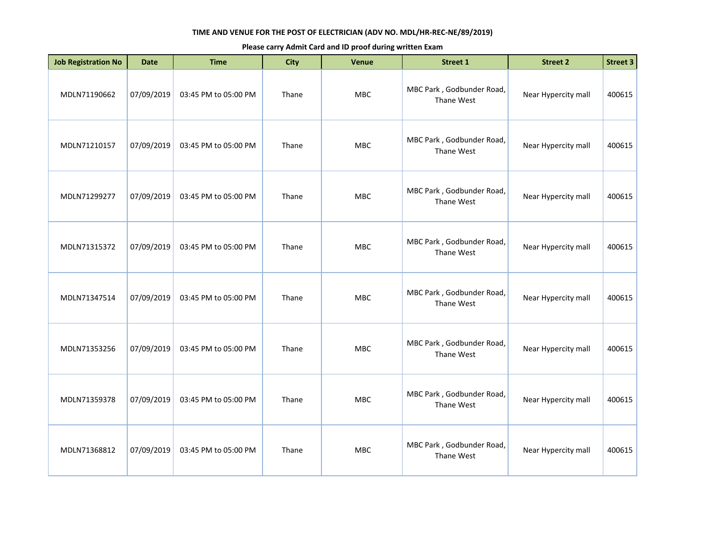| <b>Job Registration No</b> | <b>Date</b> | <b>Time</b>          | <b>City</b> | <b>Venue</b> | <b>Street 1</b>                         | <b>Street 2</b>     | <b>Street 3</b> |
|----------------------------|-------------|----------------------|-------------|--------------|-----------------------------------------|---------------------|-----------------|
| MDLN71190662               | 07/09/2019  | 03:45 PM to 05:00 PM | Thane       | MBC          | MBC Park, Godbunder Road,<br>Thane West | Near Hypercity mall | 400615          |
| MDLN71210157               | 07/09/2019  | 03:45 PM to 05:00 PM | Thane       | MBC          | MBC Park, Godbunder Road,<br>Thane West | Near Hypercity mall | 400615          |
| MDLN71299277               | 07/09/2019  | 03:45 PM to 05:00 PM | Thane       | <b>MBC</b>   | MBC Park, Godbunder Road,<br>Thane West | Near Hypercity mall | 400615          |
| MDLN71315372               | 07/09/2019  | 03:45 PM to 05:00 PM | Thane       | MBC          | MBC Park, Godbunder Road,<br>Thane West | Near Hypercity mall | 400615          |
| MDLN71347514               | 07/09/2019  | 03:45 PM to 05:00 PM | Thane       | <b>MBC</b>   | MBC Park, Godbunder Road,<br>Thane West | Near Hypercity mall | 400615          |
| MDLN71353256               | 07/09/2019  | 03:45 PM to 05:00 PM | Thane       | <b>MBC</b>   | MBC Park, Godbunder Road,<br>Thane West | Near Hypercity mall | 400615          |
| MDLN71359378               | 07/09/2019  | 03:45 PM to 05:00 PM | Thane       | MBC          | MBC Park, Godbunder Road,<br>Thane West | Near Hypercity mall | 400615          |
| MDLN71368812               | 07/09/2019  | 03:45 PM to 05:00 PM | Thane       | <b>MBC</b>   | MBC Park, Godbunder Road,<br>Thane West | Near Hypercity mall | 400615          |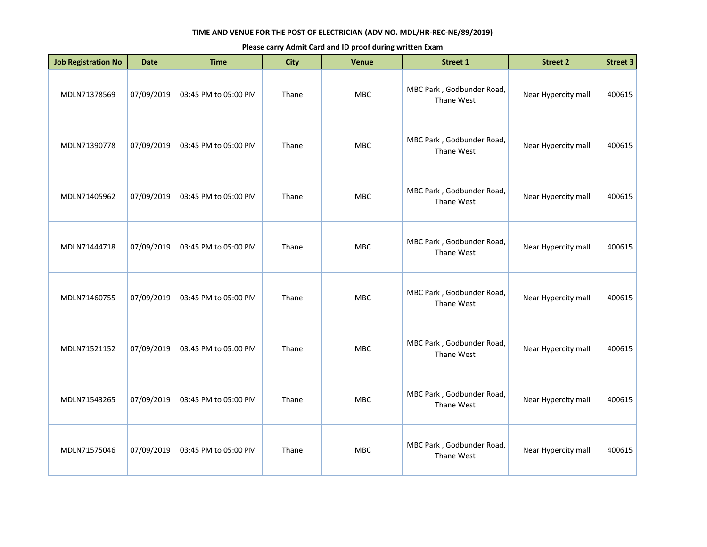| <b>Job Registration No</b> | <b>Date</b> | <b>Time</b>          | <b>City</b> | Venue      | <b>Street 1</b>                         | <b>Street 2</b>     | <b>Street 3</b> |
|----------------------------|-------------|----------------------|-------------|------------|-----------------------------------------|---------------------|-----------------|
| MDLN71378569               | 07/09/2019  | 03:45 PM to 05:00 PM | Thane       | MBC        | MBC Park, Godbunder Road,<br>Thane West | Near Hypercity mall | 400615          |
| MDLN71390778               | 07/09/2019  | 03:45 PM to 05:00 PM | Thane       | <b>MBC</b> | MBC Park, Godbunder Road,<br>Thane West | Near Hypercity mall | 400615          |
| MDLN71405962               | 07/09/2019  | 03:45 PM to 05:00 PM | Thane       | MBC        | MBC Park, Godbunder Road,<br>Thane West | Near Hypercity mall | 400615          |
| MDLN71444718               | 07/09/2019  | 03:45 PM to 05:00 PM | Thane       | MBC        | MBC Park, Godbunder Road,<br>Thane West | Near Hypercity mall | 400615          |
| MDLN71460755               | 07/09/2019  | 03:45 PM to 05:00 PM | Thane       | <b>MBC</b> | MBC Park, Godbunder Road,<br>Thane West | Near Hypercity mall | 400615          |
| MDLN71521152               | 07/09/2019  | 03:45 PM to 05:00 PM | Thane       | <b>MBC</b> | MBC Park, Godbunder Road,<br>Thane West | Near Hypercity mall | 400615          |
| MDLN71543265               | 07/09/2019  | 03:45 PM to 05:00 PM | Thane       | <b>MBC</b> | MBC Park, Godbunder Road,<br>Thane West | Near Hypercity mall | 400615          |
| MDLN71575046               | 07/09/2019  | 03:45 PM to 05:00 PM | Thane       | <b>MBC</b> | MBC Park, Godbunder Road,<br>Thane West | Near Hypercity mall | 400615          |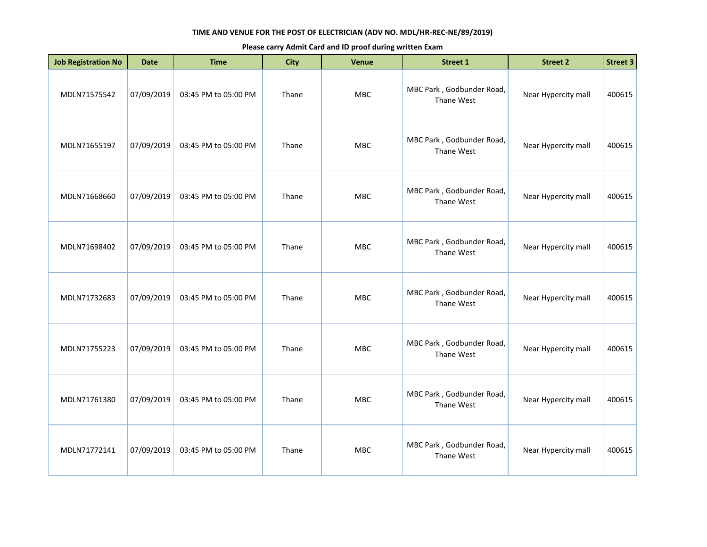| <b>Job Registration No</b> | <b>Date</b> | <b>Time</b>          | <b>City</b> | Venue      | <b>Street 1</b>                         | <b>Street 2</b>     | <b>Street 3</b> |
|----------------------------|-------------|----------------------|-------------|------------|-----------------------------------------|---------------------|-----------------|
| MDLN71575542               | 07/09/2019  | 03:45 PM to 05:00 PM | Thane       | MBC        | MBC Park, Godbunder Road,<br>Thane West | Near Hypercity mall | 400615          |
| MDLN71655197               | 07/09/2019  | 03:45 PM to 05:00 PM | Thane       | MBC        | MBC Park, Godbunder Road,<br>Thane West | Near Hypercity mall | 400615          |
| MDLN71668660               | 07/09/2019  | 03:45 PM to 05:00 PM | Thane       | MBC        | MBC Park, Godbunder Road,<br>Thane West | Near Hypercity mall | 400615          |
| MDLN71698402               | 07/09/2019  | 03:45 PM to 05:00 PM | Thane       | MBC        | MBC Park, Godbunder Road,<br>Thane West | Near Hypercity mall | 400615          |
| MDLN71732683               | 07/09/2019  | 03:45 PM to 05:00 PM | Thane       | MBC        | MBC Park, Godbunder Road,<br>Thane West | Near Hypercity mall | 400615          |
| MDLN71755223               | 07/09/2019  | 03:45 PM to 05:00 PM | Thane       | <b>MBC</b> | MBC Park, Godbunder Road,<br>Thane West | Near Hypercity mall | 400615          |
| MDLN71761380               | 07/09/2019  | 03:45 PM to 05:00 PM | Thane       | MBC        | MBC Park, Godbunder Road,<br>Thane West | Near Hypercity mall | 400615          |
| MDLN71772141               | 07/09/2019  | 03:45 PM to 05:00 PM | Thane       | MBC        | MBC Park, Godbunder Road,<br>Thane West | Near Hypercity mall | 400615          |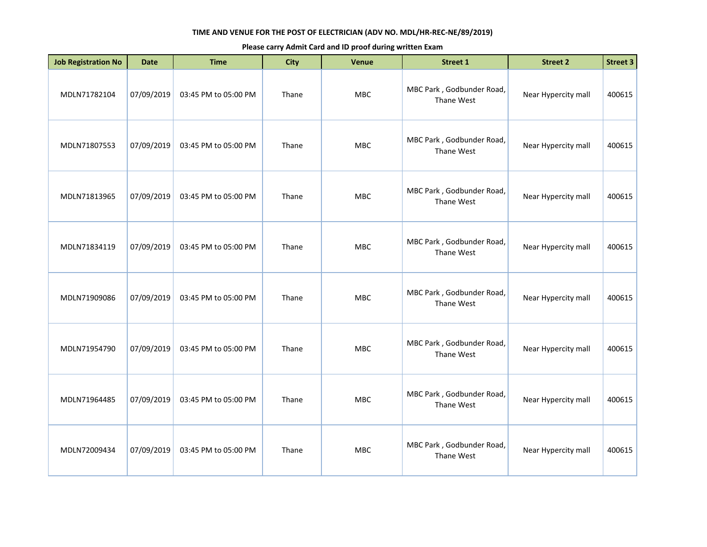| <b>Job Registration No</b> | <b>Date</b> | <b>Time</b>          | <b>City</b> | Venue      | <b>Street 1</b>                         | <b>Street 2</b>     | <b>Street 3</b> |
|----------------------------|-------------|----------------------|-------------|------------|-----------------------------------------|---------------------|-----------------|
| MDLN71782104               | 07/09/2019  | 03:45 PM to 05:00 PM | Thane       | MBC        | MBC Park, Godbunder Road,<br>Thane West | Near Hypercity mall | 400615          |
| MDLN71807553               | 07/09/2019  | 03:45 PM to 05:00 PM | Thane       | <b>MBC</b> | MBC Park, Godbunder Road,<br>Thane West | Near Hypercity mall | 400615          |
| MDLN71813965               | 07/09/2019  | 03:45 PM to 05:00 PM | Thane       | MBC        | MBC Park, Godbunder Road,<br>Thane West | Near Hypercity mall | 400615          |
| MDLN71834119               | 07/09/2019  | 03:45 PM to 05:00 PM | Thane       | MBC        | MBC Park, Godbunder Road,<br>Thane West | Near Hypercity mall | 400615          |
| MDLN71909086               | 07/09/2019  | 03:45 PM to 05:00 PM | Thane       | MBC        | MBC Park, Godbunder Road,<br>Thane West | Near Hypercity mall | 400615          |
| MDLN71954790               | 07/09/2019  | 03:45 PM to 05:00 PM | Thane       | <b>MBC</b> | MBC Park, Godbunder Road,<br>Thane West | Near Hypercity mall | 400615          |
| MDLN71964485               | 07/09/2019  | 03:45 PM to 05:00 PM | Thane       | <b>MBC</b> | MBC Park, Godbunder Road,<br>Thane West | Near Hypercity mall | 400615          |
| MDLN72009434               | 07/09/2019  | 03:45 PM to 05:00 PM | Thane       | MBC        | MBC Park, Godbunder Road,<br>Thane West | Near Hypercity mall | 400615          |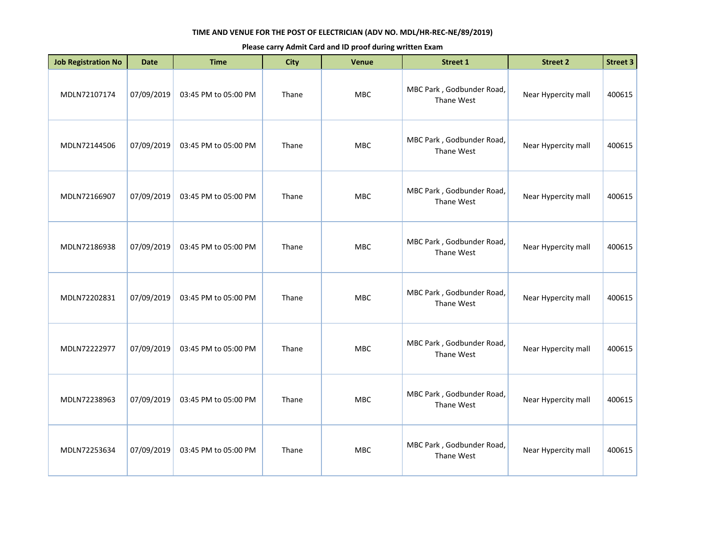| <b>Job Registration No</b> | <b>Date</b> | <b>Time</b>          | <b>City</b> | Venue      | <b>Street 1</b>                         | <b>Street 2</b>     | <b>Street 3</b> |
|----------------------------|-------------|----------------------|-------------|------------|-----------------------------------------|---------------------|-----------------|
| MDLN72107174               | 07/09/2019  | 03:45 PM to 05:00 PM | Thane       | MBC        | MBC Park, Godbunder Road,<br>Thane West | Near Hypercity mall | 400615          |
| MDLN72144506               | 07/09/2019  | 03:45 PM to 05:00 PM | Thane       | <b>MBC</b> | MBC Park, Godbunder Road,<br>Thane West | Near Hypercity mall | 400615          |
| MDLN72166907               | 07/09/2019  | 03:45 PM to 05:00 PM | Thane       | MBC        | MBC Park, Godbunder Road,<br>Thane West | Near Hypercity mall | 400615          |
| MDLN72186938               | 07/09/2019  | 03:45 PM to 05:00 PM | Thane       | MBC        | MBC Park, Godbunder Road,<br>Thane West | Near Hypercity mall | 400615          |
| MDLN72202831               | 07/09/2019  | 03:45 PM to 05:00 PM | Thane       | <b>MBC</b> | MBC Park, Godbunder Road,<br>Thane West | Near Hypercity mall | 400615          |
| MDLN72222977               | 07/09/2019  | 03:45 PM to 05:00 PM | Thane       | <b>MBC</b> | MBC Park, Godbunder Road,<br>Thane West | Near Hypercity mall | 400615          |
| MDLN72238963               | 07/09/2019  | 03:45 PM to 05:00 PM | Thane       | <b>MBC</b> | MBC Park, Godbunder Road,<br>Thane West | Near Hypercity mall | 400615          |
| MDLN72253634               | 07/09/2019  | 03:45 PM to 05:00 PM | Thane       | <b>MBC</b> | MBC Park, Godbunder Road,<br>Thane West | Near Hypercity mall | 400615          |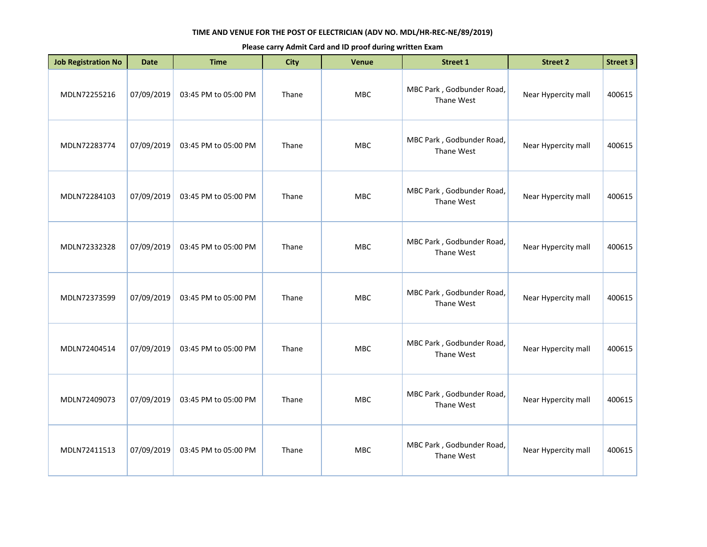| <b>Job Registration No</b> | <b>Date</b> | <b>Time</b>          | <b>City</b> | Venue      | <b>Street 1</b>                         | <b>Street 2</b>     | <b>Street 3</b> |
|----------------------------|-------------|----------------------|-------------|------------|-----------------------------------------|---------------------|-----------------|
| MDLN72255216               | 07/09/2019  | 03:45 PM to 05:00 PM | Thane       | MBC        | MBC Park, Godbunder Road,<br>Thane West | Near Hypercity mall | 400615          |
| MDLN72283774               | 07/09/2019  | 03:45 PM to 05:00 PM | Thane       | MBC        | MBC Park, Godbunder Road,<br>Thane West | Near Hypercity mall | 400615          |
| MDLN72284103               | 07/09/2019  | 03:45 PM to 05:00 PM | Thane       | <b>MBC</b> | MBC Park, Godbunder Road,<br>Thane West | Near Hypercity mall | 400615          |
| MDLN72332328               | 07/09/2019  | 03:45 PM to 05:00 PM | Thane       | MBC        | MBC Park, Godbunder Road,<br>Thane West | Near Hypercity mall | 400615          |
| MDLN72373599               | 07/09/2019  | 03:45 PM to 05:00 PM | Thane       | <b>MBC</b> | MBC Park, Godbunder Road,<br>Thane West | Near Hypercity mall | 400615          |
| MDLN72404514               | 07/09/2019  | 03:45 PM to 05:00 PM | Thane       | <b>MBC</b> | MBC Park, Godbunder Road,<br>Thane West | Near Hypercity mall | 400615          |
| MDLN72409073               | 07/09/2019  | 03:45 PM to 05:00 PM | Thane       | MBC        | MBC Park, Godbunder Road,<br>Thane West | Near Hypercity mall | 400615          |
| MDLN72411513               | 07/09/2019  | 03:45 PM to 05:00 PM | Thane       | <b>MBC</b> | MBC Park, Godbunder Road,<br>Thane West | Near Hypercity mall | 400615          |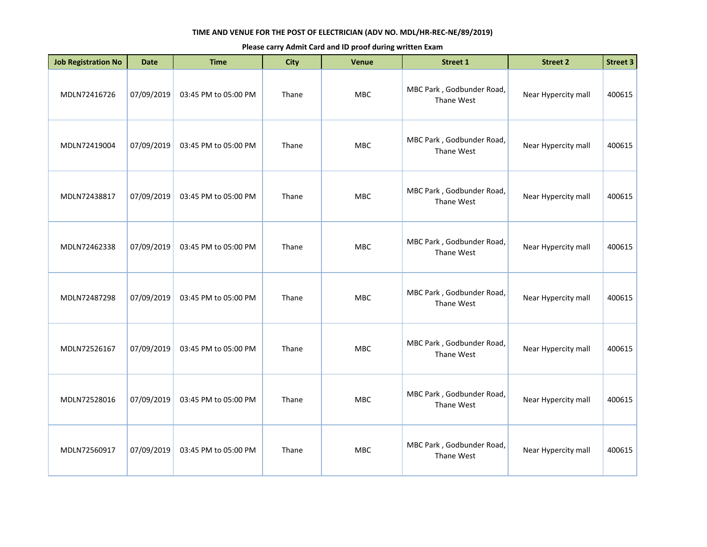| <b>Job Registration No</b> | <b>Date</b> | <b>Time</b>          | <b>City</b> | Venue      | <b>Street 1</b>                         | <b>Street 2</b>     | <b>Street 3</b> |
|----------------------------|-------------|----------------------|-------------|------------|-----------------------------------------|---------------------|-----------------|
| MDLN72416726               | 07/09/2019  | 03:45 PM to 05:00 PM | Thane       | MBC        | MBC Park, Godbunder Road,<br>Thane West | Near Hypercity mall | 400615          |
| MDLN72419004               | 07/09/2019  | 03:45 PM to 05:00 PM | Thane       | <b>MBC</b> | MBC Park, Godbunder Road,<br>Thane West | Near Hypercity mall | 400615          |
| MDLN72438817               | 07/09/2019  | 03:45 PM to 05:00 PM | Thane       | <b>MBC</b> | MBC Park, Godbunder Road,<br>Thane West | Near Hypercity mall | 400615          |
| MDLN72462338               | 07/09/2019  | 03:45 PM to 05:00 PM | Thane       | <b>MBC</b> | MBC Park, Godbunder Road,<br>Thane West | Near Hypercity mall | 400615          |
| MDLN72487298               | 07/09/2019  | 03:45 PM to 05:00 PM | Thane       | MBC        | MBC Park, Godbunder Road,<br>Thane West | Near Hypercity mall | 400615          |
| MDLN72526167               | 07/09/2019  | 03:45 PM to 05:00 PM | Thane       | <b>MBC</b> | MBC Park, Godbunder Road,<br>Thane West | Near Hypercity mall | 400615          |
| MDLN72528016               | 07/09/2019  | 03:45 PM to 05:00 PM | Thane       | <b>MBC</b> | MBC Park, Godbunder Road,<br>Thane West | Near Hypercity mall | 400615          |
| MDLN72560917               | 07/09/2019  | 03:45 PM to 05:00 PM | Thane       | <b>MBC</b> | MBC Park, Godbunder Road,<br>Thane West | Near Hypercity mall | 400615          |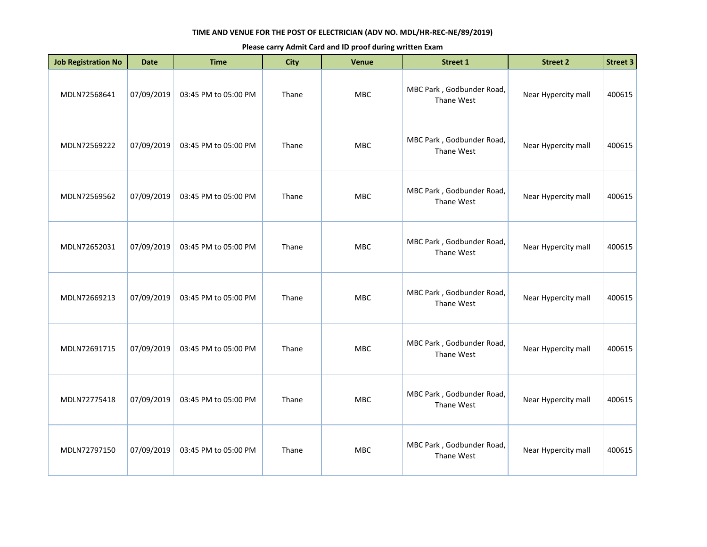| <b>Job Registration No</b> | <b>Date</b> | <b>Time</b>          | <b>City</b> | Venue      | <b>Street 1</b>                         | <b>Street 2</b>     | <b>Street 3</b> |
|----------------------------|-------------|----------------------|-------------|------------|-----------------------------------------|---------------------|-----------------|
| MDLN72568641               | 07/09/2019  | 03:45 PM to 05:00 PM | Thane       | MBC        | MBC Park, Godbunder Road,<br>Thane West | Near Hypercity mall | 400615          |
| MDLN72569222               | 07/09/2019  | 03:45 PM to 05:00 PM | Thane       | <b>MBC</b> | MBC Park, Godbunder Road,<br>Thane West | Near Hypercity mall | 400615          |
| MDLN72569562               | 07/09/2019  | 03:45 PM to 05:00 PM | Thane       | MBC        | MBC Park, Godbunder Road,<br>Thane West | Near Hypercity mall | 400615          |
| MDLN72652031               | 07/09/2019  | 03:45 PM to 05:00 PM | Thane       | MBC        | MBC Park, Godbunder Road,<br>Thane West | Near Hypercity mall | 400615          |
| MDLN72669213               | 07/09/2019  | 03:45 PM to 05:00 PM | Thane       | <b>MBC</b> | MBC Park, Godbunder Road,<br>Thane West | Near Hypercity mall | 400615          |
| MDLN72691715               | 07/09/2019  | 03:45 PM to 05:00 PM | Thane       | <b>MBC</b> | MBC Park, Godbunder Road,<br>Thane West | Near Hypercity mall | 400615          |
| MDLN72775418               | 07/09/2019  | 03:45 PM to 05:00 PM | Thane       | <b>MBC</b> | MBC Park, Godbunder Road,<br>Thane West | Near Hypercity mall | 400615          |
| MDLN72797150               | 07/09/2019  | 03:45 PM to 05:00 PM | Thane       | <b>MBC</b> | MBC Park, Godbunder Road,<br>Thane West | Near Hypercity mall | 400615          |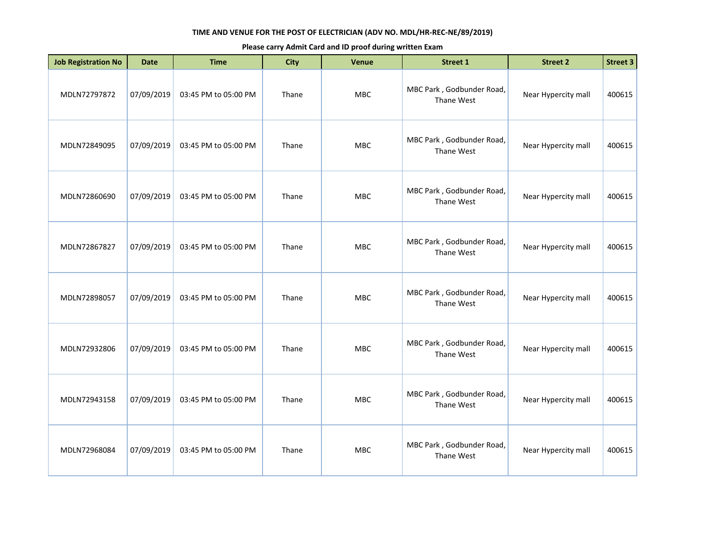| <b>Job Registration No</b> | <b>Date</b> | <b>Time</b>          | <b>City</b> | <b>Venue</b> | <b>Street 1</b>                         | <b>Street 2</b>     | <b>Street 3</b> |
|----------------------------|-------------|----------------------|-------------|--------------|-----------------------------------------|---------------------|-----------------|
| MDLN72797872               | 07/09/2019  | 03:45 PM to 05:00 PM | Thane       | MBC          | MBC Park, Godbunder Road,<br>Thane West | Near Hypercity mall | 400615          |
| MDLN72849095               | 07/09/2019  | 03:45 PM to 05:00 PM | Thane       | <b>MBC</b>   | MBC Park, Godbunder Road,<br>Thane West | Near Hypercity mall | 400615          |
| MDLN72860690               | 07/09/2019  | 03:45 PM to 05:00 PM | Thane       | MBC          | MBC Park, Godbunder Road,<br>Thane West | Near Hypercity mall | 400615          |
| MDLN72867827               | 07/09/2019  | 03:45 PM to 05:00 PM | Thane       | MBC          | MBC Park, Godbunder Road,<br>Thane West | Near Hypercity mall | 400615          |
| MDLN72898057               | 07/09/2019  | 03:45 PM to 05:00 PM | Thane       | <b>MBC</b>   | MBC Park, Godbunder Road,<br>Thane West | Near Hypercity mall | 400615          |
| MDLN72932806               | 07/09/2019  | 03:45 PM to 05:00 PM | Thane       | <b>MBC</b>   | MBC Park, Godbunder Road,<br>Thane West | Near Hypercity mall | 400615          |
| MDLN72943158               | 07/09/2019  | 03:45 PM to 05:00 PM | Thane       | <b>MBC</b>   | MBC Park, Godbunder Road,<br>Thane West | Near Hypercity mall | 400615          |
| MDLN72968084               | 07/09/2019  | 03:45 PM to 05:00 PM | Thane       | <b>MBC</b>   | MBC Park, Godbunder Road,<br>Thane West | Near Hypercity mall | 400615          |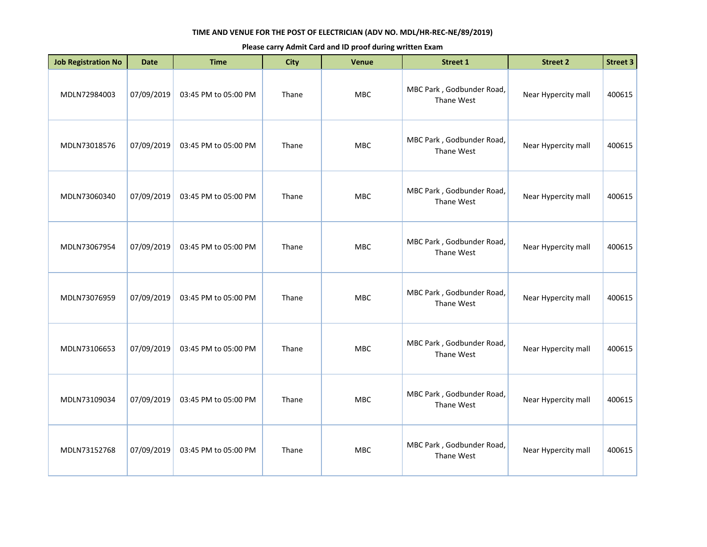| <b>Job Registration No</b> | <b>Date</b> | <b>Time</b>          | <b>City</b> | Venue      | <b>Street 1</b>                         | <b>Street 2</b>     | <b>Street 3</b> |
|----------------------------|-------------|----------------------|-------------|------------|-----------------------------------------|---------------------|-----------------|
| MDLN72984003               | 07/09/2019  | 03:45 PM to 05:00 PM | Thane       | MBC        | MBC Park, Godbunder Road,<br>Thane West | Near Hypercity mall | 400615          |
| MDLN73018576               | 07/09/2019  | 03:45 PM to 05:00 PM | Thane       | MBC        | MBC Park, Godbunder Road,<br>Thane West | Near Hypercity mall | 400615          |
| MDLN73060340               | 07/09/2019  | 03:45 PM to 05:00 PM | Thane       | <b>MBC</b> | MBC Park, Godbunder Road,<br>Thane West | Near Hypercity mall | 400615          |
| MDLN73067954               | 07/09/2019  | 03:45 PM to 05:00 PM | Thane       | MBC        | MBC Park, Godbunder Road,<br>Thane West | Near Hypercity mall | 400615          |
| MDLN73076959               | 07/09/2019  | 03:45 PM to 05:00 PM | Thane       | <b>MBC</b> | MBC Park, Godbunder Road,<br>Thane West | Near Hypercity mall | 400615          |
| MDLN73106653               | 07/09/2019  | 03:45 PM to 05:00 PM | Thane       | <b>MBC</b> | MBC Park, Godbunder Road,<br>Thane West | Near Hypercity mall | 400615          |
| MDLN73109034               | 07/09/2019  | 03:45 PM to 05:00 PM | Thane       | MBC        | MBC Park, Godbunder Road,<br>Thane West | Near Hypercity mall | 400615          |
| MDLN73152768               | 07/09/2019  | 03:45 PM to 05:00 PM | Thane       | <b>MBC</b> | MBC Park, Godbunder Road,<br>Thane West | Near Hypercity mall | 400615          |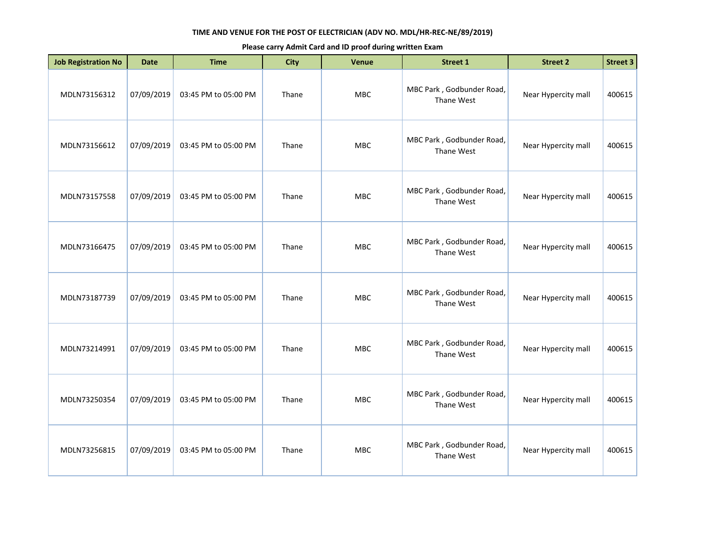| <b>Job Registration No</b> | <b>Date</b> | <b>Time</b>          | <b>City</b> | Venue      | <b>Street 1</b>                         | <b>Street 2</b>     | <b>Street 3</b> |
|----------------------------|-------------|----------------------|-------------|------------|-----------------------------------------|---------------------|-----------------|
| MDLN73156312               | 07/09/2019  | 03:45 PM to 05:00 PM | Thane       | MBC        | MBC Park, Godbunder Road,<br>Thane West | Near Hypercity mall | 400615          |
| MDLN73156612               | 07/09/2019  | 03:45 PM to 05:00 PM | Thane       | MBC        | MBC Park, Godbunder Road,<br>Thane West | Near Hypercity mall | 400615          |
| MDLN73157558               | 07/09/2019  | 03:45 PM to 05:00 PM | Thane       | MBC        | MBC Park, Godbunder Road,<br>Thane West | Near Hypercity mall | 400615          |
| MDLN73166475               | 07/09/2019  | 03:45 PM to 05:00 PM | Thane       | MBC        | MBC Park, Godbunder Road,<br>Thane West | Near Hypercity mall | 400615          |
| MDLN73187739               | 07/09/2019  | 03:45 PM to 05:00 PM | Thane       | MBC        | MBC Park, Godbunder Road,<br>Thane West | Near Hypercity mall | 400615          |
| MDLN73214991               | 07/09/2019  | 03:45 PM to 05:00 PM | Thane       | <b>MBC</b> | MBC Park, Godbunder Road,<br>Thane West | Near Hypercity mall | 400615          |
| MDLN73250354               | 07/09/2019  | 03:45 PM to 05:00 PM | Thane       | MBC        | MBC Park, Godbunder Road,<br>Thane West | Near Hypercity mall | 400615          |
| MDLN73256815               | 07/09/2019  | 03:45 PM to 05:00 PM | Thane       | MBC        | MBC Park, Godbunder Road,<br>Thane West | Near Hypercity mall | 400615          |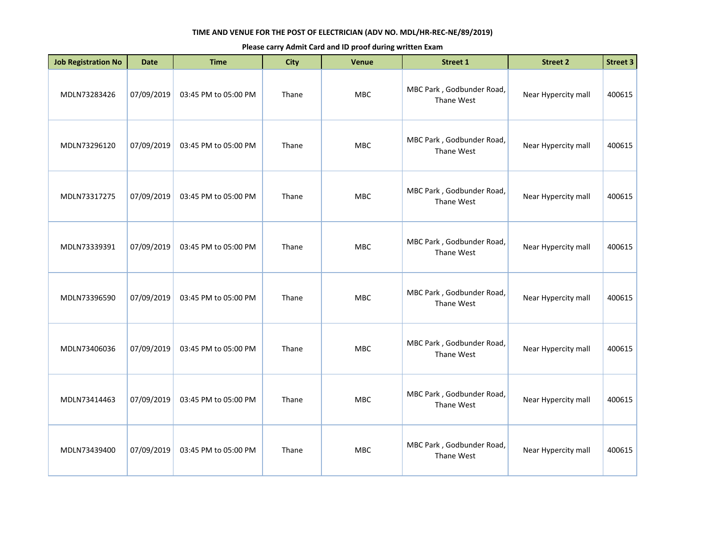| <b>Job Registration No</b> | <b>Date</b> | <b>Time</b>          | <b>City</b> | Venue      | <b>Street 1</b>                         | <b>Street 2</b>     | <b>Street 3</b> |
|----------------------------|-------------|----------------------|-------------|------------|-----------------------------------------|---------------------|-----------------|
| MDLN73283426               | 07/09/2019  | 03:45 PM to 05:00 PM | Thane       | MBC        | MBC Park, Godbunder Road,<br>Thane West | Near Hypercity mall | 400615          |
| MDLN73296120               | 07/09/2019  | 03:45 PM to 05:00 PM | Thane       | MBC        | MBC Park, Godbunder Road,<br>Thane West | Near Hypercity mall | 400615          |
| MDLN73317275               | 07/09/2019  | 03:45 PM to 05:00 PM | Thane       | MBC        | MBC Park, Godbunder Road,<br>Thane West | Near Hypercity mall | 400615          |
| MDLN73339391               | 07/09/2019  | 03:45 PM to 05:00 PM | Thane       | MBC        | MBC Park, Godbunder Road,<br>Thane West | Near Hypercity mall | 400615          |
| MDLN73396590               | 07/09/2019  | 03:45 PM to 05:00 PM | Thane       | MBC        | MBC Park, Godbunder Road,<br>Thane West | Near Hypercity mall | 400615          |
| MDLN73406036               | 07/09/2019  | 03:45 PM to 05:00 PM | Thane       | <b>MBC</b> | MBC Park, Godbunder Road,<br>Thane West | Near Hypercity mall | 400615          |
| MDLN73414463               | 07/09/2019  | 03:45 PM to 05:00 PM | Thane       | MBC        | MBC Park, Godbunder Road,<br>Thane West | Near Hypercity mall | 400615          |
| MDLN73439400               | 07/09/2019  | 03:45 PM to 05:00 PM | Thane       | MBC        | MBC Park, Godbunder Road,<br>Thane West | Near Hypercity mall | 400615          |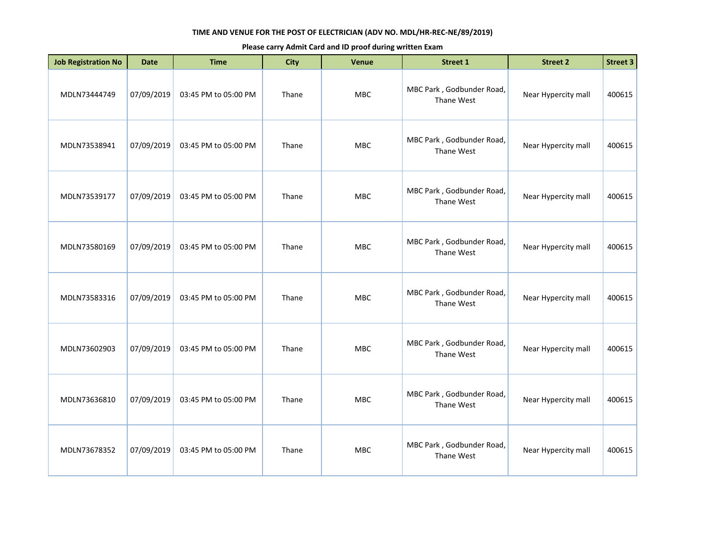| <b>Job Registration No</b> | <b>Date</b> | <b>Time</b>          | <b>City</b> | Venue      | Street 1                                | <b>Street 2</b>     | <b>Street 3</b> |
|----------------------------|-------------|----------------------|-------------|------------|-----------------------------------------|---------------------|-----------------|
| MDLN73444749               | 07/09/2019  | 03:45 PM to 05:00 PM | Thane       | MBC        | MBC Park, Godbunder Road,<br>Thane West | Near Hypercity mall | 400615          |
| MDLN73538941               | 07/09/2019  | 03:45 PM to 05:00 PM | Thane       | MBC        | MBC Park, Godbunder Road,<br>Thane West | Near Hypercity mall | 400615          |
| MDLN73539177               | 07/09/2019  | 03:45 PM to 05:00 PM | Thane       | <b>MBC</b> | MBC Park, Godbunder Road,<br>Thane West | Near Hypercity mall | 400615          |
| MDLN73580169               | 07/09/2019  | 03:45 PM to 05:00 PM | Thane       | <b>MBC</b> | MBC Park, Godbunder Road,<br>Thane West | Near Hypercity mall | 400615          |
| MDLN73583316               | 07/09/2019  | 03:45 PM to 05:00 PM | Thane       | <b>MBC</b> | MBC Park, Godbunder Road,<br>Thane West | Near Hypercity mall | 400615          |
| MDLN73602903               | 07/09/2019  | 03:45 PM to 05:00 PM | Thane       | <b>MBC</b> | MBC Park, Godbunder Road,<br>Thane West | Near Hypercity mall | 400615          |
| MDLN73636810               | 07/09/2019  | 03:45 PM to 05:00 PM | Thane       | <b>MBC</b> | MBC Park, Godbunder Road,<br>Thane West | Near Hypercity mall | 400615          |
| MDLN73678352               | 07/09/2019  | 03:45 PM to 05:00 PM | Thane       | <b>MBC</b> | MBC Park, Godbunder Road,<br>Thane West | Near Hypercity mall | 400615          |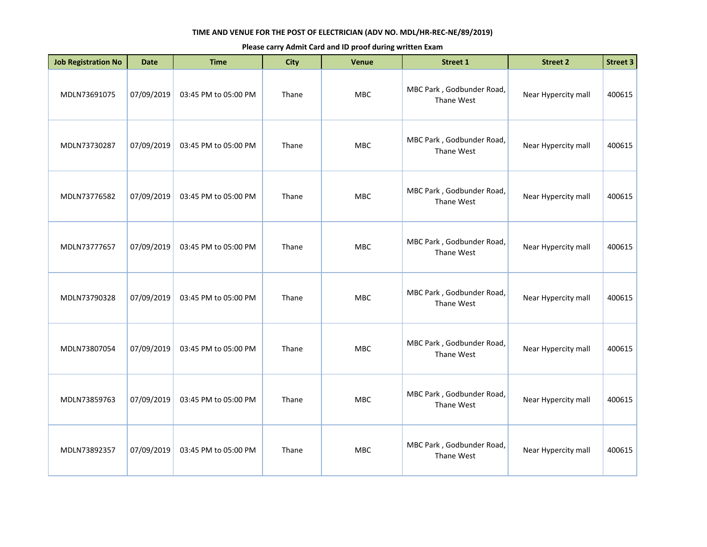| <b>Job Registration No</b> | <b>Date</b> | <b>Time</b>          | <b>City</b> | Venue      | <b>Street 1</b>                         | <b>Street 2</b>     | <b>Street 3</b> |
|----------------------------|-------------|----------------------|-------------|------------|-----------------------------------------|---------------------|-----------------|
| MDLN73691075               | 07/09/2019  | 03:45 PM to 05:00 PM | Thane       | MBC        | MBC Park, Godbunder Road,<br>Thane West | Near Hypercity mall | 400615          |
| MDLN73730287               | 07/09/2019  | 03:45 PM to 05:00 PM | Thane       | <b>MBC</b> | MBC Park, Godbunder Road,<br>Thane West | Near Hypercity mall | 400615          |
| MDLN73776582               | 07/09/2019  | 03:45 PM to 05:00 PM | Thane       | <b>MBC</b> | MBC Park, Godbunder Road,<br>Thane West | Near Hypercity mall | 400615          |
| MDLN73777657               | 07/09/2019  | 03:45 PM to 05:00 PM | Thane       | <b>MBC</b> | MBC Park, Godbunder Road,<br>Thane West | Near Hypercity mall | 400615          |
| MDLN73790328               | 07/09/2019  | 03:45 PM to 05:00 PM | Thane       | MBC        | MBC Park, Godbunder Road,<br>Thane West | Near Hypercity mall | 400615          |
| MDLN73807054               | 07/09/2019  | 03:45 PM to 05:00 PM | Thane       | <b>MBC</b> | MBC Park, Godbunder Road,<br>Thane West | Near Hypercity mall | 400615          |
| MDLN73859763               | 07/09/2019  | 03:45 PM to 05:00 PM | Thane       | <b>MBC</b> | MBC Park, Godbunder Road,<br>Thane West | Near Hypercity mall | 400615          |
| MDLN73892357               | 07/09/2019  | 03:45 PM to 05:00 PM | Thane       | <b>MBC</b> | MBC Park, Godbunder Road,<br>Thane West | Near Hypercity mall | 400615          |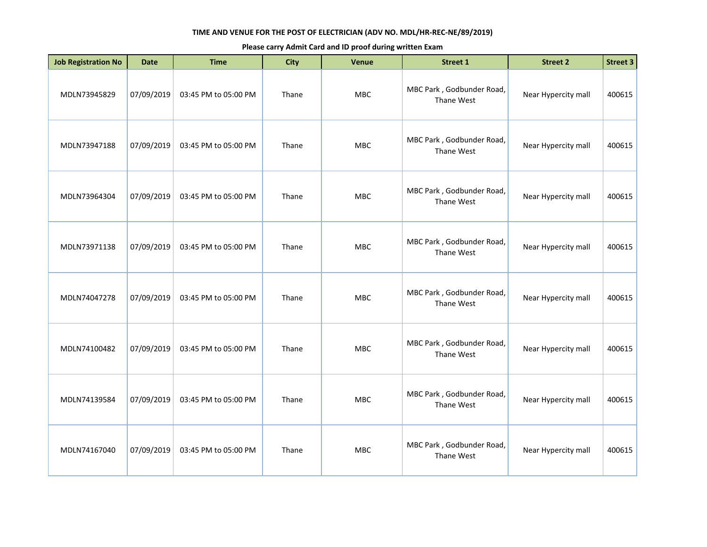| <b>Job Registration No</b> | <b>Date</b> | <b>Time</b>          | <b>City</b> | Venue      | Street 1                                | <b>Street 2</b>     | <b>Street 3</b> |
|----------------------------|-------------|----------------------|-------------|------------|-----------------------------------------|---------------------|-----------------|
| MDLN73945829               | 07/09/2019  | 03:45 PM to 05:00 PM | Thane       | MBC        | MBC Park, Godbunder Road,<br>Thane West | Near Hypercity mall | 400615          |
| MDLN73947188               | 07/09/2019  | 03:45 PM to 05:00 PM | Thane       | MBC        | MBC Park, Godbunder Road,<br>Thane West | Near Hypercity mall | 400615          |
| MDLN73964304               | 07/09/2019  | 03:45 PM to 05:00 PM | Thane       | <b>MBC</b> | MBC Park, Godbunder Road,<br>Thane West | Near Hypercity mall | 400615          |
| MDLN73971138               | 07/09/2019  | 03:45 PM to 05:00 PM | Thane       | <b>MBC</b> | MBC Park, Godbunder Road,<br>Thane West | Near Hypercity mall | 400615          |
| MDLN74047278               | 07/09/2019  | 03:45 PM to 05:00 PM | Thane       | <b>MBC</b> | MBC Park, Godbunder Road,<br>Thane West | Near Hypercity mall | 400615          |
| MDLN74100482               | 07/09/2019  | 03:45 PM to 05:00 PM | Thane       | <b>MBC</b> | MBC Park, Godbunder Road,<br>Thane West | Near Hypercity mall | 400615          |
| MDLN74139584               | 07/09/2019  | 03:45 PM to 05:00 PM | Thane       | <b>MBC</b> | MBC Park, Godbunder Road,<br>Thane West | Near Hypercity mall | 400615          |
| MDLN74167040               | 07/09/2019  | 03:45 PM to 05:00 PM | Thane       | <b>MBC</b> | MBC Park, Godbunder Road,<br>Thane West | Near Hypercity mall | 400615          |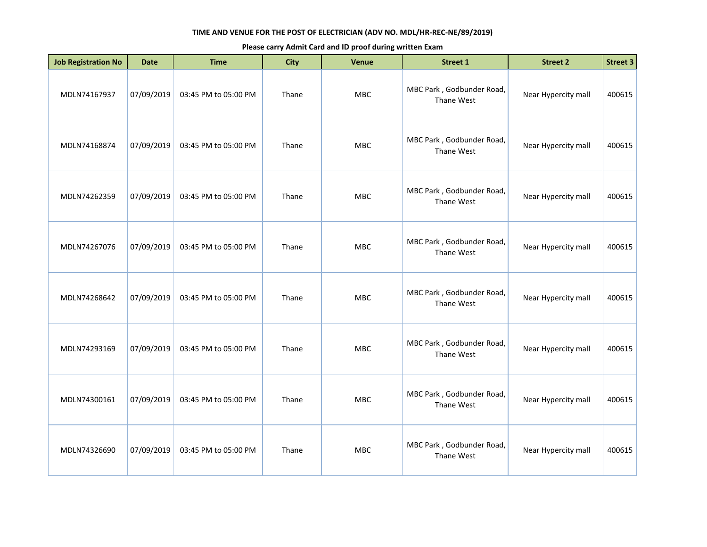| <b>Job Registration No</b> | <b>Date</b> | <b>Time</b>          | <b>City</b> | <b>Venue</b> | <b>Street 1</b>                         | <b>Street 2</b>     | <b>Street 3</b> |
|----------------------------|-------------|----------------------|-------------|--------------|-----------------------------------------|---------------------|-----------------|
| MDLN74167937               | 07/09/2019  | 03:45 PM to 05:00 PM | Thane       | MBC          | MBC Park, Godbunder Road,<br>Thane West | Near Hypercity mall | 400615          |
| MDLN74168874               | 07/09/2019  | 03:45 PM to 05:00 PM | Thane       | <b>MBC</b>   | MBC Park, Godbunder Road,<br>Thane West | Near Hypercity mall | 400615          |
| MDLN74262359               | 07/09/2019  | 03:45 PM to 05:00 PM | Thane       | <b>MBC</b>   | MBC Park, Godbunder Road,<br>Thane West | Near Hypercity mall | 400615          |
| MDLN74267076               | 07/09/2019  | 03:45 PM to 05:00 PM | Thane       | <b>MBC</b>   | MBC Park, Godbunder Road,<br>Thane West | Near Hypercity mall | 400615          |
| MDLN74268642               | 07/09/2019  | 03:45 PM to 05:00 PM | Thane       | <b>MBC</b>   | MBC Park, Godbunder Road,<br>Thane West | Near Hypercity mall | 400615          |
| MDLN74293169               | 07/09/2019  | 03:45 PM to 05:00 PM | Thane       | <b>MBC</b>   | MBC Park, Godbunder Road,<br>Thane West | Near Hypercity mall | 400615          |
| MDLN74300161               | 07/09/2019  | 03:45 PM to 05:00 PM | Thane       | <b>MBC</b>   | MBC Park, Godbunder Road,<br>Thane West | Near Hypercity mall | 400615          |
| MDLN74326690               | 07/09/2019  | 03:45 PM to 05:00 PM | Thane       | <b>MBC</b>   | MBC Park, Godbunder Road,<br>Thane West | Near Hypercity mall | 400615          |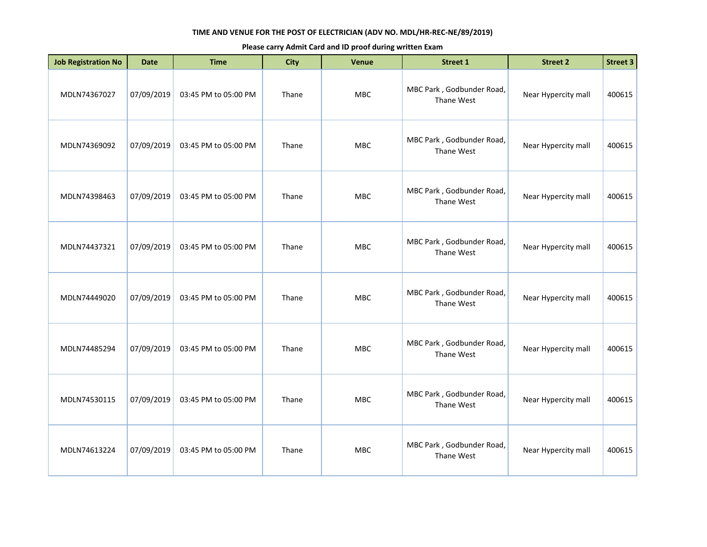| <b>Job Registration No</b> | <b>Date</b> | <b>Time</b>          | <b>City</b> | Venue      | <b>Street 1</b>                         | <b>Street 2</b>     | <b>Street 3</b> |
|----------------------------|-------------|----------------------|-------------|------------|-----------------------------------------|---------------------|-----------------|
| MDLN74367027               | 07/09/2019  | 03:45 PM to 05:00 PM | Thane       | MBC        | MBC Park, Godbunder Road,<br>Thane West | Near Hypercity mall | 400615          |
| MDLN74369092               | 07/09/2019  | 03:45 PM to 05:00 PM | Thane       | <b>MBC</b> | MBC Park, Godbunder Road,<br>Thane West | Near Hypercity mall | 400615          |
| MDLN74398463               | 07/09/2019  | 03:45 PM to 05:00 PM | Thane       | <b>MBC</b> | MBC Park, Godbunder Road,<br>Thane West | Near Hypercity mall | 400615          |
| MDLN74437321               | 07/09/2019  | 03:45 PM to 05:00 PM | Thane       | <b>MBC</b> | MBC Park, Godbunder Road,<br>Thane West | Near Hypercity mall | 400615          |
| MDLN74449020               | 07/09/2019  | 03:45 PM to 05:00 PM | Thane       | MBC        | MBC Park, Godbunder Road,<br>Thane West | Near Hypercity mall | 400615          |
| MDLN74485294               | 07/09/2019  | 03:45 PM to 05:00 PM | Thane       | <b>MBC</b> | MBC Park, Godbunder Road,<br>Thane West | Near Hypercity mall | 400615          |
| MDLN74530115               | 07/09/2019  | 03:45 PM to 05:00 PM | Thane       | <b>MBC</b> | MBC Park, Godbunder Road,<br>Thane West | Near Hypercity mall | 400615          |
| MDLN74613224               | 07/09/2019  | 03:45 PM to 05:00 PM | Thane       | <b>MBC</b> | MBC Park, Godbunder Road,<br>Thane West | Near Hypercity mall | 400615          |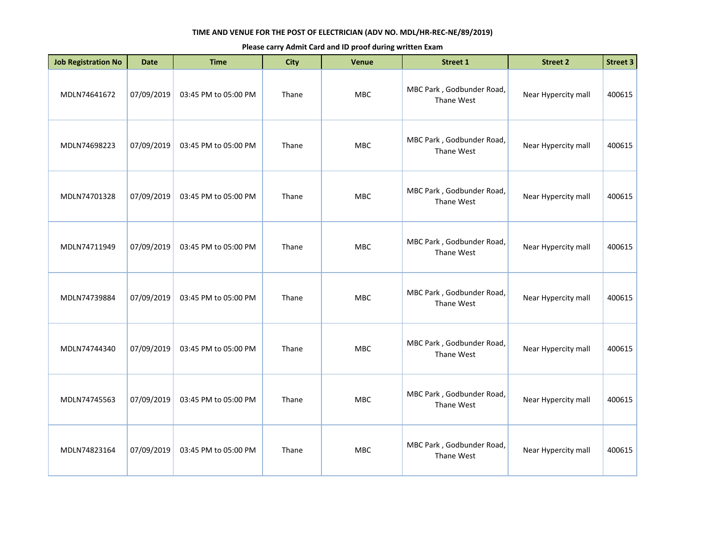| <b>Job Registration No</b> | <b>Date</b> | <b>Time</b>          | <b>City</b> | <b>Venue</b> | <b>Street 1</b>                         | <b>Street 2</b>     | <b>Street 3</b> |
|----------------------------|-------------|----------------------|-------------|--------------|-----------------------------------------|---------------------|-----------------|
| MDLN74641672               | 07/09/2019  | 03:45 PM to 05:00 PM | Thane       | MBC          | MBC Park, Godbunder Road,<br>Thane West | Near Hypercity mall | 400615          |
| MDLN74698223               | 07/09/2019  | 03:45 PM to 05:00 PM | Thane       | <b>MBC</b>   | MBC Park, Godbunder Road,<br>Thane West | Near Hypercity mall | 400615          |
| MDLN74701328               | 07/09/2019  | 03:45 PM to 05:00 PM | Thane       | MBC          | MBC Park, Godbunder Road,<br>Thane West | Near Hypercity mall | 400615          |
| MDLN74711949               | 07/09/2019  | 03:45 PM to 05:00 PM | Thane       | MBC          | MBC Park, Godbunder Road,<br>Thane West | Near Hypercity mall | 400615          |
| MDLN74739884               | 07/09/2019  | 03:45 PM to 05:00 PM | Thane       | MBC          | MBC Park, Godbunder Road,<br>Thane West | Near Hypercity mall | 400615          |
| MDLN74744340               | 07/09/2019  | 03:45 PM to 05:00 PM | Thane       | <b>MBC</b>   | MBC Park, Godbunder Road,<br>Thane West | Near Hypercity mall | 400615          |
| MDLN74745563               | 07/09/2019  | 03:45 PM to 05:00 PM | Thane       | MBC          | MBC Park, Godbunder Road,<br>Thane West | Near Hypercity mall | 400615          |
| MDLN74823164               | 07/09/2019  | 03:45 PM to 05:00 PM | Thane       | <b>MBC</b>   | MBC Park, Godbunder Road,<br>Thane West | Near Hypercity mall | 400615          |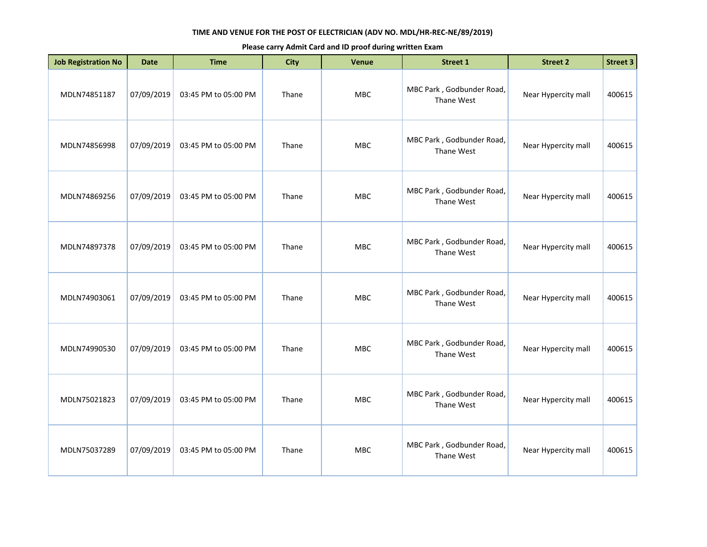| <b>Job Registration No</b> | <b>Date</b> | <b>Time</b>          | <b>City</b> | Venue      | <b>Street 1</b>                         | <b>Street 2</b>     | <b>Street 3</b> |
|----------------------------|-------------|----------------------|-------------|------------|-----------------------------------------|---------------------|-----------------|
| MDLN74851187               | 07/09/2019  | 03:45 PM to 05:00 PM | Thane       | MBC        | MBC Park, Godbunder Road,<br>Thane West | Near Hypercity mall | 400615          |
| MDLN74856998               | 07/09/2019  | 03:45 PM to 05:00 PM | Thane       | <b>MBC</b> | MBC Park, Godbunder Road,<br>Thane West | Near Hypercity mall | 400615          |
| MDLN74869256               | 07/09/2019  | 03:45 PM to 05:00 PM | Thane       | <b>MBC</b> | MBC Park, Godbunder Road,<br>Thane West | Near Hypercity mall | 400615          |
| MDLN74897378               | 07/09/2019  | 03:45 PM to 05:00 PM | Thane       | <b>MBC</b> | MBC Park, Godbunder Road,<br>Thane West | Near Hypercity mall | 400615          |
| MDLN74903061               | 07/09/2019  | 03:45 PM to 05:00 PM | Thane       | MBC        | MBC Park, Godbunder Road,<br>Thane West | Near Hypercity mall | 400615          |
| MDLN74990530               | 07/09/2019  | 03:45 PM to 05:00 PM | Thane       | <b>MBC</b> | MBC Park, Godbunder Road,<br>Thane West | Near Hypercity mall | 400615          |
| MDLN75021823               | 07/09/2019  | 03:45 PM to 05:00 PM | Thane       | <b>MBC</b> | MBC Park, Godbunder Road,<br>Thane West | Near Hypercity mall | 400615          |
| MDLN75037289               | 07/09/2019  | 03:45 PM to 05:00 PM | Thane       | <b>MBC</b> | MBC Park, Godbunder Road,<br>Thane West | Near Hypercity mall | 400615          |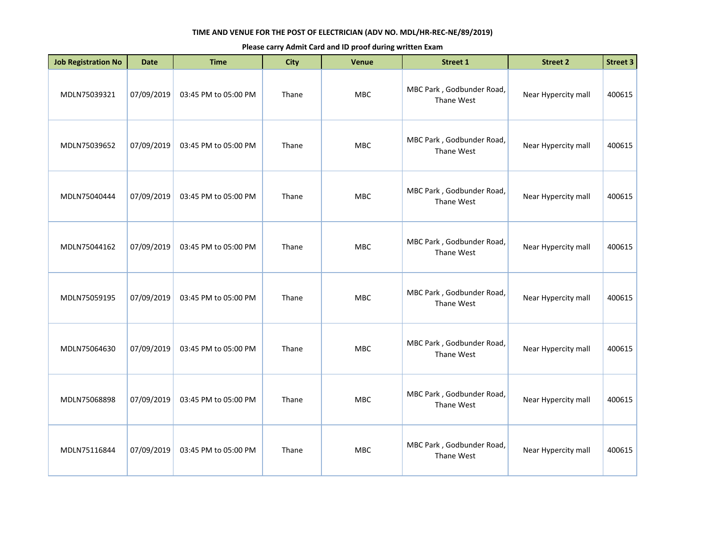| <b>Job Registration No</b> | <b>Date</b> | <b>Time</b>          | <b>City</b> | Venue      | <b>Street 1</b>                         | <b>Street 2</b>     | <b>Street 3</b> |
|----------------------------|-------------|----------------------|-------------|------------|-----------------------------------------|---------------------|-----------------|
| MDLN75039321               | 07/09/2019  | 03:45 PM to 05:00 PM | Thane       | MBC        | MBC Park, Godbunder Road,<br>Thane West | Near Hypercity mall | 400615          |
| MDLN75039652               | 07/09/2019  | 03:45 PM to 05:00 PM | Thane       | MBC        | MBC Park, Godbunder Road,<br>Thane West | Near Hypercity mall | 400615          |
| MDLN75040444               | 07/09/2019  | 03:45 PM to 05:00 PM | Thane       | <b>MBC</b> | MBC Park, Godbunder Road,<br>Thane West | Near Hypercity mall | 400615          |
| MDLN75044162               | 07/09/2019  | 03:45 PM to 05:00 PM | Thane       | MBC        | MBC Park, Godbunder Road,<br>Thane West | Near Hypercity mall | 400615          |
| MDLN75059195               | 07/09/2019  | 03:45 PM to 05:00 PM | Thane       | <b>MBC</b> | MBC Park, Godbunder Road,<br>Thane West | Near Hypercity mall | 400615          |
| MDLN75064630               | 07/09/2019  | 03:45 PM to 05:00 PM | Thane       | <b>MBC</b> | MBC Park, Godbunder Road,<br>Thane West | Near Hypercity mall | 400615          |
| MDLN75068898               | 07/09/2019  | 03:45 PM to 05:00 PM | Thane       | MBC        | MBC Park, Godbunder Road,<br>Thane West | Near Hypercity mall | 400615          |
| MDLN75116844               | 07/09/2019  | 03:45 PM to 05:00 PM | Thane       | <b>MBC</b> | MBC Park, Godbunder Road,<br>Thane West | Near Hypercity mall | 400615          |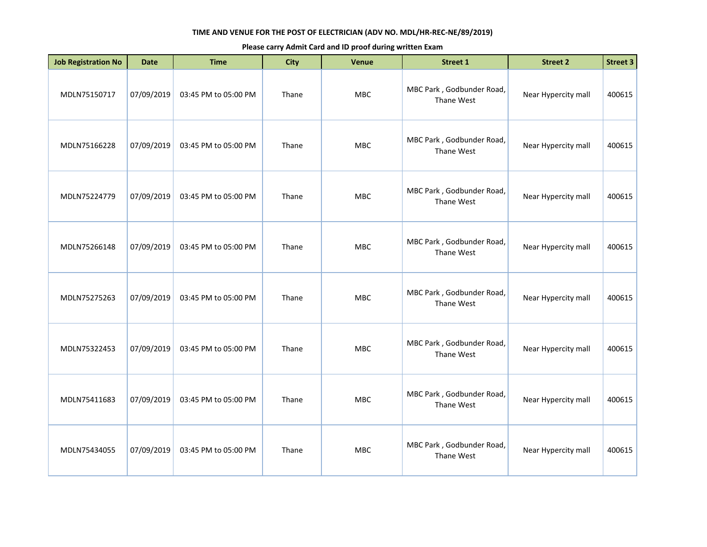| <b>Job Registration No</b> | <b>Date</b> | <b>Time</b>          | <b>City</b> | Venue      | <b>Street 1</b>                         | <b>Street 2</b>     | <b>Street 3</b> |
|----------------------------|-------------|----------------------|-------------|------------|-----------------------------------------|---------------------|-----------------|
| MDLN75150717               | 07/09/2019  | 03:45 PM to 05:00 PM | Thane       | MBC        | MBC Park, Godbunder Road,<br>Thane West | Near Hypercity mall | 400615          |
| MDLN75166228               | 07/09/2019  | 03:45 PM to 05:00 PM | Thane       | MBC        | MBC Park, Godbunder Road,<br>Thane West | Near Hypercity mall | 400615          |
| MDLN75224779               | 07/09/2019  | 03:45 PM to 05:00 PM | Thane       | <b>MBC</b> | MBC Park, Godbunder Road,<br>Thane West | Near Hypercity mall | 400615          |
| MDLN75266148               | 07/09/2019  | 03:45 PM to 05:00 PM | Thane       | MBC        | MBC Park, Godbunder Road,<br>Thane West | Near Hypercity mall | 400615          |
| MDLN75275263               | 07/09/2019  | 03:45 PM to 05:00 PM | Thane       | <b>MBC</b> | MBC Park, Godbunder Road,<br>Thane West | Near Hypercity mall | 400615          |
| MDLN75322453               | 07/09/2019  | 03:45 PM to 05:00 PM | Thane       | <b>MBC</b> | MBC Park, Godbunder Road,<br>Thane West | Near Hypercity mall | 400615          |
| MDLN75411683               | 07/09/2019  | 03:45 PM to 05:00 PM | Thane       | MBC        | MBC Park, Godbunder Road,<br>Thane West | Near Hypercity mall | 400615          |
| MDLN75434055               | 07/09/2019  | 03:45 PM to 05:00 PM | Thane       | <b>MBC</b> | MBC Park, Godbunder Road,<br>Thane West | Near Hypercity mall | 400615          |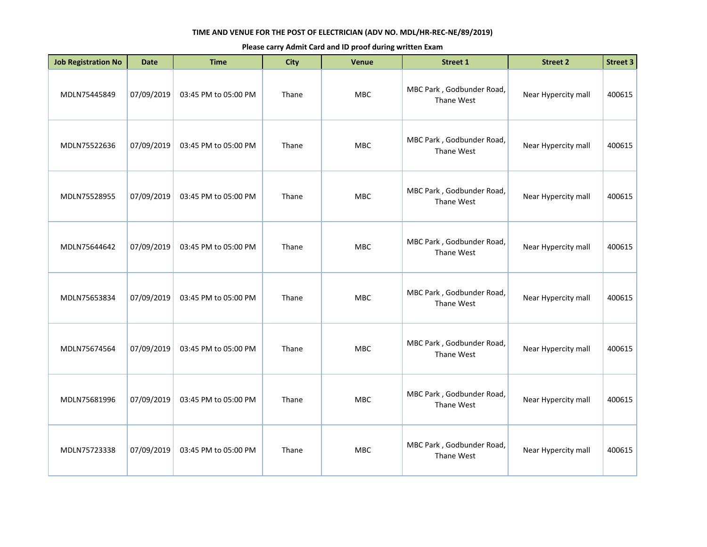| <b>Job Registration No</b> | <b>Date</b> | <b>Time</b>          | <b>City</b> | <b>Venue</b> | Street 1                                | <b>Street 2</b>     | <b>Street 3</b> |
|----------------------------|-------------|----------------------|-------------|--------------|-----------------------------------------|---------------------|-----------------|
| MDLN75445849               | 07/09/2019  | 03:45 PM to 05:00 PM | Thane       | MBC          | MBC Park, Godbunder Road,<br>Thane West | Near Hypercity mall | 400615          |
| MDLN75522636               | 07/09/2019  | 03:45 PM to 05:00 PM | Thane       | <b>MBC</b>   | MBC Park, Godbunder Road,<br>Thane West | Near Hypercity mall | 400615          |
| MDLN75528955               | 07/09/2019  | 03:45 PM to 05:00 PM | Thane       | MBC          | MBC Park, Godbunder Road,<br>Thane West | Near Hypercity mall | 400615          |
| MDLN75644642               | 07/09/2019  | 03:45 PM to 05:00 PM | Thane       | <b>MBC</b>   | MBC Park, Godbunder Road,<br>Thane West | Near Hypercity mall | 400615          |
| MDLN75653834               | 07/09/2019  | 03:45 PM to 05:00 PM | Thane       | MBC          | MBC Park, Godbunder Road,<br>Thane West | Near Hypercity mall | 400615          |
| MDLN75674564               | 07/09/2019  | 03:45 PM to 05:00 PM | Thane       | <b>MBC</b>   | MBC Park, Godbunder Road,<br>Thane West | Near Hypercity mall | 400615          |
| MDLN75681996               | 07/09/2019  | 03:45 PM to 05:00 PM | Thane       | <b>MBC</b>   | MBC Park, Godbunder Road,<br>Thane West | Near Hypercity mall | 400615          |
| MDLN75723338               | 07/09/2019  | 03:45 PM to 05:00 PM | Thane       | <b>MBC</b>   | MBC Park, Godbunder Road,<br>Thane West | Near Hypercity mall | 400615          |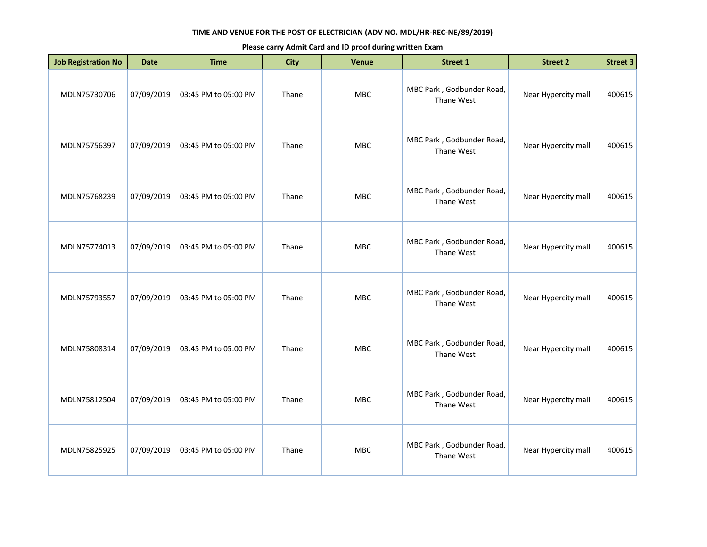| <b>Job Registration No</b> | <b>Date</b> | <b>Time</b>          | <b>City</b> | <b>Venue</b> | <b>Street 1</b>                         | <b>Street 2</b>     | <b>Street 3</b> |
|----------------------------|-------------|----------------------|-------------|--------------|-----------------------------------------|---------------------|-----------------|
| MDLN75730706               | 07/09/2019  | 03:45 PM to 05:00 PM | Thane       | MBC          | MBC Park, Godbunder Road,<br>Thane West | Near Hypercity mall | 400615          |
| MDLN75756397               | 07/09/2019  | 03:45 PM to 05:00 PM | Thane       | <b>MBC</b>   | MBC Park, Godbunder Road,<br>Thane West | Near Hypercity mall | 400615          |
| MDLN75768239               | 07/09/2019  | 03:45 PM to 05:00 PM | Thane       | MBC          | MBC Park, Godbunder Road,<br>Thane West | Near Hypercity mall | 400615          |
| MDLN75774013               | 07/09/2019  | 03:45 PM to 05:00 PM | Thane       | MBC          | MBC Park, Godbunder Road,<br>Thane West | Near Hypercity mall | 400615          |
| MDLN75793557               | 07/09/2019  | 03:45 PM to 05:00 PM | Thane       | <b>MBC</b>   | MBC Park, Godbunder Road,<br>Thane West | Near Hypercity mall | 400615          |
| MDLN75808314               | 07/09/2019  | 03:45 PM to 05:00 PM | Thane       | <b>MBC</b>   | MBC Park, Godbunder Road,<br>Thane West | Near Hypercity mall | 400615          |
| MDLN75812504               | 07/09/2019  | 03:45 PM to 05:00 PM | Thane       | <b>MBC</b>   | MBC Park, Godbunder Road,<br>Thane West | Near Hypercity mall | 400615          |
| MDLN75825925               | 07/09/2019  | 03:45 PM to 05:00 PM | Thane       | <b>MBC</b>   | MBC Park, Godbunder Road,<br>Thane West | Near Hypercity mall | 400615          |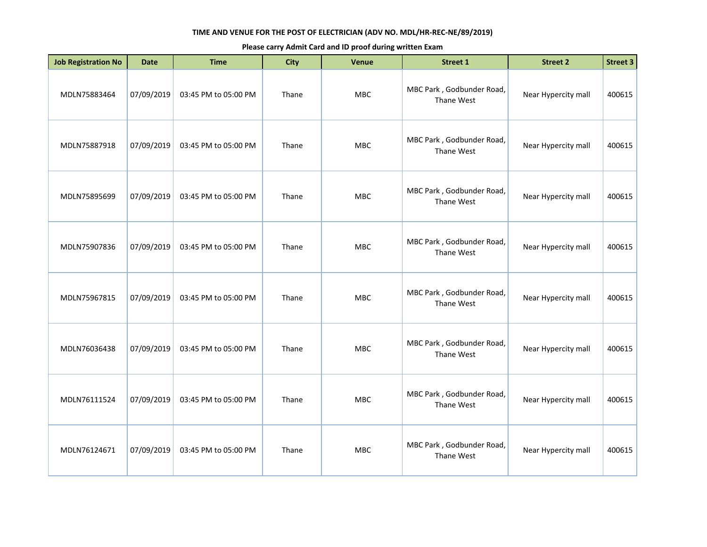| <b>Job Registration No</b> | <b>Date</b> | <b>Time</b>          | <b>City</b> | <b>Venue</b> | <b>Street 1</b>                         | <b>Street 2</b>     | <b>Street 3</b> |
|----------------------------|-------------|----------------------|-------------|--------------|-----------------------------------------|---------------------|-----------------|
| MDLN75883464               | 07/09/2019  | 03:45 PM to 05:00 PM | Thane       | MBC          | MBC Park, Godbunder Road,<br>Thane West | Near Hypercity mall | 400615          |
| MDLN75887918               | 07/09/2019  | 03:45 PM to 05:00 PM | Thane       | <b>MBC</b>   | MBC Park, Godbunder Road,<br>Thane West | Near Hypercity mall | 400615          |
| MDLN75895699               | 07/09/2019  | 03:45 PM to 05:00 PM | Thane       | MBC          | MBC Park, Godbunder Road,<br>Thane West | Near Hypercity mall | 400615          |
| MDLN75907836               | 07/09/2019  | 03:45 PM to 05:00 PM | Thane       | MBC          | MBC Park, Godbunder Road,<br>Thane West | Near Hypercity mall | 400615          |
| MDLN75967815               | 07/09/2019  | 03:45 PM to 05:00 PM | Thane       | <b>MBC</b>   | MBC Park, Godbunder Road,<br>Thane West | Near Hypercity mall | 400615          |
| MDLN76036438               | 07/09/2019  | 03:45 PM to 05:00 PM | Thane       | <b>MBC</b>   | MBC Park, Godbunder Road,<br>Thane West | Near Hypercity mall | 400615          |
| MDLN76111524               | 07/09/2019  | 03:45 PM to 05:00 PM | Thane       | <b>MBC</b>   | MBC Park, Godbunder Road,<br>Thane West | Near Hypercity mall | 400615          |
| MDLN76124671               | 07/09/2019  | 03:45 PM to 05:00 PM | Thane       | MBC          | MBC Park, Godbunder Road,<br>Thane West | Near Hypercity mall | 400615          |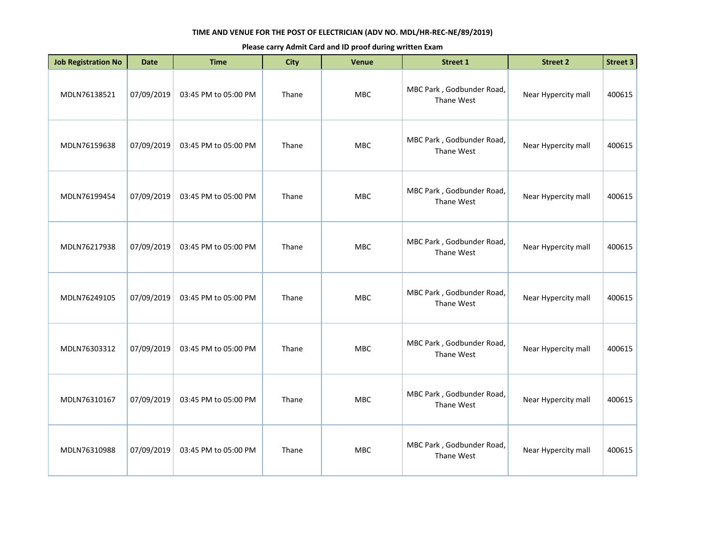| <b>Job Registration No</b> | <b>Date</b> | <b>Time</b>          | <b>City</b> | Venue      | Street 1                                | <b>Street 2</b>     | <b>Street 3</b> |
|----------------------------|-------------|----------------------|-------------|------------|-----------------------------------------|---------------------|-----------------|
| MDLN76138521               | 07/09/2019  | 03:45 PM to 05:00 PM | Thane       | <b>MBC</b> | MBC Park, Godbunder Road,<br>Thane West | Near Hypercity mall | 400615          |
| MDLN76159638               | 07/09/2019  | 03:45 PM to 05:00 PM | Thane       | MBC        | MBC Park, Godbunder Road,<br>Thane West | Near Hypercity mall | 400615          |
| MDLN76199454               | 07/09/2019  | 03:45 PM to 05:00 PM | Thane       | MBC        | MBC Park, Godbunder Road,<br>Thane West | Near Hypercity mall | 400615          |
| MDLN76217938               | 07/09/2019  | 03:45 PM to 05:00 PM | Thane       | <b>MBC</b> | MBC Park, Godbunder Road,<br>Thane West | Near Hypercity mall | 400615          |
| MDLN76249105               | 07/09/2019  | 03:45 PM to 05:00 PM | Thane       | <b>MBC</b> | MBC Park, Godbunder Road,<br>Thane West | Near Hypercity mall | 400615          |
| MDLN76303312               | 07/09/2019  | 03:45 PM to 05:00 PM | Thane       | MBC        | MBC Park, Godbunder Road,<br>Thane West | Near Hypercity mall | 400615          |
| MDLN76310167               | 07/09/2019  | 03:45 PM to 05:00 PM | Thane       | <b>MBC</b> | MBC Park, Godbunder Road,<br>Thane West | Near Hypercity mall | 400615          |
| MDLN76310988               | 07/09/2019  | 03:45 PM to 05:00 PM | Thane       | MBC        | MBC Park, Godbunder Road,<br>Thane West | Near Hypercity mall | 400615          |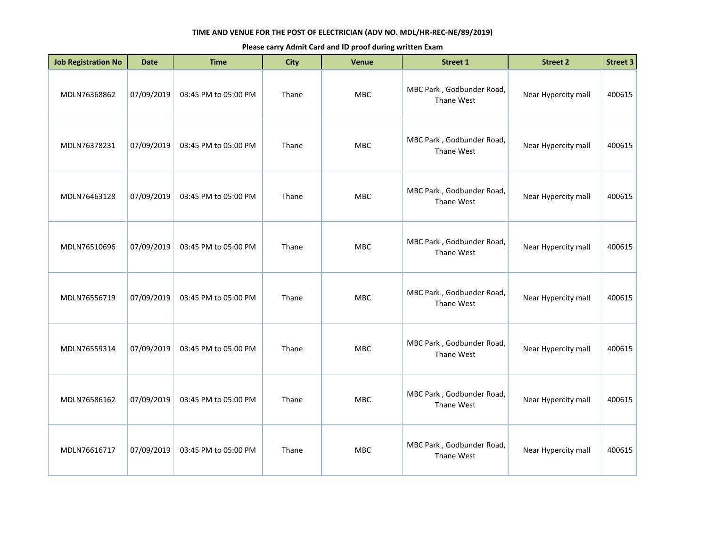| <b>Job Registration No</b> | <b>Date</b> | <b>Time</b>          | <b>City</b> | <b>Venue</b> | <b>Street 1</b>                         | <b>Street 2</b>     | <b>Street 3</b> |
|----------------------------|-------------|----------------------|-------------|--------------|-----------------------------------------|---------------------|-----------------|
| MDLN76368862               | 07/09/2019  | 03:45 PM to 05:00 PM | Thane       | MBC          | MBC Park, Godbunder Road,<br>Thane West | Near Hypercity mall | 400615          |
| MDLN76378231               | 07/09/2019  | 03:45 PM to 05:00 PM | Thane       | <b>MBC</b>   | MBC Park, Godbunder Road,<br>Thane West | Near Hypercity mall | 400615          |
| MDLN76463128               | 07/09/2019  | 03:45 PM to 05:00 PM | Thane       | MBC          | MBC Park, Godbunder Road,<br>Thane West | Near Hypercity mall | 400615          |
| MDLN76510696               | 07/09/2019  | 03:45 PM to 05:00 PM | Thane       | MBC          | MBC Park, Godbunder Road,<br>Thane West | Near Hypercity mall | 400615          |
| MDLN76556719               | 07/09/2019  | 03:45 PM to 05:00 PM | Thane       | <b>MBC</b>   | MBC Park, Godbunder Road,<br>Thane West | Near Hypercity mall | 400615          |
| MDLN76559314               | 07/09/2019  | 03:45 PM to 05:00 PM | Thane       | <b>MBC</b>   | MBC Park, Godbunder Road,<br>Thane West | Near Hypercity mall | 400615          |
| MDLN76586162               | 07/09/2019  | 03:45 PM to 05:00 PM | Thane       | <b>MBC</b>   | MBC Park, Godbunder Road,<br>Thane West | Near Hypercity mall | 400615          |
| MDLN76616717               | 07/09/2019  | 03:45 PM to 05:00 PM | Thane       | <b>MBC</b>   | MBC Park, Godbunder Road,<br>Thane West | Near Hypercity mall | 400615          |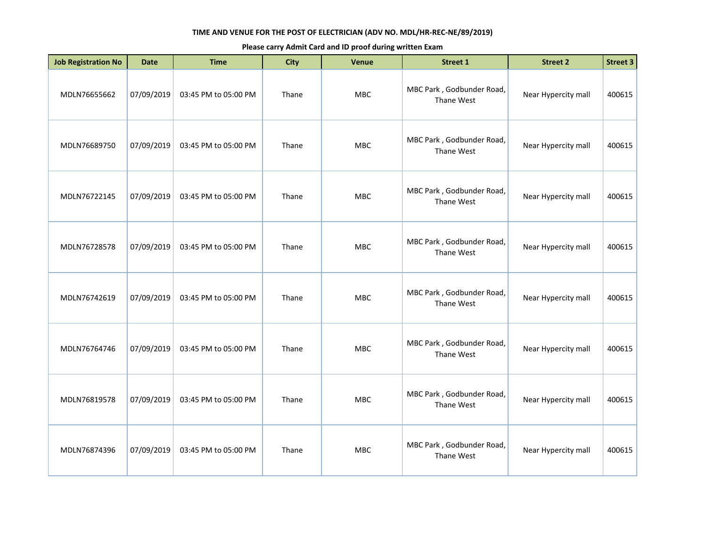| <b>Job Registration No</b> | <b>Date</b> | <b>Time</b>          | <b>City</b> | <b>Venue</b> | <b>Street 1</b>                         | <b>Street 2</b>     | <b>Street 3</b> |
|----------------------------|-------------|----------------------|-------------|--------------|-----------------------------------------|---------------------|-----------------|
| MDLN76655662               | 07/09/2019  | 03:45 PM to 05:00 PM | Thane       | MBC          | MBC Park, Godbunder Road,<br>Thane West | Near Hypercity mall | 400615          |
| MDLN76689750               | 07/09/2019  | 03:45 PM to 05:00 PM | Thane       | <b>MBC</b>   | MBC Park, Godbunder Road,<br>Thane West | Near Hypercity mall | 400615          |
| MDLN76722145               | 07/09/2019  | 03:45 PM to 05:00 PM | Thane       | MBC          | MBC Park, Godbunder Road,<br>Thane West | Near Hypercity mall | 400615          |
| MDLN76728578               | 07/09/2019  | 03:45 PM to 05:00 PM | Thane       | MBC          | MBC Park, Godbunder Road,<br>Thane West | Near Hypercity mall | 400615          |
| MDLN76742619               | 07/09/2019  | 03:45 PM to 05:00 PM | Thane       | MBC          | MBC Park, Godbunder Road,<br>Thane West | Near Hypercity mall | 400615          |
| MDLN76764746               | 07/09/2019  | 03:45 PM to 05:00 PM | Thane       | <b>MBC</b>   | MBC Park, Godbunder Road,<br>Thane West | Near Hypercity mall | 400615          |
| MDLN76819578               | 07/09/2019  | 03:45 PM to 05:00 PM | Thane       | MBC          | MBC Park, Godbunder Road,<br>Thane West | Near Hypercity mall | 400615          |
| MDLN76874396               | 07/09/2019  | 03:45 PM to 05:00 PM | Thane       | <b>MBC</b>   | MBC Park, Godbunder Road,<br>Thane West | Near Hypercity mall | 400615          |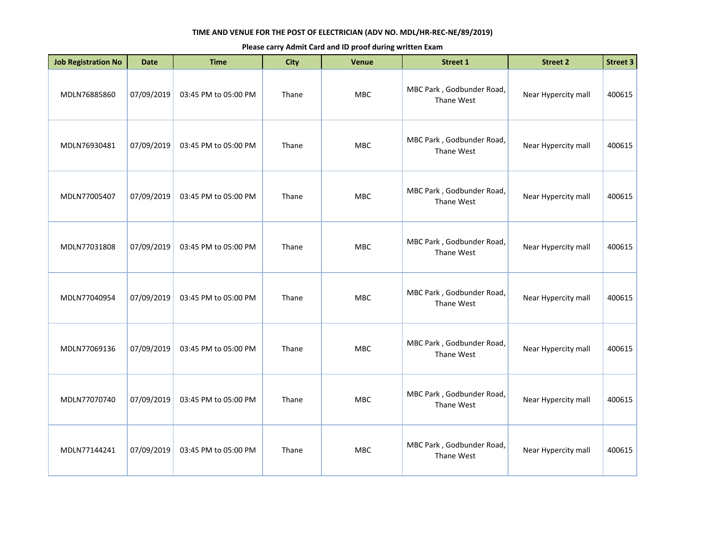| <b>Job Registration No</b> | <b>Date</b> | <b>Time</b>          | <b>City</b> | <b>Venue</b> | Street 1                                | <b>Street 2</b>     | <b>Street 3</b> |
|----------------------------|-------------|----------------------|-------------|--------------|-----------------------------------------|---------------------|-----------------|
| MDLN76885860               | 07/09/2019  | 03:45 PM to 05:00 PM | Thane       | <b>MBC</b>   | MBC Park, Godbunder Road,<br>Thane West | Near Hypercity mall | 400615          |
| MDLN76930481               | 07/09/2019  | 03:45 PM to 05:00 PM | Thane       | <b>MBC</b>   | MBC Park, Godbunder Road,<br>Thane West | Near Hypercity mall | 400615          |
| MDLN77005407               | 07/09/2019  | 03:45 PM to 05:00 PM | Thane       | MBC          | MBC Park, Godbunder Road,<br>Thane West | Near Hypercity mall | 400615          |
| MDLN77031808               | 07/09/2019  | 03:45 PM to 05:00 PM | Thane       | <b>MBC</b>   | MBC Park, Godbunder Road,<br>Thane West | Near Hypercity mall | 400615          |
| MDLN77040954               | 07/09/2019  | 03:45 PM to 05:00 PM | Thane       | MBC          | MBC Park, Godbunder Road,<br>Thane West | Near Hypercity mall | 400615          |
| MDLN77069136               | 07/09/2019  | 03:45 PM to 05:00 PM | Thane       | <b>MBC</b>   | MBC Park, Godbunder Road,<br>Thane West | Near Hypercity mall | 400615          |
| MDLN77070740               | 07/09/2019  | 03:45 PM to 05:00 PM | Thane       | <b>MBC</b>   | MBC Park, Godbunder Road,<br>Thane West | Near Hypercity mall | 400615          |
| MDLN77144241               | 07/09/2019  | 03:45 PM to 05:00 PM | Thane       | <b>MBC</b>   | MBC Park, Godbunder Road,<br>Thane West | Near Hypercity mall | 400615          |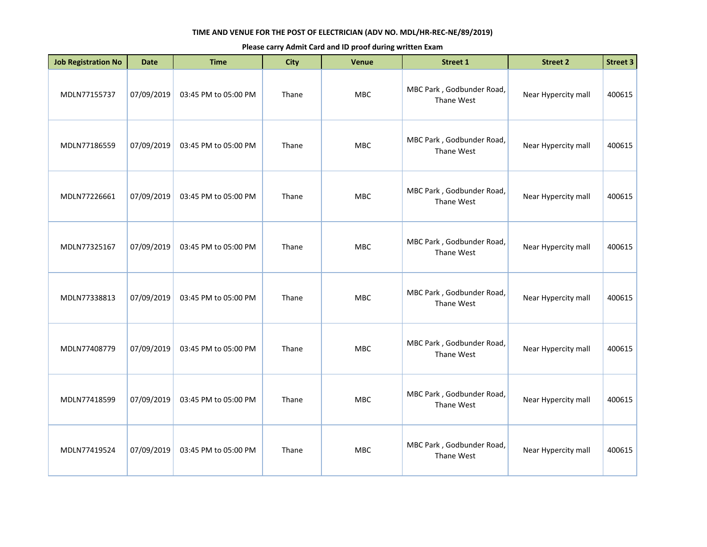| <b>Job Registration No</b> | <b>Date</b> | <b>Time</b>          | <b>City</b> | Venue      | Street 1                                | <b>Street 2</b>     | <b>Street 3</b> |
|----------------------------|-------------|----------------------|-------------|------------|-----------------------------------------|---------------------|-----------------|
| MDLN77155737               | 07/09/2019  | 03:45 PM to 05:00 PM | Thane       | <b>MBC</b> | MBC Park, Godbunder Road,<br>Thane West | Near Hypercity mall | 400615          |
| MDLN77186559               | 07/09/2019  | 03:45 PM to 05:00 PM | Thane       | MBC        | MBC Park, Godbunder Road,<br>Thane West | Near Hypercity mall | 400615          |
| MDLN77226661               | 07/09/2019  | 03:45 PM to 05:00 PM | Thane       | MBC        | MBC Park, Godbunder Road,<br>Thane West | Near Hypercity mall | 400615          |
| MDLN77325167               | 07/09/2019  | 03:45 PM to 05:00 PM | Thane       | <b>MBC</b> | MBC Park, Godbunder Road,<br>Thane West | Near Hypercity mall | 400615          |
| MDLN77338813               | 07/09/2019  | 03:45 PM to 05:00 PM | Thane       | <b>MBC</b> | MBC Park, Godbunder Road,<br>Thane West | Near Hypercity mall | 400615          |
| MDLN77408779               | 07/09/2019  | 03:45 PM to 05:00 PM | Thane       | MBC        | MBC Park, Godbunder Road,<br>Thane West | Near Hypercity mall | 400615          |
| MDLN77418599               | 07/09/2019  | 03:45 PM to 05:00 PM | Thane       | <b>MBC</b> | MBC Park, Godbunder Road,<br>Thane West | Near Hypercity mall | 400615          |
| MDLN77419524               | 07/09/2019  | 03:45 PM to 05:00 PM | Thane       | MBC        | MBC Park, Godbunder Road,<br>Thane West | Near Hypercity mall | 400615          |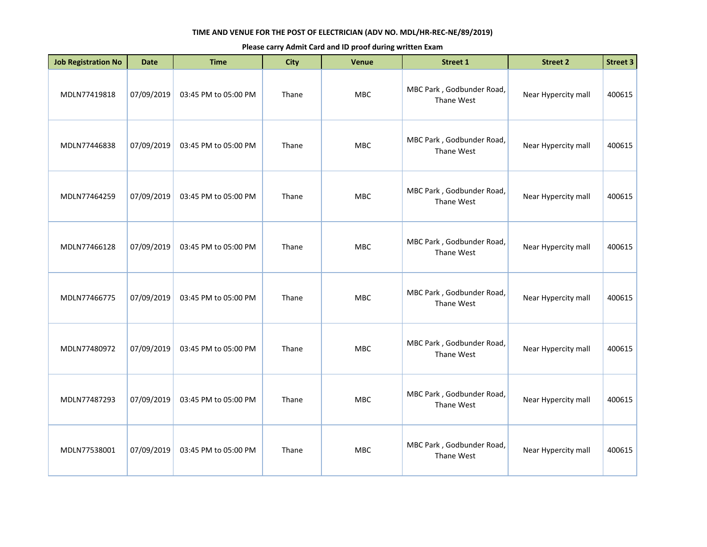| <b>Job Registration No</b> | <b>Date</b> | <b>Time</b>          | <b>City</b> | Venue      | <b>Street 1</b>                         | <b>Street 2</b>     | <b>Street 3</b> |
|----------------------------|-------------|----------------------|-------------|------------|-----------------------------------------|---------------------|-----------------|
| MDLN77419818               | 07/09/2019  | 03:45 PM to 05:00 PM | Thane       | MBC        | MBC Park, Godbunder Road,<br>Thane West | Near Hypercity mall | 400615          |
| MDLN77446838               | 07/09/2019  | 03:45 PM to 05:00 PM | Thane       | MBC        | MBC Park, Godbunder Road,<br>Thane West | Near Hypercity mall | 400615          |
| MDLN77464259               | 07/09/2019  | 03:45 PM to 05:00 PM | Thane       | <b>MBC</b> | MBC Park, Godbunder Road,<br>Thane West | Near Hypercity mall | 400615          |
| MDLN77466128               | 07/09/2019  | 03:45 PM to 05:00 PM | Thane       | MBC        | MBC Park, Godbunder Road,<br>Thane West | Near Hypercity mall | 400615          |
| MDLN77466775               | 07/09/2019  | 03:45 PM to 05:00 PM | Thane       | <b>MBC</b> | MBC Park, Godbunder Road,<br>Thane West | Near Hypercity mall | 400615          |
| MDLN77480972               | 07/09/2019  | 03:45 PM to 05:00 PM | Thane       | <b>MBC</b> | MBC Park, Godbunder Road,<br>Thane West | Near Hypercity mall | 400615          |
| MDLN77487293               | 07/09/2019  | 03:45 PM to 05:00 PM | Thane       | <b>MBC</b> | MBC Park, Godbunder Road,<br>Thane West | Near Hypercity mall | 400615          |
| MDLN77538001               | 07/09/2019  | 03:45 PM to 05:00 PM | Thane       | MBC        | MBC Park, Godbunder Road,<br>Thane West | Near Hypercity mall | 400615          |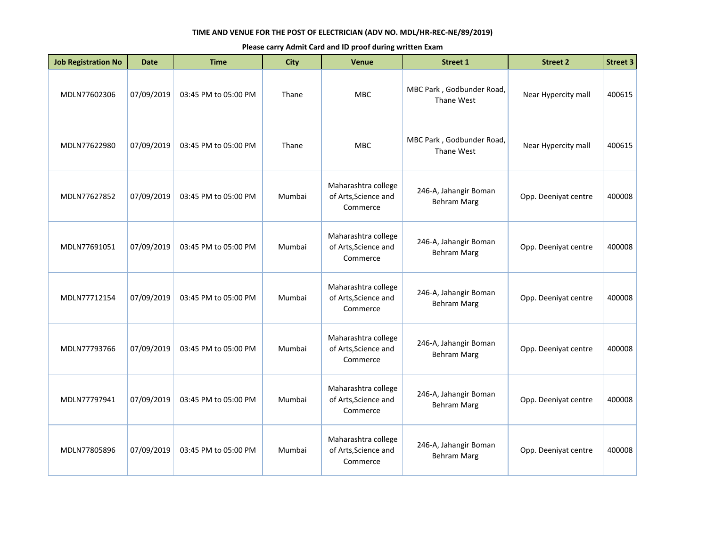| <b>Job Registration No</b> | <b>Date</b> | <b>Time</b>          | <b>City</b> | <b>Venue</b>                                            | <b>Street 1</b>                             | <b>Street 2</b>      | <b>Street 3</b> |
|----------------------------|-------------|----------------------|-------------|---------------------------------------------------------|---------------------------------------------|----------------------|-----------------|
| MDLN77602306               | 07/09/2019  | 03:45 PM to 05:00 PM | Thane       | <b>MBC</b>                                              | MBC Park, Godbunder Road,<br>Thane West     | Near Hypercity mall  | 400615          |
| MDLN77622980               | 07/09/2019  | 03:45 PM to 05:00 PM | Thane       | <b>MBC</b>                                              | MBC Park, Godbunder Road,<br>Thane West     | Near Hypercity mall  | 400615          |
| MDLN77627852               | 07/09/2019  | 03:45 PM to 05:00 PM | Mumbai      | Maharashtra college<br>of Arts, Science and<br>Commerce | 246-A, Jahangir Boman<br><b>Behram Marg</b> | Opp. Deeniyat centre | 400008          |
| MDLN77691051               | 07/09/2019  | 03:45 PM to 05:00 PM | Mumbai      | Maharashtra college<br>of Arts, Science and<br>Commerce | 246-A, Jahangir Boman<br><b>Behram Marg</b> | Opp. Deeniyat centre | 400008          |
| MDLN77712154               | 07/09/2019  | 03:45 PM to 05:00 PM | Mumbai      | Maharashtra college<br>of Arts, Science and<br>Commerce | 246-A, Jahangir Boman<br><b>Behram Marg</b> | Opp. Deeniyat centre | 400008          |
| MDLN77793766               | 07/09/2019  | 03:45 PM to 05:00 PM | Mumbai      | Maharashtra college<br>of Arts, Science and<br>Commerce | 246-A, Jahangir Boman<br><b>Behram Marg</b> | Opp. Deeniyat centre | 400008          |
| MDLN77797941               | 07/09/2019  | 03:45 PM to 05:00 PM | Mumbai      | Maharashtra college<br>of Arts, Science and<br>Commerce | 246-A, Jahangir Boman<br><b>Behram Marg</b> | Opp. Deeniyat centre | 400008          |
| MDLN77805896               | 07/09/2019  | 03:45 PM to 05:00 PM | Mumbai      | Maharashtra college<br>of Arts, Science and<br>Commerce | 246-A, Jahangir Boman<br><b>Behram Marg</b> | Opp. Deeniyat centre | 400008          |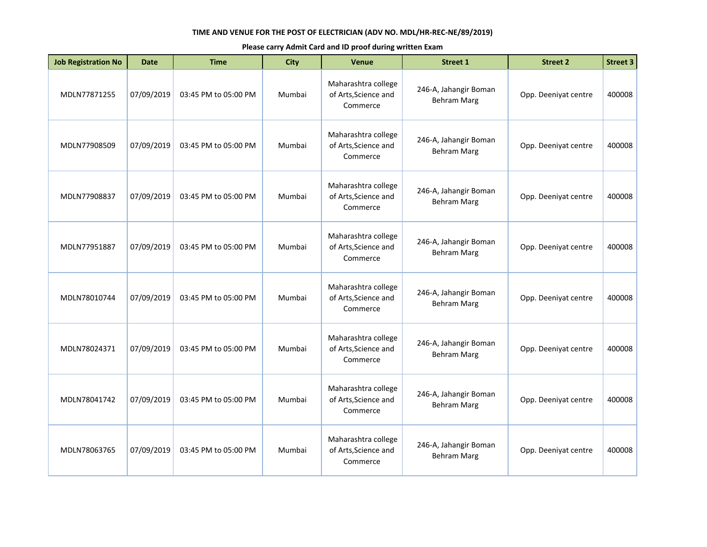| <b>Job Registration No</b> | <b>Date</b> | <b>Time</b>          | City   | <b>Venue</b>                                            | <b>Street 1</b>                             | <b>Street 2</b>      | <b>Street 3</b> |
|----------------------------|-------------|----------------------|--------|---------------------------------------------------------|---------------------------------------------|----------------------|-----------------|
| MDLN77871255               | 07/09/2019  | 03:45 PM to 05:00 PM | Mumbai | Maharashtra college<br>of Arts, Science and<br>Commerce | 246-A, Jahangir Boman<br><b>Behram Marg</b> | Opp. Deeniyat centre | 400008          |
| MDLN77908509               | 07/09/2019  | 03:45 PM to 05:00 PM | Mumbai | Maharashtra college<br>of Arts, Science and<br>Commerce | 246-A, Jahangir Boman<br><b>Behram Marg</b> | Opp. Deeniyat centre | 400008          |
| MDLN77908837               | 07/09/2019  | 03:45 PM to 05:00 PM | Mumbai | Maharashtra college<br>of Arts, Science and<br>Commerce | 246-A, Jahangir Boman<br><b>Behram Marg</b> | Opp. Deeniyat centre | 400008          |
| MDLN77951887               | 07/09/2019  | 03:45 PM to 05:00 PM | Mumbai | Maharashtra college<br>of Arts, Science and<br>Commerce | 246-A, Jahangir Boman<br><b>Behram Marg</b> | Opp. Deeniyat centre | 400008          |
| MDLN78010744               | 07/09/2019  | 03:45 PM to 05:00 PM | Mumbai | Maharashtra college<br>of Arts, Science and<br>Commerce | 246-A, Jahangir Boman<br><b>Behram Marg</b> | Opp. Deeniyat centre | 400008          |
| MDLN78024371               | 07/09/2019  | 03:45 PM to 05:00 PM | Mumbai | Maharashtra college<br>of Arts, Science and<br>Commerce | 246-A, Jahangir Boman<br><b>Behram Marg</b> | Opp. Deeniyat centre | 400008          |
| MDLN78041742               | 07/09/2019  | 03:45 PM to 05:00 PM | Mumbai | Maharashtra college<br>of Arts, Science and<br>Commerce | 246-A, Jahangir Boman<br><b>Behram Marg</b> | Opp. Deeniyat centre | 400008          |
| MDLN78063765               | 07/09/2019  | 03:45 PM to 05:00 PM | Mumbai | Maharashtra college<br>of Arts, Science and<br>Commerce | 246-A, Jahangir Boman<br><b>Behram Marg</b> | Opp. Deeniyat centre | 400008          |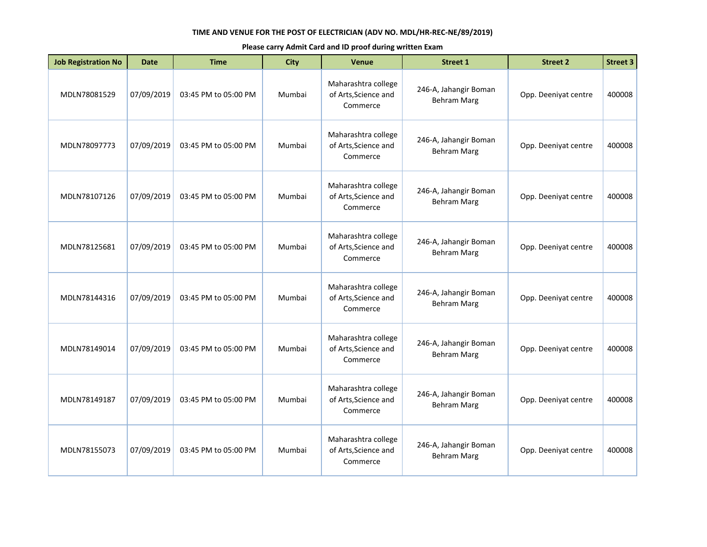| <b>Job Registration No</b> | <b>Date</b> | <b>Time</b>          | <b>City</b> | <b>Venue</b>                                            | <b>Street 1</b>                             | <b>Street 2</b>      | <b>Street 3</b> |
|----------------------------|-------------|----------------------|-------------|---------------------------------------------------------|---------------------------------------------|----------------------|-----------------|
| MDLN78081529               | 07/09/2019  | 03:45 PM to 05:00 PM | Mumbai      | Maharashtra college<br>of Arts, Science and<br>Commerce | 246-A, Jahangir Boman<br><b>Behram Marg</b> | Opp. Deeniyat centre | 400008          |
| MDLN78097773               | 07/09/2019  | 03:45 PM to 05:00 PM | Mumbai      | Maharashtra college<br>of Arts, Science and<br>Commerce | 246-A, Jahangir Boman<br><b>Behram Marg</b> | Opp. Deeniyat centre | 400008          |
| MDLN78107126               | 07/09/2019  | 03:45 PM to 05:00 PM | Mumbai      | Maharashtra college<br>of Arts, Science and<br>Commerce | 246-A, Jahangir Boman<br><b>Behram Marg</b> | Opp. Deeniyat centre | 400008          |
| MDLN78125681               | 07/09/2019  | 03:45 PM to 05:00 PM | Mumbai      | Maharashtra college<br>of Arts, Science and<br>Commerce | 246-A, Jahangir Boman<br><b>Behram Marg</b> | Opp. Deeniyat centre | 400008          |
| MDLN78144316               | 07/09/2019  | 03:45 PM to 05:00 PM | Mumbai      | Maharashtra college<br>of Arts, Science and<br>Commerce | 246-A, Jahangir Boman<br><b>Behram Marg</b> | Opp. Deeniyat centre | 400008          |
| MDLN78149014               | 07/09/2019  | 03:45 PM to 05:00 PM | Mumbai      | Maharashtra college<br>of Arts, Science and<br>Commerce | 246-A, Jahangir Boman<br><b>Behram Marg</b> | Opp. Deeniyat centre | 400008          |
| MDLN78149187               | 07/09/2019  | 03:45 PM to 05:00 PM | Mumbai      | Maharashtra college<br>of Arts, Science and<br>Commerce | 246-A, Jahangir Boman<br><b>Behram Marg</b> | Opp. Deeniyat centre | 400008          |
| MDLN78155073               | 07/09/2019  | 03:45 PM to 05:00 PM | Mumbai      | Maharashtra college<br>of Arts, Science and<br>Commerce | 246-A, Jahangir Boman<br><b>Behram Marg</b> | Opp. Deeniyat centre | 400008          |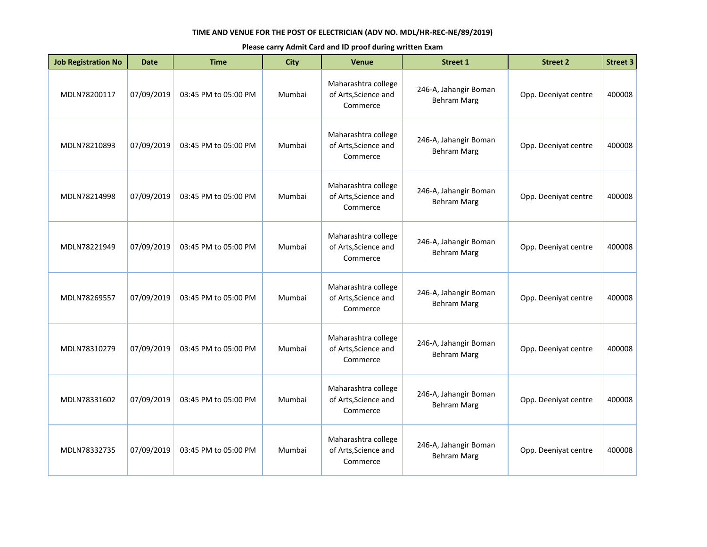| <b>Job Registration No</b> | <b>Date</b> | <b>Time</b>          | City   | <b>Venue</b>                                            | <b>Street 1</b>                             | <b>Street 2</b>      | <b>Street 3</b> |
|----------------------------|-------------|----------------------|--------|---------------------------------------------------------|---------------------------------------------|----------------------|-----------------|
| MDLN78200117               | 07/09/2019  | 03:45 PM to 05:00 PM | Mumbai | Maharashtra college<br>of Arts, Science and<br>Commerce | 246-A, Jahangir Boman<br><b>Behram Marg</b> | Opp. Deeniyat centre | 400008          |
| MDLN78210893               | 07/09/2019  | 03:45 PM to 05:00 PM | Mumbai | Maharashtra college<br>of Arts, Science and<br>Commerce | 246-A, Jahangir Boman<br><b>Behram Marg</b> | Opp. Deeniyat centre | 400008          |
| MDLN78214998               | 07/09/2019  | 03:45 PM to 05:00 PM | Mumbai | Maharashtra college<br>of Arts, Science and<br>Commerce | 246-A, Jahangir Boman<br><b>Behram Marg</b> | Opp. Deeniyat centre | 400008          |
| MDLN78221949               | 07/09/2019  | 03:45 PM to 05:00 PM | Mumbai | Maharashtra college<br>of Arts, Science and<br>Commerce | 246-A, Jahangir Boman<br><b>Behram Marg</b> | Opp. Deeniyat centre | 400008          |
| MDLN78269557               | 07/09/2019  | 03:45 PM to 05:00 PM | Mumbai | Maharashtra college<br>of Arts, Science and<br>Commerce | 246-A, Jahangir Boman<br><b>Behram Marg</b> | Opp. Deeniyat centre | 400008          |
| MDLN78310279               | 07/09/2019  | 03:45 PM to 05:00 PM | Mumbai | Maharashtra college<br>of Arts, Science and<br>Commerce | 246-A, Jahangir Boman<br><b>Behram Marg</b> | Opp. Deeniyat centre | 400008          |
| MDLN78331602               | 07/09/2019  | 03:45 PM to 05:00 PM | Mumbai | Maharashtra college<br>of Arts, Science and<br>Commerce | 246-A, Jahangir Boman<br><b>Behram Marg</b> | Opp. Deeniyat centre | 400008          |
| MDLN78332735               | 07/09/2019  | 03:45 PM to 05:00 PM | Mumbai | Maharashtra college<br>of Arts, Science and<br>Commerce | 246-A, Jahangir Boman<br><b>Behram Marg</b> | Opp. Deeniyat centre | 400008          |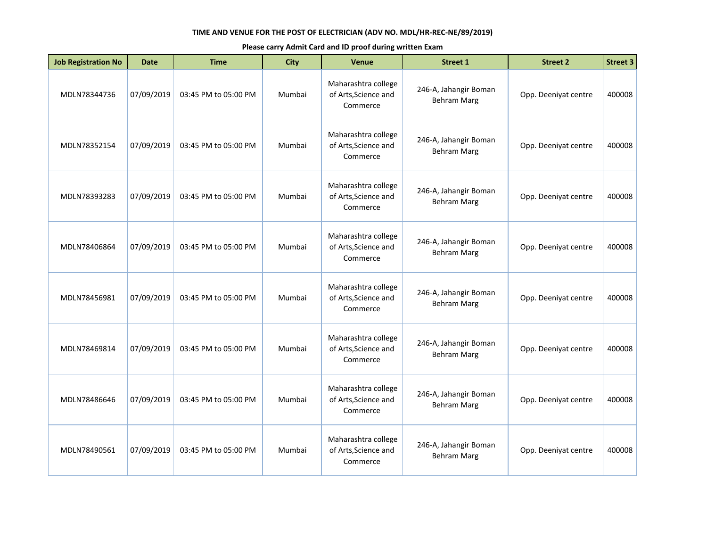| <b>Job Registration No</b> | <b>Date</b> | <b>Time</b>          | City   | <b>Venue</b>                                            | <b>Street 1</b>                             | <b>Street 2</b>      | <b>Street 3</b> |
|----------------------------|-------------|----------------------|--------|---------------------------------------------------------|---------------------------------------------|----------------------|-----------------|
| MDLN78344736               | 07/09/2019  | 03:45 PM to 05:00 PM | Mumbai | Maharashtra college<br>of Arts, Science and<br>Commerce | 246-A, Jahangir Boman<br><b>Behram Marg</b> | Opp. Deeniyat centre | 400008          |
| MDLN78352154               | 07/09/2019  | 03:45 PM to 05:00 PM | Mumbai | Maharashtra college<br>of Arts, Science and<br>Commerce | 246-A, Jahangir Boman<br><b>Behram Marg</b> | Opp. Deeniyat centre | 400008          |
| MDLN78393283               | 07/09/2019  | 03:45 PM to 05:00 PM | Mumbai | Maharashtra college<br>of Arts, Science and<br>Commerce | 246-A, Jahangir Boman<br><b>Behram Marg</b> | Opp. Deeniyat centre | 400008          |
| MDLN78406864               | 07/09/2019  | 03:45 PM to 05:00 PM | Mumbai | Maharashtra college<br>of Arts, Science and<br>Commerce | 246-A, Jahangir Boman<br><b>Behram Marg</b> | Opp. Deeniyat centre | 400008          |
| MDLN78456981               | 07/09/2019  | 03:45 PM to 05:00 PM | Mumbai | Maharashtra college<br>of Arts, Science and<br>Commerce | 246-A, Jahangir Boman<br><b>Behram Marg</b> | Opp. Deeniyat centre | 400008          |
| MDLN78469814               | 07/09/2019  | 03:45 PM to 05:00 PM | Mumbai | Maharashtra college<br>of Arts, Science and<br>Commerce | 246-A, Jahangir Boman<br><b>Behram Marg</b> | Opp. Deeniyat centre | 400008          |
| MDLN78486646               | 07/09/2019  | 03:45 PM to 05:00 PM | Mumbai | Maharashtra college<br>of Arts, Science and<br>Commerce | 246-A, Jahangir Boman<br><b>Behram Marg</b> | Opp. Deeniyat centre | 400008          |
| MDLN78490561               | 07/09/2019  | 03:45 PM to 05:00 PM | Mumbai | Maharashtra college<br>of Arts, Science and<br>Commerce | 246-A, Jahangir Boman<br><b>Behram Marg</b> | Opp. Deeniyat centre | 400008          |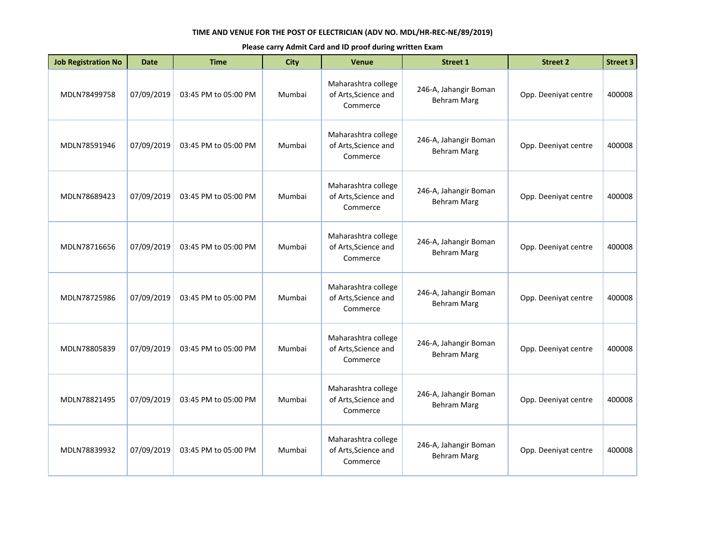| <b>Job Registration No</b> | <b>Date</b> | <b>Time</b>          | <b>City</b> | <b>Venue</b>                                            | <b>Street 1</b>                             | <b>Street 2</b>      | <b>Street 3</b> |
|----------------------------|-------------|----------------------|-------------|---------------------------------------------------------|---------------------------------------------|----------------------|-----------------|
| MDLN78499758               | 07/09/2019  | 03:45 PM to 05:00 PM | Mumbai      | Maharashtra college<br>of Arts, Science and<br>Commerce | 246-A, Jahangir Boman<br><b>Behram Marg</b> | Opp. Deeniyat centre | 400008          |
| MDLN78591946               | 07/09/2019  | 03:45 PM to 05:00 PM | Mumbai      | Maharashtra college<br>of Arts, Science and<br>Commerce | 246-A, Jahangir Boman<br><b>Behram Marg</b> | Opp. Deeniyat centre | 400008          |
| MDLN78689423               | 07/09/2019  | 03:45 PM to 05:00 PM | Mumbai      | Maharashtra college<br>of Arts, Science and<br>Commerce | 246-A, Jahangir Boman<br><b>Behram Marg</b> | Opp. Deeniyat centre | 400008          |
| MDLN78716656               | 07/09/2019  | 03:45 PM to 05:00 PM | Mumbai      | Maharashtra college<br>of Arts, Science and<br>Commerce | 246-A, Jahangir Boman<br><b>Behram Marg</b> | Opp. Deeniyat centre | 400008          |
| MDLN78725986               | 07/09/2019  | 03:45 PM to 05:00 PM | Mumbai      | Maharashtra college<br>of Arts, Science and<br>Commerce | 246-A, Jahangir Boman<br><b>Behram Marg</b> | Opp. Deeniyat centre | 400008          |
| MDLN78805839               | 07/09/2019  | 03:45 PM to 05:00 PM | Mumbai      | Maharashtra college<br>of Arts, Science and<br>Commerce | 246-A, Jahangir Boman<br><b>Behram Marg</b> | Opp. Deeniyat centre | 400008          |
| MDLN78821495               | 07/09/2019  | 03:45 PM to 05:00 PM | Mumbai      | Maharashtra college<br>of Arts, Science and<br>Commerce | 246-A, Jahangir Boman<br><b>Behram Marg</b> | Opp. Deeniyat centre | 400008          |
| MDLN78839932               | 07/09/2019  | 03:45 PM to 05:00 PM | Mumbai      | Maharashtra college<br>of Arts, Science and<br>Commerce | 246-A, Jahangir Boman<br><b>Behram Marg</b> | Opp. Deeniyat centre | 400008          |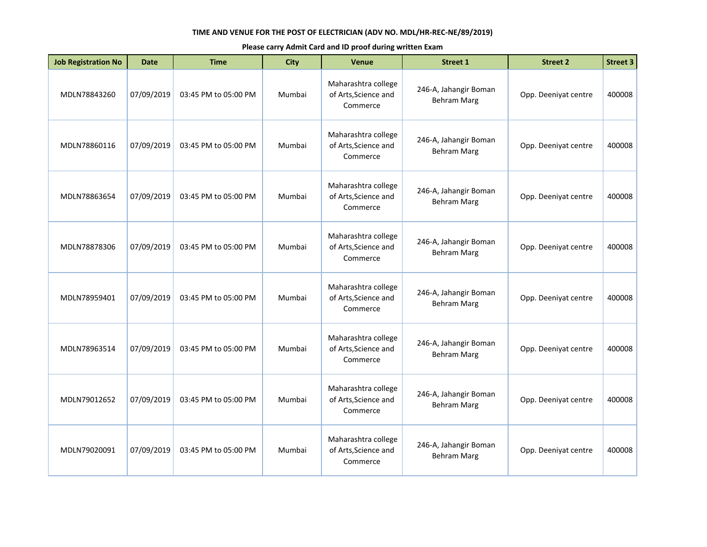| <b>Job Registration No</b> | <b>Date</b> | <b>Time</b>          | City   | <b>Venue</b>                                            | <b>Street 1</b>                             | <b>Street 2</b>      | <b>Street 3</b> |
|----------------------------|-------------|----------------------|--------|---------------------------------------------------------|---------------------------------------------|----------------------|-----------------|
| MDLN78843260               | 07/09/2019  | 03:45 PM to 05:00 PM | Mumbai | Maharashtra college<br>of Arts, Science and<br>Commerce | 246-A, Jahangir Boman<br><b>Behram Marg</b> | Opp. Deeniyat centre | 400008          |
| MDLN78860116               | 07/09/2019  | 03:45 PM to 05:00 PM | Mumbai | Maharashtra college<br>of Arts, Science and<br>Commerce | 246-A, Jahangir Boman<br><b>Behram Marg</b> | Opp. Deeniyat centre | 400008          |
| MDLN78863654               | 07/09/2019  | 03:45 PM to 05:00 PM | Mumbai | Maharashtra college<br>of Arts, Science and<br>Commerce | 246-A, Jahangir Boman<br><b>Behram Marg</b> | Opp. Deeniyat centre | 400008          |
| MDLN78878306               | 07/09/2019  | 03:45 PM to 05:00 PM | Mumbai | Maharashtra college<br>of Arts, Science and<br>Commerce | 246-A, Jahangir Boman<br><b>Behram Marg</b> | Opp. Deeniyat centre | 400008          |
| MDLN78959401               | 07/09/2019  | 03:45 PM to 05:00 PM | Mumbai | Maharashtra college<br>of Arts, Science and<br>Commerce | 246-A, Jahangir Boman<br><b>Behram Marg</b> | Opp. Deeniyat centre | 400008          |
| MDLN78963514               | 07/09/2019  | 03:45 PM to 05:00 PM | Mumbai | Maharashtra college<br>of Arts, Science and<br>Commerce | 246-A, Jahangir Boman<br><b>Behram Marg</b> | Opp. Deeniyat centre | 400008          |
| MDLN79012652               | 07/09/2019  | 03:45 PM to 05:00 PM | Mumbai | Maharashtra college<br>of Arts, Science and<br>Commerce | 246-A, Jahangir Boman<br><b>Behram Marg</b> | Opp. Deeniyat centre | 400008          |
| MDLN79020091               | 07/09/2019  | 03:45 PM to 05:00 PM | Mumbai | Maharashtra college<br>of Arts, Science and<br>Commerce | 246-A, Jahangir Boman<br><b>Behram Marg</b> | Opp. Deeniyat centre | 400008          |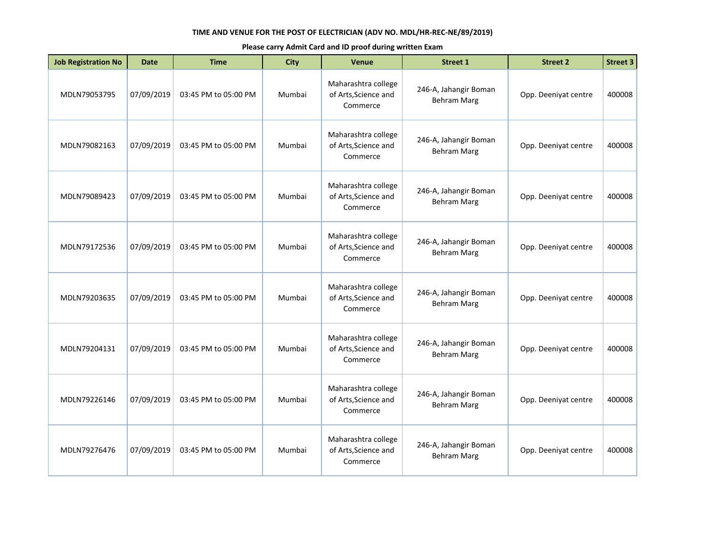| <b>Job Registration No</b> | <b>Date</b> | <b>Time</b>          | City   | <b>Venue</b>                                            | <b>Street 1</b>                             | <b>Street 2</b>      | <b>Street 3</b> |
|----------------------------|-------------|----------------------|--------|---------------------------------------------------------|---------------------------------------------|----------------------|-----------------|
| MDLN79053795               | 07/09/2019  | 03:45 PM to 05:00 PM | Mumbai | Maharashtra college<br>of Arts, Science and<br>Commerce | 246-A, Jahangir Boman<br><b>Behram Marg</b> | Opp. Deeniyat centre | 400008          |
| MDLN79082163               | 07/09/2019  | 03:45 PM to 05:00 PM | Mumbai | Maharashtra college<br>of Arts, Science and<br>Commerce | 246-A, Jahangir Boman<br><b>Behram Marg</b> | Opp. Deeniyat centre | 400008          |
| MDLN79089423               | 07/09/2019  | 03:45 PM to 05:00 PM | Mumbai | Maharashtra college<br>of Arts, Science and<br>Commerce | 246-A, Jahangir Boman<br><b>Behram Marg</b> | Opp. Deeniyat centre | 400008          |
| MDLN79172536               | 07/09/2019  | 03:45 PM to 05:00 PM | Mumbai | Maharashtra college<br>of Arts, Science and<br>Commerce | 246-A, Jahangir Boman<br><b>Behram Marg</b> | Opp. Deeniyat centre | 400008          |
| MDLN79203635               | 07/09/2019  | 03:45 PM to 05:00 PM | Mumbai | Maharashtra college<br>of Arts, Science and<br>Commerce | 246-A, Jahangir Boman<br><b>Behram Marg</b> | Opp. Deeniyat centre | 400008          |
| MDLN79204131               | 07/09/2019  | 03:45 PM to 05:00 PM | Mumbai | Maharashtra college<br>of Arts, Science and<br>Commerce | 246-A, Jahangir Boman<br><b>Behram Marg</b> | Opp. Deeniyat centre | 400008          |
| MDLN79226146               | 07/09/2019  | 03:45 PM to 05:00 PM | Mumbai | Maharashtra college<br>of Arts, Science and<br>Commerce | 246-A, Jahangir Boman<br><b>Behram Marg</b> | Opp. Deeniyat centre | 400008          |
| MDLN79276476               | 07/09/2019  | 03:45 PM to 05:00 PM | Mumbai | Maharashtra college<br>of Arts, Science and<br>Commerce | 246-A, Jahangir Boman<br><b>Behram Marg</b> | Opp. Deeniyat centre | 400008          |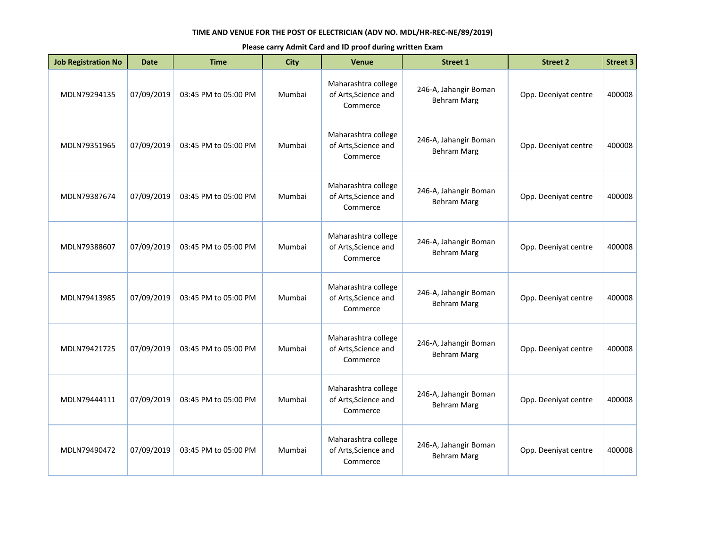| <b>Job Registration No</b> | <b>Date</b> | <b>Time</b>          | <b>City</b> | <b>Venue</b>                                            | <b>Street 1</b>                             | <b>Street 2</b>      | <b>Street 3</b> |
|----------------------------|-------------|----------------------|-------------|---------------------------------------------------------|---------------------------------------------|----------------------|-----------------|
| MDLN79294135               | 07/09/2019  | 03:45 PM to 05:00 PM | Mumbai      | Maharashtra college<br>of Arts, Science and<br>Commerce | 246-A, Jahangir Boman<br><b>Behram Marg</b> | Opp. Deeniyat centre | 400008          |
| MDLN79351965               | 07/09/2019  | 03:45 PM to 05:00 PM | Mumbai      | Maharashtra college<br>of Arts, Science and<br>Commerce | 246-A, Jahangir Boman<br><b>Behram Marg</b> | Opp. Deeniyat centre | 400008          |
| MDLN79387674               | 07/09/2019  | 03:45 PM to 05:00 PM | Mumbai      | Maharashtra college<br>of Arts, Science and<br>Commerce | 246-A, Jahangir Boman<br><b>Behram Marg</b> | Opp. Deeniyat centre | 400008          |
| MDLN79388607               | 07/09/2019  | 03:45 PM to 05:00 PM | Mumbai      | Maharashtra college<br>of Arts, Science and<br>Commerce | 246-A, Jahangir Boman<br><b>Behram Marg</b> | Opp. Deeniyat centre | 400008          |
| MDLN79413985               | 07/09/2019  | 03:45 PM to 05:00 PM | Mumbai      | Maharashtra college<br>of Arts, Science and<br>Commerce | 246-A, Jahangir Boman<br><b>Behram Marg</b> | Opp. Deeniyat centre | 400008          |
| MDLN79421725               | 07/09/2019  | 03:45 PM to 05:00 PM | Mumbai      | Maharashtra college<br>of Arts, Science and<br>Commerce | 246-A, Jahangir Boman<br><b>Behram Marg</b> | Opp. Deeniyat centre | 400008          |
| MDLN79444111               | 07/09/2019  | 03:45 PM to 05:00 PM | Mumbai      | Maharashtra college<br>of Arts, Science and<br>Commerce | 246-A, Jahangir Boman<br><b>Behram Marg</b> | Opp. Deeniyat centre | 400008          |
| MDLN79490472               | 07/09/2019  | 03:45 PM to 05:00 PM | Mumbai      | Maharashtra college<br>of Arts, Science and<br>Commerce | 246-A, Jahangir Boman<br><b>Behram Marg</b> | Opp. Deeniyat centre | 400008          |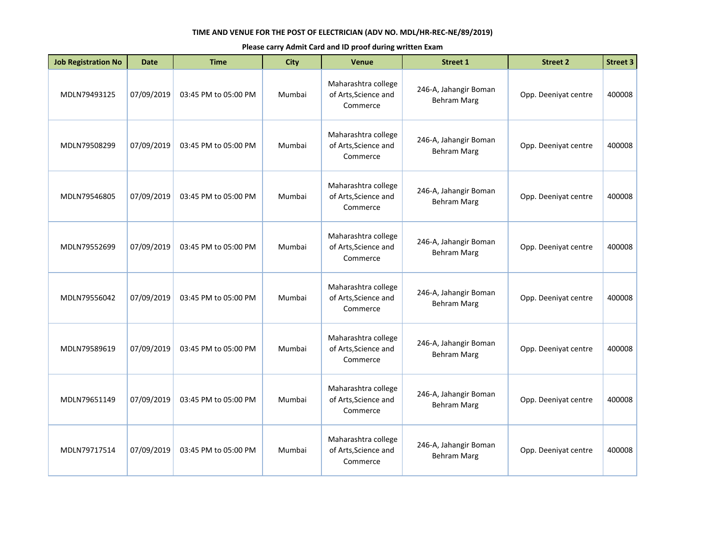| <b>Job Registration No</b> | <b>Date</b> | <b>Time</b>          | City   | <b>Venue</b>                                            | <b>Street 1</b>                             | <b>Street 2</b>      | <b>Street 3</b> |
|----------------------------|-------------|----------------------|--------|---------------------------------------------------------|---------------------------------------------|----------------------|-----------------|
| MDLN79493125               | 07/09/2019  | 03:45 PM to 05:00 PM | Mumbai | Maharashtra college<br>of Arts, Science and<br>Commerce | 246-A, Jahangir Boman<br><b>Behram Marg</b> | Opp. Deeniyat centre | 400008          |
| MDLN79508299               | 07/09/2019  | 03:45 PM to 05:00 PM | Mumbai | Maharashtra college<br>of Arts, Science and<br>Commerce | 246-A, Jahangir Boman<br><b>Behram Marg</b> | Opp. Deeniyat centre | 400008          |
| MDLN79546805               | 07/09/2019  | 03:45 PM to 05:00 PM | Mumbai | Maharashtra college<br>of Arts, Science and<br>Commerce | 246-A, Jahangir Boman<br><b>Behram Marg</b> | Opp. Deeniyat centre | 400008          |
| MDLN79552699               | 07/09/2019  | 03:45 PM to 05:00 PM | Mumbai | Maharashtra college<br>of Arts, Science and<br>Commerce | 246-A, Jahangir Boman<br><b>Behram Marg</b> | Opp. Deeniyat centre | 400008          |
| MDLN79556042               | 07/09/2019  | 03:45 PM to 05:00 PM | Mumbai | Maharashtra college<br>of Arts, Science and<br>Commerce | 246-A, Jahangir Boman<br><b>Behram Marg</b> | Opp. Deeniyat centre | 400008          |
| MDLN79589619               | 07/09/2019  | 03:45 PM to 05:00 PM | Mumbai | Maharashtra college<br>of Arts, Science and<br>Commerce | 246-A, Jahangir Boman<br><b>Behram Marg</b> | Opp. Deeniyat centre | 400008          |
| MDLN79651149               | 07/09/2019  | 03:45 PM to 05:00 PM | Mumbai | Maharashtra college<br>of Arts, Science and<br>Commerce | 246-A, Jahangir Boman<br><b>Behram Marg</b> | Opp. Deeniyat centre | 400008          |
| MDLN79717514               | 07/09/2019  | 03:45 PM to 05:00 PM | Mumbai | Maharashtra college<br>of Arts, Science and<br>Commerce | 246-A, Jahangir Boman<br><b>Behram Marg</b> | Opp. Deeniyat centre | 400008          |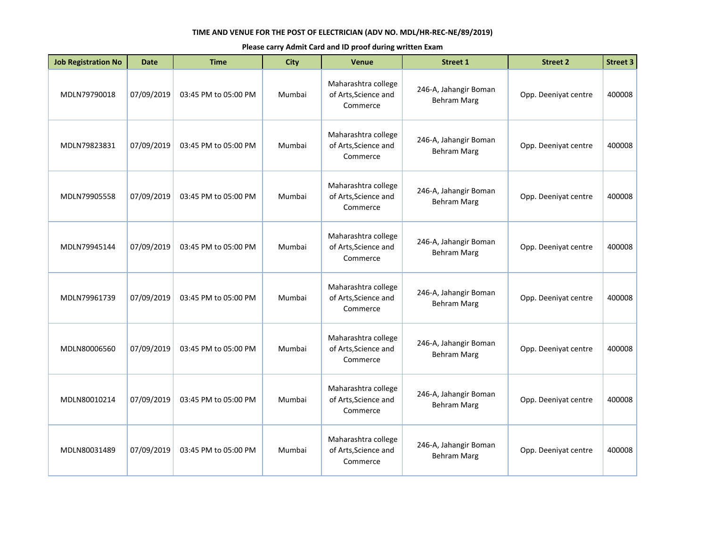| <b>Job Registration No</b> | <b>Date</b> | <b>Time</b>          | <b>City</b> | <b>Venue</b>                                            | <b>Street 1</b>                             | <b>Street 2</b>      | <b>Street 3</b> |
|----------------------------|-------------|----------------------|-------------|---------------------------------------------------------|---------------------------------------------|----------------------|-----------------|
| MDLN79790018               | 07/09/2019  | 03:45 PM to 05:00 PM | Mumbai      | Maharashtra college<br>of Arts, Science and<br>Commerce | 246-A, Jahangir Boman<br><b>Behram Marg</b> | Opp. Deeniyat centre | 400008          |
| MDLN79823831               | 07/09/2019  | 03:45 PM to 05:00 PM | Mumbai      | Maharashtra college<br>of Arts, Science and<br>Commerce | 246-A, Jahangir Boman<br><b>Behram Marg</b> | Opp. Deeniyat centre | 400008          |
| MDLN79905558               | 07/09/2019  | 03:45 PM to 05:00 PM | Mumbai      | Maharashtra college<br>of Arts, Science and<br>Commerce | 246-A, Jahangir Boman<br><b>Behram Marg</b> | Opp. Deeniyat centre | 400008          |
| MDLN79945144               | 07/09/2019  | 03:45 PM to 05:00 PM | Mumbai      | Maharashtra college<br>of Arts, Science and<br>Commerce | 246-A, Jahangir Boman<br><b>Behram Marg</b> | Opp. Deeniyat centre | 400008          |
| MDLN79961739               | 07/09/2019  | 03:45 PM to 05:00 PM | Mumbai      | Maharashtra college<br>of Arts, Science and<br>Commerce | 246-A, Jahangir Boman<br><b>Behram Marg</b> | Opp. Deeniyat centre | 400008          |
| MDLN80006560               | 07/09/2019  | 03:45 PM to 05:00 PM | Mumbai      | Maharashtra college<br>of Arts, Science and<br>Commerce | 246-A, Jahangir Boman<br><b>Behram Marg</b> | Opp. Deeniyat centre | 400008          |
| MDLN80010214               | 07/09/2019  | 03:45 PM to 05:00 PM | Mumbai      | Maharashtra college<br>of Arts, Science and<br>Commerce | 246-A, Jahangir Boman<br><b>Behram Marg</b> | Opp. Deeniyat centre | 400008          |
| MDLN80031489               | 07/09/2019  | 03:45 PM to 05:00 PM | Mumbai      | Maharashtra college<br>of Arts, Science and<br>Commerce | 246-A, Jahangir Boman<br><b>Behram Marg</b> | Opp. Deeniyat centre | 400008          |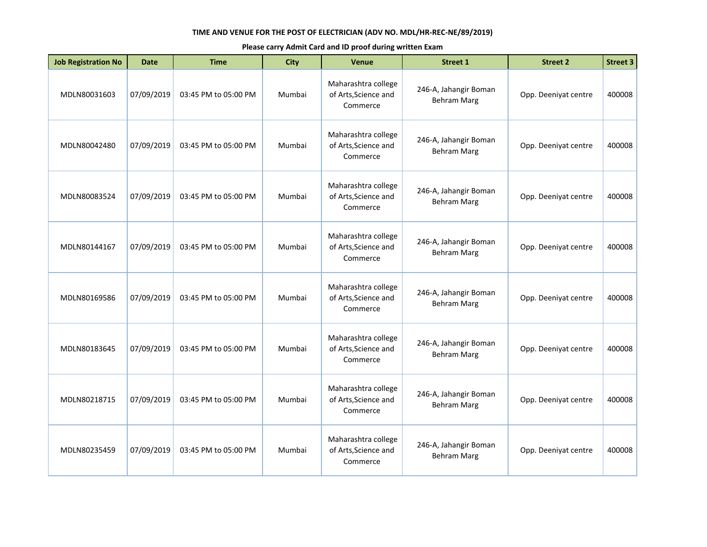| <b>Job Registration No</b> | <b>Date</b> | <b>Time</b>          | <b>City</b> | <b>Venue</b>                                            | <b>Street 1</b>                             | <b>Street 2</b>      | <b>Street 3</b> |
|----------------------------|-------------|----------------------|-------------|---------------------------------------------------------|---------------------------------------------|----------------------|-----------------|
| MDLN80031603               | 07/09/2019  | 03:45 PM to 05:00 PM | Mumbai      | Maharashtra college<br>of Arts, Science and<br>Commerce | 246-A, Jahangir Boman<br><b>Behram Marg</b> | Opp. Deeniyat centre | 400008          |
| MDLN80042480               | 07/09/2019  | 03:45 PM to 05:00 PM | Mumbai      | Maharashtra college<br>of Arts, Science and<br>Commerce | 246-A, Jahangir Boman<br><b>Behram Marg</b> | Opp. Deeniyat centre | 400008          |
| MDLN80083524               | 07/09/2019  | 03:45 PM to 05:00 PM | Mumbai      | Maharashtra college<br>of Arts, Science and<br>Commerce | 246-A, Jahangir Boman<br><b>Behram Marg</b> | Opp. Deeniyat centre | 400008          |
| MDLN80144167               | 07/09/2019  | 03:45 PM to 05:00 PM | Mumbai      | Maharashtra college<br>of Arts, Science and<br>Commerce | 246-A, Jahangir Boman<br><b>Behram Marg</b> | Opp. Deeniyat centre | 400008          |
| MDLN80169586               | 07/09/2019  | 03:45 PM to 05:00 PM | Mumbai      | Maharashtra college<br>of Arts, Science and<br>Commerce | 246-A, Jahangir Boman<br><b>Behram Marg</b> | Opp. Deeniyat centre | 400008          |
| MDLN80183645               | 07/09/2019  | 03:45 PM to 05:00 PM | Mumbai      | Maharashtra college<br>of Arts, Science and<br>Commerce | 246-A, Jahangir Boman<br><b>Behram Marg</b> | Opp. Deeniyat centre | 400008          |
| MDLN80218715               | 07/09/2019  | 03:45 PM to 05:00 PM | Mumbai      | Maharashtra college<br>of Arts, Science and<br>Commerce | 246-A, Jahangir Boman<br><b>Behram Marg</b> | Opp. Deeniyat centre | 400008          |
| MDLN80235459               | 07/09/2019  | 03:45 PM to 05:00 PM | Mumbai      | Maharashtra college<br>of Arts, Science and<br>Commerce | 246-A, Jahangir Boman<br><b>Behram Marg</b> | Opp. Deeniyat centre | 400008          |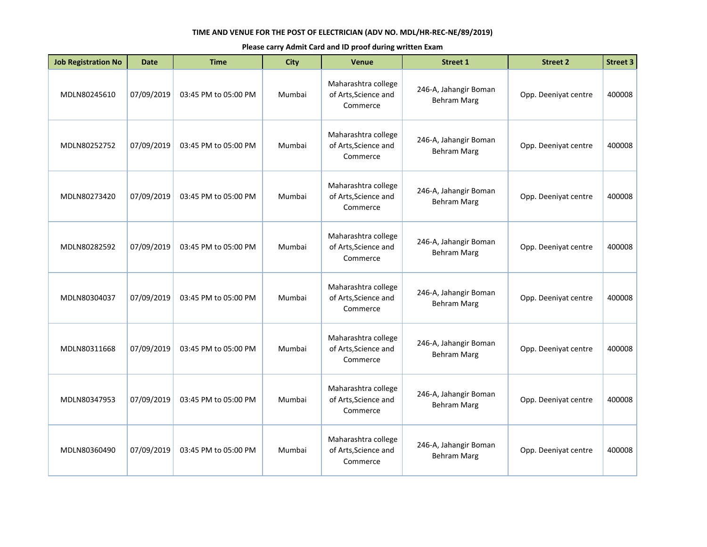| <b>Job Registration No</b> | <b>Date</b> | <b>Time</b>          | <b>City</b> | <b>Venue</b>                                            | <b>Street 1</b>                             | <b>Street 2</b>      | <b>Street 3</b> |
|----------------------------|-------------|----------------------|-------------|---------------------------------------------------------|---------------------------------------------|----------------------|-----------------|
| MDLN80245610               | 07/09/2019  | 03:45 PM to 05:00 PM | Mumbai      | Maharashtra college<br>of Arts, Science and<br>Commerce | 246-A, Jahangir Boman<br><b>Behram Marg</b> | Opp. Deeniyat centre | 400008          |
| MDLN80252752               | 07/09/2019  | 03:45 PM to 05:00 PM | Mumbai      | Maharashtra college<br>of Arts, Science and<br>Commerce | 246-A, Jahangir Boman<br><b>Behram Marg</b> | Opp. Deeniyat centre | 400008          |
| MDLN80273420               | 07/09/2019  | 03:45 PM to 05:00 PM | Mumbai      | Maharashtra college<br>of Arts, Science and<br>Commerce | 246-A, Jahangir Boman<br><b>Behram Marg</b> | Opp. Deeniyat centre | 400008          |
| MDLN80282592               | 07/09/2019  | 03:45 PM to 05:00 PM | Mumbai      | Maharashtra college<br>of Arts, Science and<br>Commerce | 246-A, Jahangir Boman<br><b>Behram Marg</b> | Opp. Deeniyat centre | 400008          |
| MDLN80304037               | 07/09/2019  | 03:45 PM to 05:00 PM | Mumbai      | Maharashtra college<br>of Arts, Science and<br>Commerce | 246-A, Jahangir Boman<br><b>Behram Marg</b> | Opp. Deeniyat centre | 400008          |
| MDLN80311668               | 07/09/2019  | 03:45 PM to 05:00 PM | Mumbai      | Maharashtra college<br>of Arts, Science and<br>Commerce | 246-A, Jahangir Boman<br><b>Behram Marg</b> | Opp. Deeniyat centre | 400008          |
| MDLN80347953               | 07/09/2019  | 03:45 PM to 05:00 PM | Mumbai      | Maharashtra college<br>of Arts, Science and<br>Commerce | 246-A, Jahangir Boman<br><b>Behram Marg</b> | Opp. Deeniyat centre | 400008          |
| MDLN80360490               | 07/09/2019  | 03:45 PM to 05:00 PM | Mumbai      | Maharashtra college<br>of Arts, Science and<br>Commerce | 246-A, Jahangir Boman<br><b>Behram Marg</b> | Opp. Deeniyat centre | 400008          |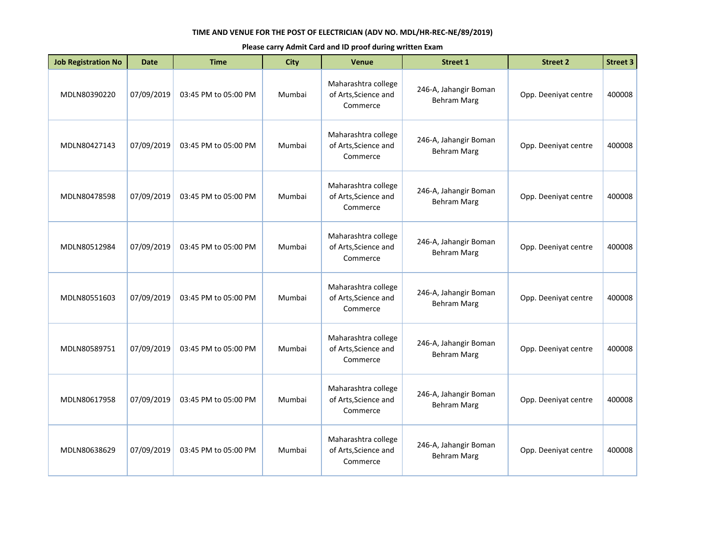| <b>Job Registration No</b> | <b>Date</b> | <b>Time</b>          | City   | <b>Venue</b>                                            | <b>Street 1</b>                             | <b>Street 2</b>      | <b>Street 3</b> |
|----------------------------|-------------|----------------------|--------|---------------------------------------------------------|---------------------------------------------|----------------------|-----------------|
| MDLN80390220               | 07/09/2019  | 03:45 PM to 05:00 PM | Mumbai | Maharashtra college<br>of Arts, Science and<br>Commerce | 246-A, Jahangir Boman<br><b>Behram Marg</b> | Opp. Deeniyat centre | 400008          |
| MDLN80427143               | 07/09/2019  | 03:45 PM to 05:00 PM | Mumbai | Maharashtra college<br>of Arts, Science and<br>Commerce | 246-A, Jahangir Boman<br><b>Behram Marg</b> | Opp. Deeniyat centre | 400008          |
| MDLN80478598               | 07/09/2019  | 03:45 PM to 05:00 PM | Mumbai | Maharashtra college<br>of Arts, Science and<br>Commerce | 246-A, Jahangir Boman<br><b>Behram Marg</b> | Opp. Deeniyat centre | 400008          |
| MDLN80512984               | 07/09/2019  | 03:45 PM to 05:00 PM | Mumbai | Maharashtra college<br>of Arts, Science and<br>Commerce | 246-A, Jahangir Boman<br><b>Behram Marg</b> | Opp. Deeniyat centre | 400008          |
| MDLN80551603               | 07/09/2019  | 03:45 PM to 05:00 PM | Mumbai | Maharashtra college<br>of Arts, Science and<br>Commerce | 246-A, Jahangir Boman<br><b>Behram Marg</b> | Opp. Deeniyat centre | 400008          |
| MDLN80589751               | 07/09/2019  | 03:45 PM to 05:00 PM | Mumbai | Maharashtra college<br>of Arts, Science and<br>Commerce | 246-A, Jahangir Boman<br><b>Behram Marg</b> | Opp. Deeniyat centre | 400008          |
| MDLN80617958               | 07/09/2019  | 03:45 PM to 05:00 PM | Mumbai | Maharashtra college<br>of Arts, Science and<br>Commerce | 246-A, Jahangir Boman<br><b>Behram Marg</b> | Opp. Deeniyat centre | 400008          |
| MDLN80638629               | 07/09/2019  | 03:45 PM to 05:00 PM | Mumbai | Maharashtra college<br>of Arts, Science and<br>Commerce | 246-A, Jahangir Boman<br><b>Behram Marg</b> | Opp. Deeniyat centre | 400008          |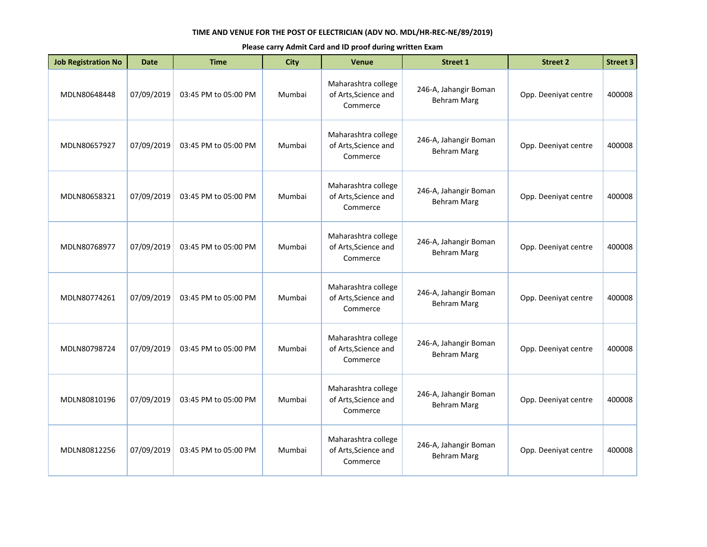| <b>Job Registration No</b> | <b>Date</b> | <b>Time</b>          | <b>City</b> | <b>Venue</b>                                            | <b>Street 1</b>                             | <b>Street 2</b>      | <b>Street 3</b> |
|----------------------------|-------------|----------------------|-------------|---------------------------------------------------------|---------------------------------------------|----------------------|-----------------|
| MDLN80648448               | 07/09/2019  | 03:45 PM to 05:00 PM | Mumbai      | Maharashtra college<br>of Arts, Science and<br>Commerce | 246-A, Jahangir Boman<br><b>Behram Marg</b> | Opp. Deeniyat centre | 400008          |
| MDLN80657927               | 07/09/2019  | 03:45 PM to 05:00 PM | Mumbai      | Maharashtra college<br>of Arts, Science and<br>Commerce | 246-A, Jahangir Boman<br><b>Behram Marg</b> | Opp. Deeniyat centre | 400008          |
| MDLN80658321               | 07/09/2019  | 03:45 PM to 05:00 PM | Mumbai      | Maharashtra college<br>of Arts, Science and<br>Commerce | 246-A, Jahangir Boman<br><b>Behram Marg</b> | Opp. Deeniyat centre | 400008          |
| MDLN80768977               | 07/09/2019  | 03:45 PM to 05:00 PM | Mumbai      | Maharashtra college<br>of Arts, Science and<br>Commerce | 246-A, Jahangir Boman<br><b>Behram Marg</b> | Opp. Deeniyat centre | 400008          |
| MDLN80774261               | 07/09/2019  | 03:45 PM to 05:00 PM | Mumbai      | Maharashtra college<br>of Arts, Science and<br>Commerce | 246-A, Jahangir Boman<br><b>Behram Marg</b> | Opp. Deeniyat centre | 400008          |
| MDLN80798724               | 07/09/2019  | 03:45 PM to 05:00 PM | Mumbai      | Maharashtra college<br>of Arts, Science and<br>Commerce | 246-A, Jahangir Boman<br><b>Behram Marg</b> | Opp. Deeniyat centre | 400008          |
| MDLN80810196               | 07/09/2019  | 03:45 PM to 05:00 PM | Mumbai      | Maharashtra college<br>of Arts, Science and<br>Commerce | 246-A, Jahangir Boman<br><b>Behram Marg</b> | Opp. Deeniyat centre | 400008          |
| MDLN80812256               | 07/09/2019  | 03:45 PM to 05:00 PM | Mumbai      | Maharashtra college<br>of Arts, Science and<br>Commerce | 246-A, Jahangir Boman<br><b>Behram Marg</b> | Opp. Deeniyat centre | 400008          |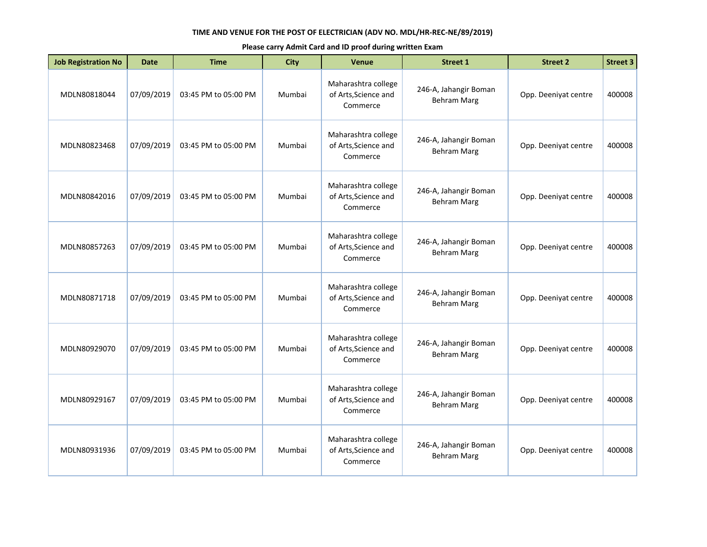| <b>Job Registration No</b> | <b>Date</b> | <b>Time</b>          | <b>City</b> | <b>Venue</b>                                            | <b>Street 1</b>                             | <b>Street 2</b>      | <b>Street 3</b> |
|----------------------------|-------------|----------------------|-------------|---------------------------------------------------------|---------------------------------------------|----------------------|-----------------|
| MDLN80818044               | 07/09/2019  | 03:45 PM to 05:00 PM | Mumbai      | Maharashtra college<br>of Arts, Science and<br>Commerce | 246-A, Jahangir Boman<br><b>Behram Marg</b> | Opp. Deeniyat centre | 400008          |
| MDLN80823468               | 07/09/2019  | 03:45 PM to 05:00 PM | Mumbai      | Maharashtra college<br>of Arts, Science and<br>Commerce | 246-A, Jahangir Boman<br><b>Behram Marg</b> | Opp. Deeniyat centre | 400008          |
| MDLN80842016               | 07/09/2019  | 03:45 PM to 05:00 PM | Mumbai      | Maharashtra college<br>of Arts, Science and<br>Commerce | 246-A, Jahangir Boman<br><b>Behram Marg</b> | Opp. Deeniyat centre | 400008          |
| MDLN80857263               | 07/09/2019  | 03:45 PM to 05:00 PM | Mumbai      | Maharashtra college<br>of Arts, Science and<br>Commerce | 246-A, Jahangir Boman<br><b>Behram Marg</b> | Opp. Deeniyat centre | 400008          |
| MDLN80871718               | 07/09/2019  | 03:45 PM to 05:00 PM | Mumbai      | Maharashtra college<br>of Arts, Science and<br>Commerce | 246-A, Jahangir Boman<br><b>Behram Marg</b> | Opp. Deeniyat centre | 400008          |
| MDLN80929070               | 07/09/2019  | 03:45 PM to 05:00 PM | Mumbai      | Maharashtra college<br>of Arts, Science and<br>Commerce | 246-A, Jahangir Boman<br><b>Behram Marg</b> | Opp. Deeniyat centre | 400008          |
| MDLN80929167               | 07/09/2019  | 03:45 PM to 05:00 PM | Mumbai      | Maharashtra college<br>of Arts, Science and<br>Commerce | 246-A, Jahangir Boman<br><b>Behram Marg</b> | Opp. Deeniyat centre | 400008          |
| MDLN80931936               | 07/09/2019  | 03:45 PM to 05:00 PM | Mumbai      | Maharashtra college<br>of Arts, Science and<br>Commerce | 246-A, Jahangir Boman<br><b>Behram Marg</b> | Opp. Deeniyat centre | 400008          |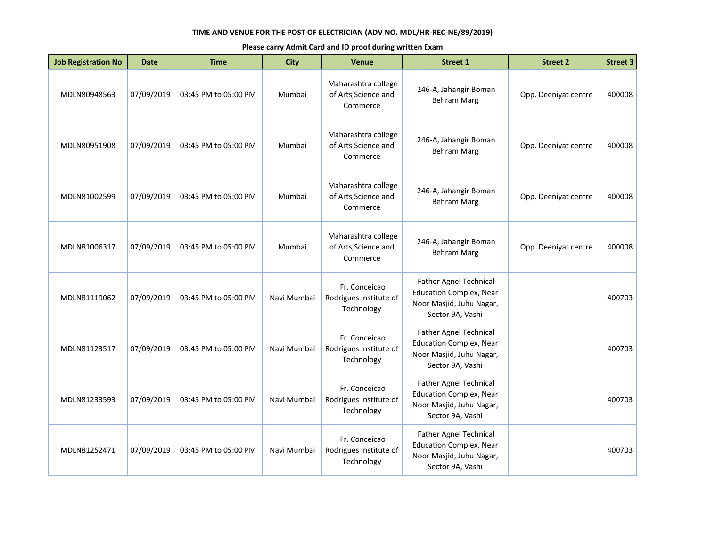| <b>Job Registration No</b> | <b>Date</b> | <b>Time</b>          | <b>City</b> | <b>Venue</b>                                            | <b>Street 1</b>                                                                                                 | <b>Street 2</b>      | <b>Street 3</b> |
|----------------------------|-------------|----------------------|-------------|---------------------------------------------------------|-----------------------------------------------------------------------------------------------------------------|----------------------|-----------------|
| MDLN80948563               | 07/09/2019  | 03:45 PM to 05:00 PM | Mumbai      | Maharashtra college<br>of Arts, Science and<br>Commerce | 246-A, Jahangir Boman<br><b>Behram Marg</b>                                                                     | Opp. Deeniyat centre | 400008          |
| MDLN80951908               | 07/09/2019  | 03:45 PM to 05:00 PM | Mumbai      | Maharashtra college<br>of Arts, Science and<br>Commerce | 246-A, Jahangir Boman<br><b>Behram Marg</b>                                                                     | Opp. Deeniyat centre | 400008          |
| MDLN81002599               | 07/09/2019  | 03:45 PM to 05:00 PM | Mumbai      | Maharashtra college<br>of Arts, Science and<br>Commerce | 246-A, Jahangir Boman<br><b>Behram Marg</b>                                                                     | Opp. Deeniyat centre | 400008          |
| MDLN81006317               | 07/09/2019  | 03:45 PM to 05:00 PM | Mumbai      | Maharashtra college<br>of Arts, Science and<br>Commerce | 246-A, Jahangir Boman<br><b>Behram Marg</b>                                                                     | Opp. Deeniyat centre | 400008          |
| MDLN81119062               | 07/09/2019  | 03:45 PM to 05:00 PM | Navi Mumbai | Fr. Conceicao<br>Rodrigues Institute of<br>Technology   | <b>Father Agnel Technical</b><br><b>Education Complex, Near</b><br>Noor Masjid, Juhu Nagar,<br>Sector 9A, Vashi |                      | 400703          |
| MDLN81123517               | 07/09/2019  | 03:45 PM to 05:00 PM | Navi Mumbai | Fr. Conceicao<br>Rodrigues Institute of<br>Technology   | Father Agnel Technical<br><b>Education Complex, Near</b><br>Noor Masjid, Juhu Nagar,<br>Sector 9A, Vashi        |                      | 400703          |
| MDLN81233593               | 07/09/2019  | 03:45 PM to 05:00 PM | Navi Mumbai | Fr. Conceicao<br>Rodrigues Institute of<br>Technology   | <b>Father Agnel Technical</b><br><b>Education Complex, Near</b><br>Noor Masjid, Juhu Nagar,<br>Sector 9A, Vashi |                      | 400703          |
| MDLN81252471               | 07/09/2019  | 03:45 PM to 05:00 PM | Navi Mumbai | Fr. Conceicao<br>Rodrigues Institute of<br>Technology   | Father Agnel Technical<br><b>Education Complex, Near</b><br>Noor Masjid, Juhu Nagar,<br>Sector 9A, Vashi        |                      | 400703          |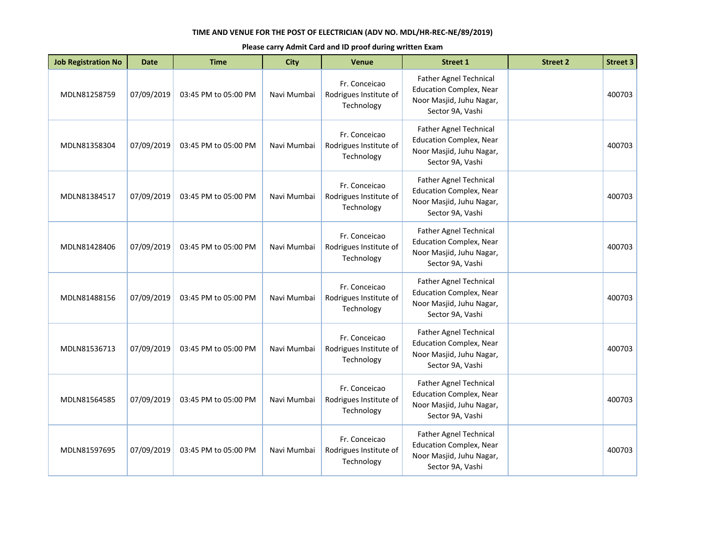| <b>Job Registration No</b> | <b>Date</b> | <b>Time</b>          | <b>City</b> | <b>Venue</b>                                          | <b>Street 1</b>                                                                                                 | <b>Street 2</b> | <b>Street 3</b> |
|----------------------------|-------------|----------------------|-------------|-------------------------------------------------------|-----------------------------------------------------------------------------------------------------------------|-----------------|-----------------|
| MDLN81258759               | 07/09/2019  | 03:45 PM to 05:00 PM | Navi Mumbai | Fr. Conceicao<br>Rodrigues Institute of<br>Technology | Father Agnel Technical<br><b>Education Complex, Near</b><br>Noor Masjid, Juhu Nagar,<br>Sector 9A, Vashi        |                 | 400703          |
| MDLN81358304               | 07/09/2019  | 03:45 PM to 05:00 PM | Navi Mumbai | Fr. Conceicao<br>Rodrigues Institute of<br>Technology | <b>Father Agnel Technical</b><br><b>Education Complex, Near</b><br>Noor Masjid, Juhu Nagar,<br>Sector 9A, Vashi |                 | 400703          |
| MDLN81384517               | 07/09/2019  | 03:45 PM to 05:00 PM | Navi Mumbai | Fr. Conceicao<br>Rodrigues Institute of<br>Technology | Father Agnel Technical<br><b>Education Complex, Near</b><br>Noor Masjid, Juhu Nagar,<br>Sector 9A, Vashi        |                 | 400703          |
| MDLN81428406               | 07/09/2019  | 03:45 PM to 05:00 PM | Navi Mumbai | Fr. Conceicao<br>Rodrigues Institute of<br>Technology | <b>Father Agnel Technical</b><br><b>Education Complex, Near</b><br>Noor Masjid, Juhu Nagar,<br>Sector 9A, Vashi |                 | 400703          |
| MDLN81488156               | 07/09/2019  | 03:45 PM to 05:00 PM | Navi Mumbai | Fr. Conceicao<br>Rodrigues Institute of<br>Technology | <b>Father Agnel Technical</b><br><b>Education Complex, Near</b><br>Noor Masjid, Juhu Nagar,<br>Sector 9A, Vashi |                 | 400703          |
| MDLN81536713               | 07/09/2019  | 03:45 PM to 05:00 PM | Navi Mumbai | Fr. Conceicao<br>Rodrigues Institute of<br>Technology | Father Agnel Technical<br><b>Education Complex, Near</b><br>Noor Masjid, Juhu Nagar,<br>Sector 9A, Vashi        |                 | 400703          |
| MDLN81564585               | 07/09/2019  | 03:45 PM to 05:00 PM | Navi Mumbai | Fr. Conceicao<br>Rodrigues Institute of<br>Technology | <b>Father Agnel Technical</b><br><b>Education Complex, Near</b><br>Noor Masjid, Juhu Nagar,<br>Sector 9A, Vashi |                 | 400703          |
| MDLN81597695               | 07/09/2019  | 03:45 PM to 05:00 PM | Navi Mumbai | Fr. Conceicao<br>Rodrigues Institute of<br>Technology | Father Agnel Technical<br><b>Education Complex, Near</b><br>Noor Masjid, Juhu Nagar,<br>Sector 9A, Vashi        |                 | 400703          |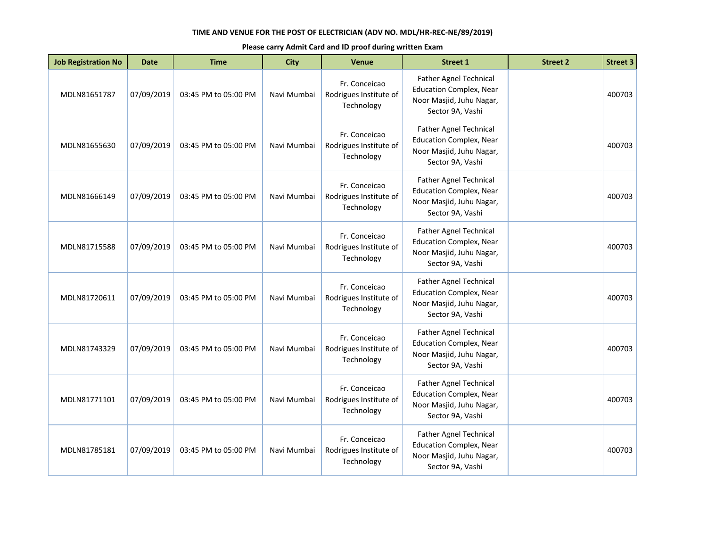| <b>Job Registration No</b> | <b>Date</b> | <b>Time</b>          | <b>City</b> | <b>Venue</b>                                          | <b>Street 1</b>                                                                                                 | <b>Street 2</b> | <b>Street 3</b> |
|----------------------------|-------------|----------------------|-------------|-------------------------------------------------------|-----------------------------------------------------------------------------------------------------------------|-----------------|-----------------|
| MDLN81651787               | 07/09/2019  | 03:45 PM to 05:00 PM | Navi Mumbai | Fr. Conceicao<br>Rodrigues Institute of<br>Technology | Father Agnel Technical<br><b>Education Complex, Near</b><br>Noor Masjid, Juhu Nagar,<br>Sector 9A, Vashi        |                 | 400703          |
| MDLN81655630               | 07/09/2019  | 03:45 PM to 05:00 PM | Navi Mumbai | Fr. Conceicao<br>Rodrigues Institute of<br>Technology | <b>Father Agnel Technical</b><br><b>Education Complex, Near</b><br>Noor Masjid, Juhu Nagar,<br>Sector 9A, Vashi |                 | 400703          |
| MDLN81666149               | 07/09/2019  | 03:45 PM to 05:00 PM | Navi Mumbai | Fr. Conceicao<br>Rodrigues Institute of<br>Technology | Father Agnel Technical<br><b>Education Complex, Near</b><br>Noor Masjid, Juhu Nagar,<br>Sector 9A, Vashi        |                 | 400703          |
| MDLN81715588               | 07/09/2019  | 03:45 PM to 05:00 PM | Navi Mumbai | Fr. Conceicao<br>Rodrigues Institute of<br>Technology | <b>Father Agnel Technical</b><br><b>Education Complex, Near</b><br>Noor Masjid, Juhu Nagar,<br>Sector 9A, Vashi |                 | 400703          |
| MDLN81720611               | 07/09/2019  | 03:45 PM to 05:00 PM | Navi Mumbai | Fr. Conceicao<br>Rodrigues Institute of<br>Technology | <b>Father Agnel Technical</b><br><b>Education Complex, Near</b><br>Noor Masjid, Juhu Nagar,<br>Sector 9A, Vashi |                 | 400703          |
| MDLN81743329               | 07/09/2019  | 03:45 PM to 05:00 PM | Navi Mumbai | Fr. Conceicao<br>Rodrigues Institute of<br>Technology | Father Agnel Technical<br><b>Education Complex, Near</b><br>Noor Masjid, Juhu Nagar,<br>Sector 9A, Vashi        |                 | 400703          |
| MDLN81771101               | 07/09/2019  | 03:45 PM to 05:00 PM | Navi Mumbai | Fr. Conceicao<br>Rodrigues Institute of<br>Technology | <b>Father Agnel Technical</b><br><b>Education Complex, Near</b><br>Noor Masjid, Juhu Nagar,<br>Sector 9A, Vashi |                 | 400703          |
| MDLN81785181               | 07/09/2019  | 03:45 PM to 05:00 PM | Navi Mumbai | Fr. Conceicao<br>Rodrigues Institute of<br>Technology | Father Agnel Technical<br><b>Education Complex, Near</b><br>Noor Masjid, Juhu Nagar,<br>Sector 9A, Vashi        |                 | 400703          |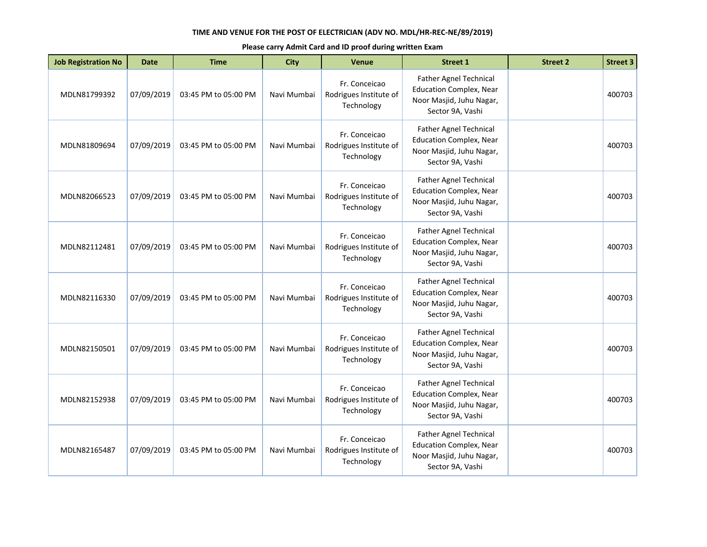| <b>Job Registration No</b> | <b>Date</b> | <b>Time</b>          | <b>City</b> | <b>Venue</b>                                          | <b>Street 1</b>                                                                                                 | <b>Street 2</b> | <b>Street 3</b> |
|----------------------------|-------------|----------------------|-------------|-------------------------------------------------------|-----------------------------------------------------------------------------------------------------------------|-----------------|-----------------|
| MDLN81799392               | 07/09/2019  | 03:45 PM to 05:00 PM | Navi Mumbai | Fr. Conceicao<br>Rodrigues Institute of<br>Technology | Father Agnel Technical<br><b>Education Complex, Near</b><br>Noor Masjid, Juhu Nagar,<br>Sector 9A, Vashi        |                 | 400703          |
| MDLN81809694               | 07/09/2019  | 03:45 PM to 05:00 PM | Navi Mumbai | Fr. Conceicao<br>Rodrigues Institute of<br>Technology | <b>Father Agnel Technical</b><br><b>Education Complex, Near</b><br>Noor Masjid, Juhu Nagar,<br>Sector 9A, Vashi |                 | 400703          |
| MDLN82066523               | 07/09/2019  | 03:45 PM to 05:00 PM | Navi Mumbai | Fr. Conceicao<br>Rodrigues Institute of<br>Technology | <b>Father Agnel Technical</b><br><b>Education Complex, Near</b><br>Noor Masjid, Juhu Nagar,<br>Sector 9A, Vashi |                 | 400703          |
| MDLN82112481               | 07/09/2019  | 03:45 PM to 05:00 PM | Navi Mumbai | Fr. Conceicao<br>Rodrigues Institute of<br>Technology | <b>Father Agnel Technical</b><br><b>Education Complex, Near</b><br>Noor Masjid, Juhu Nagar,<br>Sector 9A, Vashi |                 | 400703          |
| MDLN82116330               | 07/09/2019  | 03:45 PM to 05:00 PM | Navi Mumbai | Fr. Conceicao<br>Rodrigues Institute of<br>Technology | Father Agnel Technical<br><b>Education Complex, Near</b><br>Noor Masjid, Juhu Nagar,<br>Sector 9A, Vashi        |                 | 400703          |
| MDLN82150501               | 07/09/2019  | 03:45 PM to 05:00 PM | Navi Mumbai | Fr. Conceicao<br>Rodrigues Institute of<br>Technology | <b>Father Agnel Technical</b><br><b>Education Complex, Near</b><br>Noor Masjid, Juhu Nagar,<br>Sector 9A, Vashi |                 | 400703          |
| MDLN82152938               | 07/09/2019  | 03:45 PM to 05:00 PM | Navi Mumbai | Fr. Conceicao<br>Rodrigues Institute of<br>Technology | Father Agnel Technical<br><b>Education Complex, Near</b><br>Noor Masjid, Juhu Nagar,<br>Sector 9A, Vashi        |                 | 400703          |
| MDLN82165487               | 07/09/2019  | 03:45 PM to 05:00 PM | Navi Mumbai | Fr. Conceicao<br>Rodrigues Institute of<br>Technology | Father Agnel Technical<br><b>Education Complex, Near</b><br>Noor Masjid, Juhu Nagar,<br>Sector 9A, Vashi        |                 | 400703          |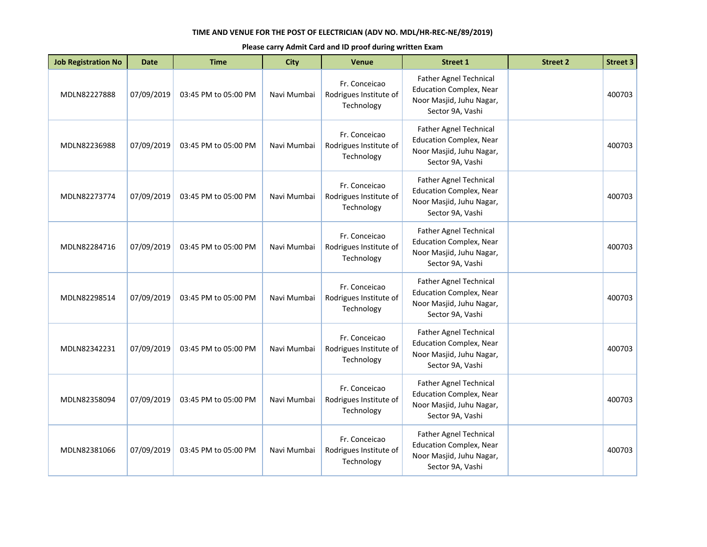| <b>Job Registration No</b> | <b>Date</b> | <b>Time</b>          | <b>City</b> | <b>Venue</b>                                          | <b>Street 1</b>                                                                                                 | <b>Street 2</b> | <b>Street 3</b> |
|----------------------------|-------------|----------------------|-------------|-------------------------------------------------------|-----------------------------------------------------------------------------------------------------------------|-----------------|-----------------|
| MDLN82227888               | 07/09/2019  | 03:45 PM to 05:00 PM | Navi Mumbai | Fr. Conceicao<br>Rodrigues Institute of<br>Technology | Father Agnel Technical<br><b>Education Complex, Near</b><br>Noor Masjid, Juhu Nagar,<br>Sector 9A, Vashi        |                 | 400703          |
| MDLN82236988               | 07/09/2019  | 03:45 PM to 05:00 PM | Navi Mumbai | Fr. Conceicao<br>Rodrigues Institute of<br>Technology | <b>Father Agnel Technical</b><br><b>Education Complex, Near</b><br>Noor Masjid, Juhu Nagar,<br>Sector 9A, Vashi |                 | 400703          |
| MDLN82273774               | 07/09/2019  | 03:45 PM to 05:00 PM | Navi Mumbai | Fr. Conceicao<br>Rodrigues Institute of<br>Technology | <b>Father Agnel Technical</b><br><b>Education Complex, Near</b><br>Noor Masjid, Juhu Nagar,<br>Sector 9A, Vashi |                 | 400703          |
| MDLN82284716               | 07/09/2019  | 03:45 PM to 05:00 PM | Navi Mumbai | Fr. Conceicao<br>Rodrigues Institute of<br>Technology | <b>Father Agnel Technical</b><br><b>Education Complex, Near</b><br>Noor Masjid, Juhu Nagar,<br>Sector 9A, Vashi |                 | 400703          |
| MDLN82298514               | 07/09/2019  | 03:45 PM to 05:00 PM | Navi Mumbai | Fr. Conceicao<br>Rodrigues Institute of<br>Technology | Father Agnel Technical<br><b>Education Complex, Near</b><br>Noor Masjid, Juhu Nagar,<br>Sector 9A, Vashi        |                 | 400703          |
| MDLN82342231               | 07/09/2019  | 03:45 PM to 05:00 PM | Navi Mumbai | Fr. Conceicao<br>Rodrigues Institute of<br>Technology | <b>Father Agnel Technical</b><br><b>Education Complex, Near</b><br>Noor Masjid, Juhu Nagar,<br>Sector 9A, Vashi |                 | 400703          |
| MDLN82358094               | 07/09/2019  | 03:45 PM to 05:00 PM | Navi Mumbai | Fr. Conceicao<br>Rodrigues Institute of<br>Technology | Father Agnel Technical<br><b>Education Complex, Near</b><br>Noor Masjid, Juhu Nagar,<br>Sector 9A, Vashi        |                 | 400703          |
| MDLN82381066               | 07/09/2019  | 03:45 PM to 05:00 PM | Navi Mumbai | Fr. Conceicao<br>Rodrigues Institute of<br>Technology | Father Agnel Technical<br><b>Education Complex, Near</b><br>Noor Masjid, Juhu Nagar,<br>Sector 9A, Vashi        |                 | 400703          |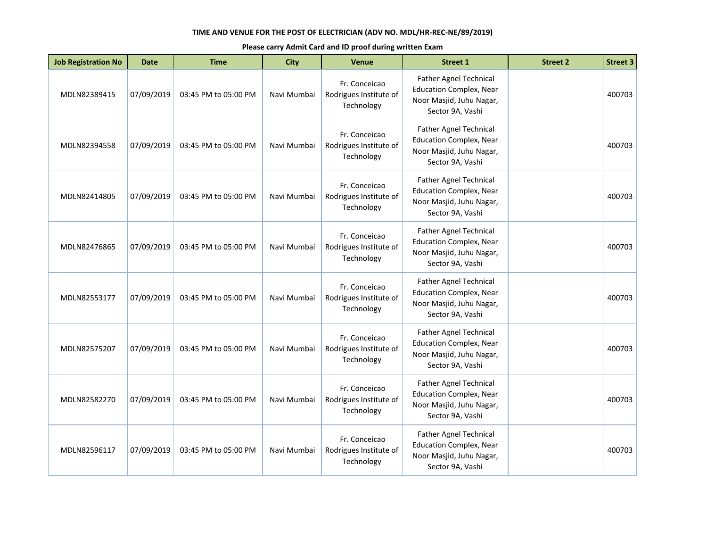| <b>Job Registration No</b> | <b>Date</b> | <b>Time</b>          | <b>City</b> | <b>Venue</b>                                          | <b>Street 1</b>                                                                                                 | <b>Street 2</b> | <b>Street 3</b> |
|----------------------------|-------------|----------------------|-------------|-------------------------------------------------------|-----------------------------------------------------------------------------------------------------------------|-----------------|-----------------|
| MDLN82389415               | 07/09/2019  | 03:45 PM to 05:00 PM | Navi Mumbai | Fr. Conceicao<br>Rodrigues Institute of<br>Technology | Father Agnel Technical<br><b>Education Complex, Near</b><br>Noor Masjid, Juhu Nagar,<br>Sector 9A, Vashi        |                 | 400703          |
| MDLN82394558               | 07/09/2019  | 03:45 PM to 05:00 PM | Navi Mumbai | Fr. Conceicao<br>Rodrigues Institute of<br>Technology | <b>Father Agnel Technical</b><br><b>Education Complex, Near</b><br>Noor Masjid, Juhu Nagar,<br>Sector 9A, Vashi |                 | 400703          |
| MDLN82414805               | 07/09/2019  | 03:45 PM to 05:00 PM | Navi Mumbai | Fr. Conceicao<br>Rodrigues Institute of<br>Technology | <b>Father Agnel Technical</b><br><b>Education Complex, Near</b><br>Noor Masjid, Juhu Nagar,<br>Sector 9A, Vashi |                 | 400703          |
| MDLN82476865               | 07/09/2019  | 03:45 PM to 05:00 PM | Navi Mumbai | Fr. Conceicao<br>Rodrigues Institute of<br>Technology | <b>Father Agnel Technical</b><br><b>Education Complex, Near</b><br>Noor Masjid, Juhu Nagar,<br>Sector 9A, Vashi |                 | 400703          |
| MDLN82553177               | 07/09/2019  | 03:45 PM to 05:00 PM | Navi Mumbai | Fr. Conceicao<br>Rodrigues Institute of<br>Technology | Father Agnel Technical<br><b>Education Complex, Near</b><br>Noor Masjid, Juhu Nagar,<br>Sector 9A, Vashi        |                 | 400703          |
| MDLN82575207               | 07/09/2019  | 03:45 PM to 05:00 PM | Navi Mumbai | Fr. Conceicao<br>Rodrigues Institute of<br>Technology | <b>Father Agnel Technical</b><br><b>Education Complex, Near</b><br>Noor Masjid, Juhu Nagar,<br>Sector 9A, Vashi |                 | 400703          |
| MDLN82582270               | 07/09/2019  | 03:45 PM to 05:00 PM | Navi Mumbai | Fr. Conceicao<br>Rodrigues Institute of<br>Technology | Father Agnel Technical<br><b>Education Complex, Near</b><br>Noor Masjid, Juhu Nagar,<br>Sector 9A, Vashi        |                 | 400703          |
| MDLN82596117               | 07/09/2019  | 03:45 PM to 05:00 PM | Navi Mumbai | Fr. Conceicao<br>Rodrigues Institute of<br>Technology | Father Agnel Technical<br><b>Education Complex, Near</b><br>Noor Masjid, Juhu Nagar,<br>Sector 9A, Vashi        |                 | 400703          |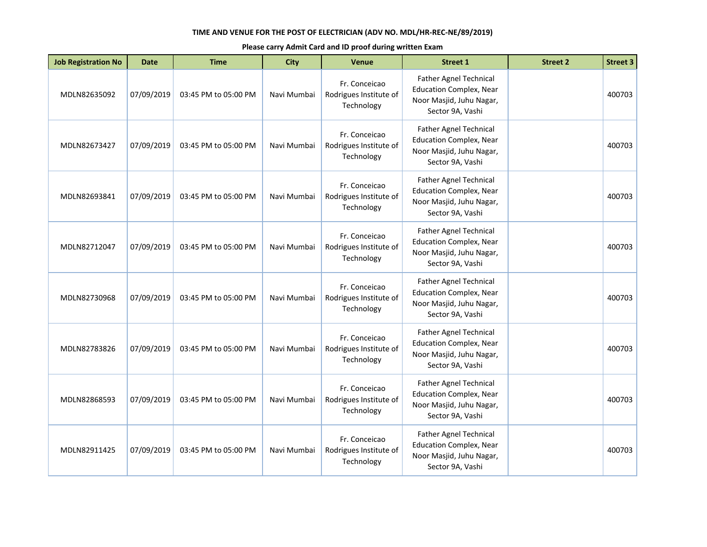| <b>Job Registration No</b> | <b>Date</b> | <b>Time</b>          | <b>City</b> | <b>Venue</b>                                          | <b>Street 1</b>                                                                                                 | <b>Street 2</b> | <b>Street 3</b> |
|----------------------------|-------------|----------------------|-------------|-------------------------------------------------------|-----------------------------------------------------------------------------------------------------------------|-----------------|-----------------|
| MDLN82635092               | 07/09/2019  | 03:45 PM to 05:00 PM | Navi Mumbai | Fr. Conceicao<br>Rodrigues Institute of<br>Technology | Father Agnel Technical<br><b>Education Complex, Near</b><br>Noor Masjid, Juhu Nagar,<br>Sector 9A, Vashi        |                 | 400703          |
| MDLN82673427               | 07/09/2019  | 03:45 PM to 05:00 PM | Navi Mumbai | Fr. Conceicao<br>Rodrigues Institute of<br>Technology | <b>Father Agnel Technical</b><br><b>Education Complex, Near</b><br>Noor Masjid, Juhu Nagar,<br>Sector 9A, Vashi |                 | 400703          |
| MDLN82693841               | 07/09/2019  | 03:45 PM to 05:00 PM | Navi Mumbai | Fr. Conceicao<br>Rodrigues Institute of<br>Technology | <b>Father Agnel Technical</b><br><b>Education Complex, Near</b><br>Noor Masjid, Juhu Nagar,<br>Sector 9A, Vashi |                 | 400703          |
| MDLN82712047               | 07/09/2019  | 03:45 PM to 05:00 PM | Navi Mumbai | Fr. Conceicao<br>Rodrigues Institute of<br>Technology | <b>Father Agnel Technical</b><br><b>Education Complex, Near</b><br>Noor Masjid, Juhu Nagar,<br>Sector 9A, Vashi |                 | 400703          |
| MDLN82730968               | 07/09/2019  | 03:45 PM to 05:00 PM | Navi Mumbai | Fr. Conceicao<br>Rodrigues Institute of<br>Technology | Father Agnel Technical<br><b>Education Complex, Near</b><br>Noor Masjid, Juhu Nagar,<br>Sector 9A, Vashi        |                 | 400703          |
| MDLN82783826               | 07/09/2019  | 03:45 PM to 05:00 PM | Navi Mumbai | Fr. Conceicao<br>Rodrigues Institute of<br>Technology | <b>Father Agnel Technical</b><br><b>Education Complex, Near</b><br>Noor Masjid, Juhu Nagar,<br>Sector 9A, Vashi |                 | 400703          |
| MDLN82868593               | 07/09/2019  | 03:45 PM to 05:00 PM | Navi Mumbai | Fr. Conceicao<br>Rodrigues Institute of<br>Technology | Father Agnel Technical<br><b>Education Complex, Near</b><br>Noor Masjid, Juhu Nagar,<br>Sector 9A, Vashi        |                 | 400703          |
| MDLN82911425               | 07/09/2019  | 03:45 PM to 05:00 PM | Navi Mumbai | Fr. Conceicao<br>Rodrigues Institute of<br>Technology | Father Agnel Technical<br><b>Education Complex, Near</b><br>Noor Masjid, Juhu Nagar,<br>Sector 9A, Vashi        |                 | 400703          |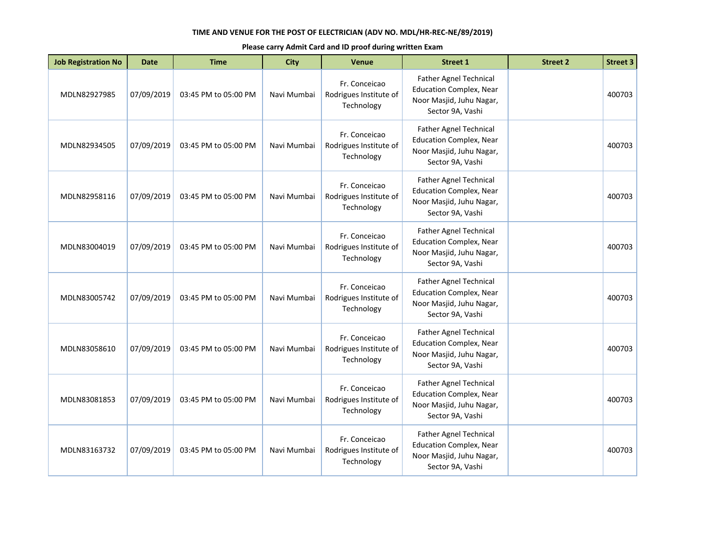| <b>Job Registration No</b> | <b>Date</b> | <b>Time</b>          | <b>City</b> | <b>Venue</b>                                          | <b>Street 1</b>                                                                                                 | <b>Street 2</b> | <b>Street 3</b> |
|----------------------------|-------------|----------------------|-------------|-------------------------------------------------------|-----------------------------------------------------------------------------------------------------------------|-----------------|-----------------|
| MDLN82927985               | 07/09/2019  | 03:45 PM to 05:00 PM | Navi Mumbai | Fr. Conceicao<br>Rodrigues Institute of<br>Technology | Father Agnel Technical<br><b>Education Complex, Near</b><br>Noor Masjid, Juhu Nagar,<br>Sector 9A, Vashi        |                 | 400703          |
| MDLN82934505               | 07/09/2019  | 03:45 PM to 05:00 PM | Navi Mumbai | Fr. Conceicao<br>Rodrigues Institute of<br>Technology | <b>Father Agnel Technical</b><br><b>Education Complex, Near</b><br>Noor Masjid, Juhu Nagar,<br>Sector 9A, Vashi |                 | 400703          |
| MDLN82958116               | 07/09/2019  | 03:45 PM to 05:00 PM | Navi Mumbai | Fr. Conceicao<br>Rodrigues Institute of<br>Technology | <b>Father Agnel Technical</b><br><b>Education Complex, Near</b><br>Noor Masjid, Juhu Nagar,<br>Sector 9A, Vashi |                 | 400703          |
| MDLN83004019               | 07/09/2019  | 03:45 PM to 05:00 PM | Navi Mumbai | Fr. Conceicao<br>Rodrigues Institute of<br>Technology | <b>Father Agnel Technical</b><br><b>Education Complex, Near</b><br>Noor Masjid, Juhu Nagar,<br>Sector 9A, Vashi |                 | 400703          |
| MDLN83005742               | 07/09/2019  | 03:45 PM to 05:00 PM | Navi Mumbai | Fr. Conceicao<br>Rodrigues Institute of<br>Technology | Father Agnel Technical<br><b>Education Complex, Near</b><br>Noor Masjid, Juhu Nagar,<br>Sector 9A, Vashi        |                 | 400703          |
| MDLN83058610               | 07/09/2019  | 03:45 PM to 05:00 PM | Navi Mumbai | Fr. Conceicao<br>Rodrigues Institute of<br>Technology | <b>Father Agnel Technical</b><br><b>Education Complex, Near</b><br>Noor Masjid, Juhu Nagar,<br>Sector 9A, Vashi |                 | 400703          |
| MDLN83081853               | 07/09/2019  | 03:45 PM to 05:00 PM | Navi Mumbai | Fr. Conceicao<br>Rodrigues Institute of<br>Technology | Father Agnel Technical<br><b>Education Complex, Near</b><br>Noor Masjid, Juhu Nagar,<br>Sector 9A, Vashi        |                 | 400703          |
| MDLN83163732               | 07/09/2019  | 03:45 PM to 05:00 PM | Navi Mumbai | Fr. Conceicao<br>Rodrigues Institute of<br>Technology | Father Agnel Technical<br><b>Education Complex, Near</b><br>Noor Masjid, Juhu Nagar,<br>Sector 9A, Vashi        |                 | 400703          |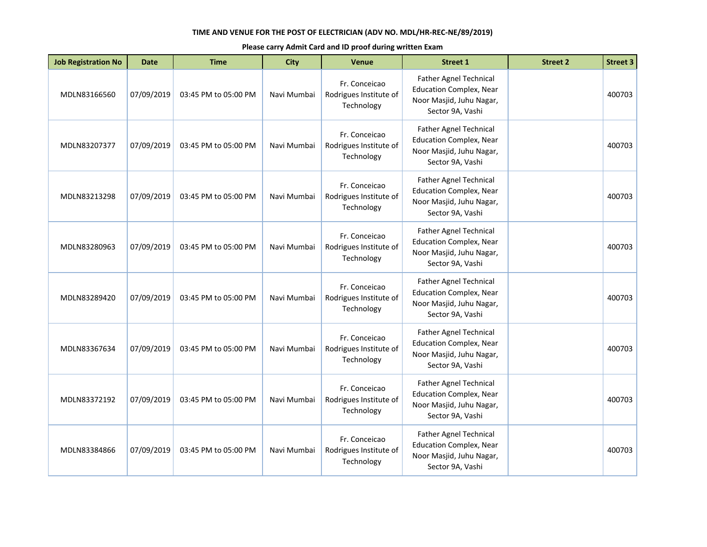| <b>Job Registration No</b> | <b>Date</b> | <b>Time</b>          | <b>City</b> | <b>Venue</b>                                          | <b>Street 1</b>                                                                                                 | <b>Street 2</b> | <b>Street 3</b> |
|----------------------------|-------------|----------------------|-------------|-------------------------------------------------------|-----------------------------------------------------------------------------------------------------------------|-----------------|-----------------|
| MDLN83166560               | 07/09/2019  | 03:45 PM to 05:00 PM | Navi Mumbai | Fr. Conceicao<br>Rodrigues Institute of<br>Technology | Father Agnel Technical<br><b>Education Complex, Near</b><br>Noor Masjid, Juhu Nagar,<br>Sector 9A, Vashi        |                 | 400703          |
| MDLN83207377               | 07/09/2019  | 03:45 PM to 05:00 PM | Navi Mumbai | Fr. Conceicao<br>Rodrigues Institute of<br>Technology | <b>Father Agnel Technical</b><br><b>Education Complex, Near</b><br>Noor Masjid, Juhu Nagar,<br>Sector 9A, Vashi |                 | 400703          |
| MDLN83213298               | 07/09/2019  | 03:45 PM to 05:00 PM | Navi Mumbai | Fr. Conceicao<br>Rodrigues Institute of<br>Technology | <b>Father Agnel Technical</b><br><b>Education Complex, Near</b><br>Noor Masjid, Juhu Nagar,<br>Sector 9A, Vashi |                 | 400703          |
| MDLN83280963               | 07/09/2019  | 03:45 PM to 05:00 PM | Navi Mumbai | Fr. Conceicao<br>Rodrigues Institute of<br>Technology | <b>Father Agnel Technical</b><br><b>Education Complex, Near</b><br>Noor Masjid, Juhu Nagar,<br>Sector 9A, Vashi |                 | 400703          |
| MDLN83289420               | 07/09/2019  | 03:45 PM to 05:00 PM | Navi Mumbai | Fr. Conceicao<br>Rodrigues Institute of<br>Technology | Father Agnel Technical<br><b>Education Complex, Near</b><br>Noor Masjid, Juhu Nagar,<br>Sector 9A, Vashi        |                 | 400703          |
| MDLN83367634               | 07/09/2019  | 03:45 PM to 05:00 PM | Navi Mumbai | Fr. Conceicao<br>Rodrigues Institute of<br>Technology | <b>Father Agnel Technical</b><br><b>Education Complex, Near</b><br>Noor Masjid, Juhu Nagar,<br>Sector 9A, Vashi |                 | 400703          |
| MDLN83372192               | 07/09/2019  | 03:45 PM to 05:00 PM | Navi Mumbai | Fr. Conceicao<br>Rodrigues Institute of<br>Technology | Father Agnel Technical<br><b>Education Complex, Near</b><br>Noor Masjid, Juhu Nagar,<br>Sector 9A, Vashi        |                 | 400703          |
| MDLN83384866               | 07/09/2019  | 03:45 PM to 05:00 PM | Navi Mumbai | Fr. Conceicao<br>Rodrigues Institute of<br>Technology | Father Agnel Technical<br><b>Education Complex, Near</b><br>Noor Masjid, Juhu Nagar,<br>Sector 9A, Vashi        |                 | 400703          |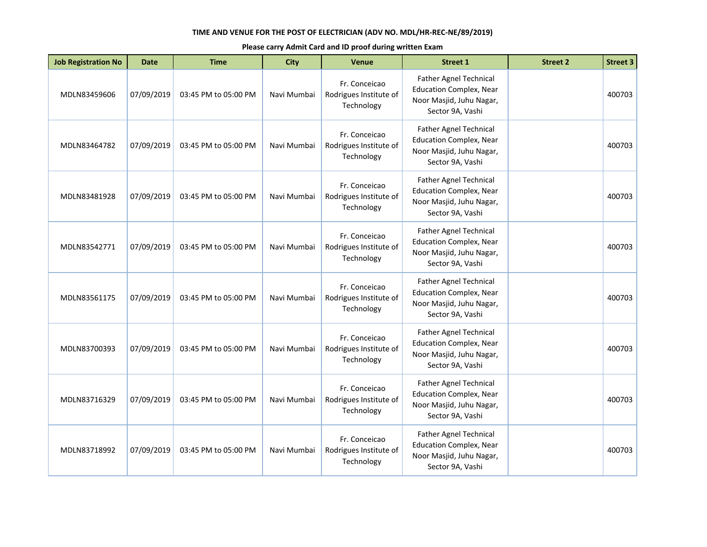| <b>Job Registration No</b> | <b>Date</b> | <b>Time</b>          | <b>City</b> | <b>Venue</b>                                          | <b>Street 1</b>                                                                                                 | <b>Street 2</b> | <b>Street 3</b> |
|----------------------------|-------------|----------------------|-------------|-------------------------------------------------------|-----------------------------------------------------------------------------------------------------------------|-----------------|-----------------|
| MDLN83459606               | 07/09/2019  | 03:45 PM to 05:00 PM | Navi Mumbai | Fr. Conceicao<br>Rodrigues Institute of<br>Technology | Father Agnel Technical<br><b>Education Complex, Near</b><br>Noor Masjid, Juhu Nagar,<br>Sector 9A, Vashi        |                 | 400703          |
| MDLN83464782               | 07/09/2019  | 03:45 PM to 05:00 PM | Navi Mumbai | Fr. Conceicao<br>Rodrigues Institute of<br>Technology | <b>Father Agnel Technical</b><br><b>Education Complex, Near</b><br>Noor Masjid, Juhu Nagar,<br>Sector 9A, Vashi |                 | 400703          |
| MDLN83481928               | 07/09/2019  | 03:45 PM to 05:00 PM | Navi Mumbai | Fr. Conceicao<br>Rodrigues Institute of<br>Technology | Father Agnel Technical<br><b>Education Complex, Near</b><br>Noor Masjid, Juhu Nagar,<br>Sector 9A, Vashi        |                 | 400703          |
| MDLN83542771               | 07/09/2019  | 03:45 PM to 05:00 PM | Navi Mumbai | Fr. Conceicao<br>Rodrigues Institute of<br>Technology | <b>Father Agnel Technical</b><br><b>Education Complex, Near</b><br>Noor Masjid, Juhu Nagar,<br>Sector 9A, Vashi |                 | 400703          |
| MDLN83561175               | 07/09/2019  | 03:45 PM to 05:00 PM | Navi Mumbai | Fr. Conceicao<br>Rodrigues Institute of<br>Technology | <b>Father Agnel Technical</b><br><b>Education Complex, Near</b><br>Noor Masjid, Juhu Nagar,<br>Sector 9A, Vashi |                 | 400703          |
| MDLN83700393               | 07/09/2019  | 03:45 PM to 05:00 PM | Navi Mumbai | Fr. Conceicao<br>Rodrigues Institute of<br>Technology | Father Agnel Technical<br><b>Education Complex, Near</b><br>Noor Masjid, Juhu Nagar,<br>Sector 9A, Vashi        |                 | 400703          |
| MDLN83716329               | 07/09/2019  | 03:45 PM to 05:00 PM | Navi Mumbai | Fr. Conceicao<br>Rodrigues Institute of<br>Technology | <b>Father Agnel Technical</b><br><b>Education Complex, Near</b><br>Noor Masjid, Juhu Nagar,<br>Sector 9A, Vashi |                 | 400703          |
| MDLN83718992               | 07/09/2019  | 03:45 PM to 05:00 PM | Navi Mumbai | Fr. Conceicao<br>Rodrigues Institute of<br>Technology | Father Agnel Technical<br><b>Education Complex, Near</b><br>Noor Masjid, Juhu Nagar,<br>Sector 9A, Vashi        |                 | 400703          |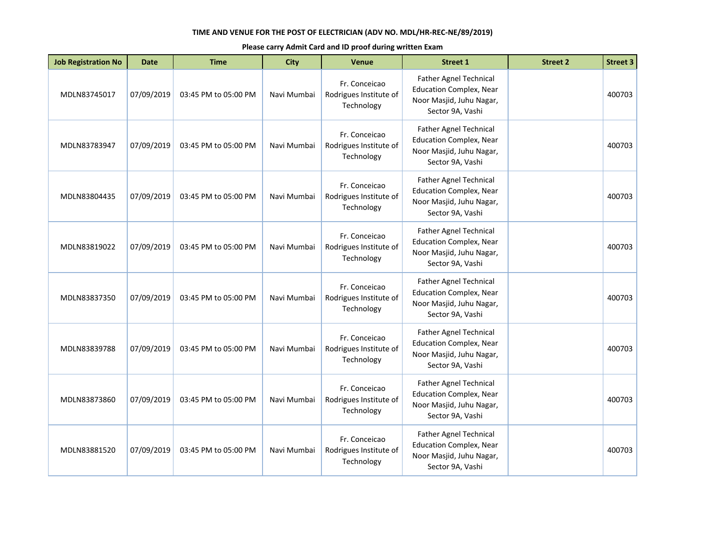| <b>Job Registration No</b> | <b>Date</b> | <b>Time</b>          | <b>City</b> | <b>Venue</b>                                          | <b>Street 1</b>                                                                                                 | <b>Street 2</b> | <b>Street 3</b> |
|----------------------------|-------------|----------------------|-------------|-------------------------------------------------------|-----------------------------------------------------------------------------------------------------------------|-----------------|-----------------|
| MDLN83745017               | 07/09/2019  | 03:45 PM to 05:00 PM | Navi Mumbai | Fr. Conceicao<br>Rodrigues Institute of<br>Technology | Father Agnel Technical<br><b>Education Complex, Near</b><br>Noor Masjid, Juhu Nagar,<br>Sector 9A, Vashi        |                 | 400703          |
| MDLN83783947               | 07/09/2019  | 03:45 PM to 05:00 PM | Navi Mumbai | Fr. Conceicao<br>Rodrigues Institute of<br>Technology | <b>Father Agnel Technical</b><br><b>Education Complex, Near</b><br>Noor Masjid, Juhu Nagar,<br>Sector 9A, Vashi |                 | 400703          |
| MDLN83804435               | 07/09/2019  | 03:45 PM to 05:00 PM | Navi Mumbai | Fr. Conceicao<br>Rodrigues Institute of<br>Technology | <b>Father Agnel Technical</b><br><b>Education Complex, Near</b><br>Noor Masjid, Juhu Nagar,<br>Sector 9A, Vashi |                 | 400703          |
| MDLN83819022               | 07/09/2019  | 03:45 PM to 05:00 PM | Navi Mumbai | Fr. Conceicao<br>Rodrigues Institute of<br>Technology | <b>Father Agnel Technical</b><br><b>Education Complex, Near</b><br>Noor Masjid, Juhu Nagar,<br>Sector 9A, Vashi |                 | 400703          |
| MDLN83837350               | 07/09/2019  | 03:45 PM to 05:00 PM | Navi Mumbai | Fr. Conceicao<br>Rodrigues Institute of<br>Technology | Father Agnel Technical<br><b>Education Complex, Near</b><br>Noor Masjid, Juhu Nagar,<br>Sector 9A, Vashi        |                 | 400703          |
| MDLN83839788               | 07/09/2019  | 03:45 PM to 05:00 PM | Navi Mumbai | Fr. Conceicao<br>Rodrigues Institute of<br>Technology | <b>Father Agnel Technical</b><br><b>Education Complex, Near</b><br>Noor Masjid, Juhu Nagar,<br>Sector 9A, Vashi |                 | 400703          |
| MDLN83873860               | 07/09/2019  | 03:45 PM to 05:00 PM | Navi Mumbai | Fr. Conceicao<br>Rodrigues Institute of<br>Technology | Father Agnel Technical<br><b>Education Complex, Near</b><br>Noor Masjid, Juhu Nagar,<br>Sector 9A, Vashi        |                 | 400703          |
| MDLN83881520               | 07/09/2019  | 03:45 PM to 05:00 PM | Navi Mumbai | Fr. Conceicao<br>Rodrigues Institute of<br>Technology | Father Agnel Technical<br><b>Education Complex, Near</b><br>Noor Masjid, Juhu Nagar,<br>Sector 9A, Vashi        |                 | 400703          |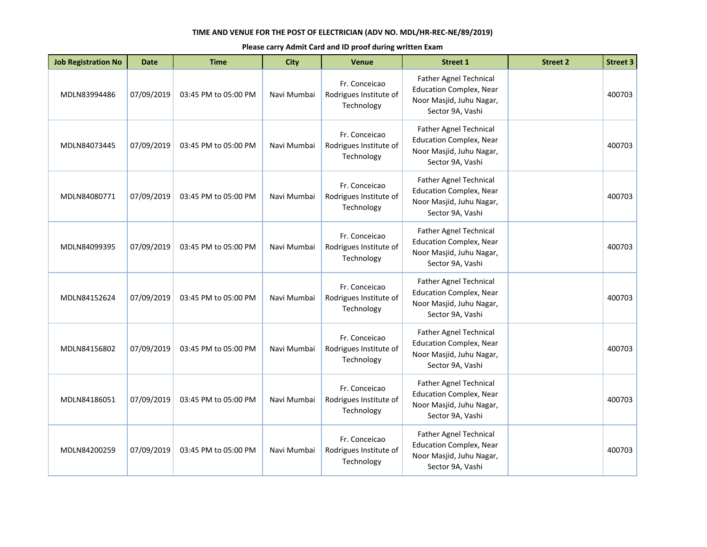| <b>Job Registration No</b> | <b>Date</b> | <b>Time</b>          | <b>City</b> | <b>Venue</b>                                          | <b>Street 1</b>                                                                                                 | <b>Street 2</b> | <b>Street 3</b> |
|----------------------------|-------------|----------------------|-------------|-------------------------------------------------------|-----------------------------------------------------------------------------------------------------------------|-----------------|-----------------|
| MDLN83994486               | 07/09/2019  | 03:45 PM to 05:00 PM | Navi Mumbai | Fr. Conceicao<br>Rodrigues Institute of<br>Technology | Father Agnel Technical<br><b>Education Complex, Near</b><br>Noor Masjid, Juhu Nagar,<br>Sector 9A, Vashi        |                 | 400703          |
| MDLN84073445               | 07/09/2019  | 03:45 PM to 05:00 PM | Navi Mumbai | Fr. Conceicao<br>Rodrigues Institute of<br>Technology | <b>Father Agnel Technical</b><br><b>Education Complex, Near</b><br>Noor Masjid, Juhu Nagar,<br>Sector 9A, Vashi |                 | 400703          |
| MDLN84080771               | 07/09/2019  | 03:45 PM to 05:00 PM | Navi Mumbai | Fr. Conceicao<br>Rodrigues Institute of<br>Technology | <b>Father Agnel Technical</b><br><b>Education Complex, Near</b><br>Noor Masjid, Juhu Nagar,<br>Sector 9A, Vashi |                 | 400703          |
| MDLN84099395               | 07/09/2019  | 03:45 PM to 05:00 PM | Navi Mumbai | Fr. Conceicao<br>Rodrigues Institute of<br>Technology | <b>Father Agnel Technical</b><br><b>Education Complex, Near</b><br>Noor Masjid, Juhu Nagar,<br>Sector 9A, Vashi |                 | 400703          |
| MDLN84152624               | 07/09/2019  | 03:45 PM to 05:00 PM | Navi Mumbai | Fr. Conceicao<br>Rodrigues Institute of<br>Technology | Father Agnel Technical<br><b>Education Complex, Near</b><br>Noor Masjid, Juhu Nagar,<br>Sector 9A, Vashi        |                 | 400703          |
| MDLN84156802               | 07/09/2019  | 03:45 PM to 05:00 PM | Navi Mumbai | Fr. Conceicao<br>Rodrigues Institute of<br>Technology | <b>Father Agnel Technical</b><br><b>Education Complex, Near</b><br>Noor Masjid, Juhu Nagar,<br>Sector 9A, Vashi |                 | 400703          |
| MDLN84186051               | 07/09/2019  | 03:45 PM to 05:00 PM | Navi Mumbai | Fr. Conceicao<br>Rodrigues Institute of<br>Technology | Father Agnel Technical<br><b>Education Complex, Near</b><br>Noor Masjid, Juhu Nagar,<br>Sector 9A, Vashi        |                 | 400703          |
| MDLN84200259               | 07/09/2019  | 03:45 PM to 05:00 PM | Navi Mumbai | Fr. Conceicao<br>Rodrigues Institute of<br>Technology | Father Agnel Technical<br><b>Education Complex, Near</b><br>Noor Masjid, Juhu Nagar,<br>Sector 9A, Vashi        |                 | 400703          |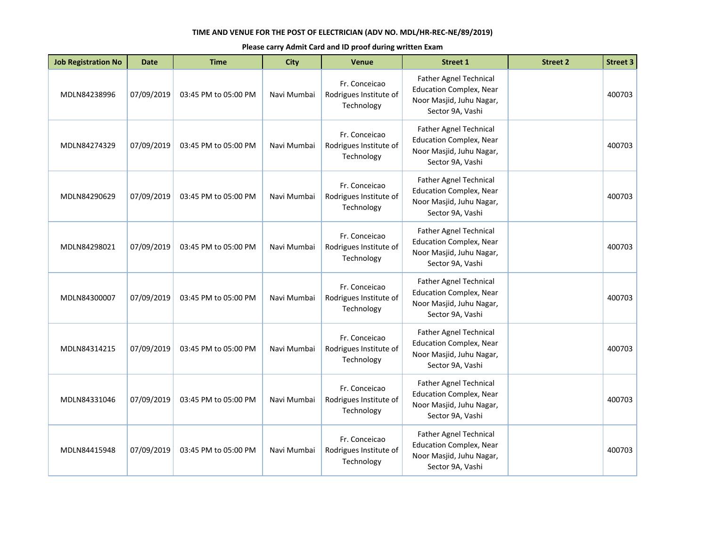| <b>Job Registration No</b> | <b>Date</b> | <b>Time</b>          | <b>City</b> | <b>Venue</b>                                          | <b>Street 1</b>                                                                                                 | <b>Street 2</b> | <b>Street 3</b> |
|----------------------------|-------------|----------------------|-------------|-------------------------------------------------------|-----------------------------------------------------------------------------------------------------------------|-----------------|-----------------|
| MDLN84238996               | 07/09/2019  | 03:45 PM to 05:00 PM | Navi Mumbai | Fr. Conceicao<br>Rodrigues Institute of<br>Technology | Father Agnel Technical<br><b>Education Complex, Near</b><br>Noor Masjid, Juhu Nagar,<br>Sector 9A, Vashi        |                 | 400703          |
| MDLN84274329               | 07/09/2019  | 03:45 PM to 05:00 PM | Navi Mumbai | Fr. Conceicao<br>Rodrigues Institute of<br>Technology | <b>Father Agnel Technical</b><br><b>Education Complex, Near</b><br>Noor Masjid, Juhu Nagar,<br>Sector 9A, Vashi |                 | 400703          |
| MDLN84290629               | 07/09/2019  | 03:45 PM to 05:00 PM | Navi Mumbai | Fr. Conceicao<br>Rodrigues Institute of<br>Technology | <b>Father Agnel Technical</b><br><b>Education Complex, Near</b><br>Noor Masjid, Juhu Nagar,<br>Sector 9A, Vashi |                 | 400703          |
| MDLN84298021               | 07/09/2019  | 03:45 PM to 05:00 PM | Navi Mumbai | Fr. Conceicao<br>Rodrigues Institute of<br>Technology | <b>Father Agnel Technical</b><br><b>Education Complex, Near</b><br>Noor Masjid, Juhu Nagar,<br>Sector 9A, Vashi |                 | 400703          |
| MDLN84300007               | 07/09/2019  | 03:45 PM to 05:00 PM | Navi Mumbai | Fr. Conceicao<br>Rodrigues Institute of<br>Technology | Father Agnel Technical<br><b>Education Complex, Near</b><br>Noor Masjid, Juhu Nagar,<br>Sector 9A, Vashi        |                 | 400703          |
| MDLN84314215               | 07/09/2019  | 03:45 PM to 05:00 PM | Navi Mumbai | Fr. Conceicao<br>Rodrigues Institute of<br>Technology | <b>Father Agnel Technical</b><br><b>Education Complex, Near</b><br>Noor Masjid, Juhu Nagar,<br>Sector 9A, Vashi |                 | 400703          |
| MDLN84331046               | 07/09/2019  | 03:45 PM to 05:00 PM | Navi Mumbai | Fr. Conceicao<br>Rodrigues Institute of<br>Technology | Father Agnel Technical<br><b>Education Complex, Near</b><br>Noor Masjid, Juhu Nagar,<br>Sector 9A, Vashi        |                 | 400703          |
| MDLN84415948               | 07/09/2019  | 03:45 PM to 05:00 PM | Navi Mumbai | Fr. Conceicao<br>Rodrigues Institute of<br>Technology | Father Agnel Technical<br><b>Education Complex, Near</b><br>Noor Masjid, Juhu Nagar,<br>Sector 9A, Vashi        |                 | 400703          |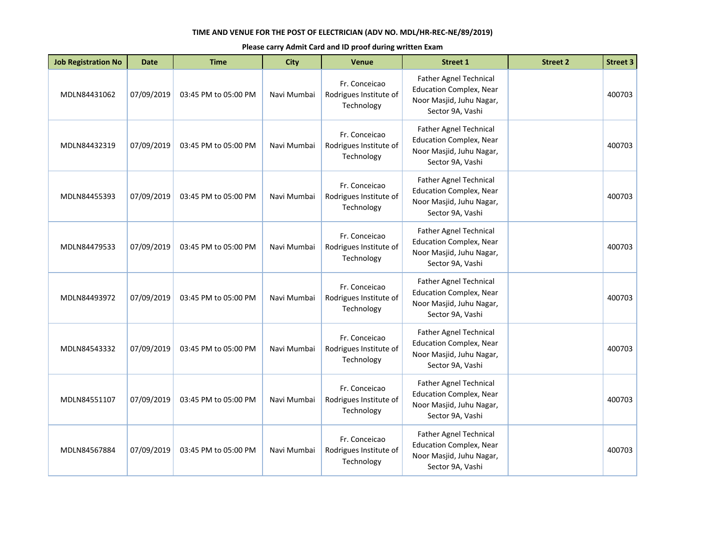| <b>Job Registration No</b> | <b>Date</b> | <b>Time</b>          | <b>City</b> | <b>Venue</b>                                          | <b>Street 1</b>                                                                                                 | <b>Street 2</b> | <b>Street 3</b> |
|----------------------------|-------------|----------------------|-------------|-------------------------------------------------------|-----------------------------------------------------------------------------------------------------------------|-----------------|-----------------|
| MDLN84431062               | 07/09/2019  | 03:45 PM to 05:00 PM | Navi Mumbai | Fr. Conceicao<br>Rodrigues Institute of<br>Technology | Father Agnel Technical<br><b>Education Complex, Near</b><br>Noor Masjid, Juhu Nagar,<br>Sector 9A, Vashi        |                 | 400703          |
| MDLN84432319               | 07/09/2019  | 03:45 PM to 05:00 PM | Navi Mumbai | Fr. Conceicao<br>Rodrigues Institute of<br>Technology | <b>Father Agnel Technical</b><br><b>Education Complex, Near</b><br>Noor Masjid, Juhu Nagar,<br>Sector 9A, Vashi |                 | 400703          |
| MDLN84455393               | 07/09/2019  | 03:45 PM to 05:00 PM | Navi Mumbai | Fr. Conceicao<br>Rodrigues Institute of<br>Technology | <b>Father Agnel Technical</b><br><b>Education Complex, Near</b><br>Noor Masjid, Juhu Nagar,<br>Sector 9A, Vashi |                 | 400703          |
| MDLN84479533               | 07/09/2019  | 03:45 PM to 05:00 PM | Navi Mumbai | Fr. Conceicao<br>Rodrigues Institute of<br>Technology | <b>Father Agnel Technical</b><br><b>Education Complex, Near</b><br>Noor Masjid, Juhu Nagar,<br>Sector 9A, Vashi |                 | 400703          |
| MDLN84493972               | 07/09/2019  | 03:45 PM to 05:00 PM | Navi Mumbai | Fr. Conceicao<br>Rodrigues Institute of<br>Technology | Father Agnel Technical<br><b>Education Complex, Near</b><br>Noor Masjid, Juhu Nagar,<br>Sector 9A, Vashi        |                 | 400703          |
| MDLN84543332               | 07/09/2019  | 03:45 PM to 05:00 PM | Navi Mumbai | Fr. Conceicao<br>Rodrigues Institute of<br>Technology | <b>Father Agnel Technical</b><br><b>Education Complex, Near</b><br>Noor Masjid, Juhu Nagar,<br>Sector 9A, Vashi |                 | 400703          |
| MDLN84551107               | 07/09/2019  | 03:45 PM to 05:00 PM | Navi Mumbai | Fr. Conceicao<br>Rodrigues Institute of<br>Technology | Father Agnel Technical<br><b>Education Complex, Near</b><br>Noor Masjid, Juhu Nagar,<br>Sector 9A, Vashi        |                 | 400703          |
| MDLN84567884               | 07/09/2019  | 03:45 PM to 05:00 PM | Navi Mumbai | Fr. Conceicao<br>Rodrigues Institute of<br>Technology | Father Agnel Technical<br><b>Education Complex, Near</b><br>Noor Masjid, Juhu Nagar,<br>Sector 9A, Vashi        |                 | 400703          |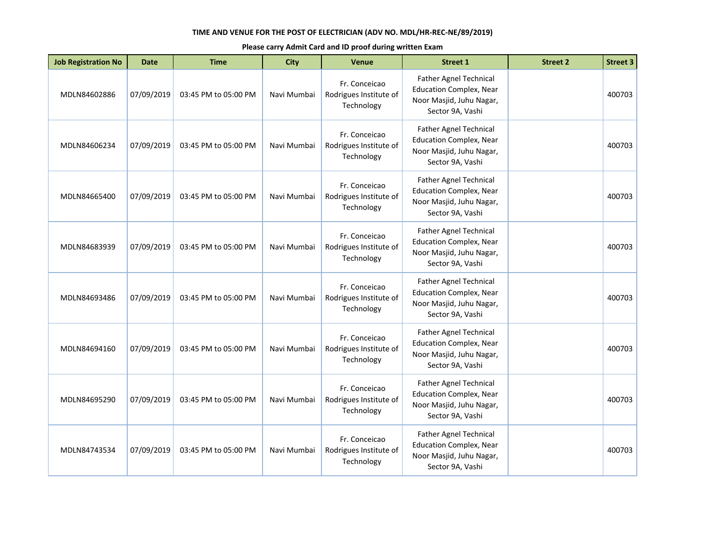| <b>Job Registration No</b> | <b>Date</b> | <b>Time</b>          | <b>City</b> | <b>Venue</b>                                          | <b>Street 1</b>                                                                                                 | <b>Street 2</b> | <b>Street 3</b> |
|----------------------------|-------------|----------------------|-------------|-------------------------------------------------------|-----------------------------------------------------------------------------------------------------------------|-----------------|-----------------|
| MDLN84602886               | 07/09/2019  | 03:45 PM to 05:00 PM | Navi Mumbai | Fr. Conceicao<br>Rodrigues Institute of<br>Technology | Father Agnel Technical<br><b>Education Complex, Near</b><br>Noor Masjid, Juhu Nagar,<br>Sector 9A, Vashi        |                 | 400703          |
| MDLN84606234               | 07/09/2019  | 03:45 PM to 05:00 PM | Navi Mumbai | Fr. Conceicao<br>Rodrigues Institute of<br>Technology | <b>Father Agnel Technical</b><br><b>Education Complex, Near</b><br>Noor Masjid, Juhu Nagar,<br>Sector 9A, Vashi |                 | 400703          |
| MDLN84665400               | 07/09/2019  | 03:45 PM to 05:00 PM | Navi Mumbai | Fr. Conceicao<br>Rodrigues Institute of<br>Technology | <b>Father Agnel Technical</b><br><b>Education Complex, Near</b><br>Noor Masjid, Juhu Nagar,<br>Sector 9A, Vashi |                 | 400703          |
| MDLN84683939               | 07/09/2019  | 03:45 PM to 05:00 PM | Navi Mumbai | Fr. Conceicao<br>Rodrigues Institute of<br>Technology | <b>Father Agnel Technical</b><br><b>Education Complex, Near</b><br>Noor Masjid, Juhu Nagar,<br>Sector 9A, Vashi |                 | 400703          |
| MDLN84693486               | 07/09/2019  | 03:45 PM to 05:00 PM | Navi Mumbai | Fr. Conceicao<br>Rodrigues Institute of<br>Technology | Father Agnel Technical<br><b>Education Complex, Near</b><br>Noor Masjid, Juhu Nagar,<br>Sector 9A, Vashi        |                 | 400703          |
| MDLN84694160               | 07/09/2019  | 03:45 PM to 05:00 PM | Navi Mumbai | Fr. Conceicao<br>Rodrigues Institute of<br>Technology | <b>Father Agnel Technical</b><br><b>Education Complex, Near</b><br>Noor Masjid, Juhu Nagar,<br>Sector 9A, Vashi |                 | 400703          |
| MDLN84695290               | 07/09/2019  | 03:45 PM to 05:00 PM | Navi Mumbai | Fr. Conceicao<br>Rodrigues Institute of<br>Technology | Father Agnel Technical<br><b>Education Complex, Near</b><br>Noor Masjid, Juhu Nagar,<br>Sector 9A, Vashi        |                 | 400703          |
| MDLN84743534               | 07/09/2019  | 03:45 PM to 05:00 PM | Navi Mumbai | Fr. Conceicao<br>Rodrigues Institute of<br>Technology | Father Agnel Technical<br><b>Education Complex, Near</b><br>Noor Masjid, Juhu Nagar,<br>Sector 9A, Vashi        |                 | 400703          |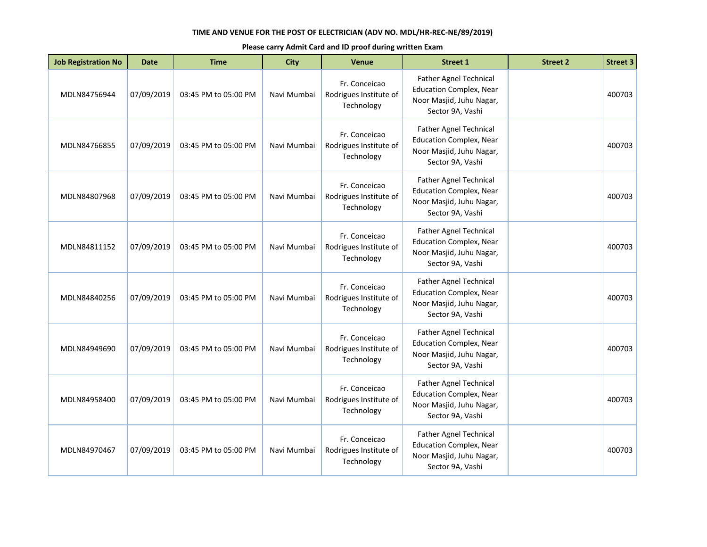| <b>Job Registration No</b> | <b>Date</b> | <b>Time</b>          | <b>City</b> | <b>Venue</b>                                          | <b>Street 1</b>                                                                                                 | <b>Street 2</b> | <b>Street 3</b> |
|----------------------------|-------------|----------------------|-------------|-------------------------------------------------------|-----------------------------------------------------------------------------------------------------------------|-----------------|-----------------|
| MDLN84756944               | 07/09/2019  | 03:45 PM to 05:00 PM | Navi Mumbai | Fr. Conceicao<br>Rodrigues Institute of<br>Technology | Father Agnel Technical<br><b>Education Complex, Near</b><br>Noor Masjid, Juhu Nagar,<br>Sector 9A, Vashi        |                 | 400703          |
| MDLN84766855               | 07/09/2019  | 03:45 PM to 05:00 PM | Navi Mumbai | Fr. Conceicao<br>Rodrigues Institute of<br>Technology | <b>Father Agnel Technical</b><br><b>Education Complex, Near</b><br>Noor Masjid, Juhu Nagar,<br>Sector 9A, Vashi |                 | 400703          |
| MDLN84807968               | 07/09/2019  | 03:45 PM to 05:00 PM | Navi Mumbai | Fr. Conceicao<br>Rodrigues Institute of<br>Technology | <b>Father Agnel Technical</b><br><b>Education Complex, Near</b><br>Noor Masjid, Juhu Nagar,<br>Sector 9A, Vashi |                 | 400703          |
| MDLN84811152               | 07/09/2019  | 03:45 PM to 05:00 PM | Navi Mumbai | Fr. Conceicao<br>Rodrigues Institute of<br>Technology | <b>Father Agnel Technical</b><br><b>Education Complex, Near</b><br>Noor Masjid, Juhu Nagar,<br>Sector 9A, Vashi |                 | 400703          |
| MDLN84840256               | 07/09/2019  | 03:45 PM to 05:00 PM | Navi Mumbai | Fr. Conceicao<br>Rodrigues Institute of<br>Technology | Father Agnel Technical<br><b>Education Complex, Near</b><br>Noor Masjid, Juhu Nagar,<br>Sector 9A, Vashi        |                 | 400703          |
| MDLN84949690               | 07/09/2019  | 03:45 PM to 05:00 PM | Navi Mumbai | Fr. Conceicao<br>Rodrigues Institute of<br>Technology | <b>Father Agnel Technical</b><br><b>Education Complex, Near</b><br>Noor Masjid, Juhu Nagar,<br>Sector 9A, Vashi |                 | 400703          |
| MDLN84958400               | 07/09/2019  | 03:45 PM to 05:00 PM | Navi Mumbai | Fr. Conceicao<br>Rodrigues Institute of<br>Technology | Father Agnel Technical<br><b>Education Complex, Near</b><br>Noor Masjid, Juhu Nagar,<br>Sector 9A, Vashi        |                 | 400703          |
| MDLN84970467               | 07/09/2019  | 03:45 PM to 05:00 PM | Navi Mumbai | Fr. Conceicao<br>Rodrigues Institute of<br>Technology | Father Agnel Technical<br><b>Education Complex, Near</b><br>Noor Masjid, Juhu Nagar,<br>Sector 9A, Vashi        |                 | 400703          |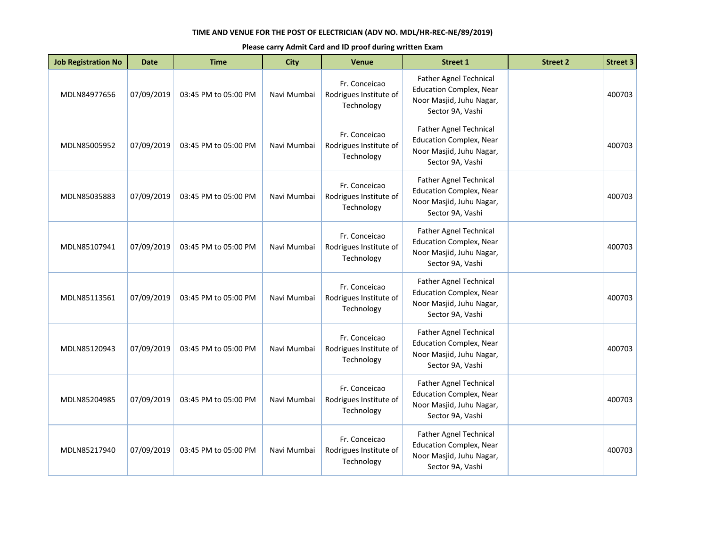| <b>Job Registration No</b> | <b>Date</b> | <b>Time</b>          | <b>City</b> | <b>Venue</b>                                          | <b>Street 1</b>                                                                                                 | <b>Street 2</b> | <b>Street 3</b> |
|----------------------------|-------------|----------------------|-------------|-------------------------------------------------------|-----------------------------------------------------------------------------------------------------------------|-----------------|-----------------|
| MDLN84977656               | 07/09/2019  | 03:45 PM to 05:00 PM | Navi Mumbai | Fr. Conceicao<br>Rodrigues Institute of<br>Technology | Father Agnel Technical<br><b>Education Complex, Near</b><br>Noor Masjid, Juhu Nagar,<br>Sector 9A, Vashi        |                 | 400703          |
| MDLN85005952               | 07/09/2019  | 03:45 PM to 05:00 PM | Navi Mumbai | Fr. Conceicao<br>Rodrigues Institute of<br>Technology | <b>Father Agnel Technical</b><br><b>Education Complex, Near</b><br>Noor Masjid, Juhu Nagar,<br>Sector 9A, Vashi |                 | 400703          |
| MDLN85035883               | 07/09/2019  | 03:45 PM to 05:00 PM | Navi Mumbai | Fr. Conceicao<br>Rodrigues Institute of<br>Technology | Father Agnel Technical<br><b>Education Complex, Near</b><br>Noor Masjid, Juhu Nagar,<br>Sector 9A, Vashi        |                 | 400703          |
| MDLN85107941               | 07/09/2019  | 03:45 PM to 05:00 PM | Navi Mumbai | Fr. Conceicao<br>Rodrigues Institute of<br>Technology | <b>Father Agnel Technical</b><br><b>Education Complex, Near</b><br>Noor Masjid, Juhu Nagar,<br>Sector 9A, Vashi |                 | 400703          |
| MDLN85113561               | 07/09/2019  | 03:45 PM to 05:00 PM | Navi Mumbai | Fr. Conceicao<br>Rodrigues Institute of<br>Technology | <b>Father Agnel Technical</b><br><b>Education Complex, Near</b><br>Noor Masjid, Juhu Nagar,<br>Sector 9A, Vashi |                 | 400703          |
| MDLN85120943               | 07/09/2019  | 03:45 PM to 05:00 PM | Navi Mumbai | Fr. Conceicao<br>Rodrigues Institute of<br>Technology | Father Agnel Technical<br><b>Education Complex, Near</b><br>Noor Masjid, Juhu Nagar,<br>Sector 9A, Vashi        |                 | 400703          |
| MDLN85204985               | 07/09/2019  | 03:45 PM to 05:00 PM | Navi Mumbai | Fr. Conceicao<br>Rodrigues Institute of<br>Technology | <b>Father Agnel Technical</b><br><b>Education Complex, Near</b><br>Noor Masjid, Juhu Nagar,<br>Sector 9A, Vashi |                 | 400703          |
| MDLN85217940               | 07/09/2019  | 03:45 PM to 05:00 PM | Navi Mumbai | Fr. Conceicao<br>Rodrigues Institute of<br>Technology | Father Agnel Technical<br><b>Education Complex, Near</b><br>Noor Masjid, Juhu Nagar,<br>Sector 9A, Vashi        |                 | 400703          |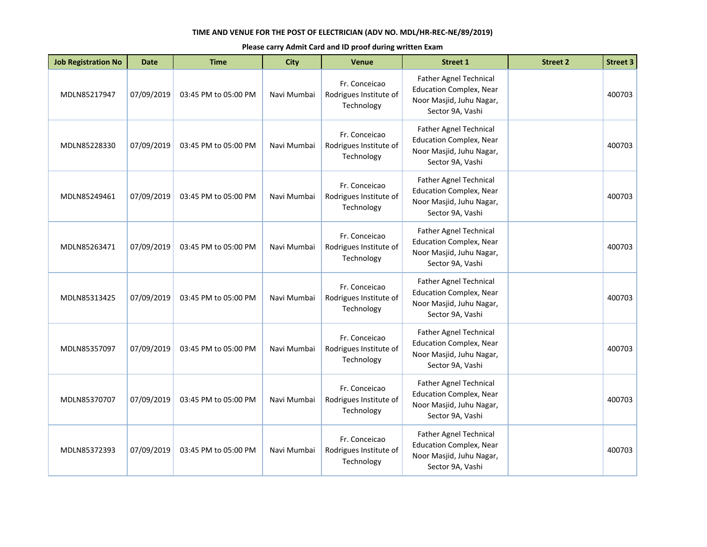| <b>Job Registration No</b> | <b>Date</b> | <b>Time</b>          | <b>City</b> | <b>Venue</b>                                          | <b>Street 1</b>                                                                                                 | <b>Street 2</b> | <b>Street 3</b> |
|----------------------------|-------------|----------------------|-------------|-------------------------------------------------------|-----------------------------------------------------------------------------------------------------------------|-----------------|-----------------|
| MDLN85217947               | 07/09/2019  | 03:45 PM to 05:00 PM | Navi Mumbai | Fr. Conceicao<br>Rodrigues Institute of<br>Technology | Father Agnel Technical<br><b>Education Complex, Near</b><br>Noor Masjid, Juhu Nagar,<br>Sector 9A, Vashi        |                 | 400703          |
| MDLN85228330               | 07/09/2019  | 03:45 PM to 05:00 PM | Navi Mumbai | Fr. Conceicao<br>Rodrigues Institute of<br>Technology | <b>Father Agnel Technical</b><br><b>Education Complex, Near</b><br>Noor Masjid, Juhu Nagar,<br>Sector 9A, Vashi |                 | 400703          |
| MDLN85249461               | 07/09/2019  | 03:45 PM to 05:00 PM | Navi Mumbai | Fr. Conceicao<br>Rodrigues Institute of<br>Technology | <b>Father Agnel Technical</b><br><b>Education Complex, Near</b><br>Noor Masjid, Juhu Nagar,<br>Sector 9A, Vashi |                 | 400703          |
| MDLN85263471               | 07/09/2019  | 03:45 PM to 05:00 PM | Navi Mumbai | Fr. Conceicao<br>Rodrigues Institute of<br>Technology | <b>Father Agnel Technical</b><br><b>Education Complex, Near</b><br>Noor Masjid, Juhu Nagar,<br>Sector 9A, Vashi |                 | 400703          |
| MDLN85313425               | 07/09/2019  | 03:45 PM to 05:00 PM | Navi Mumbai | Fr. Conceicao<br>Rodrigues Institute of<br>Technology | Father Agnel Technical<br><b>Education Complex, Near</b><br>Noor Masjid, Juhu Nagar,<br>Sector 9A, Vashi        |                 | 400703          |
| MDLN85357097               | 07/09/2019  | 03:45 PM to 05:00 PM | Navi Mumbai | Fr. Conceicao<br>Rodrigues Institute of<br>Technology | <b>Father Agnel Technical</b><br><b>Education Complex, Near</b><br>Noor Masjid, Juhu Nagar,<br>Sector 9A, Vashi |                 | 400703          |
| MDLN85370707               | 07/09/2019  | 03:45 PM to 05:00 PM | Navi Mumbai | Fr. Conceicao<br>Rodrigues Institute of<br>Technology | Father Agnel Technical<br><b>Education Complex, Near</b><br>Noor Masjid, Juhu Nagar,<br>Sector 9A, Vashi        |                 | 400703          |
| MDLN85372393               | 07/09/2019  | 03:45 PM to 05:00 PM | Navi Mumbai | Fr. Conceicao<br>Rodrigues Institute of<br>Technology | Father Agnel Technical<br><b>Education Complex, Near</b><br>Noor Masjid, Juhu Nagar,<br>Sector 9A, Vashi        |                 | 400703          |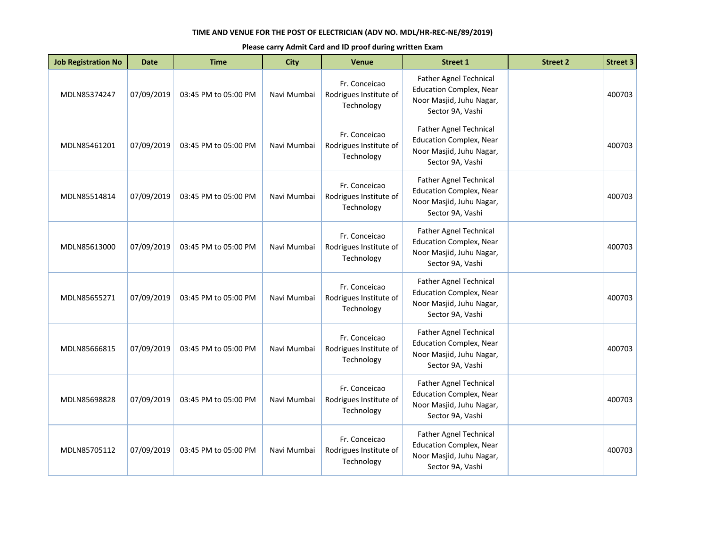| <b>Job Registration No</b> | <b>Date</b> | <b>Time</b>          | <b>City</b> | <b>Venue</b>                                          | <b>Street 1</b>                                                                                                 | <b>Street 2</b> | <b>Street 3</b> |
|----------------------------|-------------|----------------------|-------------|-------------------------------------------------------|-----------------------------------------------------------------------------------------------------------------|-----------------|-----------------|
| MDLN85374247               | 07/09/2019  | 03:45 PM to 05:00 PM | Navi Mumbai | Fr. Conceicao<br>Rodrigues Institute of<br>Technology | Father Agnel Technical<br><b>Education Complex, Near</b><br>Noor Masjid, Juhu Nagar,<br>Sector 9A, Vashi        |                 | 400703          |
| MDLN85461201               | 07/09/2019  | 03:45 PM to 05:00 PM | Navi Mumbai | Fr. Conceicao<br>Rodrigues Institute of<br>Technology | <b>Father Agnel Technical</b><br><b>Education Complex, Near</b><br>Noor Masjid, Juhu Nagar,<br>Sector 9A, Vashi |                 | 400703          |
| MDLN85514814               | 07/09/2019  | 03:45 PM to 05:00 PM | Navi Mumbai | Fr. Conceicao<br>Rodrigues Institute of<br>Technology | <b>Father Agnel Technical</b><br><b>Education Complex, Near</b><br>Noor Masjid, Juhu Nagar,<br>Sector 9A, Vashi |                 | 400703          |
| MDLN85613000               | 07/09/2019  | 03:45 PM to 05:00 PM | Navi Mumbai | Fr. Conceicao<br>Rodrigues Institute of<br>Technology | <b>Father Agnel Technical</b><br><b>Education Complex, Near</b><br>Noor Masjid, Juhu Nagar,<br>Sector 9A, Vashi |                 | 400703          |
| MDLN85655271               | 07/09/2019  | 03:45 PM to 05:00 PM | Navi Mumbai | Fr. Conceicao<br>Rodrigues Institute of<br>Technology | Father Agnel Technical<br><b>Education Complex, Near</b><br>Noor Masjid, Juhu Nagar,<br>Sector 9A, Vashi        |                 | 400703          |
| MDLN85666815               | 07/09/2019  | 03:45 PM to 05:00 PM | Navi Mumbai | Fr. Conceicao<br>Rodrigues Institute of<br>Technology | <b>Father Agnel Technical</b><br><b>Education Complex, Near</b><br>Noor Masjid, Juhu Nagar,<br>Sector 9A, Vashi |                 | 400703          |
| MDLN85698828               | 07/09/2019  | 03:45 PM to 05:00 PM | Navi Mumbai | Fr. Conceicao<br>Rodrigues Institute of<br>Technology | Father Agnel Technical<br><b>Education Complex, Near</b><br>Noor Masjid, Juhu Nagar,<br>Sector 9A, Vashi        |                 | 400703          |
| MDLN85705112               | 07/09/2019  | 03:45 PM to 05:00 PM | Navi Mumbai | Fr. Conceicao<br>Rodrigues Institute of<br>Technology | Father Agnel Technical<br><b>Education Complex, Near</b><br>Noor Masjid, Juhu Nagar,<br>Sector 9A, Vashi        |                 | 400703          |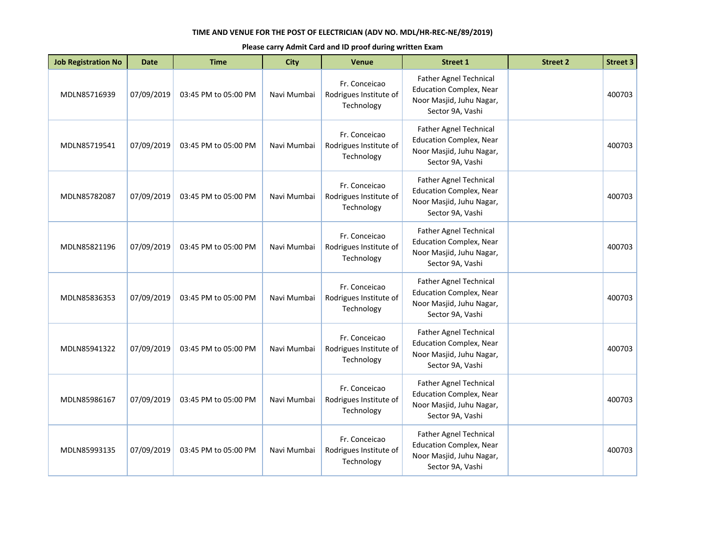| <b>Job Registration No</b> | <b>Date</b> | <b>Time</b>          | <b>City</b> | <b>Venue</b>                                          | <b>Street 1</b>                                                                                                 | <b>Street 2</b> | <b>Street 3</b> |
|----------------------------|-------------|----------------------|-------------|-------------------------------------------------------|-----------------------------------------------------------------------------------------------------------------|-----------------|-----------------|
| MDLN85716939               | 07/09/2019  | 03:45 PM to 05:00 PM | Navi Mumbai | Fr. Conceicao<br>Rodrigues Institute of<br>Technology | Father Agnel Technical<br><b>Education Complex, Near</b><br>Noor Masjid, Juhu Nagar,<br>Sector 9A, Vashi        |                 | 400703          |
| MDLN85719541               | 07/09/2019  | 03:45 PM to 05:00 PM | Navi Mumbai | Fr. Conceicao<br>Rodrigues Institute of<br>Technology | <b>Father Agnel Technical</b><br><b>Education Complex, Near</b><br>Noor Masjid, Juhu Nagar,<br>Sector 9A, Vashi |                 | 400703          |
| MDLN85782087               | 07/09/2019  | 03:45 PM to 05:00 PM | Navi Mumbai | Fr. Conceicao<br>Rodrigues Institute of<br>Technology | <b>Father Agnel Technical</b><br><b>Education Complex, Near</b><br>Noor Masjid, Juhu Nagar,<br>Sector 9A, Vashi |                 | 400703          |
| MDLN85821196               | 07/09/2019  | 03:45 PM to 05:00 PM | Navi Mumbai | Fr. Conceicao<br>Rodrigues Institute of<br>Technology | <b>Father Agnel Technical</b><br><b>Education Complex, Near</b><br>Noor Masjid, Juhu Nagar,<br>Sector 9A, Vashi |                 | 400703          |
| MDLN85836353               | 07/09/2019  | 03:45 PM to 05:00 PM | Navi Mumbai | Fr. Conceicao<br>Rodrigues Institute of<br>Technology | Father Agnel Technical<br><b>Education Complex, Near</b><br>Noor Masjid, Juhu Nagar,<br>Sector 9A, Vashi        |                 | 400703          |
| MDLN85941322               | 07/09/2019  | 03:45 PM to 05:00 PM | Navi Mumbai | Fr. Conceicao<br>Rodrigues Institute of<br>Technology | <b>Father Agnel Technical</b><br><b>Education Complex, Near</b><br>Noor Masjid, Juhu Nagar,<br>Sector 9A, Vashi |                 | 400703          |
| MDLN85986167               | 07/09/2019  | 03:45 PM to 05:00 PM | Navi Mumbai | Fr. Conceicao<br>Rodrigues Institute of<br>Technology | Father Agnel Technical<br><b>Education Complex, Near</b><br>Noor Masjid, Juhu Nagar,<br>Sector 9A, Vashi        |                 | 400703          |
| MDLN85993135               | 07/09/2019  | 03:45 PM to 05:00 PM | Navi Mumbai | Fr. Conceicao<br>Rodrigues Institute of<br>Technology | Father Agnel Technical<br><b>Education Complex, Near</b><br>Noor Masjid, Juhu Nagar,<br>Sector 9A, Vashi        |                 | 400703          |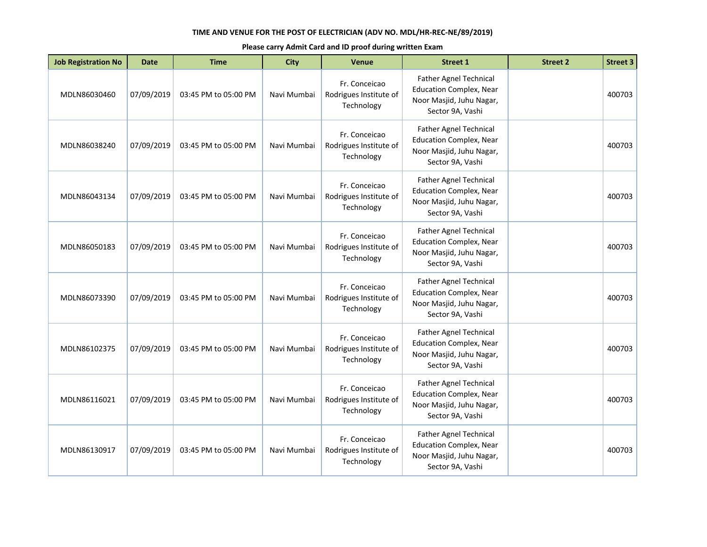| <b>Job Registration No</b> | <b>Date</b> | <b>Time</b>          | <b>City</b> | <b>Venue</b>                                          | <b>Street 1</b>                                                                                                 | <b>Street 2</b> | <b>Street 3</b> |
|----------------------------|-------------|----------------------|-------------|-------------------------------------------------------|-----------------------------------------------------------------------------------------------------------------|-----------------|-----------------|
| MDLN86030460               | 07/09/2019  | 03:45 PM to 05:00 PM | Navi Mumbai | Fr. Conceicao<br>Rodrigues Institute of<br>Technology | Father Agnel Technical<br><b>Education Complex, Near</b><br>Noor Masjid, Juhu Nagar,<br>Sector 9A, Vashi        |                 | 400703          |
| MDLN86038240               | 07/09/2019  | 03:45 PM to 05:00 PM | Navi Mumbai | Fr. Conceicao<br>Rodrigues Institute of<br>Technology | <b>Father Agnel Technical</b><br><b>Education Complex, Near</b><br>Noor Masjid, Juhu Nagar,<br>Sector 9A, Vashi |                 | 400703          |
| MDLN86043134               | 07/09/2019  | 03:45 PM to 05:00 PM | Navi Mumbai | Fr. Conceicao<br>Rodrigues Institute of<br>Technology | Father Agnel Technical<br><b>Education Complex, Near</b><br>Noor Masjid, Juhu Nagar,<br>Sector 9A, Vashi        |                 | 400703          |
| MDLN86050183               | 07/09/2019  | 03:45 PM to 05:00 PM | Navi Mumbai | Fr. Conceicao<br>Rodrigues Institute of<br>Technology | <b>Father Agnel Technical</b><br><b>Education Complex, Near</b><br>Noor Masjid, Juhu Nagar,<br>Sector 9A, Vashi |                 | 400703          |
| MDLN86073390               | 07/09/2019  | 03:45 PM to 05:00 PM | Navi Mumbai | Fr. Conceicao<br>Rodrigues Institute of<br>Technology | <b>Father Agnel Technical</b><br><b>Education Complex, Near</b><br>Noor Masjid, Juhu Nagar,<br>Sector 9A, Vashi |                 | 400703          |
| MDLN86102375               | 07/09/2019  | 03:45 PM to 05:00 PM | Navi Mumbai | Fr. Conceicao<br>Rodrigues Institute of<br>Technology | Father Agnel Technical<br><b>Education Complex, Near</b><br>Noor Masjid, Juhu Nagar,<br>Sector 9A, Vashi        |                 | 400703          |
| MDLN86116021               | 07/09/2019  | 03:45 PM to 05:00 PM | Navi Mumbai | Fr. Conceicao<br>Rodrigues Institute of<br>Technology | <b>Father Agnel Technical</b><br><b>Education Complex, Near</b><br>Noor Masjid, Juhu Nagar,<br>Sector 9A, Vashi |                 | 400703          |
| MDLN86130917               | 07/09/2019  | 03:45 PM to 05:00 PM | Navi Mumbai | Fr. Conceicao<br>Rodrigues Institute of<br>Technology | Father Agnel Technical<br><b>Education Complex, Near</b><br>Noor Masjid, Juhu Nagar,<br>Sector 9A, Vashi        |                 | 400703          |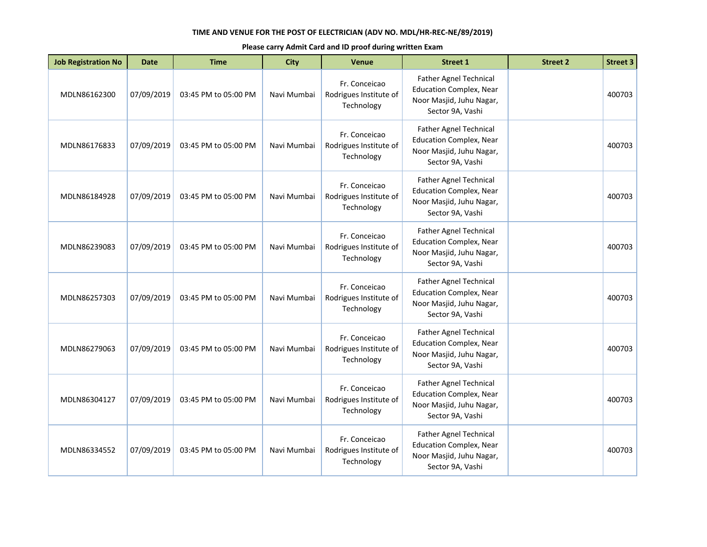| <b>Job Registration No</b> | <b>Date</b> | <b>Time</b>          | <b>City</b> | <b>Venue</b>                                          | <b>Street 1</b>                                                                                                 | <b>Street 2</b> | <b>Street 3</b> |
|----------------------------|-------------|----------------------|-------------|-------------------------------------------------------|-----------------------------------------------------------------------------------------------------------------|-----------------|-----------------|
| MDLN86162300               | 07/09/2019  | 03:45 PM to 05:00 PM | Navi Mumbai | Fr. Conceicao<br>Rodrigues Institute of<br>Technology | Father Agnel Technical<br><b>Education Complex, Near</b><br>Noor Masjid, Juhu Nagar,<br>Sector 9A, Vashi        |                 | 400703          |
| MDLN86176833               | 07/09/2019  | 03:45 PM to 05:00 PM | Navi Mumbai | Fr. Conceicao<br>Rodrigues Institute of<br>Technology | <b>Father Agnel Technical</b><br><b>Education Complex, Near</b><br>Noor Masjid, Juhu Nagar,<br>Sector 9A, Vashi |                 | 400703          |
| MDLN86184928               | 07/09/2019  | 03:45 PM to 05:00 PM | Navi Mumbai | Fr. Conceicao<br>Rodrigues Institute of<br>Technology | <b>Father Agnel Technical</b><br><b>Education Complex, Near</b><br>Noor Masjid, Juhu Nagar,<br>Sector 9A, Vashi |                 | 400703          |
| MDLN86239083               | 07/09/2019  | 03:45 PM to 05:00 PM | Navi Mumbai | Fr. Conceicao<br>Rodrigues Institute of<br>Technology | <b>Father Agnel Technical</b><br><b>Education Complex, Near</b><br>Noor Masjid, Juhu Nagar,<br>Sector 9A, Vashi |                 | 400703          |
| MDLN86257303               | 07/09/2019  | 03:45 PM to 05:00 PM | Navi Mumbai | Fr. Conceicao<br>Rodrigues Institute of<br>Technology | Father Agnel Technical<br><b>Education Complex, Near</b><br>Noor Masjid, Juhu Nagar,<br>Sector 9A, Vashi        |                 | 400703          |
| MDLN86279063               | 07/09/2019  | 03:45 PM to 05:00 PM | Navi Mumbai | Fr. Conceicao<br>Rodrigues Institute of<br>Technology | <b>Father Agnel Technical</b><br><b>Education Complex, Near</b><br>Noor Masjid, Juhu Nagar,<br>Sector 9A, Vashi |                 | 400703          |
| MDLN86304127               | 07/09/2019  | 03:45 PM to 05:00 PM | Navi Mumbai | Fr. Conceicao<br>Rodrigues Institute of<br>Technology | Father Agnel Technical<br><b>Education Complex, Near</b><br>Noor Masjid, Juhu Nagar,<br>Sector 9A, Vashi        |                 | 400703          |
| MDLN86334552               | 07/09/2019  | 03:45 PM to 05:00 PM | Navi Mumbai | Fr. Conceicao<br>Rodrigues Institute of<br>Technology | Father Agnel Technical<br><b>Education Complex, Near</b><br>Noor Masjid, Juhu Nagar,<br>Sector 9A, Vashi        |                 | 400703          |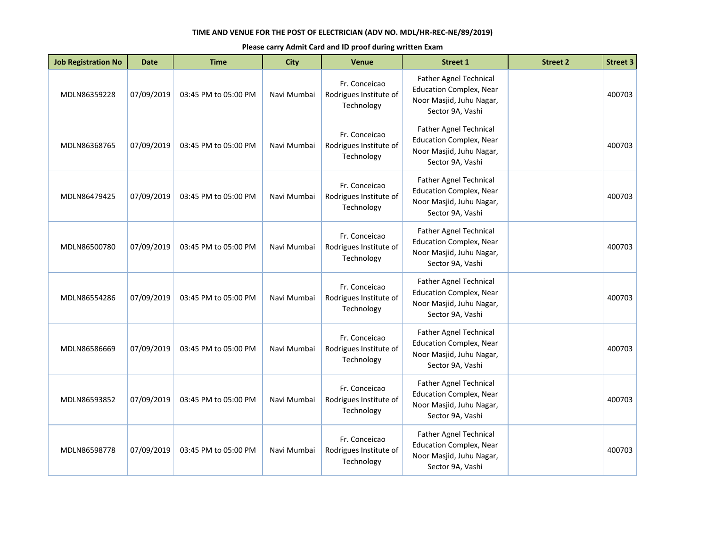| <b>Job Registration No</b> | <b>Date</b> | <b>Time</b>          | <b>City</b> | <b>Venue</b>                                          | <b>Street 1</b>                                                                                                 | <b>Street 2</b> | <b>Street 3</b> |
|----------------------------|-------------|----------------------|-------------|-------------------------------------------------------|-----------------------------------------------------------------------------------------------------------------|-----------------|-----------------|
| MDLN86359228               | 07/09/2019  | 03:45 PM to 05:00 PM | Navi Mumbai | Fr. Conceicao<br>Rodrigues Institute of<br>Technology | Father Agnel Technical<br><b>Education Complex, Near</b><br>Noor Masjid, Juhu Nagar,<br>Sector 9A, Vashi        |                 | 400703          |
| MDLN86368765               | 07/09/2019  | 03:45 PM to 05:00 PM | Navi Mumbai | Fr. Conceicao<br>Rodrigues Institute of<br>Technology | <b>Father Agnel Technical</b><br><b>Education Complex, Near</b><br>Noor Masjid, Juhu Nagar,<br>Sector 9A, Vashi |                 | 400703          |
| MDLN86479425               | 07/09/2019  | 03:45 PM to 05:00 PM | Navi Mumbai | Fr. Conceicao<br>Rodrigues Institute of<br>Technology | <b>Father Agnel Technical</b><br><b>Education Complex, Near</b><br>Noor Masjid, Juhu Nagar,<br>Sector 9A, Vashi |                 | 400703          |
| MDLN86500780               | 07/09/2019  | 03:45 PM to 05:00 PM | Navi Mumbai | Fr. Conceicao<br>Rodrigues Institute of<br>Technology | <b>Father Agnel Technical</b><br><b>Education Complex, Near</b><br>Noor Masjid, Juhu Nagar,<br>Sector 9A, Vashi |                 | 400703          |
| MDLN86554286               | 07/09/2019  | 03:45 PM to 05:00 PM | Navi Mumbai | Fr. Conceicao<br>Rodrigues Institute of<br>Technology | Father Agnel Technical<br><b>Education Complex, Near</b><br>Noor Masjid, Juhu Nagar,<br>Sector 9A, Vashi        |                 | 400703          |
| MDLN86586669               | 07/09/2019  | 03:45 PM to 05:00 PM | Navi Mumbai | Fr. Conceicao<br>Rodrigues Institute of<br>Technology | <b>Father Agnel Technical</b><br><b>Education Complex, Near</b><br>Noor Masjid, Juhu Nagar,<br>Sector 9A, Vashi |                 | 400703          |
| MDLN86593852               | 07/09/2019  | 03:45 PM to 05:00 PM | Navi Mumbai | Fr. Conceicao<br>Rodrigues Institute of<br>Technology | Father Agnel Technical<br><b>Education Complex, Near</b><br>Noor Masjid, Juhu Nagar,<br>Sector 9A, Vashi        |                 | 400703          |
| MDLN86598778               | 07/09/2019  | 03:45 PM to 05:00 PM | Navi Mumbai | Fr. Conceicao<br>Rodrigues Institute of<br>Technology | Father Agnel Technical<br><b>Education Complex, Near</b><br>Noor Masjid, Juhu Nagar,<br>Sector 9A, Vashi        |                 | 400703          |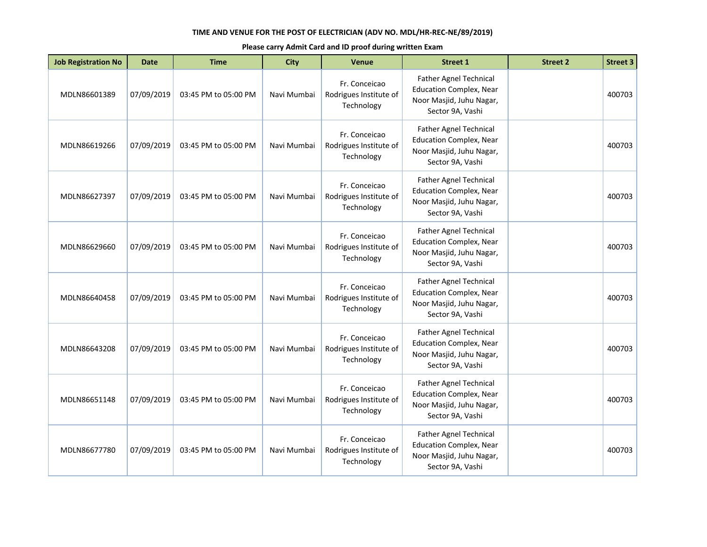| <b>Job Registration No</b> | <b>Date</b> | <b>Time</b>          | <b>City</b> | <b>Venue</b>                                          | <b>Street 1</b>                                                                                                 | <b>Street 2</b> | <b>Street 3</b> |
|----------------------------|-------------|----------------------|-------------|-------------------------------------------------------|-----------------------------------------------------------------------------------------------------------------|-----------------|-----------------|
| MDLN86601389               | 07/09/2019  | 03:45 PM to 05:00 PM | Navi Mumbai | Fr. Conceicao<br>Rodrigues Institute of<br>Technology | Father Agnel Technical<br><b>Education Complex, Near</b><br>Noor Masjid, Juhu Nagar,<br>Sector 9A, Vashi        |                 | 400703          |
| MDLN86619266               | 07/09/2019  | 03:45 PM to 05:00 PM | Navi Mumbai | Fr. Conceicao<br>Rodrigues Institute of<br>Technology | <b>Father Agnel Technical</b><br><b>Education Complex, Near</b><br>Noor Masjid, Juhu Nagar,<br>Sector 9A, Vashi |                 | 400703          |
| MDLN86627397               | 07/09/2019  | 03:45 PM to 05:00 PM | Navi Mumbai | Fr. Conceicao<br>Rodrigues Institute of<br>Technology | <b>Father Agnel Technical</b><br><b>Education Complex, Near</b><br>Noor Masjid, Juhu Nagar,<br>Sector 9A, Vashi |                 | 400703          |
| MDLN86629660               | 07/09/2019  | 03:45 PM to 05:00 PM | Navi Mumbai | Fr. Conceicao<br>Rodrigues Institute of<br>Technology | <b>Father Agnel Technical</b><br><b>Education Complex, Near</b><br>Noor Masjid, Juhu Nagar,<br>Sector 9A, Vashi |                 | 400703          |
| MDLN86640458               | 07/09/2019  | 03:45 PM to 05:00 PM | Navi Mumbai | Fr. Conceicao<br>Rodrigues Institute of<br>Technology | Father Agnel Technical<br><b>Education Complex, Near</b><br>Noor Masjid, Juhu Nagar,<br>Sector 9A, Vashi        |                 | 400703          |
| MDLN86643208               | 07/09/2019  | 03:45 PM to 05:00 PM | Navi Mumbai | Fr. Conceicao<br>Rodrigues Institute of<br>Technology | <b>Father Agnel Technical</b><br><b>Education Complex, Near</b><br>Noor Masjid, Juhu Nagar,<br>Sector 9A, Vashi |                 | 400703          |
| MDLN86651148               | 07/09/2019  | 03:45 PM to 05:00 PM | Navi Mumbai | Fr. Conceicao<br>Rodrigues Institute of<br>Technology | Father Agnel Technical<br><b>Education Complex, Near</b><br>Noor Masjid, Juhu Nagar,<br>Sector 9A, Vashi        |                 | 400703          |
| MDLN86677780               | 07/09/2019  | 03:45 PM to 05:00 PM | Navi Mumbai | Fr. Conceicao<br>Rodrigues Institute of<br>Technology | Father Agnel Technical<br><b>Education Complex, Near</b><br>Noor Masjid, Juhu Nagar,<br>Sector 9A, Vashi        |                 | 400703          |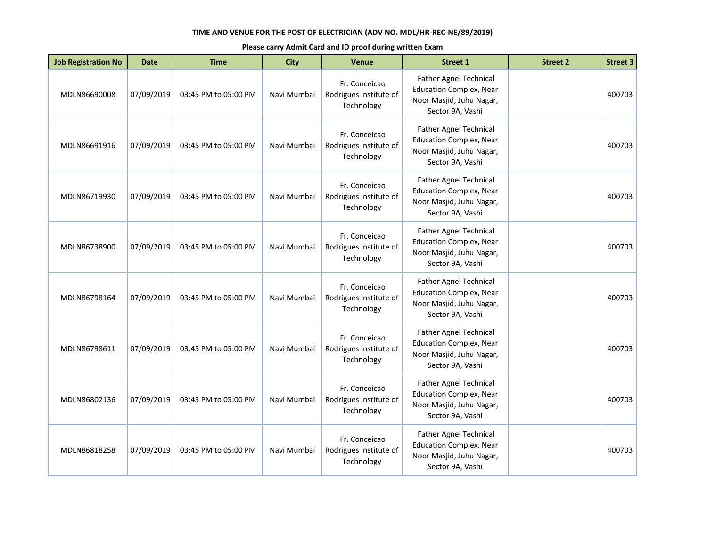| <b>Job Registration No</b> | <b>Date</b> | <b>Time</b>          | <b>City</b> | <b>Venue</b>                                          | <b>Street 1</b>                                                                                                 | <b>Street 2</b> | <b>Street 3</b> |
|----------------------------|-------------|----------------------|-------------|-------------------------------------------------------|-----------------------------------------------------------------------------------------------------------------|-----------------|-----------------|
| MDLN86690008               | 07/09/2019  | 03:45 PM to 05:00 PM | Navi Mumbai | Fr. Conceicao<br>Rodrigues Institute of<br>Technology | Father Agnel Technical<br><b>Education Complex, Near</b><br>Noor Masjid, Juhu Nagar,<br>Sector 9A, Vashi        |                 | 400703          |
| MDLN86691916               | 07/09/2019  | 03:45 PM to 05:00 PM | Navi Mumbai | Fr. Conceicao<br>Rodrigues Institute of<br>Technology | <b>Father Agnel Technical</b><br><b>Education Complex, Near</b><br>Noor Masjid, Juhu Nagar,<br>Sector 9A, Vashi |                 | 400703          |
| MDLN86719930               | 07/09/2019  | 03:45 PM to 05:00 PM | Navi Mumbai | Fr. Conceicao<br>Rodrigues Institute of<br>Technology | <b>Father Agnel Technical</b><br><b>Education Complex, Near</b><br>Noor Masjid, Juhu Nagar,<br>Sector 9A, Vashi |                 | 400703          |
| MDLN86738900               | 07/09/2019  | 03:45 PM to 05:00 PM | Navi Mumbai | Fr. Conceicao<br>Rodrigues Institute of<br>Technology | <b>Father Agnel Technical</b><br><b>Education Complex, Near</b><br>Noor Masjid, Juhu Nagar,<br>Sector 9A, Vashi |                 | 400703          |
| MDLN86798164               | 07/09/2019  | 03:45 PM to 05:00 PM | Navi Mumbai | Fr. Conceicao<br>Rodrigues Institute of<br>Technology | Father Agnel Technical<br><b>Education Complex, Near</b><br>Noor Masjid, Juhu Nagar,<br>Sector 9A, Vashi        |                 | 400703          |
| MDLN86798611               | 07/09/2019  | 03:45 PM to 05:00 PM | Navi Mumbai | Fr. Conceicao<br>Rodrigues Institute of<br>Technology | <b>Father Agnel Technical</b><br><b>Education Complex, Near</b><br>Noor Masjid, Juhu Nagar,<br>Sector 9A, Vashi |                 | 400703          |
| MDLN86802136               | 07/09/2019  | 03:45 PM to 05:00 PM | Navi Mumbai | Fr. Conceicao<br>Rodrigues Institute of<br>Technology | Father Agnel Technical<br><b>Education Complex, Near</b><br>Noor Masjid, Juhu Nagar,<br>Sector 9A, Vashi        |                 | 400703          |
| MDLN86818258               | 07/09/2019  | 03:45 PM to 05:00 PM | Navi Mumbai | Fr. Conceicao<br>Rodrigues Institute of<br>Technology | Father Agnel Technical<br><b>Education Complex, Near</b><br>Noor Masjid, Juhu Nagar,<br>Sector 9A, Vashi        |                 | 400703          |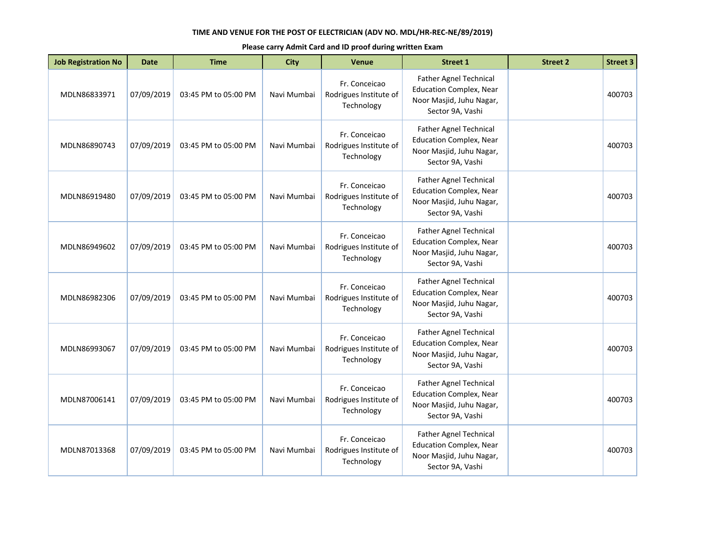| <b>Job Registration No</b> | <b>Date</b> | <b>Time</b>          | <b>City</b> | <b>Venue</b>                                          | <b>Street 1</b>                                                                                                 | <b>Street 2</b> | <b>Street 3</b> |
|----------------------------|-------------|----------------------|-------------|-------------------------------------------------------|-----------------------------------------------------------------------------------------------------------------|-----------------|-----------------|
| MDLN86833971               | 07/09/2019  | 03:45 PM to 05:00 PM | Navi Mumbai | Fr. Conceicao<br>Rodrigues Institute of<br>Technology | Father Agnel Technical<br><b>Education Complex, Near</b><br>Noor Masjid, Juhu Nagar,<br>Sector 9A, Vashi        |                 | 400703          |
| MDLN86890743               | 07/09/2019  | 03:45 PM to 05:00 PM | Navi Mumbai | Fr. Conceicao<br>Rodrigues Institute of<br>Technology | <b>Father Agnel Technical</b><br><b>Education Complex, Near</b><br>Noor Masjid, Juhu Nagar,<br>Sector 9A, Vashi |                 | 400703          |
| MDLN86919480               | 07/09/2019  | 03:45 PM to 05:00 PM | Navi Mumbai | Fr. Conceicao<br>Rodrigues Institute of<br>Technology | <b>Father Agnel Technical</b><br><b>Education Complex, Near</b><br>Noor Masjid, Juhu Nagar,<br>Sector 9A, Vashi |                 | 400703          |
| MDLN86949602               | 07/09/2019  | 03:45 PM to 05:00 PM | Navi Mumbai | Fr. Conceicao<br>Rodrigues Institute of<br>Technology | <b>Father Agnel Technical</b><br><b>Education Complex, Near</b><br>Noor Masjid, Juhu Nagar,<br>Sector 9A, Vashi |                 | 400703          |
| MDLN86982306               | 07/09/2019  | 03:45 PM to 05:00 PM | Navi Mumbai | Fr. Conceicao<br>Rodrigues Institute of<br>Technology | Father Agnel Technical<br><b>Education Complex, Near</b><br>Noor Masjid, Juhu Nagar,<br>Sector 9A, Vashi        |                 | 400703          |
| MDLN86993067               | 07/09/2019  | 03:45 PM to 05:00 PM | Navi Mumbai | Fr. Conceicao<br>Rodrigues Institute of<br>Technology | <b>Father Agnel Technical</b><br><b>Education Complex, Near</b><br>Noor Masjid, Juhu Nagar,<br>Sector 9A, Vashi |                 | 400703          |
| MDLN87006141               | 07/09/2019  | 03:45 PM to 05:00 PM | Navi Mumbai | Fr. Conceicao<br>Rodrigues Institute of<br>Technology | Father Agnel Technical<br><b>Education Complex, Near</b><br>Noor Masjid, Juhu Nagar,<br>Sector 9A, Vashi        |                 | 400703          |
| MDLN87013368               | 07/09/2019  | 03:45 PM to 05:00 PM | Navi Mumbai | Fr. Conceicao<br>Rodrigues Institute of<br>Technology | Father Agnel Technical<br><b>Education Complex, Near</b><br>Noor Masjid, Juhu Nagar,<br>Sector 9A, Vashi        |                 | 400703          |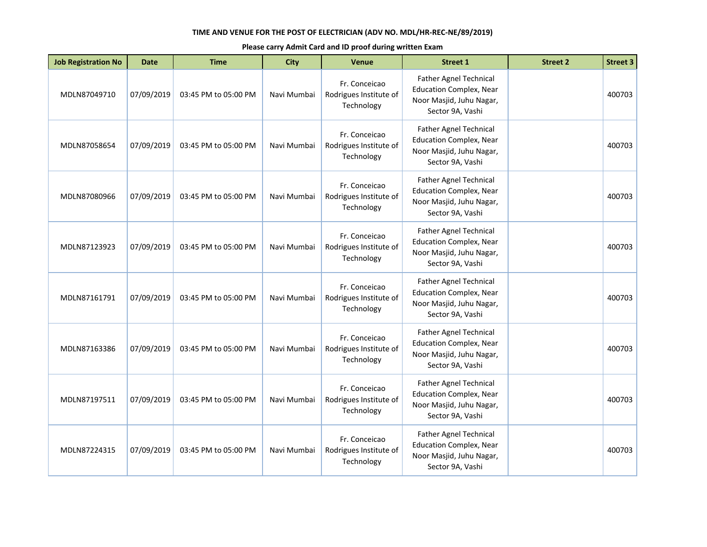| <b>Job Registration No</b> | <b>Date</b> | <b>Time</b>          | <b>City</b> | <b>Venue</b>                                          | <b>Street 1</b>                                                                                                 | <b>Street 2</b> | <b>Street 3</b> |
|----------------------------|-------------|----------------------|-------------|-------------------------------------------------------|-----------------------------------------------------------------------------------------------------------------|-----------------|-----------------|
| MDLN87049710               | 07/09/2019  | 03:45 PM to 05:00 PM | Navi Mumbai | Fr. Conceicao<br>Rodrigues Institute of<br>Technology | Father Agnel Technical<br><b>Education Complex, Near</b><br>Noor Masjid, Juhu Nagar,<br>Sector 9A, Vashi        |                 | 400703          |
| MDLN87058654               | 07/09/2019  | 03:45 PM to 05:00 PM | Navi Mumbai | Fr. Conceicao<br>Rodrigues Institute of<br>Technology | <b>Father Agnel Technical</b><br><b>Education Complex, Near</b><br>Noor Masjid, Juhu Nagar,<br>Sector 9A, Vashi |                 | 400703          |
| MDLN87080966               | 07/09/2019  | 03:45 PM to 05:00 PM | Navi Mumbai | Fr. Conceicao<br>Rodrigues Institute of<br>Technology | <b>Father Agnel Technical</b><br><b>Education Complex, Near</b><br>Noor Masjid, Juhu Nagar,<br>Sector 9A, Vashi |                 | 400703          |
| MDLN87123923               | 07/09/2019  | 03:45 PM to 05:00 PM | Navi Mumbai | Fr. Conceicao<br>Rodrigues Institute of<br>Technology | <b>Father Agnel Technical</b><br><b>Education Complex, Near</b><br>Noor Masjid, Juhu Nagar,<br>Sector 9A, Vashi |                 | 400703          |
| MDLN87161791               | 07/09/2019  | 03:45 PM to 05:00 PM | Navi Mumbai | Fr. Conceicao<br>Rodrigues Institute of<br>Technology | Father Agnel Technical<br><b>Education Complex, Near</b><br>Noor Masjid, Juhu Nagar,<br>Sector 9A, Vashi        |                 | 400703          |
| MDLN87163386               | 07/09/2019  | 03:45 PM to 05:00 PM | Navi Mumbai | Fr. Conceicao<br>Rodrigues Institute of<br>Technology | <b>Father Agnel Technical</b><br><b>Education Complex, Near</b><br>Noor Masjid, Juhu Nagar,<br>Sector 9A, Vashi |                 | 400703          |
| MDLN87197511               | 07/09/2019  | 03:45 PM to 05:00 PM | Navi Mumbai | Fr. Conceicao<br>Rodrigues Institute of<br>Technology | Father Agnel Technical<br><b>Education Complex, Near</b><br>Noor Masjid, Juhu Nagar,<br>Sector 9A, Vashi        |                 | 400703          |
| MDLN87224315               | 07/09/2019  | 03:45 PM to 05:00 PM | Navi Mumbai | Fr. Conceicao<br>Rodrigues Institute of<br>Technology | Father Agnel Technical<br><b>Education Complex, Near</b><br>Noor Masjid, Juhu Nagar,<br>Sector 9A, Vashi        |                 | 400703          |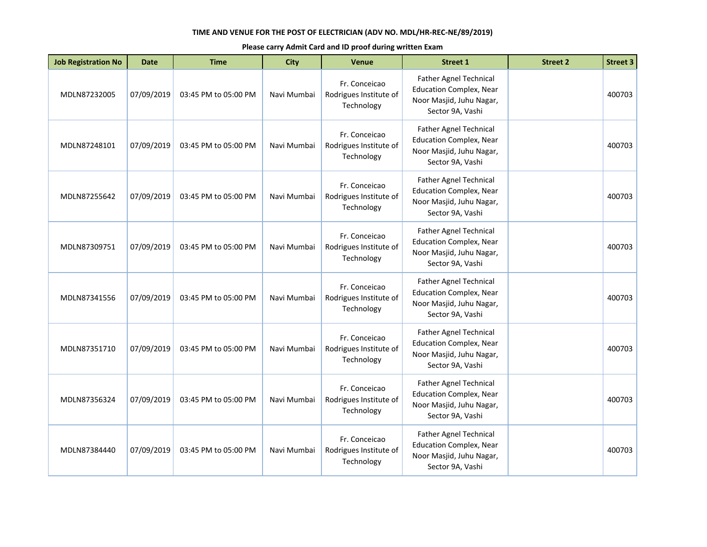| <b>Job Registration No</b> | <b>Date</b> | <b>Time</b>          | <b>City</b> | <b>Venue</b>                                          | <b>Street 1</b>                                                                                                 | <b>Street 2</b> | <b>Street 3</b> |
|----------------------------|-------------|----------------------|-------------|-------------------------------------------------------|-----------------------------------------------------------------------------------------------------------------|-----------------|-----------------|
| MDLN87232005               | 07/09/2019  | 03:45 PM to 05:00 PM | Navi Mumbai | Fr. Conceicao<br>Rodrigues Institute of<br>Technology | Father Agnel Technical<br><b>Education Complex, Near</b><br>Noor Masjid, Juhu Nagar,<br>Sector 9A, Vashi        |                 | 400703          |
| MDLN87248101               | 07/09/2019  | 03:45 PM to 05:00 PM | Navi Mumbai | Fr. Conceicao<br>Rodrigues Institute of<br>Technology | <b>Father Agnel Technical</b><br><b>Education Complex, Near</b><br>Noor Masjid, Juhu Nagar,<br>Sector 9A, Vashi |                 | 400703          |
| MDLN87255642               | 07/09/2019  | 03:45 PM to 05:00 PM | Navi Mumbai | Fr. Conceicao<br>Rodrigues Institute of<br>Technology | <b>Father Agnel Technical</b><br><b>Education Complex, Near</b><br>Noor Masjid, Juhu Nagar,<br>Sector 9A, Vashi |                 | 400703          |
| MDLN87309751               | 07/09/2019  | 03:45 PM to 05:00 PM | Navi Mumbai | Fr. Conceicao<br>Rodrigues Institute of<br>Technology | <b>Father Agnel Technical</b><br><b>Education Complex, Near</b><br>Noor Masjid, Juhu Nagar,<br>Sector 9A, Vashi |                 | 400703          |
| MDLN87341556               | 07/09/2019  | 03:45 PM to 05:00 PM | Navi Mumbai | Fr. Conceicao<br>Rodrigues Institute of<br>Technology | Father Agnel Technical<br><b>Education Complex, Near</b><br>Noor Masjid, Juhu Nagar,<br>Sector 9A, Vashi        |                 | 400703          |
| MDLN87351710               | 07/09/2019  | 03:45 PM to 05:00 PM | Navi Mumbai | Fr. Conceicao<br>Rodrigues Institute of<br>Technology | <b>Father Agnel Technical</b><br><b>Education Complex, Near</b><br>Noor Masjid, Juhu Nagar,<br>Sector 9A, Vashi |                 | 400703          |
| MDLN87356324               | 07/09/2019  | 03:45 PM to 05:00 PM | Navi Mumbai | Fr. Conceicao<br>Rodrigues Institute of<br>Technology | Father Agnel Technical<br><b>Education Complex, Near</b><br>Noor Masjid, Juhu Nagar,<br>Sector 9A, Vashi        |                 | 400703          |
| MDLN87384440               | 07/09/2019  | 03:45 PM to 05:00 PM | Navi Mumbai | Fr. Conceicao<br>Rodrigues Institute of<br>Technology | Father Agnel Technical<br><b>Education Complex, Near</b><br>Noor Masjid, Juhu Nagar,<br>Sector 9A, Vashi        |                 | 400703          |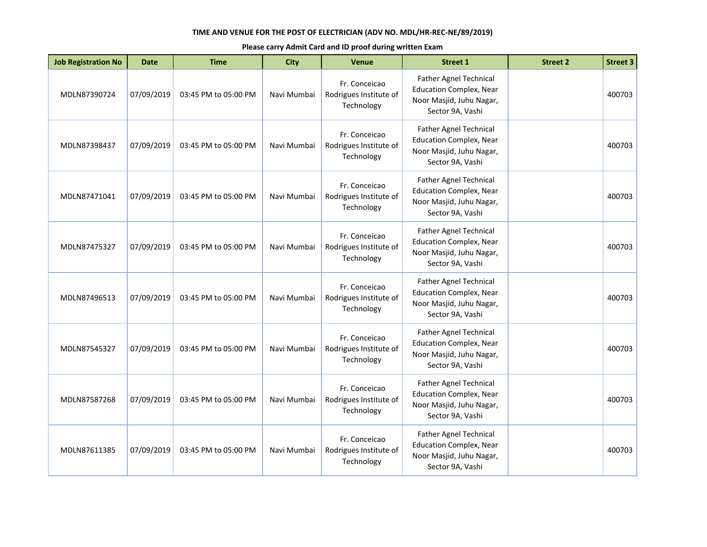| <b>Job Registration No</b> | <b>Date</b> | <b>Time</b>          | <b>City</b> | <b>Venue</b>                                          | <b>Street 1</b>                                                                                                 | <b>Street 2</b> | <b>Street 3</b> |
|----------------------------|-------------|----------------------|-------------|-------------------------------------------------------|-----------------------------------------------------------------------------------------------------------------|-----------------|-----------------|
| MDLN87390724               | 07/09/2019  | 03:45 PM to 05:00 PM | Navi Mumbai | Fr. Conceicao<br>Rodrigues Institute of<br>Technology | Father Agnel Technical<br><b>Education Complex, Near</b><br>Noor Masjid, Juhu Nagar,<br>Sector 9A, Vashi        |                 | 400703          |
| MDLN87398437               | 07/09/2019  | 03:45 PM to 05:00 PM | Navi Mumbai | Fr. Conceicao<br>Rodrigues Institute of<br>Technology | <b>Father Agnel Technical</b><br><b>Education Complex, Near</b><br>Noor Masjid, Juhu Nagar,<br>Sector 9A, Vashi |                 | 400703          |
| MDLN87471041               | 07/09/2019  | 03:45 PM to 05:00 PM | Navi Mumbai | Fr. Conceicao<br>Rodrigues Institute of<br>Technology | Father Agnel Technical<br><b>Education Complex, Near</b><br>Noor Masjid, Juhu Nagar,<br>Sector 9A, Vashi        |                 | 400703          |
| MDLN87475327               | 07/09/2019  | 03:45 PM to 05:00 PM | Navi Mumbai | Fr. Conceicao<br>Rodrigues Institute of<br>Technology | <b>Father Agnel Technical</b><br><b>Education Complex, Near</b><br>Noor Masjid, Juhu Nagar,<br>Sector 9A, Vashi |                 | 400703          |
| MDLN87496513               | 07/09/2019  | 03:45 PM to 05:00 PM | Navi Mumbai | Fr. Conceicao<br>Rodrigues Institute of<br>Technology | <b>Father Agnel Technical</b><br><b>Education Complex, Near</b><br>Noor Masjid, Juhu Nagar,<br>Sector 9A, Vashi |                 | 400703          |
| MDLN87545327               | 07/09/2019  | 03:45 PM to 05:00 PM | Navi Mumbai | Fr. Conceicao<br>Rodrigues Institute of<br>Technology | Father Agnel Technical<br><b>Education Complex, Near</b><br>Noor Masjid, Juhu Nagar,<br>Sector 9A, Vashi        |                 | 400703          |
| MDLN87587268               | 07/09/2019  | 03:45 PM to 05:00 PM | Navi Mumbai | Fr. Conceicao<br>Rodrigues Institute of<br>Technology | <b>Father Agnel Technical</b><br><b>Education Complex, Near</b><br>Noor Masjid, Juhu Nagar,<br>Sector 9A, Vashi |                 | 400703          |
| MDLN87611385               | 07/09/2019  | 03:45 PM to 05:00 PM | Navi Mumbai | Fr. Conceicao<br>Rodrigues Institute of<br>Technology | Father Agnel Technical<br><b>Education Complex, Near</b><br>Noor Masjid, Juhu Nagar,<br>Sector 9A, Vashi        |                 | 400703          |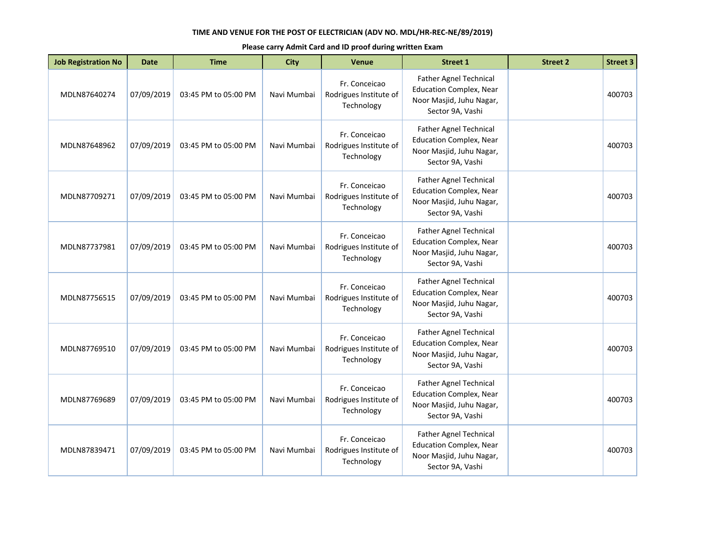| <b>Job Registration No</b> | <b>Date</b> | <b>Time</b>          | <b>City</b> | <b>Venue</b>                                          | <b>Street 1</b>                                                                                                 | <b>Street 2</b> | <b>Street 3</b> |
|----------------------------|-------------|----------------------|-------------|-------------------------------------------------------|-----------------------------------------------------------------------------------------------------------------|-----------------|-----------------|
| MDLN87640274               | 07/09/2019  | 03:45 PM to 05:00 PM | Navi Mumbai | Fr. Conceicao<br>Rodrigues Institute of<br>Technology | Father Agnel Technical<br><b>Education Complex, Near</b><br>Noor Masjid, Juhu Nagar,<br>Sector 9A, Vashi        |                 | 400703          |
| MDLN87648962               | 07/09/2019  | 03:45 PM to 05:00 PM | Navi Mumbai | Fr. Conceicao<br>Rodrigues Institute of<br>Technology | <b>Father Agnel Technical</b><br><b>Education Complex, Near</b><br>Noor Masjid, Juhu Nagar,<br>Sector 9A, Vashi |                 | 400703          |
| MDLN87709271               | 07/09/2019  | 03:45 PM to 05:00 PM | Navi Mumbai | Fr. Conceicao<br>Rodrigues Institute of<br>Technology | Father Agnel Technical<br><b>Education Complex, Near</b><br>Noor Masjid, Juhu Nagar,<br>Sector 9A, Vashi        |                 | 400703          |
| MDLN87737981               | 07/09/2019  | 03:45 PM to 05:00 PM | Navi Mumbai | Fr. Conceicao<br>Rodrigues Institute of<br>Technology | <b>Father Agnel Technical</b><br><b>Education Complex, Near</b><br>Noor Masjid, Juhu Nagar,<br>Sector 9A, Vashi |                 | 400703          |
| MDLN87756515               | 07/09/2019  | 03:45 PM to 05:00 PM | Navi Mumbai | Fr. Conceicao<br>Rodrigues Institute of<br>Technology | <b>Father Agnel Technical</b><br><b>Education Complex, Near</b><br>Noor Masjid, Juhu Nagar,<br>Sector 9A, Vashi |                 | 400703          |
| MDLN87769510               | 07/09/2019  | 03:45 PM to 05:00 PM | Navi Mumbai | Fr. Conceicao<br>Rodrigues Institute of<br>Technology | <b>Father Agnel Technical</b><br><b>Education Complex, Near</b><br>Noor Masjid, Juhu Nagar,<br>Sector 9A, Vashi |                 | 400703          |
| MDLN87769689               | 07/09/2019  | 03:45 PM to 05:00 PM | Navi Mumbai | Fr. Conceicao<br>Rodrigues Institute of<br>Technology | <b>Father Agnel Technical</b><br><b>Education Complex, Near</b><br>Noor Masjid, Juhu Nagar,<br>Sector 9A, Vashi |                 | 400703          |
| MDLN87839471               | 07/09/2019  | 03:45 PM to 05:00 PM | Navi Mumbai | Fr. Conceicao<br>Rodrigues Institute of<br>Technology | <b>Father Agnel Technical</b><br><b>Education Complex, Near</b><br>Noor Masjid, Juhu Nagar,<br>Sector 9A, Vashi |                 | 400703          |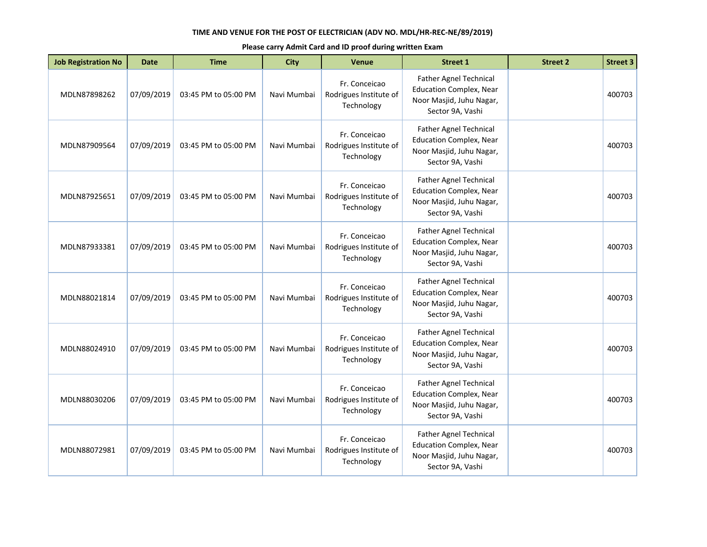| <b>Job Registration No</b> | <b>Date</b> | <b>Time</b>          | <b>City</b> | <b>Venue</b>                                          | <b>Street 1</b>                                                                                                 | <b>Street 2</b> | <b>Street 3</b> |
|----------------------------|-------------|----------------------|-------------|-------------------------------------------------------|-----------------------------------------------------------------------------------------------------------------|-----------------|-----------------|
| MDLN87898262               | 07/09/2019  | 03:45 PM to 05:00 PM | Navi Mumbai | Fr. Conceicao<br>Rodrigues Institute of<br>Technology | Father Agnel Technical<br><b>Education Complex, Near</b><br>Noor Masjid, Juhu Nagar,<br>Sector 9A, Vashi        |                 | 400703          |
| MDLN87909564               | 07/09/2019  | 03:45 PM to 05:00 PM | Navi Mumbai | Fr. Conceicao<br>Rodrigues Institute of<br>Technology | <b>Father Agnel Technical</b><br><b>Education Complex, Near</b><br>Noor Masjid, Juhu Nagar,<br>Sector 9A, Vashi |                 | 400703          |
| MDLN87925651               | 07/09/2019  | 03:45 PM to 05:00 PM | Navi Mumbai | Fr. Conceicao<br>Rodrigues Institute of<br>Technology | <b>Father Agnel Technical</b><br><b>Education Complex, Near</b><br>Noor Masjid, Juhu Nagar,<br>Sector 9A, Vashi |                 | 400703          |
| MDLN87933381               | 07/09/2019  | 03:45 PM to 05:00 PM | Navi Mumbai | Fr. Conceicao<br>Rodrigues Institute of<br>Technology | <b>Father Agnel Technical</b><br><b>Education Complex, Near</b><br>Noor Masjid, Juhu Nagar,<br>Sector 9A, Vashi |                 | 400703          |
| MDLN88021814               | 07/09/2019  | 03:45 PM to 05:00 PM | Navi Mumbai | Fr. Conceicao<br>Rodrigues Institute of<br>Technology | <b>Father Agnel Technical</b><br><b>Education Complex, Near</b><br>Noor Masjid, Juhu Nagar,<br>Sector 9A, Vashi |                 | 400703          |
| MDLN88024910               | 07/09/2019  | 03:45 PM to 05:00 PM | Navi Mumbai | Fr. Conceicao<br>Rodrigues Institute of<br>Technology | <b>Father Agnel Technical</b><br><b>Education Complex, Near</b><br>Noor Masjid, Juhu Nagar,<br>Sector 9A, Vashi |                 | 400703          |
| MDLN88030206               | 07/09/2019  | 03:45 PM to 05:00 PM | Navi Mumbai | Fr. Conceicao<br>Rodrigues Institute of<br>Technology | <b>Father Agnel Technical</b><br><b>Education Complex, Near</b><br>Noor Masjid, Juhu Nagar,<br>Sector 9A, Vashi |                 | 400703          |
| MDLN88072981               | 07/09/2019  | 03:45 PM to 05:00 PM | Navi Mumbai | Fr. Conceicao<br>Rodrigues Institute of<br>Technology | <b>Father Agnel Technical</b><br><b>Education Complex, Near</b><br>Noor Masjid, Juhu Nagar,<br>Sector 9A, Vashi |                 | 400703          |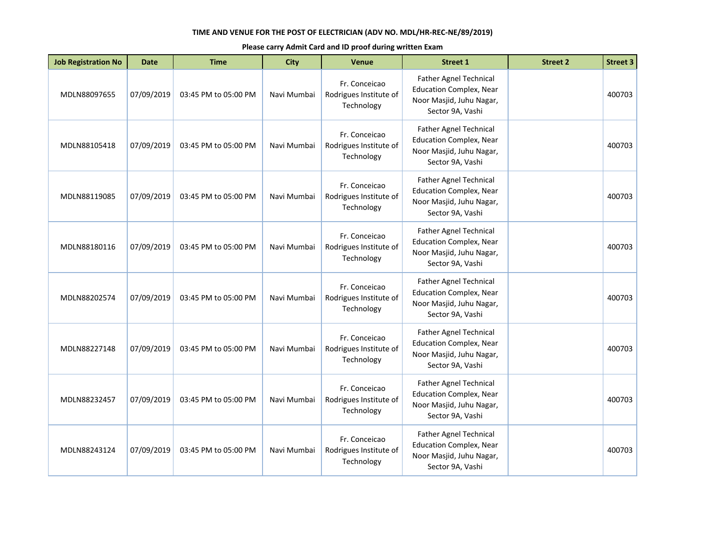| <b>Job Registration No</b> | <b>Date</b> | <b>Time</b>          | <b>City</b> | <b>Venue</b>                                          | <b>Street 1</b>                                                                                                 | <b>Street 2</b> | <b>Street 3</b> |
|----------------------------|-------------|----------------------|-------------|-------------------------------------------------------|-----------------------------------------------------------------------------------------------------------------|-----------------|-----------------|
| MDLN88097655               | 07/09/2019  | 03:45 PM to 05:00 PM | Navi Mumbai | Fr. Conceicao<br>Rodrigues Institute of<br>Technology | Father Agnel Technical<br><b>Education Complex, Near</b><br>Noor Masjid, Juhu Nagar,<br>Sector 9A, Vashi        |                 | 400703          |
| MDLN88105418               | 07/09/2019  | 03:45 PM to 05:00 PM | Navi Mumbai | Fr. Conceicao<br>Rodrigues Institute of<br>Technology | <b>Father Agnel Technical</b><br><b>Education Complex, Near</b><br>Noor Masjid, Juhu Nagar,<br>Sector 9A, Vashi |                 | 400703          |
| MDLN88119085               | 07/09/2019  | 03:45 PM to 05:00 PM | Navi Mumbai | Fr. Conceicao<br>Rodrigues Institute of<br>Technology | <b>Father Agnel Technical</b><br><b>Education Complex, Near</b><br>Noor Masjid, Juhu Nagar,<br>Sector 9A, Vashi |                 | 400703          |
| MDLN88180116               | 07/09/2019  | 03:45 PM to 05:00 PM | Navi Mumbai | Fr. Conceicao<br>Rodrigues Institute of<br>Technology | <b>Father Agnel Technical</b><br><b>Education Complex, Near</b><br>Noor Masjid, Juhu Nagar,<br>Sector 9A, Vashi |                 | 400703          |
| MDLN88202574               | 07/09/2019  | 03:45 PM to 05:00 PM | Navi Mumbai | Fr. Conceicao<br>Rodrigues Institute of<br>Technology | <b>Father Agnel Technical</b><br><b>Education Complex, Near</b><br>Noor Masjid, Juhu Nagar,<br>Sector 9A, Vashi |                 | 400703          |
| MDLN88227148               | 07/09/2019  | 03:45 PM to 05:00 PM | Navi Mumbai | Fr. Conceicao<br>Rodrigues Institute of<br>Technology | <b>Father Agnel Technical</b><br><b>Education Complex, Near</b><br>Noor Masjid, Juhu Nagar,<br>Sector 9A, Vashi |                 | 400703          |
| MDLN88232457               | 07/09/2019  | 03:45 PM to 05:00 PM | Navi Mumbai | Fr. Conceicao<br>Rodrigues Institute of<br>Technology | <b>Father Agnel Technical</b><br><b>Education Complex, Near</b><br>Noor Masjid, Juhu Nagar,<br>Sector 9A, Vashi |                 | 400703          |
| MDLN88243124               | 07/09/2019  | 03:45 PM to 05:00 PM | Navi Mumbai | Fr. Conceicao<br>Rodrigues Institute of<br>Technology | Father Agnel Technical<br><b>Education Complex, Near</b><br>Noor Masjid, Juhu Nagar,<br>Sector 9A, Vashi        |                 | 400703          |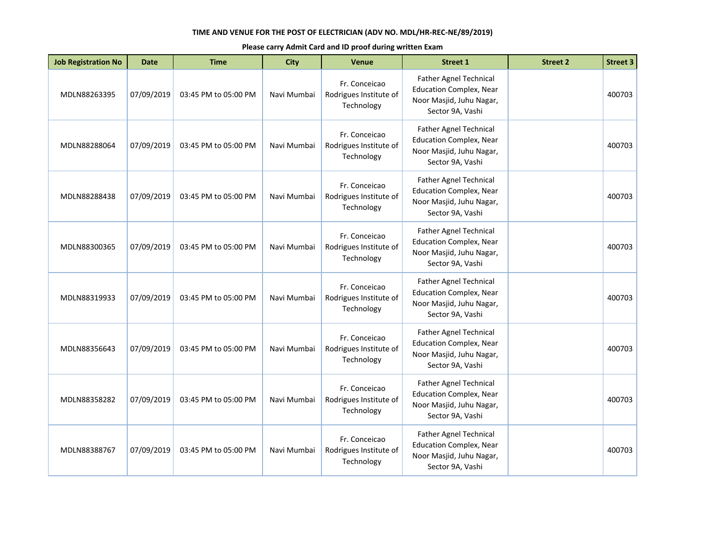| <b>Job Registration No</b> | <b>Date</b> | <b>Time</b>          | <b>City</b> | <b>Venue</b>                                          | <b>Street 1</b>                                                                                                 | <b>Street 2</b> | <b>Street 3</b> |
|----------------------------|-------------|----------------------|-------------|-------------------------------------------------------|-----------------------------------------------------------------------------------------------------------------|-----------------|-----------------|
| MDLN88263395               | 07/09/2019  | 03:45 PM to 05:00 PM | Navi Mumbai | Fr. Conceicao<br>Rodrigues Institute of<br>Technology | Father Agnel Technical<br><b>Education Complex, Near</b><br>Noor Masjid, Juhu Nagar,<br>Sector 9A, Vashi        |                 | 400703          |
| MDLN88288064               | 07/09/2019  | 03:45 PM to 05:00 PM | Navi Mumbai | Fr. Conceicao<br>Rodrigues Institute of<br>Technology | <b>Father Agnel Technical</b><br><b>Education Complex, Near</b><br>Noor Masjid, Juhu Nagar,<br>Sector 9A, Vashi |                 | 400703          |
| MDLN88288438               | 07/09/2019  | 03:45 PM to 05:00 PM | Navi Mumbai | Fr. Conceicao<br>Rodrigues Institute of<br>Technology | <b>Father Agnel Technical</b><br><b>Education Complex, Near</b><br>Noor Masjid, Juhu Nagar,<br>Sector 9A, Vashi |                 | 400703          |
| MDLN88300365               | 07/09/2019  | 03:45 PM to 05:00 PM | Navi Mumbai | Fr. Conceicao<br>Rodrigues Institute of<br>Technology | <b>Father Agnel Technical</b><br><b>Education Complex, Near</b><br>Noor Masjid, Juhu Nagar,<br>Sector 9A, Vashi |                 | 400703          |
| MDLN88319933               | 07/09/2019  | 03:45 PM to 05:00 PM | Navi Mumbai | Fr. Conceicao<br>Rodrigues Institute of<br>Technology | Father Agnel Technical<br><b>Education Complex, Near</b><br>Noor Masjid, Juhu Nagar,<br>Sector 9A, Vashi        |                 | 400703          |
| MDLN88356643               | 07/09/2019  | 03:45 PM to 05:00 PM | Navi Mumbai | Fr. Conceicao<br>Rodrigues Institute of<br>Technology | <b>Father Agnel Technical</b><br><b>Education Complex, Near</b><br>Noor Masjid, Juhu Nagar,<br>Sector 9A, Vashi |                 | 400703          |
| MDLN88358282               | 07/09/2019  | 03:45 PM to 05:00 PM | Navi Mumbai | Fr. Conceicao<br>Rodrigues Institute of<br>Technology | Father Agnel Technical<br><b>Education Complex, Near</b><br>Noor Masjid, Juhu Nagar,<br>Sector 9A, Vashi        |                 | 400703          |
| MDLN88388767               | 07/09/2019  | 03:45 PM to 05:00 PM | Navi Mumbai | Fr. Conceicao<br>Rodrigues Institute of<br>Technology | Father Agnel Technical<br><b>Education Complex, Near</b><br>Noor Masjid, Juhu Nagar,<br>Sector 9A, Vashi        |                 | 400703          |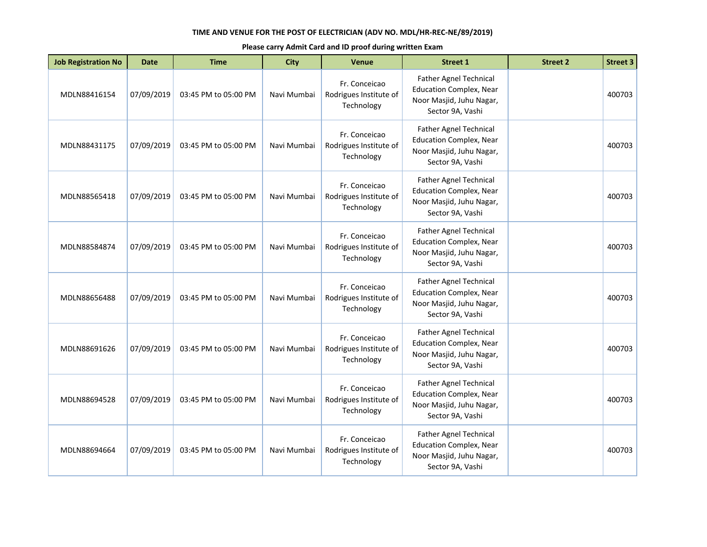| <b>Job Registration No</b> | <b>Date</b> | <b>Time</b>          | <b>City</b> | <b>Venue</b>                                          | <b>Street 1</b>                                                                                                 | <b>Street 2</b> | <b>Street 3</b> |
|----------------------------|-------------|----------------------|-------------|-------------------------------------------------------|-----------------------------------------------------------------------------------------------------------------|-----------------|-----------------|
| MDLN88416154               | 07/09/2019  | 03:45 PM to 05:00 PM | Navi Mumbai | Fr. Conceicao<br>Rodrigues Institute of<br>Technology | Father Agnel Technical<br><b>Education Complex, Near</b><br>Noor Masjid, Juhu Nagar,<br>Sector 9A, Vashi        |                 | 400703          |
| MDLN88431175               | 07/09/2019  | 03:45 PM to 05:00 PM | Navi Mumbai | Fr. Conceicao<br>Rodrigues Institute of<br>Technology | <b>Father Agnel Technical</b><br><b>Education Complex, Near</b><br>Noor Masjid, Juhu Nagar,<br>Sector 9A, Vashi |                 | 400703          |
| MDLN88565418               | 07/09/2019  | 03:45 PM to 05:00 PM | Navi Mumbai | Fr. Conceicao<br>Rodrigues Institute of<br>Technology | <b>Father Agnel Technical</b><br><b>Education Complex, Near</b><br>Noor Masjid, Juhu Nagar,<br>Sector 9A, Vashi |                 | 400703          |
| MDLN88584874               | 07/09/2019  | 03:45 PM to 05:00 PM | Navi Mumbai | Fr. Conceicao<br>Rodrigues Institute of<br>Technology | <b>Father Agnel Technical</b><br><b>Education Complex, Near</b><br>Noor Masjid, Juhu Nagar,<br>Sector 9A, Vashi |                 | 400703          |
| MDLN88656488               | 07/09/2019  | 03:45 PM to 05:00 PM | Navi Mumbai | Fr. Conceicao<br>Rodrigues Institute of<br>Technology | Father Agnel Technical<br><b>Education Complex, Near</b><br>Noor Masjid, Juhu Nagar,<br>Sector 9A, Vashi        |                 | 400703          |
| MDLN88691626               | 07/09/2019  | 03:45 PM to 05:00 PM | Navi Mumbai | Fr. Conceicao<br>Rodrigues Institute of<br>Technology | <b>Father Agnel Technical</b><br><b>Education Complex, Near</b><br>Noor Masjid, Juhu Nagar,<br>Sector 9A, Vashi |                 | 400703          |
| MDLN88694528               | 07/09/2019  | 03:45 PM to 05:00 PM | Navi Mumbai | Fr. Conceicao<br>Rodrigues Institute of<br>Technology | Father Agnel Technical<br><b>Education Complex, Near</b><br>Noor Masjid, Juhu Nagar,<br>Sector 9A, Vashi        |                 | 400703          |
| MDLN88694664               | 07/09/2019  | 03:45 PM to 05:00 PM | Navi Mumbai | Fr. Conceicao<br>Rodrigues Institute of<br>Technology | Father Agnel Technical<br><b>Education Complex, Near</b><br>Noor Masjid, Juhu Nagar,<br>Sector 9A, Vashi        |                 | 400703          |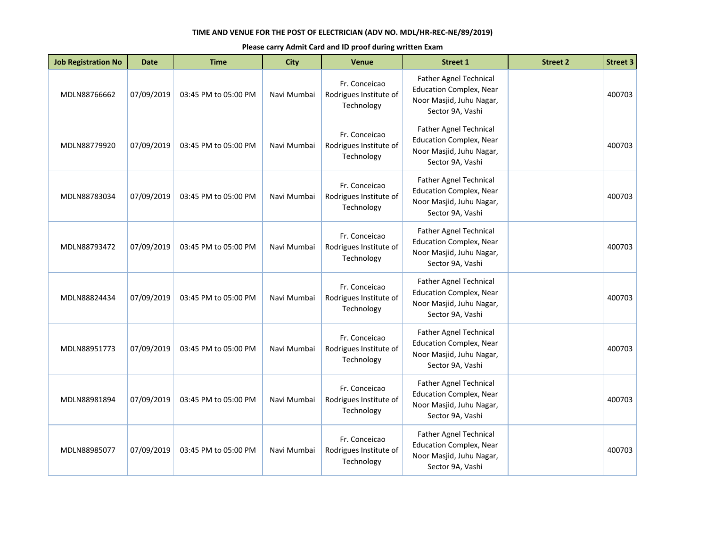| <b>Job Registration No</b> | <b>Date</b> | <b>Time</b>          | <b>City</b> | <b>Venue</b>                                          | <b>Street 1</b>                                                                                                 | <b>Street 2</b> | <b>Street 3</b> |
|----------------------------|-------------|----------------------|-------------|-------------------------------------------------------|-----------------------------------------------------------------------------------------------------------------|-----------------|-----------------|
| MDLN88766662               | 07/09/2019  | 03:45 PM to 05:00 PM | Navi Mumbai | Fr. Conceicao<br>Rodrigues Institute of<br>Technology | Father Agnel Technical<br><b>Education Complex, Near</b><br>Noor Masjid, Juhu Nagar,<br>Sector 9A, Vashi        |                 | 400703          |
| MDLN88779920               | 07/09/2019  | 03:45 PM to 05:00 PM | Navi Mumbai | Fr. Conceicao<br>Rodrigues Institute of<br>Technology | <b>Father Agnel Technical</b><br><b>Education Complex, Near</b><br>Noor Masjid, Juhu Nagar,<br>Sector 9A, Vashi |                 | 400703          |
| MDLN88783034               | 07/09/2019  | 03:45 PM to 05:00 PM | Navi Mumbai | Fr. Conceicao<br>Rodrigues Institute of<br>Technology | <b>Father Agnel Technical</b><br><b>Education Complex, Near</b><br>Noor Masjid, Juhu Nagar,<br>Sector 9A, Vashi |                 | 400703          |
| MDLN88793472               | 07/09/2019  | 03:45 PM to 05:00 PM | Navi Mumbai | Fr. Conceicao<br>Rodrigues Institute of<br>Technology | <b>Father Agnel Technical</b><br><b>Education Complex, Near</b><br>Noor Masjid, Juhu Nagar,<br>Sector 9A, Vashi |                 | 400703          |
| MDLN88824434               | 07/09/2019  | 03:45 PM to 05:00 PM | Navi Mumbai | Fr. Conceicao<br>Rodrigues Institute of<br>Technology | Father Agnel Technical<br><b>Education Complex, Near</b><br>Noor Masjid, Juhu Nagar,<br>Sector 9A, Vashi        |                 | 400703          |
| MDLN88951773               | 07/09/2019  | 03:45 PM to 05:00 PM | Navi Mumbai | Fr. Conceicao<br>Rodrigues Institute of<br>Technology | <b>Father Agnel Technical</b><br><b>Education Complex, Near</b><br>Noor Masjid, Juhu Nagar,<br>Sector 9A, Vashi |                 | 400703          |
| MDLN88981894               | 07/09/2019  | 03:45 PM to 05:00 PM | Navi Mumbai | Fr. Conceicao<br>Rodrigues Institute of<br>Technology | Father Agnel Technical<br><b>Education Complex, Near</b><br>Noor Masjid, Juhu Nagar,<br>Sector 9A, Vashi        |                 | 400703          |
| MDLN88985077               | 07/09/2019  | 03:45 PM to 05:00 PM | Navi Mumbai | Fr. Conceicao<br>Rodrigues Institute of<br>Technology | Father Agnel Technical<br><b>Education Complex, Near</b><br>Noor Masjid, Juhu Nagar,<br>Sector 9A, Vashi        |                 | 400703          |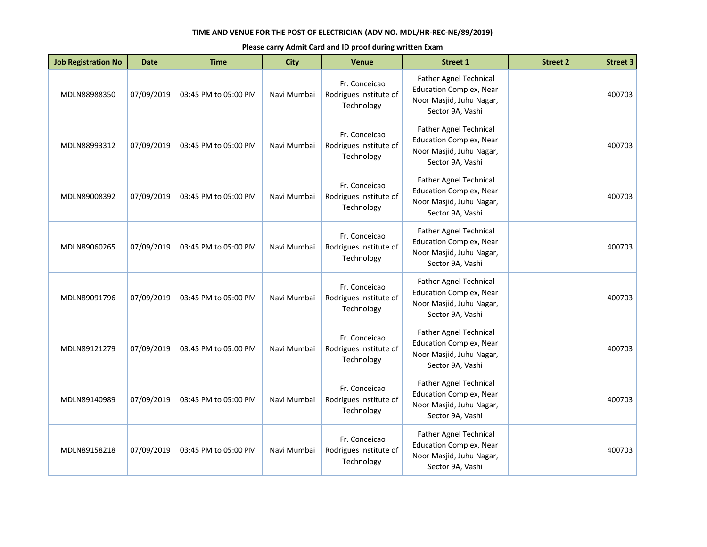| <b>Job Registration No</b> | <b>Date</b> | <b>Time</b>          | <b>City</b> | <b>Venue</b>                                          | <b>Street 1</b>                                                                                                 | <b>Street 2</b> | <b>Street 3</b> |
|----------------------------|-------------|----------------------|-------------|-------------------------------------------------------|-----------------------------------------------------------------------------------------------------------------|-----------------|-----------------|
| MDLN88988350               | 07/09/2019  | 03:45 PM to 05:00 PM | Navi Mumbai | Fr. Conceicao<br>Rodrigues Institute of<br>Technology | Father Agnel Technical<br><b>Education Complex, Near</b><br>Noor Masjid, Juhu Nagar,<br>Sector 9A, Vashi        |                 | 400703          |
| MDLN88993312               | 07/09/2019  | 03:45 PM to 05:00 PM | Navi Mumbai | Fr. Conceicao<br>Rodrigues Institute of<br>Technology | <b>Father Agnel Technical</b><br><b>Education Complex, Near</b><br>Noor Masjid, Juhu Nagar,<br>Sector 9A, Vashi |                 | 400703          |
| MDLN89008392               | 07/09/2019  | 03:45 PM to 05:00 PM | Navi Mumbai | Fr. Conceicao<br>Rodrigues Institute of<br>Technology | <b>Father Agnel Technical</b><br><b>Education Complex, Near</b><br>Noor Masjid, Juhu Nagar,<br>Sector 9A, Vashi |                 | 400703          |
| MDLN89060265               | 07/09/2019  | 03:45 PM to 05:00 PM | Navi Mumbai | Fr. Conceicao<br>Rodrigues Institute of<br>Technology | <b>Father Agnel Technical</b><br><b>Education Complex, Near</b><br>Noor Masjid, Juhu Nagar,<br>Sector 9A, Vashi |                 | 400703          |
| MDLN89091796               | 07/09/2019  | 03:45 PM to 05:00 PM | Navi Mumbai | Fr. Conceicao<br>Rodrigues Institute of<br>Technology | Father Agnel Technical<br><b>Education Complex, Near</b><br>Noor Masjid, Juhu Nagar,<br>Sector 9A, Vashi        |                 | 400703          |
| MDLN89121279               | 07/09/2019  | 03:45 PM to 05:00 PM | Navi Mumbai | Fr. Conceicao<br>Rodrigues Institute of<br>Technology | <b>Father Agnel Technical</b><br><b>Education Complex, Near</b><br>Noor Masjid, Juhu Nagar,<br>Sector 9A, Vashi |                 | 400703          |
| MDLN89140989               | 07/09/2019  | 03:45 PM to 05:00 PM | Navi Mumbai | Fr. Conceicao<br>Rodrigues Institute of<br>Technology | Father Agnel Technical<br><b>Education Complex, Near</b><br>Noor Masjid, Juhu Nagar,<br>Sector 9A, Vashi        |                 | 400703          |
| MDLN89158218               | 07/09/2019  | 03:45 PM to 05:00 PM | Navi Mumbai | Fr. Conceicao<br>Rodrigues Institute of<br>Technology | Father Agnel Technical<br><b>Education Complex, Near</b><br>Noor Masjid, Juhu Nagar,<br>Sector 9A, Vashi        |                 | 400703          |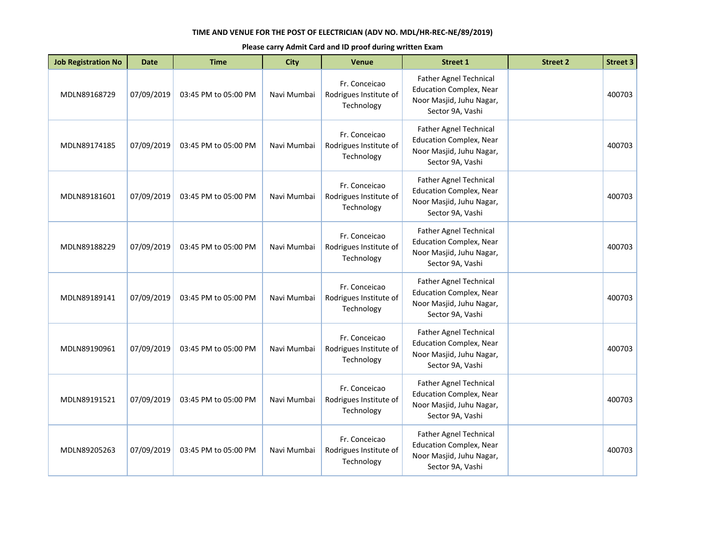| <b>Job Registration No</b> | <b>Date</b> | <b>Time</b>          | <b>City</b> | <b>Venue</b>                                          | <b>Street 1</b>                                                                                                 | <b>Street 2</b> | <b>Street 3</b> |
|----------------------------|-------------|----------------------|-------------|-------------------------------------------------------|-----------------------------------------------------------------------------------------------------------------|-----------------|-----------------|
| MDLN89168729               | 07/09/2019  | 03:45 PM to 05:00 PM | Navi Mumbai | Fr. Conceicao<br>Rodrigues Institute of<br>Technology | Father Agnel Technical<br><b>Education Complex, Near</b><br>Noor Masjid, Juhu Nagar,<br>Sector 9A, Vashi        |                 | 400703          |
| MDLN89174185               | 07/09/2019  | 03:45 PM to 05:00 PM | Navi Mumbai | Fr. Conceicao<br>Rodrigues Institute of<br>Technology | <b>Father Agnel Technical</b><br><b>Education Complex, Near</b><br>Noor Masjid, Juhu Nagar,<br>Sector 9A, Vashi |                 | 400703          |
| MDLN89181601               | 07/09/2019  | 03:45 PM to 05:00 PM | Navi Mumbai | Fr. Conceicao<br>Rodrigues Institute of<br>Technology | <b>Father Agnel Technical</b><br><b>Education Complex, Near</b><br>Noor Masjid, Juhu Nagar,<br>Sector 9A, Vashi |                 | 400703          |
| MDLN89188229               | 07/09/2019  | 03:45 PM to 05:00 PM | Navi Mumbai | Fr. Conceicao<br>Rodrigues Institute of<br>Technology | <b>Father Agnel Technical</b><br><b>Education Complex, Near</b><br>Noor Masjid, Juhu Nagar,<br>Sector 9A, Vashi |                 | 400703          |
| MDLN89189141               | 07/09/2019  | 03:45 PM to 05:00 PM | Navi Mumbai | Fr. Conceicao<br>Rodrigues Institute of<br>Technology | Father Agnel Technical<br><b>Education Complex, Near</b><br>Noor Masjid, Juhu Nagar,<br>Sector 9A, Vashi        |                 | 400703          |
| MDLN89190961               | 07/09/2019  | 03:45 PM to 05:00 PM | Navi Mumbai | Fr. Conceicao<br>Rodrigues Institute of<br>Technology | <b>Father Agnel Technical</b><br><b>Education Complex, Near</b><br>Noor Masjid, Juhu Nagar,<br>Sector 9A, Vashi |                 | 400703          |
| MDLN89191521               | 07/09/2019  | 03:45 PM to 05:00 PM | Navi Mumbai | Fr. Conceicao<br>Rodrigues Institute of<br>Technology | Father Agnel Technical<br><b>Education Complex, Near</b><br>Noor Masjid, Juhu Nagar,<br>Sector 9A, Vashi        |                 | 400703          |
| MDLN89205263               | 07/09/2019  | 03:45 PM to 05:00 PM | Navi Mumbai | Fr. Conceicao<br>Rodrigues Institute of<br>Technology | Father Agnel Technical<br><b>Education Complex, Near</b><br>Noor Masjid, Juhu Nagar,<br>Sector 9A, Vashi        |                 | 400703          |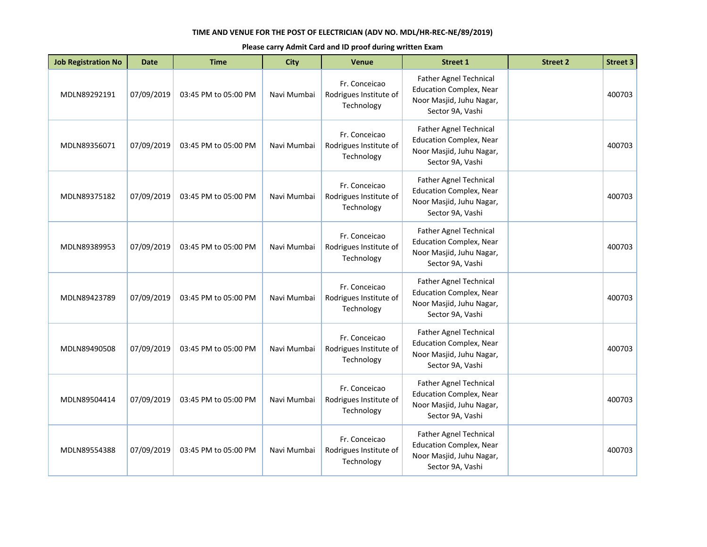| <b>Job Registration No</b> | <b>Date</b> | <b>Time</b>          | <b>City</b> | <b>Venue</b>                                          | <b>Street 1</b>                                                                                                 | <b>Street 2</b> | <b>Street 3</b> |
|----------------------------|-------------|----------------------|-------------|-------------------------------------------------------|-----------------------------------------------------------------------------------------------------------------|-----------------|-----------------|
| MDLN89292191               | 07/09/2019  | 03:45 PM to 05:00 PM | Navi Mumbai | Fr. Conceicao<br>Rodrigues Institute of<br>Technology | Father Agnel Technical<br><b>Education Complex, Near</b><br>Noor Masjid, Juhu Nagar,<br>Sector 9A, Vashi        |                 | 400703          |
| MDLN89356071               | 07/09/2019  | 03:45 PM to 05:00 PM | Navi Mumbai | Fr. Conceicao<br>Rodrigues Institute of<br>Technology | <b>Father Agnel Technical</b><br><b>Education Complex, Near</b><br>Noor Masjid, Juhu Nagar,<br>Sector 9A, Vashi |                 | 400703          |
| MDLN89375182               | 07/09/2019  | 03:45 PM to 05:00 PM | Navi Mumbai | Fr. Conceicao<br>Rodrigues Institute of<br>Technology | <b>Father Agnel Technical</b><br><b>Education Complex, Near</b><br>Noor Masjid, Juhu Nagar,<br>Sector 9A, Vashi |                 | 400703          |
| MDLN89389953               | 07/09/2019  | 03:45 PM to 05:00 PM | Navi Mumbai | Fr. Conceicao<br>Rodrigues Institute of<br>Technology | <b>Father Agnel Technical</b><br><b>Education Complex, Near</b><br>Noor Masjid, Juhu Nagar,<br>Sector 9A, Vashi |                 | 400703          |
| MDLN89423789               | 07/09/2019  | 03:45 PM to 05:00 PM | Navi Mumbai | Fr. Conceicao<br>Rodrigues Institute of<br>Technology | Father Agnel Technical<br><b>Education Complex, Near</b><br>Noor Masjid, Juhu Nagar,<br>Sector 9A, Vashi        |                 | 400703          |
| MDLN89490508               | 07/09/2019  | 03:45 PM to 05:00 PM | Navi Mumbai | Fr. Conceicao<br>Rodrigues Institute of<br>Technology | <b>Father Agnel Technical</b><br><b>Education Complex, Near</b><br>Noor Masjid, Juhu Nagar,<br>Sector 9A, Vashi |                 | 400703          |
| MDLN89504414               | 07/09/2019  | 03:45 PM to 05:00 PM | Navi Mumbai | Fr. Conceicao<br>Rodrigues Institute of<br>Technology | Father Agnel Technical<br><b>Education Complex, Near</b><br>Noor Masjid, Juhu Nagar,<br>Sector 9A, Vashi        |                 | 400703          |
| MDLN89554388               | 07/09/2019  | 03:45 PM to 05:00 PM | Navi Mumbai | Fr. Conceicao<br>Rodrigues Institute of<br>Technology | Father Agnel Technical<br><b>Education Complex, Near</b><br>Noor Masjid, Juhu Nagar,<br>Sector 9A, Vashi        |                 | 400703          |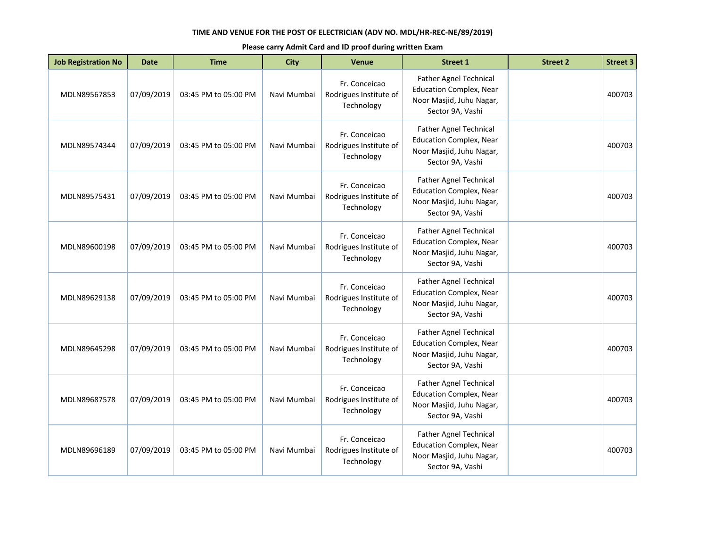| <b>Job Registration No</b> | <b>Date</b> | <b>Time</b>          | <b>City</b> | <b>Venue</b>                                          | <b>Street 1</b>                                                                                                 | <b>Street 2</b> | <b>Street 3</b> |
|----------------------------|-------------|----------------------|-------------|-------------------------------------------------------|-----------------------------------------------------------------------------------------------------------------|-----------------|-----------------|
| MDLN89567853               | 07/09/2019  | 03:45 PM to 05:00 PM | Navi Mumbai | Fr. Conceicao<br>Rodrigues Institute of<br>Technology | Father Agnel Technical<br><b>Education Complex, Near</b><br>Noor Masjid, Juhu Nagar,<br>Sector 9A, Vashi        |                 | 400703          |
| MDLN89574344               | 07/09/2019  | 03:45 PM to 05:00 PM | Navi Mumbai | Fr. Conceicao<br>Rodrigues Institute of<br>Technology | <b>Father Agnel Technical</b><br><b>Education Complex, Near</b><br>Noor Masjid, Juhu Nagar,<br>Sector 9A, Vashi |                 | 400703          |
| MDLN89575431               | 07/09/2019  | 03:45 PM to 05:00 PM | Navi Mumbai | Fr. Conceicao<br>Rodrigues Institute of<br>Technology | <b>Father Agnel Technical</b><br><b>Education Complex, Near</b><br>Noor Masjid, Juhu Nagar,<br>Sector 9A, Vashi |                 | 400703          |
| MDLN89600198               | 07/09/2019  | 03:45 PM to 05:00 PM | Navi Mumbai | Fr. Conceicao<br>Rodrigues Institute of<br>Technology | <b>Father Agnel Technical</b><br><b>Education Complex, Near</b><br>Noor Masjid, Juhu Nagar,<br>Sector 9A, Vashi |                 | 400703          |
| MDLN89629138               | 07/09/2019  | 03:45 PM to 05:00 PM | Navi Mumbai | Fr. Conceicao<br>Rodrigues Institute of<br>Technology | Father Agnel Technical<br><b>Education Complex, Near</b><br>Noor Masjid, Juhu Nagar,<br>Sector 9A, Vashi        |                 | 400703          |
| MDLN89645298               | 07/09/2019  | 03:45 PM to 05:00 PM | Navi Mumbai | Fr. Conceicao<br>Rodrigues Institute of<br>Technology | <b>Father Agnel Technical</b><br><b>Education Complex, Near</b><br>Noor Masjid, Juhu Nagar,<br>Sector 9A, Vashi |                 | 400703          |
| MDLN89687578               | 07/09/2019  | 03:45 PM to 05:00 PM | Navi Mumbai | Fr. Conceicao<br>Rodrigues Institute of<br>Technology | Father Agnel Technical<br><b>Education Complex, Near</b><br>Noor Masjid, Juhu Nagar,<br>Sector 9A, Vashi        |                 | 400703          |
| MDLN89696189               | 07/09/2019  | 03:45 PM to 05:00 PM | Navi Mumbai | Fr. Conceicao<br>Rodrigues Institute of<br>Technology | Father Agnel Technical<br><b>Education Complex, Near</b><br>Noor Masjid, Juhu Nagar,<br>Sector 9A, Vashi        |                 | 400703          |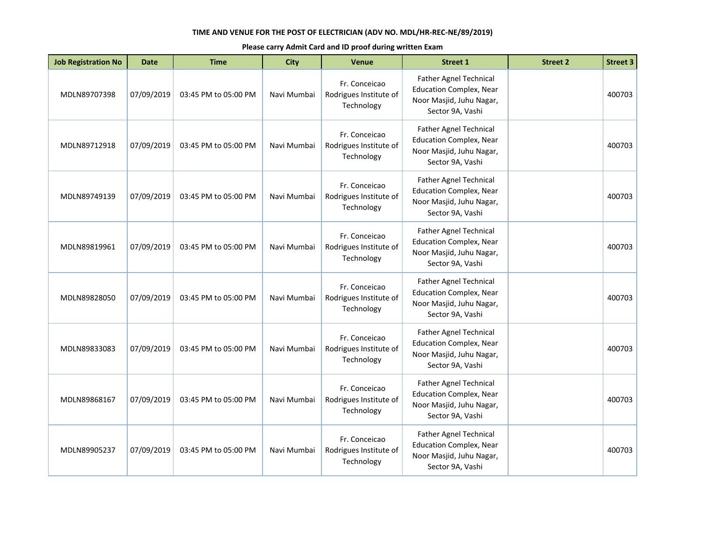| <b>Job Registration No</b> | <b>Date</b> | <b>Time</b>          | <b>City</b> | <b>Venue</b>                                          | <b>Street 1</b>                                                                                                 | <b>Street 2</b> | <b>Street 3</b> |
|----------------------------|-------------|----------------------|-------------|-------------------------------------------------------|-----------------------------------------------------------------------------------------------------------------|-----------------|-----------------|
| MDLN89707398               | 07/09/2019  | 03:45 PM to 05:00 PM | Navi Mumbai | Fr. Conceicao<br>Rodrigues Institute of<br>Technology | Father Agnel Technical<br><b>Education Complex, Near</b><br>Noor Masjid, Juhu Nagar,<br>Sector 9A, Vashi        |                 | 400703          |
| MDLN89712918               | 07/09/2019  | 03:45 PM to 05:00 PM | Navi Mumbai | Fr. Conceicao<br>Rodrigues Institute of<br>Technology | <b>Father Agnel Technical</b><br><b>Education Complex, Near</b><br>Noor Masjid, Juhu Nagar,<br>Sector 9A, Vashi |                 | 400703          |
| MDLN89749139               | 07/09/2019  | 03:45 PM to 05:00 PM | Navi Mumbai | Fr. Conceicao<br>Rodrigues Institute of<br>Technology | Father Agnel Technical<br><b>Education Complex, Near</b><br>Noor Masjid, Juhu Nagar,<br>Sector 9A, Vashi        |                 | 400703          |
| MDLN89819961               | 07/09/2019  | 03:45 PM to 05:00 PM | Navi Mumbai | Fr. Conceicao<br>Rodrigues Institute of<br>Technology | <b>Father Agnel Technical</b><br><b>Education Complex, Near</b><br>Noor Masjid, Juhu Nagar,<br>Sector 9A, Vashi |                 | 400703          |
| MDLN89828050               | 07/09/2019  | 03:45 PM to 05:00 PM | Navi Mumbai | Fr. Conceicao<br>Rodrigues Institute of<br>Technology | <b>Father Agnel Technical</b><br><b>Education Complex, Near</b><br>Noor Masjid, Juhu Nagar,<br>Sector 9A, Vashi |                 | 400703          |
| MDLN89833083               | 07/09/2019  | 03:45 PM to 05:00 PM | Navi Mumbai | Fr. Conceicao<br>Rodrigues Institute of<br>Technology | Father Agnel Technical<br><b>Education Complex, Near</b><br>Noor Masjid, Juhu Nagar,<br>Sector 9A, Vashi        |                 | 400703          |
| MDLN89868167               | 07/09/2019  | 03:45 PM to 05:00 PM | Navi Mumbai | Fr. Conceicao<br>Rodrigues Institute of<br>Technology | <b>Father Agnel Technical</b><br><b>Education Complex, Near</b><br>Noor Masjid, Juhu Nagar,<br>Sector 9A, Vashi |                 | 400703          |
| MDLN89905237               | 07/09/2019  | 03:45 PM to 05:00 PM | Navi Mumbai | Fr. Conceicao<br>Rodrigues Institute of<br>Technology | Father Agnel Technical<br><b>Education Complex, Near</b><br>Noor Masjid, Juhu Nagar,<br>Sector 9A, Vashi        |                 | 400703          |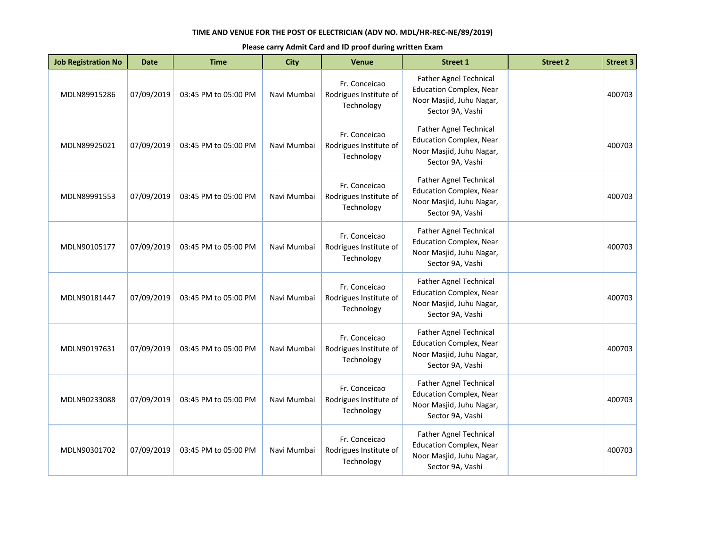| <b>Job Registration No</b> | <b>Date</b> | <b>Time</b>          | <b>City</b> | <b>Venue</b>                                          | <b>Street 1</b>                                                                                                 | <b>Street 2</b> | <b>Street 3</b> |
|----------------------------|-------------|----------------------|-------------|-------------------------------------------------------|-----------------------------------------------------------------------------------------------------------------|-----------------|-----------------|
| MDLN89915286               | 07/09/2019  | 03:45 PM to 05:00 PM | Navi Mumbai | Fr. Conceicao<br>Rodrigues Institute of<br>Technology | Father Agnel Technical<br><b>Education Complex, Near</b><br>Noor Masjid, Juhu Nagar,<br>Sector 9A, Vashi        |                 | 400703          |
| MDLN89925021               | 07/09/2019  | 03:45 PM to 05:00 PM | Navi Mumbai | Fr. Conceicao<br>Rodrigues Institute of<br>Technology | Father Agnel Technical<br><b>Education Complex, Near</b><br>Noor Masjid, Juhu Nagar,<br>Sector 9A, Vashi        |                 | 400703          |
| MDLN89991553               | 07/09/2019  | 03:45 PM to 05:00 PM | Navi Mumbai | Fr. Conceicao<br>Rodrigues Institute of<br>Technology | Father Agnel Technical<br><b>Education Complex, Near</b><br>Noor Masjid, Juhu Nagar,<br>Sector 9A, Vashi        |                 | 400703          |
| MDLN90105177               | 07/09/2019  | 03:45 PM to 05:00 PM | Navi Mumbai | Fr. Conceicao<br>Rodrigues Institute of<br>Technology | <b>Father Agnel Technical</b><br><b>Education Complex, Near</b><br>Noor Masjid, Juhu Nagar,<br>Sector 9A, Vashi |                 | 400703          |
| MDLN90181447               | 07/09/2019  | 03:45 PM to 05:00 PM | Navi Mumbai | Fr. Conceicao<br>Rodrigues Institute of<br>Technology | <b>Father Agnel Technical</b><br><b>Education Complex, Near</b><br>Noor Masjid, Juhu Nagar,<br>Sector 9A, Vashi |                 | 400703          |
| MDLN90197631               | 07/09/2019  | 03:45 PM to 05:00 PM | Navi Mumbai | Fr. Conceicao<br>Rodrigues Institute of<br>Technology | Father Agnel Technical<br><b>Education Complex, Near</b><br>Noor Masjid, Juhu Nagar,<br>Sector 9A, Vashi        |                 | 400703          |
| MDLN90233088               | 07/09/2019  | 03:45 PM to 05:00 PM | Navi Mumbai | Fr. Conceicao<br>Rodrigues Institute of<br>Technology | <b>Father Agnel Technical</b><br><b>Education Complex, Near</b><br>Noor Masjid, Juhu Nagar,<br>Sector 9A, Vashi |                 | 400703          |
| MDLN90301702               | 07/09/2019  | 03:45 PM to 05:00 PM | Navi Mumbai | Fr. Conceicao<br>Rodrigues Institute of<br>Technology | Father Agnel Technical<br><b>Education Complex, Near</b><br>Noor Masjid, Juhu Nagar,<br>Sector 9A, Vashi        |                 | 400703          |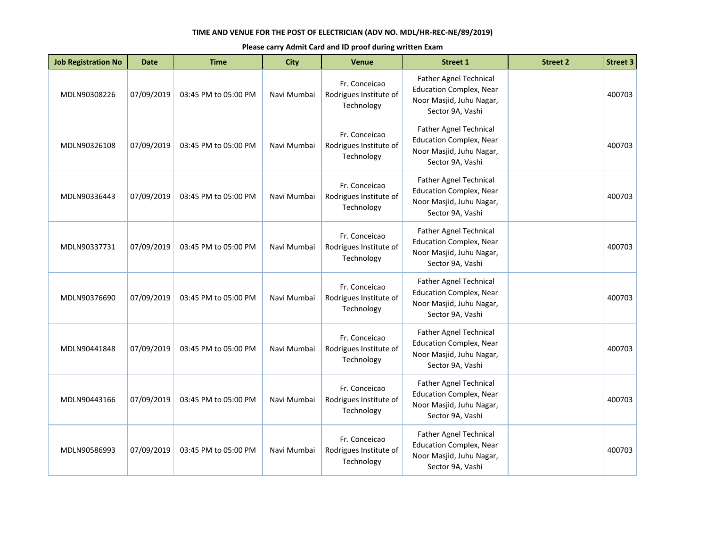| <b>Job Registration No</b> | <b>Date</b> | <b>Time</b>          | <b>City</b> | <b>Venue</b>                                          | <b>Street 1</b>                                                                                                 | <b>Street 2</b> | <b>Street 3</b> |
|----------------------------|-------------|----------------------|-------------|-------------------------------------------------------|-----------------------------------------------------------------------------------------------------------------|-----------------|-----------------|
| MDLN90308226               | 07/09/2019  | 03:45 PM to 05:00 PM | Navi Mumbai | Fr. Conceicao<br>Rodrigues Institute of<br>Technology | Father Agnel Technical<br><b>Education Complex, Near</b><br>Noor Masjid, Juhu Nagar,<br>Sector 9A, Vashi        |                 | 400703          |
| MDLN90326108               | 07/09/2019  | 03:45 PM to 05:00 PM | Navi Mumbai | Fr. Conceicao<br>Rodrigues Institute of<br>Technology | <b>Father Agnel Technical</b><br><b>Education Complex, Near</b><br>Noor Masjid, Juhu Nagar,<br>Sector 9A, Vashi |                 | 400703          |
| MDLN90336443               | 07/09/2019  | 03:45 PM to 05:00 PM | Navi Mumbai | Fr. Conceicao<br>Rodrigues Institute of<br>Technology | <b>Father Agnel Technical</b><br><b>Education Complex, Near</b><br>Noor Masjid, Juhu Nagar,<br>Sector 9A, Vashi |                 | 400703          |
| MDLN90337731               | 07/09/2019  | 03:45 PM to 05:00 PM | Navi Mumbai | Fr. Conceicao<br>Rodrigues Institute of<br>Technology | <b>Father Agnel Technical</b><br><b>Education Complex, Near</b><br>Noor Masjid, Juhu Nagar,<br>Sector 9A, Vashi |                 | 400703          |
| MDLN90376690               | 07/09/2019  | 03:45 PM to 05:00 PM | Navi Mumbai | Fr. Conceicao<br>Rodrigues Institute of<br>Technology | Father Agnel Technical<br><b>Education Complex, Near</b><br>Noor Masjid, Juhu Nagar,<br>Sector 9A, Vashi        |                 | 400703          |
| MDLN90441848               | 07/09/2019  | 03:45 PM to 05:00 PM | Navi Mumbai | Fr. Conceicao<br>Rodrigues Institute of<br>Technology | <b>Father Agnel Technical</b><br><b>Education Complex, Near</b><br>Noor Masjid, Juhu Nagar,<br>Sector 9A, Vashi |                 | 400703          |
| MDLN90443166               | 07/09/2019  | 03:45 PM to 05:00 PM | Navi Mumbai | Fr. Conceicao<br>Rodrigues Institute of<br>Technology | Father Agnel Technical<br><b>Education Complex, Near</b><br>Noor Masjid, Juhu Nagar,<br>Sector 9A, Vashi        |                 | 400703          |
| MDLN90586993               | 07/09/2019  | 03:45 PM to 05:00 PM | Navi Mumbai | Fr. Conceicao<br>Rodrigues Institute of<br>Technology | Father Agnel Technical<br><b>Education Complex, Near</b><br>Noor Masjid, Juhu Nagar,<br>Sector 9A, Vashi        |                 | 400703          |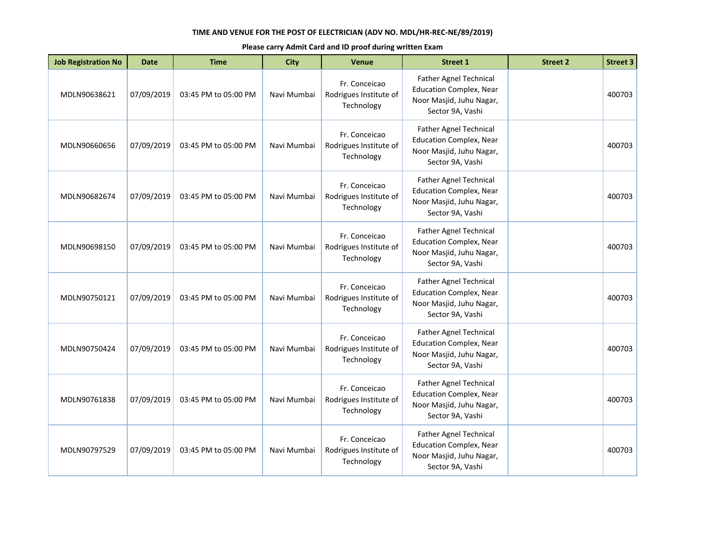| <b>Job Registration No</b> | <b>Date</b> | <b>Time</b>          | <b>City</b> | <b>Venue</b>                                          | <b>Street 1</b>                                                                                                 | <b>Street 2</b> | <b>Street 3</b> |
|----------------------------|-------------|----------------------|-------------|-------------------------------------------------------|-----------------------------------------------------------------------------------------------------------------|-----------------|-----------------|
| MDLN90638621               | 07/09/2019  | 03:45 PM to 05:00 PM | Navi Mumbai | Fr. Conceicao<br>Rodrigues Institute of<br>Technology | Father Agnel Technical<br><b>Education Complex, Near</b><br>Noor Masjid, Juhu Nagar,<br>Sector 9A, Vashi        |                 | 400703          |
| MDLN90660656               | 07/09/2019  | 03:45 PM to 05:00 PM | Navi Mumbai | Fr. Conceicao<br>Rodrigues Institute of<br>Technology | <b>Father Agnel Technical</b><br><b>Education Complex, Near</b><br>Noor Masjid, Juhu Nagar,<br>Sector 9A, Vashi |                 | 400703          |
| MDLN90682674               | 07/09/2019  | 03:45 PM to 05:00 PM | Navi Mumbai | Fr. Conceicao<br>Rodrigues Institute of<br>Technology | Father Agnel Technical<br><b>Education Complex, Near</b><br>Noor Masjid, Juhu Nagar,<br>Sector 9A, Vashi        |                 | 400703          |
| MDLN90698150               | 07/09/2019  | 03:45 PM to 05:00 PM | Navi Mumbai | Fr. Conceicao<br>Rodrigues Institute of<br>Technology | <b>Father Agnel Technical</b><br><b>Education Complex, Near</b><br>Noor Masjid, Juhu Nagar,<br>Sector 9A, Vashi |                 | 400703          |
| MDLN90750121               | 07/09/2019  | 03:45 PM to 05:00 PM | Navi Mumbai | Fr. Conceicao<br>Rodrigues Institute of<br>Technology | <b>Father Agnel Technical</b><br><b>Education Complex, Near</b><br>Noor Masjid, Juhu Nagar,<br>Sector 9A, Vashi |                 | 400703          |
| MDLN90750424               | 07/09/2019  | 03:45 PM to 05:00 PM | Navi Mumbai | Fr. Conceicao<br>Rodrigues Institute of<br>Technology | Father Agnel Technical<br><b>Education Complex, Near</b><br>Noor Masjid, Juhu Nagar,<br>Sector 9A, Vashi        |                 | 400703          |
| MDLN90761838               | 07/09/2019  | 03:45 PM to 05:00 PM | Navi Mumbai | Fr. Conceicao<br>Rodrigues Institute of<br>Technology | <b>Father Agnel Technical</b><br><b>Education Complex, Near</b><br>Noor Masjid, Juhu Nagar,<br>Sector 9A, Vashi |                 | 400703          |
| MDLN90797529               | 07/09/2019  | 03:45 PM to 05:00 PM | Navi Mumbai | Fr. Conceicao<br>Rodrigues Institute of<br>Technology | Father Agnel Technical<br><b>Education Complex, Near</b><br>Noor Masjid, Juhu Nagar,<br>Sector 9A, Vashi        |                 | 400703          |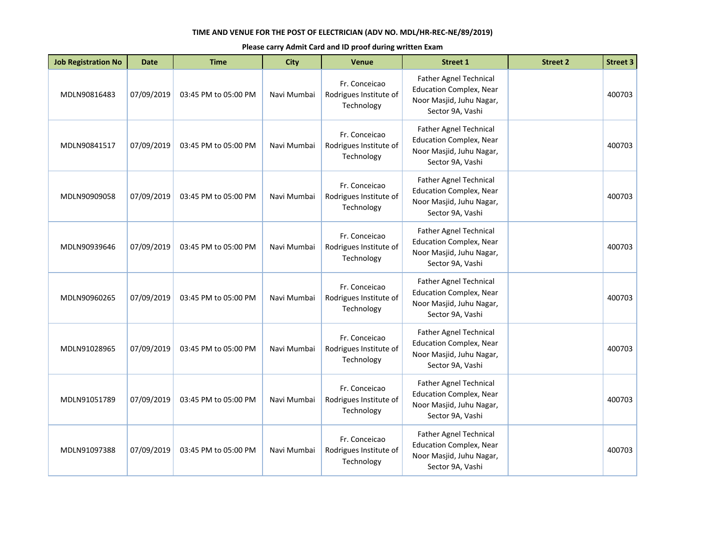| <b>Job Registration No</b> | <b>Date</b> | <b>Time</b>          | <b>City</b> | <b>Venue</b>                                          | <b>Street 1</b>                                                                                                 | <b>Street 2</b> | <b>Street 3</b> |
|----------------------------|-------------|----------------------|-------------|-------------------------------------------------------|-----------------------------------------------------------------------------------------------------------------|-----------------|-----------------|
| MDLN90816483               | 07/09/2019  | 03:45 PM to 05:00 PM | Navi Mumbai | Fr. Conceicao<br>Rodrigues Institute of<br>Technology | Father Agnel Technical<br><b>Education Complex, Near</b><br>Noor Masjid, Juhu Nagar,<br>Sector 9A, Vashi        |                 | 400703          |
| MDLN90841517               | 07/09/2019  | 03:45 PM to 05:00 PM | Navi Mumbai | Fr. Conceicao<br>Rodrigues Institute of<br>Technology | <b>Father Agnel Technical</b><br><b>Education Complex, Near</b><br>Noor Masjid, Juhu Nagar,<br>Sector 9A, Vashi |                 | 400703          |
| MDLN90909058               | 07/09/2019  | 03:45 PM to 05:00 PM | Navi Mumbai | Fr. Conceicao<br>Rodrigues Institute of<br>Technology | Father Agnel Technical<br><b>Education Complex, Near</b><br>Noor Masjid, Juhu Nagar,<br>Sector 9A, Vashi        |                 | 400703          |
| MDLN90939646               | 07/09/2019  | 03:45 PM to 05:00 PM | Navi Mumbai | Fr. Conceicao<br>Rodrigues Institute of<br>Technology | <b>Father Agnel Technical</b><br><b>Education Complex, Near</b><br>Noor Masjid, Juhu Nagar,<br>Sector 9A, Vashi |                 | 400703          |
| MDLN90960265               | 07/09/2019  | 03:45 PM to 05:00 PM | Navi Mumbai | Fr. Conceicao<br>Rodrigues Institute of<br>Technology | <b>Father Agnel Technical</b><br><b>Education Complex, Near</b><br>Noor Masjid, Juhu Nagar,<br>Sector 9A, Vashi |                 | 400703          |
| MDLN91028965               | 07/09/2019  | 03:45 PM to 05:00 PM | Navi Mumbai | Fr. Conceicao<br>Rodrigues Institute of<br>Technology | Father Agnel Technical<br><b>Education Complex, Near</b><br>Noor Masjid, Juhu Nagar,<br>Sector 9A, Vashi        |                 | 400703          |
| MDLN91051789               | 07/09/2019  | 03:45 PM to 05:00 PM | Navi Mumbai | Fr. Conceicao<br>Rodrigues Institute of<br>Technology | <b>Father Agnel Technical</b><br><b>Education Complex, Near</b><br>Noor Masjid, Juhu Nagar,<br>Sector 9A, Vashi |                 | 400703          |
| MDLN91097388               | 07/09/2019  | 03:45 PM to 05:00 PM | Navi Mumbai | Fr. Conceicao<br>Rodrigues Institute of<br>Technology | Father Agnel Technical<br><b>Education Complex, Near</b><br>Noor Masjid, Juhu Nagar,<br>Sector 9A, Vashi        |                 | 400703          |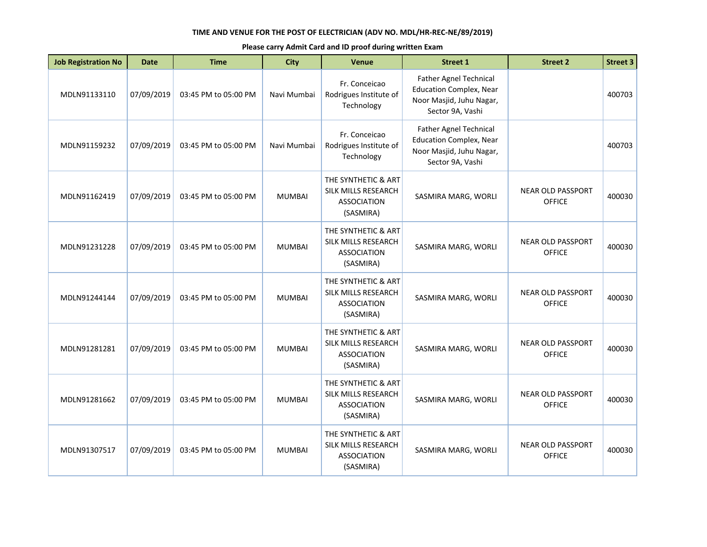| <b>Job Registration No</b> | <b>Date</b> | <b>Time</b>          | <b>City</b>   | <b>Venue</b>                                                                  | <b>Street 1</b>                                                                                                 | <b>Street 2</b>                           | <b>Street 3</b> |
|----------------------------|-------------|----------------------|---------------|-------------------------------------------------------------------------------|-----------------------------------------------------------------------------------------------------------------|-------------------------------------------|-----------------|
| MDLN91133110               | 07/09/2019  | 03:45 PM to 05:00 PM | Navi Mumbai   | Fr. Conceicao<br>Rodrigues Institute of<br>Technology                         | Father Agnel Technical<br><b>Education Complex, Near</b><br>Noor Masjid, Juhu Nagar,<br>Sector 9A, Vashi        |                                           | 400703          |
| MDLN91159232               | 07/09/2019  | 03:45 PM to 05:00 PM | Navi Mumbai   | Fr. Conceicao<br>Rodrigues Institute of<br>Technology                         | <b>Father Agnel Technical</b><br><b>Education Complex, Near</b><br>Noor Masjid, Juhu Nagar,<br>Sector 9A, Vashi |                                           | 400703          |
| MDLN91162419               | 07/09/2019  | 03:45 PM to 05:00 PM | <b>MUMBAI</b> | THE SYNTHETIC & ART<br>SILK MILLS RESEARCH<br><b>ASSOCIATION</b><br>(SASMIRA) | SASMIRA MARG, WORLI                                                                                             | <b>NEAR OLD PASSPORT</b><br><b>OFFICE</b> | 400030          |
| MDLN91231228               | 07/09/2019  | 03:45 PM to 05:00 PM | <b>MUMBAI</b> | THE SYNTHETIC & ART<br>SILK MILLS RESEARCH<br><b>ASSOCIATION</b><br>(SASMIRA) | SASMIRA MARG, WORLI                                                                                             | <b>NEAR OLD PASSPORT</b><br><b>OFFICE</b> | 400030          |
| MDLN91244144               | 07/09/2019  | 03:45 PM to 05:00 PM | <b>MUMBAI</b> | THE SYNTHETIC & ART<br>SILK MILLS RESEARCH<br><b>ASSOCIATION</b><br>(SASMIRA) | SASMIRA MARG, WORLI                                                                                             | <b>NEAR OLD PASSPORT</b><br><b>OFFICE</b> | 400030          |
| MDLN91281281               | 07/09/2019  | 03:45 PM to 05:00 PM | <b>MUMBAI</b> | THE SYNTHETIC & ART<br>SILK MILLS RESEARCH<br><b>ASSOCIATION</b><br>(SASMIRA) | SASMIRA MARG, WORLI                                                                                             | <b>NEAR OLD PASSPORT</b><br><b>OFFICE</b> | 400030          |
| MDLN91281662               | 07/09/2019  | 03:45 PM to 05:00 PM | <b>MUMBAI</b> | THE SYNTHETIC & ART<br>SILK MILLS RESEARCH<br><b>ASSOCIATION</b><br>(SASMIRA) | SASMIRA MARG, WORLI                                                                                             | <b>NEAR OLD PASSPORT</b><br><b>OFFICE</b> | 400030          |
| MDLN91307517               | 07/09/2019  | 03:45 PM to 05:00 PM | <b>MUMBAI</b> | THE SYNTHETIC & ART<br>SILK MILLS RESEARCH<br><b>ASSOCIATION</b><br>(SASMIRA) | SASMIRA MARG, WORLI                                                                                             | <b>NEAR OLD PASSPORT</b><br><b>OFFICE</b> | 400030          |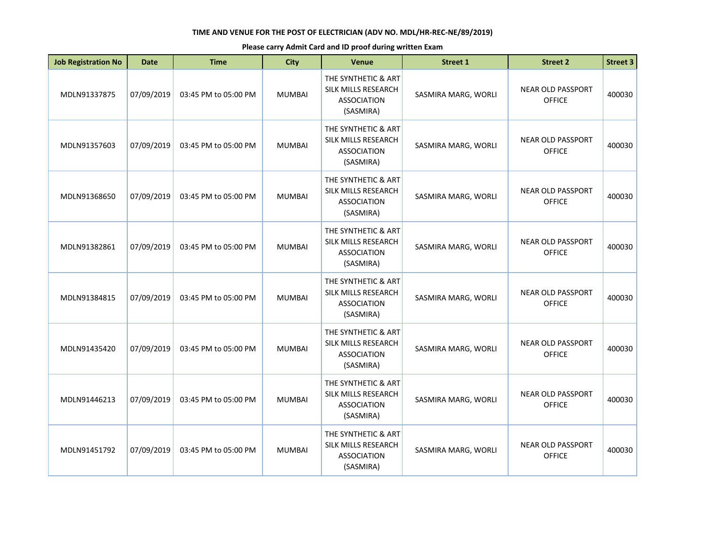| <b>Job Registration No</b> | <b>Date</b> | <b>Time</b>          | <b>City</b>   | <b>Venue</b>                                                                  | <b>Street 1</b>     | <b>Street 2</b>                           | <b>Street 3</b> |
|----------------------------|-------------|----------------------|---------------|-------------------------------------------------------------------------------|---------------------|-------------------------------------------|-----------------|
| MDLN91337875               | 07/09/2019  | 03:45 PM to 05:00 PM | <b>MUMBAI</b> | THE SYNTHETIC & ART<br>SILK MILLS RESEARCH<br><b>ASSOCIATION</b><br>(SASMIRA) | SASMIRA MARG, WORLI | <b>NEAR OLD PASSPORT</b><br><b>OFFICE</b> | 400030          |
| MDLN91357603               | 07/09/2019  | 03:45 PM to 05:00 PM | <b>MUMBAI</b> | THE SYNTHETIC & ART<br>SILK MILLS RESEARCH<br><b>ASSOCIATION</b><br>(SASMIRA) | SASMIRA MARG, WORLI | <b>NEAR OLD PASSPORT</b><br><b>OFFICE</b> | 400030          |
| MDLN91368650               | 07/09/2019  | 03:45 PM to 05:00 PM | <b>MUMBAI</b> | THE SYNTHETIC & ART<br>SILK MILLS RESEARCH<br><b>ASSOCIATION</b><br>(SASMIRA) | SASMIRA MARG, WORLI | <b>NEAR OLD PASSPORT</b><br><b>OFFICE</b> | 400030          |
| MDLN91382861               | 07/09/2019  | 03:45 PM to 05:00 PM | <b>MUMBAI</b> | THE SYNTHETIC & ART<br>SILK MILLS RESEARCH<br><b>ASSOCIATION</b><br>(SASMIRA) | SASMIRA MARG, WORLI | <b>NEAR OLD PASSPORT</b><br><b>OFFICE</b> | 400030          |
| MDLN91384815               | 07/09/2019  | 03:45 PM to 05:00 PM | <b>MUMBAI</b> | THE SYNTHETIC & ART<br>SILK MILLS RESEARCH<br><b>ASSOCIATION</b><br>(SASMIRA) | SASMIRA MARG, WORLI | <b>NEAR OLD PASSPORT</b><br><b>OFFICE</b> | 400030          |
| MDLN91435420               | 07/09/2019  | 03:45 PM to 05:00 PM | <b>MUMBAI</b> | THE SYNTHETIC & ART<br>SILK MILLS RESEARCH<br><b>ASSOCIATION</b><br>(SASMIRA) | SASMIRA MARG, WORLI | <b>NEAR OLD PASSPORT</b><br><b>OFFICE</b> | 400030          |
| MDLN91446213               | 07/09/2019  | 03:45 PM to 05:00 PM | <b>MUMBAI</b> | THE SYNTHETIC & ART<br>SILK MILLS RESEARCH<br><b>ASSOCIATION</b><br>(SASMIRA) | SASMIRA MARG, WORLI | <b>NEAR OLD PASSPORT</b><br><b>OFFICE</b> | 400030          |
| MDLN91451792               | 07/09/2019  | 03:45 PM to 05:00 PM | <b>MUMBAI</b> | THE SYNTHETIC & ART<br>SILK MILLS RESEARCH<br><b>ASSOCIATION</b><br>(SASMIRA) | SASMIRA MARG, WORLI | <b>NEAR OLD PASSPORT</b><br><b>OFFICE</b> | 400030          |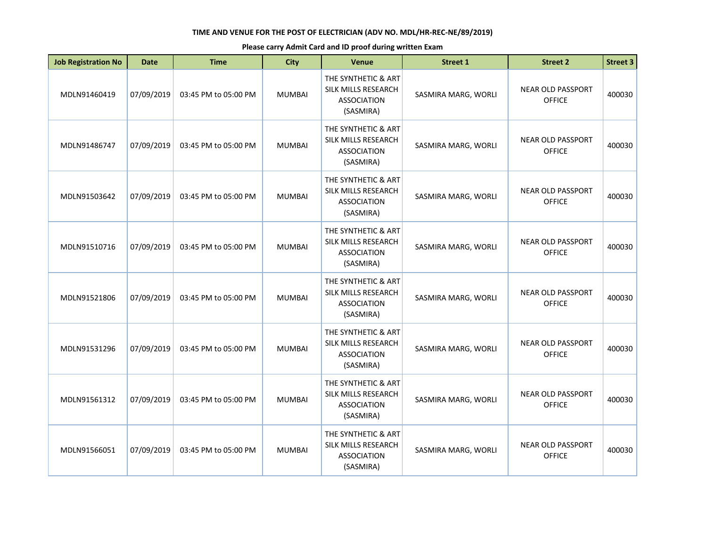| <b>Job Registration No</b> | <b>Date</b> | <b>Time</b>          | <b>City</b>   | <b>Venue</b>                                                                  | <b>Street 1</b>     | <b>Street 2</b>                           | <b>Street 3</b> |
|----------------------------|-------------|----------------------|---------------|-------------------------------------------------------------------------------|---------------------|-------------------------------------------|-----------------|
| MDLN91460419               | 07/09/2019  | 03:45 PM to 05:00 PM | <b>MUMBAI</b> | THE SYNTHETIC & ART<br>SILK MILLS RESEARCH<br><b>ASSOCIATION</b><br>(SASMIRA) | SASMIRA MARG, WORLI | <b>NEAR OLD PASSPORT</b><br><b>OFFICE</b> | 400030          |
| MDLN91486747               | 07/09/2019  | 03:45 PM to 05:00 PM | <b>MUMBAI</b> | THE SYNTHETIC & ART<br>SILK MILLS RESEARCH<br><b>ASSOCIATION</b><br>(SASMIRA) | SASMIRA MARG, WORLI | <b>NEAR OLD PASSPORT</b><br><b>OFFICE</b> | 400030          |
| MDLN91503642               | 07/09/2019  | 03:45 PM to 05:00 PM | <b>MUMBAI</b> | THE SYNTHETIC & ART<br>SILK MILLS RESEARCH<br><b>ASSOCIATION</b><br>(SASMIRA) | SASMIRA MARG, WORLI | <b>NEAR OLD PASSPORT</b><br><b>OFFICE</b> | 400030          |
| MDLN91510716               | 07/09/2019  | 03:45 PM to 05:00 PM | <b>MUMBAI</b> | THE SYNTHETIC & ART<br>SILK MILLS RESEARCH<br><b>ASSOCIATION</b><br>(SASMIRA) | SASMIRA MARG, WORLI | <b>NEAR OLD PASSPORT</b><br><b>OFFICE</b> | 400030          |
| MDLN91521806               | 07/09/2019  | 03:45 PM to 05:00 PM | <b>MUMBAI</b> | THE SYNTHETIC & ART<br>SILK MILLS RESEARCH<br><b>ASSOCIATION</b><br>(SASMIRA) | SASMIRA MARG, WORLI | <b>NEAR OLD PASSPORT</b><br><b>OFFICE</b> | 400030          |
| MDLN91531296               | 07/09/2019  | 03:45 PM to 05:00 PM | <b>MUMBAI</b> | THE SYNTHETIC & ART<br>SILK MILLS RESEARCH<br><b>ASSOCIATION</b><br>(SASMIRA) | SASMIRA MARG, WORLI | <b>NEAR OLD PASSPORT</b><br><b>OFFICE</b> | 400030          |
| MDLN91561312               | 07/09/2019  | 03:45 PM to 05:00 PM | <b>MUMBAI</b> | THE SYNTHETIC & ART<br>SILK MILLS RESEARCH<br><b>ASSOCIATION</b><br>(SASMIRA) | SASMIRA MARG, WORLI | <b>NEAR OLD PASSPORT</b><br><b>OFFICE</b> | 400030          |
| MDLN91566051               | 07/09/2019  | 03:45 PM to 05:00 PM | <b>MUMBAI</b> | THE SYNTHETIC & ART<br>SILK MILLS RESEARCH<br><b>ASSOCIATION</b><br>(SASMIRA) | SASMIRA MARG, WORLI | <b>NEAR OLD PASSPORT</b><br><b>OFFICE</b> | 400030          |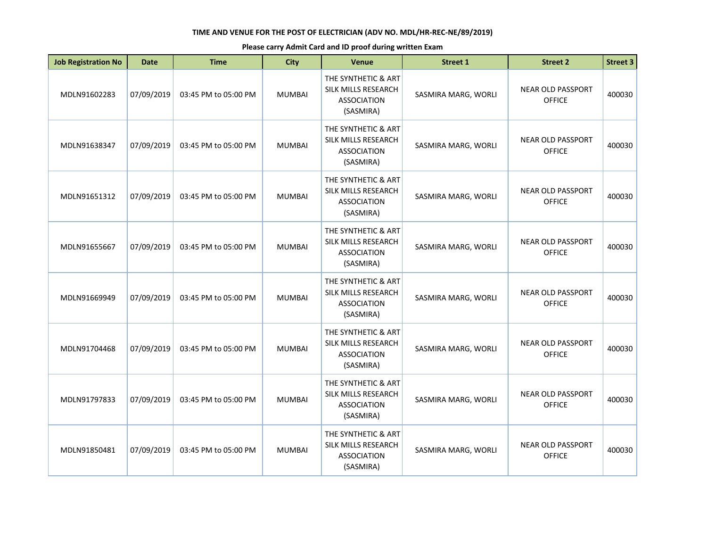| <b>Job Registration No</b> | <b>Date</b> | <b>Time</b>          | <b>City</b>   | Venue                                                                         | <b>Street 1</b>     | <b>Street 2</b>                           | <b>Street 3</b> |
|----------------------------|-------------|----------------------|---------------|-------------------------------------------------------------------------------|---------------------|-------------------------------------------|-----------------|
| MDLN91602283               | 07/09/2019  | 03:45 PM to 05:00 PM | <b>MUMBAI</b> | THE SYNTHETIC & ART<br>SILK MILLS RESEARCH<br><b>ASSOCIATION</b><br>(SASMIRA) | SASMIRA MARG, WORLI | <b>NEAR OLD PASSPORT</b><br><b>OFFICE</b> | 400030          |
| MDLN91638347               | 07/09/2019  | 03:45 PM to 05:00 PM | <b>MUMBAI</b> | THE SYNTHETIC & ART<br>SILK MILLS RESEARCH<br><b>ASSOCIATION</b><br>(SASMIRA) | SASMIRA MARG, WORLI | <b>NEAR OLD PASSPORT</b><br><b>OFFICE</b> | 400030          |
| MDLN91651312               | 07/09/2019  | 03:45 PM to 05:00 PM | <b>MUMBAI</b> | THE SYNTHETIC & ART<br>SILK MILLS RESEARCH<br><b>ASSOCIATION</b><br>(SASMIRA) | SASMIRA MARG, WORLI | <b>NEAR OLD PASSPORT</b><br><b>OFFICE</b> | 400030          |
| MDLN91655667               | 07/09/2019  | 03:45 PM to 05:00 PM | <b>MUMBAI</b> | THE SYNTHETIC & ART<br>SILK MILLS RESEARCH<br><b>ASSOCIATION</b><br>(SASMIRA) | SASMIRA MARG, WORLI | <b>NEAR OLD PASSPORT</b><br><b>OFFICE</b> | 400030          |
| MDLN91669949               | 07/09/2019  | 03:45 PM to 05:00 PM | <b>MUMBAI</b> | THE SYNTHETIC & ART<br>SILK MILLS RESEARCH<br><b>ASSOCIATION</b><br>(SASMIRA) | SASMIRA MARG, WORLI | <b>NEAR OLD PASSPORT</b><br><b>OFFICE</b> | 400030          |
| MDLN91704468               | 07/09/2019  | 03:45 PM to 05:00 PM | <b>MUMBAI</b> | THE SYNTHETIC & ART<br>SILK MILLS RESEARCH<br><b>ASSOCIATION</b><br>(SASMIRA) | SASMIRA MARG, WORLI | <b>NEAR OLD PASSPORT</b><br><b>OFFICE</b> | 400030          |
| MDLN91797833               | 07/09/2019  | 03:45 PM to 05:00 PM | <b>MUMBAI</b> | THE SYNTHETIC & ART<br>SILK MILLS RESEARCH<br><b>ASSOCIATION</b><br>(SASMIRA) | SASMIRA MARG, WORLI | <b>NEAR OLD PASSPORT</b><br><b>OFFICE</b> | 400030          |
| MDLN91850481               | 07/09/2019  | 03:45 PM to 05:00 PM | <b>MUMBAI</b> | THE SYNTHETIC & ART<br>SILK MILLS RESEARCH<br><b>ASSOCIATION</b><br>(SASMIRA) | SASMIRA MARG, WORLI | <b>NEAR OLD PASSPORT</b><br><b>OFFICE</b> | 400030          |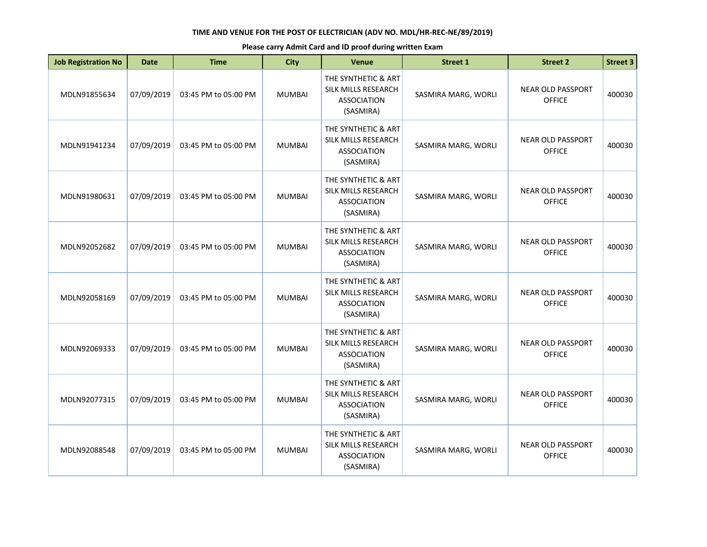| <b>Job Registration No</b> | <b>Date</b> | <b>Time</b>          | <b>City</b>   | <b>Venue</b>                                                                  | <b>Street 1</b>     | <b>Street 2</b>                           | <b>Street 3</b> |
|----------------------------|-------------|----------------------|---------------|-------------------------------------------------------------------------------|---------------------|-------------------------------------------|-----------------|
| MDLN91855634               | 07/09/2019  | 03:45 PM to 05:00 PM | <b>MUMBAI</b> | THE SYNTHETIC & ART<br>SILK MILLS RESEARCH<br><b>ASSOCIATION</b><br>(SASMIRA) | SASMIRA MARG, WORLI | <b>NEAR OLD PASSPORT</b><br><b>OFFICE</b> | 400030          |
| MDLN91941234               | 07/09/2019  | 03:45 PM to 05:00 PM | <b>MUMBAI</b> | THE SYNTHETIC & ART<br>SILK MILLS RESEARCH<br><b>ASSOCIATION</b><br>(SASMIRA) | SASMIRA MARG, WORLI | <b>NEAR OLD PASSPORT</b><br><b>OFFICE</b> | 400030          |
| MDLN91980631               | 07/09/2019  | 03:45 PM to 05:00 PM | <b>MUMBAI</b> | THE SYNTHETIC & ART<br>SILK MILLS RESEARCH<br><b>ASSOCIATION</b><br>(SASMIRA) | SASMIRA MARG, WORLI | <b>NEAR OLD PASSPORT</b><br><b>OFFICE</b> | 400030          |
| MDLN92052682               | 07/09/2019  | 03:45 PM to 05:00 PM | <b>MUMBAI</b> | THE SYNTHETIC & ART<br>SILK MILLS RESEARCH<br><b>ASSOCIATION</b><br>(SASMIRA) | SASMIRA MARG, WORLI | <b>NEAR OLD PASSPORT</b><br><b>OFFICE</b> | 400030          |
| MDLN92058169               | 07/09/2019  | 03:45 PM to 05:00 PM | <b>MUMBAI</b> | THE SYNTHETIC & ART<br>SILK MILLS RESEARCH<br><b>ASSOCIATION</b><br>(SASMIRA) | SASMIRA MARG, WORLI | <b>NEAR OLD PASSPORT</b><br><b>OFFICE</b> | 400030          |
| MDLN92069333               | 07/09/2019  | 03:45 PM to 05:00 PM | <b>MUMBAI</b> | THE SYNTHETIC & ART<br>SILK MILLS RESEARCH<br><b>ASSOCIATION</b><br>(SASMIRA) | SASMIRA MARG, WORLI | <b>NEAR OLD PASSPORT</b><br><b>OFFICE</b> | 400030          |
| MDLN92077315               | 07/09/2019  | 03:45 PM to 05:00 PM | <b>MUMBAI</b> | THE SYNTHETIC & ART<br>SILK MILLS RESEARCH<br><b>ASSOCIATION</b><br>(SASMIRA) | SASMIRA MARG, WORLI | <b>NEAR OLD PASSPORT</b><br><b>OFFICE</b> | 400030          |
| MDLN92088548               | 07/09/2019  | 03:45 PM to 05:00 PM | <b>MUMBAI</b> | THE SYNTHETIC & ART<br>SILK MILLS RESEARCH<br><b>ASSOCIATION</b><br>(SASMIRA) | SASMIRA MARG, WORLI | <b>NEAR OLD PASSPORT</b><br><b>OFFICE</b> | 400030          |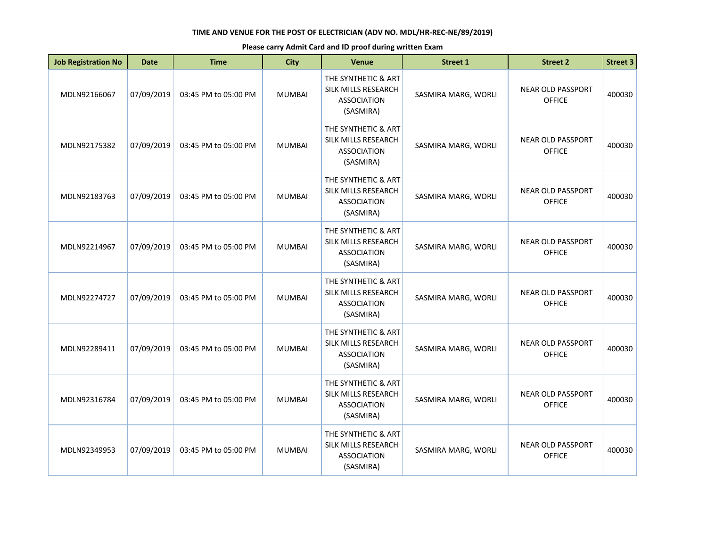| <b>Job Registration No</b> | <b>Date</b> | <b>Time</b>          | <b>City</b>   | Venue                                                                         | <b>Street 1</b>     | <b>Street 2</b>                           | <b>Street 3</b> |
|----------------------------|-------------|----------------------|---------------|-------------------------------------------------------------------------------|---------------------|-------------------------------------------|-----------------|
| MDLN92166067               | 07/09/2019  | 03:45 PM to 05:00 PM | <b>MUMBAI</b> | THE SYNTHETIC & ART<br>SILK MILLS RESEARCH<br><b>ASSOCIATION</b><br>(SASMIRA) | SASMIRA MARG, WORLI | <b>NEAR OLD PASSPORT</b><br><b>OFFICE</b> | 400030          |
| MDLN92175382               | 07/09/2019  | 03:45 PM to 05:00 PM | <b>MUMBAI</b> | THE SYNTHETIC & ART<br>SILK MILLS RESEARCH<br><b>ASSOCIATION</b><br>(SASMIRA) | SASMIRA MARG, WORLI | <b>NEAR OLD PASSPORT</b><br><b>OFFICE</b> | 400030          |
| MDLN92183763               | 07/09/2019  | 03:45 PM to 05:00 PM | <b>MUMBAI</b> | THE SYNTHETIC & ART<br>SILK MILLS RESEARCH<br><b>ASSOCIATION</b><br>(SASMIRA) | SASMIRA MARG, WORLI | <b>NEAR OLD PASSPORT</b><br><b>OFFICE</b> | 400030          |
| MDLN92214967               | 07/09/2019  | 03:45 PM to 05:00 PM | <b>MUMBAI</b> | THE SYNTHETIC & ART<br>SILK MILLS RESEARCH<br><b>ASSOCIATION</b><br>(SASMIRA) | SASMIRA MARG, WORLI | <b>NEAR OLD PASSPORT</b><br><b>OFFICE</b> | 400030          |
| MDLN92274727               | 07/09/2019  | 03:45 PM to 05:00 PM | <b>MUMBAI</b> | THE SYNTHETIC & ART<br>SILK MILLS RESEARCH<br><b>ASSOCIATION</b><br>(SASMIRA) | SASMIRA MARG, WORLI | <b>NEAR OLD PASSPORT</b><br><b>OFFICE</b> | 400030          |
| MDLN92289411               | 07/09/2019  | 03:45 PM to 05:00 PM | <b>MUMBAI</b> | THE SYNTHETIC & ART<br>SILK MILLS RESEARCH<br><b>ASSOCIATION</b><br>(SASMIRA) | SASMIRA MARG, WORLI | <b>NEAR OLD PASSPORT</b><br><b>OFFICE</b> | 400030          |
| MDLN92316784               | 07/09/2019  | 03:45 PM to 05:00 PM | <b>MUMBAI</b> | THE SYNTHETIC & ART<br>SILK MILLS RESEARCH<br><b>ASSOCIATION</b><br>(SASMIRA) | SASMIRA MARG, WORLI | <b>NEAR OLD PASSPORT</b><br><b>OFFICE</b> | 400030          |
| MDLN92349953               | 07/09/2019  | 03:45 PM to 05:00 PM | <b>MUMBAI</b> | THE SYNTHETIC & ART<br>SILK MILLS RESEARCH<br><b>ASSOCIATION</b><br>(SASMIRA) | SASMIRA MARG, WORLI | <b>NEAR OLD PASSPORT</b><br><b>OFFICE</b> | 400030          |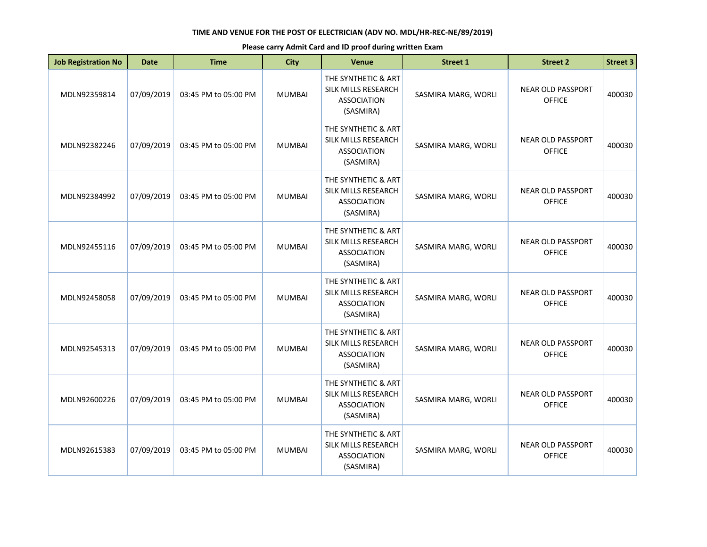| <b>Job Registration No</b> | <b>Date</b> | <b>Time</b>          | <b>City</b>   | <b>Venue</b>                                                                  | <b>Street 1</b>     | <b>Street 2</b>                           | <b>Street 3</b> |
|----------------------------|-------------|----------------------|---------------|-------------------------------------------------------------------------------|---------------------|-------------------------------------------|-----------------|
| MDLN92359814               | 07/09/2019  | 03:45 PM to 05:00 PM | <b>MUMBAI</b> | THE SYNTHETIC & ART<br>SILK MILLS RESEARCH<br><b>ASSOCIATION</b><br>(SASMIRA) | SASMIRA MARG, WORLI | <b>NEAR OLD PASSPORT</b><br><b>OFFICE</b> | 400030          |
| MDLN92382246               | 07/09/2019  | 03:45 PM to 05:00 PM | <b>MUMBAI</b> | THE SYNTHETIC & ART<br>SILK MILLS RESEARCH<br><b>ASSOCIATION</b><br>(SASMIRA) | SASMIRA MARG, WORLI | <b>NEAR OLD PASSPORT</b><br><b>OFFICE</b> | 400030          |
| MDLN92384992               | 07/09/2019  | 03:45 PM to 05:00 PM | <b>MUMBAI</b> | THE SYNTHETIC & ART<br>SILK MILLS RESEARCH<br><b>ASSOCIATION</b><br>(SASMIRA) | SASMIRA MARG, WORLI | <b>NEAR OLD PASSPORT</b><br><b>OFFICE</b> | 400030          |
| MDLN92455116               | 07/09/2019  | 03:45 PM to 05:00 PM | <b>MUMBAI</b> | THE SYNTHETIC & ART<br>SILK MILLS RESEARCH<br><b>ASSOCIATION</b><br>(SASMIRA) | SASMIRA MARG, WORLI | <b>NEAR OLD PASSPORT</b><br><b>OFFICE</b> | 400030          |
| MDLN92458058               | 07/09/2019  | 03:45 PM to 05:00 PM | <b>MUMBAI</b> | THE SYNTHETIC & ART<br>SILK MILLS RESEARCH<br><b>ASSOCIATION</b><br>(SASMIRA) | SASMIRA MARG, WORLI | <b>NEAR OLD PASSPORT</b><br><b>OFFICE</b> | 400030          |
| MDLN92545313               | 07/09/2019  | 03:45 PM to 05:00 PM | <b>MUMBAI</b> | THE SYNTHETIC & ART<br>SILK MILLS RESEARCH<br><b>ASSOCIATION</b><br>(SASMIRA) | SASMIRA MARG, WORLI | <b>NEAR OLD PASSPORT</b><br><b>OFFICE</b> | 400030          |
| MDLN92600226               | 07/09/2019  | 03:45 PM to 05:00 PM | <b>MUMBAI</b> | THE SYNTHETIC & ART<br>SILK MILLS RESEARCH<br><b>ASSOCIATION</b><br>(SASMIRA) | SASMIRA MARG, WORLI | <b>NEAR OLD PASSPORT</b><br><b>OFFICE</b> | 400030          |
| MDLN92615383               | 07/09/2019  | 03:45 PM to 05:00 PM | <b>MUMBAI</b> | THE SYNTHETIC & ART<br>SILK MILLS RESEARCH<br><b>ASSOCIATION</b><br>(SASMIRA) | SASMIRA MARG, WORLI | <b>NEAR OLD PASSPORT</b><br><b>OFFICE</b> | 400030          |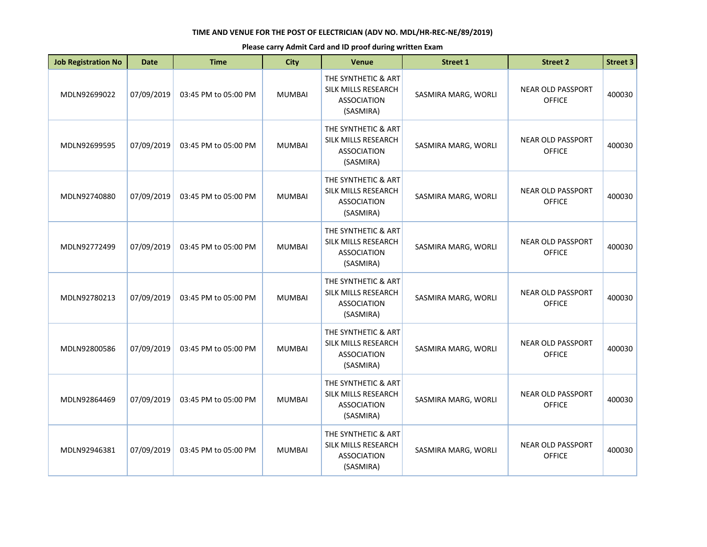| <b>Job Registration No</b> | <b>Date</b> | <b>Time</b>          | <b>City</b>   | Venue                                                                         | <b>Street 1</b>     | <b>Street 2</b>                           | <b>Street 3</b> |
|----------------------------|-------------|----------------------|---------------|-------------------------------------------------------------------------------|---------------------|-------------------------------------------|-----------------|
| MDLN92699022               | 07/09/2019  | 03:45 PM to 05:00 PM | <b>MUMBAI</b> | THE SYNTHETIC & ART<br>SILK MILLS RESEARCH<br><b>ASSOCIATION</b><br>(SASMIRA) | SASMIRA MARG, WORLI | <b>NEAR OLD PASSPORT</b><br><b>OFFICE</b> | 400030          |
| MDLN92699595               | 07/09/2019  | 03:45 PM to 05:00 PM | <b>MUMBAI</b> | THE SYNTHETIC & ART<br>SILK MILLS RESEARCH<br><b>ASSOCIATION</b><br>(SASMIRA) | SASMIRA MARG, WORLI | <b>NEAR OLD PASSPORT</b><br><b>OFFICE</b> | 400030          |
| MDLN92740880               | 07/09/2019  | 03:45 PM to 05:00 PM | <b>MUMBAI</b> | THE SYNTHETIC & ART<br>SILK MILLS RESEARCH<br><b>ASSOCIATION</b><br>(SASMIRA) | SASMIRA MARG, WORLI | <b>NEAR OLD PASSPORT</b><br><b>OFFICE</b> | 400030          |
| MDLN92772499               | 07/09/2019  | 03:45 PM to 05:00 PM | <b>MUMBAI</b> | THE SYNTHETIC & ART<br>SILK MILLS RESEARCH<br><b>ASSOCIATION</b><br>(SASMIRA) | SASMIRA MARG, WORLI | <b>NEAR OLD PASSPORT</b><br><b>OFFICE</b> | 400030          |
| MDLN92780213               | 07/09/2019  | 03:45 PM to 05:00 PM | <b>MUMBAI</b> | THE SYNTHETIC & ART<br>SILK MILLS RESEARCH<br><b>ASSOCIATION</b><br>(SASMIRA) | SASMIRA MARG, WORLI | <b>NEAR OLD PASSPORT</b><br><b>OFFICE</b> | 400030          |
| MDLN92800586               | 07/09/2019  | 03:45 PM to 05:00 PM | <b>MUMBAI</b> | THE SYNTHETIC & ART<br>SILK MILLS RESEARCH<br><b>ASSOCIATION</b><br>(SASMIRA) | SASMIRA MARG, WORLI | <b>NEAR OLD PASSPORT</b><br><b>OFFICE</b> | 400030          |
| MDLN92864469               | 07/09/2019  | 03:45 PM to 05:00 PM | <b>MUMBAI</b> | THE SYNTHETIC & ART<br>SILK MILLS RESEARCH<br><b>ASSOCIATION</b><br>(SASMIRA) | SASMIRA MARG, WORLI | <b>NEAR OLD PASSPORT</b><br><b>OFFICE</b> | 400030          |
| MDLN92946381               | 07/09/2019  | 03:45 PM to 05:00 PM | <b>MUMBAI</b> | THE SYNTHETIC & ART<br>SILK MILLS RESEARCH<br><b>ASSOCIATION</b><br>(SASMIRA) | SASMIRA MARG, WORLI | <b>NEAR OLD PASSPORT</b><br><b>OFFICE</b> | 400030          |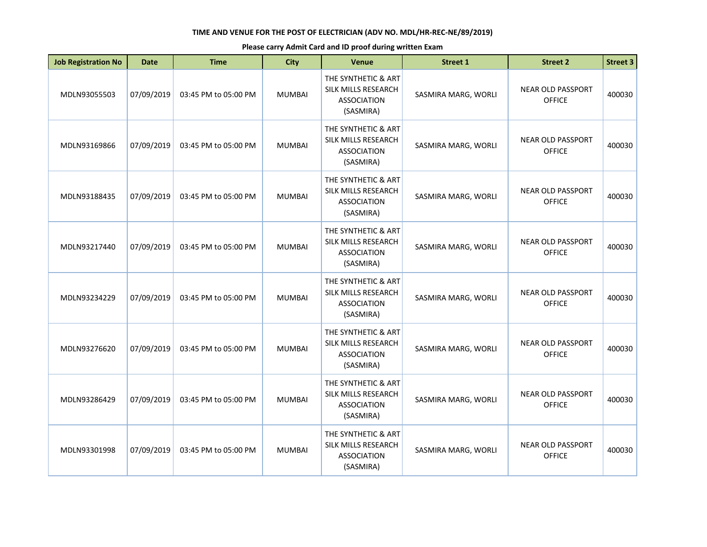| <b>Job Registration No</b> | <b>Date</b> | <b>Time</b>          | <b>City</b>   | <b>Venue</b>                                                                  | <b>Street 1</b>     | <b>Street 2</b>                           | <b>Street 3</b> |
|----------------------------|-------------|----------------------|---------------|-------------------------------------------------------------------------------|---------------------|-------------------------------------------|-----------------|
| MDLN93055503               | 07/09/2019  | 03:45 PM to 05:00 PM | <b>MUMBAI</b> | THE SYNTHETIC & ART<br>SILK MILLS RESEARCH<br><b>ASSOCIATION</b><br>(SASMIRA) | SASMIRA MARG, WORLI | <b>NEAR OLD PASSPORT</b><br><b>OFFICE</b> | 400030          |
| MDLN93169866               | 07/09/2019  | 03:45 PM to 05:00 PM | <b>MUMBAI</b> | THE SYNTHETIC & ART<br>SILK MILLS RESEARCH<br><b>ASSOCIATION</b><br>(SASMIRA) | SASMIRA MARG, WORLI | <b>NEAR OLD PASSPORT</b><br><b>OFFICE</b> | 400030          |
| MDLN93188435               | 07/09/2019  | 03:45 PM to 05:00 PM | <b>MUMBAI</b> | THE SYNTHETIC & ART<br>SILK MILLS RESEARCH<br><b>ASSOCIATION</b><br>(SASMIRA) | SASMIRA MARG, WORLI | <b>NEAR OLD PASSPORT</b><br><b>OFFICE</b> | 400030          |
| MDLN93217440               | 07/09/2019  | 03:45 PM to 05:00 PM | <b>MUMBAI</b> | THE SYNTHETIC & ART<br>SILK MILLS RESEARCH<br><b>ASSOCIATION</b><br>(SASMIRA) | SASMIRA MARG, WORLI | <b>NEAR OLD PASSPORT</b><br><b>OFFICE</b> | 400030          |
| MDLN93234229               | 07/09/2019  | 03:45 PM to 05:00 PM | <b>MUMBAI</b> | THE SYNTHETIC & ART<br>SILK MILLS RESEARCH<br><b>ASSOCIATION</b><br>(SASMIRA) | SASMIRA MARG, WORLI | <b>NEAR OLD PASSPORT</b><br><b>OFFICE</b> | 400030          |
| MDLN93276620               | 07/09/2019  | 03:45 PM to 05:00 PM | <b>MUMBAI</b> | THE SYNTHETIC & ART<br>SILK MILLS RESEARCH<br><b>ASSOCIATION</b><br>(SASMIRA) | SASMIRA MARG, WORLI | <b>NEAR OLD PASSPORT</b><br><b>OFFICE</b> | 400030          |
| MDLN93286429               | 07/09/2019  | 03:45 PM to 05:00 PM | <b>MUMBAI</b> | THE SYNTHETIC & ART<br>SILK MILLS RESEARCH<br><b>ASSOCIATION</b><br>(SASMIRA) | SASMIRA MARG, WORLI | <b>NEAR OLD PASSPORT</b><br><b>OFFICE</b> | 400030          |
| MDLN93301998               | 07/09/2019  | 03:45 PM to 05:00 PM | <b>MUMBAI</b> | THE SYNTHETIC & ART<br>SILK MILLS RESEARCH<br><b>ASSOCIATION</b><br>(SASMIRA) | SASMIRA MARG, WORLI | <b>NEAR OLD PASSPORT</b><br><b>OFFICE</b> | 400030          |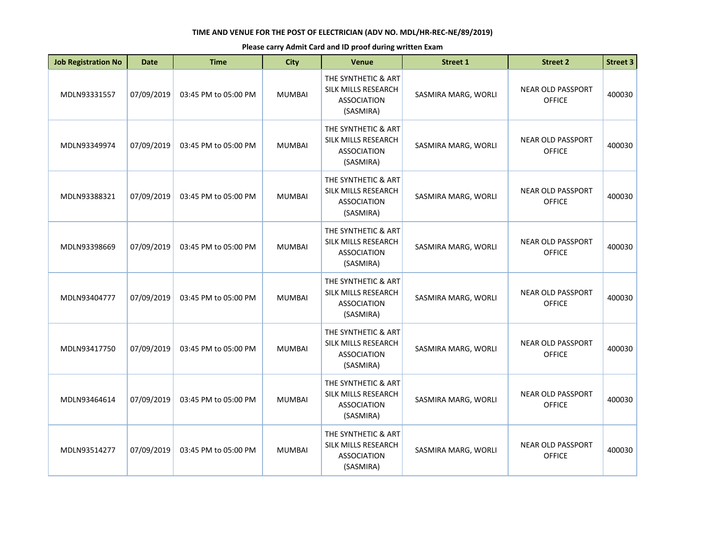| <b>Job Registration No</b> | <b>Date</b> | <b>Time</b>          | <b>City</b>   | Venue                                                                         | <b>Street 1</b>     | <b>Street 2</b>                           | <b>Street 3</b> |
|----------------------------|-------------|----------------------|---------------|-------------------------------------------------------------------------------|---------------------|-------------------------------------------|-----------------|
| MDLN93331557               | 07/09/2019  | 03:45 PM to 05:00 PM | <b>MUMBAI</b> | THE SYNTHETIC & ART<br>SILK MILLS RESEARCH<br><b>ASSOCIATION</b><br>(SASMIRA) | SASMIRA MARG, WORLI | <b>NEAR OLD PASSPORT</b><br><b>OFFICE</b> | 400030          |
| MDLN93349974               | 07/09/2019  | 03:45 PM to 05:00 PM | <b>MUMBAI</b> | THE SYNTHETIC & ART<br>SILK MILLS RESEARCH<br><b>ASSOCIATION</b><br>(SASMIRA) | SASMIRA MARG, WORLI | <b>NEAR OLD PASSPORT</b><br><b>OFFICE</b> | 400030          |
| MDLN93388321               | 07/09/2019  | 03:45 PM to 05:00 PM | <b>MUMBAI</b> | THE SYNTHETIC & ART<br>SILK MILLS RESEARCH<br><b>ASSOCIATION</b><br>(SASMIRA) | SASMIRA MARG, WORLI | <b>NEAR OLD PASSPORT</b><br><b>OFFICE</b> | 400030          |
| MDLN93398669               | 07/09/2019  | 03:45 PM to 05:00 PM | <b>MUMBAI</b> | THE SYNTHETIC & ART<br>SILK MILLS RESEARCH<br><b>ASSOCIATION</b><br>(SASMIRA) | SASMIRA MARG, WORLI | <b>NEAR OLD PASSPORT</b><br><b>OFFICE</b> | 400030          |
| MDLN93404777               | 07/09/2019  | 03:45 PM to 05:00 PM | <b>MUMBAI</b> | THE SYNTHETIC & ART<br>SILK MILLS RESEARCH<br><b>ASSOCIATION</b><br>(SASMIRA) | SASMIRA MARG, WORLI | <b>NEAR OLD PASSPORT</b><br><b>OFFICE</b> | 400030          |
| MDLN93417750               | 07/09/2019  | 03:45 PM to 05:00 PM | <b>MUMBAI</b> | THE SYNTHETIC & ART<br>SILK MILLS RESEARCH<br><b>ASSOCIATION</b><br>(SASMIRA) | SASMIRA MARG, WORLI | <b>NEAR OLD PASSPORT</b><br><b>OFFICE</b> | 400030          |
| MDLN93464614               | 07/09/2019  | 03:45 PM to 05:00 PM | <b>MUMBAI</b> | THE SYNTHETIC & ART<br>SILK MILLS RESEARCH<br><b>ASSOCIATION</b><br>(SASMIRA) | SASMIRA MARG, WORLI | <b>NEAR OLD PASSPORT</b><br><b>OFFICE</b> | 400030          |
| MDLN93514277               | 07/09/2019  | 03:45 PM to 05:00 PM | <b>MUMBAI</b> | THE SYNTHETIC & ART<br>SILK MILLS RESEARCH<br><b>ASSOCIATION</b><br>(SASMIRA) | SASMIRA MARG, WORLI | <b>NEAR OLD PASSPORT</b><br><b>OFFICE</b> | 400030          |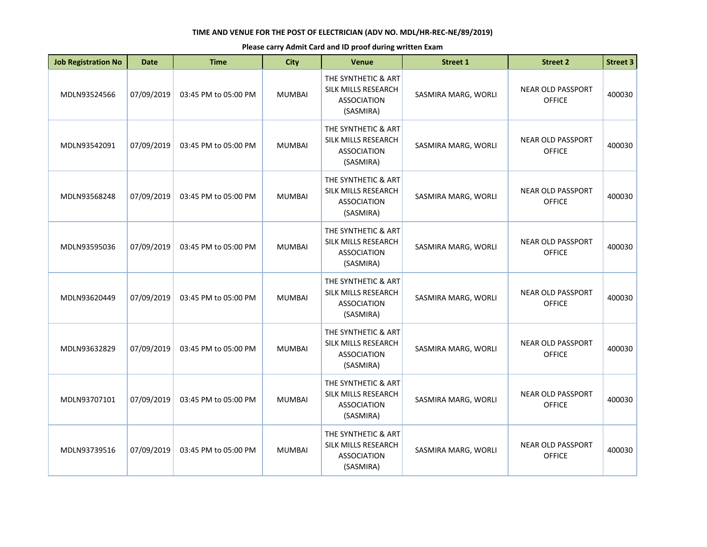| <b>Job Registration No</b> | <b>Date</b> | <b>Time</b>          | <b>City</b>   | Venue                                                                         | <b>Street 1</b>     | <b>Street 2</b>                           | <b>Street 3</b> |
|----------------------------|-------------|----------------------|---------------|-------------------------------------------------------------------------------|---------------------|-------------------------------------------|-----------------|
| MDLN93524566               | 07/09/2019  | 03:45 PM to 05:00 PM | <b>MUMBAI</b> | THE SYNTHETIC & ART<br>SILK MILLS RESEARCH<br><b>ASSOCIATION</b><br>(SASMIRA) | SASMIRA MARG, WORLI | <b>NEAR OLD PASSPORT</b><br><b>OFFICE</b> | 400030          |
| MDLN93542091               | 07/09/2019  | 03:45 PM to 05:00 PM | <b>MUMBAI</b> | THE SYNTHETIC & ART<br>SILK MILLS RESEARCH<br><b>ASSOCIATION</b><br>(SASMIRA) | SASMIRA MARG, WORLI | <b>NEAR OLD PASSPORT</b><br><b>OFFICE</b> | 400030          |
| MDLN93568248               | 07/09/2019  | 03:45 PM to 05:00 PM | <b>MUMBAI</b> | THE SYNTHETIC & ART<br>SILK MILLS RESEARCH<br><b>ASSOCIATION</b><br>(SASMIRA) | SASMIRA MARG, WORLI | <b>NEAR OLD PASSPORT</b><br><b>OFFICE</b> | 400030          |
| MDLN93595036               | 07/09/2019  | 03:45 PM to 05:00 PM | <b>MUMBAI</b> | THE SYNTHETIC & ART<br>SILK MILLS RESEARCH<br><b>ASSOCIATION</b><br>(SASMIRA) | SASMIRA MARG, WORLI | <b>NEAR OLD PASSPORT</b><br><b>OFFICE</b> | 400030          |
| MDLN93620449               | 07/09/2019  | 03:45 PM to 05:00 PM | <b>MUMBAI</b> | THE SYNTHETIC & ART<br>SILK MILLS RESEARCH<br><b>ASSOCIATION</b><br>(SASMIRA) | SASMIRA MARG, WORLI | <b>NEAR OLD PASSPORT</b><br><b>OFFICE</b> | 400030          |
| MDLN93632829               | 07/09/2019  | 03:45 PM to 05:00 PM | <b>MUMBAI</b> | THE SYNTHETIC & ART<br>SILK MILLS RESEARCH<br><b>ASSOCIATION</b><br>(SASMIRA) | SASMIRA MARG, WORLI | <b>NEAR OLD PASSPORT</b><br><b>OFFICE</b> | 400030          |
| MDLN93707101               | 07/09/2019  | 03:45 PM to 05:00 PM | <b>MUMBAI</b> | THE SYNTHETIC & ART<br>SILK MILLS RESEARCH<br><b>ASSOCIATION</b><br>(SASMIRA) | SASMIRA MARG, WORLI | <b>NEAR OLD PASSPORT</b><br><b>OFFICE</b> | 400030          |
| MDLN93739516               | 07/09/2019  | 03:45 PM to 05:00 PM | <b>MUMBAI</b> | THE SYNTHETIC & ART<br>SILK MILLS RESEARCH<br><b>ASSOCIATION</b><br>(SASMIRA) | SASMIRA MARG, WORLI | <b>NEAR OLD PASSPORT</b><br><b>OFFICE</b> | 400030          |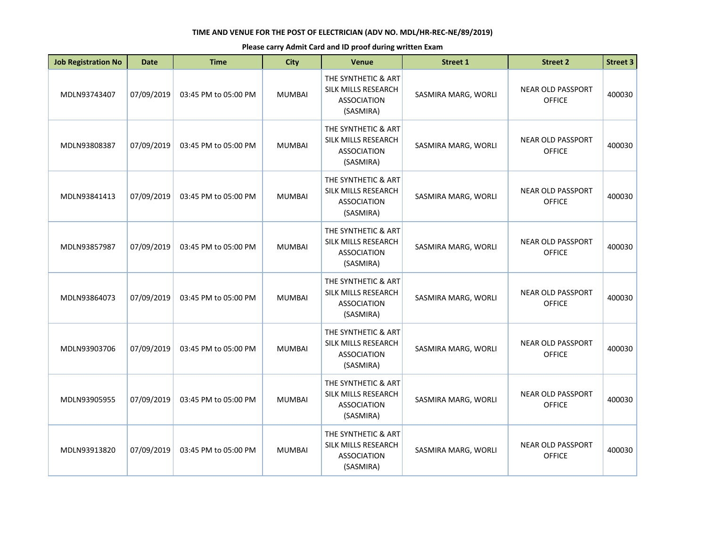| <b>Job Registration No</b> | <b>Date</b> | <b>Time</b>          | <b>City</b>   | Venue                                                                         | <b>Street 1</b>     | <b>Street 2</b>                           | <b>Street 3</b> |
|----------------------------|-------------|----------------------|---------------|-------------------------------------------------------------------------------|---------------------|-------------------------------------------|-----------------|
| MDLN93743407               | 07/09/2019  | 03:45 PM to 05:00 PM | <b>MUMBAI</b> | THE SYNTHETIC & ART<br>SILK MILLS RESEARCH<br><b>ASSOCIATION</b><br>(SASMIRA) | SASMIRA MARG, WORLI | <b>NEAR OLD PASSPORT</b><br><b>OFFICE</b> | 400030          |
| MDLN93808387               | 07/09/2019  | 03:45 PM to 05:00 PM | <b>MUMBAI</b> | THE SYNTHETIC & ART<br>SILK MILLS RESEARCH<br><b>ASSOCIATION</b><br>(SASMIRA) | SASMIRA MARG, WORLI | <b>NEAR OLD PASSPORT</b><br><b>OFFICE</b> | 400030          |
| MDLN93841413               | 07/09/2019  | 03:45 PM to 05:00 PM | <b>MUMBAI</b> | THE SYNTHETIC & ART<br>SILK MILLS RESEARCH<br><b>ASSOCIATION</b><br>(SASMIRA) | SASMIRA MARG, WORLI | <b>NEAR OLD PASSPORT</b><br><b>OFFICE</b> | 400030          |
| MDLN93857987               | 07/09/2019  | 03:45 PM to 05:00 PM | <b>MUMBAI</b> | THE SYNTHETIC & ART<br>SILK MILLS RESEARCH<br><b>ASSOCIATION</b><br>(SASMIRA) | SASMIRA MARG, WORLI | <b>NEAR OLD PASSPORT</b><br><b>OFFICE</b> | 400030          |
| MDLN93864073               | 07/09/2019  | 03:45 PM to 05:00 PM | <b>MUMBAI</b> | THE SYNTHETIC & ART<br>SILK MILLS RESEARCH<br><b>ASSOCIATION</b><br>(SASMIRA) | SASMIRA MARG, WORLI | <b>NEAR OLD PASSPORT</b><br><b>OFFICE</b> | 400030          |
| MDLN93903706               | 07/09/2019  | 03:45 PM to 05:00 PM | <b>MUMBAI</b> | THE SYNTHETIC & ART<br>SILK MILLS RESEARCH<br><b>ASSOCIATION</b><br>(SASMIRA) | SASMIRA MARG, WORLI | <b>NEAR OLD PASSPORT</b><br><b>OFFICE</b> | 400030          |
| MDLN93905955               | 07/09/2019  | 03:45 PM to 05:00 PM | <b>MUMBAI</b> | THE SYNTHETIC & ART<br>SILK MILLS RESEARCH<br><b>ASSOCIATION</b><br>(SASMIRA) | SASMIRA MARG, WORLI | <b>NEAR OLD PASSPORT</b><br><b>OFFICE</b> | 400030          |
| MDLN93913820               | 07/09/2019  | 03:45 PM to 05:00 PM | <b>MUMBAI</b> | THE SYNTHETIC & ART<br>SILK MILLS RESEARCH<br><b>ASSOCIATION</b><br>(SASMIRA) | SASMIRA MARG, WORLI | <b>NEAR OLD PASSPORT</b><br><b>OFFICE</b> | 400030          |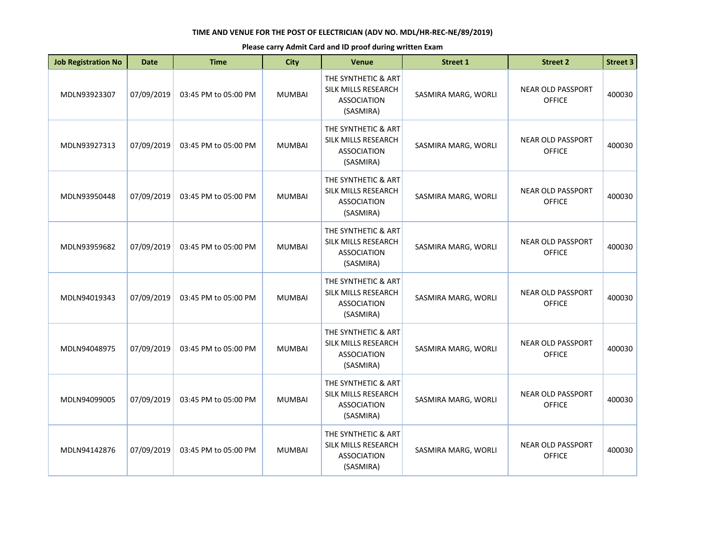| <b>Job Registration No</b> | <b>Date</b> | <b>Time</b>          | <b>City</b>   | Venue                                                                         | <b>Street 1</b>     | <b>Street 2</b>                           | <b>Street 3</b> |
|----------------------------|-------------|----------------------|---------------|-------------------------------------------------------------------------------|---------------------|-------------------------------------------|-----------------|
| MDLN93923307               | 07/09/2019  | 03:45 PM to 05:00 PM | <b>MUMBAI</b> | THE SYNTHETIC & ART<br>SILK MILLS RESEARCH<br><b>ASSOCIATION</b><br>(SASMIRA) | SASMIRA MARG, WORLI | <b>NEAR OLD PASSPORT</b><br><b>OFFICE</b> | 400030          |
| MDLN93927313               | 07/09/2019  | 03:45 PM to 05:00 PM | <b>MUMBAI</b> | THE SYNTHETIC & ART<br>SILK MILLS RESEARCH<br><b>ASSOCIATION</b><br>(SASMIRA) | SASMIRA MARG, WORLI | <b>NEAR OLD PASSPORT</b><br><b>OFFICE</b> | 400030          |
| MDLN93950448               | 07/09/2019  | 03:45 PM to 05:00 PM | <b>MUMBAI</b> | THE SYNTHETIC & ART<br>SILK MILLS RESEARCH<br><b>ASSOCIATION</b><br>(SASMIRA) | SASMIRA MARG, WORLI | <b>NEAR OLD PASSPORT</b><br><b>OFFICE</b> | 400030          |
| MDLN93959682               | 07/09/2019  | 03:45 PM to 05:00 PM | <b>MUMBAI</b> | THE SYNTHETIC & ART<br>SILK MILLS RESEARCH<br><b>ASSOCIATION</b><br>(SASMIRA) | SASMIRA MARG, WORLI | <b>NEAR OLD PASSPORT</b><br><b>OFFICE</b> | 400030          |
| MDLN94019343               | 07/09/2019  | 03:45 PM to 05:00 PM | <b>MUMBAI</b> | THE SYNTHETIC & ART<br>SILK MILLS RESEARCH<br><b>ASSOCIATION</b><br>(SASMIRA) | SASMIRA MARG, WORLI | <b>NEAR OLD PASSPORT</b><br><b>OFFICE</b> | 400030          |
| MDLN94048975               | 07/09/2019  | 03:45 PM to 05:00 PM | <b>MUMBAI</b> | THE SYNTHETIC & ART<br>SILK MILLS RESEARCH<br><b>ASSOCIATION</b><br>(SASMIRA) | SASMIRA MARG, WORLI | <b>NEAR OLD PASSPORT</b><br><b>OFFICE</b> | 400030          |
| MDLN94099005               | 07/09/2019  | 03:45 PM to 05:00 PM | <b>MUMBAI</b> | THE SYNTHETIC & ART<br>SILK MILLS RESEARCH<br><b>ASSOCIATION</b><br>(SASMIRA) | SASMIRA MARG, WORLI | <b>NEAR OLD PASSPORT</b><br><b>OFFICE</b> | 400030          |
| MDLN94142876               | 07/09/2019  | 03:45 PM to 05:00 PM | <b>MUMBAI</b> | THE SYNTHETIC & ART<br>SILK MILLS RESEARCH<br><b>ASSOCIATION</b><br>(SASMIRA) | SASMIRA MARG, WORLI | <b>NEAR OLD PASSPORT</b><br><b>OFFICE</b> | 400030          |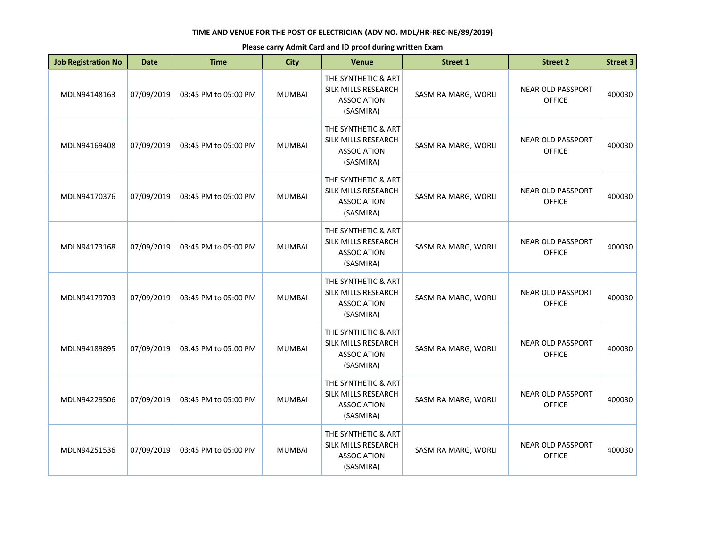| <b>Job Registration No</b> | <b>Date</b> | <b>Time</b>          | <b>City</b>   | Venue                                                                         | <b>Street 1</b>     | <b>Street 2</b>                           | <b>Street 3</b> |
|----------------------------|-------------|----------------------|---------------|-------------------------------------------------------------------------------|---------------------|-------------------------------------------|-----------------|
| MDLN94148163               | 07/09/2019  | 03:45 PM to 05:00 PM | <b>MUMBAI</b> | THE SYNTHETIC & ART<br>SILK MILLS RESEARCH<br><b>ASSOCIATION</b><br>(SASMIRA) | SASMIRA MARG, WORLI | <b>NEAR OLD PASSPORT</b><br><b>OFFICE</b> | 400030          |
| MDLN94169408               | 07/09/2019  | 03:45 PM to 05:00 PM | <b>MUMBAI</b> | THE SYNTHETIC & ART<br>SILK MILLS RESEARCH<br><b>ASSOCIATION</b><br>(SASMIRA) | SASMIRA MARG, WORLI | <b>NEAR OLD PASSPORT</b><br><b>OFFICE</b> | 400030          |
| MDLN94170376               | 07/09/2019  | 03:45 PM to 05:00 PM | <b>MUMBAI</b> | THE SYNTHETIC & ART<br>SILK MILLS RESEARCH<br><b>ASSOCIATION</b><br>(SASMIRA) | SASMIRA MARG, WORLI | <b>NEAR OLD PASSPORT</b><br><b>OFFICE</b> | 400030          |
| MDLN94173168               | 07/09/2019  | 03:45 PM to 05:00 PM | <b>MUMBAI</b> | THE SYNTHETIC & ART<br>SILK MILLS RESEARCH<br><b>ASSOCIATION</b><br>(SASMIRA) | SASMIRA MARG, WORLI | <b>NEAR OLD PASSPORT</b><br><b>OFFICE</b> | 400030          |
| MDLN94179703               | 07/09/2019  | 03:45 PM to 05:00 PM | <b>MUMBAI</b> | THE SYNTHETIC & ART<br>SILK MILLS RESEARCH<br><b>ASSOCIATION</b><br>(SASMIRA) | SASMIRA MARG, WORLI | <b>NEAR OLD PASSPORT</b><br><b>OFFICE</b> | 400030          |
| MDLN94189895               | 07/09/2019  | 03:45 PM to 05:00 PM | <b>MUMBAI</b> | THE SYNTHETIC & ART<br>SILK MILLS RESEARCH<br><b>ASSOCIATION</b><br>(SASMIRA) | SASMIRA MARG, WORLI | <b>NEAR OLD PASSPORT</b><br><b>OFFICE</b> | 400030          |
| MDLN94229506               | 07/09/2019  | 03:45 PM to 05:00 PM | <b>MUMBAI</b> | THE SYNTHETIC & ART<br>SILK MILLS RESEARCH<br><b>ASSOCIATION</b><br>(SASMIRA) | SASMIRA MARG, WORLI | <b>NEAR OLD PASSPORT</b><br><b>OFFICE</b> | 400030          |
| MDLN94251536               | 07/09/2019  | 03:45 PM to 05:00 PM | <b>MUMBAI</b> | THE SYNTHETIC & ART<br>SILK MILLS RESEARCH<br><b>ASSOCIATION</b><br>(SASMIRA) | SASMIRA MARG, WORLI | <b>NEAR OLD PASSPORT</b><br><b>OFFICE</b> | 400030          |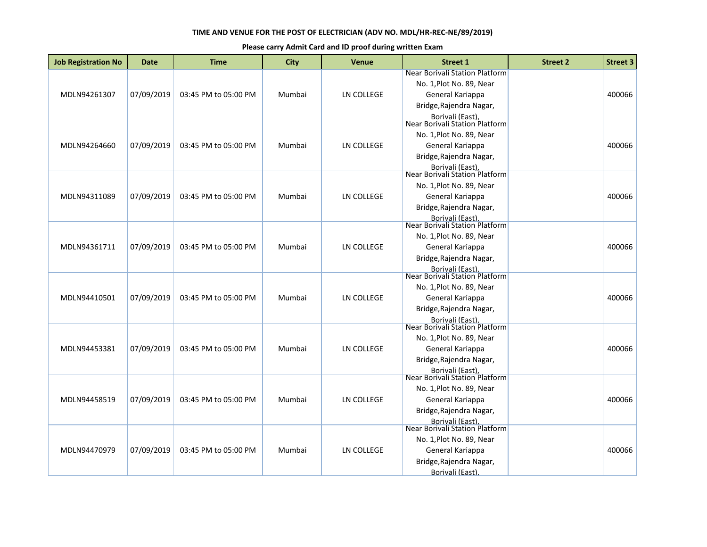| <b>Job Registration No</b> | Date       | <b>Time</b>          | <b>City</b> | <b>Venue</b>      | <b>Street 1</b>                                                                                           | <b>Street 2</b> | <b>Street 3</b> |
|----------------------------|------------|----------------------|-------------|-------------------|-----------------------------------------------------------------------------------------------------------|-----------------|-----------------|
| MDLN94261307               | 07/09/2019 | 03:45 PM to 05:00 PM | Mumbai      | LN COLLEGE        | Near Borivali Station Platform<br>No. 1, Plot No. 89, Near<br>General Kariappa<br>Bridge, Rajendra Nagar, |                 | 400066          |
|                            |            |                      |             |                   | Borivali (East),<br>Near Borivali Station Platform                                                        |                 |                 |
|                            |            |                      |             |                   | No. 1, Plot No. 89, Near                                                                                  |                 |                 |
| MDLN94264660               | 07/09/2019 | 03:45 PM to 05:00 PM | Mumbai      | LN COLLEGE        | General Kariappa                                                                                          |                 | 400066          |
|                            |            |                      |             |                   | Bridge, Rajendra Nagar,                                                                                   |                 |                 |
|                            |            |                      |             |                   | Borivali (East),<br>Near Borivali Station Platform                                                        |                 |                 |
|                            |            |                      |             |                   | No. 1, Plot No. 89, Near                                                                                  |                 |                 |
| MDLN94311089               | 07/09/2019 | 03:45 PM to 05:00 PM | Mumbai      | LN COLLEGE        | General Kariappa                                                                                          |                 | 400066          |
|                            |            |                      |             |                   | Bridge, Rajendra Nagar,                                                                                   |                 |                 |
|                            |            |                      |             |                   | Borivali (East).<br>Near Borivali Station Platform                                                        |                 |                 |
|                            |            |                      |             |                   | No. 1, Plot No. 89, Near                                                                                  |                 |                 |
| MDLN94361711               | 07/09/2019 | 03:45 PM to 05:00 PM | Mumbai      | LN COLLEGE        | General Kariappa                                                                                          |                 | 400066          |
|                            |            |                      |             |                   | Bridge, Rajendra Nagar,                                                                                   |                 |                 |
|                            |            |                      |             |                   | <b>Borivali (East)</b><br>Near Borivali Station Platform                                                  |                 |                 |
|                            |            |                      |             |                   | No. 1, Plot No. 89, Near                                                                                  |                 |                 |
| MDLN94410501               | 07/09/2019 | 03:45 PM to 05:00 PM | Mumbai      | LN COLLEGE        | General Kariappa                                                                                          |                 | 400066          |
|                            |            |                      |             |                   | Bridge, Rajendra Nagar,                                                                                   |                 |                 |
|                            |            |                      |             |                   | Borivali (East),<br>Near Borivali Station Platform                                                        |                 |                 |
|                            |            |                      |             |                   | No. 1, Plot No. 89, Near                                                                                  |                 |                 |
| MDLN94453381               | 07/09/2019 | 03:45 PM to 05:00 PM | Mumbai      | <b>LN COLLEGE</b> | General Kariappa                                                                                          |                 | 400066          |
|                            |            |                      |             |                   | Bridge, Rajendra Nagar,                                                                                   |                 |                 |
|                            |            |                      |             |                   | <b>Borivali (East)</b>                                                                                    |                 |                 |
|                            |            |                      |             |                   | Near Borivali Station Platform                                                                            |                 |                 |
| MDLN94458519               | 07/09/2019 | 03:45 PM to 05:00 PM | Mumbai      | <b>LN COLLEGE</b> | No. 1, Plot No. 89, Near<br>General Kariappa                                                              |                 | 400066          |
|                            |            |                      |             |                   | Bridge, Rajendra Nagar,                                                                                   |                 |                 |
|                            |            |                      |             |                   |                                                                                                           |                 |                 |
|                            |            |                      |             |                   | Borivali (East).<br>Near Borivali Station Platform                                                        |                 |                 |
|                            |            |                      |             |                   | No. 1, Plot No. 89, Near                                                                                  |                 |                 |
| MDLN94470979               | 07/09/2019 | 03:45 PM to 05:00 PM | Mumbai      | LN COLLEGE        | General Kariappa                                                                                          |                 | 400066          |
|                            |            |                      |             |                   | Bridge, Rajendra Nagar,                                                                                   |                 |                 |
|                            |            |                      |             |                   | Borivali (East),                                                                                          |                 |                 |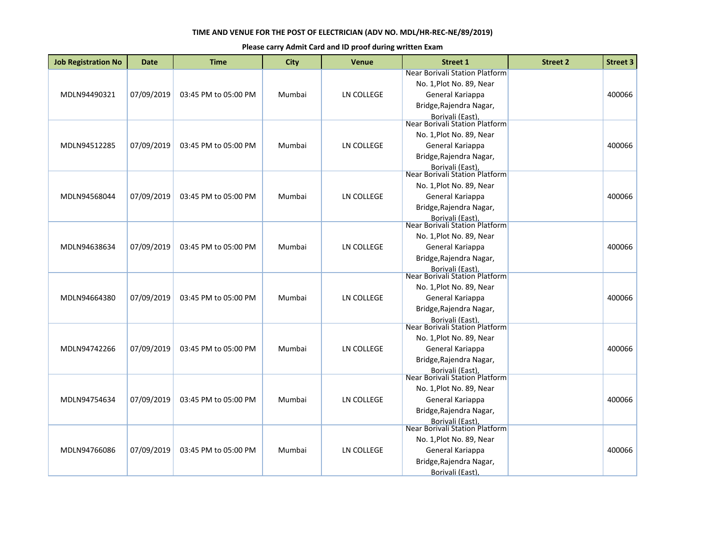| <b>Job Registration No</b> | Date       | <b>Time</b>          | <b>City</b> | <b>Venue</b>      | <b>Street 1</b>                                                                                                                                                 | <b>Street 2</b> | <b>Street 3</b> |
|----------------------------|------------|----------------------|-------------|-------------------|-----------------------------------------------------------------------------------------------------------------------------------------------------------------|-----------------|-----------------|
| MDLN94490321               | 07/09/2019 | 03:45 PM to 05:00 PM | Mumbai      | LN COLLEGE        | Near Borivali Station Platform<br>No. 1, Plot No. 89, Near<br>General Kariappa<br>Bridge, Rajendra Nagar,                                                       |                 | 400066          |
| MDLN94512285               | 07/09/2019 | 03:45 PM to 05:00 PM | Mumbai      | LN COLLEGE        | Borivali (East),<br>Near Borivali Station Platform<br>No. 1, Plot No. 89, Near<br>General Kariappa<br>Bridge, Rajendra Nagar,<br>Borivali (East),               |                 | 400066          |
| MDLN94568044               | 07/09/2019 | 03:45 PM to 05:00 PM | Mumbai      | LN COLLEGE        | Near Borivali Station Platform<br>No. 1, Plot No. 89, Near<br>General Kariappa<br>Bridge, Rajendra Nagar,<br>Borivali (East).<br>Near Borivali Station Platform |                 | 400066          |
| MDLN94638634               | 07/09/2019 | 03:45 PM to 05:00 PM | Mumbai      | LN COLLEGE        | No. 1, Plot No. 89, Near<br>General Kariappa<br>Bridge, Rajendra Nagar,<br><b>Borivali (East)</b>                                                               |                 | 400066          |
| MDLN94664380               | 07/09/2019 | 03:45 PM to 05:00 PM | Mumbai      | LN COLLEGE        | Near Borivali Station Platform<br>No. 1, Plot No. 89, Near<br>General Kariappa<br>Bridge, Rajendra Nagar,<br>Borivali (East),<br>Near Borivali Station Platform |                 | 400066          |
| MDLN94742266               | 07/09/2019 | 03:45 PM to 05:00 PM | Mumbai      | <b>LN COLLEGE</b> | No. 1, Plot No. 89, Near<br>General Kariappa<br>Bridge, Rajendra Nagar,<br><b>Borivali (East)</b>                                                               |                 | 400066          |
| MDLN94754634               | 07/09/2019 | 03:45 PM to 05:00 PM | Mumbai      | <b>LN COLLEGE</b> | Near Borivali Station Platform<br>No. 1, Plot No. 89, Near<br>General Kariappa<br>Bridge, Rajendra Nagar,<br>Borivali (East).<br>Near Borivali Station Platform |                 | 400066          |
| MDLN94766086               | 07/09/2019 | 03:45 PM to 05:00 PM | Mumbai      | LN COLLEGE        | No. 1, Plot No. 89, Near<br>General Kariappa<br>Bridge, Rajendra Nagar,<br>Borivali (East),                                                                     |                 | 400066          |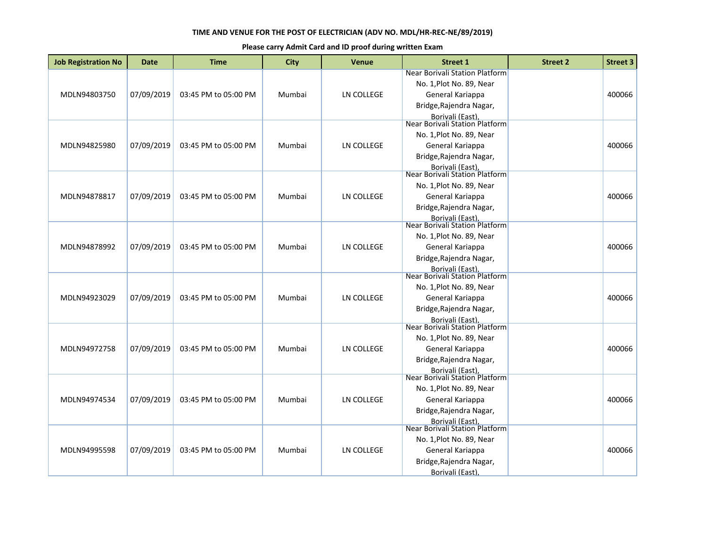| <b>Job Registration No</b> | Date       | <b>Time</b>          | <b>City</b> | <b>Venue</b>      | <b>Street 1</b>                                    | <b>Street 2</b> | <b>Street 3</b> |
|----------------------------|------------|----------------------|-------------|-------------------|----------------------------------------------------|-----------------|-----------------|
|                            |            |                      |             |                   | Near Borivali Station Platform                     |                 |                 |
|                            |            |                      |             |                   | No. 1, Plot No. 89, Near                           |                 |                 |
| MDLN94803750               | 07/09/2019 | 03:45 PM to 05:00 PM | Mumbai      | LN COLLEGE        | General Kariappa                                   |                 | 400066          |
|                            |            |                      |             |                   | Bridge, Rajendra Nagar,                            |                 |                 |
|                            |            |                      |             |                   | Borivali (East),<br>Near Borivali Station Platform |                 |                 |
|                            |            |                      |             |                   |                                                    |                 |                 |
|                            |            |                      |             |                   | No. 1, Plot No. 89, Near                           |                 |                 |
| MDLN94825980               | 07/09/2019 | 03:45 PM to 05:00 PM | Mumbai      | LN COLLEGE        | General Kariappa                                   |                 | 400066          |
|                            |            |                      |             |                   | Bridge, Rajendra Nagar,                            |                 |                 |
|                            |            |                      |             |                   | Borivali (East),<br>Near Borivali Station Platform |                 |                 |
|                            |            |                      |             |                   | No. 1, Plot No. 89, Near                           |                 |                 |
| MDLN94878817               | 07/09/2019 | 03:45 PM to 05:00 PM | Mumbai      | LN COLLEGE        | General Kariappa                                   |                 | 400066          |
|                            |            |                      |             |                   |                                                    |                 |                 |
|                            |            |                      |             |                   | Bridge, Rajendra Nagar,                            |                 |                 |
|                            |            |                      |             |                   | Borivali (East).<br>Near Borivali Station Platform |                 |                 |
|                            |            |                      |             |                   | No. 1, Plot No. 89, Near                           |                 |                 |
| MDLN94878992               | 07/09/2019 | 03:45 PM to 05:00 PM | Mumbai      | LN COLLEGE        | General Kariappa                                   |                 | 400066          |
|                            |            |                      |             |                   | Bridge, Rajendra Nagar,                            |                 |                 |
|                            |            |                      |             |                   | <b>Borivali (East)</b>                             |                 |                 |
|                            |            |                      |             |                   | Near Borivali Station Platform                     |                 |                 |
|                            |            |                      |             |                   | No. 1, Plot No. 89, Near                           |                 |                 |
| MDLN94923029               | 07/09/2019 | 03:45 PM to 05:00 PM | Mumbai      | LN COLLEGE        | General Kariappa                                   |                 | 400066          |
|                            |            |                      |             |                   | Bridge, Rajendra Nagar,                            |                 |                 |
|                            |            |                      |             |                   | Borivali (East),<br>Near Borivali Station Platform |                 |                 |
|                            |            |                      |             |                   |                                                    |                 |                 |
|                            |            |                      |             |                   | No. 1, Plot No. 89, Near                           |                 |                 |
| MDLN94972758               | 07/09/2019 | 03:45 PM to 05:00 PM | Mumbai      | <b>LN COLLEGE</b> | General Kariappa                                   |                 | 400066          |
|                            |            |                      |             |                   | Bridge, Rajendra Nagar,                            |                 |                 |
|                            |            |                      |             |                   | <b>Borivali (East)</b>                             |                 |                 |
|                            |            |                      |             |                   | <b>Near Borivali Station Platform</b>              |                 |                 |
|                            |            |                      |             |                   | No. 1, Plot No. 89, Near                           |                 |                 |
| MDLN94974534               | 07/09/2019 | 03:45 PM to 05:00 PM | Mumbai      | <b>LN COLLEGE</b> | General Kariappa                                   |                 | 400066          |
|                            |            |                      |             |                   | Bridge, Rajendra Nagar,                            |                 |                 |
|                            |            |                      |             |                   | Borivali (East).<br>Near Borivali Station Platform |                 |                 |
|                            |            |                      |             |                   | No. 1, Plot No. 89, Near                           |                 |                 |
| MDLN94995598               | 07/09/2019 | 03:45 PM to 05:00 PM | Mumbai      | <b>LN COLLEGE</b> | General Kariappa                                   |                 | 400066          |
|                            |            |                      |             |                   |                                                    |                 |                 |
|                            |            |                      |             |                   | Bridge, Rajendra Nagar,                            |                 |                 |
|                            |            |                      |             |                   | Borivali (East)                                    |                 |                 |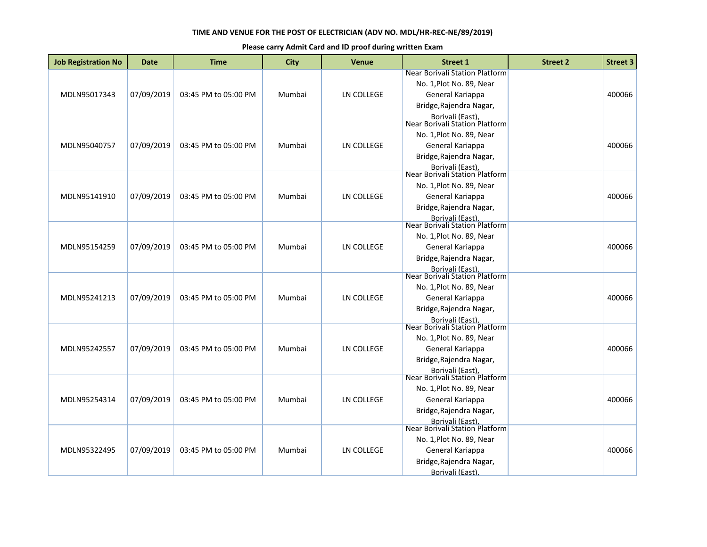| <b>Job Registration No</b> | <b>Date</b> | <b>Time</b>          | <b>City</b> | <b>Venue</b>      | <b>Street 1</b>                                                                                                                                                 | <b>Street 2</b> | <b>Street 3</b> |
|----------------------------|-------------|----------------------|-------------|-------------------|-----------------------------------------------------------------------------------------------------------------------------------------------------------------|-----------------|-----------------|
| MDLN95017343               | 07/09/2019  | 03:45 PM to 05:00 PM | Mumbai      | LN COLLEGE        | Near Borivali Station Platform<br>No. 1, Plot No. 89, Near<br>General Kariappa<br>Bridge, Rajendra Nagar,                                                       |                 | 400066          |
| MDLN95040757               | 07/09/2019  | 03:45 PM to 05:00 PM | Mumbai      | LN COLLEGE        | Borivali (East),<br>Near Borivali Station Platform<br>No. 1, Plot No. 89, Near<br>General Kariappa<br>Bridge, Rajendra Nagar,<br>Borivali (East),               |                 | 400066          |
| MDLN95141910               | 07/09/2019  | 03:45 PM to 05:00 PM | Mumbai      | LN COLLEGE        | Near Borivali Station Platform<br>No. 1, Plot No. 89, Near<br>General Kariappa<br>Bridge, Rajendra Nagar,<br>Borivali (East).<br>Near Borivali Station Platform |                 | 400066          |
| MDLN95154259               | 07/09/2019  | 03:45 PM to 05:00 PM | Mumbai      | LN COLLEGE        | No. 1, Plot No. 89, Near<br>General Kariappa<br>Bridge, Rajendra Nagar,<br>Borivali (East).                                                                     |                 | 400066          |
| MDLN95241213               | 07/09/2019  | 03:45 PM to 05:00 PM | Mumbai      | <b>LN COLLEGE</b> | Near Borivali Station Platform<br>No. 1, Plot No. 89, Near<br>General Kariappa<br>Bridge, Rajendra Nagar,<br>Borivali (East),<br>Near Borivali Station Platform |                 | 400066          |
| MDLN95242557               | 07/09/2019  | 03:45 PM to 05:00 PM | Mumbai      | <b>LN COLLEGE</b> | No. 1, Plot No. 89, Near<br>General Kariappa<br>Bridge, Rajendra Nagar,<br><b>Borivali (East)</b>                                                               |                 | 400066          |
| MDLN95254314               | 07/09/2019  | 03:45 PM to 05:00 PM | Mumbai      | LN COLLEGE        | Near Borivali Station Platform<br>No. 1, Plot No. 89, Near<br>General Kariappa<br>Bridge, Rajendra Nagar,<br>Borivali (East).<br>Near Borivali Station Platform |                 | 400066          |
| MDLN95322495               | 07/09/2019  | 03:45 PM to 05:00 PM | Mumbai      | LN COLLEGE        | No. 1, Plot No. 89, Near<br>General Kariappa<br>Bridge, Rajendra Nagar,<br>Borivali (East),                                                                     |                 | 400066          |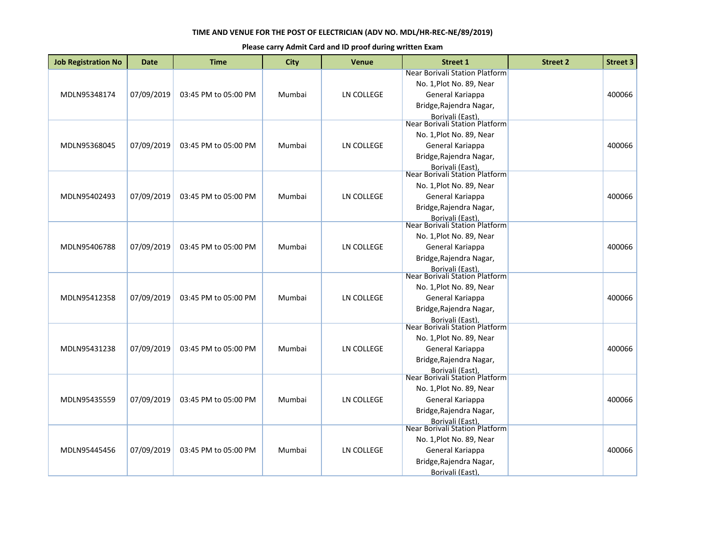| <b>Job Registration No</b> | Date       | <b>Time</b>          | <b>City</b> | <b>Venue</b>      | <b>Street 1</b>                                    | <b>Street 2</b> | <b>Street 3</b> |
|----------------------------|------------|----------------------|-------------|-------------------|----------------------------------------------------|-----------------|-----------------|
|                            |            |                      |             |                   | Near Borivali Station Platform                     |                 |                 |
|                            |            |                      |             |                   | No. 1, Plot No. 89, Near                           |                 |                 |
| MDLN95348174               | 07/09/2019 | 03:45 PM to 05:00 PM | Mumbai      | LN COLLEGE        | General Kariappa                                   |                 | 400066          |
|                            |            |                      |             |                   | Bridge, Rajendra Nagar,                            |                 |                 |
|                            |            |                      |             |                   | Borivali (East),<br>Near Borivali Station Platform |                 |                 |
|                            |            |                      |             |                   |                                                    |                 |                 |
|                            |            |                      |             |                   | No. 1, Plot No. 89, Near                           |                 |                 |
| MDLN95368045               | 07/09/2019 | 03:45 PM to 05:00 PM | Mumbai      | LN COLLEGE        | General Kariappa                                   |                 | 400066          |
|                            |            |                      |             |                   | Bridge, Rajendra Nagar,                            |                 |                 |
|                            |            |                      |             |                   | Borivali (East),<br>Near Borivali Station Platform |                 |                 |
|                            |            |                      |             |                   | No. 1, Plot No. 89, Near                           |                 |                 |
| MDLN95402493               | 07/09/2019 | 03:45 PM to 05:00 PM | Mumbai      | LN COLLEGE        | General Kariappa                                   |                 | 400066          |
|                            |            |                      |             |                   |                                                    |                 |                 |
|                            |            |                      |             |                   | Bridge, Rajendra Nagar,                            |                 |                 |
|                            |            |                      |             |                   | Borivali (East).<br>Near Borivali Station Platform |                 |                 |
|                            |            |                      |             |                   | No. 1, Plot No. 89, Near                           |                 |                 |
| MDLN95406788               | 07/09/2019 | 03:45 PM to 05:00 PM | Mumbai      | LN COLLEGE        | General Kariappa                                   |                 | 400066          |
|                            |            |                      |             |                   | Bridge, Rajendra Nagar,                            |                 |                 |
|                            |            |                      |             |                   | <b>Borivali (East)</b>                             |                 |                 |
|                            |            |                      |             |                   | Near Borivali Station Platform                     |                 |                 |
|                            |            |                      |             |                   | No. 1, Plot No. 89, Near                           |                 |                 |
| MDLN95412358               | 07/09/2019 | 03:45 PM to 05:00 PM | Mumbai      | <b>LN COLLEGE</b> | General Kariappa                                   |                 | 400066          |
|                            |            |                      |             |                   | Bridge, Rajendra Nagar,                            |                 |                 |
|                            |            |                      |             |                   | Borivali (East),<br>Near Borivali Station Platform |                 |                 |
|                            |            |                      |             |                   |                                                    |                 |                 |
|                            |            |                      |             |                   | No. 1, Plot No. 89, Near                           |                 |                 |
| MDLN95431238               | 07/09/2019 | 03:45 PM to 05:00 PM | Mumbai      | <b>LN COLLEGE</b> | General Kariappa                                   |                 | 400066          |
|                            |            |                      |             |                   | Bridge, Rajendra Nagar,                            |                 |                 |
|                            |            |                      |             |                   | <b>Borivali (East)</b>                             |                 |                 |
|                            |            |                      |             |                   | <b>Near Borivali Station Platform</b>              |                 |                 |
|                            |            |                      |             |                   | No. 1, Plot No. 89, Near                           |                 |                 |
| MDLN95435559               | 07/09/2019 | 03:45 PM to 05:00 PM | Mumbai      | <b>LN COLLEGE</b> | General Kariappa                                   |                 | 400066          |
|                            |            |                      |             |                   | Bridge, Rajendra Nagar,                            |                 |                 |
|                            |            |                      |             |                   | Borivali (East).<br>Near Borivali Station Platform |                 |                 |
|                            |            |                      |             |                   | No. 1, Plot No. 89, Near                           |                 |                 |
| MDLN95445456               | 07/09/2019 | 03:45 PM to 05:00 PM | Mumbai      | <b>LN COLLEGE</b> | General Kariappa                                   |                 | 400066          |
|                            |            |                      |             |                   |                                                    |                 |                 |
|                            |            |                      |             |                   | Bridge, Rajendra Nagar,                            |                 |                 |
|                            |            |                      |             |                   | Borivali (East)                                    |                 |                 |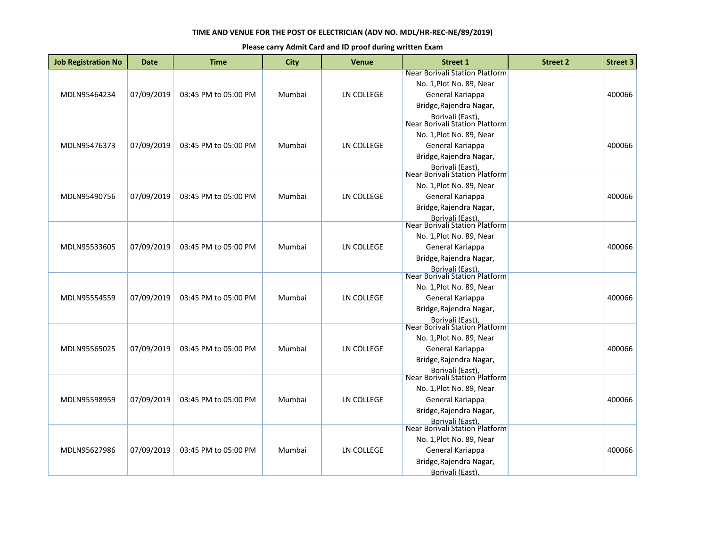| <b>Job Registration No</b> | <b>Date</b> | <b>Time</b>          | <b>City</b> | <b>Venue</b>      | <b>Street 1</b>                                                                | <b>Street 2</b> | <b>Street 3</b> |
|----------------------------|-------------|----------------------|-------------|-------------------|--------------------------------------------------------------------------------|-----------------|-----------------|
| MDLN95464234               | 07/09/2019  | 03:45 PM to 05:00 PM | Mumbai      | LN COLLEGE        | Near Borivali Station Platform<br>No. 1, Plot No. 89, Near<br>General Kariappa |                 | 400066          |
|                            |             |                      |             |                   | Bridge, Rajendra Nagar,<br>Borivali (East),<br>Near Borivali Station Platform  |                 |                 |
|                            |             |                      |             |                   | No. 1, Plot No. 89, Near                                                       |                 |                 |
| MDLN95476373               | 07/09/2019  | 03:45 PM to 05:00 PM | Mumbai      | LN COLLEGE        | General Kariappa                                                               |                 | 400066          |
|                            |             |                      |             |                   | Bridge, Rajendra Nagar,                                                        |                 |                 |
|                            |             |                      |             |                   | Borivali (East),<br>Near Borivali Station Platform                             |                 |                 |
|                            |             |                      |             |                   | No. 1, Plot No. 89, Near                                                       |                 |                 |
| MDLN95490756               | 07/09/2019  | 03:45 PM to 05:00 PM | Mumbai      | LN COLLEGE        | General Kariappa<br>Bridge, Rajendra Nagar,                                    |                 | 400066          |
|                            |             |                      |             |                   | Borivali (East).<br>Near Borivali Station Platform                             |                 |                 |
|                            |             |                      |             |                   |                                                                                |                 |                 |
| MDLN95533605               | 07/09/2019  | 03:45 PM to 05:00 PM | Mumbai      | LN COLLEGE        | No. 1, Plot No. 89, Near<br>General Kariappa                                   |                 | 400066          |
|                            |             |                      |             |                   | Bridge, Rajendra Nagar,                                                        |                 |                 |
|                            |             |                      |             |                   | <b>Borivali (East)</b>                                                         |                 |                 |
|                            |             |                      |             |                   | Near Borivali Station Platform                                                 |                 |                 |
|                            |             |                      |             |                   | No. 1, Plot No. 89, Near                                                       |                 |                 |
| MDLN95554559               | 07/09/2019  | 03:45 PM to 05:00 PM | Mumbai      | <b>LN COLLEGE</b> | General Kariappa<br>Bridge, Rajendra Nagar,                                    |                 | 400066          |
|                            |             |                      |             |                   |                                                                                |                 |                 |
|                            |             |                      |             |                   | Borivali (East),<br>Near Borivali Station Platform                             |                 |                 |
|                            |             |                      |             |                   | No. 1, Plot No. 89, Near                                                       |                 |                 |
| MDLN95565025               | 07/09/2019  | 03:45 PM to 05:00 PM | Mumbai      | LN COLLEGE        | General Kariappa                                                               |                 | 400066          |
|                            |             |                      |             |                   | Bridge, Rajendra Nagar,                                                        |                 |                 |
|                            |             |                      |             |                   | <b>Borivali (East)</b><br>Near Borivali Station Platform                       |                 |                 |
|                            |             |                      |             |                   | No. 1, Plot No. 89, Near                                                       |                 |                 |
| MDLN95598959               | 07/09/2019  | 03:45 PM to 05:00 PM | Mumbai      | LN COLLEGE        | General Kariappa                                                               |                 | 400066          |
|                            |             |                      |             |                   | Bridge, Rajendra Nagar,                                                        |                 |                 |
|                            |             |                      |             |                   | Borivali (East).<br>Near Borivali Station Platform                             |                 |                 |
|                            |             |                      |             |                   | No. 1, Plot No. 89, Near                                                       |                 |                 |
| MDLN95627986               | 07/09/2019  | 03:45 PM to 05:00 PM | Mumbai      | <b>LN COLLEGE</b> | General Kariappa                                                               |                 | 400066          |
|                            |             |                      |             |                   | Bridge, Rajendra Nagar,                                                        |                 |                 |
|                            |             |                      |             |                   | Borivali (East)                                                                |                 |                 |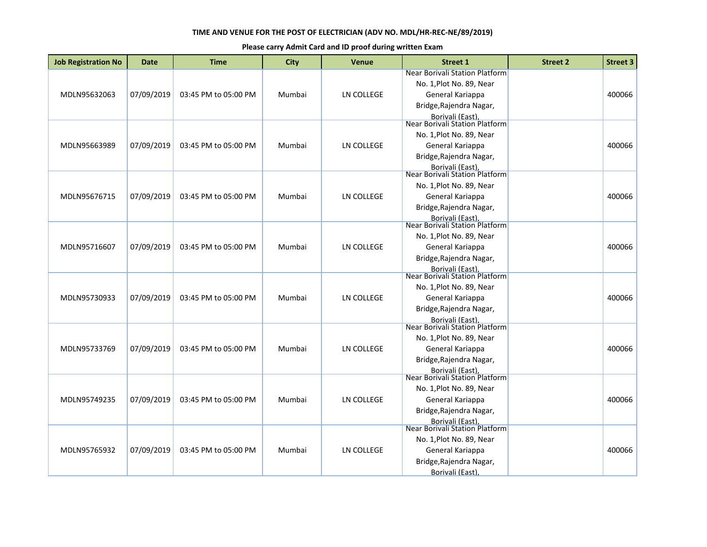| <b>Job Registration No</b> | Date       | <b>Time</b>          | <b>City</b> | <b>Venue</b>      | <b>Street 1</b>                                                                                                                                                        | <b>Street 2</b> | <b>Street 3</b> |
|----------------------------|------------|----------------------|-------------|-------------------|------------------------------------------------------------------------------------------------------------------------------------------------------------------------|-----------------|-----------------|
| MDLN95632063               | 07/09/2019 | 03:45 PM to 05:00 PM | Mumbai      | LN COLLEGE        | Near Borivali Station Platform<br>No. 1, Plot No. 89, Near<br>General Kariappa<br>Bridge, Rajendra Nagar,                                                              |                 | 400066          |
| MDLN95663989               | 07/09/2019 | 03:45 PM to 05:00 PM | Mumbai      | LN COLLEGE        | Borivali (East),<br>Near Borivali Station Platform<br>No. 1, Plot No. 89, Near<br>General Kariappa<br>Bridge, Rajendra Nagar,<br>Borivali (East),                      |                 | 400066          |
| MDLN95676715               | 07/09/2019 | 03:45 PM to 05:00 PM | Mumbai      | LN COLLEGE        | Near Borivali Station Platform<br>No. 1, Plot No. 89, Near<br>General Kariappa<br>Bridge, Rajendra Nagar,                                                              |                 | 400066          |
| MDLN95716607               | 07/09/2019 | 03:45 PM to 05:00 PM | Mumbai      | LN COLLEGE        | Borivali (East).<br>Near Borivali Station Platform<br>No. 1, Plot No. 89, Near<br>General Kariappa<br>Bridge, Rajendra Nagar,<br><b>Borivali (East)</b>                |                 | 400066          |
| MDLN95730933               | 07/09/2019 | 03:45 PM to 05:00 PM | Mumbai      | LN COLLEGE        | <b>Near Borivali Station Platform</b><br>No. 1, Plot No. 89, Near<br>General Kariappa<br>Bridge, Rajendra Nagar,<br>Borivali (East),<br>Near Borivali Station Platform |                 | 400066          |
| MDLN95733769               | 07/09/2019 | 03:45 PM to 05:00 PM | Mumbai      | <b>LN COLLEGE</b> | No. 1, Plot No. 89, Near<br>General Kariappa<br>Bridge, Rajendra Nagar,<br><b>Borivali (East)</b>                                                                      |                 | 400066          |
| MDLN95749235               | 07/09/2019 | 03:45 PM to 05:00 PM | Mumbai      | <b>LN COLLEGE</b> | Near Borivali Station Platform<br>No. 1, Plot No. 89, Near<br>General Kariappa<br>Bridge, Rajendra Nagar,                                                              |                 | 400066          |
| MDLN95765932               | 07/09/2019 | 03:45 PM to 05:00 PM | Mumbai      | LN COLLEGE        | Borivali (East).<br>Near Borivali Station Platform<br>No. 1, Plot No. 89, Near<br>General Kariappa<br>Bridge, Rajendra Nagar,<br>Borivali (East),                      |                 | 400066          |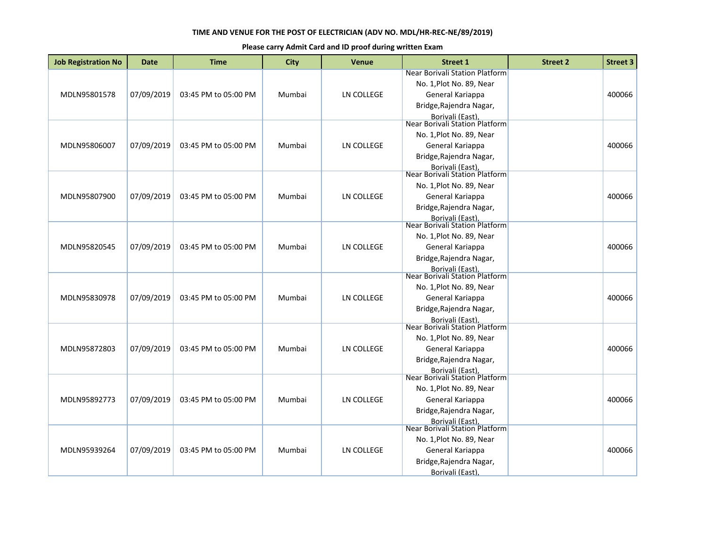| <b>Job Registration No</b> | <b>Date</b> | <b>Time</b>          | <b>City</b> | <b>Venue</b>      | <b>Street 1</b>                                    | <b>Street 2</b> | <b>Street 3</b> |
|----------------------------|-------------|----------------------|-------------|-------------------|----------------------------------------------------|-----------------|-----------------|
|                            |             |                      |             |                   | Near Borivali Station Platform                     |                 |                 |
|                            |             |                      |             |                   | No. 1, Plot No. 89, Near                           |                 |                 |
| MDLN95801578               | 07/09/2019  | 03:45 PM to 05:00 PM | Mumbai      | LN COLLEGE        | General Kariappa                                   |                 | 400066          |
|                            |             |                      |             |                   | Bridge, Rajendra Nagar,                            |                 |                 |
|                            |             |                      |             |                   | Borivali (East),                                   |                 |                 |
|                            |             |                      |             |                   | Near Borivali Station Platform                     |                 |                 |
|                            |             |                      |             |                   | No. 1, Plot No. 89, Near                           |                 |                 |
| MDLN95806007               | 07/09/2019  | 03:45 PM to 05:00 PM | Mumbai      | LN COLLEGE        | General Kariappa                                   |                 | 400066          |
|                            |             |                      |             |                   | Bridge, Rajendra Nagar,                            |                 |                 |
|                            |             |                      |             |                   | Borivali (East),<br>Near Borivali Station Platform |                 |                 |
|                            |             |                      |             |                   | No. 1, Plot No. 89, Near                           |                 |                 |
| MDLN95807900               | 07/09/2019  | 03:45 PM to 05:00 PM | Mumbai      | LN COLLEGE        | General Kariappa                                   |                 | 400066          |
|                            |             |                      |             |                   |                                                    |                 |                 |
|                            |             |                      |             |                   | Bridge, Rajendra Nagar,                            |                 |                 |
|                            |             |                      |             |                   | Borivali (East).<br>Near Borivali Station Platform |                 |                 |
|                            |             |                      |             |                   | No. 1, Plot No. 89, Near                           |                 |                 |
| MDLN95820545               | 07/09/2019  | 03:45 PM to 05:00 PM | Mumbai      | LN COLLEGE        | General Kariappa                                   |                 | 400066          |
|                            |             |                      |             |                   | Bridge, Rajendra Nagar,                            |                 |                 |
|                            |             |                      |             |                   | <b>Borivali (East)</b>                             |                 |                 |
|                            |             |                      |             |                   | Near Borivali Station Platform                     |                 |                 |
|                            |             |                      |             |                   | No. 1, Plot No. 89, Near                           |                 |                 |
| MDLN95830978               | 07/09/2019  | 03:45 PM to 05:00 PM | Mumbai      | LN COLLEGE        | General Kariappa                                   |                 | 400066          |
|                            |             |                      |             |                   | Bridge, Rajendra Nagar,                            |                 |                 |
|                            |             |                      |             |                   | Borivali (East),<br>Near Borivali Station Platform |                 |                 |
|                            |             |                      |             |                   |                                                    |                 |                 |
|                            |             |                      |             |                   | No. 1, Plot No. 89, Near                           |                 |                 |
| MDLN95872803               | 07/09/2019  | 03:45 PM to 05:00 PM | Mumbai      | <b>LN COLLEGE</b> | General Kariappa                                   |                 | 400066          |
|                            |             |                      |             |                   | Bridge, Rajendra Nagar,                            |                 |                 |
|                            |             |                      |             |                   | <b>Borivali (East)</b>                             |                 |                 |
|                            |             |                      |             |                   | <b>Near Borivali Station Platform</b>              |                 |                 |
|                            |             |                      |             |                   | No. 1, Plot No. 89, Near                           |                 |                 |
| MDLN95892773               | 07/09/2019  | 03:45 PM to 05:00 PM | Mumbai      | LN COLLEGE        | General Kariappa                                   |                 | 400066          |
|                            |             |                      |             |                   | Bridge, Rajendra Nagar,                            |                 |                 |
|                            |             |                      |             |                   | Borivali (East).<br>Near Borivali Station Platform |                 |                 |
|                            |             |                      |             |                   | No. 1, Plot No. 89, Near                           |                 |                 |
| MDLN95939264               | 07/09/2019  | 03:45 PM to 05:00 PM | Mumbai      | <b>LN COLLEGE</b> | General Kariappa                                   |                 | 400066          |
|                            |             |                      |             |                   |                                                    |                 |                 |
|                            |             |                      |             |                   | Bridge, Rajendra Nagar,                            |                 |                 |
|                            |             |                      |             |                   | Borivali (East)                                    |                 |                 |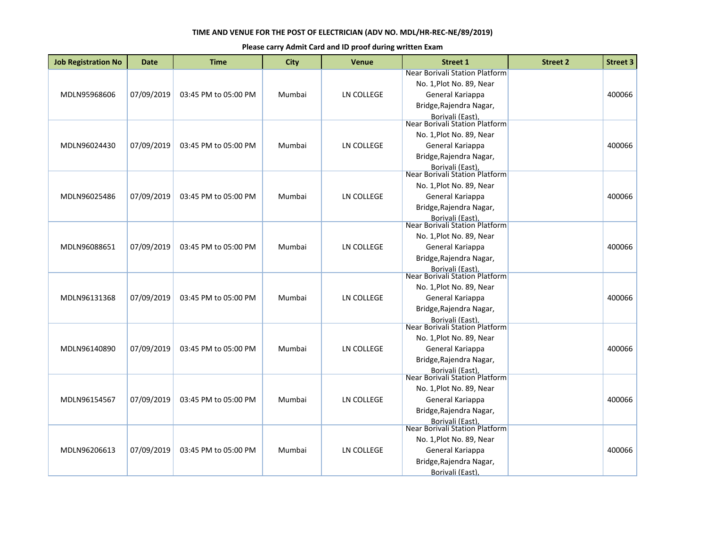| <b>Job Registration No</b> | <b>Date</b> | <b>Time</b>          | <b>City</b> | <b>Venue</b>      | <b>Street 1</b>                                                 | <b>Street 2</b> | <b>Street 3</b> |
|----------------------------|-------------|----------------------|-------------|-------------------|-----------------------------------------------------------------|-----------------|-----------------|
|                            |             |                      |             |                   | Near Borivali Station Platform                                  |                 |                 |
|                            |             |                      |             |                   | No. 1, Plot No. 89, Near                                        |                 |                 |
| MDLN95968606               | 07/09/2019  | 03:45 PM to 05:00 PM | Mumbai      | LN COLLEGE        | General Kariappa                                                |                 | 400066          |
|                            |             |                      |             |                   | Bridge, Rajendra Nagar,                                         |                 |                 |
|                            |             |                      |             |                   | Borivali (East),                                                |                 |                 |
|                            |             |                      |             |                   | Near Borivali Station Platform                                  |                 |                 |
|                            |             |                      |             |                   | No. 1, Plot No. 89, Near                                        |                 |                 |
| MDLN96024430               | 07/09/2019  | 03:45 PM to 05:00 PM | Mumbai      | LN COLLEGE        | General Kariappa                                                |                 | 400066          |
|                            |             |                      |             |                   | Bridge, Rajendra Nagar,                                         |                 |                 |
|                            |             |                      |             |                   | Borivali (East),<br>Near Borivali Station Platform              |                 |                 |
|                            |             |                      |             |                   | No. 1, Plot No. 89, Near                                        |                 |                 |
| MDLN96025486               | 07/09/2019  | 03:45 PM to 05:00 PM | Mumbai      | LN COLLEGE        | General Kariappa                                                |                 | 400066          |
|                            |             |                      |             |                   | Bridge, Rajendra Nagar,                                         |                 |                 |
|                            |             |                      |             |                   |                                                                 |                 |                 |
|                            |             |                      |             |                   | Borivali (East).<br>Near Borivali Station Platform              |                 |                 |
|                            |             |                      |             |                   | No. 1, Plot No. 89, Near                                        |                 |                 |
| MDLN96088651               | 07/09/2019  | 03:45 PM to 05:00 PM | Mumbai      | LN COLLEGE        | General Kariappa                                                |                 | 400066          |
|                            |             |                      |             |                   | Bridge, Rajendra Nagar,                                         |                 |                 |
|                            |             |                      |             |                   | <b>Borivali (East)</b>                                          |                 |                 |
|                            |             |                      |             |                   | Near Borivali Station Platform                                  |                 |                 |
|                            |             |                      |             |                   | No. 1, Plot No. 89, Near                                        |                 |                 |
| MDLN96131368               | 07/09/2019  | 03:45 PM to 05:00 PM | Mumbai      | LN COLLEGE        | General Kariappa                                                |                 | 400066          |
|                            |             |                      |             |                   | Bridge, Rajendra Nagar,                                         |                 |                 |
|                            |             |                      |             |                   | Borivali (East),<br>Near Borivali Station Platform              |                 |                 |
|                            |             |                      |             |                   |                                                                 |                 |                 |
|                            |             |                      |             |                   | No. 1, Plot No. 89, Near                                        |                 |                 |
| MDLN96140890               | 07/09/2019  | 03:45 PM to 05:00 PM | Mumbai      | <b>LN COLLEGE</b> | General Kariappa                                                |                 | 400066          |
|                            |             |                      |             |                   | Bridge, Rajendra Nagar,                                         |                 |                 |
|                            |             |                      |             |                   | <b>Borivali (East)</b><br><b>Near Borivali Station Platform</b> |                 |                 |
|                            |             |                      |             |                   | No. 1, Plot No. 89, Near                                        |                 |                 |
| MDLN96154567               | 07/09/2019  | 03:45 PM to 05:00 PM | Mumbai      | LN COLLEGE        | General Kariappa                                                |                 | 400066          |
|                            |             |                      |             |                   | Bridge, Rajendra Nagar,                                         |                 |                 |
|                            |             |                      |             |                   |                                                                 |                 |                 |
|                            |             |                      |             |                   | Borivali (East).<br>Near Borivali Station Platform              |                 |                 |
|                            |             |                      |             |                   | No. 1, Plot No. 89, Near                                        |                 |                 |
| MDLN96206613               | 07/09/2019  | 03:45 PM to 05:00 PM | Mumbai      | <b>LN COLLEGE</b> | General Kariappa                                                |                 | 400066          |
|                            |             |                      |             |                   | Bridge, Rajendra Nagar,                                         |                 |                 |
|                            |             |                      |             |                   | Borivali (East)                                                 |                 |                 |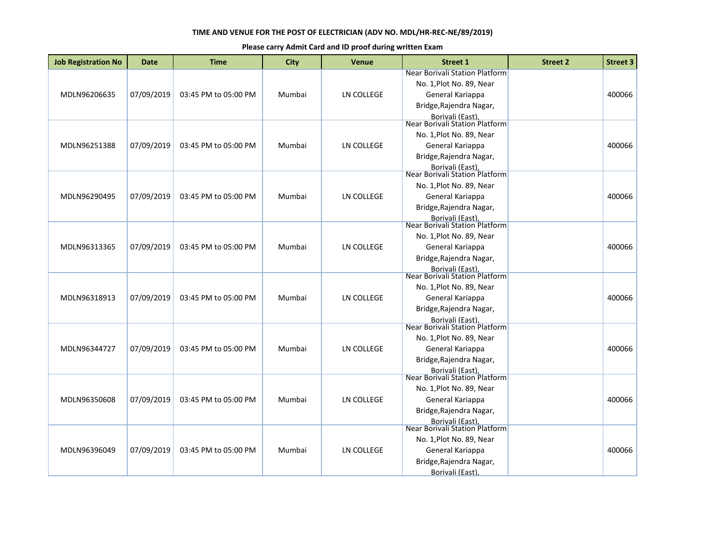| <b>Job Registration No</b> | <b>Date</b> | <b>Time</b>          | <b>City</b> | <b>Venue</b>      | <b>Street 1</b>                                                                | <b>Street 2</b> | <b>Street 3</b> |
|----------------------------|-------------|----------------------|-------------|-------------------|--------------------------------------------------------------------------------|-----------------|-----------------|
| MDLN96206635               | 07/09/2019  | 03:45 PM to 05:00 PM | Mumbai      | LN COLLEGE        | Near Borivali Station Platform<br>No. 1, Plot No. 89, Near<br>General Kariappa |                 | 400066          |
|                            |             |                      |             |                   | Bridge, Rajendra Nagar,<br>Borivali (East),<br>Near Borivali Station Platform  |                 |                 |
|                            |             |                      |             |                   | No. 1, Plot No. 89, Near                                                       |                 |                 |
| MDLN96251388               | 07/09/2019  | 03:45 PM to 05:00 PM | Mumbai      | LN COLLEGE        | General Kariappa                                                               |                 | 400066          |
|                            |             |                      |             |                   | Bridge, Rajendra Nagar,                                                        |                 |                 |
|                            |             |                      |             |                   | Borivali (East),<br>Near Borivali Station Platform                             |                 |                 |
|                            |             |                      |             |                   | No. 1, Plot No. 89, Near                                                       |                 |                 |
| MDLN96290495               | 07/09/2019  | 03:45 PM to 05:00 PM | Mumbai      | LN COLLEGE        | General Kariappa                                                               |                 | 400066          |
|                            |             |                      |             |                   | Bridge, Rajendra Nagar,                                                        |                 |                 |
|                            |             |                      |             |                   | Borivali (East).<br>Near Borivali Station Platform                             |                 |                 |
|                            |             |                      |             |                   | No. 1, Plot No. 89, Near                                                       |                 |                 |
| MDLN96313365               | 07/09/2019  | 03:45 PM to 05:00 PM | Mumbai      | LN COLLEGE        | General Kariappa                                                               |                 | 400066          |
|                            |             |                      |             |                   | Bridge, Rajendra Nagar,                                                        |                 |                 |
|                            |             |                      |             |                   | Borivali (East).<br>Near Borivali Station Platform                             |                 |                 |
|                            |             |                      |             |                   | No. 1, Plot No. 89, Near                                                       |                 |                 |
| MDLN96318913               | 07/09/2019  | 03:45 PM to 05:00 PM | Mumbai      | <b>LN COLLEGE</b> | General Kariappa                                                               |                 | 400066          |
|                            |             |                      |             |                   | Bridge, Rajendra Nagar,                                                        |                 |                 |
|                            |             |                      |             |                   | Borivali (East),<br>Near Borivali Station Platform                             |                 |                 |
|                            |             |                      |             |                   |                                                                                |                 |                 |
| MDLN96344727               | 07/09/2019  | 03:45 PM to 05:00 PM | Mumbai      | <b>LN COLLEGE</b> | No. 1, Plot No. 89, Near<br>General Kariappa                                   |                 | 400066          |
|                            |             |                      |             |                   | Bridge, Rajendra Nagar,                                                        |                 |                 |
|                            |             |                      |             |                   | <b>Borivali (East)</b>                                                         |                 |                 |
|                            |             |                      |             |                   | Near Borivali Station Platform                                                 |                 |                 |
|                            |             |                      |             |                   | No. 1, Plot No. 89, Near                                                       |                 |                 |
| MDLN96350608               | 07/09/2019  | 03:45 PM to 05:00 PM | Mumbai      | <b>LN COLLEGE</b> | General Kariappa                                                               |                 | 400066          |
|                            |             |                      |             |                   | Bridge, Rajendra Nagar,                                                        |                 |                 |
|                            |             |                      |             |                   | Borivali (East).<br>Near Borivali Station Platform                             |                 |                 |
|                            |             |                      |             |                   | No. 1, Plot No. 89, Near                                                       |                 |                 |
| MDLN96396049               | 07/09/2019  | 03:45 PM to 05:00 PM | Mumbai      | LN COLLEGE        | General Kariappa                                                               |                 | 400066          |
|                            |             |                      |             |                   | Bridge, Rajendra Nagar,                                                        |                 |                 |
|                            |             |                      |             |                   | Borivali (East),                                                               |                 |                 |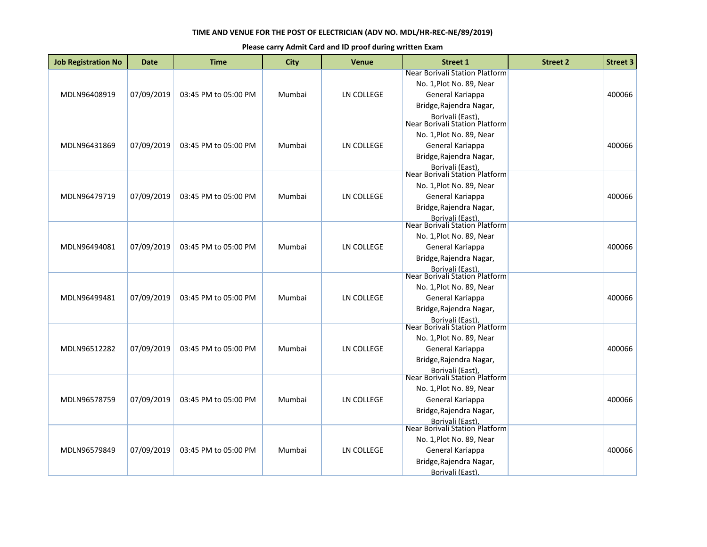| <b>Job Registration No</b> | <b>Date</b> | <b>Time</b>          | City   | <b>Venue</b>      | <b>Street 1</b>                                          | <b>Street 2</b> | <b>Street 3</b> |
|----------------------------|-------------|----------------------|--------|-------------------|----------------------------------------------------------|-----------------|-----------------|
|                            |             |                      |        |                   | Near Borivali Station Platform                           |                 |                 |
|                            |             |                      |        |                   | No. 1, Plot No. 89, Near                                 |                 |                 |
| MDLN96408919               | 07/09/2019  | 03:45 PM to 05:00 PM | Mumbai | LN COLLEGE        | General Kariappa                                         |                 | 400066          |
|                            |             |                      |        |                   | Bridge, Rajendra Nagar,                                  |                 |                 |
|                            |             |                      |        |                   | Borivali (East),<br>Near Borivali Station Platform       |                 |                 |
|                            |             |                      |        |                   | No. 1, Plot No. 89, Near                                 |                 |                 |
| MDLN96431869               | 07/09/2019  | 03:45 PM to 05:00 PM | Mumbai | LN COLLEGE        | General Kariappa                                         |                 | 400066          |
|                            |             |                      |        |                   | Bridge, Rajendra Nagar,                                  |                 |                 |
|                            |             |                      |        |                   | Borivali (East),                                         |                 |                 |
|                            |             |                      |        |                   | <b>Near Borivali Station Platform</b>                    |                 |                 |
|                            |             |                      |        |                   | No. 1, Plot No. 89, Near                                 |                 |                 |
| MDLN96479719               | 07/09/2019  | 03:45 PM to 05:00 PM | Mumbai | LN COLLEGE        | General Kariappa                                         |                 | 400066          |
|                            |             |                      |        |                   | Bridge, Rajendra Nagar,                                  |                 |                 |
|                            |             |                      |        |                   | Borivali (East).<br>Near Borivali Station Platform       |                 |                 |
|                            |             |                      |        |                   |                                                          |                 |                 |
|                            |             |                      |        |                   | No. 1, Plot No. 89, Near                                 |                 |                 |
| MDLN96494081               | 07/09/2019  | 03:45 PM to 05:00 PM | Mumbai | LN COLLEGE        | General Kariappa                                         |                 | 400066          |
|                            |             |                      |        |                   | Bridge, Rajendra Nagar,                                  |                 |                 |
|                            |             |                      |        |                   | <b>Borivali (East)</b><br>Near Borivali Station Platform |                 |                 |
|                            |             |                      |        |                   | No. 1, Plot No. 89, Near                                 |                 |                 |
| MDLN96499481               | 07/09/2019  | 03:45 PM to 05:00 PM | Mumbai | <b>LN COLLEGE</b> | General Kariappa                                         |                 | 400066          |
|                            |             |                      |        |                   | Bridge, Rajendra Nagar,                                  |                 |                 |
|                            |             |                      |        |                   |                                                          |                 |                 |
|                            |             |                      |        |                   | Borivali (East),<br>Near Borivali Station Platform       |                 |                 |
|                            |             |                      |        |                   | No. 1, Plot No. 89, Near                                 |                 |                 |
| MDLN96512282               | 07/09/2019  | 03:45 PM to 05:00 PM | Mumbai | LN COLLEGE        | General Kariappa                                         |                 | 400066          |
|                            |             |                      |        |                   | Bridge, Rajendra Nagar,                                  |                 |                 |
|                            |             |                      |        |                   | <b>Borivali (East)</b>                                   |                 |                 |
|                            |             |                      |        |                   | Near Borivali Station Platform                           |                 |                 |
|                            |             |                      |        |                   | No. 1, Plot No. 89, Near                                 |                 |                 |
| MDLN96578759               | 07/09/2019  | 03:45 PM to 05:00 PM | Mumbai | LN COLLEGE        | General Kariappa                                         |                 | 400066          |
|                            |             |                      |        |                   | Bridge, Rajendra Nagar,                                  |                 |                 |
|                            |             |                      |        |                   | Borivali (East).<br>Near Borivali Station Platform       |                 |                 |
|                            |             |                      |        |                   | No. 1, Plot No. 89, Near                                 |                 |                 |
| MDLN96579849               | 07/09/2019  | 03:45 PM to 05:00 PM | Mumbai | <b>LN COLLEGE</b> | General Kariappa                                         |                 | 400066          |
|                            |             |                      |        |                   | Bridge, Rajendra Nagar,                                  |                 |                 |
|                            |             |                      |        |                   | Borivali (East)                                          |                 |                 |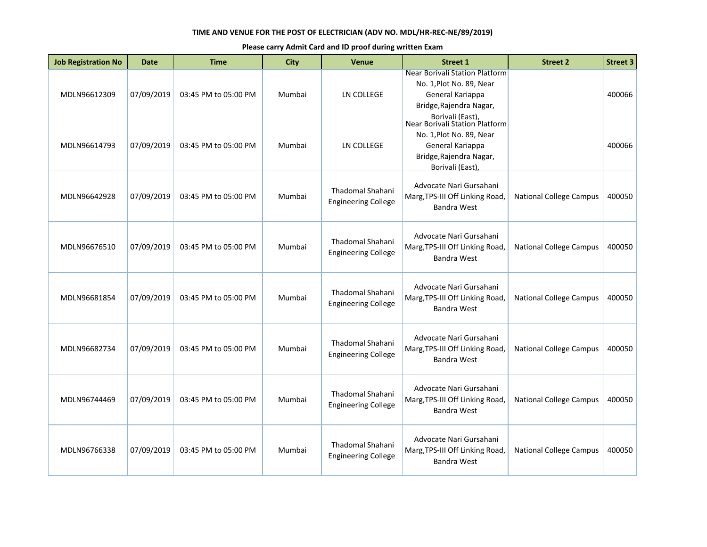| <b>Job Registration No</b> | <b>Date</b> | <b>Time</b>          | <b>City</b> | <b>Venue</b>                                          | <b>Street 1</b>                                                                                                                                                 | <b>Street 2</b>                | <b>Street 3</b> |
|----------------------------|-------------|----------------------|-------------|-------------------------------------------------------|-----------------------------------------------------------------------------------------------------------------------------------------------------------------|--------------------------------|-----------------|
| MDLN96612309               | 07/09/2019  | 03:45 PM to 05:00 PM | Mumbai      | LN COLLEGE                                            | Near Borivali Station Platform<br>No. 1, Plot No. 89, Near<br>General Kariappa<br>Bridge, Rajendra Nagar,<br>Borivali (East),<br>Near Borivali Station Platform |                                | 400066          |
| MDLN96614793               | 07/09/2019  | 03:45 PM to 05:00 PM | Mumbai      | <b>LN COLLEGE</b>                                     | No. 1, Plot No. 89, Near<br>General Kariappa<br>Bridge, Rajendra Nagar,<br>Borivali (East)                                                                      |                                | 400066          |
| MDLN96642928               | 07/09/2019  | 03:45 PM to 05:00 PM | Mumbai      | Thadomal Shahani<br><b>Engineering College</b>        | Advocate Nari Gursahani<br>Marg, TPS-III Off Linking Road,<br><b>Bandra West</b>                                                                                | <b>National College Campus</b> | 400050          |
| MDLN96676510               | 07/09/2019  | 03:45 PM to 05:00 PM | Mumbai      | Thadomal Shahani<br><b>Engineering College</b>        | Advocate Nari Gursahani<br>Marg, TPS-III Off Linking Road,<br><b>Bandra West</b>                                                                                | <b>National College Campus</b> | 400050          |
| MDLN96681854               | 07/09/2019  | 03:45 PM to 05:00 PM | Mumbai      | Thadomal Shahani<br><b>Engineering College</b>        | Advocate Nari Gursahani<br>Marg, TPS-III Off Linking Road,<br><b>Bandra West</b>                                                                                | <b>National College Campus</b> | 400050          |
| MDLN96682734               | 07/09/2019  | 03:45 PM to 05:00 PM | Mumbai      | <b>Thadomal Shahani</b><br><b>Engineering College</b> | Advocate Nari Gursahani<br>Marg, TPS-III Off Linking Road,<br><b>Bandra West</b>                                                                                | <b>National College Campus</b> | 400050          |
| MDLN96744469               | 07/09/2019  | 03:45 PM to 05:00 PM | Mumbai      | Thadomal Shahani<br><b>Engineering College</b>        | Advocate Nari Gursahani<br>Marg, TPS-III Off Linking Road,<br><b>Bandra West</b>                                                                                | <b>National College Campus</b> | 400050          |
| MDLN96766338               | 07/09/2019  | 03:45 PM to 05:00 PM | Mumbai      | <b>Thadomal Shahani</b><br><b>Engineering College</b> | Advocate Nari Gursahani<br>Marg, TPS-III Off Linking Road,<br><b>Bandra West</b>                                                                                | <b>National College Campus</b> | 400050          |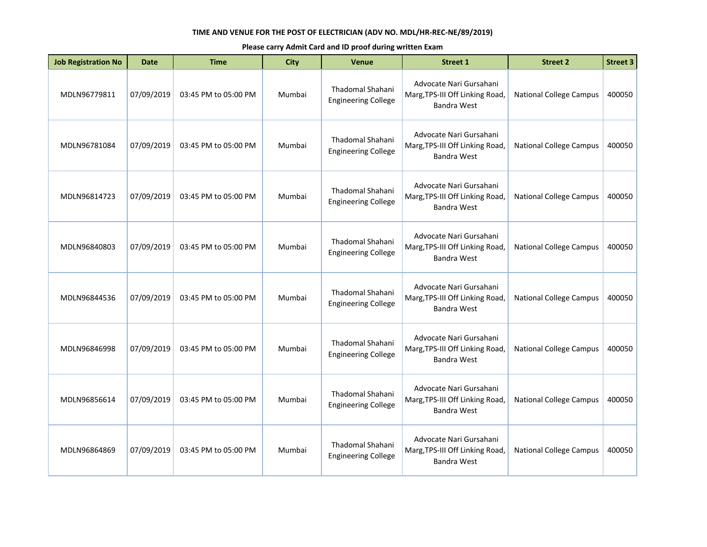| <b>Job Registration No</b> | Date       | <b>Time</b>          | <b>City</b> | <b>Venue</b>                                          | <b>Street 1</b>                                                                  | <b>Street 2</b>                | <b>Street 3</b> |
|----------------------------|------------|----------------------|-------------|-------------------------------------------------------|----------------------------------------------------------------------------------|--------------------------------|-----------------|
| MDLN96779811               | 07/09/2019 | 03:45 PM to 05:00 PM | Mumbai      | Thadomal Shahani<br><b>Engineering College</b>        | Advocate Nari Gursahani<br>Marg, TPS-III Off Linking Road,<br>Bandra West        | <b>National College Campus</b> | 400050          |
| MDLN96781084               | 07/09/2019 | 03:45 PM to 05:00 PM | Mumbai      | Thadomal Shahani<br><b>Engineering College</b>        | Advocate Nari Gursahani<br>Marg, TPS-III Off Linking Road,<br>Bandra West        | <b>National College Campus</b> | 400050          |
| MDLN96814723               | 07/09/2019 | 03:45 PM to 05:00 PM | Mumbai      | Thadomal Shahani<br><b>Engineering College</b>        | Advocate Nari Gursahani<br>Marg, TPS-III Off Linking Road,<br><b>Bandra West</b> | <b>National College Campus</b> | 400050          |
| MDLN96840803               | 07/09/2019 | 03:45 PM to 05:00 PM | Mumbai      | Thadomal Shahani<br><b>Engineering College</b>        | Advocate Nari Gursahani<br>Marg, TPS-III Off Linking Road,<br>Bandra West        | <b>National College Campus</b> | 400050          |
| MDLN96844536               | 07/09/2019 | 03:45 PM to 05:00 PM | Mumbai      | Thadomal Shahani<br><b>Engineering College</b>        | Advocate Nari Gursahani<br>Marg, TPS-III Off Linking Road,<br>Bandra West        | <b>National College Campus</b> | 400050          |
| MDLN96846998               | 07/09/2019 | 03:45 PM to 05:00 PM | Mumbai      | <b>Thadomal Shahani</b><br><b>Engineering College</b> | Advocate Nari Gursahani<br>Marg, TPS-III Off Linking Road,<br><b>Bandra West</b> | <b>National College Campus</b> | 400050          |
| MDLN96856614               | 07/09/2019 | 03:45 PM to 05:00 PM | Mumbai      | Thadomal Shahani<br><b>Engineering College</b>        | Advocate Nari Gursahani<br>Marg, TPS-III Off Linking Road,<br>Bandra West        | <b>National College Campus</b> | 400050          |
| MDLN96864869               | 07/09/2019 | 03:45 PM to 05:00 PM | Mumbai      | <b>Thadomal Shahani</b><br><b>Engineering College</b> | Advocate Nari Gursahani<br>Marg, TPS-III Off Linking Road,<br><b>Bandra West</b> | <b>National College Campus</b> | 400050          |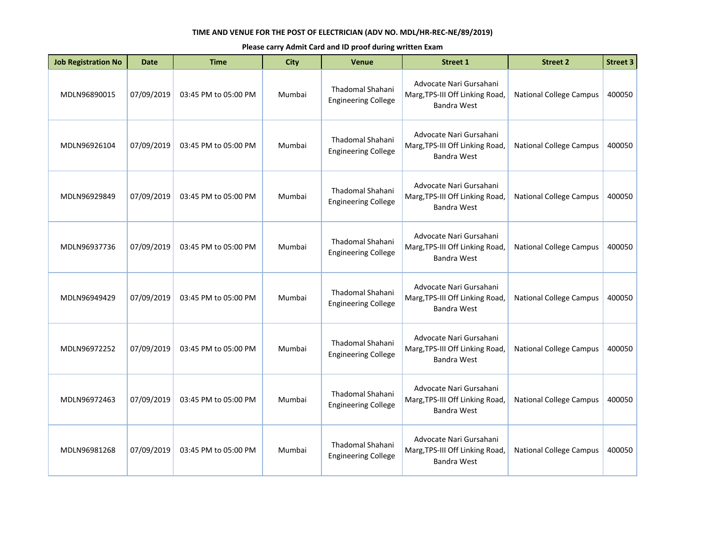| <b>Job Registration No</b> | Date       | <b>Time</b>          | <b>City</b> | <b>Venue</b>                                          | <b>Street 1</b>                                                                  | <b>Street 2</b>                | <b>Street 3</b> |
|----------------------------|------------|----------------------|-------------|-------------------------------------------------------|----------------------------------------------------------------------------------|--------------------------------|-----------------|
| MDLN96890015               | 07/09/2019 | 03:45 PM to 05:00 PM | Mumbai      | Thadomal Shahani<br><b>Engineering College</b>        | Advocate Nari Gursahani<br>Marg, TPS-III Off Linking Road,<br>Bandra West        | <b>National College Campus</b> | 400050          |
| MDLN96926104               | 07/09/2019 | 03:45 PM to 05:00 PM | Mumbai      | <b>Thadomal Shahani</b><br><b>Engineering College</b> | Advocate Nari Gursahani<br>Marg, TPS-III Off Linking Road,<br><b>Bandra West</b> | <b>National College Campus</b> | 400050          |
| MDLN96929849               | 07/09/2019 | 03:45 PM to 05:00 PM | Mumbai      | Thadomal Shahani<br><b>Engineering College</b>        | Advocate Nari Gursahani<br>Marg, TPS-III Off Linking Road,<br><b>Bandra West</b> | <b>National College Campus</b> | 400050          |
| MDLN96937736               | 07/09/2019 | 03:45 PM to 05:00 PM | Mumbai      | Thadomal Shahani<br><b>Engineering College</b>        | Advocate Nari Gursahani<br>Marg, TPS-III Off Linking Road,<br><b>Bandra West</b> | <b>National College Campus</b> | 400050          |
| MDLN96949429               | 07/09/2019 | 03:45 PM to 05:00 PM | Mumbai      | Thadomal Shahani<br><b>Engineering College</b>        | Advocate Nari Gursahani<br>Marg, TPS-III Off Linking Road,<br>Bandra West        | <b>National College Campus</b> | 400050          |
| MDLN96972252               | 07/09/2019 | 03:45 PM to 05:00 PM | Mumbai      | Thadomal Shahani<br><b>Engineering College</b>        | Advocate Nari Gursahani<br>Marg, TPS-III Off Linking Road,<br><b>Bandra West</b> | <b>National College Campus</b> | 400050          |
| MDLN96972463               | 07/09/2019 | 03:45 PM to 05:00 PM | Mumbai      | Thadomal Shahani<br><b>Engineering College</b>        | Advocate Nari Gursahani<br>Marg, TPS-III Off Linking Road,<br>Bandra West        | <b>National College Campus</b> | 400050          |
| MDLN96981268               | 07/09/2019 | 03:45 PM to 05:00 PM | Mumbai      | <b>Thadomal Shahani</b><br><b>Engineering College</b> | Advocate Nari Gursahani<br>Marg, TPS-III Off Linking Road,<br>Bandra West        | <b>National College Campus</b> | 400050          |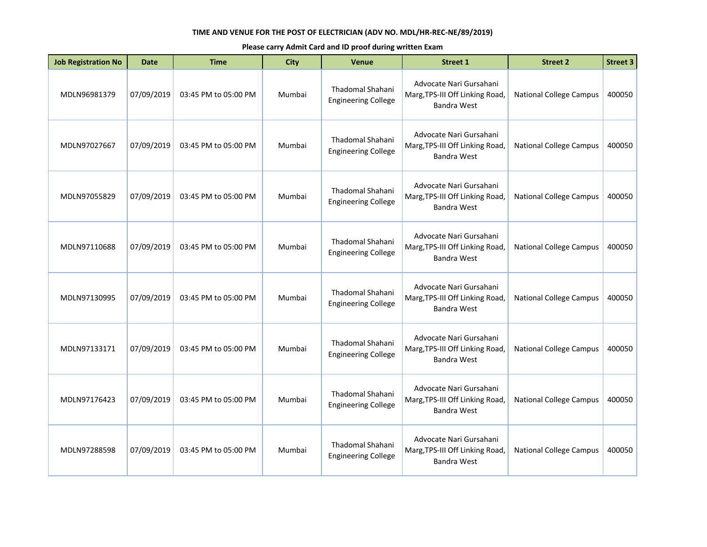| <b>Job Registration No</b> | Date       | <b>Time</b>          | <b>City</b> | <b>Venue</b>                                          | <b>Street 1</b>                                                                  | <b>Street 2</b>                | <b>Street 3</b> |
|----------------------------|------------|----------------------|-------------|-------------------------------------------------------|----------------------------------------------------------------------------------|--------------------------------|-----------------|
| MDLN96981379               | 07/09/2019 | 03:45 PM to 05:00 PM | Mumbai      | Thadomal Shahani<br><b>Engineering College</b>        | Advocate Nari Gursahani<br>Marg, TPS-III Off Linking Road,<br>Bandra West        | <b>National College Campus</b> | 400050          |
| MDLN97027667               | 07/09/2019 | 03:45 PM to 05:00 PM | Mumbai      | <b>Thadomal Shahani</b><br><b>Engineering College</b> | Advocate Nari Gursahani<br>Marg, TPS-III Off Linking Road,<br><b>Bandra West</b> | <b>National College Campus</b> | 400050          |
| MDLN97055829               | 07/09/2019 | 03:45 PM to 05:00 PM | Mumbai      | Thadomal Shahani<br><b>Engineering College</b>        | Advocate Nari Gursahani<br>Marg, TPS-III Off Linking Road,<br><b>Bandra West</b> | <b>National College Campus</b> | 400050          |
| MDLN97110688               | 07/09/2019 | 03:45 PM to 05:00 PM | Mumbai      | Thadomal Shahani<br><b>Engineering College</b>        | Advocate Nari Gursahani<br>Marg, TPS-III Off Linking Road,<br><b>Bandra West</b> | <b>National College Campus</b> | 400050          |
| MDLN97130995               | 07/09/2019 | 03:45 PM to 05:00 PM | Mumbai      | Thadomal Shahani<br><b>Engineering College</b>        | Advocate Nari Gursahani<br>Marg, TPS-III Off Linking Road,<br>Bandra West        | <b>National College Campus</b> | 400050          |
| MDLN97133171               | 07/09/2019 | 03:45 PM to 05:00 PM | Mumbai      | Thadomal Shahani<br><b>Engineering College</b>        | Advocate Nari Gursahani<br>Marg, TPS-III Off Linking Road,<br><b>Bandra West</b> | <b>National College Campus</b> | 400050          |
| MDLN97176423               | 07/09/2019 | 03:45 PM to 05:00 PM | Mumbai      | Thadomal Shahani<br><b>Engineering College</b>        | Advocate Nari Gursahani<br>Marg, TPS-III Off Linking Road,<br>Bandra West        | <b>National College Campus</b> | 400050          |
| MDLN97288598               | 07/09/2019 | 03:45 PM to 05:00 PM | Mumbai      | <b>Thadomal Shahani</b><br><b>Engineering College</b> | Advocate Nari Gursahani<br>Marg, TPS-III Off Linking Road,<br>Bandra West        | <b>National College Campus</b> | 400050          |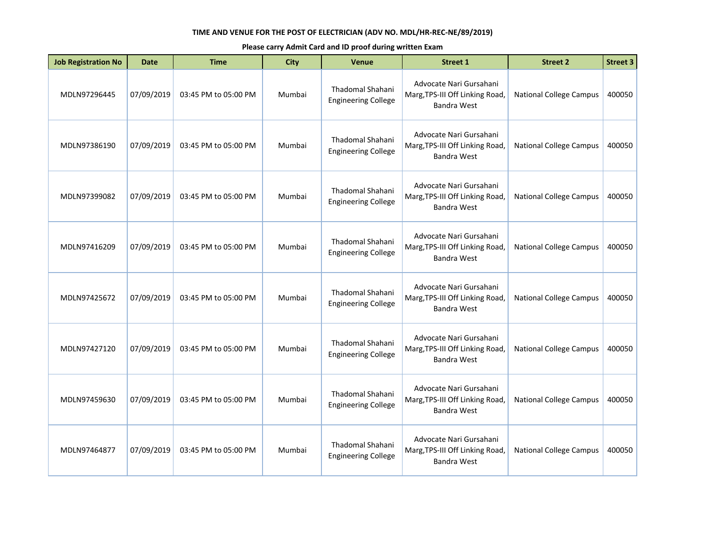| <b>Job Registration No</b> | Date       | <b>Time</b>          | <b>City</b> | <b>Venue</b>                                          | <b>Street 1</b>                                                                  | <b>Street 2</b>                | <b>Street 3</b> |
|----------------------------|------------|----------------------|-------------|-------------------------------------------------------|----------------------------------------------------------------------------------|--------------------------------|-----------------|
| MDLN97296445               | 07/09/2019 | 03:45 PM to 05:00 PM | Mumbai      | Thadomal Shahani<br><b>Engineering College</b>        | Advocate Nari Gursahani<br>Marg, TPS-III Off Linking Road,<br>Bandra West        | <b>National College Campus</b> | 400050          |
| MDLN97386190               | 07/09/2019 | 03:45 PM to 05:00 PM | Mumbai      | <b>Thadomal Shahani</b><br><b>Engineering College</b> | Advocate Nari Gursahani<br>Marg, TPS-III Off Linking Road,<br><b>Bandra West</b> | <b>National College Campus</b> | 400050          |
| MDLN97399082               | 07/09/2019 | 03:45 PM to 05:00 PM | Mumbai      | Thadomal Shahani<br><b>Engineering College</b>        | Advocate Nari Gursahani<br>Marg, TPS-III Off Linking Road,<br><b>Bandra West</b> | <b>National College Campus</b> | 400050          |
| MDLN97416209               | 07/09/2019 | 03:45 PM to 05:00 PM | Mumbai      | Thadomal Shahani<br><b>Engineering College</b>        | Advocate Nari Gursahani<br>Marg, TPS-III Off Linking Road,<br><b>Bandra West</b> | <b>National College Campus</b> | 400050          |
| MDLN97425672               | 07/09/2019 | 03:45 PM to 05:00 PM | Mumbai      | Thadomal Shahani<br><b>Engineering College</b>        | Advocate Nari Gursahani<br>Marg, TPS-III Off Linking Road,<br>Bandra West        | <b>National College Campus</b> | 400050          |
| MDLN97427120               | 07/09/2019 | 03:45 PM to 05:00 PM | Mumbai      | Thadomal Shahani<br><b>Engineering College</b>        | Advocate Nari Gursahani<br>Marg, TPS-III Off Linking Road,<br><b>Bandra West</b> | <b>National College Campus</b> | 400050          |
| MDLN97459630               | 07/09/2019 | 03:45 PM to 05:00 PM | Mumbai      | Thadomal Shahani<br><b>Engineering College</b>        | Advocate Nari Gursahani<br>Marg, TPS-III Off Linking Road,<br>Bandra West        | <b>National College Campus</b> | 400050          |
| MDLN97464877               | 07/09/2019 | 03:45 PM to 05:00 PM | Mumbai      | <b>Thadomal Shahani</b><br><b>Engineering College</b> | Advocate Nari Gursahani<br>Marg, TPS-III Off Linking Road,<br>Bandra West        | <b>National College Campus</b> | 400050          |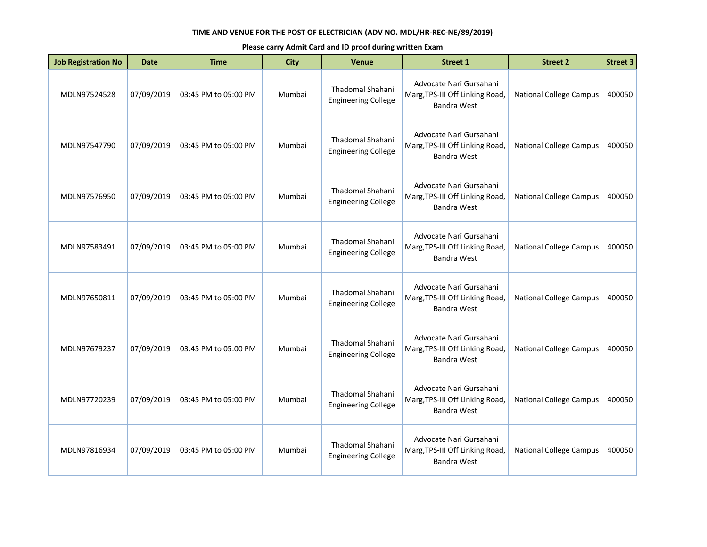| <b>Job Registration No</b> | Date       | <b>Time</b>          | <b>City</b> | <b>Venue</b>                                          | <b>Street 1</b>                                                                  | <b>Street 2</b>                | <b>Street 3</b> |
|----------------------------|------------|----------------------|-------------|-------------------------------------------------------|----------------------------------------------------------------------------------|--------------------------------|-----------------|
| MDLN97524528               | 07/09/2019 | 03:45 PM to 05:00 PM | Mumbai      | Thadomal Shahani<br><b>Engineering College</b>        | Advocate Nari Gursahani<br>Marg, TPS-III Off Linking Road,<br>Bandra West        | <b>National College Campus</b> | 400050          |
| MDLN97547790               | 07/09/2019 | 03:45 PM to 05:00 PM | Mumbai      | Thadomal Shahani<br><b>Engineering College</b>        | Advocate Nari Gursahani<br>Marg, TPS-III Off Linking Road,<br>Bandra West        | <b>National College Campus</b> | 400050          |
| MDLN97576950               | 07/09/2019 | 03:45 PM to 05:00 PM | Mumbai      | Thadomal Shahani<br><b>Engineering College</b>        | Advocate Nari Gursahani<br>Marg, TPS-III Off Linking Road,<br><b>Bandra West</b> | <b>National College Campus</b> | 400050          |
| MDLN97583491               | 07/09/2019 | 03:45 PM to 05:00 PM | Mumbai      | Thadomal Shahani<br><b>Engineering College</b>        | Advocate Nari Gursahani<br>Marg, TPS-III Off Linking Road,<br>Bandra West        | <b>National College Campus</b> | 400050          |
| MDLN97650811               | 07/09/2019 | 03:45 PM to 05:00 PM | Mumbai      | Thadomal Shahani<br><b>Engineering College</b>        | Advocate Nari Gursahani<br>Marg, TPS-III Off Linking Road,<br>Bandra West        | <b>National College Campus</b> | 400050          |
| MDLN97679237               | 07/09/2019 | 03:45 PM to 05:00 PM | Mumbai      | <b>Thadomal Shahani</b><br><b>Engineering College</b> | Advocate Nari Gursahani<br>Marg, TPS-III Off Linking Road,<br><b>Bandra West</b> | <b>National College Campus</b> | 400050          |
| MDLN97720239               | 07/09/2019 | 03:45 PM to 05:00 PM | Mumbai      | Thadomal Shahani<br><b>Engineering College</b>        | Advocate Nari Gursahani<br>Marg, TPS-III Off Linking Road,<br>Bandra West        | <b>National College Campus</b> | 400050          |
| MDLN97816934               | 07/09/2019 | 03:45 PM to 05:00 PM | Mumbai      | <b>Thadomal Shahani</b><br><b>Engineering College</b> | Advocate Nari Gursahani<br>Marg, TPS-III Off Linking Road,<br><b>Bandra West</b> | <b>National College Campus</b> | 400050          |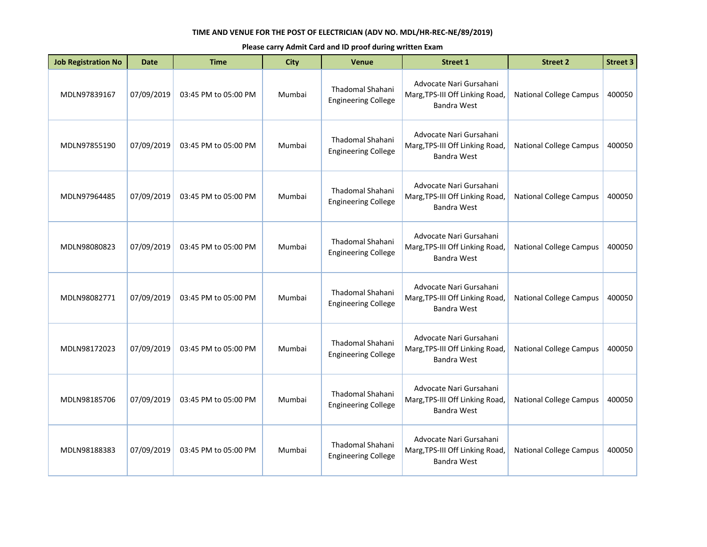| <b>Job Registration No</b> | Date       | <b>Time</b>          | <b>City</b> | <b>Venue</b>                                          | <b>Street 1</b>                                                                  | <b>Street 2</b>                | <b>Street 3</b> |
|----------------------------|------------|----------------------|-------------|-------------------------------------------------------|----------------------------------------------------------------------------------|--------------------------------|-----------------|
| MDLN97839167               | 07/09/2019 | 03:45 PM to 05:00 PM | Mumbai      | Thadomal Shahani<br><b>Engineering College</b>        | Advocate Nari Gursahani<br>Marg, TPS-III Off Linking Road,<br>Bandra West        | <b>National College Campus</b> | 400050          |
| MDLN97855190               | 07/09/2019 | 03:45 PM to 05:00 PM | Mumbai      | Thadomal Shahani<br><b>Engineering College</b>        | Advocate Nari Gursahani<br>Marg, TPS-III Off Linking Road,<br>Bandra West        | <b>National College Campus</b> | 400050          |
| MDLN97964485               | 07/09/2019 | 03:45 PM to 05:00 PM | Mumbai      | Thadomal Shahani<br><b>Engineering College</b>        | Advocate Nari Gursahani<br>Marg, TPS-III Off Linking Road,<br><b>Bandra West</b> | <b>National College Campus</b> | 400050          |
| MDLN98080823               | 07/09/2019 | 03:45 PM to 05:00 PM | Mumbai      | Thadomal Shahani<br><b>Engineering College</b>        | Advocate Nari Gursahani<br>Marg, TPS-III Off Linking Road,<br>Bandra West        | <b>National College Campus</b> | 400050          |
| MDLN98082771               | 07/09/2019 | 03:45 PM to 05:00 PM | Mumbai      | Thadomal Shahani<br><b>Engineering College</b>        | Advocate Nari Gursahani<br>Marg, TPS-III Off Linking Road,<br>Bandra West        | <b>National College Campus</b> | 400050          |
| MDLN98172023               | 07/09/2019 | 03:45 PM to 05:00 PM | Mumbai      | <b>Thadomal Shahani</b><br><b>Engineering College</b> | Advocate Nari Gursahani<br>Marg, TPS-III Off Linking Road,<br><b>Bandra West</b> | <b>National College Campus</b> | 400050          |
| MDLN98185706               | 07/09/2019 | 03:45 PM to 05:00 PM | Mumbai      | Thadomal Shahani<br><b>Engineering College</b>        | Advocate Nari Gursahani<br>Marg, TPS-III Off Linking Road,<br>Bandra West        | <b>National College Campus</b> | 400050          |
| MDLN98188383               | 07/09/2019 | 03:45 PM to 05:00 PM | Mumbai      | <b>Thadomal Shahani</b><br><b>Engineering College</b> | Advocate Nari Gursahani<br>Marg, TPS-III Off Linking Road,<br><b>Bandra West</b> | <b>National College Campus</b> | 400050          |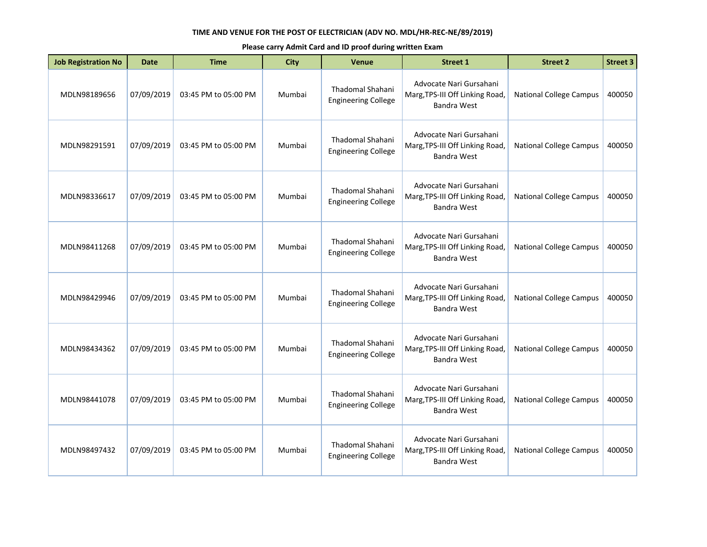| <b>Job Registration No</b> | <b>Date</b> | <b>Time</b>          | <b>City</b> | Venue                                                 | <b>Street 1</b>                                                                  | <b>Street 2</b>                | <b>Street 3</b> |
|----------------------------|-------------|----------------------|-------------|-------------------------------------------------------|----------------------------------------------------------------------------------|--------------------------------|-----------------|
| MDLN98189656               | 07/09/2019  | 03:45 PM to 05:00 PM | Mumbai      | Thadomal Shahani<br><b>Engineering College</b>        | Advocate Nari Gursahani<br>Marg, TPS-III Off Linking Road,<br>Bandra West        | <b>National College Campus</b> | 400050          |
| MDLN98291591               | 07/09/2019  | 03:45 PM to 05:00 PM | Mumbai      | Thadomal Shahani<br><b>Engineering College</b>        | Advocate Nari Gursahani<br>Marg, TPS-III Off Linking Road,<br><b>Bandra West</b> | <b>National College Campus</b> | 400050          |
| MDLN98336617               | 07/09/2019  | 03:45 PM to 05:00 PM | Mumbai      | <b>Thadomal Shahani</b><br><b>Engineering College</b> | Advocate Nari Gursahani<br>Marg, TPS-III Off Linking Road,<br>Bandra West        | <b>National College Campus</b> | 400050          |
| MDLN98411268               | 07/09/2019  | 03:45 PM to 05:00 PM | Mumbai      | <b>Thadomal Shahani</b><br><b>Engineering College</b> | Advocate Nari Gursahani<br>Marg, TPS-III Off Linking Road,<br>Bandra West        | <b>National College Campus</b> | 400050          |
| MDLN98429946               | 07/09/2019  | 03:45 PM to 05:00 PM | Mumbai      | Thadomal Shahani<br><b>Engineering College</b>        | Advocate Nari Gursahani<br>Marg, TPS-III Off Linking Road,<br>Bandra West        | <b>National College Campus</b> | 400050          |
| MDLN98434362               | 07/09/2019  | 03:45 PM to 05:00 PM | Mumbai      | <b>Thadomal Shahani</b><br><b>Engineering College</b> | Advocate Nari Gursahani<br>Marg, TPS-III Off Linking Road,<br><b>Bandra West</b> | <b>National College Campus</b> | 400050          |
| MDLN98441078               | 07/09/2019  | 03:45 PM to 05:00 PM | Mumbai      | <b>Thadomal Shahani</b><br><b>Engineering College</b> | Advocate Nari Gursahani<br>Marg, TPS-III Off Linking Road,<br><b>Bandra West</b> | <b>National College Campus</b> | 400050          |
| MDLN98497432               | 07/09/2019  | 03:45 PM to 05:00 PM | Mumbai      | Thadomal Shahani<br><b>Engineering College</b>        | Advocate Nari Gursahani<br>Marg, TPS-III Off Linking Road,<br>Bandra West        | <b>National College Campus</b> | 400050          |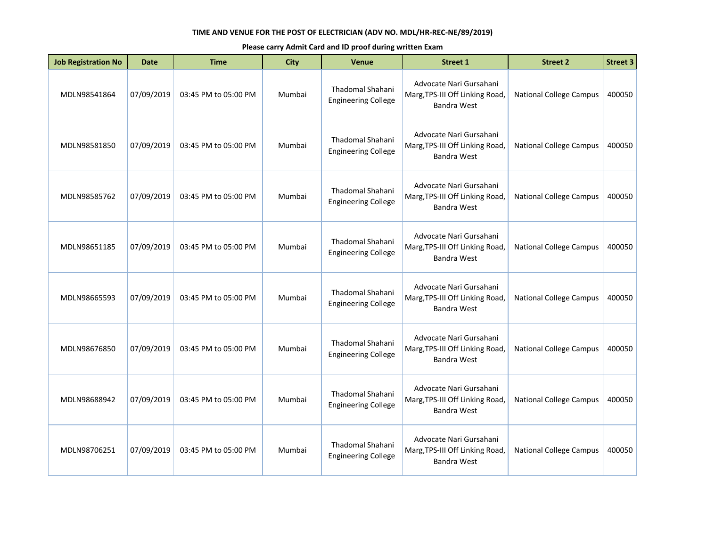| <b>Job Registration No</b> | <b>Date</b> | <b>Time</b>          | <b>City</b> | <b>Venue</b>                                          | <b>Street 1</b>                                                                  | <b>Street 2</b>                | <b>Street 3</b> |
|----------------------------|-------------|----------------------|-------------|-------------------------------------------------------|----------------------------------------------------------------------------------|--------------------------------|-----------------|
| MDLN98541864               | 07/09/2019  | 03:45 PM to 05:00 PM | Mumbai      | <b>Thadomal Shahani</b><br><b>Engineering College</b> | Advocate Nari Gursahani<br>Marg, TPS-III Off Linking Road,<br>Bandra West        | <b>National College Campus</b> | 400050          |
| MDLN98581850               | 07/09/2019  | 03:45 PM to 05:00 PM | Mumbai      | <b>Thadomal Shahani</b><br><b>Engineering College</b> | Advocate Nari Gursahani<br>Marg, TPS-III Off Linking Road,<br><b>Bandra West</b> | <b>National College Campus</b> | 400050          |
| MDLN98585762               | 07/09/2019  | 03:45 PM to 05:00 PM | Mumbai      | Thadomal Shahani<br><b>Engineering College</b>        | Advocate Nari Gursahani<br>Marg, TPS-III Off Linking Road,<br>Bandra West        | <b>National College Campus</b> | 400050          |
| MDLN98651185               | 07/09/2019  | 03:45 PM to 05:00 PM | Mumbai      | <b>Thadomal Shahani</b><br><b>Engineering College</b> | Advocate Nari Gursahani<br>Marg, TPS-III Off Linking Road,<br>Bandra West        | <b>National College Campus</b> | 400050          |
| MDLN98665593               | 07/09/2019  | 03:45 PM to 05:00 PM | Mumbai      | Thadomal Shahani<br><b>Engineering College</b>        | Advocate Nari Gursahani<br>Marg, TPS-III Off Linking Road,<br>Bandra West        | <b>National College Campus</b> | 400050          |
| MDLN98676850               | 07/09/2019  | 03:45 PM to 05:00 PM | Mumbai      | <b>Thadomal Shahani</b><br><b>Engineering College</b> | Advocate Nari Gursahani<br>Marg, TPS-III Off Linking Road,<br>Bandra West        | <b>National College Campus</b> | 400050          |
| MDLN98688942               | 07/09/2019  | 03:45 PM to 05:00 PM | Mumbai      | Thadomal Shahani<br><b>Engineering College</b>        | Advocate Nari Gursahani<br>Marg, TPS-III Off Linking Road,<br><b>Bandra West</b> | <b>National College Campus</b> | 400050          |
| MDLN98706251               | 07/09/2019  | 03:45 PM to 05:00 PM | Mumbai      | Thadomal Shahani<br><b>Engineering College</b>        | Advocate Nari Gursahani<br>Marg, TPS-III Off Linking Road,<br><b>Bandra West</b> | <b>National College Campus</b> | 400050          |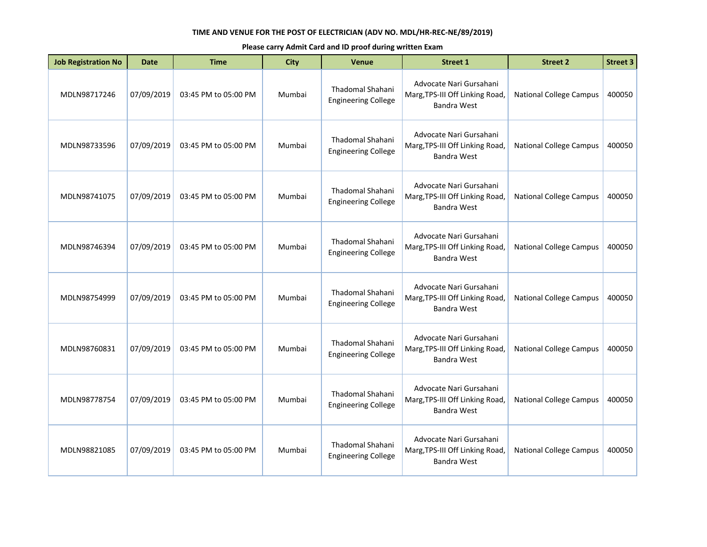| <b>Job Registration No</b> | Date       | <b>Time</b>          | <b>City</b> | <b>Venue</b>                                          | <b>Street 1</b>                                                                  | <b>Street 2</b>                | <b>Street 3</b> |
|----------------------------|------------|----------------------|-------------|-------------------------------------------------------|----------------------------------------------------------------------------------|--------------------------------|-----------------|
| MDLN98717246               | 07/09/2019 | 03:45 PM to 05:00 PM | Mumbai      | Thadomal Shahani<br><b>Engineering College</b>        | Advocate Nari Gursahani<br>Marg, TPS-III Off Linking Road,<br>Bandra West        | <b>National College Campus</b> | 400050          |
| MDLN98733596               | 07/09/2019 | 03:45 PM to 05:00 PM | Mumbai      | Thadomal Shahani<br><b>Engineering College</b>        | Advocate Nari Gursahani<br>Marg, TPS-III Off Linking Road,<br>Bandra West        | <b>National College Campus</b> | 400050          |
| MDLN98741075               | 07/09/2019 | 03:45 PM to 05:00 PM | Mumbai      | Thadomal Shahani<br><b>Engineering College</b>        | Advocate Nari Gursahani<br>Marg, TPS-III Off Linking Road,<br><b>Bandra West</b> | <b>National College Campus</b> | 400050          |
| MDLN98746394               | 07/09/2019 | 03:45 PM to 05:00 PM | Mumbai      | Thadomal Shahani<br><b>Engineering College</b>        | Advocate Nari Gursahani<br>Marg, TPS-III Off Linking Road,<br>Bandra West        | <b>National College Campus</b> | 400050          |
| MDLN98754999               | 07/09/2019 | 03:45 PM to 05:00 PM | Mumbai      | Thadomal Shahani<br><b>Engineering College</b>        | Advocate Nari Gursahani<br>Marg, TPS-III Off Linking Road,<br>Bandra West        | <b>National College Campus</b> | 400050          |
| MDLN98760831               | 07/09/2019 | 03:45 PM to 05:00 PM | Mumbai      | <b>Thadomal Shahani</b><br><b>Engineering College</b> | Advocate Nari Gursahani<br>Marg, TPS-III Off Linking Road,<br><b>Bandra West</b> | <b>National College Campus</b> | 400050          |
| MDLN98778754               | 07/09/2019 | 03:45 PM to 05:00 PM | Mumbai      | Thadomal Shahani<br><b>Engineering College</b>        | Advocate Nari Gursahani<br>Marg, TPS-III Off Linking Road,<br>Bandra West        | <b>National College Campus</b> | 400050          |
| MDLN98821085               | 07/09/2019 | 03:45 PM to 05:00 PM | Mumbai      | <b>Thadomal Shahani</b><br><b>Engineering College</b> | Advocate Nari Gursahani<br>Marg, TPS-III Off Linking Road,<br><b>Bandra West</b> | <b>National College Campus</b> | 400050          |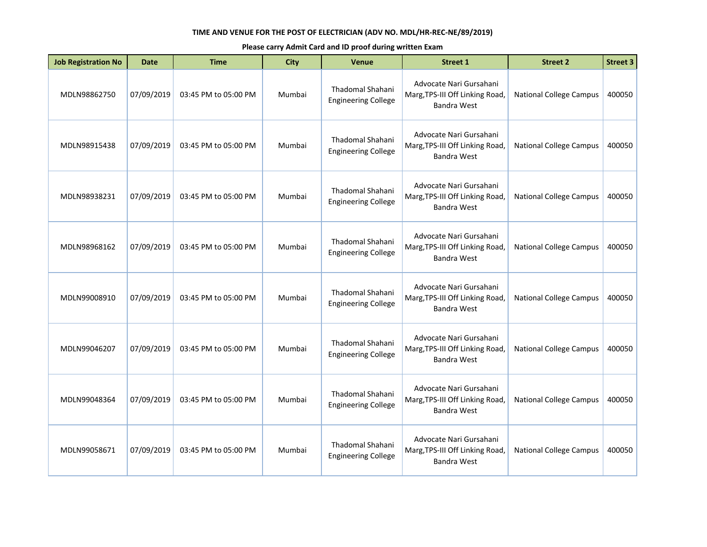| <b>Job Registration No</b> | Date       | <b>Time</b>          | <b>City</b> | <b>Venue</b>                                          | <b>Street 1</b>                                                                  | <b>Street 2</b>                | <b>Street 3</b> |
|----------------------------|------------|----------------------|-------------|-------------------------------------------------------|----------------------------------------------------------------------------------|--------------------------------|-----------------|
| MDLN98862750               | 07/09/2019 | 03:45 PM to 05:00 PM | Mumbai      | Thadomal Shahani<br><b>Engineering College</b>        | Advocate Nari Gursahani<br>Marg, TPS-III Off Linking Road,<br>Bandra West        | <b>National College Campus</b> | 400050          |
| MDLN98915438               | 07/09/2019 | 03:45 PM to 05:00 PM | Mumbai      | <b>Thadomal Shahani</b><br><b>Engineering College</b> | Advocate Nari Gursahani<br>Marg, TPS-III Off Linking Road,<br><b>Bandra West</b> | <b>National College Campus</b> | 400050          |
| MDLN98938231               | 07/09/2019 | 03:45 PM to 05:00 PM | Mumbai      | Thadomal Shahani<br><b>Engineering College</b>        | Advocate Nari Gursahani<br>Marg, TPS-III Off Linking Road,<br><b>Bandra West</b> | <b>National College Campus</b> | 400050          |
| MDLN98968162               | 07/09/2019 | 03:45 PM to 05:00 PM | Mumbai      | Thadomal Shahani<br><b>Engineering College</b>        | Advocate Nari Gursahani<br>Marg, TPS-III Off Linking Road,<br><b>Bandra West</b> | <b>National College Campus</b> | 400050          |
| MDLN99008910               | 07/09/2019 | 03:45 PM to 05:00 PM | Mumbai      | Thadomal Shahani<br><b>Engineering College</b>        | Advocate Nari Gursahani<br>Marg, TPS-III Off Linking Road,<br>Bandra West        | <b>National College Campus</b> | 400050          |
| MDLN99046207               | 07/09/2019 | 03:45 PM to 05:00 PM | Mumbai      | Thadomal Shahani<br><b>Engineering College</b>        | Advocate Nari Gursahani<br>Marg, TPS-III Off Linking Road,<br><b>Bandra West</b> | <b>National College Campus</b> | 400050          |
| MDLN99048364               | 07/09/2019 | 03:45 PM to 05:00 PM | Mumbai      | Thadomal Shahani<br><b>Engineering College</b>        | Advocate Nari Gursahani<br>Marg, TPS-III Off Linking Road,<br>Bandra West        | <b>National College Campus</b> | 400050          |
| MDLN99058671               | 07/09/2019 | 03:45 PM to 05:00 PM | Mumbai      | <b>Thadomal Shahani</b><br><b>Engineering College</b> | Advocate Nari Gursahani<br>Marg, TPS-III Off Linking Road,<br>Bandra West        | <b>National College Campus</b> | 400050          |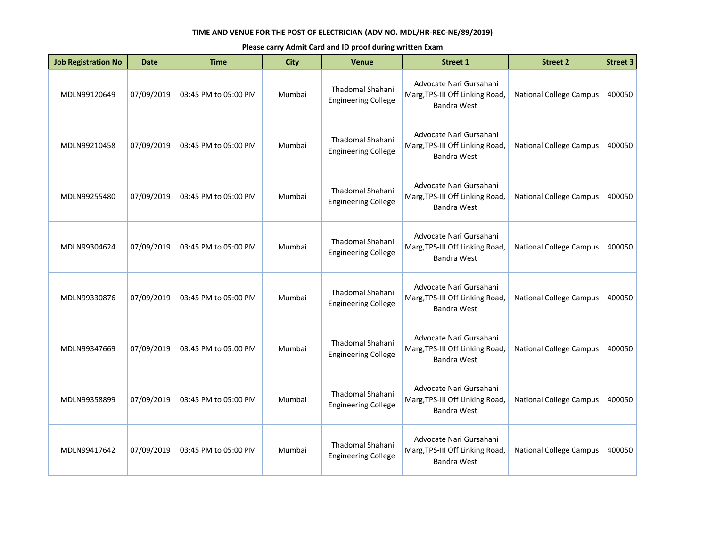| <b>Job Registration No</b> | <b>Date</b> | <b>Time</b>          | <b>City</b> | Venue                                                 | <b>Street 1</b>                                                                  | <b>Street 2</b>                | <b>Street 3</b> |
|----------------------------|-------------|----------------------|-------------|-------------------------------------------------------|----------------------------------------------------------------------------------|--------------------------------|-----------------|
| MDLN99120649               | 07/09/2019  | 03:45 PM to 05:00 PM | Mumbai      | Thadomal Shahani<br><b>Engineering College</b>        | Advocate Nari Gursahani<br>Marg, TPS-III Off Linking Road,<br>Bandra West        | <b>National College Campus</b> | 400050          |
| MDLN99210458               | 07/09/2019  | 03:45 PM to 05:00 PM | Mumbai      | Thadomal Shahani<br><b>Engineering College</b>        | Advocate Nari Gursahani<br>Marg, TPS-III Off Linking Road,<br><b>Bandra West</b> | <b>National College Campus</b> | 400050          |
| MDLN99255480               | 07/09/2019  | 03:45 PM to 05:00 PM | Mumbai      | <b>Thadomal Shahani</b><br><b>Engineering College</b> | Advocate Nari Gursahani<br>Marg, TPS-III Off Linking Road,<br>Bandra West        | <b>National College Campus</b> | 400050          |
| MDLN99304624               | 07/09/2019  | 03:45 PM to 05:00 PM | Mumbai      | <b>Thadomal Shahani</b><br><b>Engineering College</b> | Advocate Nari Gursahani<br>Marg, TPS-III Off Linking Road,<br>Bandra West        | <b>National College Campus</b> | 400050          |
| MDLN99330876               | 07/09/2019  | 03:45 PM to 05:00 PM | Mumbai      | Thadomal Shahani<br><b>Engineering College</b>        | Advocate Nari Gursahani<br>Marg, TPS-III Off Linking Road,<br>Bandra West        | <b>National College Campus</b> | 400050          |
| MDLN99347669               | 07/09/2019  | 03:45 PM to 05:00 PM | Mumbai      | <b>Thadomal Shahani</b><br><b>Engineering College</b> | Advocate Nari Gursahani<br>Marg, TPS-III Off Linking Road,<br><b>Bandra West</b> | <b>National College Campus</b> | 400050          |
| MDLN99358899               | 07/09/2019  | 03:45 PM to 05:00 PM | Mumbai      | <b>Thadomal Shahani</b><br><b>Engineering College</b> | Advocate Nari Gursahani<br>Marg, TPS-III Off Linking Road,<br><b>Bandra West</b> | <b>National College Campus</b> | 400050          |
| MDLN99417642               | 07/09/2019  | 03:45 PM to 05:00 PM | Mumbai      | Thadomal Shahani<br><b>Engineering College</b>        | Advocate Nari Gursahani<br>Marg, TPS-III Off Linking Road,<br>Bandra West        | <b>National College Campus</b> | 400050          |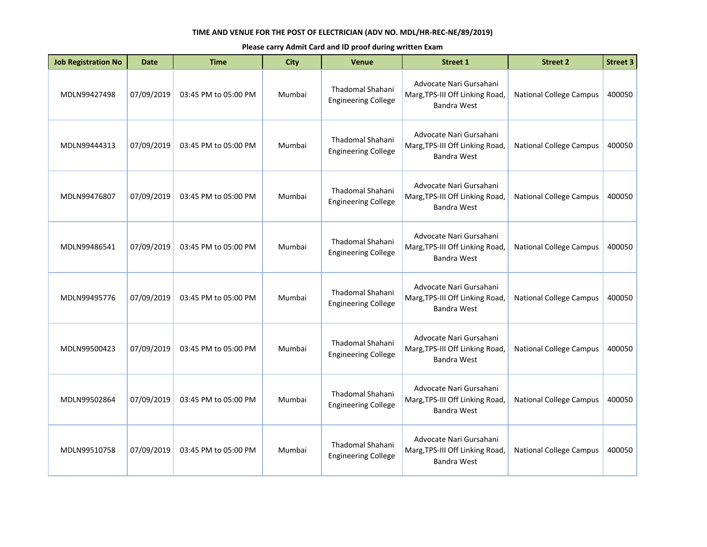| <b>Job Registration No</b> | <b>Date</b> | <b>Time</b>          | <b>City</b> | Venue                                                 | <b>Street 1</b>                                                                  | <b>Street 2</b>                | <b>Street 3</b> |
|----------------------------|-------------|----------------------|-------------|-------------------------------------------------------|----------------------------------------------------------------------------------|--------------------------------|-----------------|
| MDLN99427498               | 07/09/2019  | 03:45 PM to 05:00 PM | Mumbai      | Thadomal Shahani<br><b>Engineering College</b>        | Advocate Nari Gursahani<br>Marg, TPS-III Off Linking Road,<br>Bandra West        | <b>National College Campus</b> | 400050          |
| MDLN99444313               | 07/09/2019  | 03:45 PM to 05:00 PM | Mumbai      | Thadomal Shahani<br><b>Engineering College</b>        | Advocate Nari Gursahani<br>Marg, TPS-III Off Linking Road,<br><b>Bandra West</b> | <b>National College Campus</b> | 400050          |
| MDLN99476807               | 07/09/2019  | 03:45 PM to 05:00 PM | Mumbai      | <b>Thadomal Shahani</b><br><b>Engineering College</b> | Advocate Nari Gursahani<br>Marg, TPS-III Off Linking Road,<br>Bandra West        | <b>National College Campus</b> | 400050          |
| MDLN99486541               | 07/09/2019  | 03:45 PM to 05:00 PM | Mumbai      | <b>Thadomal Shahani</b><br><b>Engineering College</b> | Advocate Nari Gursahani<br>Marg, TPS-III Off Linking Road,<br>Bandra West        | <b>National College Campus</b> | 400050          |
| MDLN99495776               | 07/09/2019  | 03:45 PM to 05:00 PM | Mumbai      | Thadomal Shahani<br><b>Engineering College</b>        | Advocate Nari Gursahani<br>Marg, TPS-III Off Linking Road,<br>Bandra West        | <b>National College Campus</b> | 400050          |
| MDLN99500423               | 07/09/2019  | 03:45 PM to 05:00 PM | Mumbai      | <b>Thadomal Shahani</b><br><b>Engineering College</b> | Advocate Nari Gursahani<br>Marg, TPS-III Off Linking Road,<br><b>Bandra West</b> | <b>National College Campus</b> | 400050          |
| MDLN99502864               | 07/09/2019  | 03:45 PM to 05:00 PM | Mumbai      | <b>Thadomal Shahani</b><br><b>Engineering College</b> | Advocate Nari Gursahani<br>Marg, TPS-III Off Linking Road,<br><b>Bandra West</b> | <b>National College Campus</b> | 400050          |
| MDLN99510758               | 07/09/2019  | 03:45 PM to 05:00 PM | Mumbai      | Thadomal Shahani<br><b>Engineering College</b>        | Advocate Nari Gursahani<br>Marg, TPS-III Off Linking Road,<br>Bandra West        | <b>National College Campus</b> | 400050          |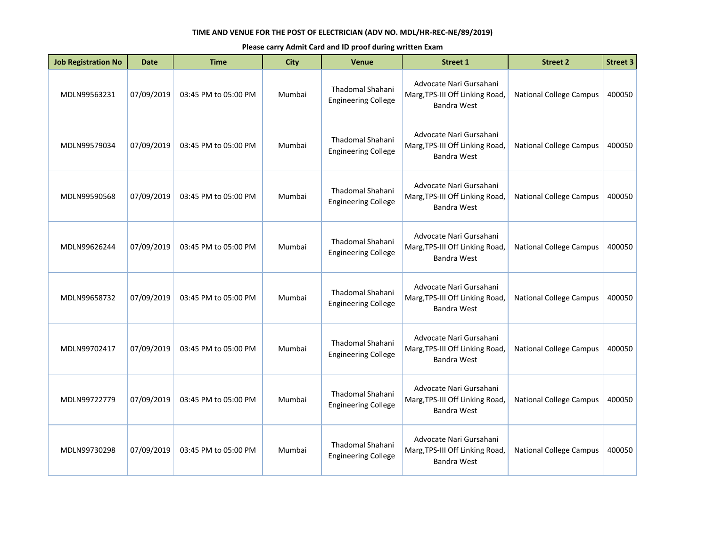| <b>Job Registration No</b> | Date       | <b>Time</b>          | <b>City</b> | <b>Venue</b>                                          | <b>Street 1</b>                                                                  | <b>Street 2</b>                | <b>Street 3</b> |
|----------------------------|------------|----------------------|-------------|-------------------------------------------------------|----------------------------------------------------------------------------------|--------------------------------|-----------------|
| MDLN99563231               | 07/09/2019 | 03:45 PM to 05:00 PM | Mumbai      | Thadomal Shahani<br><b>Engineering College</b>        | Advocate Nari Gursahani<br>Marg, TPS-III Off Linking Road,<br>Bandra West        | <b>National College Campus</b> | 400050          |
| MDLN99579034               | 07/09/2019 | 03:45 PM to 05:00 PM | Mumbai      | Thadomal Shahani<br><b>Engineering College</b>        | Advocate Nari Gursahani<br>Marg, TPS-III Off Linking Road,<br>Bandra West        | <b>National College Campus</b> | 400050          |
| MDLN99590568               | 07/09/2019 | 03:45 PM to 05:00 PM | Mumbai      | Thadomal Shahani<br><b>Engineering College</b>        | Advocate Nari Gursahani<br>Marg, TPS-III Off Linking Road,<br><b>Bandra West</b> | <b>National College Campus</b> | 400050          |
| MDLN99626244               | 07/09/2019 | 03:45 PM to 05:00 PM | Mumbai      | Thadomal Shahani<br><b>Engineering College</b>        | Advocate Nari Gursahani<br>Marg, TPS-III Off Linking Road,<br>Bandra West        | <b>National College Campus</b> | 400050          |
| MDLN99658732               | 07/09/2019 | 03:45 PM to 05:00 PM | Mumbai      | Thadomal Shahani<br><b>Engineering College</b>        | Advocate Nari Gursahani<br>Marg, TPS-III Off Linking Road,<br>Bandra West        | <b>National College Campus</b> | 400050          |
| MDLN99702417               | 07/09/2019 | 03:45 PM to 05:00 PM | Mumbai      | <b>Thadomal Shahani</b><br><b>Engineering College</b> | Advocate Nari Gursahani<br>Marg, TPS-III Off Linking Road,<br><b>Bandra West</b> | <b>National College Campus</b> | 400050          |
| MDLN99722779               | 07/09/2019 | 03:45 PM to 05:00 PM | Mumbai      | Thadomal Shahani<br><b>Engineering College</b>        | Advocate Nari Gursahani<br>Marg, TPS-III Off Linking Road,<br>Bandra West        | <b>National College Campus</b> | 400050          |
| MDLN99730298               | 07/09/2019 | 03:45 PM to 05:00 PM | Mumbai      | <b>Thadomal Shahani</b><br><b>Engineering College</b> | Advocate Nari Gursahani<br>Marg, TPS-III Off Linking Road,<br><b>Bandra West</b> | <b>National College Campus</b> | 400050          |